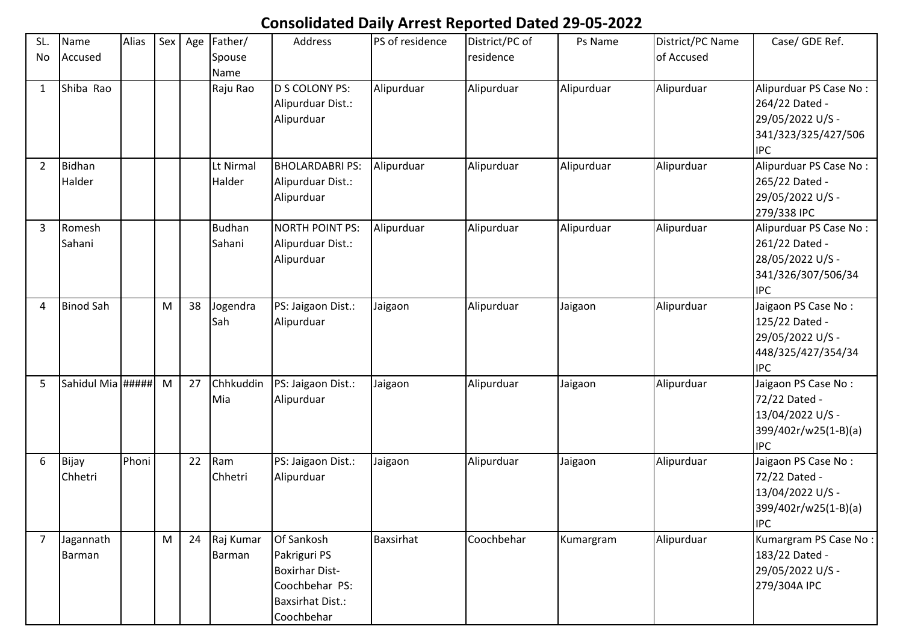## **Consolidated Daily Arrest Reported Dated 29-05-2022**

| SL.<br>No      | Name<br>Accused         | Alias | Sex                                                                                   | Age | Father/<br>Spouse       | <b>Address</b>                                                                                                 | PS of residence | District/PC of<br>residence | Ps Name    | District/PC Name<br>of Accused | Case/ GDE Ref.                                                                                    |
|----------------|-------------------------|-------|---------------------------------------------------------------------------------------|-----|-------------------------|----------------------------------------------------------------------------------------------------------------|-----------------|-----------------------------|------------|--------------------------------|---------------------------------------------------------------------------------------------------|
| 1              | Shiba Rao               |       |                                                                                       |     | Name<br>Raju Rao        | D S COLONY PS:<br>Alipurduar Dist.:<br>Alipurduar                                                              | Alipurduar      | Alipurduar                  | Alipurduar | Alipurduar                     | Alipurduar PS Case No:<br>264/22 Dated -<br>29/05/2022 U/S -<br>341/323/325/427/506<br><b>IPC</b> |
| $\overline{2}$ | <b>Bidhan</b><br>Halder |       |                                                                                       |     | Lt Nirmal<br>Halder     | <b>BHOLARDABRI PS:</b><br>Alipurduar Dist.:<br>Alipurduar                                                      | Alipurduar      | Alipurduar                  | Alipurduar | Alipurduar                     | Alipurduar PS Case No:<br>265/22 Dated -<br>29/05/2022 U/S -<br>279/338 IPC                       |
| 3              | Romesh<br>Sahani        |       |                                                                                       |     | <b>Budhan</b><br>Sahani | <b>NORTH POINT PS:</b><br>Alipurduar Dist.:<br>Alipurduar                                                      | Alipurduar      | Alipurduar                  | Alipurduar | Alipurduar                     | Alipurduar PS Case No:<br>261/22 Dated -<br>28/05/2022 U/S -<br>341/326/307/506/34<br><b>IPC</b>  |
| 4              | <b>Binod Sah</b>        |       | M                                                                                     | 38  | Jogendra<br>Sah         | PS: Jaigaon Dist.:<br>Alipurduar                                                                               | Jaigaon         | Alipurduar                  | Jaigaon    | Alipurduar                     | Jaigaon PS Case No:<br>125/22 Dated -<br>29/05/2022 U/S -<br>448/325/427/354/34<br><b>IPC</b>     |
| 5              | Sahidul Mia #####       |       | M                                                                                     | 27  | Chhkuddin<br>Mia        | PS: Jaigaon Dist.:<br>Alipurduar                                                                               | Jaigaon         | Alipurduar                  | Jaigaon    | Alipurduar                     | Jaigaon PS Case No:<br>72/22 Dated -<br>13/04/2022 U/S -<br>399/402r/w25(1-B)(a)<br><b>IPC</b>    |
| 6              | Bijay<br>Chhetri        | Phoni |                                                                                       | 22  | Ram<br>Chhetri          | PS: Jaigaon Dist.:<br>Alipurduar                                                                               | Jaigaon         | Alipurduar                  | Jaigaon    | Alipurduar                     | Jaigaon PS Case No:<br>72/22 Dated -<br>13/04/2022 U/S -<br>399/402r/w25(1-B)(a)<br><b>IPC</b>    |
| $\overline{7}$ | Jagannath<br>Barman     |       | $\mathsf{M}% _{T}=\mathsf{M}_{T}\!\left( a,b\right) ,\ \mathsf{M}_{T}=\mathsf{M}_{T}$ |     | 24 Raj Kumar<br>Barman  | Of Sankosh<br>Pakriguri PS<br><b>Boxirhar Dist-</b><br>Coochbehar PS:<br><b>Baxsirhat Dist.:</b><br>Coochbehar | Baxsirhat       | Coochbehar                  | Kumargram  | Alipurduar                     | Kumargram PS Case No:<br>183/22 Dated -<br>29/05/2022 U/S -<br>279/304A IPC                       |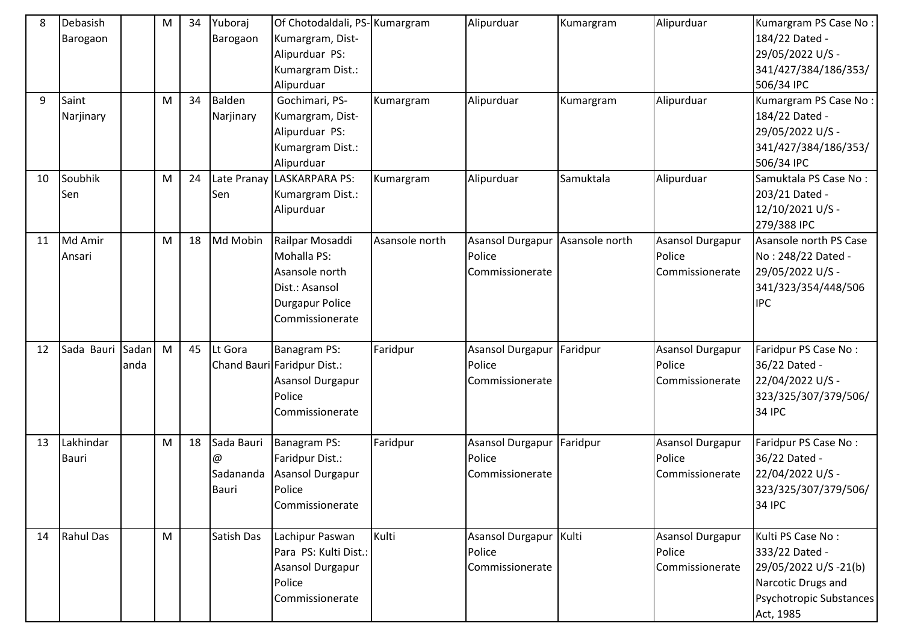| 8<br>9 | Debasish<br>Barogaon<br>Saint<br>Narjinary |               | M<br>M    | 34<br>34 | Yuboraj<br>Barogaon<br>Balden<br>Narjinary   | Of Chotodaldali, PS-Kumargram<br>Kumargram, Dist-<br>Alipurduar PS:<br>Kumargram Dist.:<br>Alipurduar<br>Gochimari, PS-<br>Kumargram, Dist-<br>Alipurduar PS:<br>Kumargram Dist.:<br>Alipurduar | Kumargram      | Alipurduar<br>Alipurduar                                     | Kumargram<br>Kumargram | Alipurduar<br>Alipurduar                             | Kumargram PS Case No:<br>184/22 Dated -<br>29/05/2022 U/S -<br>341/427/384/186/353/<br>506/34 IPC<br>Kumargram PS Case No:<br>184/22 Dated -<br>29/05/2022 U/S -<br>341/427/384/186/353/<br>506/34 IPC |
|--------|--------------------------------------------|---------------|-----------|----------|----------------------------------------------|-------------------------------------------------------------------------------------------------------------------------------------------------------------------------------------------------|----------------|--------------------------------------------------------------|------------------------|------------------------------------------------------|--------------------------------------------------------------------------------------------------------------------------------------------------------------------------------------------------------|
| 10     | Soubhik<br>Sen                             |               | ${\sf M}$ | 24       | Late Pranay<br>Sen                           | LASKARPARA PS:<br>Kumargram Dist.:<br>Alipurduar                                                                                                                                                | Kumargram      | Alipurduar                                                   | Samuktala              | Alipurduar                                           | Samuktala PS Case No:<br>203/21 Dated -<br>12/10/2021 U/S -<br>279/388 IPC                                                                                                                             |
| 11     | Md Amir<br>Ansari                          |               | M         | 18       | Md Mobin                                     | Railpar Mosaddi<br>Mohalla PS:<br>Asansole north<br>Dist.: Asansol<br><b>Durgapur Police</b><br>Commissionerate                                                                                 | Asansole north | Asansol Durgapur Asansole north<br>Police<br>Commissionerate |                        | <b>Asansol Durgapur</b><br>Police<br>Commissionerate | Asansole north PS Case<br>No: 248/22 Dated -<br>29/05/2022 U/S -<br>341/323/354/448/506<br><b>IPC</b>                                                                                                  |
| 12     | Sada Bauri                                 | Sadan<br>anda | M         | 45       | Lt Gora                                      | Banagram PS:<br>Chand Bauri Faridpur Dist.:<br><b>Asansol Durgapur</b><br>Police<br>Commissionerate                                                                                             | Faridpur       | Asansol Durgapur Faridpur<br>Police<br>Commissionerate       |                        | Asansol Durgapur<br>Police<br>Commissionerate        | Faridpur PS Case No:<br>36/22 Dated -<br>22/04/2022 U/S -<br>323/325/307/379/506/<br><b>34 IPC</b>                                                                                                     |
| 13     | Lakhindar<br><b>Bauri</b>                  |               | ${\sf M}$ | 18       | Sada Bauri<br>@<br>Sadananda<br><b>Bauri</b> | Banagram PS:<br>Faridpur Dist.:<br>Asansol Durgapur<br>Police<br>Commissionerate                                                                                                                | Faridpur       | Asansol Durgapur Faridpur<br>Police<br>Commissionerate       |                        | Asansol Durgapur<br>Police<br>Commissionerate        | Faridpur PS Case No:<br>36/22 Dated -<br>22/04/2022 U/S -<br>323/325/307/379/506/<br><b>34 IPC</b>                                                                                                     |
| 14     | Rahul Das                                  |               | M         |          | Satish Das                                   | Lachipur Paswan<br>Para PS: Kulti Dist.:<br>Asansol Durgapur<br>Police<br>Commissionerate                                                                                                       | Kulti          | Asansol Durgapur Kulti<br>Police<br>Commissionerate          |                        | Asansol Durgapur<br>Police<br>Commissionerate        | Kulti PS Case No:<br>333/22 Dated -<br>29/05/2022 U/S -21(b)<br>Narcotic Drugs and<br>Psychotropic Substances<br>Act, 1985                                                                             |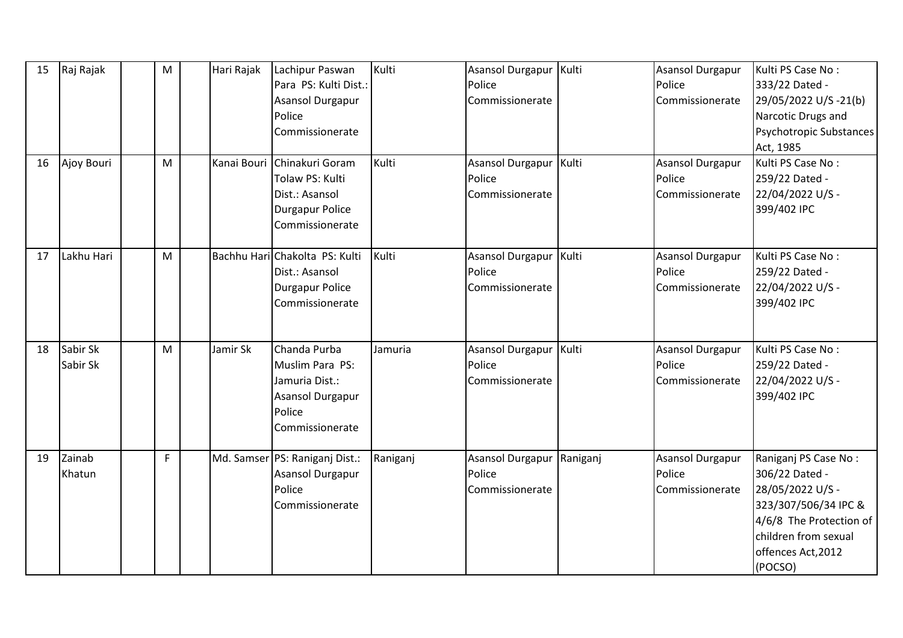| 15<br>16 | Raj Rajak<br>Ajoy Bouri | M<br>M | Hari Rajak<br>Kanai Bouri | Lachipur Paswan<br>Para PS: Kulti Dist.:<br><b>Asansol Durgapur</b><br>Police<br>Commissionerate<br>Chinakuri Goram<br>Tolaw PS: Kulti | Kulti<br>Kulti | Asansol Durgapur   Kulti<br>Police<br>Commissionerate<br>Asansol Durgapur Kulti<br>Police |          | Asansol Durgapur<br>Police<br>Commissionerate<br>Asansol Durgapur<br>Police | Kulti PS Case No:<br>333/22 Dated -<br>29/05/2022 U/S -21(b)<br>Narcotic Drugs and<br>Psychotropic Substances<br>Act, 1985<br>Kulti PS Case No:<br>259/22 Dated -      |
|----------|-------------------------|--------|---------------------------|----------------------------------------------------------------------------------------------------------------------------------------|----------------|-------------------------------------------------------------------------------------------|----------|-----------------------------------------------------------------------------|------------------------------------------------------------------------------------------------------------------------------------------------------------------------|
|          |                         |        |                           | Dist.: Asansol<br><b>Durgapur Police</b><br>Commissionerate                                                                            |                | Commissionerate                                                                           |          | Commissionerate                                                             | 22/04/2022 U/S -<br>399/402 IPC                                                                                                                                        |
| 17       | Lakhu Hari              | M      |                           | Bachhu Hari Chakolta PS: Kulti<br>Dist.: Asansol<br><b>Durgapur Police</b><br>Commissionerate                                          | Kulti          | <b>Asansol Durgapur</b><br>Police<br>Commissionerate                                      | Kulti    | Asansol Durgapur<br>Police<br>Commissionerate                               | Kulti PS Case No:<br>259/22 Dated -<br>22/04/2022 U/S -<br>399/402 IPC                                                                                                 |
| 18       | Sabir Sk<br>Sabir Sk    | M      | Jamir Sk                  | Chanda Purba<br>Muslim Para PS:<br>Jamuria Dist.:<br>Asansol Durgapur<br>Police<br>Commissionerate                                     | Jamuria        | Asansol Durgapur Kulti<br>Police<br>Commissionerate                                       |          | Asansol Durgapur<br>Police<br>Commissionerate                               | Kulti PS Case No:<br>259/22 Dated -<br>22/04/2022 U/S -<br>399/402 IPC                                                                                                 |
| 19       | Zainab<br>Khatun        | F      |                           | Md. Samser   PS: Raniganj Dist.:<br><b>Asansol Durgapur</b><br>Police<br>Commissionerate                                               | Raniganj       | <b>Asansol Durgapur</b><br>Police<br>Commissionerate                                      | Raniganj | Asansol Durgapur<br>Police<br>Commissionerate                               | Raniganj PS Case No:<br>306/22 Dated -<br>28/05/2022 U/S -<br>323/307/506/34 IPC &<br>4/6/8 The Protection of<br>children from sexual<br>offences Act, 2012<br>(POCSO) |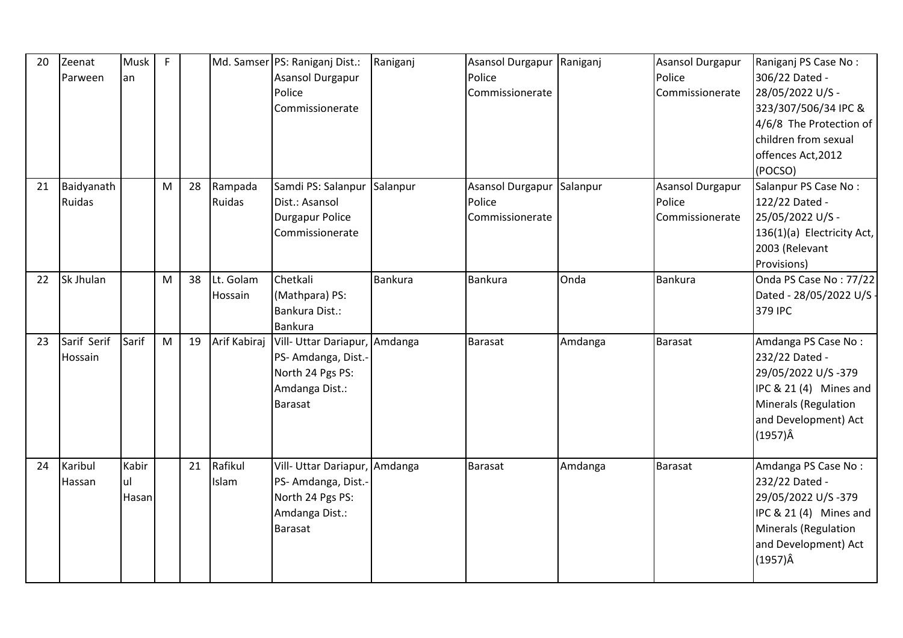| 20 | Zeenat<br>Parween           | Musk<br>lan          | $\mathsf{F}$ |    |                      | Md. Samser PS: Raniganj Dist.:<br><b>Asansol Durgapur</b><br>Police<br>Commissionerate                       | Raniganj       | <b>Asansol Durgapur</b><br>Police<br>Commissionerate | Raniganj | Asansol Durgapur<br>Police<br>Commissionerate        | Raniganj PS Case No:<br>306/22 Dated -<br>28/05/2022 U/S -<br>323/307/506/34 IPC &<br>4/6/8 The Protection of<br>children from sexual<br>offences Act, 2012<br>(POCSO) |
|----|-----------------------------|----------------------|--------------|----|----------------------|--------------------------------------------------------------------------------------------------------------|----------------|------------------------------------------------------|----------|------------------------------------------------------|------------------------------------------------------------------------------------------------------------------------------------------------------------------------|
| 21 | Baidyanath<br><b>Ruidas</b> |                      | M            | 28 | Rampada<br>Ruidas    | Samdi PS: Salanpur Salanpur<br>Dist.: Asansol<br><b>Durgapur Police</b><br>Commissionerate                   |                | <b>Asansol Durgapur</b><br>Police<br>Commissionerate | Salanpur | <b>Asansol Durgapur</b><br>Police<br>Commissionerate | Salanpur PS Case No:<br>122/22 Dated -<br>25/05/2022 U/S -<br>136(1)(a) Electricity Act,<br>2003 (Relevant<br>Provisions)                                              |
| 22 | Sk Jhulan                   |                      | M            | 38 | Lt. Golam<br>Hossain | Chetkali<br>(Mathpara) PS:<br>Bankura Dist.:<br><b>Bankura</b>                                               | <b>Bankura</b> | Bankura                                              | Onda     | <b>Bankura</b>                                       | Onda PS Case No: 77/22<br>Dated - 28/05/2022 U/S -<br>379 IPC                                                                                                          |
| 23 | Sarif Serif<br>Hossain      | Sarif                | M            | 19 | Arif Kabiraj         | Vill- Uttar Dariapur, Amdanga<br>PS-Amdanga, Dist.-<br>North 24 Pgs PS:<br>Amdanga Dist.:<br><b>Barasat</b>  |                | <b>Barasat</b>                                       | Amdanga  | <b>Barasat</b>                                       | Amdanga PS Case No:<br>232/22 Dated -<br>29/05/2022 U/S-379<br>IPC & 21 (4) Mines and<br>Minerals (Regulation<br>and Development) Act<br>$(1957)\hat{A}$               |
| 24 | Karibul<br>Hassan           | Kabir<br>ul<br>Hasan |              | 21 | Rafikul<br>Islam     | Vill- Uttar Dariapur, Amdanga<br>PS- Amdanga, Dist.-<br>North 24 Pgs PS:<br>Amdanga Dist.:<br><b>Barasat</b> |                | <b>Barasat</b>                                       | Amdanga  | <b>Barasat</b>                                       | Amdanga PS Case No:<br>232/22 Dated -<br>29/05/2022 U/S-379<br>IPC & 21 (4) Mines and<br>Minerals (Regulation<br>and Development) Act<br>$(1957)\hat{A}$               |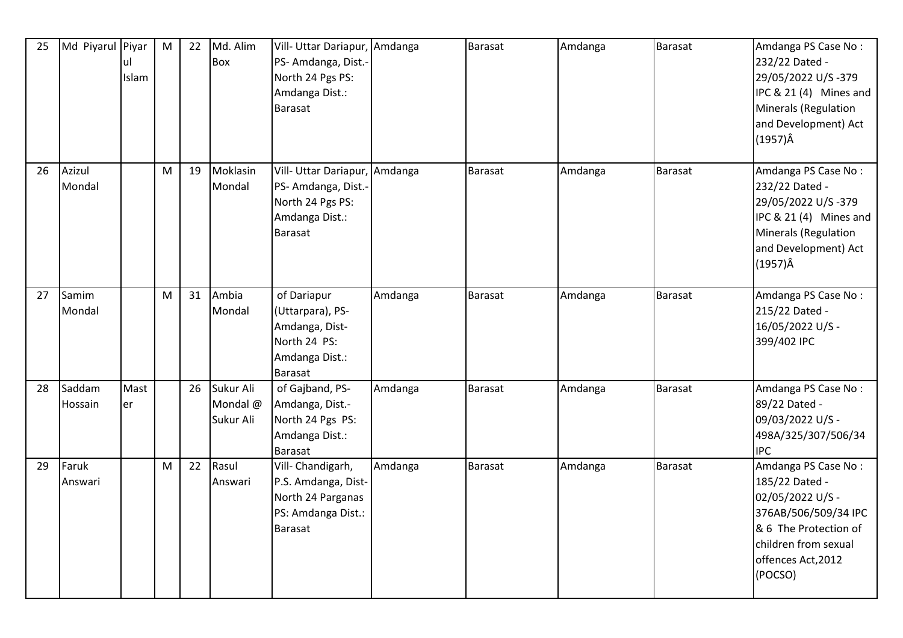| 25 | Md Piyarul Piyar  | ul<br>Islam | M | 22 | Md. Alim<br>Box                    | Vill- Uttar Dariapur, Amdanga<br>PS-Amdanga, Dist.-<br>North 24 Pgs PS:<br>Amdanga Dist.:<br>Barasat  |         | <b>Barasat</b> | Amdanga | Barasat        | Amdanga PS Case No:<br>232/22 Dated -<br>29/05/2022 U/S-379<br>IPC & 21 (4) Mines and<br>Minerals (Regulation<br>and Development) Act<br>$(1957)\hat{A}$            |
|----|-------------------|-------------|---|----|------------------------------------|-------------------------------------------------------------------------------------------------------|---------|----------------|---------|----------------|---------------------------------------------------------------------------------------------------------------------------------------------------------------------|
| 26 | Azizul<br>Mondal  |             | M | 19 | Moklasin<br>Mondal                 | Vill- Uttar Dariapur, Amdanga<br>PS-Amdanga, Dist.-<br>North 24 Pgs PS:<br>Amdanga Dist.:<br>Barasat  |         | Barasat        | Amdanga | Barasat        | Amdanga PS Case No:<br>232/22 Dated -<br>29/05/2022 U/S-379<br>IPC & 21 (4) Mines and<br>Minerals (Regulation<br>and Development) Act<br>$(1957)\hat{A}$            |
| 27 | Samim<br>Mondal   |             | M | 31 | Ambia<br>Mondal                    | of Dariapur<br>(Uttarpara), PS-<br>Amdanga, Dist-<br>North 24 PS:<br>Amdanga Dist.:<br><b>Barasat</b> | Amdanga | <b>Barasat</b> | Amdanga | <b>Barasat</b> | Amdanga PS Case No:<br>215/22 Dated -<br>16/05/2022 U/S -<br>399/402 IPC                                                                                            |
| 28 | Saddam<br>Hossain | Mast<br>er  |   | 26 | Sukur Ali<br>Mondal @<br>Sukur Ali | of Gajband, PS-<br>Amdanga, Dist.-<br>North 24 Pgs PS:<br>Amdanga Dist.:<br>Barasat                   | Amdanga | <b>Barasat</b> | Amdanga | <b>Barasat</b> | Amdanga PS Case No:<br>89/22 Dated -<br>09/03/2022 U/S -<br>498A/325/307/506/34<br><b>IPC</b>                                                                       |
| 29 | Faruk<br>Answari  |             | M | 22 | Rasul<br>Answari                   | Vill- Chandigarh,<br>P.S. Amdanga, Dist-<br>North 24 Parganas<br>PS: Amdanga Dist.:<br>Barasat        | Amdanga | <b>Barasat</b> | Amdanga | <b>Barasat</b> | Amdanga PS Case No:<br>185/22 Dated -<br>02/05/2022 U/S -<br>376AB/506/509/34 IPC<br>& 6 The Protection of<br>children from sexual<br>offences Act, 2012<br>(POCSO) |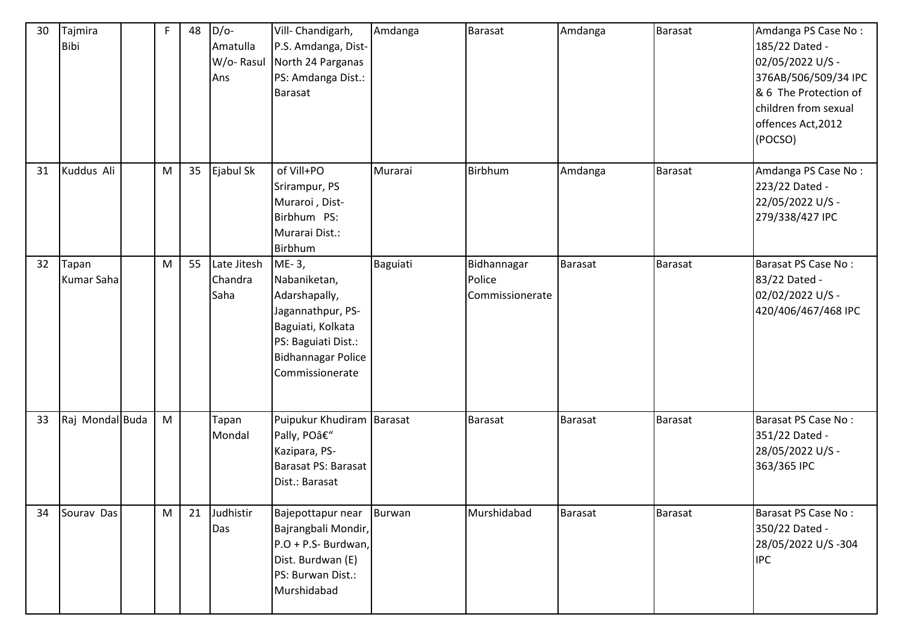| 30 | Tajmira<br><b>Bibi</b> | F | 48 | $D/O-$<br>Amatulla<br>W/o-Rasul<br>Ans | Vill- Chandigarh,<br>P.S. Amdanga, Dist-<br>North 24 Parganas<br>PS: Amdanga Dist.:<br>Barasat                                                          | Amdanga  | <b>Barasat</b>                           | Amdanga        | <b>Barasat</b> | Amdanga PS Case No:<br>185/22 Dated -<br>02/05/2022 U/S -<br>376AB/506/509/34 IPC<br>& 6 The Protection of<br>children from sexual<br>offences Act, 2012<br>(POCSO) |
|----|------------------------|---|----|----------------------------------------|---------------------------------------------------------------------------------------------------------------------------------------------------------|----------|------------------------------------------|----------------|----------------|---------------------------------------------------------------------------------------------------------------------------------------------------------------------|
| 31 | Kuddus Ali             | M | 35 | Ejabul Sk                              | of Vill+PO<br>Srirampur, PS<br>Muraroi, Dist-<br>Birbhum PS:<br>Murarai Dist.:<br>Birbhum                                                               | Murarai  | Birbhum                                  | Amdanga        | Barasat        | Amdanga PS Case No:<br>223/22 Dated -<br>22/05/2022 U/S -<br>279/338/427 IPC                                                                                        |
| 32 | Tapan<br>Kumar Saha    | M | 55 | Late Jitesh<br>Chandra<br>Saha         | ME-3,<br>Nabaniketan,<br>Adarshapally,<br>Jagannathpur, PS-<br>Baguiati, Kolkata<br>PS: Baguiati Dist.:<br><b>Bidhannagar Police</b><br>Commissionerate | Baguiati | Bidhannagar<br>Police<br>Commissionerate | Barasat        | <b>Barasat</b> | Barasat PS Case No:<br>83/22 Dated -<br>02/02/2022 U/S -<br>420/406/467/468 IPC                                                                                     |
| 33 | Raj Mondal Buda        | M |    | Tapan<br>Mondal                        | Puipukur Khudiram Barasat<br>Pally, PO–<br>Kazipara, PS-<br><b>Barasat PS: Barasat</b><br>Dist.: Barasat                                                |          | <b>Barasat</b>                           | Barasat        | <b>Barasat</b> | Barasat PS Case No:<br>351/22 Dated -<br>28/05/2022 U/S -<br>363/365 IPC                                                                                            |
| 34 | Sourav Das             | M | 21 | Judhistir<br>Das                       | Bajepottapur near<br>Bajrangbali Mondir,<br>P.O + P.S- Burdwan,<br>Dist. Burdwan (E)<br>PS: Burwan Dist.:<br>Murshidabad                                | Burwan   | Murshidabad                              | <b>Barasat</b> | <b>Barasat</b> | Barasat PS Case No:<br>350/22 Dated -<br>28/05/2022 U/S-304<br><b>IPC</b>                                                                                           |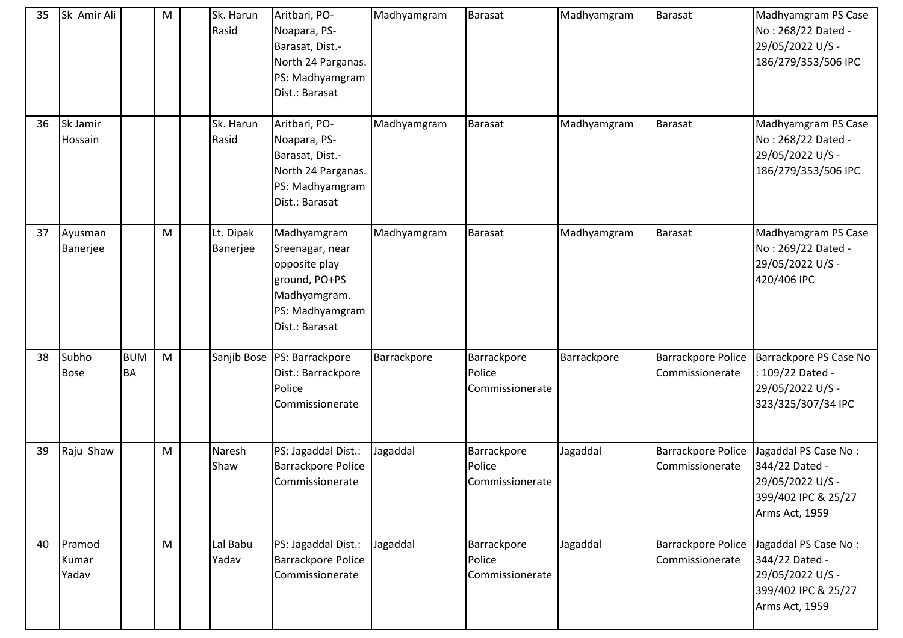| 35 | Sk Amir Ali              |                         | M | Sk. Harun<br>Rasid    | Aritbari, PO-<br>Noapara, PS-<br>Barasat, Dist.-<br>North 24 Parganas.<br>PS: Madhyamgram<br>Dist.: Barasat           | Madhyamgram | <b>Barasat</b>                           | Madhyamgram | <b>Barasat</b>                               | Madhyamgram PS Case<br>No: 268/22 Dated -<br>29/05/2022 U/S -<br>186/279/353/506 IPC                |
|----|--------------------------|-------------------------|---|-----------------------|-----------------------------------------------------------------------------------------------------------------------|-------------|------------------------------------------|-------------|----------------------------------------------|-----------------------------------------------------------------------------------------------------|
| 36 | Sk Jamir<br>Hossain      |                         |   | Sk. Harun<br>Rasid    | Aritbari, PO-<br>Noapara, PS-<br>Barasat, Dist.-<br>North 24 Parganas.<br>PS: Madhyamgram<br>Dist.: Barasat           | Madhyamgram | <b>Barasat</b>                           | Madhyamgram | <b>Barasat</b>                               | Madhyamgram PS Case<br>No: 268/22 Dated -<br>29/05/2022 U/S -<br>186/279/353/506 IPC                |
| 37 | Ayusman<br>Banerjee      |                         | M | Lt. Dipak<br>Banerjee | Madhyamgram<br>Sreenagar, near<br>opposite play<br>ground, PO+PS<br>Madhyamgram.<br>PS: Madhyamgram<br>Dist.: Barasat | Madhyamgram | <b>Barasat</b>                           | Madhyamgram | <b>Barasat</b>                               | Madhyamgram PS Case<br>No: 269/22 Dated -<br>29/05/2022 U/S -<br>420/406 IPC                        |
| 38 | Subho<br><b>Bose</b>     | <b>BUM</b><br><b>BA</b> | M |                       | Sanjib Bose   PS: Barrackpore<br>Dist.: Barrackpore<br>Police<br>Commissionerate                                      | Barrackpore | Barrackpore<br>Police<br>Commissionerate | Barrackpore | Barrackpore Police<br>Commissionerate        | Barrackpore PS Case No<br>: 109/22 Dated -<br>29/05/2022 U/S -<br>323/325/307/34 IPC                |
| 39 | Raju Shaw                |                         | M | Naresh<br>Shaw        | PS: Jagaddal Dist.:<br><b>Barrackpore Police</b><br>Commissionerate                                                   | Jagaddal    | Barrackpore<br>Police<br>Commissionerate | Jagaddal    | <b>Barrackpore Police</b><br>Commissionerate | Jagaddal PS Case No:<br>344/22 Dated -<br>29/05/2022 U/S -<br>399/402 IPC & 25/27<br>Arms Act, 1959 |
| 40 | Pramod<br>Kumar<br>Yadav |                         | M | Lal Babu<br>Yadav     | PS: Jagaddal Dist.:<br><b>Barrackpore Police</b><br>Commissionerate                                                   | Jagaddal    | Barrackpore<br>Police<br>Commissionerate | Jagaddal    | <b>Barrackpore Police</b><br>Commissionerate | Jagaddal PS Case No:<br>344/22 Dated -<br>29/05/2022 U/S -<br>399/402 IPC & 25/27<br>Arms Act, 1959 |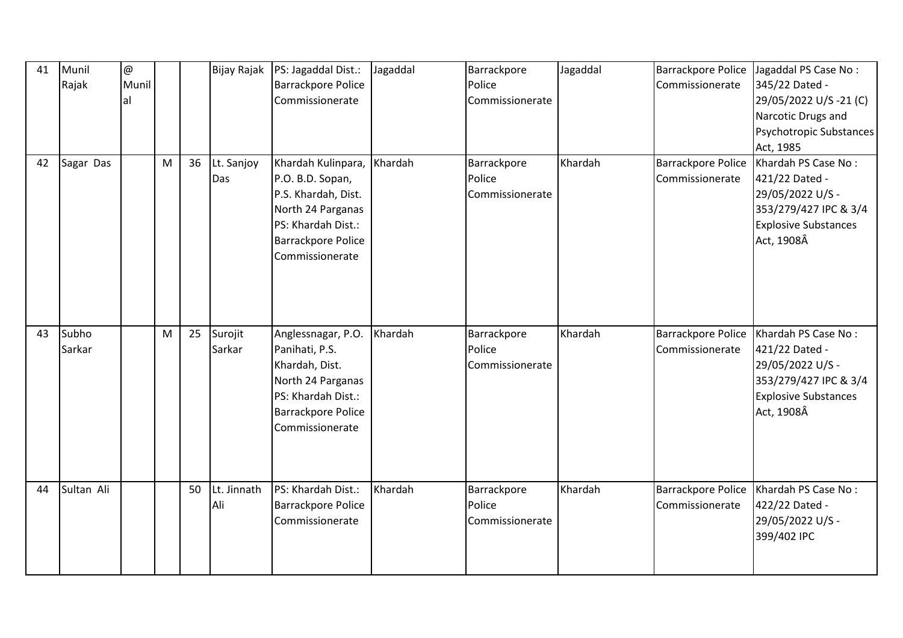| 41 | Munil<br>Rajak  | $\circledR$<br>Munil<br>al |   |    | Bijay Rajak        | PS: Jagaddal Dist.:<br>Barrackpore Police<br>Commissionerate                                                                                             | Jagaddal | Barrackpore<br>Police<br>Commissionerate | Jagaddal | <b>Barrackpore Police</b><br>Commissionerate | Jagaddal PS Case No:<br>345/22 Dated -<br>29/05/2022 U/S-21 (C)<br>Narcotic Drugs and<br>Psychotropic Substances<br>Act, 1985   |
|----|-----------------|----------------------------|---|----|--------------------|----------------------------------------------------------------------------------------------------------------------------------------------------------|----------|------------------------------------------|----------|----------------------------------------------|---------------------------------------------------------------------------------------------------------------------------------|
| 42 | Sagar Das       |                            | M | 36 | Lt. Sanjoy<br>Das  | Khardah Kulinpara,<br>P.O. B.D. Sopan,<br>P.S. Khardah, Dist.<br>North 24 Parganas<br>PS: Khardah Dist.:<br><b>Barrackpore Police</b><br>Commissionerate | Khardah  | Barrackpore<br>Police<br>Commissionerate | Khardah  | Barrackpore Police<br>Commissionerate        | Khardah PS Case No:<br>421/22 Dated -<br>29/05/2022 U/S -<br>353/279/427 IPC & 3/4<br><b>Explosive Substances</b><br>Act, 1908Â |
| 43 | Subho<br>Sarkar |                            | M | 25 | Surojit<br>Sarkar  | Anglessnagar, P.O.<br>Panihati, P.S.<br>Khardah, Dist.<br>North 24 Parganas<br>PS: Khardah Dist.:<br>Barrackpore Police<br>Commissionerate               | Khardah  | Barrackpore<br>Police<br>Commissionerate | Khardah  | <b>Barrackpore Police</b><br>Commissionerate | Khardah PS Case No:<br>421/22 Dated -<br>29/05/2022 U/S -<br>353/279/427 IPC & 3/4<br><b>Explosive Substances</b><br>Act, 1908Â |
| 44 | Sultan Ali      |                            |   | 50 | Lt. Jinnath<br>Ali | PS: Khardah Dist.:<br>Barrackpore Police<br>Commissionerate                                                                                              | Khardah  | Barrackpore<br>Police<br>Commissionerate | Khardah  | <b>Barrackpore Police</b><br>Commissionerate | Khardah PS Case No:<br>422/22 Dated -<br>29/05/2022 U/S -<br>399/402 IPC                                                        |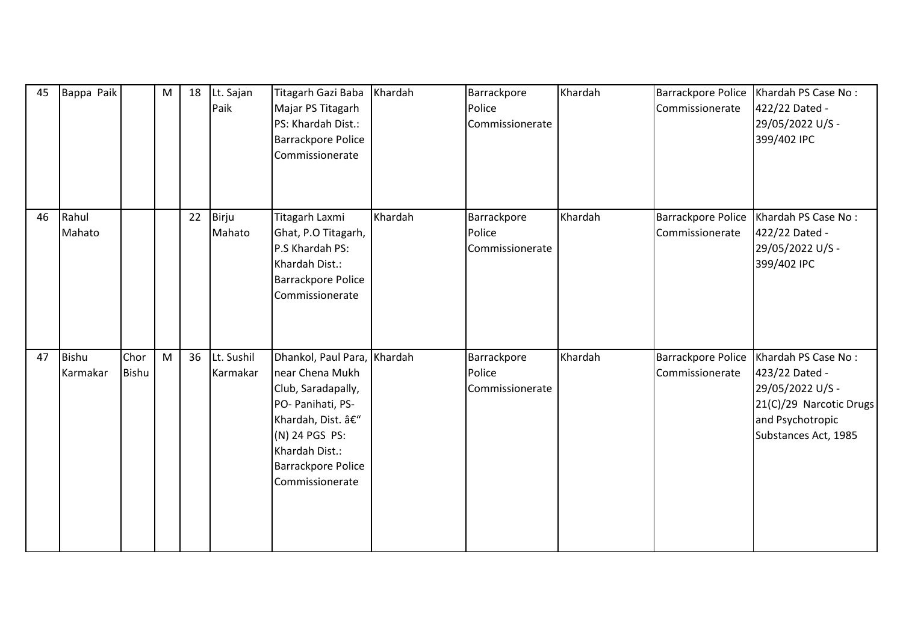| 45 | Bappa Paik        |               | M | 18 | Lt. Sajan<br>Paik      | Titagarh Gazi Baba<br>Majar PS Titagarh<br>PS: Khardah Dist.:<br><b>Barrackpore Police</b><br>Commissionerate                                                                                     | Khardah | Barrackpore<br>Police<br>Commissionerate | Khardah | <b>Barrackpore Police</b><br>Commissionerate | Khardah PS Case No:<br>422/22 Dated -<br>29/05/2022 U/S -<br>399/402 IPC                                                         |
|----|-------------------|---------------|---|----|------------------------|---------------------------------------------------------------------------------------------------------------------------------------------------------------------------------------------------|---------|------------------------------------------|---------|----------------------------------------------|----------------------------------------------------------------------------------------------------------------------------------|
| 46 | Rahul<br>Mahato   |               |   | 22 | Birju<br>Mahato        | Titagarh Laxmi<br>Ghat, P.O Titagarh,<br>P.S Khardah PS:<br>Khardah Dist.:<br><b>Barrackpore Police</b><br>Commissionerate                                                                        | Khardah | Barrackpore<br>Police<br>Commissionerate | Khardah | <b>Barrackpore Police</b><br>Commissionerate | Khardah PS Case No:<br>422/22 Dated -<br>29/05/2022 U/S -<br>399/402 IPC                                                         |
| 47 | Bishu<br>Karmakar | Chor<br>Bishu | M | 36 | Lt. Sushil<br>Karmakar | Dhankol, Paul Para, Khardah<br>near Chena Mukh<br>Club, Saradapally,<br>PO- Panihati, PS-<br>Khardah, Dist. –<br>(N) 24 PGS PS:<br>Khardah Dist.:<br><b>Barrackpore Police</b><br>Commissionerate |         | Barrackpore<br>Police<br>Commissionerate | Khardah | <b>Barrackpore Police</b><br>Commissionerate | Khardah PS Case No:<br>423/22 Dated -<br>29/05/2022 U/S -<br>21(C)/29 Narcotic Drugs<br>and Psychotropic<br>Substances Act, 1985 |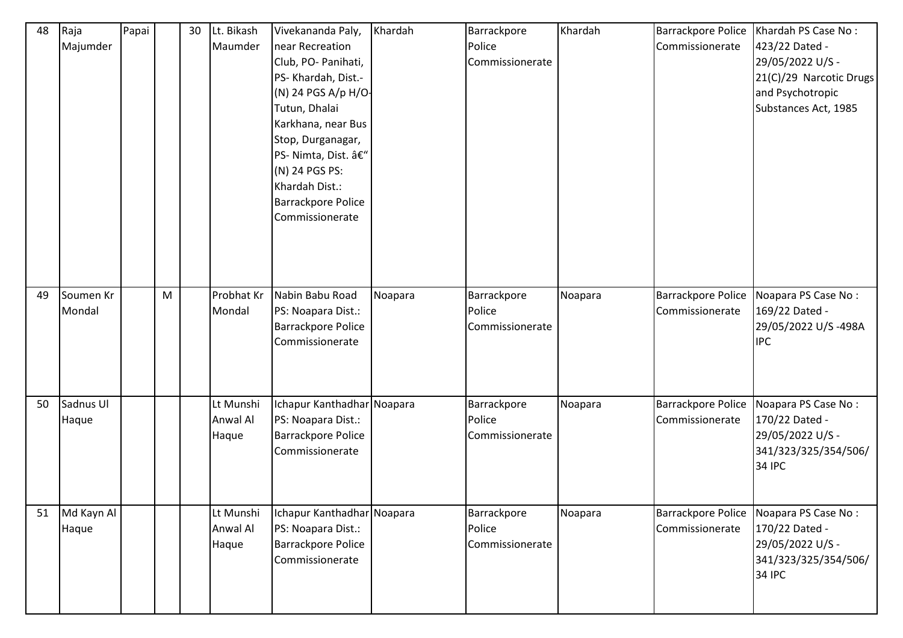| 48 | Raja<br>Majumder    | Papai |   | 30 | Lt. Bikash<br>Maumder                 | Vivekananda Paly,<br>near Recreation<br>Club, PO- Panihati,<br>PS- Khardah, Dist.-<br>(N) 24 PGS A/p H/O-<br>Tutun, Dhalai<br>Karkhana, near Bus<br>Stop, Durganagar,<br>PS- Nimta, Dist. –<br>(N) 24 PGS PS:<br>Khardah Dist.:<br>Barrackpore Police<br>Commissionerate | Khardah | Barrackpore<br>Police<br>Commissionerate | Khardah | <b>Barrackpore Police</b><br>Commissionerate | Khardah PS Case No:<br>423/22 Dated -<br>29/05/2022 U/S -<br>21(C)/29 Narcotic Drugs<br>and Psychotropic<br>Substances Act, 1985 |
|----|---------------------|-------|---|----|---------------------------------------|--------------------------------------------------------------------------------------------------------------------------------------------------------------------------------------------------------------------------------------------------------------------------|---------|------------------------------------------|---------|----------------------------------------------|----------------------------------------------------------------------------------------------------------------------------------|
| 49 | Soumen Kr<br>Mondal |       | M |    | Probhat Kr<br>Mondal                  | Nabin Babu Road<br>PS: Noapara Dist.:<br>Barrackpore Police<br>Commissionerate                                                                                                                                                                                           | Noapara | Barrackpore<br>Police<br>Commissionerate | Noapara | <b>Barrackpore Police</b><br>Commissionerate | Noapara PS Case No:<br>169/22 Dated -<br>29/05/2022 U/S-498A<br><b>IPC</b>                                                       |
| 50 | Sadnus UI<br>Haque  |       |   |    | Lt Munshi<br><b>Anwal Al</b><br>Haque | Ichapur Kanthadhar Noapara<br>PS: Noapara Dist.:<br>Barrackpore Police<br>Commissionerate                                                                                                                                                                                |         | Barrackpore<br>Police<br>Commissionerate | Noapara | Barrackpore Police<br>Commissionerate        | Noapara PS Case No:<br>170/22 Dated -<br>29/05/2022 U/S -<br>341/323/325/354/506/<br><b>34 IPC</b>                               |
| 51 | Md Kayn Al<br>Haque |       |   |    | Lt Munshi<br>Anwal Al<br>Haque        | Ichapur Kanthadhar Noapara<br>PS: Noapara Dist.:<br>Barrackpore Police<br>Commissionerate                                                                                                                                                                                |         | Barrackpore<br>Police<br>Commissionerate | Noapara | Barrackpore Police<br>Commissionerate        | Noapara PS Case No:<br>170/22 Dated -<br>29/05/2022 U/S -<br>341/323/325/354/506/<br><b>34 IPC</b>                               |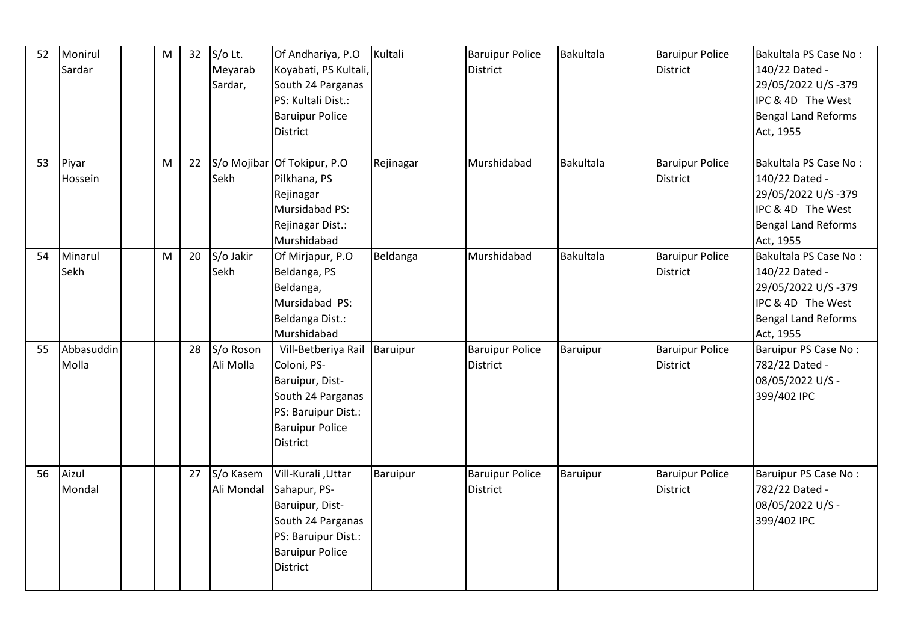| 52 | Monirul<br>Sardar   | M | 32 | S/o Lt.<br>Meyarab<br>Sardar, | Of Andhariya, P.O<br>Koyabati, PS Kultali,<br>South 24 Parganas<br>PS: Kultali Dist.:<br><b>Baruipur Police</b><br>District                             | Kultali   | <b>Baruipur Police</b><br><b>District</b> | Bakultala        | <b>Baruipur Police</b><br><b>District</b> | Bakultala PS Case No:<br>140/22 Dated -<br>29/05/2022 U/S-379<br>IPC & 4D The West<br>Bengal Land Reforms<br>Act, 1955 |
|----|---------------------|---|----|-------------------------------|---------------------------------------------------------------------------------------------------------------------------------------------------------|-----------|-------------------------------------------|------------------|-------------------------------------------|------------------------------------------------------------------------------------------------------------------------|
| 53 | Piyar<br>Hossein    | M | 22 | Sekh                          | S/o Mojibar Of Tokipur, P.O<br>Pilkhana, PS<br>Rejinagar<br>Mursidabad PS:<br>Rejinagar Dist.:<br>Murshidabad                                           | Rejinagar | Murshidabad                               | Bakultala        | <b>Baruipur Police</b><br><b>District</b> | Bakultala PS Case No:<br>140/22 Dated -<br>29/05/2022 U/S-379<br>IPC & 4D The West<br>Bengal Land Reforms<br>Act, 1955 |
| 54 | Minarul<br>Sekh     | M | 20 | S/o Jakir<br>Sekh             | Of Mirjapur, P.O<br>Beldanga, PS<br>Beldanga,<br>Mursidabad PS:<br>Beldanga Dist.:<br>Murshidabad                                                       | Beldanga  | Murshidabad                               | <b>Bakultala</b> | <b>Baruipur Police</b><br><b>District</b> | Bakultala PS Case No:<br>140/22 Dated -<br>29/05/2022 U/S-379<br>IPC & 4D The West<br>Bengal Land Reforms<br>Act, 1955 |
| 55 | Abbasuddin<br>Molla |   | 28 | S/o Roson<br>Ali Molla        | Vill-Betberiya Rail Baruipur<br>Coloni, PS-<br>Baruipur, Dist-<br>South 24 Parganas<br>PS: Baruipur Dist.:<br><b>Baruipur Police</b><br><b>District</b> |           | <b>Baruipur Police</b><br><b>District</b> | Baruipur         | <b>Baruipur Police</b><br><b>District</b> | Baruipur PS Case No:<br>782/22 Dated -<br>08/05/2022 U/S -<br>399/402 IPC                                              |
| 56 | Aizul<br>Mondal     |   | 27 | S/o Kasem<br>Ali Mondal       | Vill-Kurali, Uttar<br>Sahapur, PS-<br>Baruipur, Dist-<br>South 24 Parganas<br>PS: Baruipur Dist.:<br><b>Baruipur Police</b><br>District                 | Baruipur  | <b>Baruipur Police</b><br><b>District</b> | Baruipur         | <b>Baruipur Police</b><br><b>District</b> | Baruipur PS Case No:<br>782/22 Dated -<br>08/05/2022 U/S -<br>399/402 IPC                                              |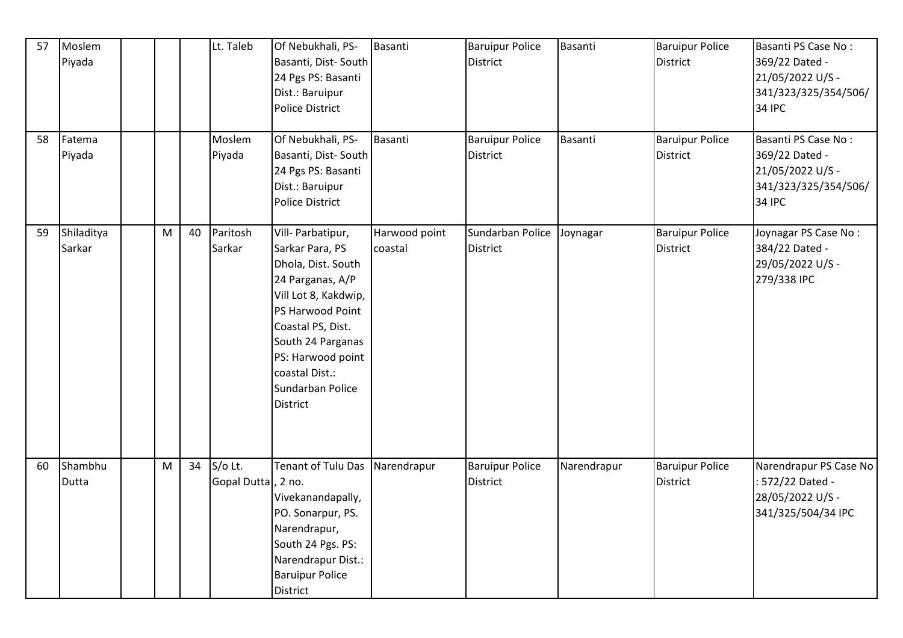| 57 | Moslem<br>Piyada     |   |    | Lt. Taleb                     | Of Nebukhali, PS-<br>Basanti, Dist-South<br>24 Pgs PS: Basanti<br>Dist.: Baruipur<br><b>Police District</b>                                                                                                                                        | Basanti                  | <b>Baruipur Police</b><br><b>District</b> | Basanti     | <b>Baruipur Police</b><br><b>District</b> | Basanti PS Case No:<br>369/22 Dated -<br>21/05/2022 U/S -<br>341/323/325/354/506/<br><b>34 IPC</b> |
|----|----------------------|---|----|-------------------------------|----------------------------------------------------------------------------------------------------------------------------------------------------------------------------------------------------------------------------------------------------|--------------------------|-------------------------------------------|-------------|-------------------------------------------|----------------------------------------------------------------------------------------------------|
| 58 | Fatema<br>Piyada     |   |    | Moslem<br>Piyada              | Of Nebukhali, PS-<br>Basanti, Dist-South<br>24 Pgs PS: Basanti<br>Dist.: Baruipur<br><b>Police District</b>                                                                                                                                        | Basanti                  | <b>Baruipur Police</b><br><b>District</b> | Basanti     | <b>Baruipur Police</b><br><b>District</b> | Basanti PS Case No:<br>369/22 Dated -<br>21/05/2022 U/S -<br>341/323/325/354/506/<br><b>34 IPC</b> |
| 59 | Shiladitya<br>Sarkar | M | 40 | Paritosh<br>Sarkar            | Vill- Parbatipur,<br>Sarkar Para, PS<br>Dhola, Dist. South<br>24 Parganas, A/P<br>Vill Lot 8, Kakdwip,<br>PS Harwood Point<br>Coastal PS, Dist.<br>South 24 Parganas<br>PS: Harwood point<br>coastal Dist.:<br>Sundarban Police<br><b>District</b> | Harwood point<br>coastal | Sundarban Police<br><b>District</b>       | Joynagar    | <b>Baruipur Police</b><br><b>District</b> | Joynagar PS Case No:<br>384/22 Dated -<br>29/05/2022 U/S -<br>279/338 IPC                          |
| 60 | Shambhu<br>Dutta     | M | 34 | S/o Lt.<br>Gopal Dutta, 2 no. | Tenant of Tulu Das<br>Vivekanandapally,<br>PO. Sonarpur, PS.<br>Narendrapur,<br>South 24 Pgs. PS:<br>Narendrapur Dist.:<br><b>Baruipur Police</b><br>District                                                                                      | Narendrapur              | <b>Baruipur Police</b><br><b>District</b> | Narendrapur | <b>Baruipur Police</b><br><b>District</b> | Narendrapur PS Case No<br>: 572/22 Dated -<br>28/05/2022 U/S -<br>341/325/504/34 IPC               |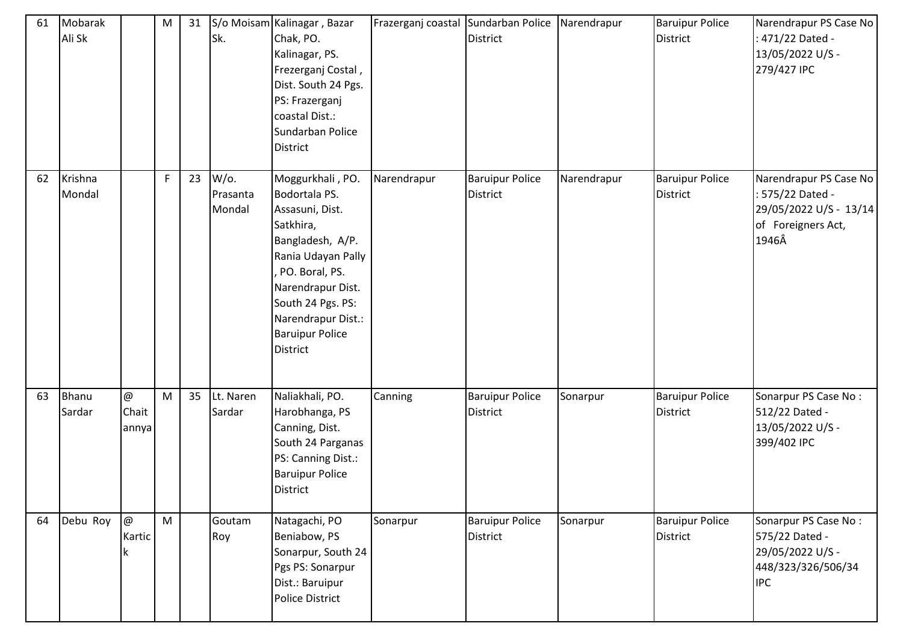| 61 | Mobarak<br>Ali Sk |                                             | M | 31 | Sk.                           | S/o Moisam Kalinagar, Bazar<br>Chak, PO.<br>Kalinagar, PS.<br>Frezerganj Costal,<br>Dist. South 24 Pgs.<br>PS: Frazerganj<br>coastal Dist.:<br>Sundarban Police<br><b>District</b>                                                  | Frazerganj coastal Sundarban Police | <b>District</b>                           | Narendrapur | <b>Baruipur Police</b><br>District | Narendrapur PS Case No<br>471/22 Dated -<br>13/05/2022 U/S -<br>279/427 IPC                         |
|----|-------------------|---------------------------------------------|---|----|-------------------------------|-------------------------------------------------------------------------------------------------------------------------------------------------------------------------------------------------------------------------------------|-------------------------------------|-------------------------------------------|-------------|------------------------------------|-----------------------------------------------------------------------------------------------------|
| 62 | Krishna<br>Mondal |                                             | F | 23 | $W$ /0.<br>Prasanta<br>Mondal | Moggurkhali, PO.<br>Bodortala PS.<br>Assasuni, Dist.<br>Satkhira,<br>Bangladesh, A/P.<br>Rania Udayan Pally<br>PO. Boral, PS.<br>Narendrapur Dist.<br>South 24 Pgs. PS:<br>Narendrapur Dist.:<br><b>Baruipur Police</b><br>District | Narendrapur                         | <b>Baruipur Police</b><br><b>District</b> | Narendrapur | <b>Baruipur Police</b><br>District | Narendrapur PS Case No<br>: 575/22 Dated -<br>29/05/2022 U/S - 13/14<br>of Foreigners Act,<br>1946Â |
| 63 | Bhanu<br>Sardar   | $^\text{\textregistered}$<br>Chait<br>annya | M | 35 | Lt. Naren<br>Sardar           | Naliakhali, PO.<br>Harobhanga, PS<br>Canning, Dist.<br>South 24 Parganas<br>PS: Canning Dist.:<br><b>Baruipur Police</b><br><b>District</b>                                                                                         | Canning                             | <b>Baruipur Police</b><br><b>District</b> | Sonarpur    | <b>Baruipur Police</b><br>District | Sonarpur PS Case No:<br>512/22 Dated -<br>13/05/2022 U/S -<br>399/402 IPC                           |
| 64 | Debu Roy          | @<br>Kartic<br>k                            | M |    | Goutam<br>Roy                 | Natagachi, PO<br>Beniabow, PS<br>Sonarpur, South 24<br>Pgs PS: Sonarpur<br>Dist.: Baruipur<br>Police District                                                                                                                       | Sonarpur                            | <b>Baruipur Police</b><br><b>District</b> | Sonarpur    | <b>Baruipur Police</b><br>District | Sonarpur PS Case No:<br>575/22 Dated -<br>29/05/2022 U/S -<br>448/323/326/506/34<br><b>IPC</b>      |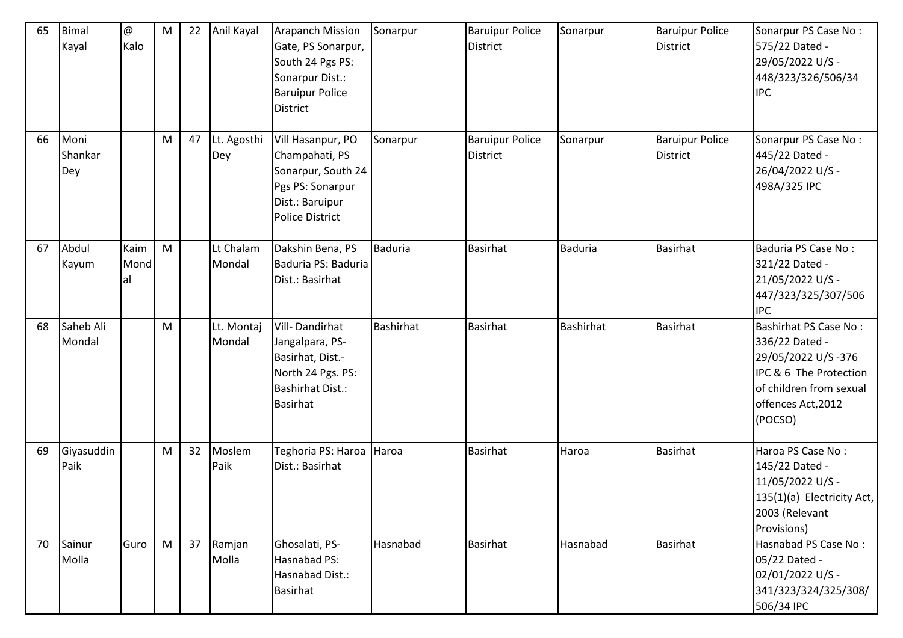| 65 | Bimal<br>Kayal         | $^\text{\textregistered}$<br>Kalo | ${\sf M}$ | 22 | Anil Kayal           | <b>Arapanch Mission</b><br>Gate, PS Sonarpur,<br>South 24 Pgs PS:<br>Sonarpur Dist.:<br><b>Baruipur Police</b><br><b>District</b> | Sonarpur         | <b>Baruipur Police</b><br><b>District</b> | Sonarpur         | <b>Baruipur Police</b><br><b>District</b> | Sonarpur PS Case No:<br>575/22 Dated -<br>29/05/2022 U/S -<br>448/323/326/506/34<br><b>IPC</b>                                                             |
|----|------------------------|-----------------------------------|-----------|----|----------------------|-----------------------------------------------------------------------------------------------------------------------------------|------------------|-------------------------------------------|------------------|-------------------------------------------|------------------------------------------------------------------------------------------------------------------------------------------------------------|
| 66 | Moni<br>Shankar<br>Dey |                                   | M         | 47 | Lt. Agosthi<br>Dey   | Vill Hasanpur, PO<br>Champahati, PS<br>Sonarpur, South 24<br>Pgs PS: Sonarpur<br>Dist.: Baruipur<br><b>Police District</b>        | Sonarpur         | <b>Baruipur Police</b><br><b>District</b> | Sonarpur         | <b>Baruipur Police</b><br><b>District</b> | Sonarpur PS Case No:<br>445/22 Dated -<br>26/04/2022 U/S -<br>498A/325 IPC                                                                                 |
| 67 | Abdul<br>Kayum         | Kaim<br>Mond<br>al                | M         |    | Lt Chalam<br>Mondal  | Dakshin Bena, PS<br>Baduria PS: Baduria<br>Dist.: Basirhat                                                                        | Baduria          | Basirhat                                  | <b>Baduria</b>   | <b>Basirhat</b>                           | Baduria PS Case No:<br>321/22 Dated -<br>21/05/2022 U/S -<br>447/323/325/307/506<br><b>IPC</b>                                                             |
| 68 | Saheb Ali<br>Mondal    |                                   | M         |    | Lt. Montaj<br>Mondal | Vill-Dandirhat<br>Jangalpara, PS-<br>Basirhat, Dist.-<br>North 24 Pgs. PS:<br><b>Bashirhat Dist.:</b><br><b>Basirhat</b>          | <b>Bashirhat</b> | <b>Basirhat</b>                           | <b>Bashirhat</b> | <b>Basirhat</b>                           | <b>Bashirhat PS Case No:</b><br>336/22 Dated -<br>29/05/2022 U/S-376<br>IPC & 6 The Protection<br>of children from sexual<br>offences Act, 2012<br>(POCSO) |
| 69 | Giyasuddin<br>Paik     |                                   | M         | 32 | Moslem<br>Paik       | Teghoria PS: Haroa Haroa<br>Dist.: Basirhat                                                                                       |                  | <b>Basirhat</b>                           | Haroa            | <b>Basirhat</b>                           | Haroa PS Case No:<br>145/22 Dated -<br>11/05/2022 U/S -<br>135(1)(a) Electricity Act,<br>2003 (Relevant<br>Provisions)                                     |
| 70 | Sainur<br>Molla        | Guro                              | M         | 37 | Ramjan<br>Molla      | Ghosalati, PS-<br>Hasnabad PS:<br>Hasnabad Dist.:<br><b>Basirhat</b>                                                              | Hasnabad         | <b>Basirhat</b>                           | Hasnabad         | <b>Basirhat</b>                           | Hasnabad PS Case No:<br>05/22 Dated -<br>02/01/2022 U/S -<br>341/323/324/325/308/<br>506/34 IPC                                                            |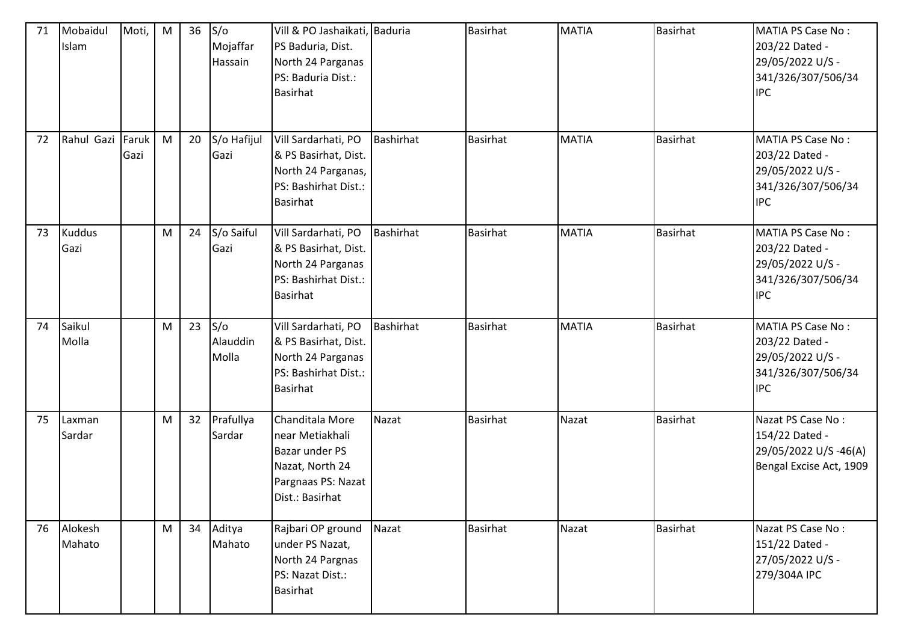| 71 | Mobaidul<br>Islam     | Moti,         | M         | 36 | S/O<br>Mojaffar<br>Hassain | Vill & PO Jashaikati, Baduria<br>PS Baduria, Dist.<br>North 24 Parganas<br>PS: Baduria Dist.:<br><b>Basirhat</b> |                  | Basirhat        | <b>MATIA</b> | Basirhat        | <b>MATIA PS Case No:</b><br>203/22 Dated -<br>29/05/2022 U/S -<br>341/326/307/506/34<br><b>IPC</b> |
|----|-----------------------|---------------|-----------|----|----------------------------|------------------------------------------------------------------------------------------------------------------|------------------|-----------------|--------------|-----------------|----------------------------------------------------------------------------------------------------|
| 72 | Rahul Gazi            | Faruk<br>Gazi | ${\sf M}$ | 20 | S/o Hafijul<br>Gazi        | Vill Sardarhati, PO<br>& PS Basirhat, Dist.<br>North 24 Parganas,<br>PS: Bashirhat Dist.:<br><b>Basirhat</b>     | Bashirhat        | <b>Basirhat</b> | <b>MATIA</b> | <b>Basirhat</b> | <b>MATIA PS Case No:</b><br>203/22 Dated -<br>29/05/2022 U/S -<br>341/326/307/506/34<br><b>IPC</b> |
| 73 | <b>Kuddus</b><br>Gazi |               | M         | 24 | S/o Saiful<br>Gazi         | Vill Sardarhati, PO<br>& PS Basirhat, Dist.<br>North 24 Parganas<br>PS: Bashirhat Dist.:<br><b>Basirhat</b>      | <b>Bashirhat</b> | <b>Basirhat</b> | <b>MATIA</b> | Basirhat        | <b>MATIA PS Case No:</b><br>203/22 Dated -<br>29/05/2022 U/S -<br>341/326/307/506/34<br><b>IPC</b> |
| 74 | Saikul<br>Molla       |               | ${\sf M}$ | 23 | S/O<br>Alauddin<br>Molla   | Vill Sardarhati, PO<br>& PS Basirhat, Dist.<br>North 24 Parganas<br>PS: Bashirhat Dist.:<br><b>Basirhat</b>      | Bashirhat        | <b>Basirhat</b> | <b>MATIA</b> | <b>Basirhat</b> | <b>MATIA PS Case No:</b><br>203/22 Dated -<br>29/05/2022 U/S -<br>341/326/307/506/34<br><b>IPC</b> |
| 75 | Laxman<br>Sardar      |               | M         | 32 | Prafullya<br>Sardar        | Chanditala More<br>near Metiakhali<br>Bazar under PS<br>Nazat, North 24<br>Pargnaas PS: Nazat<br>Dist.: Basirhat | Nazat            | <b>Basirhat</b> | Nazat        | Basirhat        | Nazat PS Case No:<br>154/22 Dated -<br>29/05/2022 U/S-46(A)<br>Bengal Excise Act, 1909             |
| 76 | Alokesh<br>Mahato     |               | M         | 34 | Aditya<br>Mahato           | Rajbari OP ground<br>under PS Nazat,<br>North 24 Pargnas<br>PS: Nazat Dist.:<br><b>Basirhat</b>                  | Nazat            | Basirhat        | Nazat        | <b>Basirhat</b> | Nazat PS Case No:<br>151/22 Dated -<br>27/05/2022 U/S -<br>279/304A IPC                            |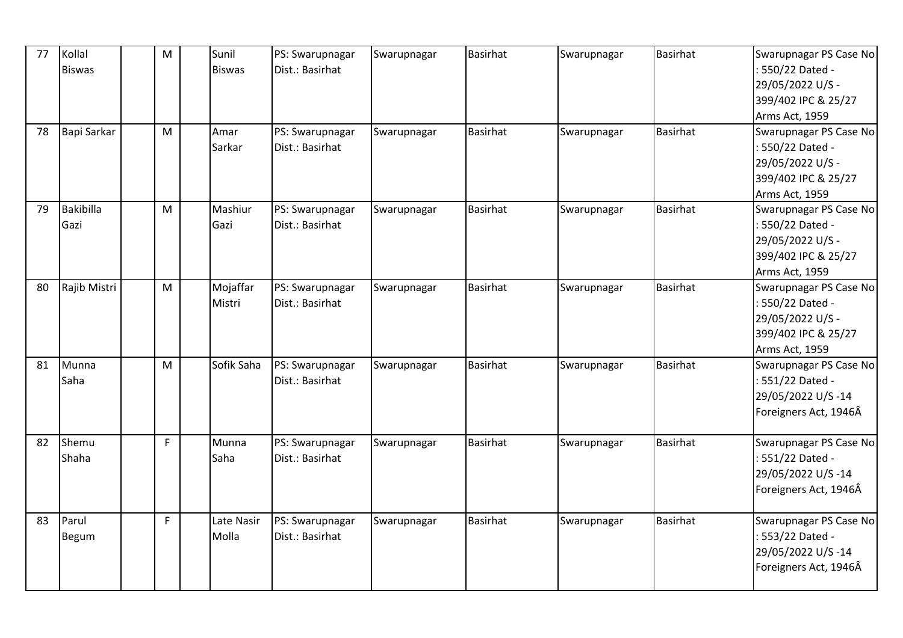| 77 | Kollal           | M            | Sunil         | PS: Swarupnagar                    | Swarupnagar | Basirhat        | Swarupnagar | Basirhat        | Swarupnagar PS Case No                   |
|----|------------------|--------------|---------------|------------------------------------|-------------|-----------------|-------------|-----------------|------------------------------------------|
|    | <b>Biswas</b>    |              | <b>Biswas</b> | Dist.: Basirhat                    |             |                 |             |                 | : 550/22 Dated -                         |
|    |                  |              |               |                                    |             |                 |             |                 | 29/05/2022 U/S -<br>399/402 IPC & 25/27  |
|    |                  |              |               |                                    |             |                 |             |                 |                                          |
| 78 | Bapi Sarkar      | M            | Amar          | PS: Swarupnagar                    |             | Basirhat        |             | <b>Basirhat</b> | Arms Act, 1959<br>Swarupnagar PS Case No |
|    |                  |              | Sarkar        | Dist.: Basirhat                    | Swarupnagar |                 | Swarupnagar |                 | : 550/22 Dated -                         |
|    |                  |              |               |                                    |             |                 |             |                 |                                          |
|    |                  |              |               |                                    |             |                 |             |                 | 29/05/2022 U/S -                         |
|    |                  |              |               |                                    |             |                 |             |                 | 399/402 IPC & 25/27                      |
| 79 | <b>Bakibilla</b> |              | Mashiur       |                                    |             | <b>Basirhat</b> |             | <b>Basirhat</b> | Arms Act, 1959                           |
|    |                  | M            | Gazi          | PS: Swarupnagar<br>Dist.: Basirhat | Swarupnagar |                 | Swarupnagar |                 | Swarupnagar PS Case No                   |
|    | Gazi             |              |               |                                    |             |                 |             |                 | : 550/22 Dated -                         |
|    |                  |              |               |                                    |             |                 |             |                 | 29/05/2022 U/S -                         |
|    |                  |              |               |                                    |             |                 |             |                 | 399/402 IPC & 25/27                      |
|    |                  |              |               |                                    |             |                 |             |                 | Arms Act, 1959                           |
| 80 | Rajib Mistri     | M            | Mojaffar      | PS: Swarupnagar                    | Swarupnagar | <b>Basirhat</b> | Swarupnagar | Basirhat        | Swarupnagar PS Case No                   |
|    |                  |              | Mistri        | Dist.: Basirhat                    |             |                 |             |                 | : 550/22 Dated -                         |
|    |                  |              |               |                                    |             |                 |             |                 | 29/05/2022 U/S -                         |
|    |                  |              |               |                                    |             |                 |             |                 | 399/402 IPC & 25/27                      |
|    |                  |              |               |                                    |             |                 |             |                 | Arms Act, 1959                           |
| 81 | Munna            | M            | Sofik Saha    | PS: Swarupnagar                    | Swarupnagar | <b>Basirhat</b> | Swarupnagar | <b>Basirhat</b> | Swarupnagar PS Case No                   |
|    | Saha             |              |               | Dist.: Basirhat                    |             |                 |             |                 | : 551/22 Dated -                         |
|    |                  |              |               |                                    |             |                 |             |                 | 29/05/2022 U/S-14                        |
|    |                  |              |               |                                    |             |                 |             |                 | Foreigners Act, 1946Â                    |
| 82 | Shemu            | $\mathsf F$  | Munna         | PS: Swarupnagar                    | Swarupnagar | <b>Basirhat</b> | Swarupnagar | Basirhat        | Swarupnagar PS Case No                   |
|    | Shaha            |              | Saha          | Dist.: Basirhat                    |             |                 |             |                 | : 551/22 Dated -                         |
|    |                  |              |               |                                    |             |                 |             |                 | 29/05/2022 U/S-14                        |
|    |                  |              |               |                                    |             |                 |             |                 | Foreigners Act, 1946Â                    |
|    |                  |              |               |                                    |             |                 |             |                 |                                          |
| 83 | Parul            | $\mathsf{F}$ | Late Nasir    | PS: Swarupnagar                    | Swarupnagar | <b>Basirhat</b> | Swarupnagar | <b>Basirhat</b> | Swarupnagar PS Case No                   |
|    | <b>Begum</b>     |              | Molla         | Dist.: Basirhat                    |             |                 |             |                 | : 553/22 Dated -                         |
|    |                  |              |               |                                    |             |                 |             |                 | 29/05/2022 U/S-14                        |
|    |                  |              |               |                                    |             |                 |             |                 | Foreigners Act, 1946Â                    |
|    |                  |              |               |                                    |             |                 |             |                 |                                          |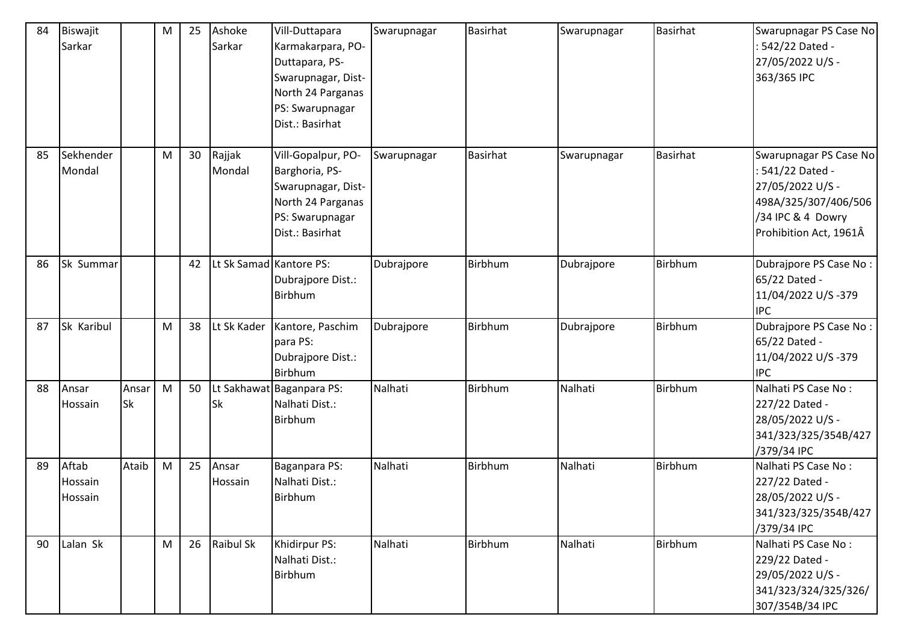| 84 | Biswajit<br>Sarkar          |                    | ${\sf M}$ | 25 | Ashoke<br>Sarkar        | Vill-Duttapara<br>Karmakarpara, PO-<br>Duttapara, PS-<br>Swarupnagar, Dist-<br>North 24 Parganas<br>PS: Swarupnagar<br>Dist.: Basirhat | Swarupnagar | Basirhat        | Swarupnagar | Basirhat | Swarupnagar PS Case No<br>542/22 Dated -<br>27/05/2022 U/S -<br>363/365 IPC                                                         |
|----|-----------------------------|--------------------|-----------|----|-------------------------|----------------------------------------------------------------------------------------------------------------------------------------|-------------|-----------------|-------------|----------|-------------------------------------------------------------------------------------------------------------------------------------|
| 85 | Sekhender<br>Mondal         |                    | M         | 30 | Rajjak<br>Mondal        | Vill-Gopalpur, PO-<br>Barghoria, PS-<br>Swarupnagar, Dist-<br>North 24 Parganas<br>PS: Swarupnagar<br>Dist.: Basirhat                  | Swarupnagar | <b>Basirhat</b> | Swarupnagar | Basirhat | Swarupnagar PS Case No<br>541/22 Dated -<br>27/05/2022 U/S -<br>498A/325/307/406/506<br>/34 IPC & 4 Dowry<br>Prohibition Act, 1961Â |
| 86 | Sk Summar                   |                    |           | 42 | Lt Sk Samad Kantore PS: | Dubrajpore Dist.:<br>Birbhum                                                                                                           | Dubrajpore  | Birbhum         | Dubrajpore  | Birbhum  | Dubrajpore PS Case No:<br>65/22 Dated -<br>11/04/2022 U/S-379<br><b>IPC</b>                                                         |
| 87 | Sk Karibul                  |                    | M         | 38 | Lt Sk Kader             | Kantore, Paschim<br>para PS:<br>Dubrajpore Dist.:<br>Birbhum                                                                           | Dubrajpore  | Birbhum         | Dubrajpore  | Birbhum  | Dubrajpore PS Case No:<br>65/22 Dated -<br>11/04/2022 U/S-379<br><b>IPC</b>                                                         |
| 88 | Ansar<br>Hossain            | Ansar<br><b>Sk</b> | M         | 50 | Sk                      | Lt Sakhawat Baganpara PS:<br>Nalhati Dist.:<br>Birbhum                                                                                 | Nalhati     | Birbhum         | Nalhati     | Birbhum  | Nalhati PS Case No:<br>227/22 Dated -<br>28/05/2022 U/S -<br>341/323/325/354B/427<br>/379/34 IPC                                    |
| 89 | Aftab<br>Hossain<br>Hossain | Ataib              | M         | 25 | Ansar<br>Hossain        | Baganpara PS:<br>Nalhati Dist.:<br>Birbhum                                                                                             | Nalhati     | Birbhum         | Nalhati     | Birbhum  | Nalhati PS Case No:<br>227/22 Dated -<br>28/05/2022 U/S -<br>341/323/325/354B/427<br>/379/34 IPC                                    |
| 90 | Lalan Sk                    |                    | M         | 26 | Raibul Sk               | Khidirpur PS:<br>Nalhati Dist.:<br>Birbhum                                                                                             | Nalhati     | Birbhum         | Nalhati     | Birbhum  | Nalhati PS Case No:<br>229/22 Dated -<br>29/05/2022 U/S -<br>341/323/324/325/326/<br>307/354B/34 IPC                                |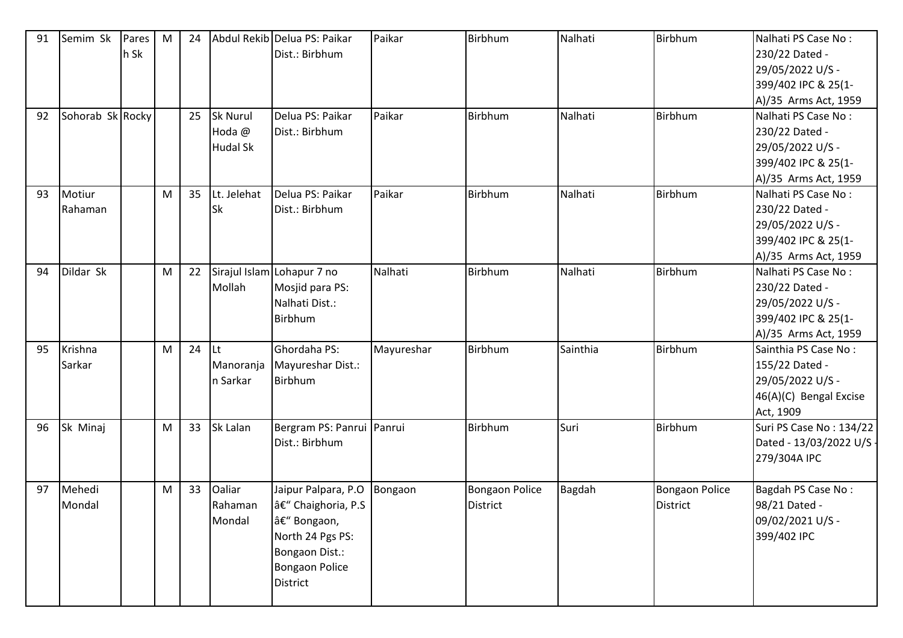| 91 | Semim Sk         | Pares | M | 24 |                 | Abdul Rekib Delua PS: Paikar | Paikar     | Birbhum               | Nalhati  | Birbhum               | Nalhati PS Case No:     |
|----|------------------|-------|---|----|-----------------|------------------------------|------------|-----------------------|----------|-----------------------|-------------------------|
|    |                  | h Sk  |   |    |                 | Dist.: Birbhum               |            |                       |          |                       | 230/22 Dated -          |
|    |                  |       |   |    |                 |                              |            |                       |          |                       | 29/05/2022 U/S -        |
|    |                  |       |   |    |                 |                              |            |                       |          |                       | 399/402 IPC & 25(1-     |
|    |                  |       |   |    |                 |                              |            |                       |          |                       | A)/35 Arms Act, 1959    |
| 92 | Sohorab Sk Rocky |       |   | 25 | <b>Sk Nurul</b> | Delua PS: Paikar             | Paikar     | Birbhum               | Nalhati  | Birbhum               | Nalhati PS Case No:     |
|    |                  |       |   |    | Hoda @          | Dist.: Birbhum               |            |                       |          |                       | 230/22 Dated -          |
|    |                  |       |   |    | <b>Hudal Sk</b> |                              |            |                       |          |                       | 29/05/2022 U/S -        |
|    |                  |       |   |    |                 |                              |            |                       |          |                       | 399/402 IPC & 25(1-     |
|    |                  |       |   |    |                 |                              |            |                       |          |                       | A)/35 Arms Act, 1959    |
| 93 | Motiur           |       | M | 35 | Lt. Jelehat     | Delua PS: Paikar             | Paikar     | Birbhum               | Nalhati  | Birbhum               | Nalhati PS Case No:     |
|    | Rahaman          |       |   |    | <b>Sk</b>       | Dist.: Birbhum               |            |                       |          |                       | 230/22 Dated -          |
|    |                  |       |   |    |                 |                              |            |                       |          |                       | 29/05/2022 U/S -        |
|    |                  |       |   |    |                 |                              |            |                       |          |                       | 399/402 IPC & 25(1-     |
|    |                  |       |   |    |                 |                              |            |                       |          |                       | A)/35 Arms Act, 1959    |
| 94 | Dildar Sk        |       | M | 22 |                 | Sirajul Islam Lohapur 7 no   | Nalhati    | Birbhum               | Nalhati  | Birbhum               | Nalhati PS Case No:     |
|    |                  |       |   |    | Mollah          | Mosjid para PS:              |            |                       |          |                       | 230/22 Dated -          |
|    |                  |       |   |    |                 | Nalhati Dist.:               |            |                       |          |                       | 29/05/2022 U/S -        |
|    |                  |       |   |    |                 | Birbhum                      |            |                       |          |                       | 399/402 IPC & 25(1-     |
|    |                  |       |   |    |                 |                              |            |                       |          |                       | A)/35 Arms Act, 1959    |
| 95 | Krishna          |       | M | 24 | lLt.            | Ghordaha PS:                 | Mayureshar | Birbhum               | Sainthia | Birbhum               | Sainthia PS Case No:    |
|    | Sarkar           |       |   |    | Manoranja       | Mayureshar Dist.:            |            |                       |          |                       | 155/22 Dated -          |
|    |                  |       |   |    | n Sarkar        | Birbhum                      |            |                       |          |                       | 29/05/2022 U/S -        |
|    |                  |       |   |    |                 |                              |            |                       |          |                       | 46(A)(C) Bengal Excise  |
|    |                  |       |   |    |                 |                              |            |                       |          |                       | Act, 1909               |
| 96 | Sk Minaj         |       | M | 33 | Sk Lalan        | Bergram PS: Panrui Panrui    |            | Birbhum               | Suri     | Birbhum               | Suri PS Case No: 134/22 |
|    |                  |       |   |    |                 | Dist.: Birbhum               |            |                       |          |                       | Dated - 13/03/2022 U/S  |
|    |                  |       |   |    |                 |                              |            |                       |          |                       | 279/304A IPC            |
|    |                  |       |   |    |                 |                              |            |                       |          |                       |                         |
| 97 | Mehedi           |       | M | 33 | Oaliar          | Jaipur Palpara, P.O          | Bongaon    | <b>Bongaon Police</b> | Bagdah   | <b>Bongaon Police</b> | Bagdah PS Case No:      |
|    | Mondal           |       |   |    | Rahaman         | â€" Chaighoria, P.S          |            | District              |          | District              | 98/21 Dated -           |
|    |                  |       |   |    | Mondal          | – Bongaon,                   |            |                       |          |                       | 09/02/2021 U/S -        |
|    |                  |       |   |    |                 | North 24 Pgs PS:             |            |                       |          |                       | 399/402 IPC             |
|    |                  |       |   |    |                 | Bongaon Dist.:               |            |                       |          |                       |                         |
|    |                  |       |   |    |                 | <b>Bongaon Police</b>        |            |                       |          |                       |                         |
|    |                  |       |   |    |                 | District                     |            |                       |          |                       |                         |
|    |                  |       |   |    |                 |                              |            |                       |          |                       |                         |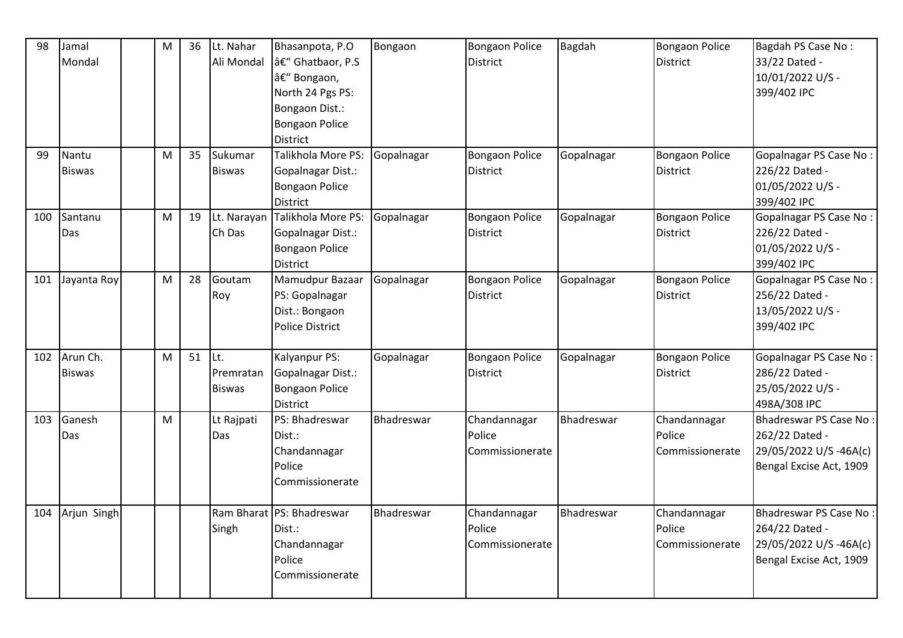| 98  | Jamal<br>Mondal           | ${\sf M}$ | 36       | Lt. Nahar<br>Ali Mondal    | Bhasanpota, P.O<br>– Ghatbaor, P.S<br>– Bongaon,<br>North 24 Pgs PS:<br>Bongaon Dist.:<br>Bongaon Police<br><b>District</b> | Bongaon    | <b>Bongaon Police</b><br><b>District</b>  | <b>Bagdah</b> | Bongaon Police<br><b>District</b>         | Bagdah PS Case No:<br>33/22 Dated -<br>10/01/2022 U/S -<br>399/402 IPC                       |
|-----|---------------------------|-----------|----------|----------------------------|-----------------------------------------------------------------------------------------------------------------------------|------------|-------------------------------------------|---------------|-------------------------------------------|----------------------------------------------------------------------------------------------|
| 99  | Nantu<br><b>Biswas</b>    | M         | 35       | Sukumar<br><b>Biswas</b>   | Talikhola More PS:<br>Gopalnagar Dist.:<br><b>Bongaon Police</b><br><b>District</b>                                         | Gopalnagar | <b>Bongaon Police</b><br>District         | Gopalnagar    | <b>Bongaon Police</b><br><b>District</b>  | Gopalnagar PS Case No:<br>226/22 Dated -<br>01/05/2022 U/S -<br>399/402 IPC                  |
| 100 | Santanu<br>Das            | M         | 19       | Lt. Narayan<br>Ch Das      | Talikhola More PS:<br>Gopalnagar Dist.:<br><b>Bongaon Police</b><br><b>District</b>                                         | Gopalnagar | <b>Bongaon Police</b><br><b>District</b>  | Gopalnagar    | <b>Bongaon Police</b><br><b>District</b>  | Gopalnagar PS Case No:<br>226/22 Dated -<br>01/05/2022 U/S -<br>399/402 IPC                  |
| 101 | Jayanta Roy               | M         | 28       | Goutam<br>Roy              | Mamudpur Bazaar<br>PS: Gopalnagar<br>Dist.: Bongaon<br>Police District                                                      | Gopalnagar | <b>Bongaon Police</b><br><b>District</b>  | Gopalnagar    | <b>Bongaon Police</b><br><b>District</b>  | Gopalnagar PS Case No:<br>256/22 Dated -<br>13/05/2022 U/S -<br>399/402 IPC                  |
| 102 | Arun Ch.<br><b>Biswas</b> | M         | $51$ Lt. | Premratan<br><b>Biswas</b> | Kalyanpur PS:<br>Gopalnagar Dist.:<br><b>Bongaon Police</b><br><b>District</b>                                              | Gopalnagar | <b>Bongaon Police</b><br><b>District</b>  | Gopalnagar    | <b>Bongaon Police</b><br>District         | <b>Gopalnagar PS Case No:</b><br>286/22 Dated -<br>25/05/2022 U/S -<br>498A/308 IPC          |
| 103 | Ganesh<br>Das             | M         |          | Lt Rajpati<br>Das          | PS: Bhadreswar<br>Dist.:<br>Chandannagar<br>Police<br>Commissionerate                                                       | Bhadreswar | Chandannagar<br>Police<br>Commissionerate | Bhadreswar    | Chandannagar<br>Police<br>Commissionerate | Bhadreswar PS Case No:<br>262/22 Dated -<br>29/05/2022 U/S-46A(c)<br>Bengal Excise Act, 1909 |
| 104 | Arjun Singh               |           |          | Singh                      | Ram Bharat PS: Bhadreswar<br>Dist.:<br>Chandannagar<br>Police<br>Commissionerate                                            | Bhadreswar | Chandannagar<br>Police<br>Commissionerate | Bhadreswar    | Chandannagar<br>Police<br>Commissionerate | Bhadreswar PS Case No:<br>264/22 Dated -<br>29/05/2022 U/S-46A(c)<br>Bengal Excise Act, 1909 |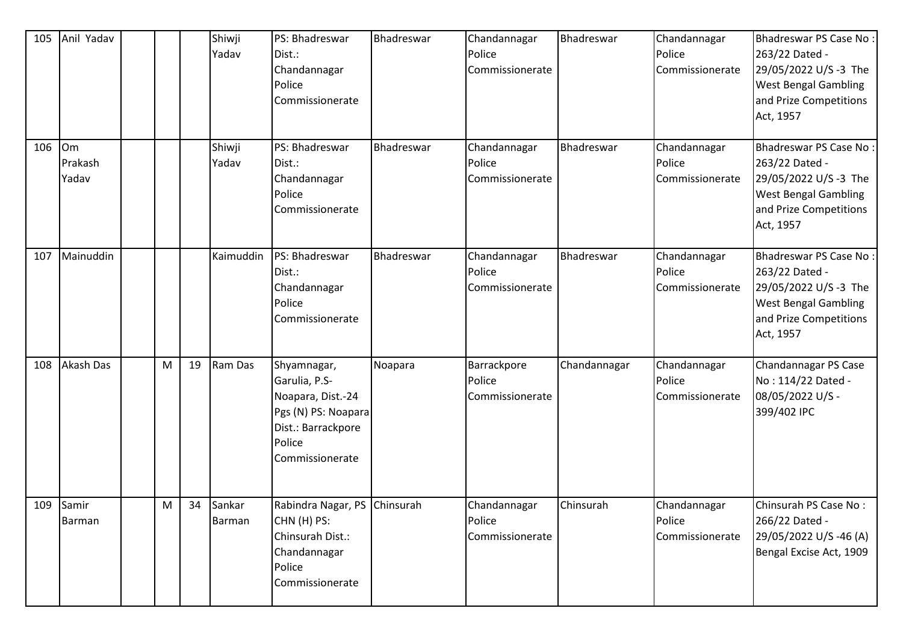| 105 | Anil Yadav                    |   |    | Shiwji<br>Yadav         | PS: Bhadreswar<br>Dist.:<br>Chandannagar<br>Police<br>Commissionerate                                                       | Bhadreswar | Chandannagar<br>Police<br>Commissionerate | Bhadreswar   | Chandannagar<br>Police<br>Commissionerate | Bhadreswar PS Case No:<br>263/22 Dated -<br>29/05/2022 U/S-3 The<br><b>West Bengal Gambling</b><br>and Prize Competitions<br>Act, 1957        |
|-----|-------------------------------|---|----|-------------------------|-----------------------------------------------------------------------------------------------------------------------------|------------|-------------------------------------------|--------------|-------------------------------------------|-----------------------------------------------------------------------------------------------------------------------------------------------|
| 106 | <b>Om</b><br>Prakash<br>Yadav |   |    | Shiwji<br>Yadav         | PS: Bhadreswar<br>Dist.:<br>Chandannagar<br>Police<br>Commissionerate                                                       | Bhadreswar | Chandannagar<br>Police<br>Commissionerate | Bhadreswar   | Chandannagar<br>Police<br>Commissionerate | <b>Bhadreswar PS Case No:</b><br>263/22 Dated -<br>29/05/2022 U/S-3 The<br><b>West Bengal Gambling</b><br>and Prize Competitions<br>Act, 1957 |
| 107 | Mainuddin                     |   |    | Kaimuddin               | PS: Bhadreswar<br>Dist.:<br>Chandannagar<br>Police<br>Commissionerate                                                       | Bhadreswar | Chandannagar<br>Police<br>Commissionerate | Bhadreswar   | Chandannagar<br>Police<br>Commissionerate | Bhadreswar PS Case No:<br>263/22 Dated -<br>29/05/2022 U/S-3 The<br><b>West Bengal Gambling</b><br>and Prize Competitions<br>Act, 1957        |
| 108 | <b>Akash Das</b>              | M | 19 | Ram Das                 | Shyamnagar,<br>Garulia, P.S-<br>Noapara, Dist.-24<br>Pgs (N) PS: Noapara<br>Dist.: Barrackpore<br>Police<br>Commissionerate | Noapara    | Barrackpore<br>Police<br>Commissionerate  | Chandannagar | Chandannagar<br>Police<br>Commissionerate | Chandannagar PS Case<br>No: 114/22 Dated -<br>08/05/2022 U/S -<br>399/402 IPC                                                                 |
|     | 109 Samir<br>Barman           | M | 34 | Sankar<br><b>Barman</b> | Rabindra Nagar, PS Chinsurah<br>CHN (H) PS:<br>Chinsurah Dist.:<br>Chandannagar<br>Police<br>Commissionerate                |            | Chandannagar<br>Police<br>Commissionerate | Chinsurah    | Chandannagar<br>Police<br>Commissionerate | Chinsurah PS Case No:<br>266/22 Dated -<br>29/05/2022 U/S-46 (A)<br>Bengal Excise Act, 1909                                                   |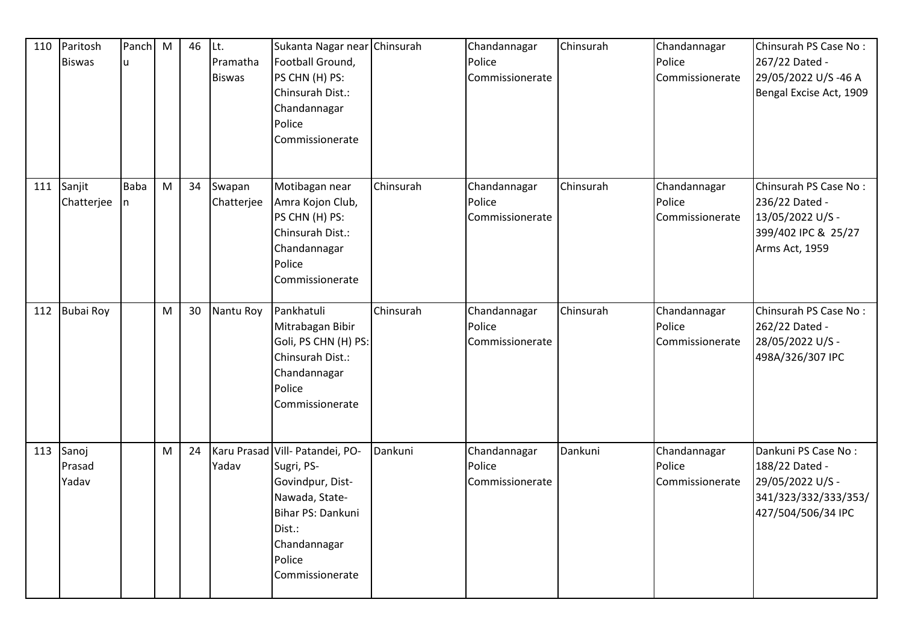| 110 | Paritosh<br><b>Biswas</b> | Panch<br>u       | M | 46 | Lt.<br>Pramatha<br><b>Biswas</b> | Sukanta Nagar near Chinsurah<br>Football Ground,<br>PS CHN (H) PS:<br>Chinsurah Dist.:<br>Chandannagar<br>Police<br>Commissionerate                             |           | Chandannagar<br>Police<br>Commissionerate | Chinsurah | Chandannagar<br>Police<br>Commissionerate | Chinsurah PS Case No:<br>267/22 Dated -<br>29/05/2022 U/S-46 A<br>Bengal Excise Act, 1909               |
|-----|---------------------------|------------------|---|----|----------------------------------|-----------------------------------------------------------------------------------------------------------------------------------------------------------------|-----------|-------------------------------------------|-----------|-------------------------------------------|---------------------------------------------------------------------------------------------------------|
| 111 | Sanjit<br>Chatterjee      | <b>Baba</b><br>n | M | 34 | Swapan<br>Chatterjee             | Motibagan near<br>Amra Kojon Club,<br>PS CHN (H) PS:<br>Chinsurah Dist.:<br>Chandannagar<br>Police<br>Commissionerate                                           | Chinsurah | Chandannagar<br>Police<br>Commissionerate | Chinsurah | Chandannagar<br>Police<br>Commissionerate | Chinsurah PS Case No:<br>236/22 Dated -<br>13/05/2022 U/S -<br>399/402 IPC & 25/27<br>Arms Act, 1959    |
| 112 | <b>Bubai Roy</b>          |                  | M | 30 | Nantu Roy                        | Pankhatuli<br>Mitrabagan Bibir<br>Goli, PS CHN (H) PS:<br>Chinsurah Dist.:<br>Chandannagar<br>Police<br>Commissionerate                                         | Chinsurah | Chandannagar<br>Police<br>Commissionerate | Chinsurah | Chandannagar<br>Police<br>Commissionerate | Chinsurah PS Case No:<br>262/22 Dated -<br>28/05/2022 U/S -<br>498A/326/307 IPC                         |
| 113 | Sanoj<br>Prasad<br>Yadav  |                  | M | 24 | Yadav                            | Karu Prasad Vill- Patandei, PO-<br>Sugri, PS-<br>Govindpur, Dist-<br>Nawada, State-<br>Bihar PS: Dankuni<br>Dist.:<br>Chandannagar<br>Police<br>Commissionerate | Dankuni   | Chandannagar<br>Police<br>Commissionerate | Dankuni   | Chandannagar<br>Police<br>Commissionerate | Dankuni PS Case No:<br>188/22 Dated -<br>29/05/2022 U/S -<br>341/323/332/333/353/<br>427/504/506/34 IPC |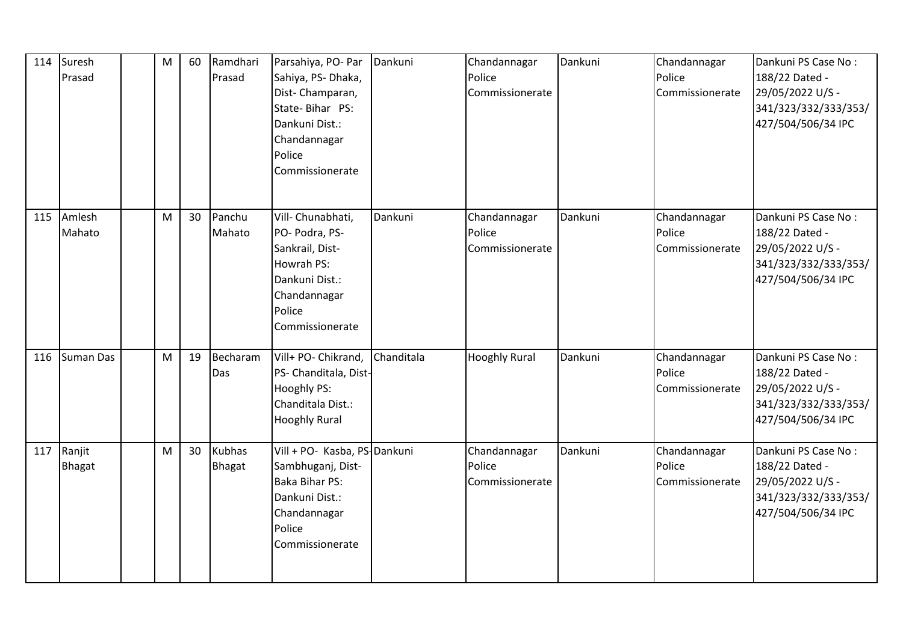| 114 | Suresh<br>Prasad        | M | 60              | Ramdhari<br>Prasad      | Parsahiya, PO- Par<br>Sahiya, PS- Dhaka,<br>Dist-Champaran,<br>State-Bihar PS:<br>Dankuni Dist.:<br>Chandannagar<br>Police<br>Commissionerate | Dankuni    | Chandannagar<br>Police<br>Commissionerate | Dankuni | Chandannagar<br>Police<br>Commissionerate | Dankuni PS Case No:<br>188/22 Dated -<br>29/05/2022 U/S -<br>341/323/332/333/353/<br>427/504/506/34 IPC |
|-----|-------------------------|---|-----------------|-------------------------|-----------------------------------------------------------------------------------------------------------------------------------------------|------------|-------------------------------------------|---------|-------------------------------------------|---------------------------------------------------------------------------------------------------------|
| 115 | Amlesh<br>Mahato        | M | 30 <sup>°</sup> | Panchu<br>Mahato        | Vill- Chunabhati,<br>PO- Podra, PS-<br>Sankrail, Dist-<br>Howrah PS:<br>Dankuni Dist.:<br>Chandannagar<br>Police<br>Commissionerate           | Dankuni    | Chandannagar<br>Police<br>Commissionerate | Dankuni | Chandannagar<br>Police<br>Commissionerate | Dankuni PS Case No:<br>188/22 Dated -<br>29/05/2022 U/S -<br>341/323/332/333/353/<br>427/504/506/34 IPC |
| 116 | <b>Suman Das</b>        | M | 19              | Becharam<br>Das         | Vill+ PO- Chikrand,<br>PS- Chanditala, Dist-<br>Hooghly PS:<br>Chanditala Dist.:<br><b>Hooghly Rural</b>                                      | Chanditala | <b>Hooghly Rural</b>                      | Dankuni | Chandannagar<br>Police<br>Commissionerate | Dankuni PS Case No:<br>188/22 Dated -<br>29/05/2022 U/S -<br>341/323/332/333/353/<br>427/504/506/34 IPC |
| 117 | Ranjit<br><b>Bhagat</b> | M | 30              | <b>Kubhas</b><br>Bhagat | Vill + PO- Kasba, PS-Dankuni<br>Sambhuganj, Dist-<br><b>Baka Bihar PS:</b><br>Dankuni Dist.:<br>Chandannagar<br>Police<br>Commissionerate     |            | Chandannagar<br>Police<br>Commissionerate | Dankuni | Chandannagar<br>Police<br>Commissionerate | Dankuni PS Case No:<br>188/22 Dated -<br>29/05/2022 U/S -<br>341/323/332/333/353/<br>427/504/506/34 IPC |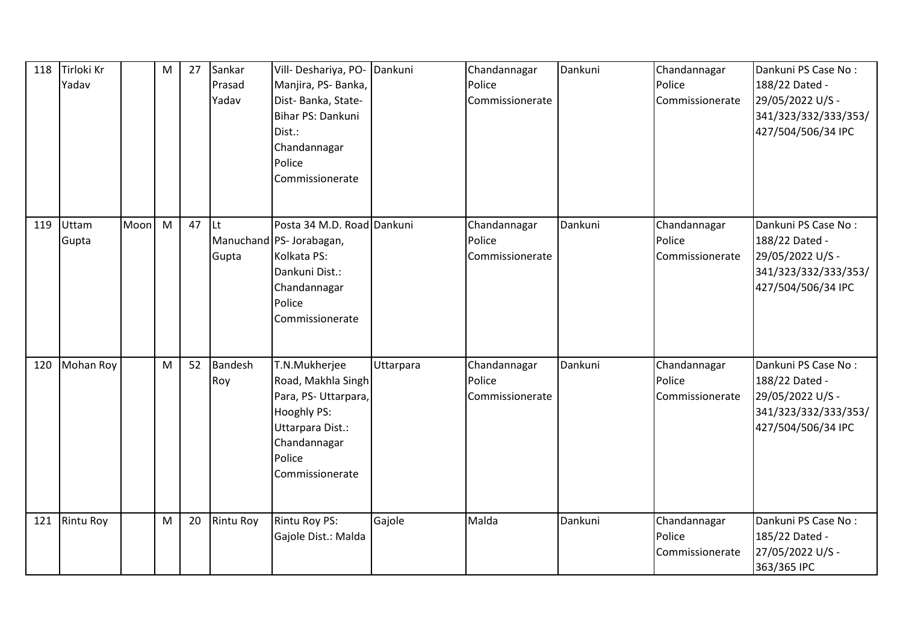| 118 | Tirloki Kr<br>Yadav |      | M | 27 | Sankar<br>Prasad<br>Yadav | Vill-Deshariya, PO-<br>Manjira, PS-Banka,<br>Dist-Banka, State-<br>Bihar PS: Dankuni<br>Dist.:<br>Chandannagar<br>Police<br>Commissionerate | Dankuni   | Chandannagar<br>Police<br>Commissionerate | Dankuni | Chandannagar<br>Police<br>Commissionerate | Dankuni PS Case No:<br>188/22 Dated -<br>29/05/2022 U/S -<br>341/323/332/333/353/<br>427/504/506/34 IPC |
|-----|---------------------|------|---|----|---------------------------|---------------------------------------------------------------------------------------------------------------------------------------------|-----------|-------------------------------------------|---------|-------------------------------------------|---------------------------------------------------------------------------------------------------------|
| 119 | Uttam<br>Gupta      | Moon | M | 47 | <b>Lt</b><br>Gupta        | Posta 34 M.D. Road Dankuni<br>Manuchand PS- Jorabagan,<br>Kolkata PS:<br>Dankuni Dist.:<br>Chandannagar<br>Police<br>Commissionerate        |           | Chandannagar<br>Police<br>Commissionerate | Dankuni | Chandannagar<br>Police<br>Commissionerate | Dankuni PS Case No:<br>188/22 Dated -<br>29/05/2022 U/S -<br>341/323/332/333/353/<br>427/504/506/34 IPC |
| 120 | <b>Mohan Roy</b>    |      | M | 52 | Bandesh<br>Roy            | T.N.Mukherjee<br>Road, Makhla Singh<br>Para, PS-Uttarpara,<br>Hooghly PS:<br>Uttarpara Dist.:<br>Chandannagar<br>Police<br>Commissionerate  | Uttarpara | Chandannagar<br>Police<br>Commissionerate | Dankuni | Chandannagar<br>Police<br>Commissionerate | Dankuni PS Case No:<br>188/22 Dated -<br>29/05/2022 U/S -<br>341/323/332/333/353/<br>427/504/506/34 IPC |
| 121 | <b>Rintu Roy</b>    |      | M | 20 | <b>Rintu Roy</b>          | Rintu Roy PS:<br>Gajole Dist.: Malda                                                                                                        | Gajole    | Malda                                     | Dankuni | Chandannagar<br>Police<br>Commissionerate | Dankuni PS Case No:<br>185/22 Dated -<br>27/05/2022 U/S -<br>363/365 IPC                                |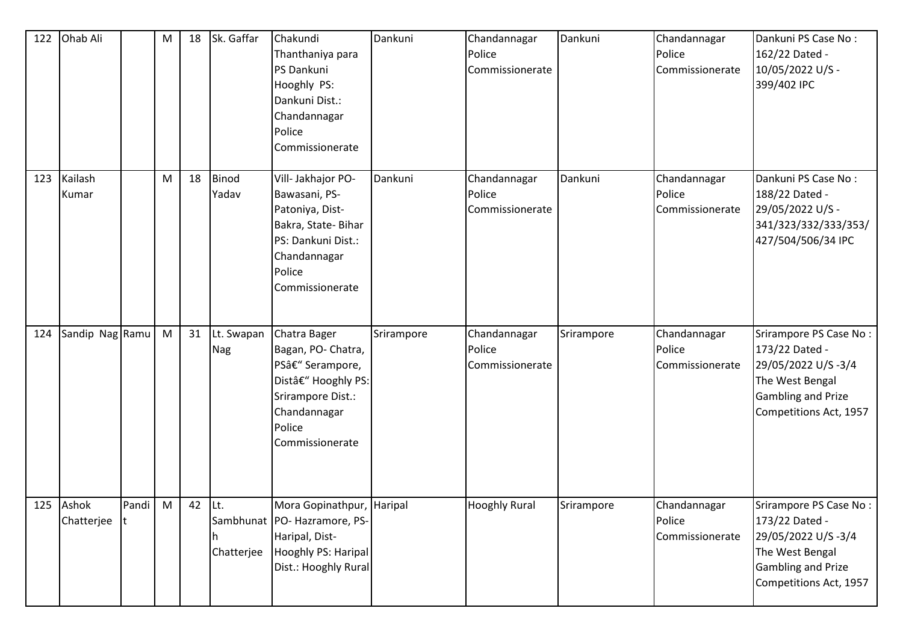| 122 | Ohab Ali                  |         | M | 18     | Sk. Gaffar               | Chakundi<br>Thanthaniya para<br>PS Dankuni<br>Hooghly PS:<br>Dankuni Dist.:<br>Chandannagar<br>Police<br>Commissionerate                        | Dankuni    | Chandannagar<br>Police<br>Commissionerate | Dankuni    | Chandannagar<br>Police<br>Commissionerate | Dankuni PS Case No:<br>162/22 Dated -<br>10/05/2022 U/S -<br>399/402 IPC                                                                 |
|-----|---------------------------|---------|---|--------|--------------------------|-------------------------------------------------------------------------------------------------------------------------------------------------|------------|-------------------------------------------|------------|-------------------------------------------|------------------------------------------------------------------------------------------------------------------------------------------|
| 123 | Kailash<br>Kumar          |         | M | 18     | <b>Binod</b><br>Yadav    | Vill- Jakhajor PO-<br>Bawasani, PS-<br>Patoniya, Dist-<br>Bakra, State-Bihar<br>PS: Dankuni Dist.:<br>Chandannagar<br>Police<br>Commissionerate | Dankuni    | Chandannagar<br>Police<br>Commissionerate | Dankuni    | Chandannagar<br>Police<br>Commissionerate | Dankuni PS Case No:<br>188/22 Dated -<br>29/05/2022 U/S -<br>341/323/332/333/353/<br>427/504/506/34 IPC                                  |
| 124 | Sandip Nag Ramu           |         | M | 31     | Lt. Swapan<br><b>Nag</b> | Chatra Bager<br>Bagan, PO- Chatra,<br>PS– Serampore,<br>Dist– Hooghly PS:<br>Srirampore Dist.:<br>Chandannagar<br>Police<br>Commissionerate     | Srirampore | Chandannagar<br>Police<br>Commissionerate | Srirampore | Chandannagar<br>Police<br>Commissionerate | Srirampore PS Case No:<br>173/22 Dated -<br>29/05/2022 U/S-3/4<br>The West Bengal<br><b>Gambling and Prize</b><br>Competitions Act, 1957 |
|     | 125 Ashok<br>Chatterjee t | Pandi M |   | 42 Lt. | h<br>Chatterjee          | Mora Gopinathpur, Haripal<br>Sambhunat   PO- Hazramore, PS-<br>Haripal, Dist-<br>Hooghly PS: Haripal<br>Dist.: Hooghly Rural                    |            | <b>Hooghly Rural</b>                      | Srirampore | Chandannagar<br>Police<br>Commissionerate | Srirampore PS Case No:<br>173/22 Dated -<br>29/05/2022 U/S-3/4<br>The West Bengal<br><b>Gambling and Prize</b><br>Competitions Act, 1957 |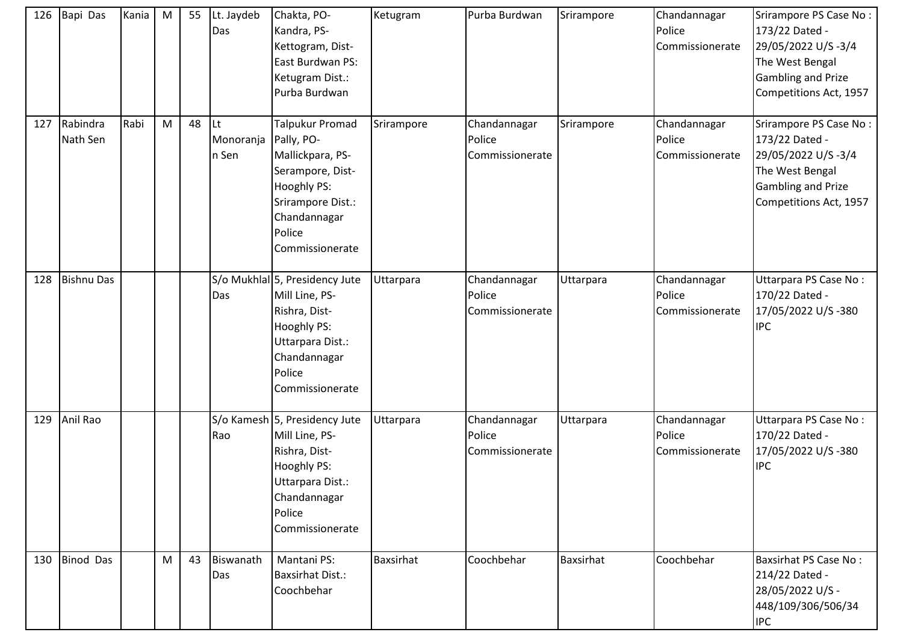| 126 | Bapi Das             | Kania | M | 55 | Lt. Jaydeb<br>Das        | Chakta, PO-<br>Kandra, PS-<br>Kettogram, Dist-<br>East Burdwan PS:<br>Ketugram Dist.:<br>Purba Burdwan                                                 | Ketugram   | Purba Burdwan                             | Srirampore | Chandannagar<br>Police<br>Commissionerate | Srirampore PS Case No:<br>173/22 Dated -<br>29/05/2022 U/S-3/4<br>The West Bengal<br><b>Gambling and Prize</b><br>Competitions Act, 1957 |
|-----|----------------------|-------|---|----|--------------------------|--------------------------------------------------------------------------------------------------------------------------------------------------------|------------|-------------------------------------------|------------|-------------------------------------------|------------------------------------------------------------------------------------------------------------------------------------------|
| 127 | Rabindra<br>Nath Sen | Rabi  | M | 48 | Lt<br>Monoranja<br>n Sen | Talpukur Promad<br>Pally, PO-<br>Mallickpara, PS-<br>Serampore, Dist-<br>Hooghly PS:<br>Srirampore Dist.:<br>Chandannagar<br>Police<br>Commissionerate | Srirampore | Chandannagar<br>Police<br>Commissionerate | Srirampore | Chandannagar<br>Police<br>Commissionerate | Srirampore PS Case No:<br>173/22 Dated -<br>29/05/2022 U/S-3/4<br>The West Bengal<br><b>Gambling and Prize</b><br>Competitions Act, 1957 |
| 128 | <b>Bishnu Das</b>    |       |   |    | Das                      | S/o Mukhlal 5, Presidency Jute<br>Mill Line, PS-<br>Rishra, Dist-<br>Hooghly PS:<br>Uttarpara Dist.:<br>Chandannagar<br>Police<br>Commissionerate      | Uttarpara  | Chandannagar<br>Police<br>Commissionerate | Uttarpara  | Chandannagar<br>Police<br>Commissionerate | Uttarpara PS Case No:<br>170/22 Dated -<br>17/05/2022 U/S-380<br><b>IPC</b>                                                              |
| 129 | Anil Rao             |       |   |    | Rao                      | S/o Kamesh 5, Presidency Jute<br>Mill Line, PS-<br>Rishra, Dist-<br>Hooghly PS:<br>Uttarpara Dist.:<br>Chandannagar<br>Police<br>Commissionerate       | Uttarpara  | Chandannagar<br>Police<br>Commissionerate | Uttarpara  | Chandannagar<br>Police<br>Commissionerate | Uttarpara PS Case No:<br>170/22 Dated -<br>17/05/2022 U/S-380<br><b>IPC</b>                                                              |
| 130 | <b>Binod Das</b>     |       | M | 43 | Biswanath<br>Das         | Mantani PS:<br><b>Baxsirhat Dist.:</b><br>Coochbehar                                                                                                   | Baxsirhat  | Coochbehar                                | Baxsirhat  | Coochbehar                                | <b>Baxsirhat PS Case No:</b><br>214/22 Dated -<br>28/05/2022 U/S -<br>448/109/306/506/34<br><b>IPC</b>                                   |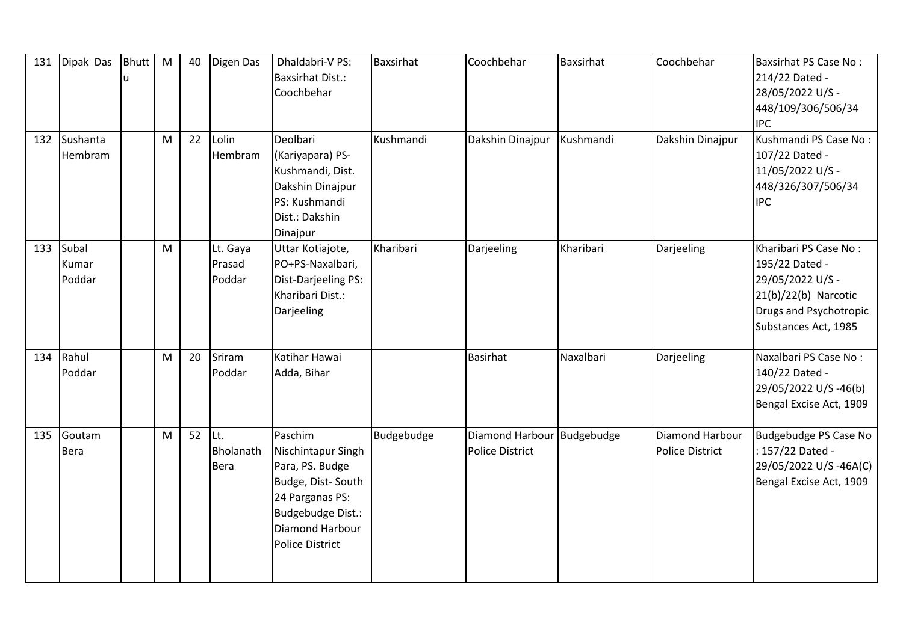| 131 | Dipak Das                | <b>Bhutt</b> | M         | 40 | Digen Das                    | Dhaldabri-V PS:<br><b>Baxsirhat Dist.:</b><br>Coochbehar                                                                                                   | Baxsirhat  | Coochbehar                                           | Baxsirhat | Coochbehar                                | <b>Baxsirhat PS Case No:</b><br>214/22 Dated -<br>28/05/2022 U/S -<br>448/109/306/506/34<br><b>IPC</b>                                  |
|-----|--------------------------|--------------|-----------|----|------------------------------|------------------------------------------------------------------------------------------------------------------------------------------------------------|------------|------------------------------------------------------|-----------|-------------------------------------------|-----------------------------------------------------------------------------------------------------------------------------------------|
| 132 | Sushanta<br>Hembram      |              | M         | 22 | Lolin<br>Hembram             | Deolbari<br>(Kariyapara) PS-<br>Kushmandi, Dist.<br>Dakshin Dinajpur<br>PS: Kushmandi<br>Dist.: Dakshin<br>Dinajpur                                        | Kushmandi  | Dakshin Dinajpur                                     | Kushmandi | Dakshin Dinajpur                          | Kushmandi PS Case No:<br>107/22 Dated -<br>11/05/2022 U/S -<br>448/326/307/506/34<br><b>IPC</b>                                         |
| 133 | Subal<br>Kumar<br>Poddar |              | M         |    | Lt. Gaya<br>Prasad<br>Poddar | Uttar Kotiajote,<br>PO+PS-Naxalbari,<br>Dist-Darjeeling PS:<br>Kharibari Dist.:<br>Darjeeling                                                              | Kharibari  | Darjeeling                                           | Kharibari | Darjeeling                                | Kharibari PS Case No:<br>195/22 Dated -<br>29/05/2022 U/S -<br>$21(b)/22(b)$ Narcotic<br>Drugs and Psychotropic<br>Substances Act, 1985 |
| 134 | Rahul<br>Poddar          |              | M         | 20 | Sriram<br>Poddar             | Katihar Hawai<br>Adda, Bihar                                                                                                                               |            | <b>Basirhat</b>                                      | Naxalbari | Darjeeling                                | Naxalbari PS Case No:<br>140/22 Dated -<br>29/05/2022 U/S -46(b)<br>Bengal Excise Act, 1909                                             |
| 135 | Goutam<br><b>Bera</b>    |              | ${\sf M}$ | 52 | Lt.<br>Bholanath<br>Bera     | Paschim<br>Nischintapur Singh<br>Para, PS. Budge<br>Budge, Dist-South<br>24 Parganas PS:<br>Budgebudge Dist.:<br>Diamond Harbour<br><b>Police District</b> | Budgebudge | Diamond Harbour Budgebudge<br><b>Police District</b> |           | Diamond Harbour<br><b>Police District</b> | Budgebudge PS Case No<br>: 157/22 Dated -<br>29/05/2022 U/S-46A(C)<br>Bengal Excise Act, 1909                                           |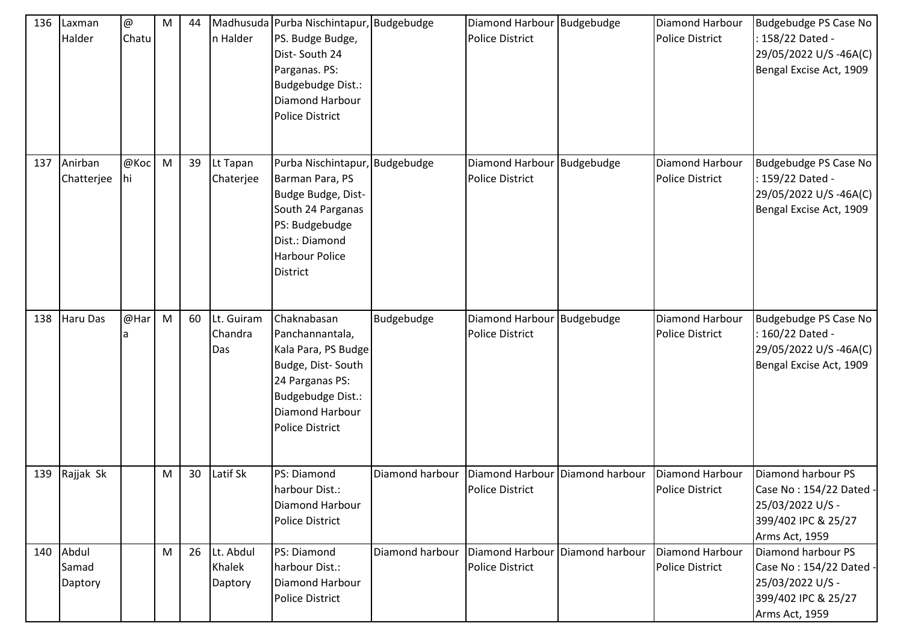| 136 | Laxman<br>Halder          | @<br>Chatu | M | 44 | n Halder                       | Madhusuda Purba Nischintapur, Budgebudge<br>PS. Budge Budge,<br>Dist-South 24<br>Parganas. PS:<br><b>Budgebudge Dist.:</b><br>Diamond Harbour<br><b>Police District</b>      |                 | Diamond Harbour Budgebudge<br><b>Police District</b> |                 | Diamond Harbour<br><b>Police District</b>        | Budgebudge PS Case No<br>: 158/22 Dated -<br>29/05/2022 U/S-46A(C)<br>Bengal Excise Act, 1909              |
|-----|---------------------------|------------|---|----|--------------------------------|------------------------------------------------------------------------------------------------------------------------------------------------------------------------------|-----------------|------------------------------------------------------|-----------------|--------------------------------------------------|------------------------------------------------------------------------------------------------------------|
| 137 | Anirban<br>Chatterjee     | @Koc<br>hi | M | 39 | Lt Tapan<br>Chaterjee          | Purba Nischintapur, Budgebudge<br>Barman Para, PS<br>Budge Budge, Dist-<br>South 24 Parganas<br>PS: Budgebudge<br>Dist.: Diamond<br><b>Harbour Police</b><br><b>District</b> |                 | Diamond Harbour<br><b>Police District</b>            | Budgebudge      | Diamond Harbour<br><b>Police District</b>        | Budgebudge PS Case No<br>: 159/22 Dated -<br>29/05/2022 U/S-46A(C)<br>Bengal Excise Act, 1909              |
| 138 | <b>Haru Das</b>           | @Har<br>a  | M | 60 | Lt. Guiram<br>Chandra<br>Das   | Chaknabasan<br>Panchannantala,<br>Kala Para, PS Budge<br>Budge, Dist-South<br>24 Parganas PS:<br>Budgebudge Dist.:<br>Diamond Harbour<br><b>Police District</b>              | Budgebudge      | Diamond Harbour Budgebudge<br><b>Police District</b> |                 | Diamond Harbour<br><b>Police District</b>        | Budgebudge PS Case No<br>160/22 Dated -<br>29/05/2022 U/S-46A(C)<br>Bengal Excise Act, 1909                |
| 139 | Rajjak Sk                 |            | M | 30 | Latif Sk                       | PS: Diamond<br>harbour Dist.:<br>Diamond Harbour<br><b>Police District</b>                                                                                                   | Diamond harbour | Diamond Harbour<br><b>Police District</b>            | Diamond harbour | <b>Diamond Harbour</b><br><b>Police District</b> | Diamond harbour PS<br>Case No: 154/22 Dated .<br>25/03/2022 U/S -<br>399/402 IPC & 25/27<br>Arms Act, 1959 |
| 140 | Abdul<br>Samad<br>Daptory |            | M | 26 | Lt. Abdul<br>Khalek<br>Daptory | PS: Diamond<br>harbour Dist.:<br>Diamond Harbour<br><b>Police District</b>                                                                                                   | Diamond harbour | Diamond Harbour<br><b>Police District</b>            | Diamond harbour | Diamond Harbour<br><b>Police District</b>        | Diamond harbour PS<br>Case No: 154/22 Dated<br>25/03/2022 U/S -<br>399/402 IPC & 25/27<br>Arms Act, 1959   |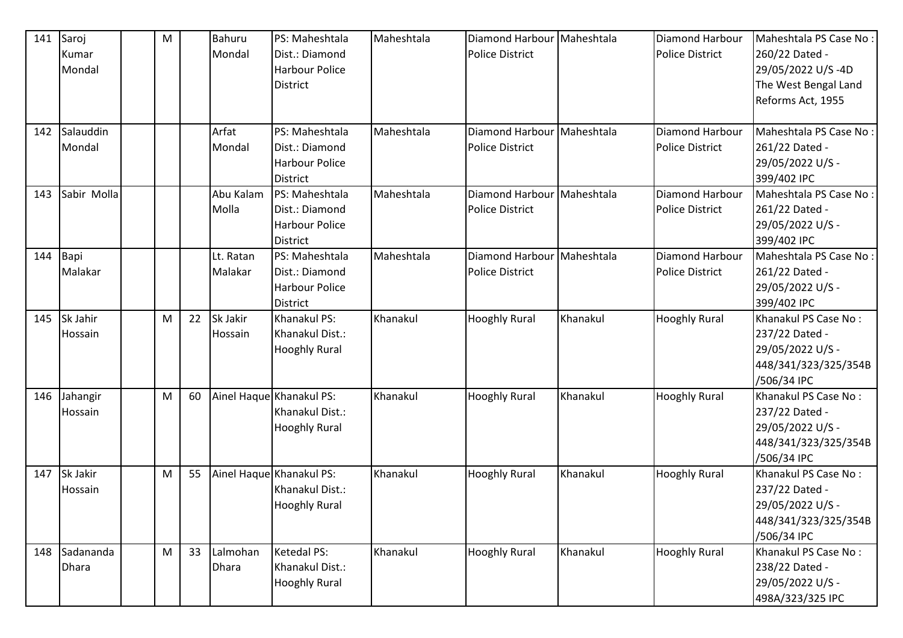| 141 | Saroj          | ${\sf M}$ |    | <b>Bahuru</b> | PS: Maheshtala           | Maheshtala | Diamond Harbour Maheshtala |          | Diamond Harbour        | Maheshtala PS Case No: |
|-----|----------------|-----------|----|---------------|--------------------------|------------|----------------------------|----------|------------------------|------------------------|
|     | Kumar          |           |    | Mondal        | Dist.: Diamond           |            | <b>Police District</b>     |          | <b>Police District</b> | 260/22 Dated -         |
|     | Mondal         |           |    |               | <b>Harbour Police</b>    |            |                            |          |                        | 29/05/2022 U/S-4D      |
|     |                |           |    |               | <b>District</b>          |            |                            |          |                        | The West Bengal Land   |
|     |                |           |    |               |                          |            |                            |          |                        | Reforms Act, 1955      |
|     |                |           |    |               |                          |            |                            |          |                        |                        |
| 142 | Salauddin      |           |    | Arfat         | PS: Maheshtala           | Maheshtala | Diamond Harbour Maheshtala |          | Diamond Harbour        | Maheshtala PS Case No: |
|     | Mondal         |           |    | Mondal        | Dist.: Diamond           |            | <b>Police District</b>     |          | <b>Police District</b> | 261/22 Dated -         |
|     |                |           |    |               | <b>Harbour Police</b>    |            |                            |          |                        | 29/05/2022 U/S -       |
|     |                |           |    |               | <b>District</b>          |            |                            |          |                        | 399/402 IPC            |
| 143 | Sabir Molla    |           |    | Abu Kalam     | PS: Maheshtala           | Maheshtala | Diamond Harbour Maheshtala |          | Diamond Harbour        | Maheshtala PS Case No: |
|     |                |           |    | Molla         | Dist.: Diamond           |            | <b>Police District</b>     |          | <b>Police District</b> | 261/22 Dated -         |
|     |                |           |    |               | <b>Harbour Police</b>    |            |                            |          |                        | 29/05/2022 U/S -       |
|     |                |           |    |               | <b>District</b>          |            |                            |          |                        | 399/402 IPC            |
| 144 | Bapi           |           |    | Lt. Ratan     | PS: Maheshtala           | Maheshtala | Diamond Harbour Maheshtala |          | Diamond Harbour        | Maheshtala PS Case No: |
|     | Malakar        |           |    | Malakar       | Dist.: Diamond           |            | <b>Police District</b>     |          | <b>Police District</b> | 261/22 Dated -         |
|     |                |           |    |               | <b>Harbour Police</b>    |            |                            |          |                        | 29/05/2022 U/S -       |
|     |                |           |    |               | <b>District</b>          |            |                            |          |                        | 399/402 IPC            |
| 145 | Sk Jahir       | M         | 22 | Sk Jakir      | Khanakul PS:             | Khanakul   | <b>Hooghly Rural</b>       | Khanakul | <b>Hooghly Rural</b>   | Khanakul PS Case No:   |
|     | Hossain        |           |    | Hossain       | Khanakul Dist.:          |            |                            |          |                        | 237/22 Dated -         |
|     |                |           |    |               | <b>Hooghly Rural</b>     |            |                            |          |                        | 29/05/2022 U/S -       |
|     |                |           |    |               |                          |            |                            |          |                        | 448/341/323/325/354B   |
|     |                |           |    |               |                          |            |                            |          |                        | /506/34 IPC            |
| 146 | Jahangir       | M         | 60 |               | Ainel Haque Khanakul PS: | Khanakul   | <b>Hooghly Rural</b>       | Khanakul | <b>Hooghly Rural</b>   | Khanakul PS Case No:   |
|     | <b>Hossain</b> |           |    |               | Khanakul Dist.:          |            |                            |          |                        | 237/22 Dated -         |
|     |                |           |    |               | <b>Hooghly Rural</b>     |            |                            |          |                        | 29/05/2022 U/S -       |
|     |                |           |    |               |                          |            |                            |          |                        | 448/341/323/325/354B   |
|     |                |           |    |               |                          |            |                            |          |                        | /506/34 IPC            |
| 147 | Sk Jakir       | M         | 55 |               | Ainel Haque Khanakul PS: | Khanakul   | <b>Hooghly Rural</b>       | Khanakul | <b>Hooghly Rural</b>   | Khanakul PS Case No:   |
|     | Hossain        |           |    |               | Khanakul Dist.:          |            |                            |          |                        | 237/22 Dated -         |
|     |                |           |    |               | <b>Hooghly Rural</b>     |            |                            |          |                        | 29/05/2022 U/S -       |
|     |                |           |    |               |                          |            |                            |          |                        | 448/341/323/325/354B   |
|     |                |           |    |               |                          |            |                            |          |                        | /506/34 IPC            |
| 148 | Sadananda      | ${\sf M}$ | 33 | Lalmohan      | <b>Ketedal PS:</b>       | Khanakul   | <b>Hooghly Rural</b>       | Khanakul | <b>Hooghly Rural</b>   | Khanakul PS Case No:   |
|     | <b>Dhara</b>   |           |    | <b>Dhara</b>  | Khanakul Dist.:          |            |                            |          |                        | 238/22 Dated -         |
|     |                |           |    |               | <b>Hooghly Rural</b>     |            |                            |          |                        | 29/05/2022 U/S -       |
|     |                |           |    |               |                          |            |                            |          |                        | 498A/323/325 IPC       |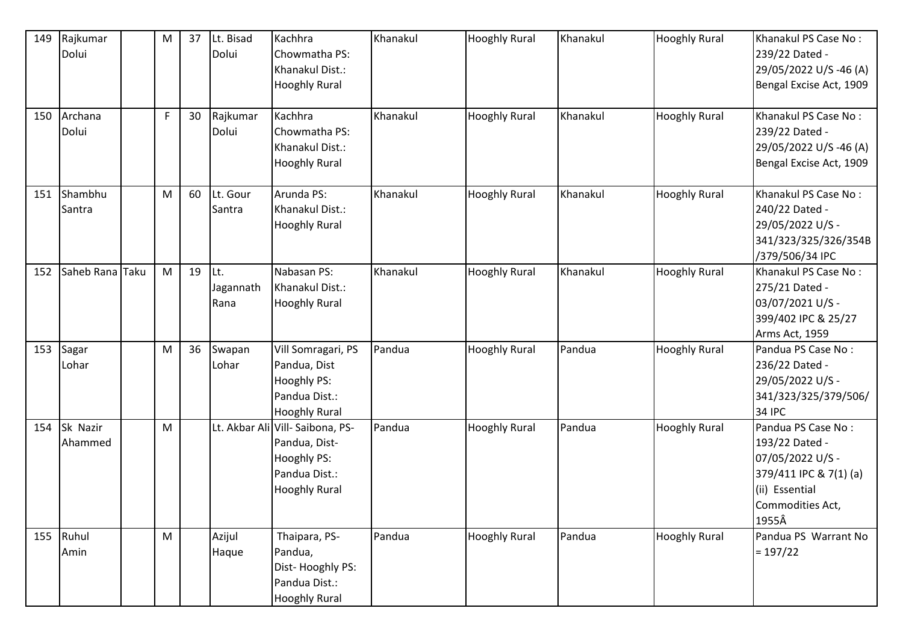| 149 | Rajkumar<br>Dolui   | M                                                                                     | 37 | Lt. Bisad<br>Dolui        | Kachhra<br>Chowmatha PS:<br>Khanakul Dist.:<br><b>Hooghly Rural</b>                                       | Khanakul | <b>Hooghly Rural</b> | Khanakul | <b>Hooghly Rural</b> | Khanakul PS Case No:<br>239/22 Dated -<br>29/05/2022 U/S-46 (A)<br>Bengal Excise Act, 1909                                        |
|-----|---------------------|---------------------------------------------------------------------------------------|----|---------------------------|-----------------------------------------------------------------------------------------------------------|----------|----------------------|----------|----------------------|-----------------------------------------------------------------------------------------------------------------------------------|
| 150 | Archana<br>Dolui    | $\mathsf F$                                                                           | 30 | Rajkumar<br>Dolui         | Kachhra<br>Chowmatha PS:<br>Khanakul Dist.:<br><b>Hooghly Rural</b>                                       | Khanakul | <b>Hooghly Rural</b> | Khanakul | <b>Hooghly Rural</b> | Khanakul PS Case No:<br>239/22 Dated -<br>29/05/2022 U/S -46 (A)<br>Bengal Excise Act, 1909                                       |
| 151 | Shambhu<br>Santra   | M                                                                                     | 60 | Lt. Gour<br>Santra        | Arunda PS:<br>Khanakul Dist.:<br><b>Hooghly Rural</b>                                                     | Khanakul | <b>Hooghly Rural</b> | Khanakul | <b>Hooghly Rural</b> | Khanakul PS Case No:<br>240/22 Dated -<br>29/05/2022 U/S -<br>341/323/325/326/354B<br>/379/506/34 IPC                             |
| 152 | Saheb Rana Taku     | M                                                                                     | 19 | ILt.<br>Jagannath<br>Rana | Nabasan PS:<br>Khanakul Dist.:<br><b>Hooghly Rural</b>                                                    | Khanakul | <b>Hooghly Rural</b> | Khanakul | <b>Hooghly Rural</b> | Khanakul PS Case No:<br>275/21 Dated -<br>03/07/2021 U/S -<br>399/402 IPC & 25/27<br>Arms Act, 1959                               |
| 153 | Sagar<br>Lohar      | M                                                                                     | 36 | Swapan<br>Lohar           | Vill Somragari, PS<br>Pandua, Dist<br>Hooghly PS:<br>Pandua Dist.:<br><b>Hooghly Rural</b>                | Pandua   | <b>Hooghly Rural</b> | Pandua   | <b>Hooghly Rural</b> | Pandua PS Case No:<br>236/22 Dated -<br>29/05/2022 U/S -<br>341/323/325/379/506/<br><b>34 IPC</b>                                 |
| 154 | Sk Nazir<br>Ahammed | M                                                                                     |    |                           | Lt. Akbar Ali Vill- Saibona, PS-<br>Pandua, Dist-<br>Hooghly PS:<br>Pandua Dist.:<br><b>Hooghly Rural</b> | Pandua   | <b>Hooghly Rural</b> | Pandua   | <b>Hooghly Rural</b> | Pandua PS Case No:<br>193/22 Dated -<br>07/05/2022 U/S -<br>379/411 IPC & 7(1) (a)<br>(ii) Essential<br>Commodities Act,<br>1955Â |
|     | 155 Ruhul<br>Amin   | $\mathsf{M}% _{T}=\mathsf{M}_{T}\!\left( a,b\right) ,\ \mathsf{M}_{T}=\mathsf{M}_{T}$ |    | Azijul<br>Haque           | Thaipara, PS-<br>Pandua,<br>Dist-Hooghly PS:<br>Pandua Dist.:<br><b>Hooghly Rural</b>                     | Pandua   | <b>Hooghly Rural</b> | Pandua   | <b>Hooghly Rural</b> | Pandua PS Warrant No<br>$= 197/22$                                                                                                |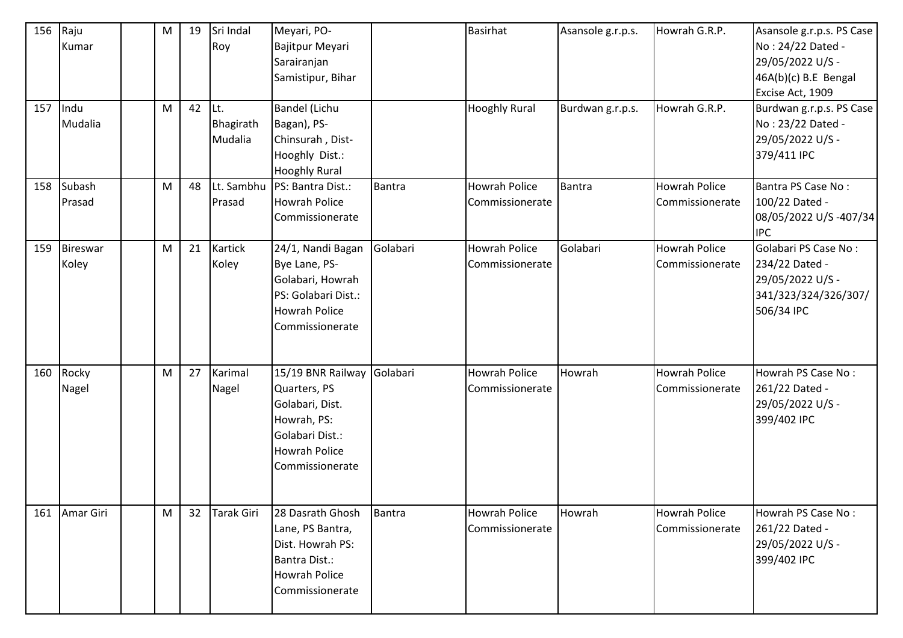| 156<br>157 | Raju<br>Kumar<br>Indu<br>Mudalia | M<br>M | 19<br>42 | Sri Indal<br>Roy<br>Lt.<br>Bhagirath<br>Mudalia | Meyari, PO-<br>Bajitpur Meyari<br>Sarairanjan<br>Samistipur, Bihar<br>Bandel (Lichu<br>Bagan), PS-<br>Chinsurah, Dist-<br>Hooghly Dist.:   |               | <b>Basirhat</b><br><b>Hooghly Rural</b> | Asansole g.r.p.s.<br>Burdwan g.r.p.s. | Howrah G.R.P.<br>Howrah G.R.P.          | Asansole g.r.p.s. PS Case<br>No: 24/22 Dated -<br>29/05/2022 U/S -<br>$46A(b)(c)$ B.E Bengal<br>Excise Act, 1909<br>Burdwan g.r.p.s. PS Case<br>No: 23/22 Dated -<br>29/05/2022 U/S -<br>379/411 IPC |
|------------|----------------------------------|--------|----------|-------------------------------------------------|--------------------------------------------------------------------------------------------------------------------------------------------|---------------|-----------------------------------------|---------------------------------------|-----------------------------------------|------------------------------------------------------------------------------------------------------------------------------------------------------------------------------------------------------|
| 158        | Subash<br>Prasad                 | M      | 48       | Lt. Sambhu<br>Prasad                            | <b>Hooghly Rural</b><br>PS: Bantra Dist.:<br><b>Howrah Police</b><br>Commissionerate                                                       | Bantra        | <b>Howrah Police</b><br>Commissionerate | Bantra                                | <b>Howrah Police</b><br>Commissionerate | Bantra PS Case No:<br>100/22 Dated -<br>08/05/2022 U/S-407/34<br><b>IPC</b>                                                                                                                          |
| 159        | <b>Bireswar</b><br>Koley         | M      | 21       | <b>Kartick</b><br>Koley                         | 24/1, Nandi Bagan<br>Bye Lane, PS-<br>Golabari, Howrah<br>PS: Golabari Dist.:<br><b>Howrah Police</b><br>Commissionerate                   | Golabari      | Howrah Police<br>Commissionerate        | Golabari                              | <b>Howrah Police</b><br>Commissionerate | Golabari PS Case No:<br>234/22 Dated -<br>29/05/2022 U/S -<br>341/323/324/326/307/<br>506/34 IPC                                                                                                     |
| 160        | Rocky<br>Nagel                   | M      | 27       | Karimal<br>Nagel                                | 15/19 BNR Railway Golabari<br>Quarters, PS<br>Golabari, Dist.<br>Howrah, PS:<br>Golabari Dist.:<br><b>Howrah Police</b><br>Commissionerate |               | <b>Howrah Police</b><br>Commissionerate | Howrah                                | <b>Howrah Police</b><br>Commissionerate | Howrah PS Case No:<br>261/22 Dated -<br>29/05/2022 U/S -<br>399/402 IPC                                                                                                                              |
| 161        | Amar Giri                        | M      | 32       | Tarak Giri                                      | 28 Dasrath Ghosh<br>Lane, PS Bantra,<br>Dist. Howrah PS:<br>Bantra Dist.:<br>Howrah Police<br>Commissionerate                              | <b>Bantra</b> | <b>Howrah Police</b><br>Commissionerate | Howrah                                | <b>Howrah Police</b><br>Commissionerate | Howrah PS Case No:<br>261/22 Dated -<br>29/05/2022 U/S -<br>399/402 IPC                                                                                                                              |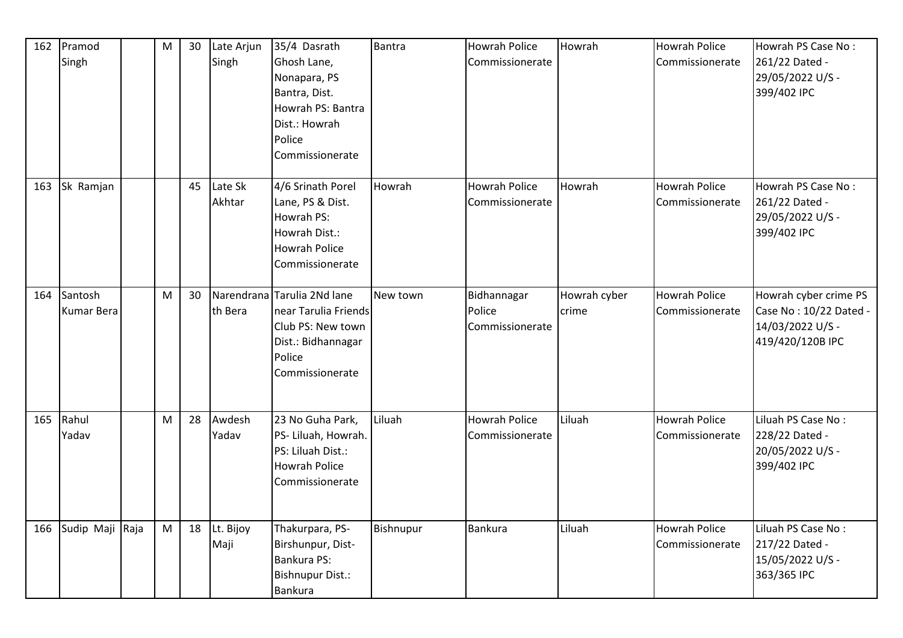| 162 | Pramod<br>Singh              | M | 30 | Late Arjun<br>Singh | 35/4 Dasrath<br>Ghosh Lane,<br>Nonapara, PS<br>Bantra, Dist.<br>Howrah PS: Bantra<br>Dist.: Howrah<br>Police<br>Commissionerate | <b>Bantra</b> | Howrah Police<br>Commissionerate         | Howrah                | <b>Howrah Police</b><br>Commissionerate | Howrah PS Case No:<br>261/22 Dated -<br>29/05/2022 U/S -<br>399/402 IPC                 |
|-----|------------------------------|---|----|---------------------|---------------------------------------------------------------------------------------------------------------------------------|---------------|------------------------------------------|-----------------------|-----------------------------------------|-----------------------------------------------------------------------------------------|
| 163 | Sk Ramjan                    |   | 45 | Late Sk<br>Akhtar   | 4/6 Srinath Porel<br>Lane, PS & Dist.<br>Howrah PS:<br>Howrah Dist.:<br><b>Howrah Police</b><br>Commissionerate                 | Howrah        | <b>Howrah Police</b><br>Commissionerate  | Howrah                | <b>Howrah Police</b><br>Commissionerate | Howrah PS Case No:<br>261/22 Dated -<br>29/05/2022 U/S -<br>399/402 IPC                 |
| 164 | Santosh<br><b>Kumar Bera</b> | M | 30 | th Bera             | Narendrana Tarulia 2Nd lane<br>near Tarulia Friends<br>Club PS: New town<br>Dist.: Bidhannagar<br>Police<br>Commissionerate     | New town      | Bidhannagar<br>Police<br>Commissionerate | Howrah cyber<br>crime | <b>Howrah Police</b><br>Commissionerate | Howrah cyber crime PS<br>Case No: 10/22 Dated -<br>14/03/2022 U/S -<br>419/420/120B IPC |
| 165 | Rahul<br>Yadav               | M | 28 | Awdesh<br>Yadav     | 23 No Guha Park,<br>PS- Liluah, Howrah.<br>PS: Liluah Dist.:<br><b>Howrah Police</b><br>Commissionerate                         | Liluah        | <b>Howrah Police</b><br>Commissionerate  | Liluah                | <b>Howrah Police</b><br>Commissionerate | Liluah PS Case No:<br>228/22 Dated -<br>20/05/2022 U/S -<br>399/402 IPC                 |
| 166 | Sudip Maji Raja              | M | 18 | Lt. Bijoy<br>Maji   | Thakurpara, PS-<br>Birshunpur, Dist-<br>Bankura PS:<br>Bishnupur Dist.:<br><b>Bankura</b>                                       | Bishnupur     | <b>Bankura</b>                           | Liluah                | <b>Howrah Police</b><br>Commissionerate | Liluah PS Case No:<br>217/22 Dated -<br>15/05/2022 U/S -<br>363/365 IPC                 |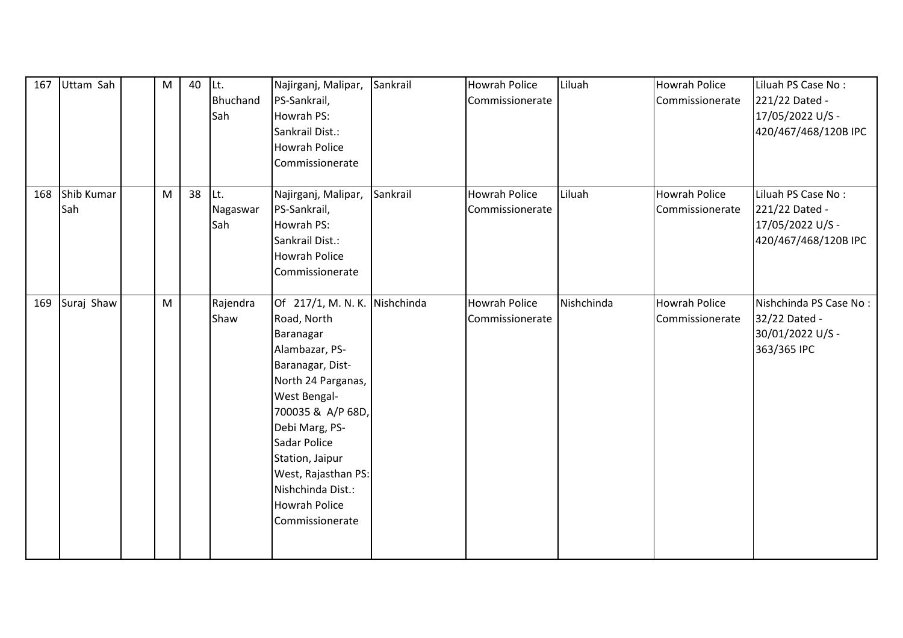| 167 | Uttam Sah         | M         | 40 | ILt.<br>Bhuchand<br>Sah | Najirganj, Malipar,<br>PS-Sankrail,<br>Howrah PS:<br>Sankrail Dist.:<br><b>Howrah Police</b><br>Commissionerate                                                                                                                                                                                        | Sankrail | Howrah Police<br>Commissionerate        | Liluah     | <b>Howrah Police</b><br>Commissionerate | Liluah PS Case No:<br>221/22 Dated -<br>17/05/2022 U/S -<br>420/467/468/120B IPC |
|-----|-------------------|-----------|----|-------------------------|--------------------------------------------------------------------------------------------------------------------------------------------------------------------------------------------------------------------------------------------------------------------------------------------------------|----------|-----------------------------------------|------------|-----------------------------------------|----------------------------------------------------------------------------------|
| 168 | Shib Kumar<br>Sah | ${\sf M}$ | 38 | Lt.<br>Nagaswar<br>Sah  | Najirganj, Malipar,<br>PS-Sankrail,<br>Howrah PS:<br>Sankrail Dist.:<br><b>Howrah Police</b><br>Commissionerate                                                                                                                                                                                        | Sankrail | <b>Howrah Police</b><br>Commissionerate | Liluah     | <b>Howrah Police</b><br>Commissionerate | Liluah PS Case No:<br>221/22 Dated -<br>17/05/2022 U/S -<br>420/467/468/120B IPC |
| 169 | Suraj Shaw        | M         |    | Rajendra<br>Shaw        | Of 217/1, M. N. K. Nishchinda<br>Road, North<br>Baranagar<br>Alambazar, PS-<br>Baranagar, Dist-<br>North 24 Parganas,<br>West Bengal-<br>700035 & A/P 68D,<br>Debi Marg, PS-<br>Sadar Police<br>Station, Jaipur<br>West, Rajasthan PS:<br>Nishchinda Dist.:<br><b>Howrah Police</b><br>Commissionerate |          | <b>Howrah Police</b><br>Commissionerate | Nishchinda | <b>Howrah Police</b><br>Commissionerate | Nishchinda PS Case No:<br>32/22 Dated -<br>30/01/2022 U/S -<br>363/365 IPC       |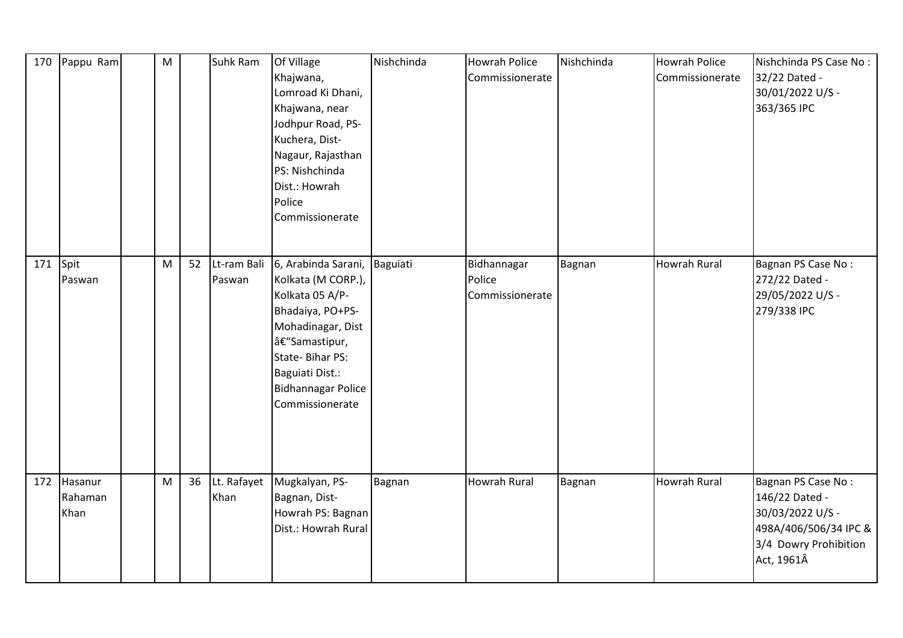| 170      | Pappu Ram                  | M |    | Suhk Ram            | Of Village<br>Khajwana,<br>Lomroad Ki Dhani,<br>Khajwana, near<br>Jodhpur Road, PS-<br>Kuchera, Dist-<br>Nagaur, Rajasthan<br>PS: Nishchinda<br>Dist.: Howrah<br>Police<br>Commissionerate                                       | Nishchinda | <b>Howrah Police</b><br>Commissionerate  | Nishchinda | <b>Howrah Police</b><br>Commissionerate | Nishchinda PS Case No:<br>32/22 Dated -<br>30/01/2022 U/S -<br>363/365 IPC                                               |
|----------|----------------------------|---|----|---------------------|----------------------------------------------------------------------------------------------------------------------------------------------------------------------------------------------------------------------------------|------------|------------------------------------------|------------|-----------------------------------------|--------------------------------------------------------------------------------------------------------------------------|
| 171 Spit | Paswan                     | M | 52 | Paswan              | Lt-ram Bali 6, Arabinda Sarani, Baguiati<br>Kolkata (M CORP.),<br>Kolkata 05 A/P-<br>Bhadaiya, PO+PS-<br>Mohadinagar, Dist<br>–Samastipur,<br>State-Bihar PS:<br>Baguiati Dist.:<br><b>Bidhannagar Police</b><br>Commissionerate |            | Bidhannagar<br>Police<br>Commissionerate | Bagnan     | <b>Howrah Rural</b>                     | Bagnan PS Case No:<br>272/22 Dated -<br>29/05/2022 U/S -<br>279/338 IPC                                                  |
| 172      | Hasanur<br>Rahaman<br>Khan | M | 36 | Lt. Rafayet<br>Khan | Mugkalyan, PS-<br>Bagnan, Dist-<br>Howrah PS: Bagnan<br>Dist.: Howrah Rural                                                                                                                                                      | Bagnan     | <b>Howrah Rural</b>                      | Bagnan     | <b>Howrah Rural</b>                     | Bagnan PS Case No:<br>146/22 Dated -<br>30/03/2022 U/S -<br>498A/406/506/34 IPC &<br>3/4 Dowry Prohibition<br>Act, 1961Â |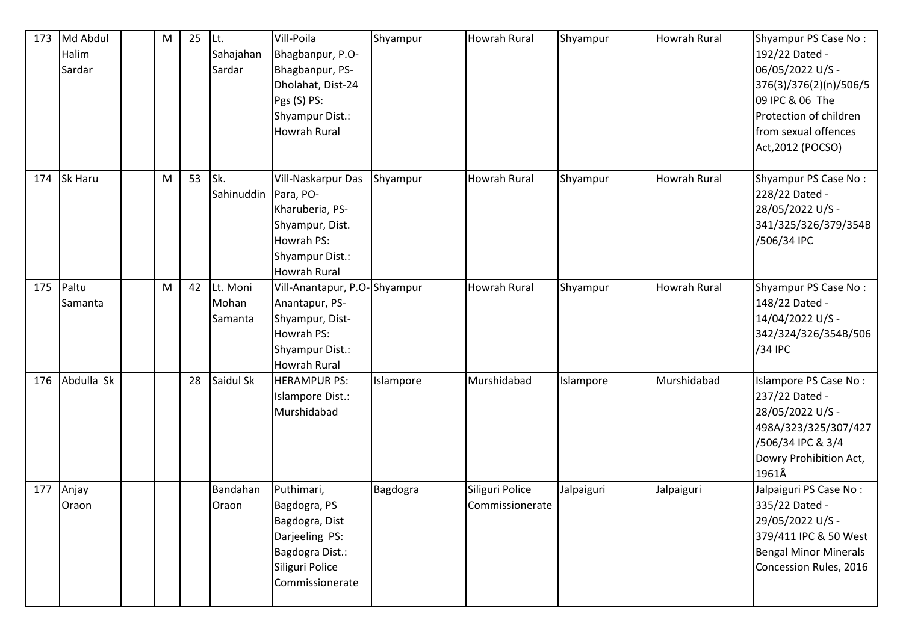| 173 | Md Abdul<br>Halim<br>Sardar | ${\sf M}$ | 25 | ILt.<br>Sahajahan<br>Sardar   | Vill-Poila<br>Bhagbanpur, P.O-<br>Bhagbanpur, PS-<br>Dholahat, Dist-24<br>Pgs (S) PS:<br>Shyampur Dist.:<br><b>Howrah Rural</b> | Shyampur  | Howrah Rural                       | Shyampur   | <b>Howrah Rural</b> | Shyampur PS Case No:<br>192/22 Dated -<br>06/05/2022 U/S -<br>376(3)/376(2)(n)/506/5<br>09 IPC & 06 The<br>Protection of children<br>from sexual offences<br>Act, 2012 (POCSO) |
|-----|-----------------------------|-----------|----|-------------------------------|---------------------------------------------------------------------------------------------------------------------------------|-----------|------------------------------------|------------|---------------------|--------------------------------------------------------------------------------------------------------------------------------------------------------------------------------|
| 174 | <b>Sk Haru</b>              | ${\sf M}$ | 53 | Sk.<br>Sahinuddin   Para, PO- | Vill-Naskarpur Das<br>Kharuberia, PS-<br>Shyampur, Dist.<br>Howrah PS:<br>Shyampur Dist.:<br><b>Howrah Rural</b>                | Shyampur  | Howrah Rural                       | Shyampur   | <b>Howrah Rural</b> | Shyampur PS Case No:<br>228/22 Dated -<br>28/05/2022 U/S -<br>341/325/326/379/354B<br>/506/34 IPC                                                                              |
| 175 | Paltu<br>Samanta            | M         | 42 | Lt. Moni<br>Mohan<br>Samanta  | Vill-Anantapur, P.O-Shyampur<br>Anantapur, PS-<br>Shyampur, Dist-<br>Howrah PS:<br>Shyampur Dist.:<br><b>Howrah Rural</b>       |           | <b>Howrah Rural</b>                | Shyampur   | Howrah Rural        | Shyampur PS Case No:<br>148/22 Dated -<br>14/04/2022 U/S -<br>342/324/326/354B/506<br>/34 IPC                                                                                  |
| 176 | Abdulla Sk                  |           | 28 | Saidul Sk                     | <b>HERAMPUR PS:</b><br>Islampore Dist.:<br>Murshidabad                                                                          | Islampore | Murshidabad                        | Islampore  | Murshidabad         | Islampore PS Case No:<br>237/22 Dated -<br>28/05/2022 U/S -<br>498A/323/325/307/427<br>/506/34 IPC & 3/4<br>Dowry Prohibition Act,<br>1961Â                                    |
| 177 | Anjay<br>Oraon              |           |    | Bandahan<br>Oraon             | Puthimari,<br>Bagdogra, PS<br>Bagdogra, Dist<br>Darjeeling PS:<br>Bagdogra Dist.:<br>Siliguri Police<br>Commissionerate         | Bagdogra  | Siliguri Police<br>Commissionerate | Jalpaiguri | Jalpaiguri          | Jalpaiguri PS Case No:<br>335/22 Dated -<br>29/05/2022 U/S -<br>379/411 IPC & 50 West<br><b>Bengal Minor Minerals</b><br>Concession Rules, 2016                                |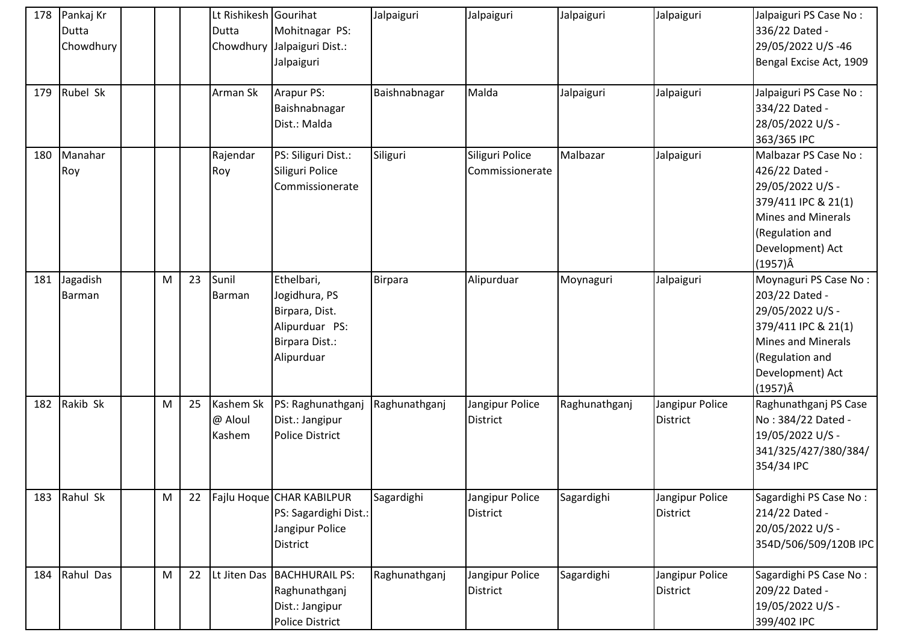| 178 | Pankaj Kr<br><b>Dutta</b><br>Chowdhury |   |    | Lt Rishikesh Gourihat<br>Dutta | Mohitnagar PS:<br>Chowdhury Jalpaiguri Dist.:<br>Jalpaiguri                                     | Jalpaiguri    | Jalpaiguri                         | Jalpaiguri    | Jalpaiguri                         | Jalpaiguri PS Case No:<br>336/22 Dated -<br>29/05/2022 U/S-46<br>Bengal Excise Act, 1909                                                                           |
|-----|----------------------------------------|---|----|--------------------------------|-------------------------------------------------------------------------------------------------|---------------|------------------------------------|---------------|------------------------------------|--------------------------------------------------------------------------------------------------------------------------------------------------------------------|
| 179 | Rubel Sk                               |   |    | Arman Sk                       | Arapur PS:<br>Baishnabnagar<br>Dist.: Malda                                                     | Baishnabnagar | Malda                              | Jalpaiguri    | Jalpaiguri                         | Jalpaiguri PS Case No:<br>334/22 Dated -<br>28/05/2022 U/S -<br>363/365 IPC                                                                                        |
| 180 | Manahar<br>Roy                         |   |    | Rajendar<br>Roy                | PS: Siliguri Dist.:<br>Siliguri Police<br>Commissionerate                                       | Siliguri      | Siliguri Police<br>Commissionerate | Malbazar      | Jalpaiguri                         | Malbazar PS Case No:<br>426/22 Dated -<br>29/05/2022 U/S -<br>379/411 IPC & 21(1)<br>Mines and Minerals<br>(Regulation and<br>Development) Act<br>$(1957)\hat{A}$  |
| 181 | Jagadish<br>Barman                     | M | 23 | Sunil<br>Barman                | Ethelbari,<br>Jogidhura, PS<br>Birpara, Dist.<br>Alipurduar PS:<br>Birpara Dist.:<br>Alipurduar | Birpara       | Alipurduar                         | Moynaguri     | Jalpaiguri                         | Moynaguri PS Case No:<br>203/22 Dated -<br>29/05/2022 U/S -<br>379/411 IPC & 21(1)<br>Mines and Minerals<br>(Regulation and<br>Development) Act<br>$(1957)\hat{A}$ |
| 182 | Rakib Sk                               | M | 25 | Kashem Sk<br>@ Aloul<br>Kashem | PS: Raghunathganj<br>Dist.: Jangipur<br><b>Police District</b>                                  | Raghunathganj | Jangipur Police<br><b>District</b> | Raghunathganj | Jangipur Police<br><b>District</b> | Raghunathganj PS Case<br>No: 384/22 Dated -<br>19/05/2022 U/S -<br>341/325/427/380/384/<br>354/34 IPC                                                              |
| 183 | Rahul Sk                               | M | 22 |                                | Fajlu Hoque CHAR KABILPUR<br>PS: Sagardighi Dist.:<br>Jangipur Police<br><b>District</b>        | Sagardighi    | Jangipur Police<br><b>District</b> | Sagardighi    | Jangipur Police<br><b>District</b> | Sagardighi PS Case No:<br>214/22 Dated -<br>20/05/2022 U/S -<br>354D/506/509/120B IPC                                                                              |
| 184 | Rahul Das                              | M | 22 |                                | Lt Jiten Das BACHHURAIL PS:<br>Raghunathganj<br>Dist.: Jangipur<br>Police District              | Raghunathganj | Jangipur Police<br><b>District</b> | Sagardighi    | Jangipur Police<br><b>District</b> | Sagardighi PS Case No:<br>209/22 Dated -<br>19/05/2022 U/S -<br>399/402 IPC                                                                                        |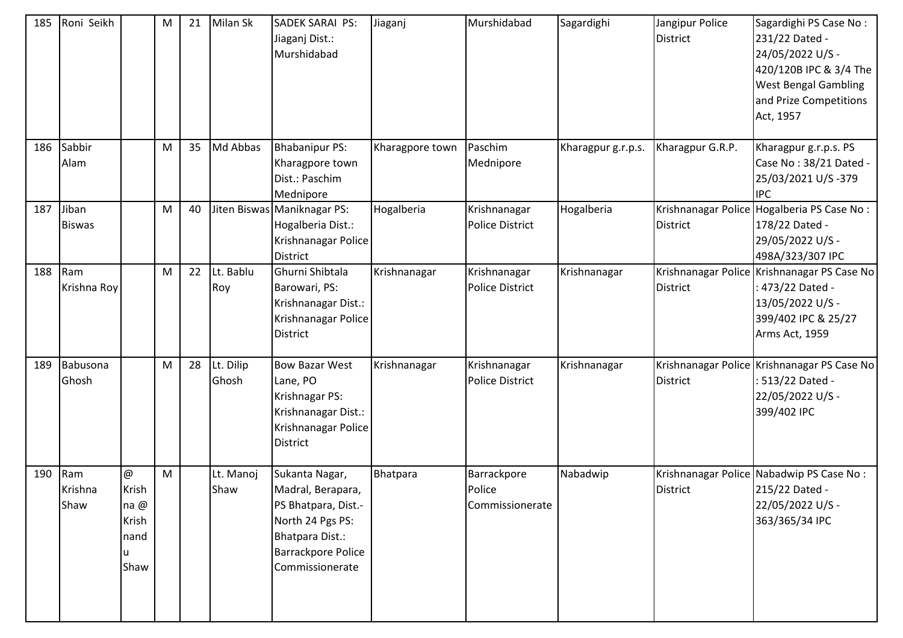| 185 | Roni Seikh             |                                            | M | 21 | Milan Sk           | SADEK SARAI PS:<br>Jiaganj Dist.:<br>Murshidabad                                                                                           | Jiaganj         | Murshidabad                              | Sagardighi         | Jangipur Police<br><b>District</b> | Sagardighi PS Case No:<br>231/22 Dated -<br>24/05/2022 U/S -<br>420/120B IPC & 3/4 The<br><b>West Bengal Gambling</b><br>and Prize Competitions<br>Act, 1957 |
|-----|------------------------|--------------------------------------------|---|----|--------------------|--------------------------------------------------------------------------------------------------------------------------------------------|-----------------|------------------------------------------|--------------------|------------------------------------|--------------------------------------------------------------------------------------------------------------------------------------------------------------|
| 186 | Sabbir<br>Alam         |                                            | M | 35 | Md Abbas           | <b>Bhabanipur PS:</b><br>Kharagpore town<br>Dist.: Paschim<br>Mednipore                                                                    | Kharagpore town | Paschim<br>Mednipore                     | Kharagpur g.r.p.s. | Kharagpur G.R.P.                   | Kharagpur g.r.p.s. PS<br>Case No: 38/21 Dated -<br>25/03/2021 U/S-379<br><b>IPC</b>                                                                          |
| 187 | Jiban<br><b>Biswas</b> |                                            | M | 40 |                    | Jiten Biswas Maniknagar PS:<br>Hogalberia Dist.:<br>Krishnanagar Police<br><b>District</b>                                                 | Hogalberia      | Krishnanagar<br><b>Police District</b>   | Hogalberia         | <b>District</b>                    | Krishnanagar Police Hogalberia PS Case No:<br>178/22 Dated -<br>29/05/2022 U/S -<br>498A/323/307 IPC                                                         |
| 188 | Ram<br>Krishna Roy     |                                            | M | 22 | Lt. Bablu<br>Roy   | Ghurni Shibtala<br>Barowari, PS:<br>Krishnanagar Dist.:<br>Krishnanagar Police<br><b>District</b>                                          | Krishnanagar    | Krishnanagar<br><b>Police District</b>   | Krishnanagar       | <b>District</b>                    | Krishnanagar Police Krishnanagar PS Case No<br>473/22 Dated -<br>13/05/2022 U/S -<br>399/402 IPC & 25/27<br>Arms Act, 1959                                   |
| 189 | Babusona<br>Ghosh      |                                            | M | 28 | Lt. Dilip<br>Ghosh | <b>Bow Bazar West</b><br>Lane, PO<br>Krishnagar PS:<br>Krishnanagar Dist.:<br>Krishnanagar Police<br><b>District</b>                       | Krishnanagar    | Krishnanagar<br><b>Police District</b>   | Krishnanagar       | <b>District</b>                    | Krishnanagar Police Krishnanagar PS Case No<br>513/22 Dated -<br>22/05/2022 U/S -<br>399/402 IPC                                                             |
| 190 | Ram<br>Krishna<br>Shaw | @<br>Krish<br>na@<br>Krish<br>nand<br>Shaw | M |    | Lt. Manoj<br>Shaw  | Sukanta Nagar,<br>Madral, Berapara,<br>PS Bhatpara, Dist.-<br>North 24 Pgs PS:<br>Bhatpara Dist.:<br>Barrackpore Police<br>Commissionerate | Bhatpara        | Barrackpore<br>Police<br>Commissionerate | Nabadwip           | <b>District</b>                    | Krishnanagar Police Nabadwip PS Case No:<br>215/22 Dated -<br>22/05/2022 U/S -<br>363/365/34 IPC                                                             |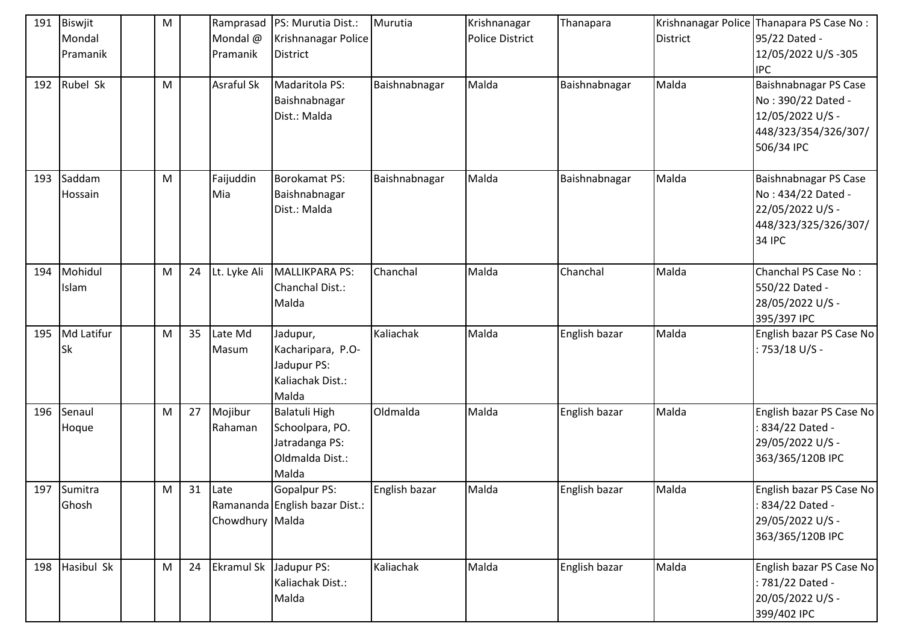| 191 | Biswjit<br>Mondal    | M |    | Mondal @                | Ramprasad   PS: Murutia Dist.:<br>Krishnanagar Police                                 | Murutia       | Krishnanagar<br><b>Police District</b> | Thanapara     | <b>District</b> | Krishnanagar Police Thanapara PS Case No:<br>95/22 Dated -                                            |
|-----|----------------------|---|----|-------------------------|---------------------------------------------------------------------------------------|---------------|----------------------------------------|---------------|-----------------|-------------------------------------------------------------------------------------------------------|
|     | Pramanik             |   |    | Pramanik                | District                                                                              |               |                                        |               |                 | 12/05/2022 U/S-305<br><b>IPC</b>                                                                      |
| 192 | Rubel Sk             | M |    | Asraful Sk              | Madaritola PS:<br>Baishnabnagar<br>Dist.: Malda                                       | Baishnabnagar | Malda                                  | Baishnabnagar | Malda           | Baishnabnagar PS Case<br>No: 390/22 Dated -<br>12/05/2022 U/S -<br>448/323/354/326/307/<br>506/34 IPC |
| 193 | Saddam<br>Hossain    | M |    | Faijuddin<br>Mia        | Borokamat PS:<br>Baishnabnagar<br>Dist.: Malda                                        | Baishnabnagar | Malda                                  | Baishnabnagar | Malda           | Baishnabnagar PS Case<br>No: 434/22 Dated -<br>22/05/2022 U/S -<br>448/323/325/326/307/<br>34 IPC     |
| 194 | Mohidul<br>Islam     | M | 24 | Lt. Lyke Ali            | MALLIKPARA PS:<br>Chanchal Dist.:<br>Malda                                            | Chanchal      | Malda                                  | Chanchal      | Malda           | Chanchal PS Case No:<br>550/22 Dated -<br>28/05/2022 U/S -<br>395/397 IPC                             |
| 195 | Md Latifur<br>Sk     | M | 35 | Late Md<br>Masum        | Jadupur,<br>Kacharipara, P.O-<br>Jadupur PS:<br>Kaliachak Dist.:<br>Malda             | Kaliachak     | Malda                                  | English bazar | Malda           | English bazar PS Case No<br>: 753/18 U/S -                                                            |
| 196 | Senaul<br>Hoque      | M | 27 | Mojibur<br>Rahaman      | <b>Balatuli High</b><br>Schoolpara, PO.<br>Jatradanga PS:<br>Oldmalda Dist.:<br>Malda | Oldmalda      | Malda                                  | English bazar | Malda           | English bazar PS Case No<br>834/22 Dated -<br>29/05/2022 U/S -<br>363/365/120B IPC                    |
|     | 197 Sumitra<br>Ghosh | M | 31 | Late<br>Chowdhury Malda | Gopalpur PS:<br>Ramananda English bazar Dist.:                                        | English bazar | Malda                                  | English bazar | Malda           | English bazar PS Case No<br>834/22 Dated -<br>29/05/2022 U/S -<br>363/365/120B IPC                    |
|     | 198 Hasibul Sk       | M | 24 | Ekramul Sk Jadupur PS:  | Kaliachak Dist.:<br>Malda                                                             | Kaliachak     | Malda                                  | English bazar | Malda           | English bazar PS Case No<br>: 781/22 Dated -<br>20/05/2022 U/S -<br>399/402 IPC                       |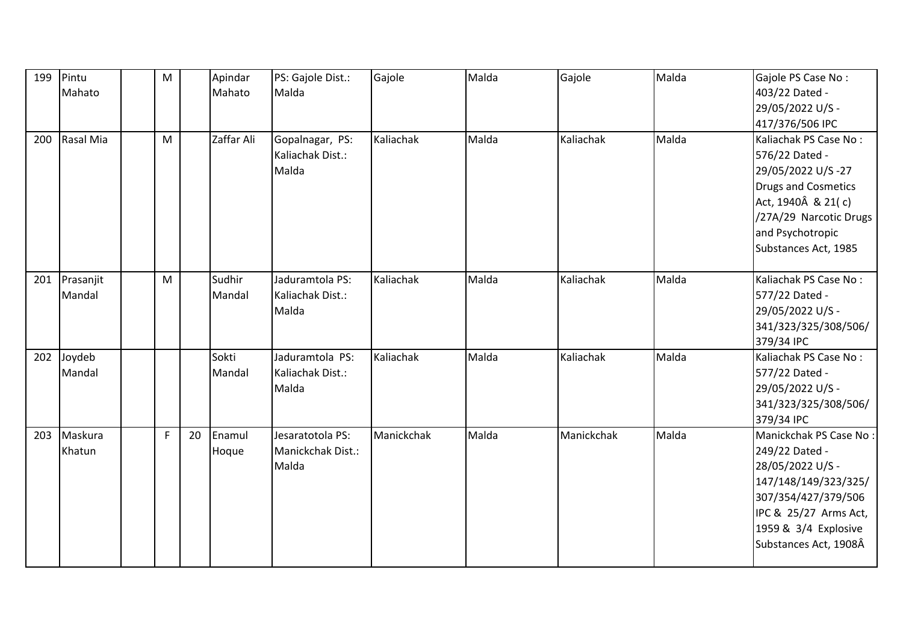| 199 | Pintu     | M |    | Apindar    | PS: Gajole Dist.: | Gajole     | Malda | Gajole     | Malda | Gajole PS Case No:                 |
|-----|-----------|---|----|------------|-------------------|------------|-------|------------|-------|------------------------------------|
|     | Mahato    |   |    | Mahato     | Malda             |            |       |            |       | 403/22 Dated -                     |
|     |           |   |    |            |                   |            |       |            |       | 29/05/2022 U/S -                   |
|     |           |   |    |            |                   |            |       |            |       | 417/376/506 IPC                    |
| 200 | Rasal Mia | M |    | Zaffar Ali | Gopalnagar, PS:   | Kaliachak  | Malda | Kaliachak  | Malda | Kaliachak PS Case No:              |
|     |           |   |    |            | Kaliachak Dist.:  |            |       |            |       | 576/22 Dated -                     |
|     |           |   |    |            | Malda             |            |       |            |       | 29/05/2022 U/S-27                  |
|     |           |   |    |            |                   |            |       |            |       | <b>Drugs and Cosmetics</b>         |
|     |           |   |    |            |                   |            |       |            |       | Act, 1940Â & 21(c)                 |
|     |           |   |    |            |                   |            |       |            |       | /27A/29 Narcotic Drugs             |
|     |           |   |    |            |                   |            |       |            |       | and Psychotropic                   |
|     |           |   |    |            |                   |            |       |            |       | Substances Act, 1985               |
|     |           |   |    |            |                   |            |       |            |       |                                    |
| 201 | Prasanjit | M |    | Sudhir     | Jaduramtola PS:   | Kaliachak  | Malda | Kaliachak  | Malda | Kaliachak PS Case No:              |
|     | Mandal    |   |    | Mandal     | Kaliachak Dist.:  |            |       |            |       | 577/22 Dated -                     |
|     |           |   |    |            | Malda             |            |       |            |       | 29/05/2022 U/S -                   |
|     |           |   |    |            |                   |            |       |            |       | 341/323/325/308/506/               |
|     |           |   |    |            |                   |            |       |            |       | 379/34 IPC                         |
| 202 | Joydeb    |   |    | Sokti      | Jaduramtola PS:   | Kaliachak  | Malda | Kaliachak  | Malda | Kaliachak PS Case No:              |
|     | Mandal    |   |    | Mandal     | Kaliachak Dist.:  |            |       |            |       | 577/22 Dated -                     |
|     |           |   |    |            | Malda             |            |       |            |       | 29/05/2022 U/S -                   |
|     |           |   |    |            |                   |            |       |            |       | 341/323/325/308/506/<br>379/34 IPC |
| 203 | Maskura   | F | 20 | Enamul     | Jesaratotola PS:  | Manickchak | Malda | Manickchak | Malda | Manickchak PS Case No:             |
|     | Khatun    |   |    |            | Manickchak Dist.: |            |       |            |       | 249/22 Dated -                     |
|     |           |   |    | Hoque      | Malda             |            |       |            |       | 28/05/2022 U/S -                   |
|     |           |   |    |            |                   |            |       |            |       | 147/148/149/323/325/               |
|     |           |   |    |            |                   |            |       |            |       | 307/354/427/379/506                |
|     |           |   |    |            |                   |            |       |            |       | IPC & 25/27 Arms Act,              |
|     |           |   |    |            |                   |            |       |            |       | 1959 & 3/4 Explosive               |
|     |           |   |    |            |                   |            |       |            |       | Substances Act, 1908Â              |
|     |           |   |    |            |                   |            |       |            |       |                                    |
|     |           |   |    |            |                   |            |       |            |       |                                    |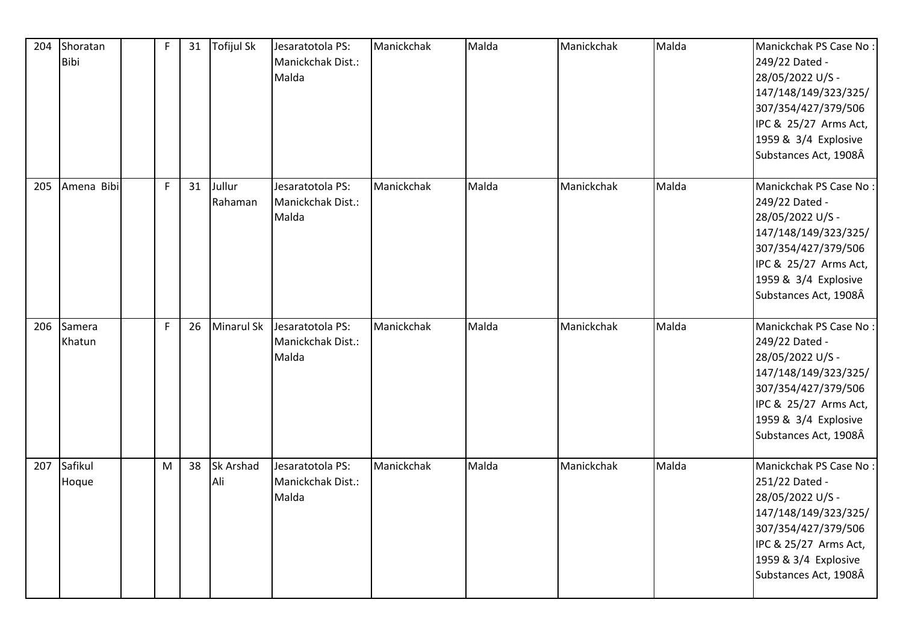| 204 | Shoratan<br><b>Bibi</b> | $\mathsf F$ | 31 | <b>Tofijul Sk</b> | Jesaratotola PS:<br>Manickchak Dist.:<br>Malda | Manickchak | Malda | Manickchak | Malda | Manickchak PS Case No:<br>249/22 Dated -<br>28/05/2022 U/S -<br>147/148/149/323/325/<br>307/354/427/379/506<br>IPC & 25/27 Arms Act,<br>1959 & 3/4 Explosive<br>Substances Act, 1908Â |
|-----|-------------------------|-------------|----|-------------------|------------------------------------------------|------------|-------|------------|-------|---------------------------------------------------------------------------------------------------------------------------------------------------------------------------------------|
| 205 | Amena Bibi              | F           | 31 | Jullur<br>Rahaman | Jesaratotola PS:<br>Manickchak Dist.:<br>Malda | Manickchak | Malda | Manickchak | Malda | Manickchak PS Case No:<br>249/22 Dated -<br>28/05/2022 U/S -<br>147/148/149/323/325/<br>307/354/427/379/506<br>IPC & 25/27 Arms Act,<br>1959 & 3/4 Explosive<br>Substances Act, 1908Â |
| 206 | Samera<br>Khatun        | F           | 26 | <b>Minarul Sk</b> | Jesaratotola PS:<br>Manickchak Dist.:<br>Malda | Manickchak | Malda | Manickchak | Malda | Manickchak PS Case No:<br>249/22 Dated -<br>28/05/2022 U/S -<br>147/148/149/323/325/<br>307/354/427/379/506<br>IPC & 25/27 Arms Act,<br>1959 & 3/4 Explosive<br>Substances Act, 1908Â |
| 207 | Safikul<br>Hoque        | M           | 38 | Sk Arshad<br>Ali  | Jesaratotola PS:<br>Manickchak Dist.:<br>Malda | Manickchak | Malda | Manickchak | Malda | Manickchak PS Case No:<br>251/22 Dated -<br>28/05/2022 U/S -<br>147/148/149/323/325/<br>307/354/427/379/506<br>IPC & 25/27 Arms Act,<br>1959 & 3/4 Explosive<br>Substances Act, 1908Â |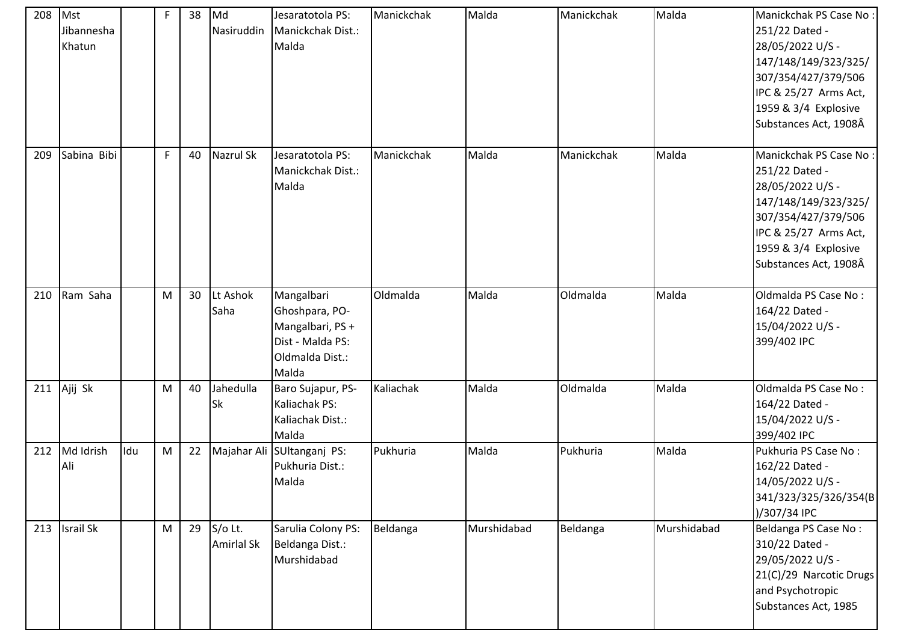| 208 | Mst<br>Jibannesha<br>Khatun |     | F           | 38 | Md<br>Nasiruddin       | Jesaratotola PS:<br>Manickchak Dist.:<br>Malda                                                   | Manickchak | Malda       | Manickchak | Malda       | Manickchak PS Case No:<br>251/22 Dated -<br>28/05/2022 U/S -<br>147/148/149/323/325/<br>307/354/427/379/506<br>IPC & 25/27 Arms Act,<br>1959 & 3/4 Explosive<br>Substances Act, 1908Â |
|-----|-----------------------------|-----|-------------|----|------------------------|--------------------------------------------------------------------------------------------------|------------|-------------|------------|-------------|---------------------------------------------------------------------------------------------------------------------------------------------------------------------------------------|
| 209 | Sabina Bibi                 |     | $\mathsf F$ | 40 | Nazrul Sk              | Jesaratotola PS:<br>Manickchak Dist.:<br>Malda                                                   | Manickchak | Malda       | Manickchak | Malda       | Manickchak PS Case No:<br>251/22 Dated -<br>28/05/2022 U/S -<br>147/148/149/323/325/<br>307/354/427/379/506<br>IPC & 25/27 Arms Act,<br>1959 & 3/4 Explosive<br>Substances Act, 1908Â |
| 210 | Ram Saha                    |     | M           | 30 | Lt Ashok<br>Saha       | Mangalbari<br>Ghoshpara, PO-<br>Mangalbari, PS +<br>Dist - Malda PS:<br>Oldmalda Dist.:<br>Malda | Oldmalda   | Malda       | Oldmalda   | Malda       | Oldmalda PS Case No:<br>164/22 Dated -<br>15/04/2022 U/S -<br>399/402 IPC                                                                                                             |
|     | 211 $\overline{A}$ Ajij Sk  |     | M           | 40 | Jahedulla<br><b>Sk</b> | Baro Sujapur, PS-<br>Kaliachak PS:<br>Kaliachak Dist.:<br>Malda                                  | Kaliachak  | Malda       | Oldmalda   | Malda       | Oldmalda PS Case No:<br>164/22 Dated -<br>15/04/2022 U/S -<br>399/402 IPC                                                                                                             |
| 212 | Md Idrish<br>Ali            | Idu | M           | 22 |                        | Majahar Ali SUltanganj PS:<br>Pukhuria Dist.:<br>Malda                                           | Pukhuria   | Malda       | Pukhuria   | Malda       | Pukhuria PS Case No:<br>162/22 Dated -<br>14/05/2022 U/S -<br>341/323/325/326/354(B<br>)/307/34 IPC                                                                                   |
|     | 213 Israil Sk               |     | M           | 29 | S/o Lt.<br>Amirlal Sk  | Sarulia Colony PS:<br>Beldanga Dist.:<br>Murshidabad                                             | Beldanga   | Murshidabad | Beldanga   | Murshidabad | Beldanga PS Case No:<br>310/22 Dated -<br>29/05/2022 U/S -<br>21(C)/29 Narcotic Drugs<br>and Psychotropic<br>Substances Act, 1985                                                     |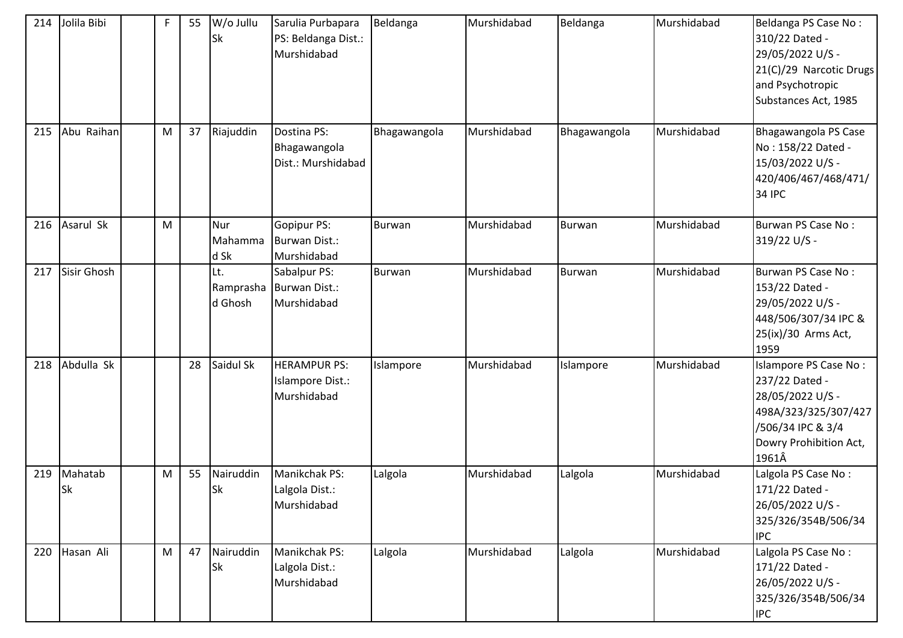| 214 | Jolila Bibi          | F | 55 | W/o Jullu<br>Sk             | Sarulia Purbapara<br>PS: Beldanga Dist.:<br>Murshidabad | Beldanga      | Murshidabad | Beldanga      | Murshidabad | Beldanga PS Case No:<br>310/22 Dated -<br>29/05/2022 U/S -<br>21(C)/29 Narcotic Drugs<br>and Psychotropic<br>Substances Act, 1985           |
|-----|----------------------|---|----|-----------------------------|---------------------------------------------------------|---------------|-------------|---------------|-------------|---------------------------------------------------------------------------------------------------------------------------------------------|
| 215 | Abu Raihan           | M | 37 | Riajuddin                   | Dostina PS:<br>Bhagawangola<br>Dist.: Murshidabad       | Bhagawangola  | Murshidabad | Bhagawangola  | Murshidabad | Bhagawangola PS Case<br>No: 158/22 Dated -<br>15/03/2022 U/S -<br>420/406/467/468/471/<br><b>34 IPC</b>                                     |
| 216 | Asarul Sk            | M |    | Nur<br>Mahamma<br>d Sk      | Gopipur PS:<br><b>Burwan Dist.:</b><br>Murshidabad      | <b>Burwan</b> | Murshidabad | Burwan        | Murshidabad | Burwan PS Case No:<br>319/22 U/S -                                                                                                          |
| 217 | Sisir Ghosh          |   |    | Lt.<br>Ramprasha<br>d Ghosh | Sabalpur PS:<br>Burwan Dist.:<br>Murshidabad            | <b>Burwan</b> | Murshidabad | <b>Burwan</b> | Murshidabad | Burwan PS Case No:<br>153/22 Dated -<br>29/05/2022 U/S -<br>448/506/307/34 IPC &<br>25(ix)/30 Arms Act,<br>1959                             |
| 218 | Abdulla Sk           |   | 28 | Saidul Sk                   | <b>HERAMPUR PS:</b><br>Islampore Dist.:<br>Murshidabad  | Islampore     | Murshidabad | Islampore     | Murshidabad | Islampore PS Case No:<br>237/22 Dated -<br>28/05/2022 U/S -<br>498A/323/325/307/427<br>/506/34 IPC & 3/4<br>Dowry Prohibition Act,<br>1961Â |
| 219 | Mahatab<br><b>Sk</b> | M | 55 | Nairuddin<br>Sk             | Manikchak PS:<br>Lalgola Dist.:<br>Murshidabad          | Lalgola       | Murshidabad | Lalgola       | Murshidabad | Lalgola PS Case No:<br>171/22 Dated -<br>26/05/2022 U/S -<br>325/326/354B/506/34<br><b>IPC</b>                                              |
| 220 | Hasan Ali            | M | 47 | Nairuddin<br><b>Sk</b>      | Manikchak PS:<br>Lalgola Dist.:<br>Murshidabad          | Lalgola       | Murshidabad | Lalgola       | Murshidabad | Lalgola PS Case No:<br>171/22 Dated -<br>26/05/2022 U/S -<br>325/326/354B/506/34<br><b>IPC</b>                                              |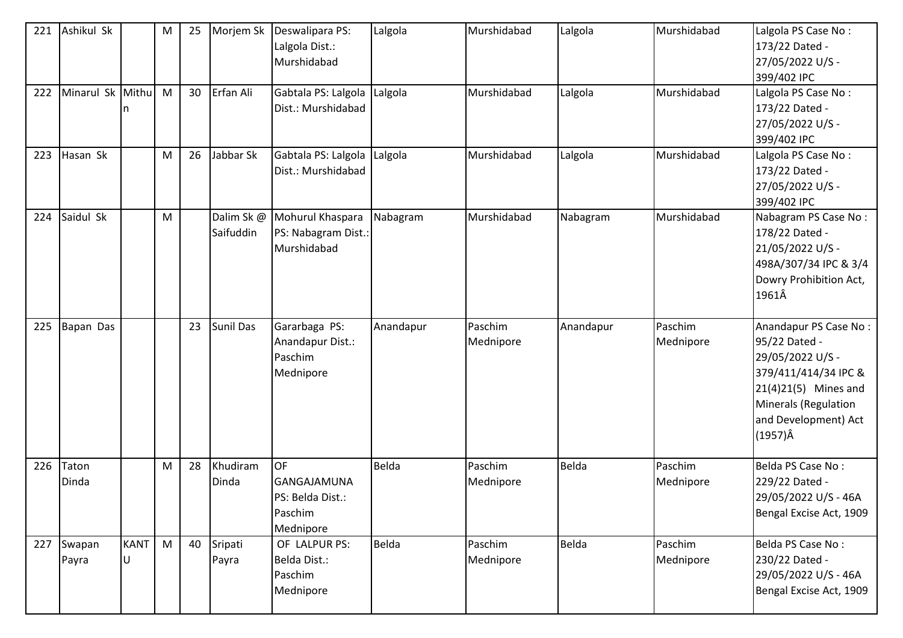| 221 | Ashikul Sk       | M         | 25 | Morjem Sk              | Deswalipara PS:<br>Lalgola Dist.:<br>Murshidabad                            | Lalgola   | Murshidabad          | Lalgola   | Murshidabad          | Lalgola PS Case No:<br>173/22 Dated -<br>27/05/2022 U/S -<br>399/402 IPC                                               |
|-----|------------------|-----------|----|------------------------|-----------------------------------------------------------------------------|-----------|----------------------|-----------|----------------------|------------------------------------------------------------------------------------------------------------------------|
| 222 | Minarul Sk Mithu | M         | 30 | Erfan Ali              | Gabtala PS: Lalgola<br>Dist.: Murshidabad                                   | Lalgola   | Murshidabad          | Lalgola   | Murshidabad          | Lalgola PS Case No:<br>173/22 Dated -<br>27/05/2022 U/S -<br>399/402 IPC                                               |
| 223 | Hasan Sk         | M         | 26 | Jabbar Sk              | Gabtala PS: Lalgola<br>Dist.: Murshidabad                                   | Lalgola   | Murshidabad          | Lalgola   | Murshidabad          | Lalgola PS Case No:<br>173/22 Dated -<br>27/05/2022 U/S -<br>399/402 IPC                                               |
| 224 | Saidul Sk        | ${\sf M}$ |    | Dalim Sk@<br>Saifuddin | Mohurul Khaspara<br>PS: Nabagram Dist.:<br>Murshidabad                      | Nabagram  | Murshidabad          | Nabagram  | Murshidabad          | Nabagram PS Case No:<br>178/22 Dated -<br>21/05/2022 U/S -<br>498A/307/34 IPC & 3/4<br>Dowry Prohibition Act,<br>1961Â |
| 225 | Bapan Das        |           | 23 | Sunil Das              | Gararbaga PS:<br>Anandapur Dist.:<br>Paschim                                | Anandapur | Paschim<br>Mednipore | Anandapur | Paschim<br>Mednipore | Anandapur PS Case No:<br>95/22 Dated -<br>29/05/2022 U/S -                                                             |
|     |                  |           |    |                        | Mednipore                                                                   |           |                      |           |                      | 379/411/414/34 IPC &<br>21(4)21(5) Mines and<br>Minerals (Regulation<br>and Development) Act<br>$(1957)\hat{A}$        |
| 226 | Taton<br>Dinda   | ${\sf M}$ | 28 | Khudiram<br>Dinda      | <b>OF</b><br><b>GANGAJAMUNA</b><br>PS: Belda Dist.:<br>Paschim<br>Mednipore | Belda     | Paschim<br>Mednipore | Belda     | Paschim<br>Mednipore | Belda PS Case No:<br>229/22 Dated -<br>29/05/2022 U/S - 46A<br>Bengal Excise Act, 1909                                 |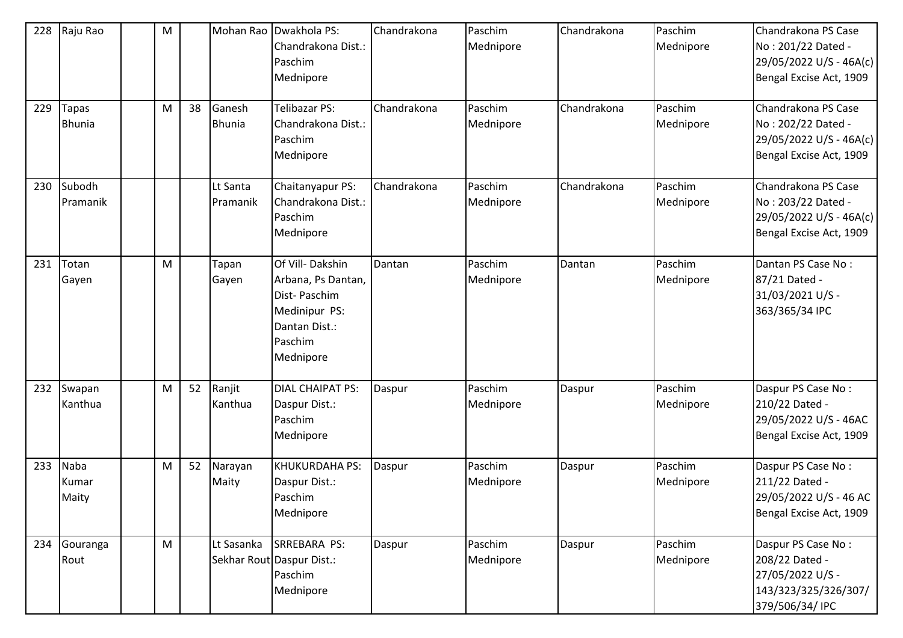| 228<br>229 | Raju Rao<br><b>Tapas</b><br><b>Bhunia</b> | M<br>M | 38 | Ganesh<br><b>Bhunia</b> | Mohan Rao Dwakhola PS:<br>Chandrakona Dist.:<br>Paschim<br>Mednipore<br>Telibazar PS:<br>Chandrakona Dist.:<br>Paschim<br>Mednipore | Chandrakona<br>Chandrakona | Paschim<br>Mednipore<br>Paschim<br>Mednipore | Chandrakona<br>Chandrakona | Paschim<br>Mednipore<br>Paschim<br>Mednipore | Chandrakona PS Case<br>No: 201/22 Dated -<br>29/05/2022 U/S - 46A(c)<br>Bengal Excise Act, 1909<br>Chandrakona PS Case<br>No: 202/22 Dated -<br>29/05/2022 U/S - 46A(c)<br>Bengal Excise Act, 1909 |
|------------|-------------------------------------------|--------|----|-------------------------|-------------------------------------------------------------------------------------------------------------------------------------|----------------------------|----------------------------------------------|----------------------------|----------------------------------------------|----------------------------------------------------------------------------------------------------------------------------------------------------------------------------------------------------|
| 230        | Subodh<br>Pramanik                        |        |    | Lt Santa<br>Pramanik    | Chaitanyapur PS:<br>Chandrakona Dist.:<br>Paschim<br>Mednipore                                                                      | Chandrakona                | Paschim<br>Mednipore                         | Chandrakona                | Paschim<br>Mednipore                         | Chandrakona PS Case<br>No: 203/22 Dated -<br>29/05/2022 U/S - 46A(c)<br>Bengal Excise Act, 1909                                                                                                    |
| 231        | Totan<br>Gayen                            | M      |    | Tapan<br>Gayen          | Of Vill-Dakshin<br>Arbana, Ps Dantan,<br>Dist-Paschim<br>Medinipur PS:<br>Dantan Dist.:<br>Paschim<br>Mednipore                     | Dantan                     | Paschim<br>Mednipore                         | Dantan                     | Paschim<br>Mednipore                         | Dantan PS Case No:<br>87/21 Dated -<br>31/03/2021 U/S -<br>363/365/34 IPC                                                                                                                          |
| 232        | Swapan<br>Kanthua                         | M      | 52 | Ranjit<br>Kanthua       | <b>DIAL CHAIPAT PS:</b><br>Daspur Dist.:<br>Paschim<br>Mednipore                                                                    | Daspur                     | Paschim<br>Mednipore                         | Daspur                     | Paschim<br>Mednipore                         | Daspur PS Case No:<br>210/22 Dated -<br>29/05/2022 U/S - 46AC<br>Bengal Excise Act, 1909                                                                                                           |
| 233        | Naba<br>Kumar<br>Maity                    | M      | 52 | Narayan<br>Maity        | KHUKURDAHA PS:<br>Daspur Dist.:<br>Paschim<br>Mednipore                                                                             | Daspur                     | Paschim<br>Mednipore                         | Daspur                     | Paschim<br>Mednipore                         | Daspur PS Case No:<br>211/22 Dated -<br>29/05/2022 U/S - 46 AC<br>Bengal Excise Act, 1909                                                                                                          |
| 234        | Gouranga<br>Rout                          | M      |    | Lt Sasanka              | SRREBARA PS:<br>Sekhar Rout Daspur Dist.:<br>Paschim<br>Mednipore                                                                   | Daspur                     | Paschim<br>Mednipore                         | Daspur                     | Paschim<br>Mednipore                         | Daspur PS Case No:<br>208/22 Dated -<br>27/05/2022 U/S -<br>143/323/325/326/307/<br>379/506/34/ IPC                                                                                                |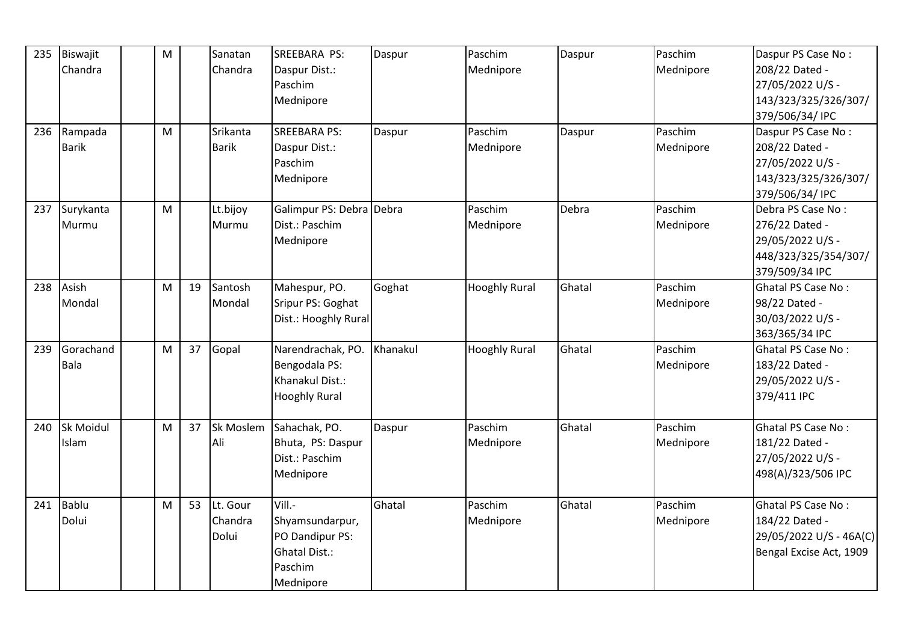| 235 | Biswajit     | ${\sf M}$ |    | Sanatan      | SREEBARA PS:             | Daspur   | Paschim              | Daspur | Paschim   | Daspur PS Case No:        |
|-----|--------------|-----------|----|--------------|--------------------------|----------|----------------------|--------|-----------|---------------------------|
|     |              |           |    |              |                          |          |                      |        |           |                           |
|     | Chandra      |           |    | Chandra      | Daspur Dist.:            |          | Mednipore            |        | Mednipore | 208/22 Dated -            |
|     |              |           |    |              | Paschim                  |          |                      |        |           | 27/05/2022 U/S -          |
|     |              |           |    |              | Mednipore                |          |                      |        |           | 143/323/325/326/307/      |
|     |              |           |    |              |                          |          |                      |        |           | 379/506/34/ IPC           |
| 236 | Rampada      | M         |    | Srikanta     | <b>SREEBARA PS:</b>      | Daspur   | Paschim              | Daspur | Paschim   | Daspur PS Case No:        |
|     | <b>Barik</b> |           |    | <b>Barik</b> | Daspur Dist.:            |          | Mednipore            |        | Mednipore | 208/22 Dated -            |
|     |              |           |    |              | Paschim                  |          |                      |        |           | 27/05/2022 U/S -          |
|     |              |           |    |              | Mednipore                |          |                      |        |           | 143/323/325/326/307/      |
|     |              |           |    |              |                          |          |                      |        |           | 379/506/34/ IPC           |
| 237 | Surykanta    | M         |    | Lt.bijoy     | Galimpur PS: Debra Debra |          | Paschim              | Debra  | Paschim   | Debra PS Case No:         |
|     | Murmu        |           |    | Murmu        | Dist.: Paschim           |          | Mednipore            |        | Mednipore | 276/22 Dated -            |
|     |              |           |    |              | Mednipore                |          |                      |        |           | 29/05/2022 U/S -          |
|     |              |           |    |              |                          |          |                      |        |           | 448/323/325/354/307/      |
|     |              |           |    |              |                          |          |                      |        |           | 379/509/34 IPC            |
| 238 | Asish        | M         | 19 | Santosh      | Mahespur, PO.            | Goghat   | <b>Hooghly Rural</b> | Ghatal | Paschim   | <b>Ghatal PS Case No:</b> |
|     | Mondal       |           |    | Mondal       | Sripur PS: Goghat        |          |                      |        | Mednipore | 98/22 Dated -             |
|     |              |           |    |              | Dist.: Hooghly Rural     |          |                      |        |           | 30/03/2022 U/S -          |
|     |              |           |    |              |                          |          |                      |        |           | 363/365/34 IPC            |
| 239 | Gorachand    | M         | 37 | Gopal        | Narendrachak, PO.        | Khanakul | <b>Hooghly Rural</b> | Ghatal | Paschim   | Ghatal PS Case No:        |
|     | Bala         |           |    |              | Bengodala PS:            |          |                      |        | Mednipore | 183/22 Dated -            |
|     |              |           |    |              | Khanakul Dist.:          |          |                      |        |           | 29/05/2022 U/S -          |
|     |              |           |    |              | <b>Hooghly Rural</b>     |          |                      |        |           | 379/411 IPC               |
|     |              |           |    |              |                          |          |                      |        |           |                           |
| 240 | Sk Moidul    | M         | 37 | Sk Moslem    | Sahachak, PO.            | Daspur   | Paschim              | Ghatal | Paschim   | <b>Ghatal PS Case No:</b> |
|     | Islam        |           |    | Ali          | Bhuta, PS: Daspur        |          | Mednipore            |        | Mednipore | 181/22 Dated -            |
|     |              |           |    |              | Dist.: Paschim           |          |                      |        |           | 27/05/2022 U/S -          |
|     |              |           |    |              | Mednipore                |          |                      |        |           | 498(A)/323/506 IPC        |
|     |              |           |    |              |                          |          |                      |        |           |                           |
| 241 | Bablu        | M         | 53 | Lt. Gour     | Vill.-                   | Ghatal   | Paschim              | Ghatal | Paschim   | Ghatal PS Case No:        |
|     | Dolui        |           |    | Chandra      | Shyamsundarpur,          |          | Mednipore            |        | Mednipore | 184/22 Dated -            |
|     |              |           |    | Dolui        | PO Dandipur PS:          |          |                      |        |           | 29/05/2022 U/S - 46A(C)   |
|     |              |           |    |              | <b>Ghatal Dist.:</b>     |          |                      |        |           | Bengal Excise Act, 1909   |
|     |              |           |    |              | Paschim                  |          |                      |        |           |                           |
|     |              |           |    |              | Mednipore                |          |                      |        |           |                           |
|     |              |           |    |              |                          |          |                      |        |           |                           |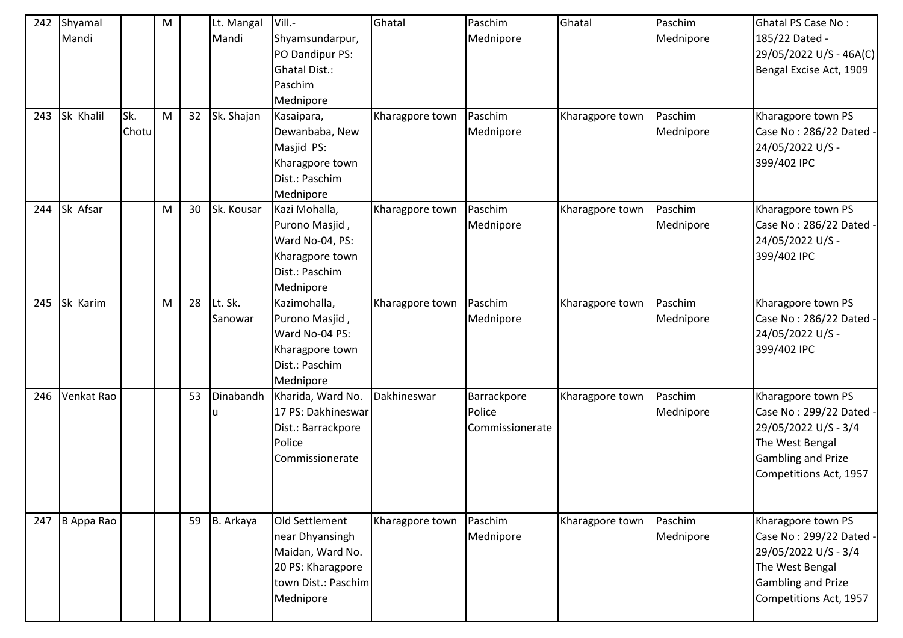| 242<br>243 | Shyamal<br>Mandi<br>Sk Khalil | Sk.   | M<br>M | 32 | Lt. Mangal<br>Mandi | Vill.-<br>Shyamsundarpur,<br>PO Dandipur PS:<br><b>Ghatal Dist.:</b><br>Paschim<br>Mednipore                   | Ghatal          | Paschim<br>Mednipore<br>Paschim          | Ghatal          | Paschim<br>Mednipore<br>Paschim | <b>Ghatal PS Case No:</b><br>185/22 Dated -<br>29/05/2022 U/S - 46A(C)<br>Bengal Excise Act, 1909                                               |
|------------|-------------------------------|-------|--------|----|---------------------|----------------------------------------------------------------------------------------------------------------|-----------------|------------------------------------------|-----------------|---------------------------------|-------------------------------------------------------------------------------------------------------------------------------------------------|
|            |                               | Chotu |        |    | Sk. Shajan          | Kasaipara,<br>Dewanbaba, New<br>Masjid PS:<br>Kharagpore town<br>Dist.: Paschim<br>Mednipore                   | Kharagpore town | Mednipore                                | Kharagpore town | Mednipore                       | Kharagpore town PS<br>Case No: 286/22 Dated -<br>24/05/2022 U/S -<br>399/402 IPC                                                                |
| 244        | Sk Afsar                      |       | M      | 30 | Sk. Kousar          | Kazi Mohalla,<br>Purono Masjid,<br>Ward No-04, PS:<br>Kharagpore town<br>Dist.: Paschim<br>Mednipore           | Kharagpore town | Paschim<br>Mednipore                     | Kharagpore town | Paschim<br>Mednipore            | Kharagpore town PS<br>Case No: 286/22 Dated -<br>24/05/2022 U/S -<br>399/402 IPC                                                                |
| 245        | Sk Karim                      |       | M      | 28 | Lt. Sk.<br>Sanowar  | Kazimohalla,<br>Purono Masjid,<br>Ward No-04 PS:<br>Kharagpore town<br>Dist.: Paschim<br>Mednipore             | Kharagpore town | Paschim<br>Mednipore                     | Kharagpore town | Paschim<br>Mednipore            | Kharagpore town PS<br>Case No: 286/22 Dated -<br>24/05/2022 U/S -<br>399/402 IPC                                                                |
| 246        | Venkat Rao                    |       |        | 53 | Dinabandh<br>u      | Kharida, Ward No.<br>17 PS: Dakhineswar<br>Dist.: Barrackpore<br>Police<br>Commissionerate                     | Dakhineswar     | Barrackpore<br>Police<br>Commissionerate | Kharagpore town | Paschim<br>Mednipore            | Kharagpore town PS<br>Case No: 299/22 Dated -<br>29/05/2022 U/S - 3/4<br>The West Bengal<br><b>Gambling and Prize</b><br>Competitions Act, 1957 |
| 247        | B Appa Rao                    |       |        | 59 | B. Arkaya           | Old Settlement<br>near Dhyansingh<br>Maidan, Ward No.<br>20 PS: Kharagpore<br>town Dist.: Paschim<br>Mednipore | Kharagpore town | Paschim<br>Mednipore                     | Kharagpore town | Paschim<br>Mednipore            | Kharagpore town PS<br>Case No: 299/22 Dated -<br>29/05/2022 U/S - 3/4<br>The West Bengal<br><b>Gambling and Prize</b><br>Competitions Act, 1957 |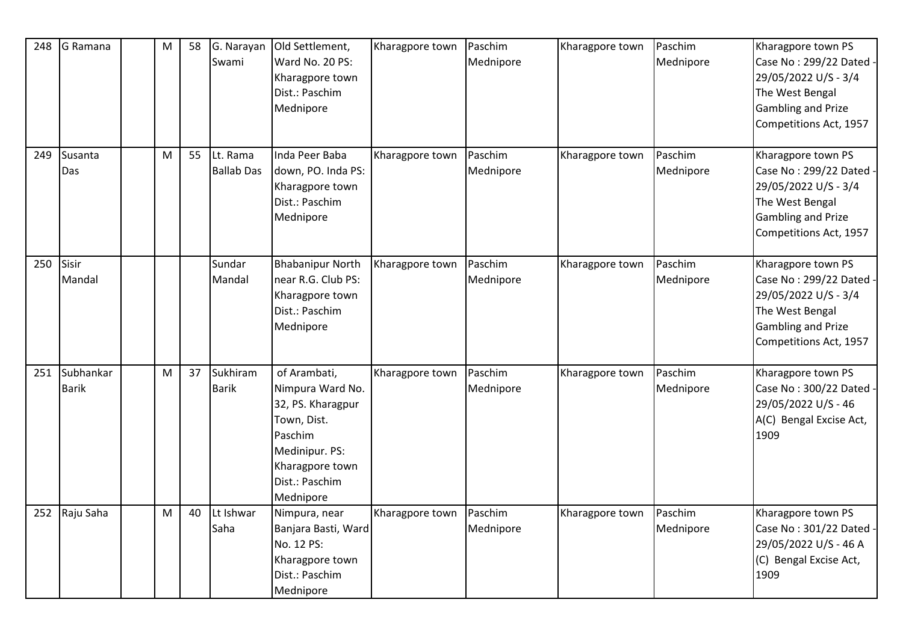| 248 | G Ramana      | M | 58 | G. Narayan        | Old Settlement,         | Kharagpore town | Paschim   | Kharagpore town | Paschim   | Kharagpore town PS        |
|-----|---------------|---|----|-------------------|-------------------------|-----------------|-----------|-----------------|-----------|---------------------------|
|     |               |   |    | Swami             | Ward No. 20 PS:         |                 | Mednipore |                 | Mednipore | Case No: 299/22 Dated     |
|     |               |   |    |                   | Kharagpore town         |                 |           |                 |           | 29/05/2022 U/S - 3/4      |
|     |               |   |    |                   | Dist.: Paschim          |                 |           |                 |           | The West Bengal           |
|     |               |   |    |                   | Mednipore               |                 |           |                 |           | <b>Gambling and Prize</b> |
|     |               |   |    |                   |                         |                 |           |                 |           | Competitions Act, 1957    |
|     |               |   |    |                   |                         |                 |           |                 |           |                           |
| 249 | Susanta       | M | 55 | Lt. Rama          | Inda Peer Baba          | Kharagpore town | Paschim   | Kharagpore town | Paschim   | Kharagpore town PS        |
|     | Das           |   |    | <b>Ballab Das</b> | down, PO. Inda PS:      |                 | Mednipore |                 | Mednipore | Case No: 299/22 Dated -   |
|     |               |   |    |                   | Kharagpore town         |                 |           |                 |           | 29/05/2022 U/S - 3/4      |
|     |               |   |    |                   | Dist.: Paschim          |                 |           |                 |           | The West Bengal           |
|     |               |   |    |                   | Mednipore               |                 |           |                 |           | <b>Gambling and Prize</b> |
|     |               |   |    |                   |                         |                 |           |                 |           | Competitions Act, 1957    |
|     |               |   |    |                   |                         |                 |           |                 |           |                           |
| 250 | Sisir         |   |    | Sundar            | <b>Bhabanipur North</b> | Kharagpore town | Paschim   | Kharagpore town | Paschim   | Kharagpore town PS        |
|     | Mandal        |   |    | Mandal            | near R.G. Club PS:      |                 | Mednipore |                 | Mednipore | Case No: 299/22 Dated     |
|     |               |   |    |                   | Kharagpore town         |                 |           |                 |           | 29/05/2022 U/S - 3/4      |
|     |               |   |    |                   | Dist.: Paschim          |                 |           |                 |           | The West Bengal           |
|     |               |   |    |                   | Mednipore               |                 |           |                 |           | <b>Gambling and Prize</b> |
|     |               |   |    |                   |                         |                 |           |                 |           | Competitions Act, 1957    |
|     |               |   |    |                   |                         |                 |           |                 |           |                           |
| 251 | Subhankar     | M | 37 | Sukhiram          | of Arambati,            | Kharagpore town | Paschim   | Kharagpore town | Paschim   | Kharagpore town PS        |
|     | <b>Barik</b>  |   |    | <b>Barik</b>      | Nimpura Ward No.        |                 | Mednipore |                 | Mednipore | Case No: 300/22 Dated     |
|     |               |   |    |                   | 32, PS. Kharagpur       |                 |           |                 |           | 29/05/2022 U/S - 46       |
|     |               |   |    |                   | Town, Dist.             |                 |           |                 |           | A(C) Bengal Excise Act,   |
|     |               |   |    |                   | Paschim                 |                 |           |                 |           | 1909                      |
|     |               |   |    |                   | Medinipur. PS:          |                 |           |                 |           |                           |
|     |               |   |    |                   | Kharagpore town         |                 |           |                 |           |                           |
|     |               |   |    |                   | Dist.: Paschim          |                 |           |                 |           |                           |
|     |               |   |    |                   | Mednipore               |                 |           |                 |           |                           |
|     | 252 Raju Saha | M | 40 | Lt Ishwar         | Nimpura, near           | Kharagpore town | Paschim   | Kharagpore town | Paschim   | Kharagpore town PS        |
|     |               |   |    | Saha              | Banjara Basti, Ward     |                 | Mednipore |                 | Mednipore | Case No: 301/22 Dated -   |
|     |               |   |    |                   | No. 12 PS:              |                 |           |                 |           | 29/05/2022 U/S - 46 A     |
|     |               |   |    |                   | Kharagpore town         |                 |           |                 |           | (C) Bengal Excise Act,    |
|     |               |   |    |                   | Dist.: Paschim          |                 |           |                 |           | 1909                      |
|     |               |   |    |                   | Mednipore               |                 |           |                 |           |                           |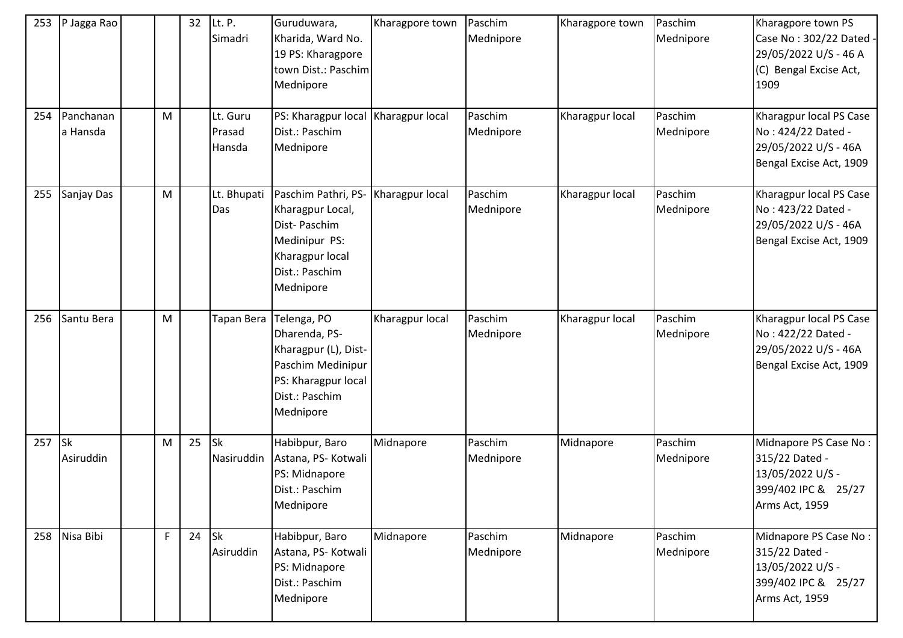| 253 | P Jagga Rao            |    | 32 | Lt. P.<br>Simadri            | Guruduwara,<br>Kharida, Ward No.<br>19 PS: Kharagpore<br>town Dist.: Paschim<br>Mednipore                                       | Kharagpore town | Paschim<br>Mednipore | Kharagpore town | Paschim<br>Mednipore | Kharagpore town PS<br>Case No: 302/22 Dated -<br>29/05/2022 U/S - 46 A<br>(C) Bengal Excise Act,<br>1909 |
|-----|------------------------|----|----|------------------------------|---------------------------------------------------------------------------------------------------------------------------------|-----------------|----------------------|-----------------|----------------------|----------------------------------------------------------------------------------------------------------|
| 254 | Panchanan<br>a Hansda  | M  |    | Lt. Guru<br>Prasad<br>Hansda | PS: Kharagpur local   Kharagpur local<br>Dist.: Paschim<br>Mednipore                                                            |                 | Paschim<br>Mednipore | Kharagpur local | Paschim<br>Mednipore | Kharagpur local PS Case<br>No: 424/22 Dated -<br>29/05/2022 U/S - 46A<br>Bengal Excise Act, 1909         |
| 255 | Sanjay Das             | M  |    | Lt. Bhupati<br>Das           | Paschim Pathri, PS-<br>Kharagpur Local,<br>Dist-Paschim<br>Medinipur PS:<br>Kharagpur local<br>Dist.: Paschim<br>Mednipore      | Kharagpur local | Paschim<br>Mednipore | Kharagpur local | Paschim<br>Mednipore | Kharagpur local PS Case<br>No: 423/22 Dated -<br>29/05/2022 U/S - 46A<br>Bengal Excise Act, 1909         |
| 256 | Santu Bera             | M  |    | Tapan Bera                   | Telenga, PO<br>Dharenda, PS-<br>Kharagpur (L), Dist-<br>Paschim Medinipur<br>PS: Kharagpur local<br>Dist.: Paschim<br>Mednipore | Kharagpur local | Paschim<br>Mednipore | Kharagpur local | Paschim<br>Mednipore | Kharagpur local PS Case<br>No: 422/22 Dated -<br>29/05/2022 U/S - 46A<br>Bengal Excise Act, 1909         |
| 257 | <b>Sk</b><br>Asiruddin | M  | 25 | <b>Sk</b><br>Nasiruddin      | Habibpur, Baro<br>Astana, PS- Kotwali<br>PS: Midnapore<br>Dist.: Paschim<br>Mednipore                                           | Midnapore       | Paschim<br>Mednipore | Midnapore       | Paschim<br>Mednipore | Midnapore PS Case No:<br>315/22 Dated -<br>13/05/2022 U/S -<br>399/402 IPC & 25/27<br>Arms Act, 1959     |
| 258 | Nisa Bibi              | F. | 24 | <b>Sk</b><br>Asiruddin       | Habibpur, Baro<br>Astana, PS- Kotwali<br>PS: Midnapore<br>Dist.: Paschim<br>Mednipore                                           | Midnapore       | Paschim<br>Mednipore | Midnapore       | Paschim<br>Mednipore | Midnapore PS Case No:<br>315/22 Dated -<br>13/05/2022 U/S -<br>399/402 IPC & 25/27<br>Arms Act, 1959     |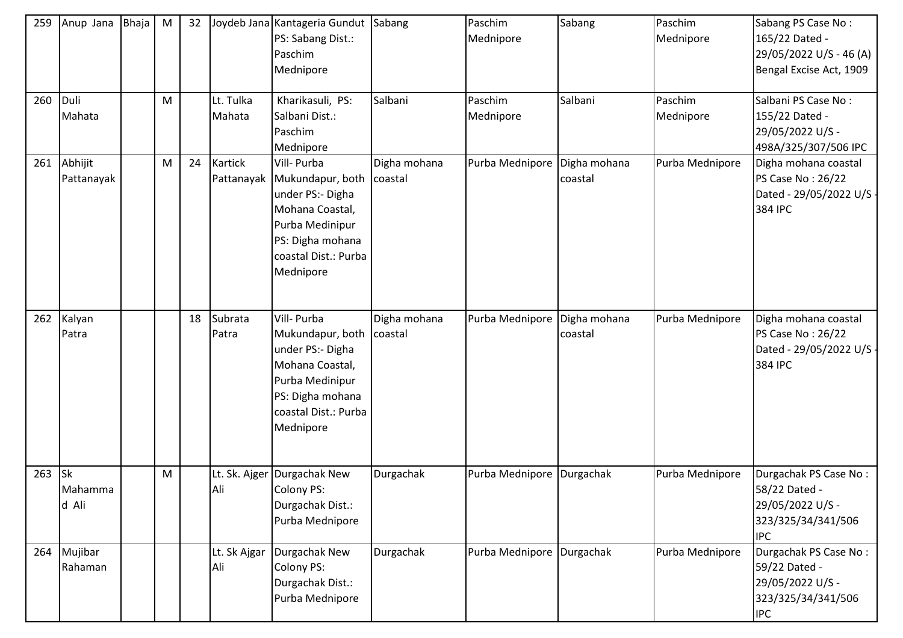| 259 | Anup Jana                          | <b>Bhaja</b> | M         | 32 |                       | Joydeb Jana Kantageria Gundut Sabang<br>PS: Sabang Dist.:<br>Paschim<br>Mednipore                                                                  |                         | Paschim<br>Mednipore      | Sabang                  | Paschim<br>Mednipore | Sabang PS Case No:<br>165/22 Dated -<br>29/05/2022 U/S - 46 (A)<br>Bengal Excise Act, 1909     |
|-----|------------------------------------|--------------|-----------|----|-----------------------|----------------------------------------------------------------------------------------------------------------------------------------------------|-------------------------|---------------------------|-------------------------|----------------------|------------------------------------------------------------------------------------------------|
| 260 | Duli<br>Mahata                     |              | M         |    | Lt. Tulka<br>Mahata   | Kharikasuli, PS:<br>Salbani Dist.:<br>Paschim<br>Mednipore                                                                                         | Salbani                 | Paschim<br>Mednipore      | Salbani                 | Paschim<br>Mednipore | Salbani PS Case No:<br>155/22 Dated -<br>29/05/2022 U/S -<br>498A/325/307/506 IPC              |
| 261 | Abhijit<br>Pattanayak              |              | M         | 24 | Kartick<br>Pattanayak | Vill- Purba<br>Mukundapur, both<br>under PS:- Digha<br>Mohana Coastal,<br>Purba Medinipur<br>PS: Digha mohana<br>coastal Dist.: Purba<br>Mednipore | Digha mohana<br>coastal | Purba Mednipore           | Digha mohana<br>coastal | Purba Mednipore      | Digha mohana coastal<br>PS Case No: 26/22<br>Dated - 29/05/2022 U/S<br>384 IPC                 |
| 262 | Kalyan<br>Patra                    |              |           | 18 | Subrata<br>Patra      | Vill- Purba<br>Mukundapur, both<br>under PS:- Digha<br>Mohana Coastal,<br>Purba Medinipur<br>PS: Digha mohana<br>coastal Dist.: Purba<br>Mednipore | Digha mohana<br>coastal | Purba Mednipore           | Digha mohana<br>coastal | Purba Mednipore      | Digha mohana coastal<br>PS Case No: 26/22<br>Dated - 29/05/2022 U/S -<br>384 IPC               |
| 263 | $\mathsf{lsk}$<br>Mahamma<br>d Ali |              | ${\sf M}$ |    | Ali                   | Lt. Sk. Ajger Durgachak New<br>Colony PS:<br>Durgachak Dist.:<br>Purba Mednipore                                                                   | Durgachak               | Purba Mednipore Durgachak |                         | Purba Mednipore      | Durgachak PS Case No:<br>58/22 Dated -<br>29/05/2022 U/S -<br>323/325/34/341/506<br><b>IPC</b> |
| 264 | Mujibar<br>Rahaman                 |              |           |    | Lt. Sk Ajgar<br>Ali   | Durgachak New<br>Colony PS:<br>Durgachak Dist.:<br>Purba Mednipore                                                                                 | Durgachak               | Purba Mednipore           | Durgachak               | Purba Mednipore      | Durgachak PS Case No:<br>59/22 Dated -<br>29/05/2022 U/S -<br>323/325/34/341/506<br><b>IPC</b> |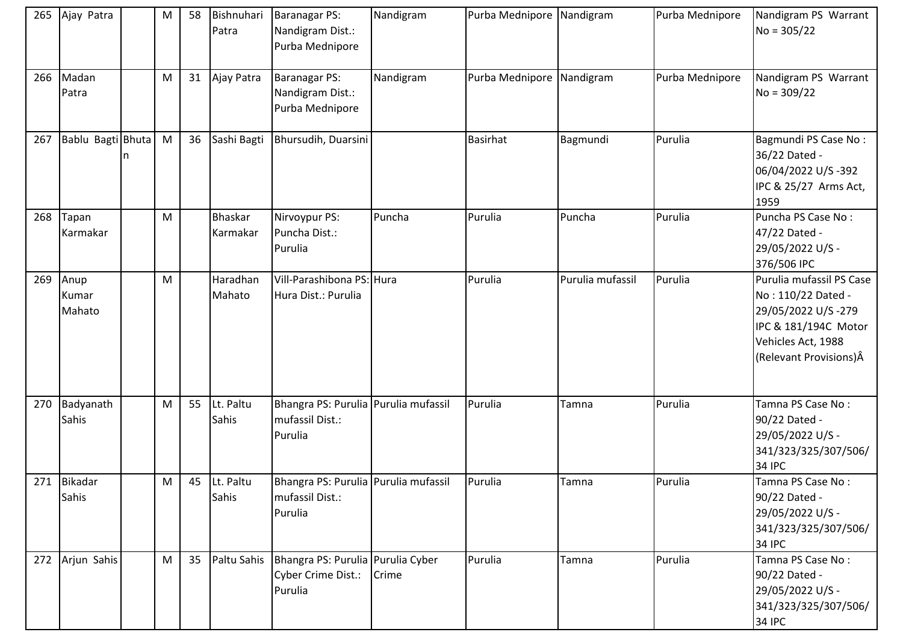| 265 | Ajay Patra              | M | 58 | Bishnuhari<br>Patra        | Baranagar PS:<br>Nandigram Dist.:<br>Purba Mednipore                 | Nandigram | Purba Mednipore Nandigram |                  | Purba Mednipore | Nandigram PS Warrant<br>$No = 305/22$                                                                                                         |
|-----|-------------------------|---|----|----------------------------|----------------------------------------------------------------------|-----------|---------------------------|------------------|-----------------|-----------------------------------------------------------------------------------------------------------------------------------------------|
| 266 | Madan<br>Patra          | M | 31 | Ajay Patra                 | <b>Baranagar PS:</b><br>Nandigram Dist.:<br>Purba Mednipore          | Nandigram | Purba Mednipore Nandigram |                  | Purba Mednipore | Nandigram PS Warrant<br>$No = 309/22$                                                                                                         |
| 267 | Bablu Bagti Bhuta       | M | 36 | Sashi Bagti                | Bhursudih, Duarsini                                                  |           | Basirhat                  | Bagmundi         | Purulia         | Bagmundi PS Case No:<br>36/22 Dated -<br>06/04/2022 U/S-392<br>IPC & 25/27 Arms Act,<br>1959                                                  |
| 268 | Tapan<br>Karmakar       | M |    | <b>Bhaskar</b><br>Karmakar | Nirvoypur PS:<br>Puncha Dist.:<br>Purulia                            | Puncha    | Purulia                   | Puncha           | Purulia         | Puncha PS Case No:<br>47/22 Dated -<br>29/05/2022 U/S -<br>376/506 IPC                                                                        |
| 269 | Anup<br>Kumar<br>Mahato | M |    | Haradhan<br>Mahato         | Vill-Parashibona PS: Hura<br>Hura Dist.: Purulia                     |           | Purulia                   | Purulia mufassil | Purulia         | Purulia mufassil PS Case<br>No: 110/22 Dated -<br>29/05/2022 U/S-279<br>IPC & 181/194C Motor<br>Vehicles Act, 1988<br>(Relevant Provisions) Â |
| 270 | Badyanath<br>Sahis      | M | 55 | Lt. Paltu<br>Sahis         | Bhangra PS: Purulia Purulia mufassil<br>mufassil Dist.:<br>Purulia   |           | Purulia                   | Tamna            | Purulia         | Tamna PS Case No:<br>90/22 Dated -<br>29/05/2022 U/S -<br>341/323/325/307/506/<br>34 IPC                                                      |
|     | 271 Bikadar<br>Sahis    | M |    | 45 Lt. Paltu<br>Sahis      | Bhangra PS: Purulia Purulia mufassil<br>mufassil Dist.:<br>Purulia   |           | Purulia                   | Tamna            | Purulia         | Tamna PS Case No:<br>90/22 Dated -<br>29/05/2022 U/S -<br>341/323/325/307/506/<br><b>34 IPC</b>                                               |
|     | 272 Arjun Sahis         | M | 35 | Paltu Sahis                | Bhangra PS: Purulia   Purulia Cyber<br>Cyber Crime Dist.:<br>Purulia | Crime     | Purulia                   | Tamna            | Purulia         | Tamna PS Case No:<br>90/22 Dated -<br>29/05/2022 U/S -<br>341/323/325/307/506/<br><b>34 IPC</b>                                               |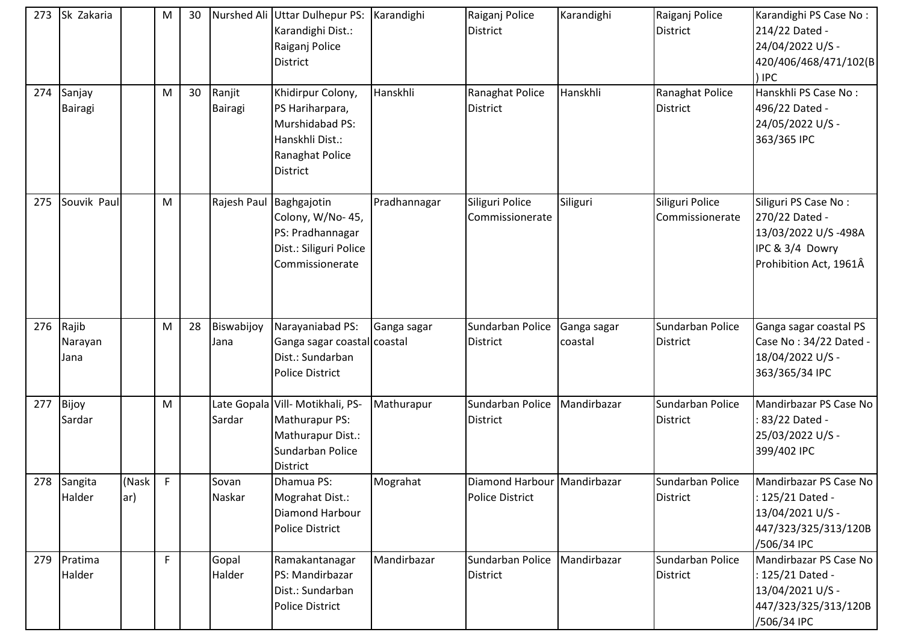| 273 | Sk Zakaria               |              | M            | 30 |                          | Nurshed Ali Uttar Dulhepur PS: Karandighi<br>Karandighi Dist.:<br>Raiganj Police<br>District                   |              | Raiganj Police<br>District                            | Karandighi             | Raiganj Police<br><b>District</b>   | Karandighi PS Case No:<br>214/22 Dated -<br>24/04/2022 U/S -<br>420/406/468/471/102(B<br>) IPC             |
|-----|--------------------------|--------------|--------------|----|--------------------------|----------------------------------------------------------------------------------------------------------------|--------------|-------------------------------------------------------|------------------------|-------------------------------------|------------------------------------------------------------------------------------------------------------|
| 274 | Sanjay<br><b>Bairagi</b> |              | M            | 30 | Ranjit<br><b>Bairagi</b> | Khidirpur Colony,<br>PS Hariharpara,<br>Murshidabad PS:<br>Hanskhli Dist.:<br>Ranaghat Police<br>District      | Hanskhli     | Ranaghat Police<br>District                           | Hanskhli               | Ranaghat Police<br><b>District</b>  | Hanskhli PS Case No:<br>496/22 Dated -<br>24/05/2022 U/S -<br>363/365 IPC                                  |
| 275 | Souvik Paul              |              | M            |    | Rajesh Paul              | Baghgajotin<br>Colony, W/No-45,<br>PS: Pradhannagar<br>Dist.: Siliguri Police<br>Commissionerate               | Pradhannagar | Siliguri Police<br>Commissionerate                    | Siliguri               | Siliguri Police<br>Commissionerate  | Siliguri PS Case No:<br>270/22 Dated -<br>13/03/2022 U/S-498A<br>IPC & 3/4 Dowry<br>Prohibition Act, 1961Â |
| 276 | Rajib<br>Narayan<br>Jana |              | M            | 28 | Biswabijoy<br>Jana       | Narayaniabad PS:<br>Ganga sagar coastal coastal<br>Dist.: Sundarban<br><b>Police District</b>                  | Ganga sagar  | Sundarban Police<br>District                          | Ganga sagar<br>coastal | Sundarban Police<br><b>District</b> | Ganga sagar coastal PS<br>Case No: 34/22 Dated -<br>18/04/2022 U/S -<br>363/365/34 IPC                     |
| 277 | Bijoy<br>Sardar          |              | M            |    | Sardar                   | Late Gopala Vill- Motikhali, PS-<br>Mathurapur PS:<br>Mathurapur Dist.:<br>Sundarban Police<br><b>District</b> | Mathurapur   | Sundarban Police<br>District                          | Mandirbazar            | Sundarban Police<br>District        | Mandirbazar PS Case No<br>83/22 Dated -<br>25/03/2022 U/S -<br>399/402 IPC                                 |
|     | 278 Sangita<br>Halder    | (Nask<br>ar) | F            |    | Sovan<br>Naskar          | Dhamua PS:<br>Mograhat Dist.:<br>Diamond Harbour<br><b>Police District</b>                                     | Mograhat     | Diamond Harbour Mandirbazar<br><b>Police District</b> |                        | Sundarban Police<br><b>District</b> | Mandirbazar PS Case No<br>125/21 Dated -<br>13/04/2021 U/S -<br>447/323/325/313/120B<br>/506/34 IPC        |
| 279 | Pratima<br>Halder        |              | $\mathsf{F}$ |    | Gopal<br>Halder          | Ramakantanagar<br>PS: Mandirbazar<br>Dist.: Sundarban<br>Police District                                       | Mandirbazar  | Sundarban Police<br>District                          | Mandirbazar            | Sundarban Police<br><b>District</b> | Mandirbazar PS Case No<br>: 125/21 Dated -<br>13/04/2021 U/S -<br>447/323/325/313/120B<br>/506/34 IPC      |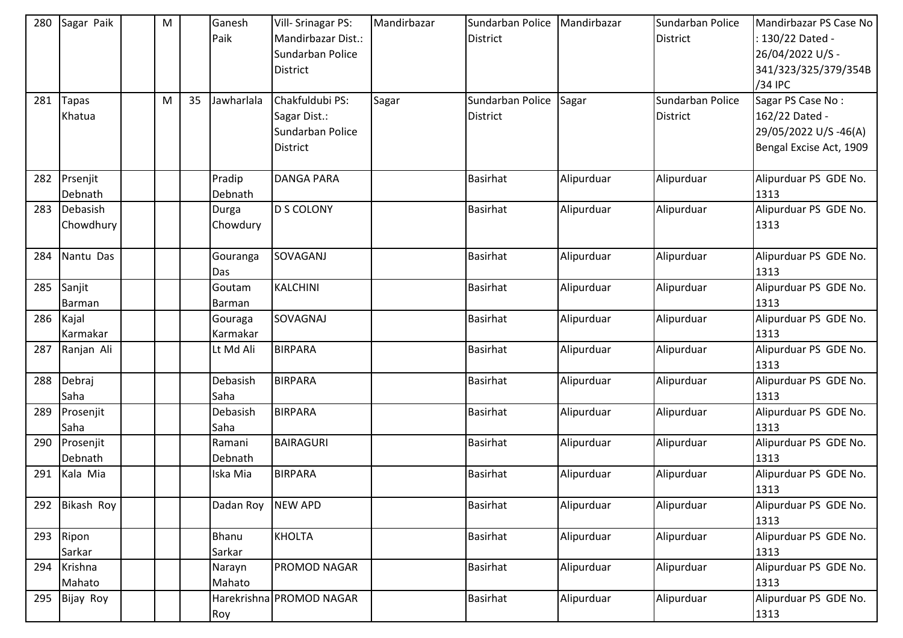| 280 | Sagar Paik | M |    | Ganesh       | Vill- Srinagar PS:       | Mandirbazar | Sundarban Police | Mandirbazar | Sundarban Police | Mandirbazar PS Case No        |
|-----|------------|---|----|--------------|--------------------------|-------------|------------------|-------------|------------------|-------------------------------|
|     |            |   |    | Paik         | Mandirbazar Dist.:       |             | <b>District</b>  |             | <b>District</b>  | : 130/22 Dated -              |
|     |            |   |    |              | Sundarban Police         |             |                  |             |                  | 26/04/2022 U/S -              |
|     |            |   |    |              | <b>District</b>          |             |                  |             |                  | 341/323/325/379/354B          |
|     |            |   |    |              |                          |             |                  |             |                  | /34 IPC                       |
| 281 | Tapas      | M | 35 | Jawharlala   | Chakfuldubi PS:          | Sagar       | Sundarban Police | Sagar       | Sundarban Police | Sagar PS Case No:             |
|     | Khatua     |   |    |              | Sagar Dist.:             |             | <b>District</b>  |             | <b>District</b>  | 162/22 Dated -                |
|     |            |   |    |              | Sundarban Police         |             |                  |             |                  | 29/05/2022 U/S-46(A)          |
|     |            |   |    |              | <b>District</b>          |             |                  |             |                  | Bengal Excise Act, 1909       |
|     |            |   |    |              |                          |             |                  |             |                  |                               |
| 282 | Prsenjit   |   |    | Pradip       | <b>DANGA PARA</b>        |             | Basirhat         | Alipurduar  | Alipurduar       | Alipurduar PS GDE No.         |
|     | Debnath    |   |    | Debnath      |                          |             |                  |             |                  | 1313                          |
| 283 | Debasish   |   |    | Durga        | D S COLONY               |             | Basirhat         | Alipurduar  | Alipurduar       | Alipurduar PS GDE No.         |
|     | Chowdhury  |   |    | Chowdury     |                          |             |                  |             |                  | 1313                          |
|     |            |   |    |              |                          |             |                  |             |                  |                               |
| 284 | Nantu Das  |   |    | Gouranga     | SOVAGANJ                 |             | Basirhat         | Alipurduar  | Alipurduar       | Alipurduar PS GDE No.         |
|     |            |   |    | Das          |                          |             |                  |             |                  | 1313                          |
| 285 | Sanjit     |   |    | Goutam       | KALCHINI                 |             | <b>Basirhat</b>  | Alipurduar  | Alipurduar       | Alipurduar PS GDE No.         |
|     | Barman     |   |    | Barman       |                          |             |                  |             |                  | 1313                          |
| 286 | Kajal      |   |    | Gouraga      | SOVAGNAJ                 |             | Basirhat         | Alipurduar  | Alipurduar       | Alipurduar PS GDE No.         |
|     | Karmakar   |   |    | Karmakar     |                          |             |                  |             |                  | 1313                          |
| 287 | Ranjan Ali |   |    | Lt Md Ali    | <b>BIRPARA</b>           |             | Basirhat         | Alipurduar  | Alipurduar       | Alipurduar PS GDE No.         |
|     |            |   |    |              |                          |             |                  |             |                  | 1313                          |
| 288 | Debraj     |   |    | Debasish     | <b>BIRPARA</b>           |             | <b>Basirhat</b>  | Alipurduar  | Alipurduar       | Alipurduar PS GDE No.         |
|     | Saha       |   |    | Saha         |                          |             |                  |             |                  | 1313                          |
| 289 | Prosenjit  |   |    | Debasish     | <b>BIRPARA</b>           |             | <b>Basirhat</b>  | Alipurduar  | Alipurduar       | Alipurduar PS GDE No.         |
|     | Saha       |   |    | Saha         |                          |             |                  |             |                  | 1313                          |
| 290 | Prosenjit  |   |    | Ramani       | <b>BAIRAGURI</b>         |             | <b>Basirhat</b>  | Alipurduar  | Alipurduar       | Alipurduar PS GDE No.         |
|     | Debnath    |   |    | Debnath      |                          |             |                  |             |                  | 1313                          |
| 291 | Kala Mia   |   |    | Iska Mia     | <b>BIRPARA</b>           |             | <b>Basirhat</b>  | Alipurduar  | Alipurduar       | Alipurduar PS GDE No.         |
|     |            |   |    |              |                          |             |                  |             |                  | 1313                          |
| 292 | Bikash Roy |   |    | Dadan Roy    | <b>NEW APD</b>           |             | Basirhat         | Alipurduar  | Alipurduar       | Alipurduar PS GDE No.         |
|     |            |   |    |              |                          |             |                  |             |                  | 1313                          |
| 293 | Ripon      |   |    | <b>Bhanu</b> | <b>KHOLTA</b>            |             | <b>Basirhat</b>  | Alipurduar  | Alipurduar       | Alipurduar PS GDE No.         |
|     | Sarkar     |   |    | Sarkar       |                          |             |                  |             |                  | 1313                          |
| 294 | Krishna    |   |    | Narayn       | <b>PROMOD NAGAR</b>      |             | <b>Basirhat</b>  | Alipurduar  | Alipurduar       | Alipurduar PS GDE No.         |
|     | Mahato     |   |    | Mahato       |                          |             |                  |             |                  | 1313<br>Alipurduar PS GDE No. |
| 295 | Bijay Roy  |   |    |              | Harekrishna PROMOD NAGAR |             | <b>Basirhat</b>  | Alipurduar  | Alipurduar       |                               |
|     |            |   |    | Roy          |                          |             |                  |             |                  | 1313                          |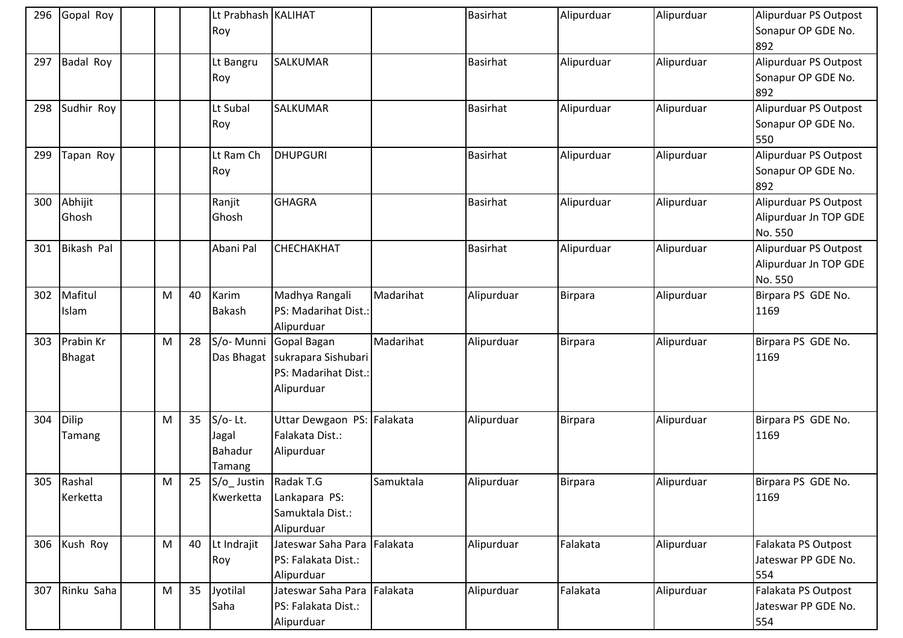| 296 | Gopal Roy        |           |    | Lt Prabhash KALIHAT |                             |           | Basirhat        | Alipurduar     | Alipurduar | Alipurduar PS Outpost |
|-----|------------------|-----------|----|---------------------|-----------------------------|-----------|-----------------|----------------|------------|-----------------------|
|     |                  |           |    | Roy                 |                             |           |                 |                |            | Sonapur OP GDE No.    |
|     |                  |           |    |                     |                             |           |                 |                |            | 892                   |
| 297 | <b>Badal Roy</b> |           |    | Lt Bangru           | <b>SALKUMAR</b>             |           | <b>Basirhat</b> | Alipurduar     | Alipurduar | Alipurduar PS Outpost |
|     |                  |           |    | Roy                 |                             |           |                 |                |            | Sonapur OP GDE No.    |
|     |                  |           |    |                     |                             |           |                 |                |            | 892                   |
| 298 | Sudhir Roy       |           |    | Lt Subal            | <b>SALKUMAR</b>             |           | <b>Basirhat</b> | Alipurduar     | Alipurduar | Alipurduar PS Outpost |
|     |                  |           |    | Roy                 |                             |           |                 |                |            | Sonapur OP GDE No.    |
|     |                  |           |    |                     |                             |           |                 |                |            | 550                   |
| 299 | Tapan Roy        |           |    | Lt Ram Ch           | <b>DHUPGURI</b>             |           | Basirhat        | Alipurduar     | Alipurduar | Alipurduar PS Outpost |
|     |                  |           |    | Roy                 |                             |           |                 |                |            | Sonapur OP GDE No.    |
|     |                  |           |    |                     |                             |           |                 |                |            | 892                   |
| 300 | Abhijit          |           |    | Ranjit              | <b>GHAGRA</b>               |           | <b>Basirhat</b> | Alipurduar     | Alipurduar | Alipurduar PS Outpost |
|     | Ghosh            |           |    | Ghosh               |                             |           |                 |                |            | Alipurduar Jn TOP GDE |
|     |                  |           |    |                     |                             |           |                 |                |            | No. 550               |
| 301 | Bikash Pal       |           |    | Abani Pal           | <b>СНЕСНАКНАТ</b>           |           | <b>Basirhat</b> | Alipurduar     | Alipurduar | Alipurduar PS Outpost |
|     |                  |           |    |                     |                             |           |                 |                |            | Alipurduar Jn TOP GDE |
|     |                  |           |    |                     |                             |           |                 |                |            | No. 550               |
| 302 | Mafitul          | M         | 40 | Karim               | Madhya Rangali              | Madarihat | Alipurduar      | <b>Birpara</b> | Alipurduar | Birpara PS GDE No.    |
|     | Islam            |           |    | Bakash              | PS: Madarihat Dist.:        |           |                 |                |            | 1169                  |
|     |                  |           |    |                     | Alipurduar                  |           |                 |                |            |                       |
| 303 | Prabin Kr        | M         | 28 | S/o-Munni           | Gopal Bagan                 | Madarihat | Alipurduar      | Birpara        | Alipurduar | Birpara PS GDE No.    |
|     | <b>Bhagat</b>    |           |    | Das Bhagat          | sukrapara Sishubari         |           |                 |                |            | 1169                  |
|     |                  |           |    |                     | PS: Madarihat Dist.:        |           |                 |                |            |                       |
|     |                  |           |    |                     | Alipurduar                  |           |                 |                |            |                       |
|     |                  |           |    |                     |                             |           |                 |                |            |                       |
| 304 | Dilip            | M         | 35 | $S/O-Lt.$           | Uttar Dewgaon PS: Falakata  |           | Alipurduar      | Birpara        | Alipurduar | Birpara PS GDE No.    |
|     | Tamang           |           |    | Jagal               | Falakata Dist.:             |           |                 |                |            | 1169                  |
|     |                  |           |    | Bahadur             | Alipurduar                  |           |                 |                |            |                       |
|     |                  |           |    | Tamang              |                             |           |                 |                |            |                       |
|     | 305 Rashal       | ${\sf M}$ | 25 | S/o_Justin          | Radak T.G                   | Samuktala | Alipurduar      | <b>Birpara</b> | Alipurduar | Birpara PS GDE No.    |
|     | Kerketta         |           |    | Kwerketta           | Lankapara PS:               |           |                 |                |            | 1169                  |
|     |                  |           |    |                     | Samuktala Dist.:            |           |                 |                |            |                       |
|     |                  |           |    |                     | Alipurduar                  |           |                 |                |            |                       |
| 306 | Kush Roy         | M         | 40 | Lt Indrajit         | Jateswar Saha Para Falakata |           | Alipurduar      | Falakata       | Alipurduar | Falakata PS Outpost   |
|     |                  |           |    | Roy                 | PS: Falakata Dist.:         |           |                 |                |            | Jateswar PP GDE No.   |
|     |                  |           |    |                     | Alipurduar                  |           |                 |                |            | 554                   |
| 307 | Rinku Saha       | M         | 35 | Jyotilal            | Jateswar Saha Para Falakata |           | Alipurduar      | Falakata       | Alipurduar | Falakata PS Outpost   |
|     |                  |           |    | Saha                | PS: Falakata Dist.:         |           |                 |                |            | Jateswar PP GDE No.   |
|     |                  |           |    |                     | Alipurduar                  |           |                 |                |            | 554                   |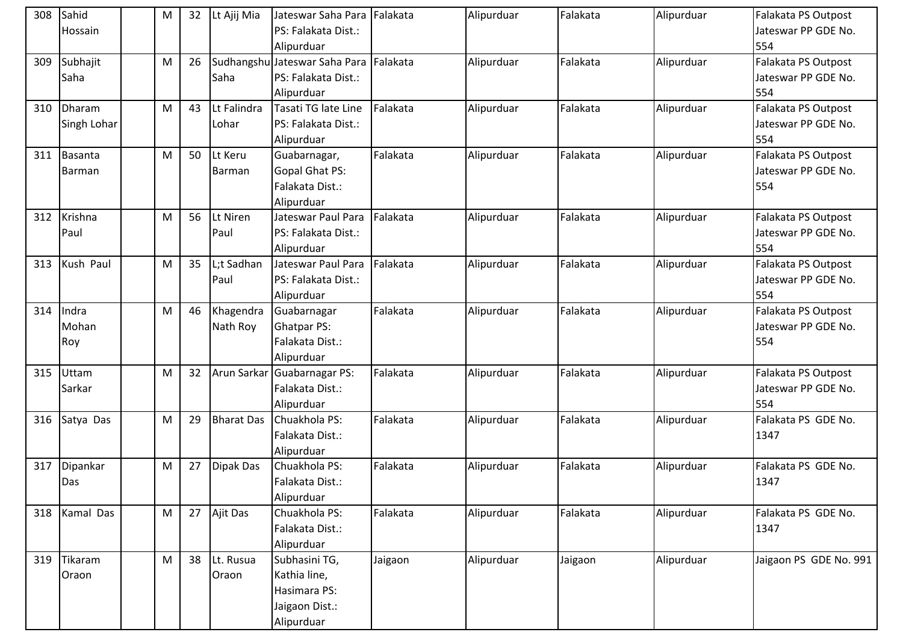| 308 | Sahid         | M | 32 | Lt Ajij Mia       | Jateswar Saha Para Falakata   |          | Alipurduar | Falakata | Alipurduar | Falakata PS Outpost    |
|-----|---------------|---|----|-------------------|-------------------------------|----------|------------|----------|------------|------------------------|
|     | Hossain       |   |    |                   | PS: Falakata Dist.:           |          |            |          |            | Jateswar PP GDE No.    |
|     |               |   |    |                   | Alipurduar                    |          |            |          |            | 554                    |
| 309 | Subhajit      | M | 26 |                   | Sudhangshu Jateswar Saha Para | Falakata | Alipurduar | Falakata | Alipurduar | Falakata PS Outpost    |
|     | Saha          |   |    | Saha              | PS: Falakata Dist.:           |          |            |          |            | Jateswar PP GDE No.    |
|     |               |   |    |                   | Alipurduar                    |          |            |          |            | 554                    |
| 310 | Dharam        | M | 43 | Lt Falindra       | Tasati TG late Line           | Falakata | Alipurduar | Falakata | Alipurduar | Falakata PS Outpost    |
|     | Singh Lohar   |   |    | Lohar             | PS: Falakata Dist.:           |          |            |          |            | Jateswar PP GDE No.    |
|     |               |   |    |                   | Alipurduar                    |          |            |          |            | 554                    |
| 311 | Basanta       | M | 50 | Lt Keru           | Guabarnagar,                  | Falakata | Alipurduar | Falakata | Alipurduar | Falakata PS Outpost    |
|     | <b>Barman</b> |   |    | Barman            | <b>Gopal Ghat PS:</b>         |          |            |          |            | Jateswar PP GDE No.    |
|     |               |   |    |                   | Falakata Dist.:               |          |            |          |            | 554                    |
|     |               |   |    |                   | Alipurduar                    |          |            |          |            |                        |
| 312 | Krishna       | M | 56 | Lt Niren          | Jateswar Paul Para            | Falakata | Alipurduar | Falakata | Alipurduar | Falakata PS Outpost    |
|     | Paul          |   |    | Paul              | PS: Falakata Dist.:           |          |            |          |            | Jateswar PP GDE No.    |
|     |               |   |    |                   | Alipurduar                    |          |            |          |            | 554                    |
| 313 | Kush Paul     | M | 35 | L;t Sadhan        | Jateswar Paul Para            | Falakata | Alipurduar | Falakata | Alipurduar | Falakata PS Outpost    |
|     |               |   |    | Paul              | PS: Falakata Dist.:           |          |            |          |            | Jateswar PP GDE No.    |
|     |               |   |    |                   | Alipurduar                    |          |            |          |            | 554                    |
| 314 | Indra         | M | 46 | Khagendra         | Guabarnagar                   | Falakata | Alipurduar | Falakata | Alipurduar | Falakata PS Outpost    |
|     | Mohan         |   |    | Nath Roy          | <b>Ghatpar PS:</b>            |          |            |          |            | Jateswar PP GDE No.    |
|     | Roy           |   |    |                   | Falakata Dist.:               |          |            |          |            | 554                    |
|     |               |   |    |                   | Alipurduar                    |          |            |          |            |                        |
| 315 | Uttam         | M | 32 |                   | Arun Sarkar Guabarnagar PS:   | Falakata | Alipurduar | Falakata | Alipurduar | Falakata PS Outpost    |
|     | Sarkar        |   |    |                   | Falakata Dist.:               |          |            |          |            | Jateswar PP GDE No.    |
|     |               |   |    |                   | Alipurduar                    |          |            |          |            | 554                    |
| 316 | Satya Das     | M | 29 | <b>Bharat Das</b> | Chuakhola PS:                 | Falakata | Alipurduar | Falakata | Alipurduar | Falakata PS GDE No.    |
|     |               |   |    |                   | Falakata Dist.:               |          |            |          |            | 1347                   |
|     |               |   |    |                   | Alipurduar                    |          |            |          |            |                        |
| 317 | Dipankar      | M | 27 | Dipak Das         | Chuakhola PS:                 | Falakata | Alipurduar | Falakata | Alipurduar | Falakata PS GDE No.    |
|     | Das           |   |    |                   | Falakata Dist.:               |          |            |          |            | 1347                   |
|     |               |   |    |                   | Alipurduar                    |          |            |          |            |                        |
| 318 | Kamal Das     | M | 27 | Ajit Das          | Chuakhola PS:                 | Falakata | Alipurduar | Falakata | Alipurduar | Falakata PS GDE No.    |
|     |               |   |    |                   | Falakata Dist.:               |          |            |          |            | 1347                   |
|     |               |   |    |                   | Alipurduar                    |          |            |          |            |                        |
| 319 | Tikaram       | M | 38 | Lt. Rusua         | Subhasini TG,                 | Jaigaon  | Alipurduar | Jaigaon  | Alipurduar | Jaigaon PS GDE No. 991 |
|     | Oraon         |   |    | Oraon             | Kathia line,                  |          |            |          |            |                        |
|     |               |   |    |                   | Hasimara PS:                  |          |            |          |            |                        |
|     |               |   |    |                   | Jaigaon Dist.:                |          |            |          |            |                        |
|     |               |   |    |                   | Alipurduar                    |          |            |          |            |                        |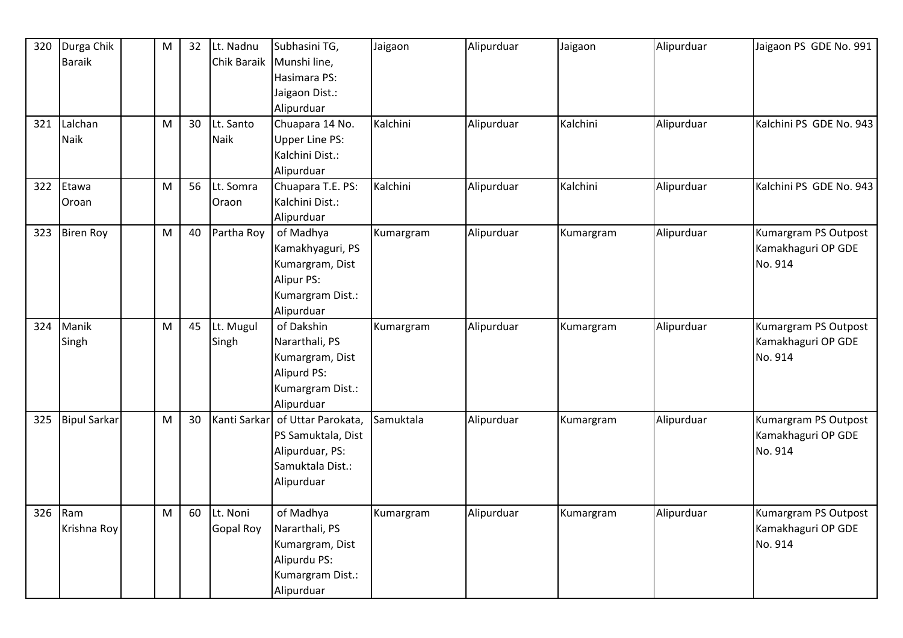| 320 | Durga Chik          | ${\sf M}$ | 32 | Lt. Nadnu    | Subhasini TG,         | Jaigaon   | Alipurduar | Jaigaon   | Alipurduar | Jaigaon PS GDE No. 991  |
|-----|---------------------|-----------|----|--------------|-----------------------|-----------|------------|-----------|------------|-------------------------|
|     | <b>Baraik</b>       |           |    | Chik Baraik  | Munshi line,          |           |            |           |            |                         |
|     |                     |           |    |              | Hasimara PS:          |           |            |           |            |                         |
|     |                     |           |    |              | Jaigaon Dist.:        |           |            |           |            |                         |
|     |                     |           |    |              | Alipurduar            |           |            |           |            |                         |
| 321 | Lalchan             | M         | 30 | Lt. Santo    | Chuapara 14 No.       | Kalchini  | Alipurduar | Kalchini  | Alipurduar | Kalchini PS GDE No. 943 |
|     | <b>Naik</b>         |           |    | Naik         | <b>Upper Line PS:</b> |           |            |           |            |                         |
|     |                     |           |    |              | Kalchini Dist.:       |           |            |           |            |                         |
|     |                     |           |    |              | Alipurduar            |           |            |           |            |                         |
| 322 | Etawa               | M         | 56 | Lt. Somra    | Chuapara T.E. PS:     | Kalchini  | Alipurduar | Kalchini  | Alipurduar | Kalchini PS GDE No. 943 |
|     | Oroan               |           |    | Oraon        | Kalchini Dist.:       |           |            |           |            |                         |
|     |                     |           |    |              | Alipurduar            |           |            |           |            |                         |
| 323 | <b>Biren Roy</b>    | M         | 40 | Partha Roy   | of Madhya             | Kumargram | Alipurduar | Kumargram | Alipurduar | Kumargram PS Outpost    |
|     |                     |           |    |              | Kamakhyaguri, PS      |           |            |           |            | Kamakhaguri OP GDE      |
|     |                     |           |    |              | Kumargram, Dist       |           |            |           |            | No. 914                 |
|     |                     |           |    |              | Alipur PS:            |           |            |           |            |                         |
|     |                     |           |    |              | Kumargram Dist.:      |           |            |           |            |                         |
|     |                     |           |    |              | Alipurduar            |           |            |           |            |                         |
| 324 | Manik               | ${\sf M}$ | 45 | Lt. Mugul    | of Dakshin            | Kumargram | Alipurduar | Kumargram | Alipurduar | Kumargram PS Outpost    |
|     | Singh               |           |    | Singh        | Nararthali, PS        |           |            |           |            | Kamakhaguri OP GDE      |
|     |                     |           |    |              | Kumargram, Dist       |           |            |           |            | No. 914                 |
|     |                     |           |    |              | Alipurd PS:           |           |            |           |            |                         |
|     |                     |           |    |              | Kumargram Dist.:      |           |            |           |            |                         |
|     |                     |           |    |              | Alipurduar            |           |            |           |            |                         |
| 325 | <b>Bipul Sarkar</b> | M         | 30 | Kanti Sarkar | of Uttar Parokata,    | Samuktala | Alipurduar | Kumargram | Alipurduar | Kumargram PS Outpost    |
|     |                     |           |    |              | PS Samuktala, Dist    |           |            |           |            | Kamakhaguri OP GDE      |
|     |                     |           |    |              | Alipurduar, PS:       |           |            |           |            | No. 914                 |
|     |                     |           |    |              | Samuktala Dist.:      |           |            |           |            |                         |
|     |                     |           |    |              | Alipurduar            |           |            |           |            |                         |
|     |                     |           |    |              |                       |           |            |           |            |                         |
| 326 | Ram                 | M         | 60 | Lt. Noni     | of Madhya             | Kumargram | Alipurduar | Kumargram | Alipurduar | Kumargram PS Outpost    |
|     | Krishna Roy         |           |    | Gopal Roy    | Nararthali, PS        |           |            |           |            | Kamakhaguri OP GDE      |
|     |                     |           |    |              | Kumargram, Dist       |           |            |           |            | No. 914                 |
|     |                     |           |    |              | Alipurdu PS:          |           |            |           |            |                         |
|     |                     |           |    |              | Kumargram Dist.:      |           |            |           |            |                         |
|     |                     |           |    |              | Alipurduar            |           |            |           |            |                         |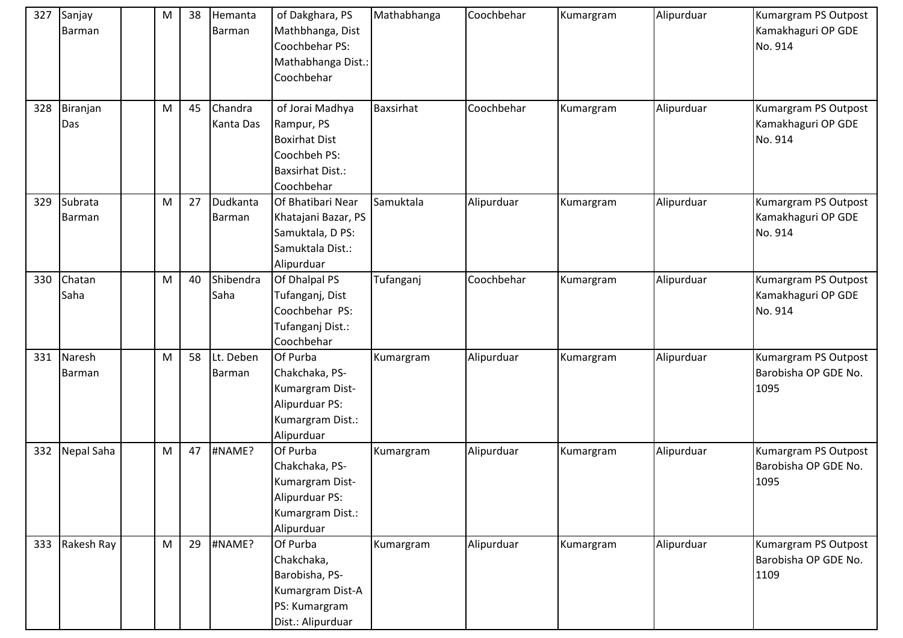| 327 | Sanjay<br>Barman  | M         | 38 | Hemanta<br>Barman    | of Dakghara, PS<br>Mathbhanga, Dist<br>Coochbehar PS:<br>Mathabhanga Dist.:<br>Coochbehar                      | Mathabhanga | Coochbehar | Kumargram | Alipurduar | Kumargram PS Outpost<br>Kamakhaguri OP GDE<br>No. 914 |
|-----|-------------------|-----------|----|----------------------|----------------------------------------------------------------------------------------------------------------|-------------|------------|-----------|------------|-------------------------------------------------------|
| 328 | Biranjan<br>Das   | M         | 45 | Chandra<br>Kanta Das | of Jorai Madhya<br>Rampur, PS<br><b>Boxirhat Dist</b><br>Coochbeh PS:<br><b>Baxsirhat Dist.:</b><br>Coochbehar | Baxsirhat   | Coochbehar | Kumargram | Alipurduar | Kumargram PS Outpost<br>Kamakhaguri OP GDE<br>No. 914 |
| 329 | Subrata<br>Barman | M         | 27 | Dudkanta<br>Barman   | Of Bhatibari Near<br>Khatajani Bazar, PS<br>Samuktala, D PS:<br>Samuktala Dist.:<br>Alipurduar                 | Samuktala   | Alipurduar | Kumargram | Alipurduar | Kumargram PS Outpost<br>Kamakhaguri OP GDE<br>No. 914 |
| 330 | Chatan<br>Saha    | ${\sf M}$ | 40 | Shibendra<br>Saha    | Of Dhalpal PS<br>Tufanganj, Dist<br>Coochbehar PS:<br>Tufanganj Dist.:<br>Coochbehar                           | Tufanganj   | Coochbehar | Kumargram | Alipurduar | Kumargram PS Outpost<br>Kamakhaguri OP GDE<br>No. 914 |
| 331 | Naresh<br>Barman  | ${\sf M}$ | 58 | Lt. Deben<br>Barman  | Of Purba<br>Chakchaka, PS-<br>Kumargram Dist-<br>Alipurduar PS:<br>Kumargram Dist.:<br>Alipurduar              | Kumargram   | Alipurduar | Kumargram | Alipurduar | Kumargram PS Outpost<br>Barobisha OP GDE No.<br>1095  |
| 332 | Nepal Saha        | M         | 47 | #NAME?               | Of Purba<br>Chakchaka, PS-<br>Kumargram Dist-<br>Alipurduar PS:<br>Kumargram Dist.:<br>Alipurduar              | Kumargram   | Alipurduar | Kumargram | Alipurduar | Kumargram PS Outpost<br>Barobisha OP GDE No.<br>1095  |
| 333 | Rakesh Ray        | ${\sf M}$ | 29 | #NAME?               | Of Purba<br>Chakchaka,<br>Barobisha, PS-<br>Kumargram Dist-A<br>PS: Kumargram<br>Dist.: Alipurduar             | Kumargram   | Alipurduar | Kumargram | Alipurduar | Kumargram PS Outpost<br>Barobisha OP GDE No.<br>1109  |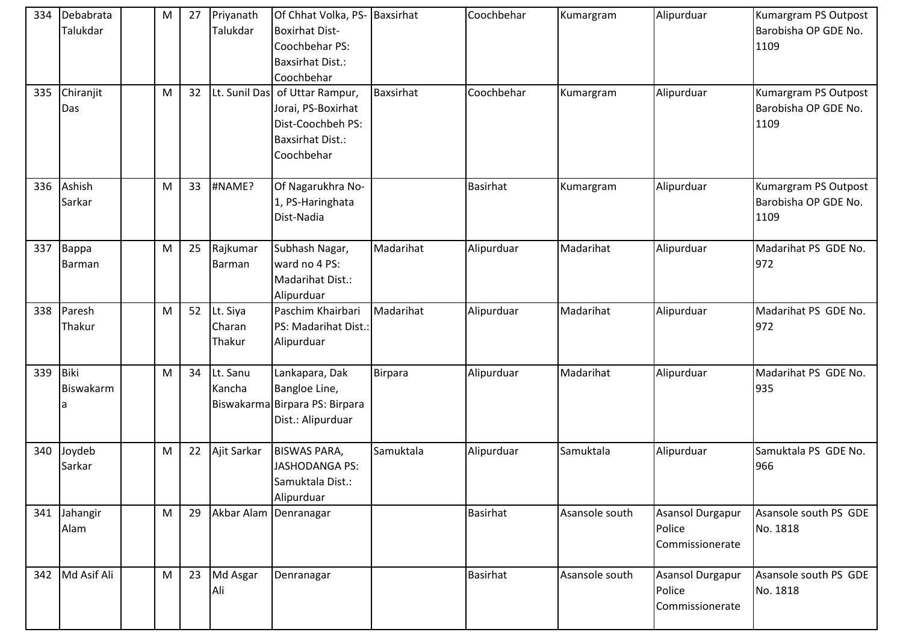| 334 | Debabrata<br>Talukdar | M | 27 | Priyanath<br>Talukdar        | Of Chhat Volka, PS- Baxsirhat<br><b>Boxirhat Dist-</b><br>Coochbehar PS:<br><b>Baxsirhat Dist.:</b><br>Coochbehar |                | Coochbehar      | Kumargram      | Alipurduar                                    | Kumargram PS Outpost<br>Barobisha OP GDE No.<br>1109 |
|-----|-----------------------|---|----|------------------------------|-------------------------------------------------------------------------------------------------------------------|----------------|-----------------|----------------|-----------------------------------------------|------------------------------------------------------|
| 335 | Chiranjit<br>Das      | M | 32 | Lt. Sunil Das                | of Uttar Rampur,<br>Jorai, PS-Boxirhat<br>Dist-Coochbeh PS:<br><b>Baxsirhat Dist.:</b><br>Coochbehar              | Baxsirhat      | Coochbehar      | Kumargram      | Alipurduar                                    | Kumargram PS Outpost<br>Barobisha OP GDE No.<br>1109 |
| 336 | Ashish<br>Sarkar      | M | 33 | #NAME?                       | Of Nagarukhra No-<br>1, PS-Haringhata<br>Dist-Nadia                                                               |                | <b>Basirhat</b> | Kumargram      | Alipurduar                                    | Kumargram PS Outpost<br>Barobisha OP GDE No.<br>1109 |
| 337 | Bappa<br>Barman       | M | 25 | Rajkumar<br>Barman           | Subhash Nagar,<br>ward no 4 PS:<br>Madarihat Dist.:<br>Alipurduar                                                 | Madarihat      | Alipurduar      | Madarihat      | Alipurduar                                    | Madarihat PS GDE No.<br>972                          |
| 338 | Paresh<br>Thakur      | M | 52 | Lt. Siya<br>Charan<br>Thakur | Paschim Khairbari<br>PS: Madarihat Dist.:<br>Alipurduar                                                           | Madarihat      | Alipurduar      | Madarihat      | Alipurduar                                    | Madarihat PS GDE No.<br>972                          |
| 339 | Biki<br>Biswakarm     | M | 34 | Lt. Sanu<br>Kancha           | Lankapara, Dak<br>Bangloe Line,<br>Biswakarma Birpara PS: Birpara<br>Dist.: Alipurduar                            | <b>Birpara</b> | Alipurduar      | Madarihat      | Alipurduar                                    | Madarihat PS GDE No.<br>935                          |
| 340 | Joydeb<br>Sarkar      | M | 22 | Ajit Sarkar                  | <b>BISWAS PARA,</b><br><b>JASHODANGA PS:</b><br>Samuktala Dist.:<br>Alipurduar                                    | Samuktala      | Alipurduar      | Samuktala      | Alipurduar                                    | Samuktala PS GDE No.<br>966                          |
| 341 | Jahangir<br>Alam      | M | 29 | Akbar Alam Denranagar        |                                                                                                                   |                | <b>Basirhat</b> | Asansole south | Asansol Durgapur<br>Police<br>Commissionerate | Asansole south PS GDE<br>No. 1818                    |
|     | 342 Md Asif Ali       | M | 23 | Md Asgar<br>Ali              | Denranagar                                                                                                        |                | <b>Basirhat</b> | Asansole south | Asansol Durgapur<br>Police<br>Commissionerate | Asansole south PS GDE<br>No. 1818                    |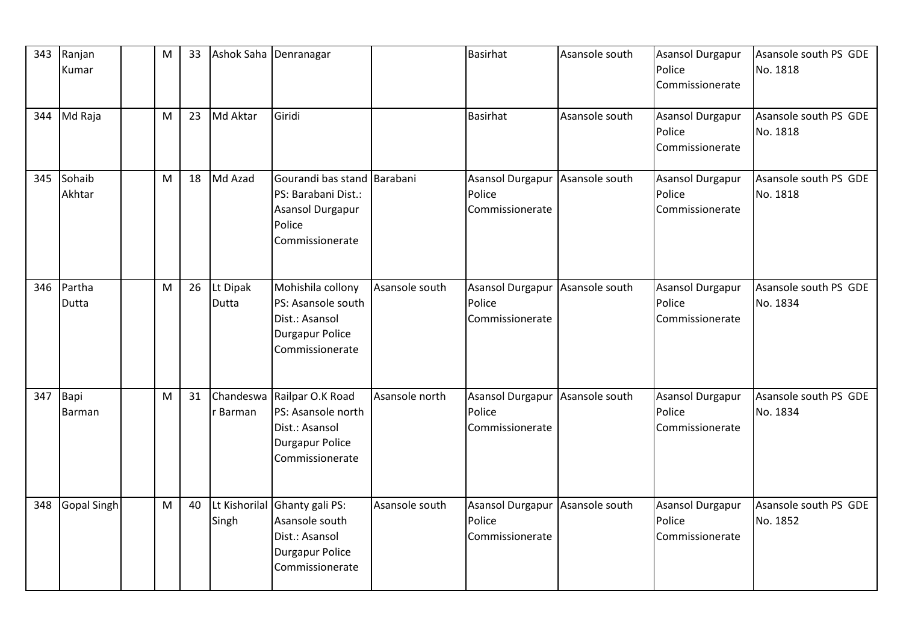| 343 | Ranjan<br>Kumar    | M | 33 | Ashok Saha Denranagar    |                                                                                                        |                | Basirhat                                             | Asansole south | <b>Asansol Durgapur</b><br>Police<br>Commissionerate | Asansole south PS GDE<br>No. 1818 |
|-----|--------------------|---|----|--------------------------|--------------------------------------------------------------------------------------------------------|----------------|------------------------------------------------------|----------------|------------------------------------------------------|-----------------------------------|
| 344 | Md Raja            | M | 23 | Md Aktar                 | Giridi                                                                                                 |                | Basirhat                                             | Asansole south | <b>Asansol Durgapur</b><br>Police<br>Commissionerate | Asansole south PS GDE<br>No. 1818 |
| 345 | Sohaib<br>Akhtar   | M | 18 | Md Azad                  | Gourandi bas stand<br>PS: Barabani Dist.:<br>Asansol Durgapur<br>Police<br>Commissionerate             | Barabani       | <b>Asansol Durgapur</b><br>Police<br>Commissionerate | Asansole south | <b>Asansol Durgapur</b><br>Police<br>Commissionerate | Asansole south PS GDE<br>No. 1818 |
| 346 | Partha<br>Dutta    | M | 26 | Lt Dipak<br><b>Dutta</b> | Mohishila collony<br>PS: Asansole south<br>Dist.: Asansol<br><b>Durgapur Police</b><br>Commissionerate | Asansole south | <b>Asansol Durgapur</b><br>Police<br>Commissionerate | Asansole south | <b>Asansol Durgapur</b><br>Police<br>Commissionerate | Asansole south PS GDE<br>No. 1834 |
| 347 | Bapi<br>Barman     | M | 31 | Chandeswa<br>r Barman    | Railpar O.K Road<br>PS: Asansole north<br>Dist.: Asansol<br><b>Durgapur Police</b><br>Commissionerate  | Asansole north | Asansol Durgapur<br>Police<br>Commissionerate        | Asansole south | <b>Asansol Durgapur</b><br>Police<br>Commissionerate | Asansole south PS GDE<br>No. 1834 |
| 348 | <b>Gopal Singh</b> | M | 40 | Lt Kishorilal<br>Singh   | Ghanty gali PS:<br>Asansole south<br>Dist.: Asansol<br><b>Durgapur Police</b><br>Commissionerate       | Asansole south | Asansol Durgapur<br>Police<br>Commissionerate        | Asansole south | Asansol Durgapur<br>Police<br>Commissionerate        | Asansole south PS GDE<br>No. 1852 |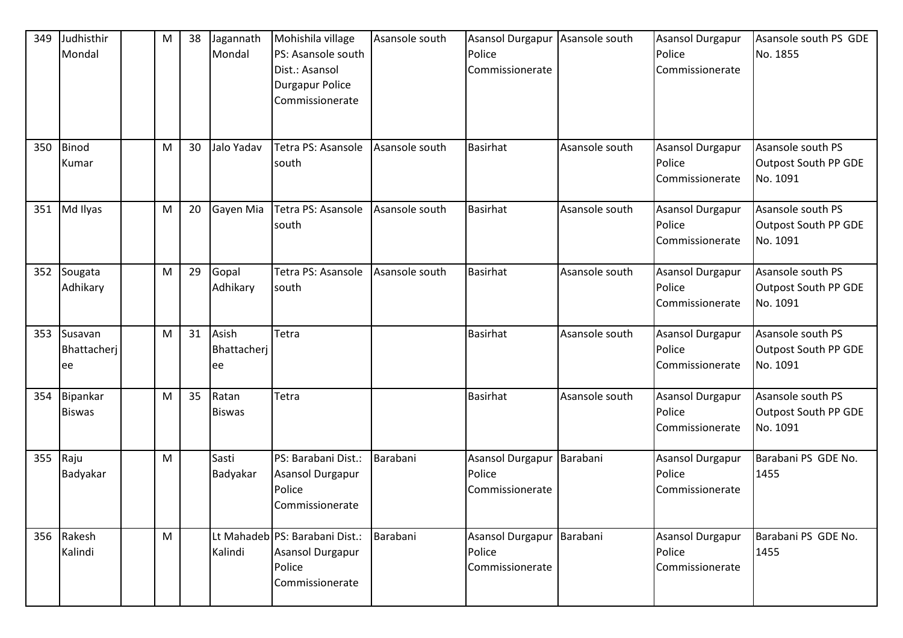| 349 | Judhisthir<br>Mondal         | M | 38 | Jagannath<br>Mondal        | Mohishila village<br>PS: Asansole south<br>Dist.: Asansol<br><b>Durgapur Police</b><br>Commissionerate | Asansole south | Asansol Durgapur<br>Police<br>Commissionerate            | Asansole south | Asansol Durgapur<br>Police<br>Commissionerate        | Asansole south PS GDE<br>No. 1855                     |
|-----|------------------------------|---|----|----------------------------|--------------------------------------------------------------------------------------------------------|----------------|----------------------------------------------------------|----------------|------------------------------------------------------|-------------------------------------------------------|
| 350 | Binod<br>Kumar               | M | 30 | Jalo Yadav                 | Tetra PS: Asansole<br>south                                                                            | Asansole south | <b>Basirhat</b>                                          | Asansole south | <b>Asansol Durgapur</b><br>Police<br>Commissionerate | Asansole south PS<br>Outpost South PP GDE<br>No. 1091 |
| 351 | Md Ilyas                     | M | 20 | Gayen Mia                  | Tetra PS: Asansole<br>south                                                                            | Asansole south | <b>Basirhat</b>                                          | Asansole south | <b>Asansol Durgapur</b><br>Police<br>Commissionerate | Asansole south PS<br>Outpost South PP GDE<br>No. 1091 |
| 352 | Sougata<br>Adhikary          | M | 29 | Gopal<br>Adhikary          | Tetra PS: Asansole<br>south                                                                            | Asansole south | <b>Basirhat</b>                                          | Asansole south | <b>Asansol Durgapur</b><br>Police<br>Commissionerate | Asansole south PS<br>Outpost South PP GDE<br>No. 1091 |
| 353 | Susavan<br>Bhattacherj<br>ee | M | 31 | Asish<br>Bhattacherj<br>ee | Tetra                                                                                                  |                | <b>Basirhat</b>                                          | Asansole south | <b>Asansol Durgapur</b><br>Police<br>Commissionerate | Asansole south PS<br>Outpost South PP GDE<br>No. 1091 |
| 354 | Bipankar<br><b>Biswas</b>    | M | 35 | Ratan<br><b>Biswas</b>     | Tetra                                                                                                  |                | <b>Basirhat</b>                                          | Asansole south | Asansol Durgapur<br>Police<br>Commissionerate        | Asansole south PS<br>Outpost South PP GDE<br>No. 1091 |
| 355 | Raju<br>Badyakar             | M |    | Sasti<br>Badyakar          | PS: Barabani Dist.:<br>Asansol Durgapur<br>Police<br>Commissionerate                                   | Barabani       | Asansol Durgapur   Barabani<br>Police<br>Commissionerate |                | Asansol Durgapur<br>Police<br>Commissionerate        | Barabani PS GDE No.<br>1455                           |
|     | 356 Rakesh<br>Kalindi        | M |    | Kalindi                    | Lt Mahadeb PS: Barabani Dist.:<br>Asansol Durgapur<br>Police<br>Commissionerate                        | Barabani       | Asansol Durgapur<br>Police<br>Commissionerate            | Barabani       | <b>Asansol Durgapur</b><br>Police<br>Commissionerate | Barabani PS GDE No.<br>1455                           |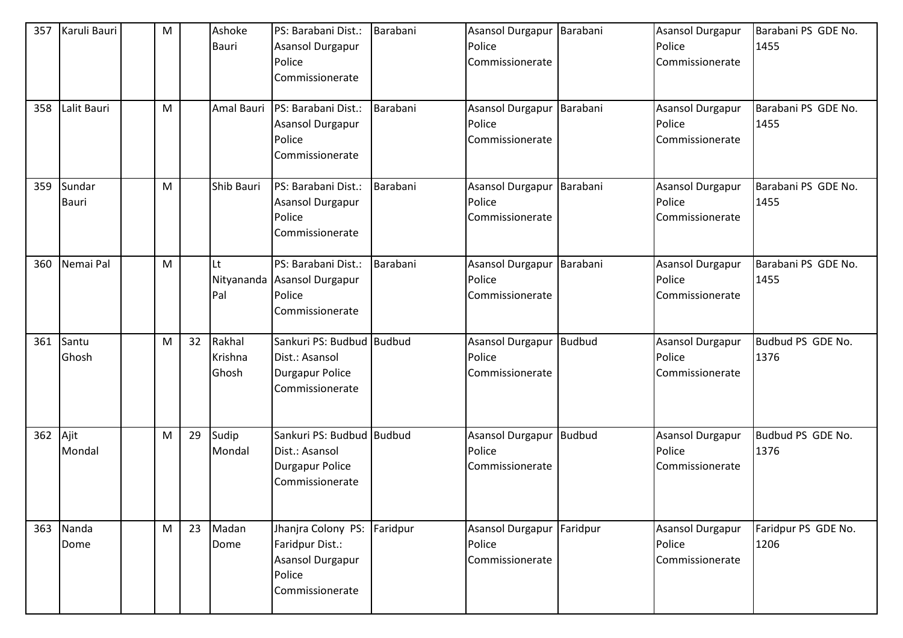| 357<br>358 | Karuli Bauri<br>Lalit Bauri | M<br>${\sf M}$ |    | Ashoke<br>Bauri<br>Amal Bauri | PS: Barabani Dist.:<br>Asansol Durgapur<br>Police<br>Commissionerate<br>PS: Barabani Dist.:<br>Asansol Durgapur<br>Police<br>Commissionerate | Barabani<br>Barabani | <b>Asansol Durgapur</b><br>Police<br>Commissionerate<br><b>Asansol Durgapur</b><br>Police<br>Commissionerate | Barabani<br>Barabani | <b>Asansol Durgapur</b><br>Police<br>Commissionerate<br>Asansol Durgapur<br>Police<br>Commissionerate | Barabani PS GDE No.<br>1455<br>Barabani PS GDE No.<br>1455 |
|------------|-----------------------------|----------------|----|-------------------------------|----------------------------------------------------------------------------------------------------------------------------------------------|----------------------|--------------------------------------------------------------------------------------------------------------|----------------------|-------------------------------------------------------------------------------------------------------|------------------------------------------------------------|
| 359        | Sundar<br><b>Bauri</b>      | M              |    | Shib Bauri                    | PS: Barabani Dist.:<br>Asansol Durgapur<br>Police<br>Commissionerate                                                                         | Barabani             | <b>Asansol Durgapur</b><br>Police<br>Commissionerate                                                         | Barabani             | <b>Asansol Durgapur</b><br>Police<br>Commissionerate                                                  | Barabani PS GDE No.<br>1455                                |
| 360        | Nemai Pal                   | M              |    | Lt<br>Pal                     | PS: Barabani Dist.:<br>Nityananda Asansol Durgapur<br>Police<br>Commissionerate                                                              | Barabani             | Asansol Durgapur<br>Police<br>Commissionerate                                                                | Barabani             | <b>Asansol Durgapur</b><br>Police<br>Commissionerate                                                  | Barabani PS GDE No.<br>1455                                |
| 361        | Santu<br>Ghosh              | M              |    | 32 Rakhal<br>Krishna<br>Ghosh | Sankuri PS: Budbud Budbud<br>Dist.: Asansol<br>Durgapur Police<br>Commissionerate                                                            |                      | Asansol Durgapur Budbud<br>Police<br>Commissionerate                                                         |                      | <b>Asansol Durgapur</b><br>Police<br>Commissionerate                                                  | Budbud PS GDE No.<br>1376                                  |
| 362        | Ajit<br>Mondal              | M              | 29 | Sudip<br>Mondal               | Sankuri PS: Budbud Budbud<br>Dist.: Asansol<br>Durgapur Police<br>Commissionerate                                                            |                      | Asansol Durgapur<br>Police<br>Commissionerate                                                                | <b>Budbud</b>        | Asansol Durgapur<br>Police<br>Commissionerate                                                         | Budbud PS GDE No.<br>1376                                  |
| 363        | Nanda<br>Dome               | M              | 23 | Madan<br>Dome                 | Jhanjra Colony PS: Faridpur<br>Faridpur Dist.:<br>Asansol Durgapur<br>Police<br>Commissionerate                                              |                      | <b>Asansol Durgapur</b><br>Police<br>Commissionerate                                                         | Faridpur             | <b>Asansol Durgapur</b><br>Police<br>Commissionerate                                                  | Faridpur PS GDE No.<br>1206                                |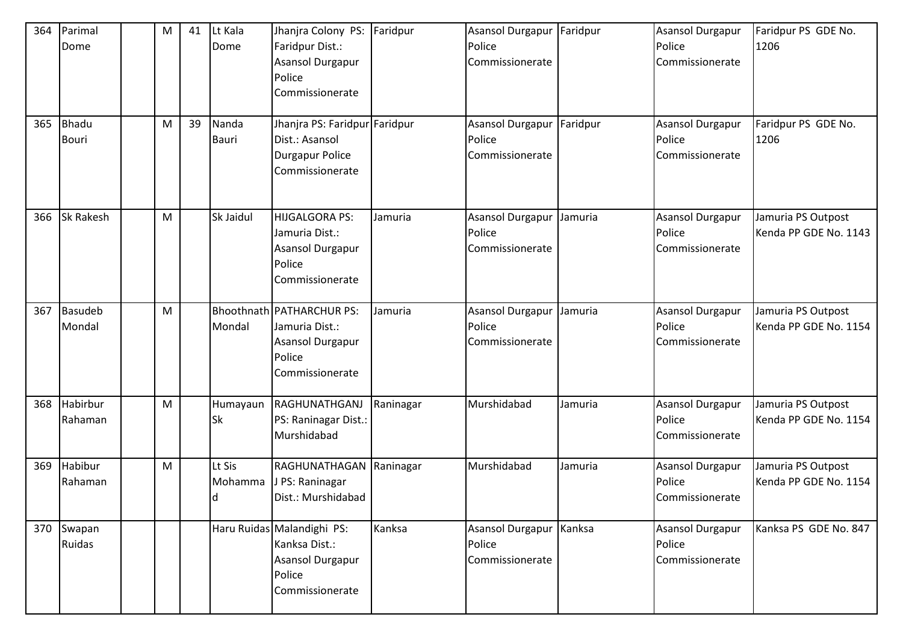| 364<br>365 | Parimal<br>Dome<br>Bhadu<br><b>Bouri</b> | M<br>M | 41<br>39 | Lt Kala<br>Dome<br>Nanda<br><b>Bauri</b> | Jhanjra Colony PS:<br>Faridpur Dist.:<br>Asansol Durgapur<br>Police<br>Commissionerate<br>Jhanjra PS: Faridpur Faridpur<br>Dist.: Asansol<br>Durgapur Police<br>Commissionerate | Faridpur  | <b>Asansol Durgapur</b><br>Police<br>Commissionerate<br><b>Asansol Durgapur</b><br>Police<br>Commissionerate | Faridpur<br>Faridpur | Asansol Durgapur<br>Police<br>Commissionerate<br>Asansol Durgapur<br>Police<br>Commissionerate | Faridpur PS GDE No.<br>1206<br>Faridpur PS GDE No.<br>1206 |
|------------|------------------------------------------|--------|----------|------------------------------------------|---------------------------------------------------------------------------------------------------------------------------------------------------------------------------------|-----------|--------------------------------------------------------------------------------------------------------------|----------------------|------------------------------------------------------------------------------------------------|------------------------------------------------------------|
| 366        | <b>Sk Rakesh</b>                         | M      |          | Sk Jaidul                                | HIJGALGORA PS:<br>Jamuria Dist.:<br>Asansol Durgapur<br>Police<br>Commissionerate                                                                                               | Jamuria   | <b>Asansol Durgapur</b><br>Police<br>Commissionerate                                                         | Jamuria              | Asansol Durgapur<br>Police<br>Commissionerate                                                  | Jamuria PS Outpost<br>Kenda PP GDE No. 1143                |
| 367        | Basudeb<br>Mondal                        | M      |          | Mondal                                   | Bhoothnath   PATHARCHUR PS:<br>Jamuria Dist.:<br>Asansol Durgapur<br>Police<br>Commissionerate                                                                                  | Jamuria   | Asansol Durgapur<br>Police<br>Commissionerate                                                                | Jamuria              | Asansol Durgapur<br>Police<br>Commissionerate                                                  | Jamuria PS Outpost<br>Kenda PP GDE No. 1154                |
| 368        | Habirbur<br>Rahaman                      | M      |          | Humayaun<br>Sk                           | RAGHUNATHGANJ<br>PS: Raninagar Dist.:<br>Murshidabad                                                                                                                            | Raninagar | Murshidabad                                                                                                  | Jamuria              | <b>Asansol Durgapur</b><br>Police<br>Commissionerate                                           | Jamuria PS Outpost<br>Kenda PP GDE No. 1154                |
| 369        | Habibur<br>Rahaman                       | M      |          | Lt Sis<br>Mohamma<br>ld.                 | RAGHUNATHAGAN Raninagar<br>J PS: Raninagar<br>Dist.: Murshidabad                                                                                                                |           | Murshidabad                                                                                                  | Jamuria              | Asansol Durgapur<br>Police<br>Commissionerate                                                  | Jamuria PS Outpost<br>Kenda PP GDE No. 1154                |
| 370        | Swapan<br>Ruidas                         |        |          |                                          | Haru Ruidas Malandighi PS:<br>Kanksa Dist.:<br>Asansol Durgapur<br>Police<br>Commissionerate                                                                                    | Kanksa    | Asansol Durgapur<br>Police<br>Commissionerate                                                                | Kanksa               | Asansol Durgapur<br>Police<br>Commissionerate                                                  | Kanksa PS GDE No. 847                                      |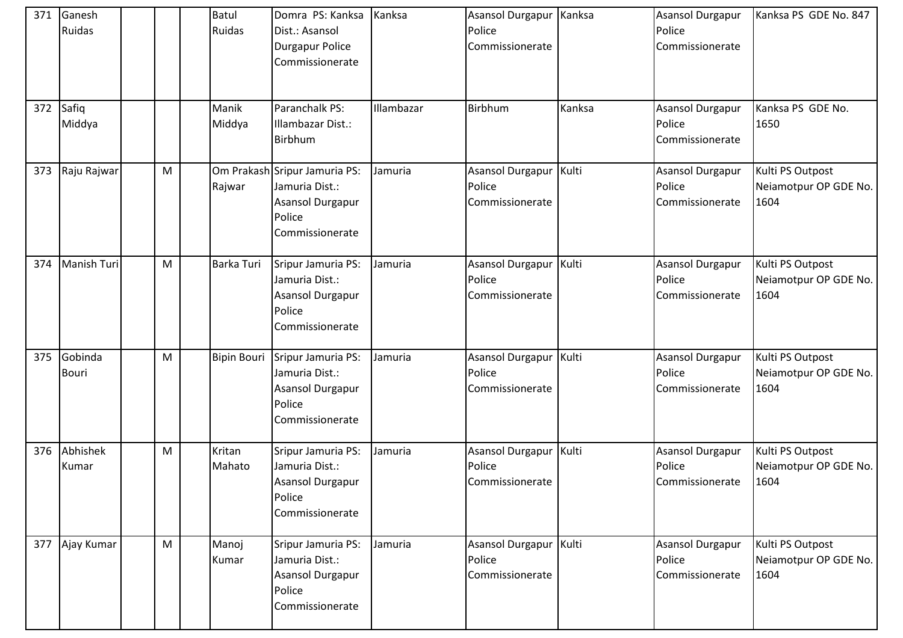| 371 | Ganesh<br><b>Ruidas</b> |   | Batul<br>Ruidas    | Domra PS: Kanksa<br>Dist.: Asansol<br>Durgapur Police<br>Commissionerate                         | Kanksa     | Asansol Durgapur   Kanksa<br>Police<br>Commissionerate |        | Asansol Durgapur<br>Police<br>Commissionerate        | Kanksa PS GDE No. 847                             |
|-----|-------------------------|---|--------------------|--------------------------------------------------------------------------------------------------|------------|--------------------------------------------------------|--------|------------------------------------------------------|---------------------------------------------------|
|     | 372 Safiq<br>Middya     |   | Manik<br>Middya    | Paranchalk PS:<br>Illambazar Dist.:<br><b>Birbhum</b>                                            | Illambazar | Birbhum                                                | Kanksa | Asansol Durgapur<br>Police<br>Commissionerate        | Kanksa PS GDE No.<br>1650                         |
| 373 | Raju Rajwar             | M | Rajwar             | Om Prakash Sripur Jamuria PS:<br>Jamuria Dist.:<br>Asansol Durgapur<br>Police<br>Commissionerate | Jamuria    | Asansol Durgapur<br>Police<br>Commissionerate          | Kulti  | Asansol Durgapur<br>Police<br>Commissionerate        | Kulti PS Outpost<br>Neiamotpur OP GDE No.<br>1604 |
| 374 | Manish Turi             | M | Barka Turi         | Sripur Jamuria PS:<br>Jamuria Dist.:<br>Asansol Durgapur<br>Police<br>Commissionerate            | Jamuria    | Asansol Durgapur   Kulti<br>Police<br>Commissionerate  |        | <b>Asansol Durgapur</b><br>Police<br>Commissionerate | Kulti PS Outpost<br>Neiamotpur OP GDE No.<br>1604 |
| 375 | Gobinda<br><b>Bouri</b> | M | <b>Bipin Bouri</b> | Sripur Jamuria PS:<br>Jamuria Dist.:<br>Asansol Durgapur<br>Police<br>Commissionerate            | Jamuria    | Asansol Durgapur<br>Police<br>Commissionerate          | Kulti  | <b>Asansol Durgapur</b><br>Police<br>Commissionerate | Kulti PS Outpost<br>Neiamotpur OP GDE No.<br>1604 |
| 376 | Abhishek<br>Kumar       | M | Kritan<br>Mahato   | Sripur Jamuria PS:<br>Jamuria Dist.:<br>Asansol Durgapur<br>Police<br>Commissionerate            | Jamuria    | Asansol Durgapur   Kulti<br>Police<br>Commissionerate  |        | <b>Asansol Durgapur</b><br>Police<br>Commissionerate | Kulti PS Outpost<br>Neiamotpur OP GDE No.<br>1604 |
| 377 | Ajay Kumar              | M | Manoj<br>Kumar     | Sripur Jamuria PS:<br>Jamuria Dist.:<br>Asansol Durgapur<br>Police<br>Commissionerate            | Jamuria    | <b>Asansol Durgapur</b><br>Police<br>Commissionerate   | Kulti  | <b>Asansol Durgapur</b><br>Police<br>Commissionerate | Kulti PS Outpost<br>Neiamotpur OP GDE No.<br>1604 |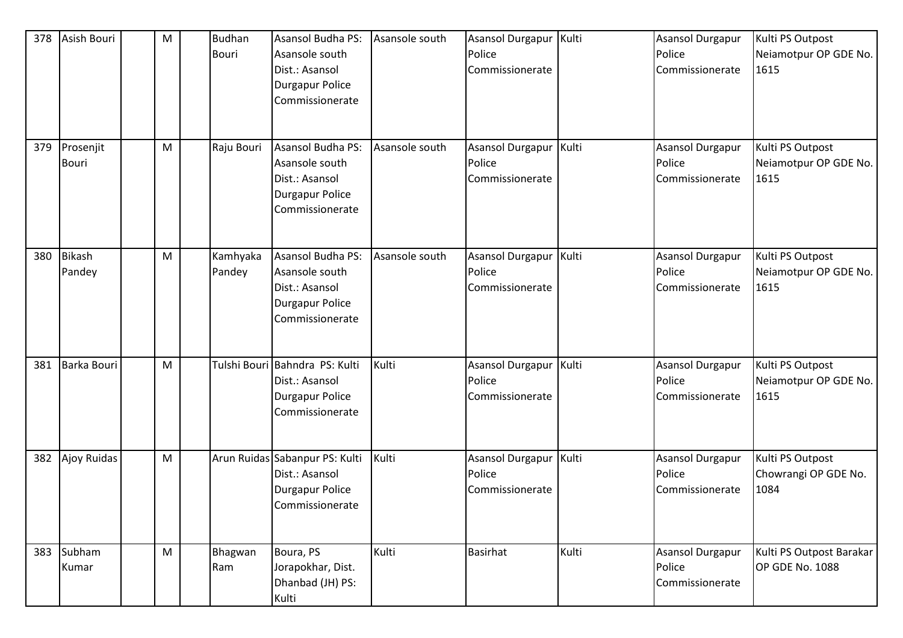| 378 | Asish Bouri               | M | <b>Budhan</b><br>Bouri | <b>Asansol Budha PS:</b><br>Asansole south<br>Dist.: Asansol<br>Durgapur Police<br>Commissionerate        | Asansole south | Asansol Durgapur<br>Police<br>Commissionerate         | Kulti | Asansol Durgapur<br>Police<br>Commissionerate | Kulti PS Outpost<br>Neiamotpur OP GDE No.<br>1615 |
|-----|---------------------------|---|------------------------|-----------------------------------------------------------------------------------------------------------|----------------|-------------------------------------------------------|-------|-----------------------------------------------|---------------------------------------------------|
| 379 | Prosenjit<br><b>Bouri</b> | M | Raju Bouri             | <b>Asansol Budha PS:</b><br>Asansole south<br>Dist.: Asansol<br>Durgapur Police<br>Commissionerate        | Asansole south | Asansol Durgapur<br>Police<br>Commissionerate         | Kulti | Asansol Durgapur<br>Police<br>Commissionerate | Kulti PS Outpost<br>Neiamotpur OP GDE No.<br>1615 |
| 380 | Bikash<br>Pandey          | M | Kamhyaka<br>Pandey     | <b>Asansol Budha PS:</b><br>Asansole south<br>Dist.: Asansol<br><b>Durgapur Police</b><br>Commissionerate | Asansole south | <b>Asansol Durgapur</b><br>Police<br>Commissionerate  | Kulti | Asansol Durgapur<br>Police<br>Commissionerate | Kulti PS Outpost<br>Neiamotpur OP GDE No.<br>1615 |
| 381 | <b>Barka Bouri</b>        | M |                        | Tulshi Bouri Bahndra PS: Kulti<br>Dist.: Asansol<br>Durgapur Police<br>Commissionerate                    | Kulti          | Asansol Durgapur<br>Police<br>Commissionerate         | Kulti | Asansol Durgapur<br>Police<br>Commissionerate | Kulti PS Outpost<br>Neiamotpur OP GDE No.<br>1615 |
|     | 382 Ajoy Ruidas           | M |                        | Arun Ruidas Sabanpur PS: Kulti<br>Dist.: Asansol<br>Durgapur Police<br>Commissionerate                    | Kulti          | Asansol Durgapur   Kulti<br>Police<br>Commissionerate |       | Asansol Durgapur<br>Police<br>Commissionerate | Kulti PS Outpost<br>Chowrangi OP GDE No.<br>1084  |
|     | 383 Subham<br>Kumar       | M | Bhagwan<br>Ram         | Boura, PS<br>Jorapokhar, Dist.<br>Dhanbad (JH) PS:<br>Kulti                                               | Kulti          | <b>Basirhat</b>                                       | Kulti | Asansol Durgapur<br>Police<br>Commissionerate | Kulti PS Outpost Barakar<br>OP GDE No. 1088       |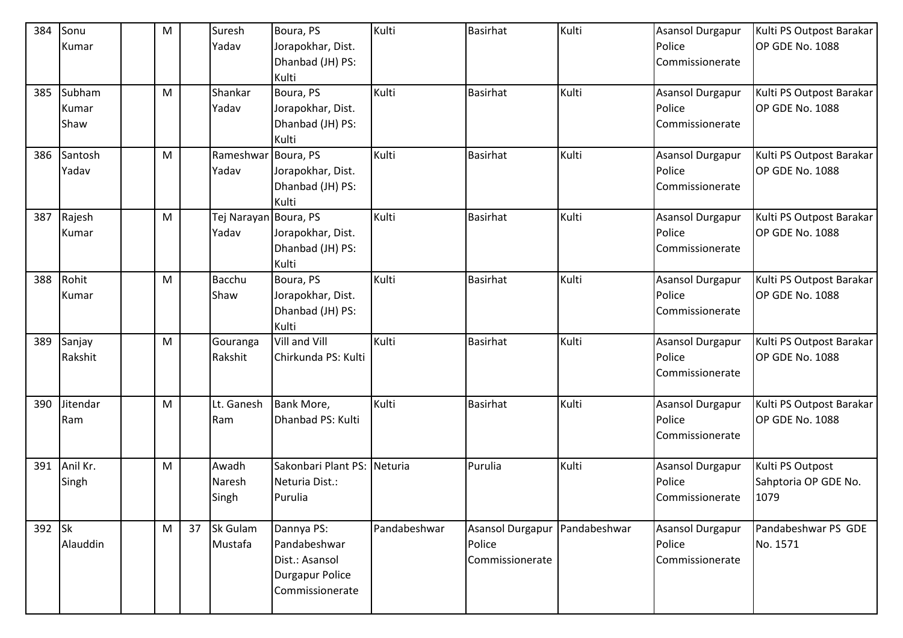| 384    | Sonu     | M |    | Suresh              | Boura, PS                   | Kulti        | <b>Basirhat</b>                   | Kulti        | <b>Asansol Durgapur</b>           | Kulti PS Outpost Barakar |
|--------|----------|---|----|---------------------|-----------------------------|--------------|-----------------------------------|--------------|-----------------------------------|--------------------------|
|        | Kumar    |   |    | Yadav               | Jorapokhar, Dist.           |              |                                   |              | Police                            | OP GDE No. 1088          |
|        |          |   |    |                     | Dhanbad (JH) PS:            |              |                                   |              | Commissionerate                   |                          |
|        |          |   |    |                     | Kulti                       |              |                                   |              |                                   |                          |
| 385    | Subham   | M |    | Shankar             | Boura, PS                   | Kulti        | <b>Basirhat</b>                   | Kulti        | <b>Asansol Durgapur</b>           | Kulti PS Outpost Barakar |
|        | Kumar    |   |    | Yadav               | Jorapokhar, Dist.           |              |                                   |              | Police                            | OP GDE No. 1088          |
|        | Shaw     |   |    |                     | Dhanbad (JH) PS:            |              |                                   |              | Commissionerate                   |                          |
|        |          |   |    |                     | Kulti                       |              |                                   |              |                                   |                          |
| 386    | Santosh  | M |    | Rameshwar Boura, PS |                             | Kulti        | <b>Basirhat</b>                   | Kulti        | Asansol Durgapur                  | Kulti PS Outpost Barakar |
|        | Yadav    |   |    | Yadav               | Jorapokhar, Dist.           |              |                                   |              | Police                            | OP GDE No. 1088          |
|        |          |   |    |                     | Dhanbad (JH) PS:            |              |                                   |              | Commissionerate                   |                          |
|        |          |   |    |                     | Kulti                       |              |                                   |              |                                   |                          |
| 387    | Rajesh   | M |    | Tej Narayan         | Boura, PS                   | Kulti        | <b>Basirhat</b>                   | Kulti        | <b>Asansol Durgapur</b>           | Kulti PS Outpost Barakar |
|        | Kumar    |   |    | Yadav               | Jorapokhar, Dist.           |              |                                   |              | Police                            | OP GDE No. 1088          |
|        |          |   |    |                     | Dhanbad (JH) PS:            |              |                                   |              | Commissionerate                   |                          |
|        |          |   |    |                     | Kulti                       |              |                                   |              |                                   |                          |
| 388    | Rohit    | M |    | <b>Bacchu</b>       | Boura, PS                   | Kulti        | <b>Basirhat</b>                   | Kulti        | <b>Asansol Durgapur</b>           | Kulti PS Outpost Barakar |
|        | Kumar    |   |    | Shaw                | Jorapokhar, Dist.           |              |                                   |              | Police                            | OP GDE No. 1088          |
|        |          |   |    |                     | Dhanbad (JH) PS:            |              |                                   |              | Commissionerate                   |                          |
|        |          |   |    |                     | Kulti                       |              |                                   |              |                                   |                          |
| 389    | Sanjay   | M |    | Gouranga            | Vill and Vill               | Kulti        | <b>Basirhat</b>                   | Kulti        | <b>Asansol Durgapur</b>           | Kulti PS Outpost Barakar |
|        | Rakshit  |   |    | Rakshit             | Chirkunda PS: Kulti         |              |                                   |              | Police                            | OP GDE No. 1088          |
|        |          |   |    |                     |                             |              |                                   |              | Commissionerate                   |                          |
|        |          |   |    |                     |                             |              |                                   |              |                                   |                          |
| 390    | Jitendar | M |    | Lt. Ganesh          | Bank More,                  | Kulti        | <b>Basirhat</b>                   | Kulti        | <b>Asansol Durgapur</b>           | Kulti PS Outpost Barakar |
|        | Ram      |   |    | Ram                 | Dhanbad PS: Kulti           |              |                                   |              | Police                            | OP GDE No. 1088          |
|        |          |   |    |                     |                             |              |                                   |              | Commissionerate                   |                          |
|        |          |   |    |                     |                             |              |                                   |              |                                   |                          |
| 391    | Anil Kr. | M |    | Awadh               | Sakonbari Plant PS: Neturia |              | Purulia                           | Kulti        | <b>Asansol Durgapur</b>           | Kulti PS Outpost         |
|        | Singh    |   |    | Naresh              | Neturia Dist.:              |              |                                   |              | Police                            | Sahptoria OP GDE No.     |
|        |          |   |    | Singh               | Purulia                     |              |                                   |              | Commissionerate                   | 1079                     |
|        |          |   |    |                     |                             | Pandabeshwar |                                   |              |                                   | Pandabeshwar PS GDE      |
| 392 Sk | Alauddin | M | 37 | Sk Gulam<br>Mustafa | Dannya PS:<br>Pandabeshwar  |              | <b>Asansol Durgapur</b><br>Police | Pandabeshwar | <b>Asansol Durgapur</b><br>Police | No. 1571                 |
|        |          |   |    |                     |                             |              | Commissionerate                   |              | Commissionerate                   |                          |
|        |          |   |    |                     | Dist.: Asansol              |              |                                   |              |                                   |                          |
|        |          |   |    |                     | Durgapur Police             |              |                                   |              |                                   |                          |
|        |          |   |    |                     | Commissionerate             |              |                                   |              |                                   |                          |
|        |          |   |    |                     |                             |              |                                   |              |                                   |                          |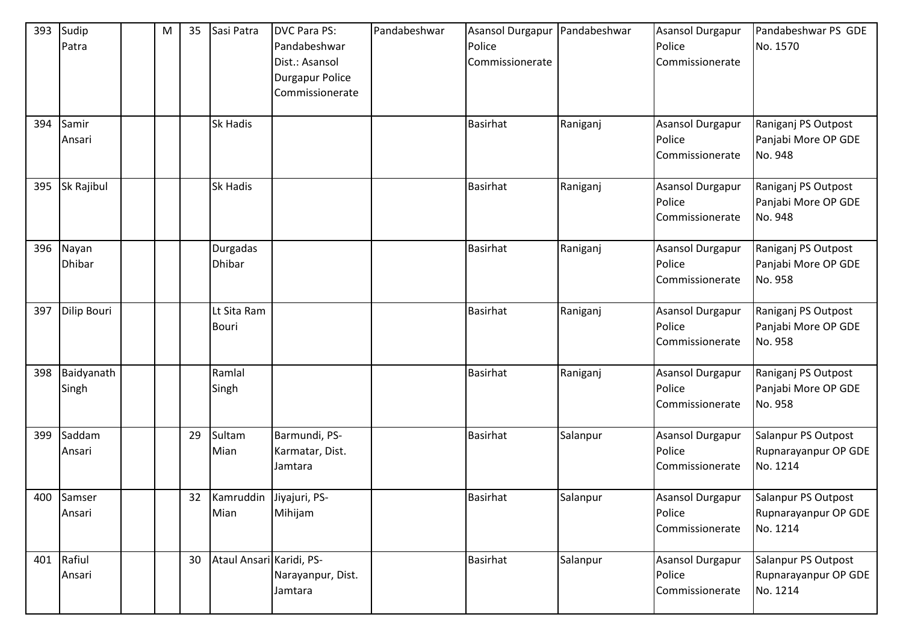| 393 | Sudip<br>Patra         | ${\sf M}$ | 35 | Sasi Patra                      | <b>DVC Para PS:</b><br>Pandabeshwar<br>Dist.: Asansol<br>Durgapur Police<br>Commissionerate | Pandabeshwar | <b>Asansol Durgapur</b><br>Police<br>Commissionerate | Pandabeshwar | Asansol Durgapur<br>Police<br>Commissionerate        | Pandabeshwar PS GDE<br>No. 1570                         |
|-----|------------------------|-----------|----|---------------------------------|---------------------------------------------------------------------------------------------|--------------|------------------------------------------------------|--------------|------------------------------------------------------|---------------------------------------------------------|
| 394 | Samir<br>Ansari        |           |    | Sk Hadis                        |                                                                                             |              | <b>Basirhat</b>                                      | Raniganj     | Asansol Durgapur<br>Police<br>Commissionerate        | Raniganj PS Outpost<br>Panjabi More OP GDE<br>No. 948   |
| 395 | Sk Rajibul             |           |    | <b>Sk Hadis</b>                 |                                                                                             |              | <b>Basirhat</b>                                      | Raniganj     | Asansol Durgapur<br>Police<br>Commissionerate        | Raniganj PS Outpost<br>Panjabi More OP GDE<br>No. 948   |
| 396 | Nayan<br><b>Dhibar</b> |           |    | Durgadas<br><b>Dhibar</b>       |                                                                                             |              | <b>Basirhat</b>                                      | Raniganj     | Asansol Durgapur<br>Police<br>Commissionerate        | Raniganj PS Outpost<br>Panjabi More OP GDE<br>No. 958   |
| 397 | Dilip Bouri            |           |    | Lt Sita Ram<br><b>Bouri</b>     |                                                                                             |              | <b>Basirhat</b>                                      | Raniganj     | Asansol Durgapur<br>Police<br>Commissionerate        | Raniganj PS Outpost<br>Panjabi More OP GDE<br>No. 958   |
| 398 | Baidyanath<br>Singh    |           |    | Ramlal<br>Singh                 |                                                                                             |              | <b>Basirhat</b>                                      | Raniganj     | Asansol Durgapur<br>Police<br>Commissionerate        | Raniganj PS Outpost<br>Panjabi More OP GDE<br>No. 958   |
| 399 | Saddam<br>Ansari       |           | 29 | Sultam<br>Mian                  | Barmundi, PS-<br>Karmatar, Dist.<br>Jamtara                                                 |              | <b>Basirhat</b>                                      | Salanpur     | Asansol Durgapur<br>Police<br>Commissionerate        | Salanpur PS Outpost<br>Rupnarayanpur OP GDE<br>No. 1214 |
|     | 400 Samser<br>Ansari   |           | 32 | Kamruddin Jiyajuri, PS-<br>Mian | Mihijam                                                                                     |              | <b>Basirhat</b>                                      | Salanpur     | <b>Asansol Durgapur</b><br>Police<br>Commissionerate | Salanpur PS Outpost<br>Rupnarayanpur OP GDE<br>No. 1214 |
| 401 | Rafiul<br>Ansari       |           | 30 | Ataul Ansari Karidi, PS-        | Narayanpur, Dist.<br>Jamtara                                                                |              | Basirhat                                             | Salanpur     | <b>Asansol Durgapur</b><br>Police<br>Commissionerate | Salanpur PS Outpost<br>Rupnarayanpur OP GDE<br>No. 1214 |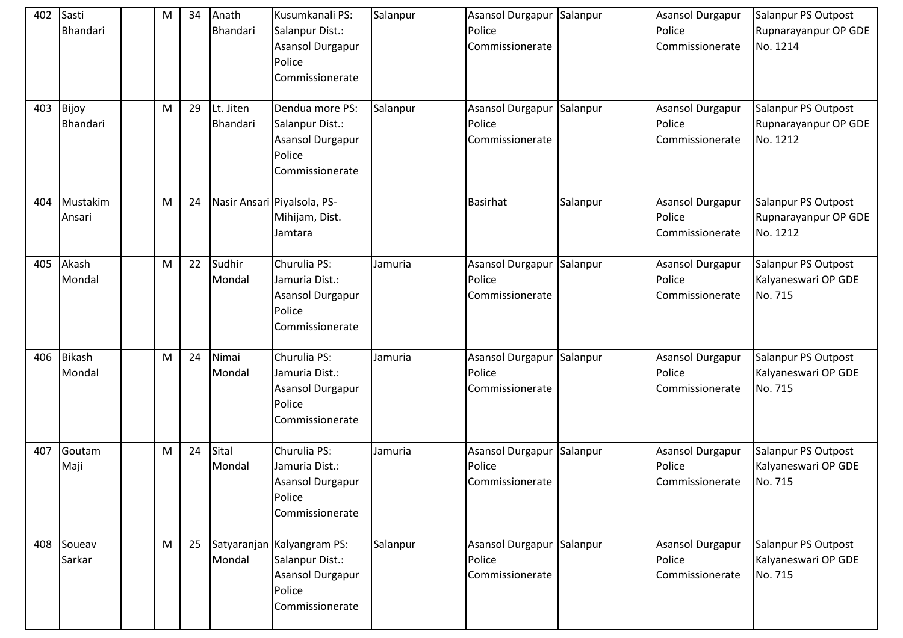| 402 | Sasti<br>Bhandari        | M | 34 | Anath<br>Bhandari     | Kusumkanali PS:<br>Salanpur Dist.:<br>Asansol Durgapur<br>Police<br>Commissionerate            | Salanpur | Asansol Durgapur Salanpur<br>Police<br>Commissionerate |          | Asansol Durgapur<br>Police<br>Commissionerate        | Salanpur PS Outpost<br>Rupnarayanpur OP GDE<br>No. 1214 |
|-----|--------------------------|---|----|-----------------------|------------------------------------------------------------------------------------------------|----------|--------------------------------------------------------|----------|------------------------------------------------------|---------------------------------------------------------|
| 403 | Bijoy<br><b>Bhandari</b> | M | 29 | Lt. Jiten<br>Bhandari | Dendua more PS:<br>Salanpur Dist.:<br>Asansol Durgapur<br>Police<br>Commissionerate            | Salanpur | Asansol Durgapur<br>Police<br>Commissionerate          | Salanpur | <b>Asansol Durgapur</b><br>Police<br>Commissionerate | Salanpur PS Outpost<br>Rupnarayanpur OP GDE<br>No. 1212 |
| 404 | Mustakim<br>Ansari       | M | 24 |                       | Nasir Ansari Piyalsola, PS-<br>Mihijam, Dist.<br>Jamtara                                       |          | <b>Basirhat</b>                                        | Salanpur | <b>Asansol Durgapur</b><br>Police<br>Commissionerate | Salanpur PS Outpost<br>Rupnarayanpur OP GDE<br>No. 1212 |
| 405 | Akash<br>Mondal          | M | 22 | Sudhir<br>Mondal      | Churulia PS:<br>Jamuria Dist.:<br>Asansol Durgapur<br>Police<br>Commissionerate                | Jamuria  | Asansol Durgapur<br>Police<br>Commissionerate          | Salanpur | <b>Asansol Durgapur</b><br>Police<br>Commissionerate | Salanpur PS Outpost<br>Kalyaneswari OP GDE<br>No. 715   |
| 406 | <b>Bikash</b><br>Mondal  | M | 24 | Nimai<br>Mondal       | Churulia PS:<br>Jamuria Dist.:<br>Asansol Durgapur<br>Police<br>Commissionerate                | Jamuria  | Asansol Durgapur<br>Police<br>Commissionerate          | Salanpur | Asansol Durgapur<br>Police<br>Commissionerate        | Salanpur PS Outpost<br>Kalyaneswari OP GDE<br>No. 715   |
| 407 | Goutam<br>Maji           | M | 24 | Sital<br>Mondal       | Churulia PS:<br>Jamuria Dist.:<br>Asansol Durgapur<br>Police<br>Commissionerate                | Jamuria  | Asansol Durgapur<br>Police<br>Commissionerate          | Salanpur | Asansol Durgapur<br>Police<br>Commissionerate        | Salanpur PS Outpost<br>Kalyaneswari OP GDE<br>No. 715   |
| 408 | Soueav<br>Sarkar         | M | 25 | Mondal                | Satyaranjan Kalyangram PS:<br>Salanpur Dist.:<br>Asansol Durgapur<br>Police<br>Commissionerate | Salanpur | Asansol Durgapur<br>Police<br>Commissionerate          | Salanpur | <b>Asansol Durgapur</b><br>Police<br>Commissionerate | Salanpur PS Outpost<br>Kalyaneswari OP GDE<br>No. 715   |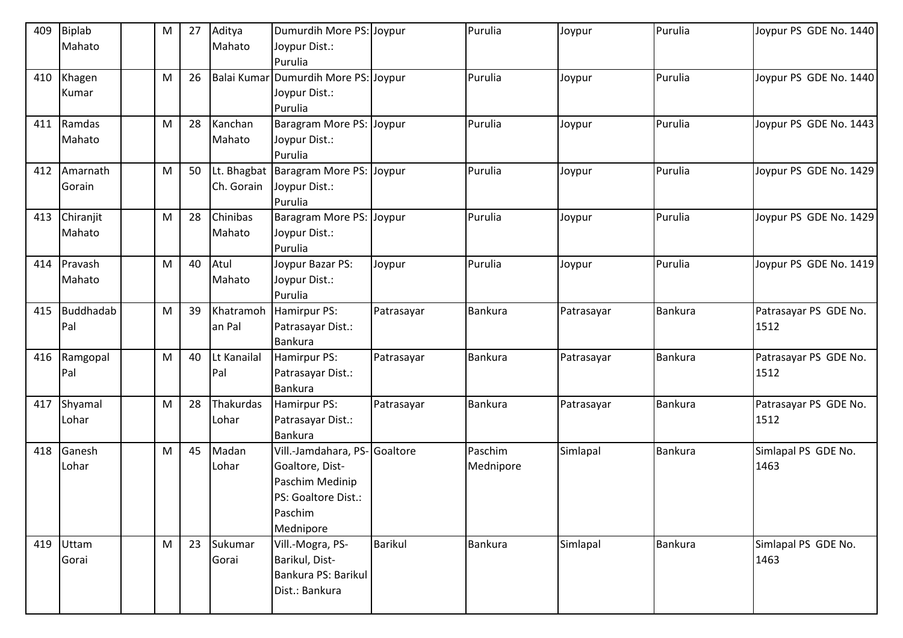| 409 | Biplab    | M | 27 | Aditya      | Dumurdih More PS: Joypur             |                | Purulia        | Joypur     | Purulia        | Joypur PS GDE No. 1440 |
|-----|-----------|---|----|-------------|--------------------------------------|----------------|----------------|------------|----------------|------------------------|
|     | Mahato    |   |    | Mahato      | Joypur Dist.:                        |                |                |            |                |                        |
|     |           |   |    |             | Purulia                              |                |                |            |                |                        |
| 410 | Khagen    | M | 26 |             | Balai Kumar Dumurdih More PS: Joypur |                | Purulia        | Joypur     | Purulia        | Joypur PS GDE No. 1440 |
|     | Kumar     |   |    |             | Joypur Dist.:                        |                |                |            |                |                        |
|     |           |   |    |             | Purulia                              |                |                |            |                |                        |
| 411 | Ramdas    | M | 28 | Kanchan     | Baragram More PS: Joypur             |                | Purulia        | Joypur     | Purulia        | Joypur PS GDE No. 1443 |
|     | Mahato    |   |    | Mahato      | Joypur Dist.:                        |                |                |            |                |                        |
|     |           |   |    |             | Purulia                              |                |                |            |                |                        |
| 412 | Amarnath  | M | 50 |             | Lt. Bhagbat Baragram More PS: Joypur |                | Purulia        | Joypur     | Purulia        | Joypur PS GDE No. 1429 |
|     | Gorain    |   |    | Ch. Gorain  | Joypur Dist.:                        |                |                |            |                |                        |
|     |           |   |    |             | Purulia                              |                |                |            |                |                        |
| 413 | Chiranjit | M | 28 | Chinibas    | Baragram More PS: Joypur             |                | Purulia        | Joypur     | Purulia        | Joypur PS GDE No. 1429 |
|     | Mahato    |   |    | Mahato      | Joypur Dist.:                        |                |                |            |                |                        |
|     |           |   |    |             | Purulia                              |                |                |            |                |                        |
| 414 | Pravash   | M | 40 | Atul        | Joypur Bazar PS:                     | Joypur         | Purulia        | Joypur     | Purulia        | Joypur PS GDE No. 1419 |
|     | Mahato    |   |    | Mahato      | Joypur Dist.:                        |                |                |            |                |                        |
|     |           |   |    |             | Purulia                              |                |                |            |                |                        |
| 415 | Buddhadab | M | 39 | Khatramoh   | Hamirpur PS:                         | Patrasayar     | <b>Bankura</b> | Patrasayar | Bankura        | Patrasayar PS GDE No.  |
|     | Pal       |   |    | an Pal      | Patrasayar Dist.:                    |                |                |            |                | 1512                   |
|     |           |   |    |             | <b>Bankura</b>                       |                |                |            |                |                        |
| 416 | Ramgopal  | M | 40 | Lt Kanailal | Hamirpur PS:                         | Patrasayar     | Bankura        | Patrasayar | <b>Bankura</b> | Patrasayar PS GDE No.  |
|     | Pal       |   |    | Pal         | Patrasayar Dist.:                    |                |                |            |                | 1512                   |
|     |           |   |    |             | Bankura                              |                |                |            |                |                        |
| 417 | Shyamal   | M | 28 | Thakurdas   | Hamirpur PS:                         | Patrasayar     | <b>Bankura</b> | Patrasayar | <b>Bankura</b> | Patrasayar PS GDE No.  |
|     | Lohar     |   |    | Lohar       | Patrasayar Dist.:                    |                |                |            |                | 1512                   |
|     |           |   |    |             | <b>Bankura</b>                       |                |                |            |                |                        |
| 418 | Ganesh    | M | 45 | Madan       | Vill.-Jamdahara, PS- Goaltore        |                | Paschim        | Simlapal   | <b>Bankura</b> | Simlapal PS GDE No.    |
|     | Lohar     |   |    | Lohar       | Goaltore, Dist-                      |                | Mednipore      |            |                | 1463                   |
|     |           |   |    |             | Paschim Medinip                      |                |                |            |                |                        |
|     |           |   |    |             | PS: Goaltore Dist.:                  |                |                |            |                |                        |
|     |           |   |    |             | Paschim                              |                |                |            |                |                        |
|     |           |   |    |             | Mednipore                            |                |                |            |                |                        |
| 419 | Uttam     | M | 23 | Sukumar     | Vill.-Mogra, PS-                     | <b>Barikul</b> | <b>Bankura</b> | Simlapal   | Bankura        | Simlapal PS GDE No.    |
|     | Gorai     |   |    | Gorai       | Barikul, Dist-                       |                |                |            |                | 1463                   |
|     |           |   |    |             | Bankura PS: Barikul                  |                |                |            |                |                        |
|     |           |   |    |             | Dist.: Bankura                       |                |                |            |                |                        |
|     |           |   |    |             |                                      |                |                |            |                |                        |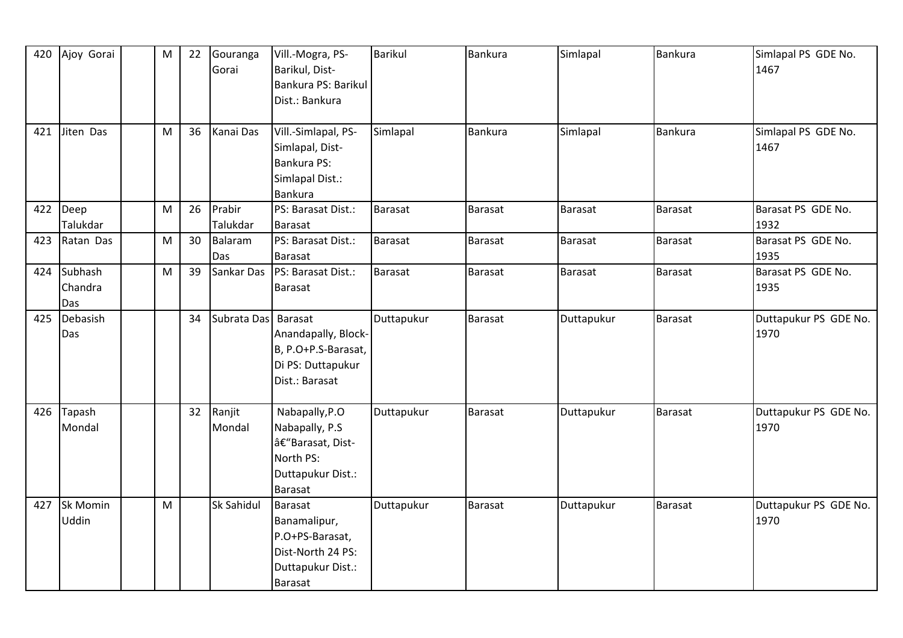| 420 | Ajoy Gorai      | M | 22 | Gouranga            | Vill.-Mogra, PS-    | <b>Barikul</b> | <b>Bankura</b> | Simlapal   | <b>Bankura</b> | Simlapal PS GDE No.   |
|-----|-----------------|---|----|---------------------|---------------------|----------------|----------------|------------|----------------|-----------------------|
|     |                 |   |    | Gorai               | Barikul, Dist-      |                |                |            |                | 1467                  |
|     |                 |   |    |                     | Bankura PS: Barikul |                |                |            |                |                       |
|     |                 |   |    |                     | Dist.: Bankura      |                |                |            |                |                       |
|     |                 |   |    |                     |                     |                |                |            |                |                       |
| 421 | Jiten Das       | M | 36 | Kanai Das           | Vill.-Simlapal, PS- | Simlapal       | <b>Bankura</b> | Simlapal   | <b>Bankura</b> | Simlapal PS GDE No.   |
|     |                 |   |    |                     | Simlapal, Dist-     |                |                |            |                | 1467                  |
|     |                 |   |    |                     | <b>Bankura PS:</b>  |                |                |            |                |                       |
|     |                 |   |    |                     | Simlapal Dist.:     |                |                |            |                |                       |
|     |                 |   |    |                     | <b>Bankura</b>      |                |                |            |                |                       |
| 422 | Deep            | M | 26 | Prabir              | PS: Barasat Dist.:  | Barasat        | <b>Barasat</b> | Barasat    | Barasat        | Barasat PS GDE No.    |
|     | Talukdar        |   |    | Talukdar            | <b>Barasat</b>      |                |                |            |                | 1932                  |
| 423 | Ratan Das       | M | 30 | Balaram             | PS: Barasat Dist.:  | Barasat        | <b>Barasat</b> | Barasat    | Barasat        | Barasat PS GDE No.    |
|     |                 |   |    | Das                 | <b>Barasat</b>      |                |                |            |                | 1935                  |
| 424 | Subhash         | M | 39 | Sankar Das          | PS: Barasat Dist.:  | Barasat        | Barasat        | Barasat    | <b>Barasat</b> | Barasat PS GDE No.    |
|     | Chandra         |   |    |                     | <b>Barasat</b>      |                |                |            |                | 1935                  |
|     | Das             |   |    |                     |                     |                |                |            |                |                       |
| 425 | Debasish        |   | 34 | Subrata Das Barasat |                     | Duttapukur     | <b>Barasat</b> | Duttapukur | <b>Barasat</b> | Duttapukur PS GDE No. |
|     | Das             |   |    |                     | Anandapally, Block- |                |                |            |                | 1970                  |
|     |                 |   |    |                     | B, P.O+P.S-Barasat, |                |                |            |                |                       |
|     |                 |   |    |                     | Di PS: Duttapukur   |                |                |            |                |                       |
|     |                 |   |    |                     | Dist.: Barasat      |                |                |            |                |                       |
|     |                 |   |    |                     |                     |                |                |            |                |                       |
| 426 | Tapash          |   | 32 | Ranjit              | Nabapally, P.O      | Duttapukur     | Barasat        | Duttapukur | <b>Barasat</b> | Duttapukur PS GDE No. |
|     | Mondal          |   |    | Mondal              | Nabapally, P.S      |                |                |            |                | 1970                  |
|     |                 |   |    |                     | â€"Barasat, Dist-   |                |                |            |                |                       |
|     |                 |   |    |                     | North PS:           |                |                |            |                |                       |
|     |                 |   |    |                     | Duttapukur Dist.:   |                |                |            |                |                       |
|     |                 |   |    |                     | <b>Barasat</b>      |                |                |            |                |                       |
| 427 | <b>Sk Momin</b> | M |    | Sk Sahidul          | Barasat             | Duttapukur     | <b>Barasat</b> | Duttapukur | Barasat        | Duttapukur PS GDE No. |
|     | Uddin           |   |    |                     | Banamalipur,        |                |                |            |                | 1970                  |
|     |                 |   |    |                     | P.O+PS-Barasat,     |                |                |            |                |                       |
|     |                 |   |    |                     | Dist-North 24 PS:   |                |                |            |                |                       |
|     |                 |   |    |                     | Duttapukur Dist.:   |                |                |            |                |                       |
|     |                 |   |    |                     | Barasat             |                |                |            |                |                       |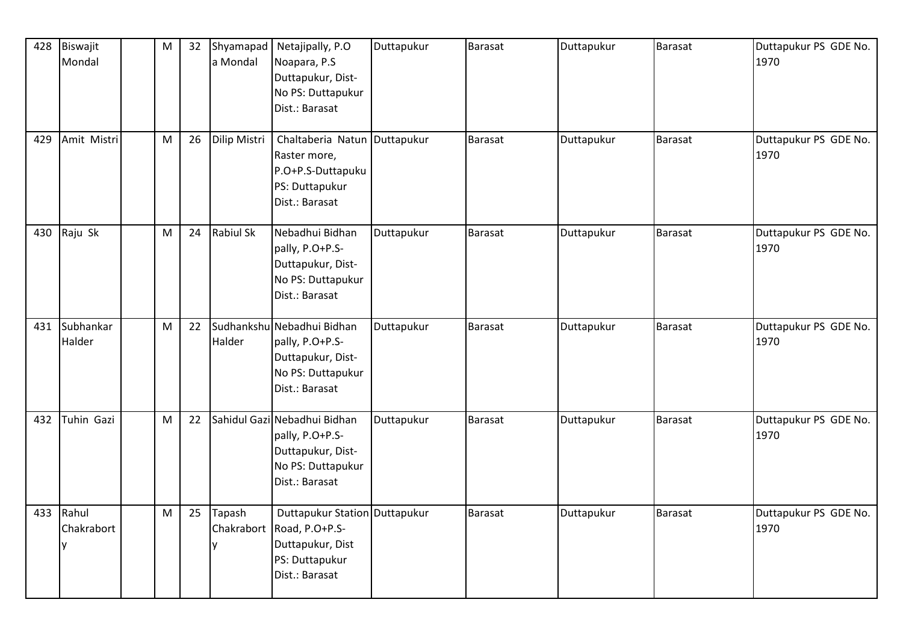| 428 | Biswajit<br>Mondal | M | 32 | Shyamapad<br>a Mondal | Netajipally, P.O<br>Noapara, P.S.            | Duttapukur | Barasat        | Duttapukur | Barasat        | Duttapukur PS GDE No.<br>1970 |
|-----|--------------------|---|----|-----------------------|----------------------------------------------|------------|----------------|------------|----------------|-------------------------------|
|     |                    |   |    |                       | Duttapukur, Dist-                            |            |                |            |                |                               |
|     |                    |   |    |                       | No PS: Duttapukur<br>Dist.: Barasat          |            |                |            |                |                               |
|     |                    |   |    |                       |                                              |            |                |            |                |                               |
| 429 | Amit Mistri        | M | 26 | Dilip Mistri          | Chaltaberia Natun Duttapukur<br>Raster more, |            | Barasat        | Duttapukur | <b>Barasat</b> | Duttapukur PS GDE No.<br>1970 |
|     |                    |   |    |                       | P.O+P.S-Duttapuku                            |            |                |            |                |                               |
|     |                    |   |    |                       | PS: Duttapukur                               |            |                |            |                |                               |
|     |                    |   |    |                       | Dist.: Barasat                               |            |                |            |                |                               |
| 430 | Raju Sk            | M | 24 | Rabiul Sk             | Nebadhui Bidhan                              | Duttapukur | Barasat        | Duttapukur | Barasat        | Duttapukur PS GDE No.         |
|     |                    |   |    |                       | pally, P.O+P.S-                              |            |                |            |                | 1970                          |
|     |                    |   |    |                       | Duttapukur, Dist-                            |            |                |            |                |                               |
|     |                    |   |    |                       | No PS: Duttapukur                            |            |                |            |                |                               |
|     |                    |   |    |                       | Dist.: Barasat                               |            |                |            |                |                               |
| 431 | Subhankar          | M | 22 |                       | Sudhankshu Nebadhui Bidhan                   | Duttapukur | <b>Barasat</b> | Duttapukur | Barasat        | Duttapukur PS GDE No.         |
|     | Halder             |   |    | Halder                | pally, P.O+P.S-                              |            |                |            |                | 1970                          |
|     |                    |   |    |                       | Duttapukur, Dist-                            |            |                |            |                |                               |
|     |                    |   |    |                       | No PS: Duttapukur<br>Dist.: Barasat          |            |                |            |                |                               |
|     |                    |   |    |                       |                                              |            |                |            |                |                               |
| 432 | Tuhin Gazi         | M | 22 |                       | Sahidul Gazi Nebadhui Bidhan                 | Duttapukur | <b>Barasat</b> | Duttapukur | <b>Barasat</b> | Duttapukur PS GDE No.         |
|     |                    |   |    |                       | pally, P.O+P.S-                              |            |                |            |                | 1970                          |
|     |                    |   |    |                       | Duttapukur, Dist-<br>No PS: Duttapukur       |            |                |            |                |                               |
|     |                    |   |    |                       | Dist.: Barasat                               |            |                |            |                |                               |
|     |                    |   |    |                       |                                              |            |                |            |                |                               |
| 433 | Rahul              | M | 25 | Tapash                | Duttapukur Station Duttapukur                |            | Barasat        | Duttapukur | Barasat        | Duttapukur PS GDE No.         |
|     | Chakrabort         |   |    | Chakrabort            | Road, P.O+P.S-                               |            |                |            |                | 1970                          |
|     |                    |   |    | v                     | Duttapukur, Dist                             |            |                |            |                |                               |
|     |                    |   |    |                       | PS: Duttapukur                               |            |                |            |                |                               |
|     |                    |   |    |                       | Dist.: Barasat                               |            |                |            |                |                               |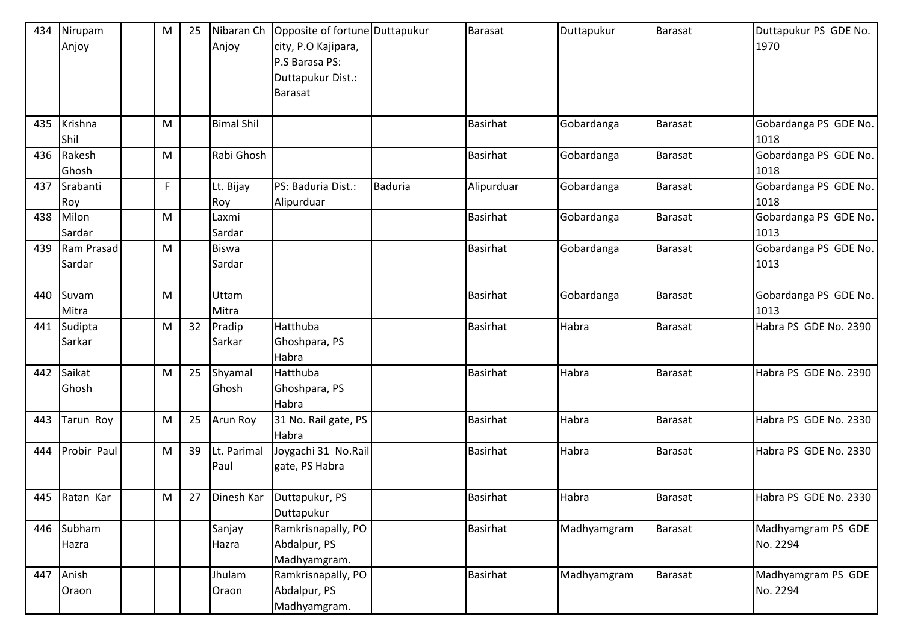| 434 | Nirupam       | M | 25 | Nibaran Ch        | Opposite of fortune Duttapukur |                | <b>Barasat</b>  | Duttapukur  | <b>Barasat</b> | Duttapukur PS GDE No. |
|-----|---------------|---|----|-------------------|--------------------------------|----------------|-----------------|-------------|----------------|-----------------------|
|     | Anjoy         |   |    | Anjoy             | city, P.O Kajipara,            |                |                 |             |                | 1970                  |
|     |               |   |    |                   | P.S Barasa PS:                 |                |                 |             |                |                       |
|     |               |   |    |                   | Duttapukur Dist.:              |                |                 |             |                |                       |
|     |               |   |    |                   | <b>Barasat</b>                 |                |                 |             |                |                       |
|     |               |   |    |                   |                                |                |                 |             |                |                       |
| 435 | Krishna       | M |    | <b>Bimal Shil</b> |                                |                | <b>Basirhat</b> | Gobardanga  | <b>Barasat</b> | Gobardanga PS GDE No. |
|     | Shil          |   |    |                   |                                |                |                 |             |                | 1018                  |
| 436 | Rakesh        | M |    | Rabi Ghosh        |                                |                | <b>Basirhat</b> | Gobardanga  | <b>Barasat</b> | Gobardanga PS GDE No. |
|     | Ghosh         |   |    |                   |                                |                |                 |             |                | 1018                  |
| 437 | Srabanti      | F |    | Lt. Bijay         | PS: Baduria Dist.:             | <b>Baduria</b> | Alipurduar      | Gobardanga  | Barasat        | Gobardanga PS GDE No. |
|     | Roy           |   |    | Roy               | Alipurduar                     |                |                 |             |                | 1018                  |
| 438 | Milon         | M |    | Laxmi             |                                |                | <b>Basirhat</b> | Gobardanga  | <b>Barasat</b> | Gobardanga PS GDE No. |
|     | Sardar        |   |    | Sardar            |                                |                |                 |             |                | 1013                  |
| 439 | Ram Prasad    | M |    | <b>Biswa</b>      |                                |                | <b>Basirhat</b> | Gobardanga  | Barasat        | Gobardanga PS GDE No. |
|     | Sardar        |   |    | Sardar            |                                |                |                 |             |                | 1013                  |
|     |               |   |    |                   |                                |                |                 |             |                |                       |
| 440 | Suvam         | M |    | Uttam             |                                |                | <b>Basirhat</b> | Gobardanga  | <b>Barasat</b> | Gobardanga PS GDE No. |
|     | Mitra         |   |    | Mitra             |                                |                |                 |             |                | 1013                  |
| 441 | Sudipta       | M | 32 | Pradip            | Hatthuba                       |                | <b>Basirhat</b> | Habra       | <b>Barasat</b> | Habra PS GDE No. 2390 |
|     | Sarkar        |   |    | Sarkar            | Ghoshpara, PS                  |                |                 |             |                |                       |
|     |               |   |    |                   | Habra                          |                |                 |             |                |                       |
| 442 | Saikat        | M | 25 | Shyamal           | Hatthuba                       |                | <b>Basirhat</b> | Habra       | Barasat        | Habra PS GDE No. 2390 |
|     | Ghosh         |   |    | Ghosh             | Ghoshpara, PS                  |                |                 |             |                |                       |
|     |               |   |    |                   | Habra                          |                |                 |             |                |                       |
| 443 | Tarun Roy     | M | 25 | Arun Roy          | 31 No. Rail gate, PS           |                | <b>Basirhat</b> | Habra       | <b>Barasat</b> | Habra PS GDE No. 2330 |
|     |               |   |    |                   | Habra                          |                |                 |             |                |                       |
| 444 | Probir Paul   | M | 39 | Lt. Parimal       | Joygachi 31 No.Rail            |                | <b>Basirhat</b> | Habra       | <b>Barasat</b> | Habra PS GDE No. 2330 |
|     |               |   |    | Paul              | gate, PS Habra                 |                |                 |             |                |                       |
|     |               |   |    |                   |                                |                |                 |             |                |                       |
|     | 445 Ratan Kar | M | 27 | Dinesh Kar        | Duttapukur, PS                 |                | Basirhat        | Habra       | <b>Barasat</b> | Habra PS GDE No. 2330 |
|     |               |   |    |                   | Duttapukur                     |                |                 |             |                |                       |
| 446 | Subham        |   |    | Sanjay            | Ramkrisnapally, PO             |                | <b>Basirhat</b> | Madhyamgram | <b>Barasat</b> | Madhyamgram PS GDE    |
|     | Hazra         |   |    | Hazra             | Abdalpur, PS                   |                |                 |             |                | No. 2294              |
|     |               |   |    |                   | Madhyamgram.                   |                |                 |             |                |                       |
| 447 | Anish         |   |    | Jhulam            | Ramkrisnapally, PO             |                | Basirhat        | Madhyamgram | Barasat        | Madhyamgram PS GDE    |
|     | Oraon         |   |    | Oraon             | Abdalpur, PS                   |                |                 |             |                | No. 2294              |
|     |               |   |    |                   | Madhyamgram.                   |                |                 |             |                |                       |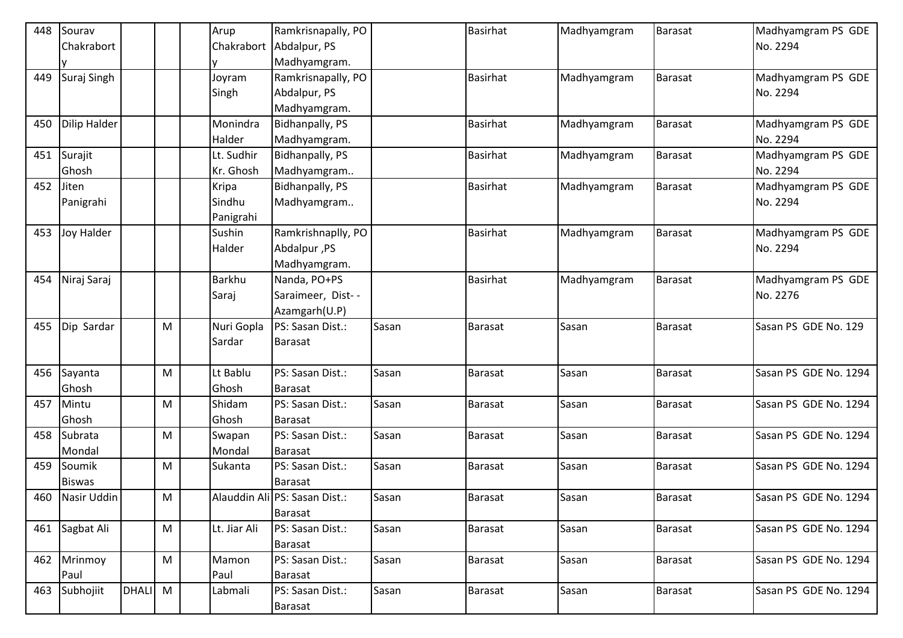| 448 | Sourav              |       |           | Arup         | Ramkrisnapally, PO            |       | <b>Basirhat</b> | Madhyamgram | <b>Barasat</b> | Madhyamgram PS GDE    |
|-----|---------------------|-------|-----------|--------------|-------------------------------|-------|-----------------|-------------|----------------|-----------------------|
|     | Chakrabort          |       |           |              | Chakrabort Abdalpur, PS       |       |                 |             |                | No. 2294              |
|     |                     |       |           |              | Madhyamgram.                  |       |                 |             |                |                       |
| 449 | Suraj Singh         |       |           | Joyram       | Ramkrisnapally, PO            |       | <b>Basirhat</b> | Madhyamgram | <b>Barasat</b> | Madhyamgram PS GDE    |
|     |                     |       |           | Singh        | Abdalpur, PS                  |       |                 |             |                | No. 2294              |
|     |                     |       |           |              | Madhyamgram.                  |       |                 |             |                |                       |
| 450 | <b>Dilip Halder</b> |       |           | Monindra     | Bidhanpally, PS               |       | <b>Basirhat</b> | Madhyamgram | <b>Barasat</b> | Madhyamgram PS GDE    |
|     |                     |       |           | Halder       | Madhyamgram.                  |       |                 |             |                | No. 2294              |
| 451 | Surajit             |       |           | Lt. Sudhir   | Bidhanpally, PS               |       | <b>Basirhat</b> | Madhyamgram | <b>Barasat</b> | Madhyamgram PS GDE    |
|     | Ghosh               |       |           | Kr. Ghosh    | Madhyamgram                   |       |                 |             |                | No. 2294              |
| 452 | Jiten               |       |           | Kripa        | Bidhanpally, PS               |       | <b>Basirhat</b> | Madhyamgram | <b>Barasat</b> | Madhyamgram PS GDE    |
|     | Panigrahi           |       |           | Sindhu       | Madhyamgram                   |       |                 |             |                | No. 2294              |
|     |                     |       |           | Panigrahi    |                               |       |                 |             |                |                       |
| 453 | <b>Joy Halder</b>   |       |           | Sushin       | Ramkrishnaplly, PO            |       | <b>Basirhat</b> | Madhyamgram | <b>Barasat</b> | Madhyamgram PS GDE    |
|     |                     |       |           | Halder       | Abdalpur, PS                  |       |                 |             |                | No. 2294              |
|     |                     |       |           |              | Madhyamgram.                  |       |                 |             |                |                       |
| 454 | Niraj Saraj         |       |           | Barkhu       | Nanda, PO+PS                  |       | <b>Basirhat</b> | Madhyamgram | Barasat        | Madhyamgram PS GDE    |
|     |                     |       |           | Saraj        | Saraimeer, Dist--             |       |                 |             |                | No. 2276              |
|     |                     |       |           |              | Azamgarh(U.P)                 |       |                 |             |                |                       |
| 455 | Dip Sardar          |       | M         | Nuri Gopla   | PS: Sasan Dist.:              | Sasan | <b>Barasat</b>  | Sasan       | <b>Barasat</b> | Sasan PS GDE No. 129  |
|     |                     |       |           | Sardar       | Barasat                       |       |                 |             |                |                       |
|     |                     |       |           |              |                               |       |                 |             |                |                       |
| 456 | Sayanta             |       | M         | Lt Bablu     | PS: Sasan Dist.:              | Sasan | <b>Barasat</b>  | Sasan       | <b>Barasat</b> | Sasan PS GDE No. 1294 |
|     | Ghosh               |       |           | Ghosh        | <b>Barasat</b>                |       |                 |             |                |                       |
| 457 | Mintu               |       | M         | Shidam       | PS: Sasan Dist.:              | Sasan | <b>Barasat</b>  | Sasan       | <b>Barasat</b> | Sasan PS GDE No. 1294 |
|     | Ghosh               |       |           | Ghosh        | Barasat                       |       |                 |             |                |                       |
| 458 | Subrata             |       | M         | Swapan       | PS: Sasan Dist.:              | Sasan | <b>Barasat</b>  | Sasan       | Barasat        | Sasan PS GDE No. 1294 |
|     | Mondal              |       |           | Mondal       | Barasat                       |       |                 |             |                |                       |
| 459 | Soumik              |       | M         | Sukanta      | PS: Sasan Dist.:              | Sasan | <b>Barasat</b>  | Sasan       | Barasat        | Sasan PS GDE No. 1294 |
|     | <b>Biswas</b>       |       |           |              | Barasat                       |       |                 |             |                |                       |
| 460 | Nasir Uddin         |       | M         |              | Alauddin Ali PS: Sasan Dist.: | Sasan | <b>Barasat</b>  | Sasan       | Barasat        | Sasan PS GDE No. 1294 |
|     |                     |       |           |              | Barasat                       |       |                 |             |                |                       |
| 461 | Sagbat Ali          |       | M         | Lt. Jiar Ali | PS: Sasan Dist.:              | Sasan | <b>Barasat</b>  | Sasan       | Barasat        | Sasan PS GDE No. 1294 |
|     |                     |       |           |              | Barasat                       |       |                 |             |                |                       |
| 462 | Mrinmoy             |       | M         | Mamon        | PS: Sasan Dist.:              | Sasan | <b>Barasat</b>  | Sasan       | Barasat        | Sasan PS GDE No. 1294 |
|     | Paul                |       |           | Paul         | <b>Barasat</b>                |       |                 |             |                |                       |
| 463 | Subhojiit           | DHALI | ${\sf M}$ | Labmali      | PS: Sasan Dist.:              | Sasan | Barasat         | Sasan       | Barasat        | Sasan PS GDE No. 1294 |
|     |                     |       |           |              | Barasat                       |       |                 |             |                |                       |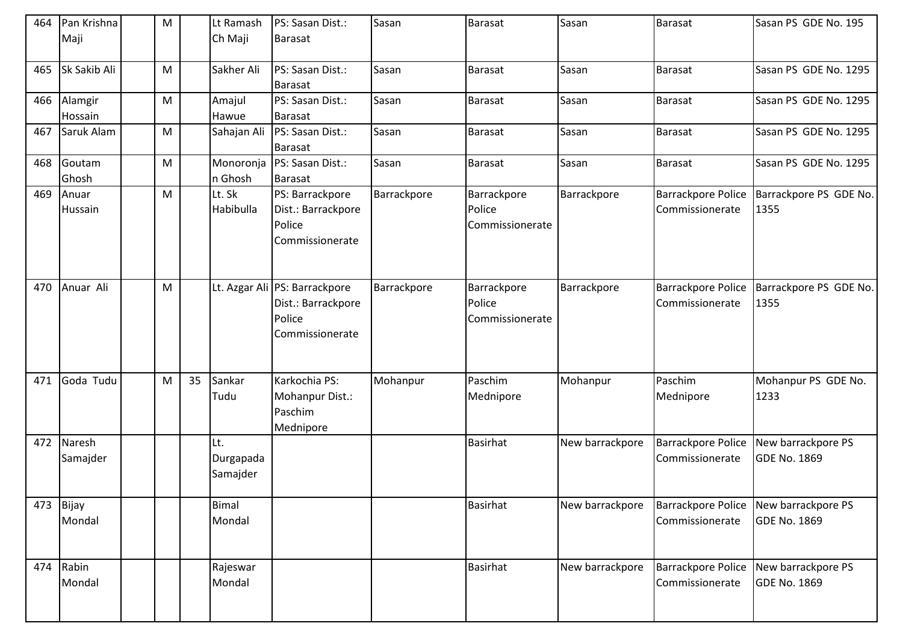| 464 | Pan Krishna<br>Maji | M         |    | Lt Ramash<br>Ch Maji         | PS: Sasan Dist.:<br><b>Barasat</b>                                               | Sasan       | Barasat                                  | Sasan           | Barasat                                      | Sasan PS GDE No. 195                                         |
|-----|---------------------|-----------|----|------------------------------|----------------------------------------------------------------------------------|-------------|------------------------------------------|-----------------|----------------------------------------------|--------------------------------------------------------------|
| 465 | Sk Sakib Ali        | ${\sf M}$ |    | Sakher Ali                   | PS: Sasan Dist.:<br><b>Barasat</b>                                               | Sasan       | Barasat                                  | Sasan           | Barasat                                      | Sasan PS GDE No. 1295                                        |
| 466 | Alamgir<br>Hossain  | ${\sf M}$ |    | Amajul<br>Hawue              | PS: Sasan Dist.:<br><b>Barasat</b>                                               | Sasan       | <b>Barasat</b>                           | Sasan           | Barasat                                      | Sasan PS GDE No. 1295                                        |
| 467 | Saruk Alam          | ${\sf M}$ |    | Sahajan Ali                  | PS: Sasan Dist.:<br><b>Barasat</b>                                               | Sasan       | <b>Barasat</b>                           | Sasan           | Barasat                                      | Sasan PS GDE No. 1295                                        |
| 468 | Goutam<br>Ghosh     | M         |    | Monoronja<br>n Ghosh         | PS: Sasan Dist.:<br><b>Barasat</b>                                               | Sasan       | <b>Barasat</b>                           | Sasan           | Barasat                                      | Sasan PS GDE No. 1295                                        |
| 469 | Anuar<br>Hussain    | M         |    | Lt. Sk<br>Habibulla          | PS: Barrackpore<br>Dist.: Barrackpore<br>Police<br>Commissionerate               | Barrackpore | Barrackpore<br>Police<br>Commissionerate | Barrackpore     | <b>Barrackpore Police</b><br>Commissionerate | Barrackpore PS GDE No.<br>1355                               |
| 470 | Anuar Ali           | M         |    |                              | Lt. Azgar Ali PS: Barrackpore<br>Dist.: Barrackpore<br>Police<br>Commissionerate | Barrackpore | Barrackpore<br>Police<br>Commissionerate | Barrackpore     | <b>Barrackpore Police</b><br>Commissionerate | Barrackpore PS GDE No.<br>1355                               |
| 471 | Goda Tudu           | M         | 35 | Sankar<br>Tudu               | Karkochia PS:<br>Mohanpur Dist.:<br>Paschim<br>Mednipore                         | Mohanpur    | Paschim<br>Mednipore                     | Mohanpur        | Paschim<br>Mednipore                         | Mohanpur PS GDE No.<br>1233                                  |
| 472 | Naresh<br>Samajder  |           |    | Lt.<br>Durgapada<br>Samajder |                                                                                  |             | Basirhat                                 | New barrackpore | <b>Barrackpore Police</b><br>Commissionerate | New barrackpore PS<br><b>GDE No. 1869</b>                    |
| 473 | Bijay<br>Mondal     |           |    | <b>Bimal</b><br>Mondal       |                                                                                  |             | <b>Basirhat</b>                          | New barrackpore | Commissionerate                              | Barrackpore Police New barrackpore PS<br><b>GDE No. 1869</b> |
| 474 | Rabin<br>Mondal     |           |    | Rajeswar<br>Mondal           |                                                                                  |             | <b>Basirhat</b>                          | New barrackpore | <b>Barrackpore Police</b><br>Commissionerate | New barrackpore PS<br><b>GDE No. 1869</b>                    |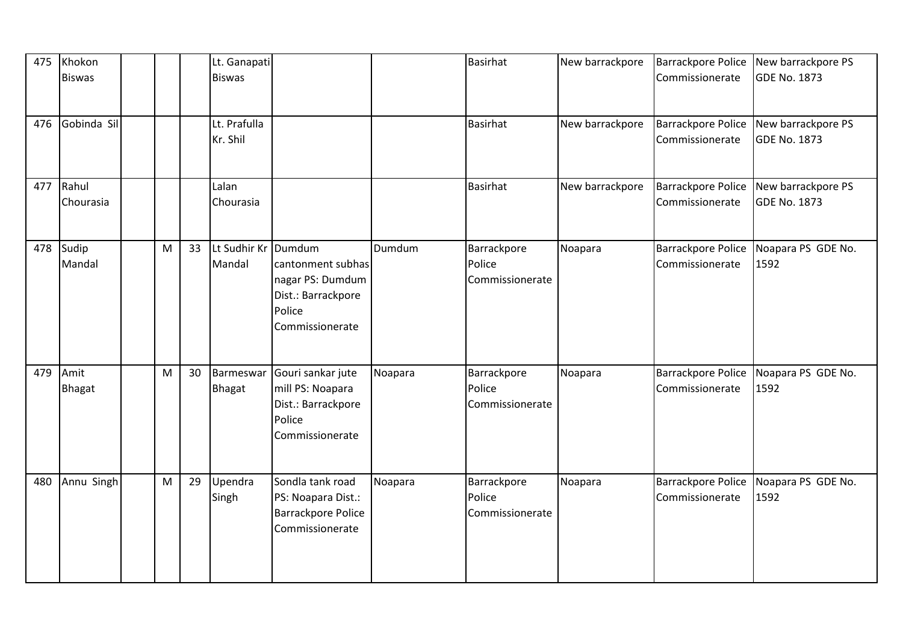| 475 | Khokon<br><b>Biswas</b> |   |    | Lt. Ganapati<br><b>Biswas</b> |                                                                                          |         | <b>Basirhat</b>                          | New barrackpore | <b>Barrackpore Police</b><br>Commissionerate | New barrackpore PS<br><b>GDE No. 1873</b> |
|-----|-------------------------|---|----|-------------------------------|------------------------------------------------------------------------------------------|---------|------------------------------------------|-----------------|----------------------------------------------|-------------------------------------------|
| 476 | Gobinda Sil             |   |    | Lt. Prafulla<br>Kr. Shil      |                                                                                          |         | <b>Basirhat</b>                          | New barrackpore | <b>Barrackpore Police</b><br>Commissionerate | New barrackpore PS<br><b>GDE No. 1873</b> |
| 477 | Rahul<br>Chourasia      |   |    | Lalan<br>Chourasia            |                                                                                          |         | Basirhat                                 | New barrackpore | Barrackpore Police<br>Commissionerate        | New barrackpore PS<br><b>GDE No. 1873</b> |
| 478 | Sudip<br>Mandal         | M | 33 | Lt Sudhir Kr Dumdum<br>Mandal | cantonment subhas<br>nagar PS: Dumdum<br>Dist.: Barrackpore<br>Police<br>Commissionerate | Dumdum  | Barrackpore<br>Police<br>Commissionerate | Noapara         | <b>Barrackpore Police</b><br>Commissionerate | Noapara PS GDE No.<br>1592                |
| 479 | Amit<br><b>Bhagat</b>   | M | 30 | Barmeswar<br><b>Bhagat</b>    | Gouri sankar jute<br>mill PS: Noapara<br>Dist.: Barrackpore<br>Police<br>Commissionerate | Noapara | Barrackpore<br>Police<br>Commissionerate | Noapara         | Barrackpore Police<br>Commissionerate        | Noapara PS GDE No.<br>1592                |
| 480 | Annu Singh              | M | 29 | Upendra<br>Singh              | Sondla tank road<br>PS: Noapara Dist.:<br><b>Barrackpore Police</b><br>Commissionerate   | Noapara | Barrackpore<br>Police<br>Commissionerate | Noapara         | Barrackpore Police<br>Commissionerate        | Noapara PS GDE No.<br>1592                |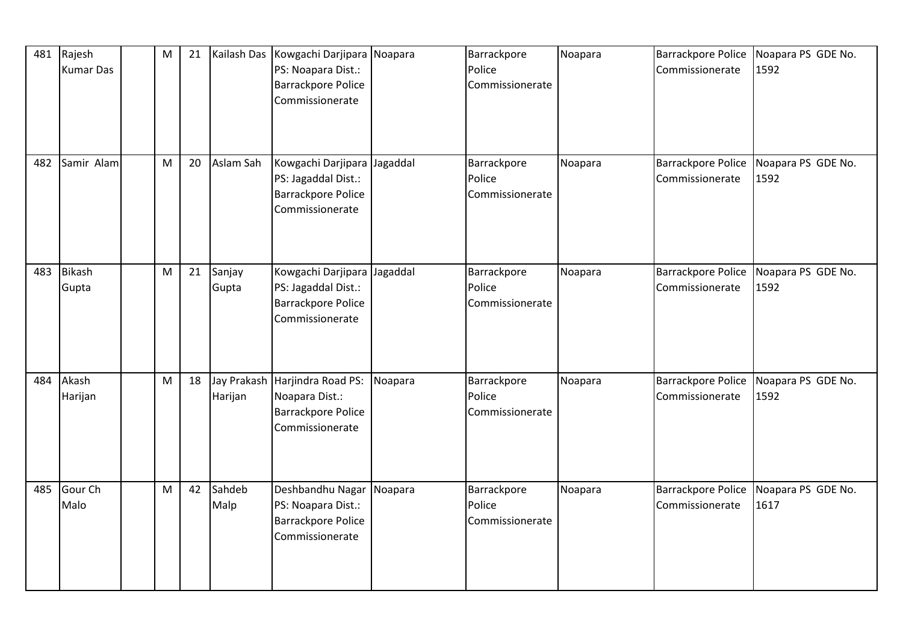| 481 | Rajesh<br><b>Kumar Das</b> | M | 21 | Kailash Das            | Kowgachi Darjipara Noapara<br>PS: Noapara Dist.:<br><b>Barrackpore Police</b><br>Commissionerate |          | Barrackpore<br>Police<br>Commissionerate | Noapara | <b>Barrackpore Police</b><br>Commissionerate | Noapara PS GDE No.<br>1592 |
|-----|----------------------------|---|----|------------------------|--------------------------------------------------------------------------------------------------|----------|------------------------------------------|---------|----------------------------------------------|----------------------------|
| 482 | Samir Alam                 | M | 20 | Aslam Sah              | Kowgachi Darjipara<br>PS: Jagaddal Dist.:<br><b>Barrackpore Police</b><br>Commissionerate        | Jagaddal | Barrackpore<br>Police<br>Commissionerate | Noapara | <b>Barrackpore Police</b><br>Commissionerate | Noapara PS GDE No.<br>1592 |
| 483 | <b>Bikash</b><br>Gupta     | M | 21 | Sanjay<br>Gupta        | Kowgachi Darjipara<br>PS: Jagaddal Dist.:<br><b>Barrackpore Police</b><br>Commissionerate        | Jagaddal | Barrackpore<br>Police<br>Commissionerate | Noapara | <b>Barrackpore Police</b><br>Commissionerate | Noapara PS GDE No.<br>1592 |
| 484 | Akash<br>Harijan           | M | 18 | Jay Prakash<br>Harijan | Harjindra Road PS:<br>Noapara Dist.:<br><b>Barrackpore Police</b><br>Commissionerate             | Noapara  | Barrackpore<br>Police<br>Commissionerate | Noapara | <b>Barrackpore Police</b><br>Commissionerate | Noapara PS GDE No.<br>1592 |
| 485 | Gour Ch<br>Malo            | M | 42 | Sahdeb<br>Malp         | Deshbandhu Nagar<br>PS: Noapara Dist.:<br><b>Barrackpore Police</b><br>Commissionerate           | Noapara  | Barrackpore<br>Police<br>Commissionerate | Noapara | <b>Barrackpore Police</b><br>Commissionerate | Noapara PS GDE No.<br>1617 |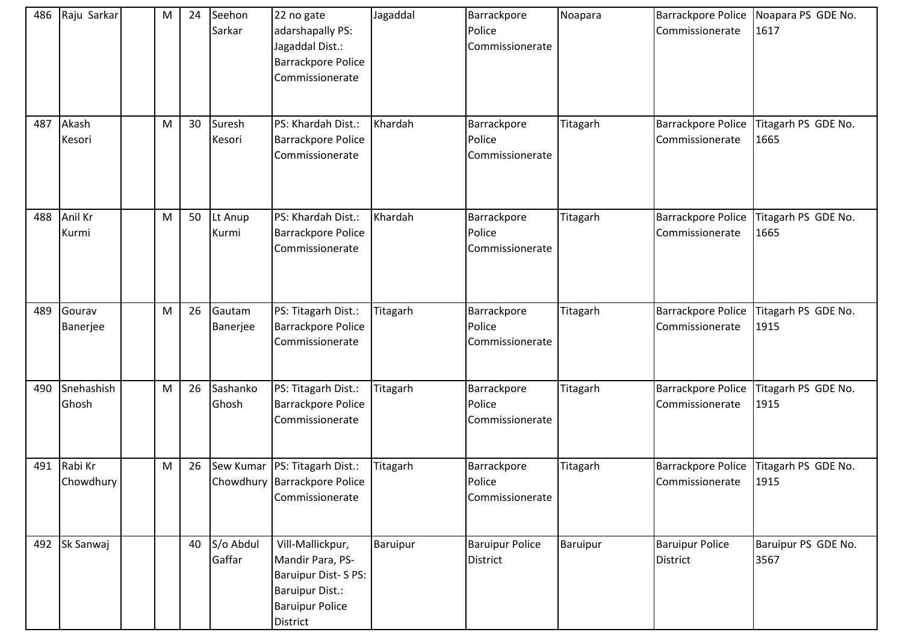| 486 | Raju Sarkar          | M         | 24 | Seehon<br>Sarkar    | 22 no gate<br>adarshapally PS:<br>Jagaddal Dist.:<br><b>Barrackpore Police</b><br>Commissionerate                          | Jagaddal | Barrackpore<br>Police<br>Commissionerate  | Noapara  | Commissionerate                           | Barrackpore Police   Noapara PS GDE No.<br>1617 |
|-----|----------------------|-----------|----|---------------------|----------------------------------------------------------------------------------------------------------------------------|----------|-------------------------------------------|----------|-------------------------------------------|-------------------------------------------------|
| 487 | Akash<br>Kesori      | ${\sf M}$ | 30 | Suresh<br>Kesori    | PS: Khardah Dist.:<br><b>Barrackpore Police</b><br>Commissionerate                                                         | Khardah  | Barrackpore<br>Police<br>Commissionerate  | Titagarh | Barrackpore Police<br>Commissionerate     | Titagarh PS GDE No.<br>1665                     |
| 488 | Anil Kr<br>Kurmi     | ${\sf M}$ | 50 | Lt Anup<br>Kurmi    | PS: Khardah Dist.:<br><b>Barrackpore Police</b><br>Commissionerate                                                         | Khardah  | Barrackpore<br>Police<br>Commissionerate  | Titagarh | Barrackpore Police<br>Commissionerate     | Titagarh PS GDE No.<br>1665                     |
| 489 | Gourav<br>Banerjee   | M         | 26 | Gautam<br>Banerjee  | PS: Titagarh Dist.:<br><b>Barrackpore Police</b><br>Commissionerate                                                        | Titagarh | Barrackpore<br>Police<br>Commissionerate  | Titagarh | Barrackpore Police<br>Commissionerate     | Titagarh PS GDE No.<br>1915                     |
| 490 | Snehashish<br>Ghosh  | M         | 26 | Sashanko<br>Ghosh   | PS: Titagarh Dist.:<br><b>Barrackpore Police</b><br>Commissionerate                                                        | Titagarh | Barrackpore<br>Police<br>Commissionerate  | Titagarh | Barrackpore Police<br>Commissionerate     | Titagarh PS GDE No.<br>1915                     |
| 491 | Rabi Kr<br>Chowdhury | ${\sf M}$ | 26 |                     | Sew Kumar   PS: Titagarh Dist.:<br>Chowdhury Barrackpore Police<br>Commissionerate                                         | Titagarh | Barrackpore<br>Police<br>Commissionerate  | Titagarh | Barrackpore Police<br>Commissionerate     | Titagarh PS GDE No.<br>1915                     |
| 492 | Sk Sanwaj            |           | 40 | S/o Abdul<br>Gaffar | Vill-Mallickpur,<br>Mandir Para, PS-<br>Baruipur Dist-SPS:<br><b>Baruipur Dist.:</b><br><b>Baruipur Police</b><br>District | Baruipur | <b>Baruipur Police</b><br><b>District</b> | Baruipur | <b>Baruipur Police</b><br><b>District</b> | Baruipur PS GDE No.<br>3567                     |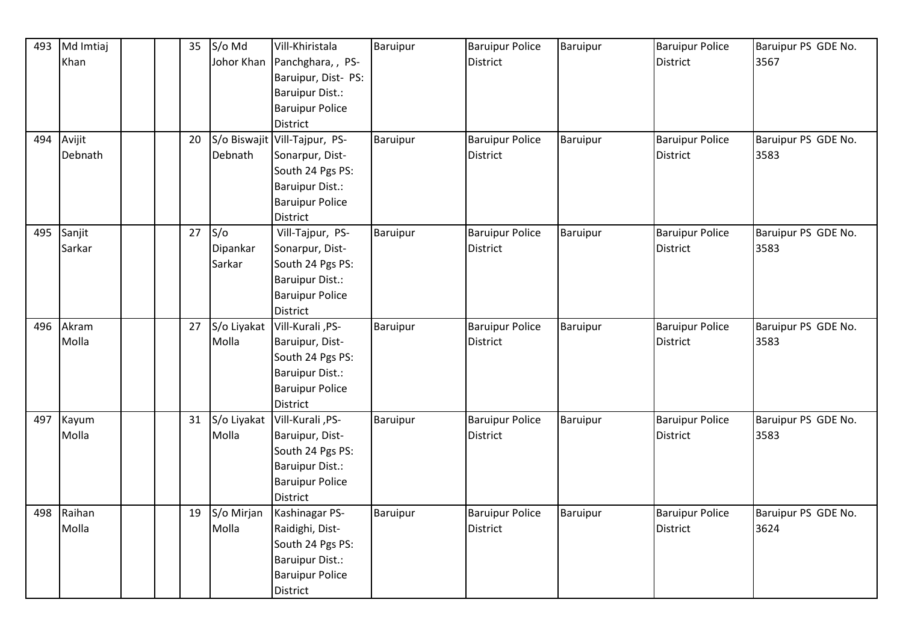| 493 | Md Imtiaj  | 35 | S/o Md      | Vill-Khiristala               | Baruipur        | <b>Baruipur Police</b> | Baruipur | <b>Baruipur Police</b> | Baruipur PS GDE No. |
|-----|------------|----|-------------|-------------------------------|-----------------|------------------------|----------|------------------------|---------------------|
|     | Khan       |    | Johor Khan  | Panchghara, , PS-             |                 | District               |          | <b>District</b>        | 3567                |
|     |            |    |             | Baruipur, Dist- PS:           |                 |                        |          |                        |                     |
|     |            |    |             | <b>Baruipur Dist.:</b>        |                 |                        |          |                        |                     |
|     |            |    |             | <b>Baruipur Police</b>        |                 |                        |          |                        |                     |
|     |            |    |             | District                      |                 |                        |          |                        |                     |
|     | 494 Avijit | 20 |             | S/o Biswajit Vill-Tajpur, PS- | <b>Baruipur</b> | <b>Baruipur Police</b> | Baruipur | <b>Baruipur Police</b> | Baruipur PS GDE No. |
|     | Debnath    |    | Debnath     | Sonarpur, Dist-               |                 | District               |          | District               | 3583                |
|     |            |    |             | South 24 Pgs PS:              |                 |                        |          |                        |                     |
|     |            |    |             | <b>Baruipur Dist.:</b>        |                 |                        |          |                        |                     |
|     |            |    |             | <b>Baruipur Police</b>        |                 |                        |          |                        |                     |
|     |            |    |             | District                      |                 |                        |          |                        |                     |
| 495 | Sanjit     | 27 | S/O         | Vill-Tajpur, PS-              | Baruipur        | <b>Baruipur Police</b> | Baruipur | <b>Baruipur Police</b> | Baruipur PS GDE No. |
|     | Sarkar     |    | Dipankar    | Sonarpur, Dist-               |                 | District               |          | <b>District</b>        | 3583                |
|     |            |    | Sarkar      | South 24 Pgs PS:              |                 |                        |          |                        |                     |
|     |            |    |             | <b>Baruipur Dist.:</b>        |                 |                        |          |                        |                     |
|     |            |    |             | <b>Baruipur Police</b>        |                 |                        |          |                        |                     |
|     |            |    |             | District                      |                 |                        |          |                        |                     |
| 496 | Akram      | 27 | S/o Liyakat | Vill-Kurali, PS-              | Baruipur        | <b>Baruipur Police</b> | Baruipur | <b>Baruipur Police</b> | Baruipur PS GDE No. |
|     | Molla      |    | Molla       | Baruipur, Dist-               |                 | <b>District</b>        |          | <b>District</b>        | 3583                |
|     |            |    |             | South 24 Pgs PS:              |                 |                        |          |                        |                     |
|     |            |    |             | <b>Baruipur Dist.:</b>        |                 |                        |          |                        |                     |
|     |            |    |             | <b>Baruipur Police</b>        |                 |                        |          |                        |                     |
|     |            |    |             | District                      |                 |                        |          |                        |                     |
| 497 | Kayum      | 31 | S/o Liyakat | Vill-Kurali, PS-              | Baruipur        | <b>Baruipur Police</b> | Baruipur | <b>Baruipur Police</b> | Baruipur PS GDE No. |
|     | Molla      |    | Molla       | Baruipur, Dist-               |                 | <b>District</b>        |          | <b>District</b>        | 3583                |
|     |            |    |             | South 24 Pgs PS:              |                 |                        |          |                        |                     |
|     |            |    |             | <b>Baruipur Dist.:</b>        |                 |                        |          |                        |                     |
|     |            |    |             | <b>Baruipur Police</b>        |                 |                        |          |                        |                     |
|     |            |    |             | <b>District</b>               |                 |                        |          |                        |                     |
| 498 | Raihan     | 19 | S/o Mirjan  | Kashinagar PS-                | Baruipur        | <b>Baruipur Police</b> | Baruipur | <b>Baruipur Police</b> | Baruipur PS GDE No. |
|     | Molla      |    | Molla       | Raidighi, Dist-               |                 | District               |          | District               | 3624                |
|     |            |    |             | South 24 Pgs PS:              |                 |                        |          |                        |                     |
|     |            |    |             | <b>Baruipur Dist.:</b>        |                 |                        |          |                        |                     |
|     |            |    |             | <b>Baruipur Police</b>        |                 |                        |          |                        |                     |
|     |            |    |             | District                      |                 |                        |          |                        |                     |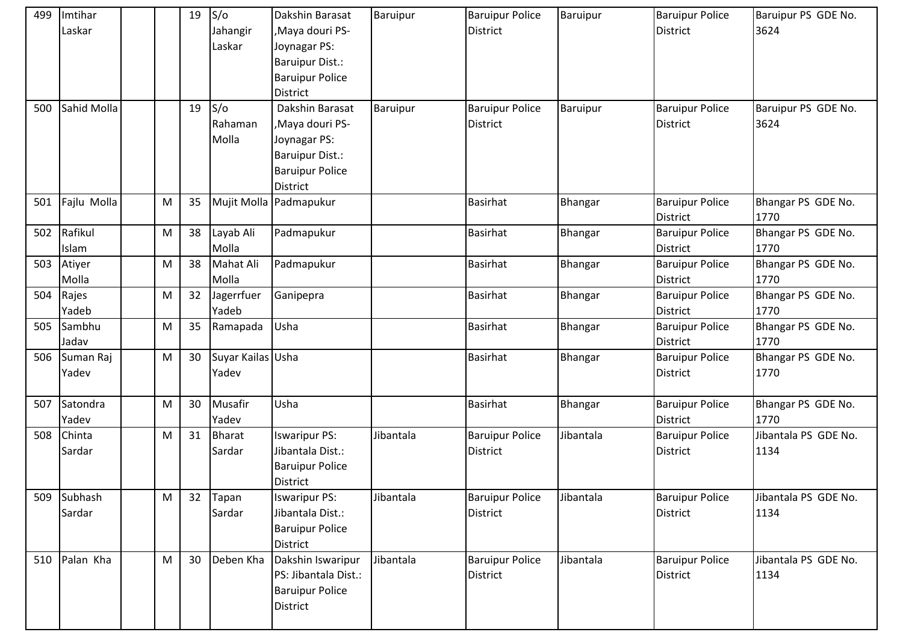| 499 | Imtihar<br>Laskar  |   | 19              | S/O<br>Jahangir<br>Laskar  | Dakshin Barasat<br>,Maya douri PS-<br>Joynagar PS:<br><b>Baruipur Dist.:</b><br><b>Baruipur Police</b><br><b>District</b> | Baruipur  | <b>Baruipur Police</b><br><b>District</b> | Baruipur  | <b>Baruipur Police</b><br><b>District</b> | Baruipur PS GDE No.<br>3624  |
|-----|--------------------|---|-----------------|----------------------------|---------------------------------------------------------------------------------------------------------------------------|-----------|-------------------------------------------|-----------|-------------------------------------------|------------------------------|
| 500 | Sahid Molla        |   | 19              | S/O<br>Rahaman<br>Molla    | Dakshin Barasat<br>,Maya douri PS-<br>Joynagar PS:<br><b>Baruipur Dist.:</b><br><b>Baruipur Police</b><br><b>District</b> | Baruipur  | <b>Baruipur Police</b><br><b>District</b> | Baruipur  | <b>Baruipur Police</b><br><b>District</b> | Baruipur PS GDE No.<br>3624  |
| 501 | Fajlu Molla        | M | 35              |                            | Mujit Molla Padmapukur                                                                                                    |           | <b>Basirhat</b>                           | Bhangar   | <b>Baruipur Police</b><br><b>District</b> | Bhangar PS GDE No.<br>1770   |
| 502 | Rafikul<br>Islam   | M | 38              | Layab Ali<br>Molla         | Padmapukur                                                                                                                |           | <b>Basirhat</b>                           | Bhangar   | <b>Baruipur Police</b><br><b>District</b> | Bhangar PS GDE No.<br>1770   |
| 503 | Atiyer<br>Molla    | M | 38              | Mahat Ali<br>Molla         | Padmapukur                                                                                                                |           | <b>Basirhat</b>                           | Bhangar   | <b>Baruipur Police</b><br><b>District</b> | Bhangar PS GDE No.<br>1770   |
| 504 | Rajes<br>Yadeb     | M | 32              | Jagerrfuer<br>Yadeb        | Ganipepra                                                                                                                 |           | <b>Basirhat</b>                           | Bhangar   | <b>Baruipur Police</b><br><b>District</b> | Bhangar PS GDE No.<br>1770   |
| 505 | Sambhu<br>Jadav    | M | 35              | Ramapada                   | Usha                                                                                                                      |           | <b>Basirhat</b>                           | Bhangar   | <b>Baruipur Police</b><br><b>District</b> | Bhangar PS GDE No.<br>1770   |
| 506 | Suman Raj<br>Yadev | M | 30              | Suyar Kailas Usha<br>Yadev |                                                                                                                           |           | <b>Basirhat</b>                           | Bhangar   | <b>Baruipur Police</b><br><b>District</b> | Bhangar PS GDE No.<br>1770   |
| 507 | Satondra<br>Yadev  | M | 30              | Musafir<br>Yadev           | Usha                                                                                                                      |           | <b>Basirhat</b>                           | Bhangar   | <b>Baruipur Police</b><br><b>District</b> | Bhangar PS GDE No.<br>1770   |
| 508 | Chinta<br>Sardar   | M | 31              | <b>Bharat</b><br>Sardar    | <b>Iswaripur PS:</b><br>Jibantala Dist.:<br><b>Baruipur Police</b><br><b>District</b>                                     | Jibantala | <b>Baruipur Police</b><br><b>District</b> | Jibantala | <b>Baruipur Police</b><br><b>District</b> | Jibantala PS GDE No.<br>1134 |
| 509 | Subhash<br>Sardar  | M | 32              | Tapan<br>Sardar            | <b>Iswaripur PS:</b><br>Jibantala Dist.:<br><b>Baruipur Police</b><br><b>District</b>                                     | Jibantala | <b>Baruipur Police</b><br><b>District</b> | Jibantala | <b>Baruipur Police</b><br><b>District</b> | Jibantala PS GDE No.<br>1134 |
| 510 | Palan Kha          | M | 30 <sup>°</sup> | Deben Kha                  | Dakshin Iswaripur<br>PS: Jibantala Dist.:<br><b>Baruipur Police</b><br>District                                           | Jibantala | <b>Baruipur Police</b><br><b>District</b> | Jibantala | <b>Baruipur Police</b><br><b>District</b> | Jibantala PS GDE No.<br>1134 |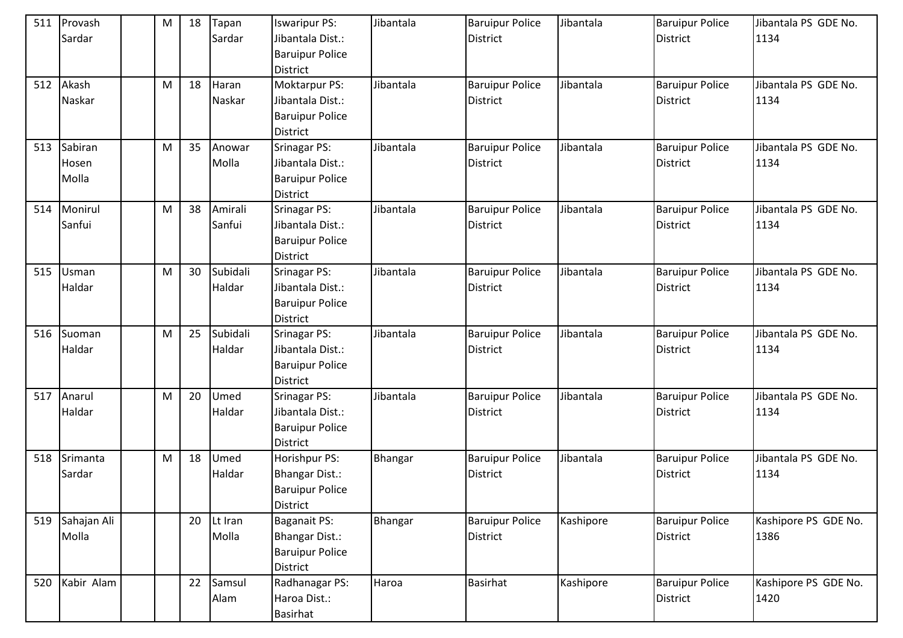| 511 | Provash<br>Sardar         | M | 18 | Tapan<br>Sardar    | <b>Iswaripur PS:</b><br>Jibantala Dist.:<br><b>Baruipur Police</b><br><b>District</b> | Jibantala | <b>Baruipur Police</b><br><b>District</b> | Jibantala | <b>Baruipur Police</b><br><b>District</b> | Jibantala PS GDE No.<br>1134 |
|-----|---------------------------|---|----|--------------------|---------------------------------------------------------------------------------------|-----------|-------------------------------------------|-----------|-------------------------------------------|------------------------------|
| 512 | Akash<br>Naskar           | M | 18 | Haran<br>Naskar    | <b>Moktarpur PS:</b><br>Jibantala Dist.:<br><b>Baruipur Police</b><br><b>District</b> | Jibantala | <b>Baruipur Police</b><br>District        | Jibantala | <b>Baruipur Police</b><br><b>District</b> | Jibantala PS GDE No.<br>1134 |
| 513 | Sabiran<br>Hosen<br>Molla | M | 35 | Anowar<br>Molla    | <b>Srinagar PS:</b><br>Jibantala Dist.:<br><b>Baruipur Police</b><br><b>District</b>  | Jibantala | <b>Baruipur Police</b><br>District        | Jibantala | <b>Baruipur Police</b><br><b>District</b> | Jibantala PS GDE No.<br>1134 |
| 514 | Monirul<br>Sanfui         | M | 38 | Amirali<br>Sanfui  | <b>Srinagar PS:</b><br>Jibantala Dist.:<br><b>Baruipur Police</b><br><b>District</b>  | Jibantala | <b>Baruipur Police</b><br><b>District</b> | Jibantala | <b>Baruipur Police</b><br><b>District</b> | Jibantala PS GDE No.<br>1134 |
| 515 | Usman<br>Haldar           | M | 30 | Subidali<br>Haldar | <b>Srinagar PS:</b><br>Jibantala Dist.:<br><b>Baruipur Police</b><br><b>District</b>  | Jibantala | <b>Baruipur Police</b><br><b>District</b> | Jibantala | <b>Baruipur Police</b><br><b>District</b> | Jibantala PS GDE No.<br>1134 |
| 516 | Suoman<br>Haldar          | M | 25 | Subidali<br>Haldar | <b>Srinagar PS:</b><br>Jibantala Dist.:<br><b>Baruipur Police</b><br><b>District</b>  | Jibantala | <b>Baruipur Police</b><br><b>District</b> | Jibantala | <b>Baruipur Police</b><br><b>District</b> | Jibantala PS GDE No.<br>1134 |
| 517 | Anarul<br>Haldar          | M | 20 | Umed<br>Haldar     | <b>Srinagar PS:</b><br>Jibantala Dist.:<br><b>Baruipur Police</b><br><b>District</b>  | Jibantala | <b>Baruipur Police</b><br><b>District</b> | Jibantala | <b>Baruipur Police</b><br><b>District</b> | Jibantala PS GDE No.<br>1134 |
| 518 | Srimanta<br>Sardar        | M | 18 | Umed<br>Haldar     | Horishpur PS:<br><b>Bhangar Dist.:</b><br><b>Baruipur Police</b><br><b>District</b>   | Bhangar   | <b>Baruipur Police</b><br>District        | Jibantala | <b>Baruipur Police</b><br><b>District</b> | Jibantala PS GDE No.<br>1134 |
| 519 | Sahajan Ali<br>Molla      |   | 20 | Lt Iran<br>Molla   | Baganait PS:<br>Bhangar Dist.:<br><b>Baruipur Police</b><br><b>District</b>           | Bhangar   | <b>Baruipur Police</b><br><b>District</b> | Kashipore | <b>Baruipur Police</b><br><b>District</b> | Kashipore PS GDE No.<br>1386 |
| 520 | Kabir Alam                |   | 22 | Samsul<br>Alam     | Radhanagar PS:<br>Haroa Dist.:<br><b>Basirhat</b>                                     | Haroa     | <b>Basirhat</b>                           | Kashipore | <b>Baruipur Police</b><br><b>District</b> | Kashipore PS GDE No.<br>1420 |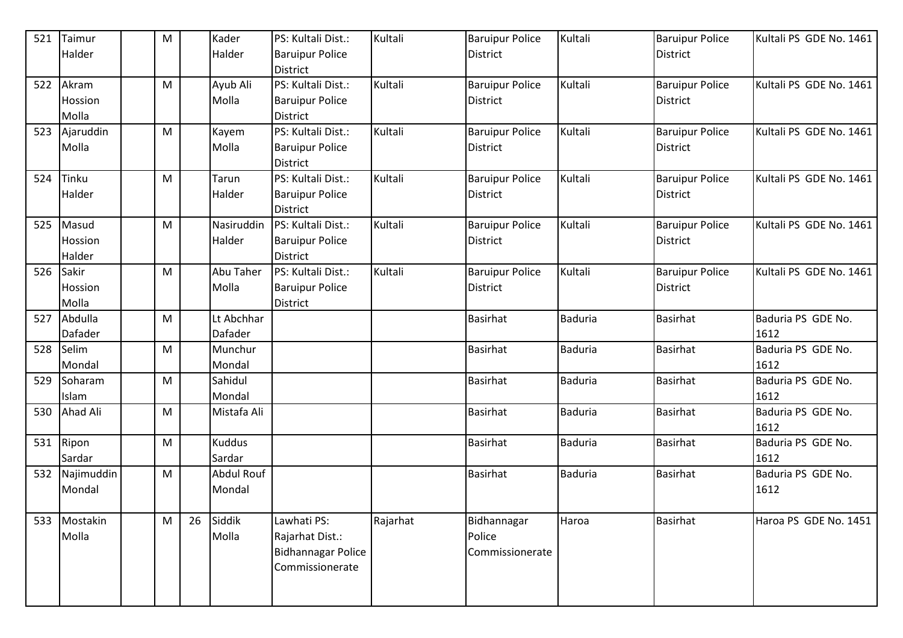| 521 | Taimur     | M |    | Kader         | PS: Kultali Dist.:        | Kultali  | <b>Baruipur Police</b> | Kultali        | <b>Baruipur Police</b> | Kultali PS GDE No. 1461 |
|-----|------------|---|----|---------------|---------------------------|----------|------------------------|----------------|------------------------|-------------------------|
|     | Halder     |   |    | Halder        | <b>Baruipur Police</b>    |          | <b>District</b>        |                | <b>District</b>        |                         |
|     |            |   |    |               | <b>District</b>           |          |                        |                |                        |                         |
| 522 | Akram      | M |    | Ayub Ali      | PS: Kultali Dist.:        | Kultali  | <b>Baruipur Police</b> | Kultali        | <b>Baruipur Police</b> | Kultali PS GDE No. 1461 |
|     | Hossion    |   |    | Molla         | <b>Baruipur Police</b>    |          | District               |                | <b>District</b>        |                         |
|     | Molla      |   |    |               | <b>District</b>           |          |                        |                |                        |                         |
| 523 | Ajaruddin  | M |    | Kayem         | PS: Kultali Dist.:        | Kultali  | <b>Baruipur Police</b> | Kultali        | <b>Baruipur Police</b> | Kultali PS GDE No. 1461 |
|     | Molla      |   |    | Molla         | <b>Baruipur Police</b>    |          | <b>District</b>        |                | <b>District</b>        |                         |
|     |            |   |    |               | <b>District</b>           |          |                        |                |                        |                         |
| 524 | Tinku      | M |    | Tarun         | PS: Kultali Dist.:        | Kultali  | <b>Baruipur Police</b> | Kultali        | <b>Baruipur Police</b> | Kultali PS GDE No. 1461 |
|     | Halder     |   |    | Halder        | <b>Baruipur Police</b>    |          | District               |                | <b>District</b>        |                         |
|     |            |   |    |               | <b>District</b>           |          |                        |                |                        |                         |
| 525 | Masud      | M |    | Nasiruddin    | PS: Kultali Dist.:        | Kultali  | <b>Baruipur Police</b> | Kultali        | <b>Baruipur Police</b> | Kultali PS GDE No. 1461 |
|     | Hossion    |   |    | Halder        | <b>Baruipur Police</b>    |          | District               |                | <b>District</b>        |                         |
|     | Halder     |   |    |               | <b>District</b>           |          |                        |                |                        |                         |
| 526 | Sakir      | M |    | Abu Taher     | PS: Kultali Dist.:        | Kultali  | <b>Baruipur Police</b> | Kultali        | <b>Baruipur Police</b> | Kultali PS GDE No. 1461 |
|     | Hossion    |   |    | Molla         | <b>Baruipur Police</b>    |          | District               |                | <b>District</b>        |                         |
|     | Molla      |   |    |               | <b>District</b>           |          |                        |                |                        |                         |
| 527 | Abdulla    | M |    | Lt Abchhar    |                           |          | <b>Basirhat</b>        | <b>Baduria</b> | <b>Basirhat</b>        | Baduria PS GDE No.      |
|     | Dafader    |   |    | Dafader       |                           |          |                        |                |                        | 1612                    |
| 528 | Selim      | M |    | Munchur       |                           |          | <b>Basirhat</b>        | <b>Baduria</b> | Basirhat               | Baduria PS GDE No.      |
|     | Mondal     |   |    | Mondal        |                           |          |                        |                |                        | 1612                    |
| 529 | Soharam    | M |    | Sahidul       |                           |          | <b>Basirhat</b>        | <b>Baduria</b> | <b>Basirhat</b>        | Baduria PS GDE No.      |
|     | Islam      |   |    | Mondal        |                           |          |                        |                |                        | 1612                    |
| 530 | Ahad Ali   | M |    | Mistafa Ali   |                           |          | <b>Basirhat</b>        | <b>Baduria</b> | <b>Basirhat</b>        | Baduria PS GDE No.      |
|     |            |   |    |               |                           |          |                        |                |                        | 1612                    |
| 531 | Ripon      | M |    | <b>Kuddus</b> |                           |          | Basirhat               | <b>Baduria</b> | Basirhat               | Baduria PS GDE No.      |
|     | Sardar     |   |    | Sardar        |                           |          |                        |                |                        | 1612                    |
| 532 | Najimuddin | M |    | Abdul Rouf    |                           |          | <b>Basirhat</b>        | <b>Baduria</b> | <b>Basirhat</b>        | Baduria PS GDE No.      |
|     | Mondal     |   |    | Mondal        |                           |          |                        |                |                        | 1612                    |
|     |            |   |    |               |                           |          |                        |                |                        |                         |
| 533 | Mostakin   | M | 26 | Siddik        | Lawhati PS:               | Rajarhat | Bidhannagar            | Haroa          | <b>Basirhat</b>        | Haroa PS GDE No. 1451   |
|     | Molla      |   |    | Molla         | Rajarhat Dist.:           |          | Police                 |                |                        |                         |
|     |            |   |    |               | <b>Bidhannagar Police</b> |          | Commissionerate        |                |                        |                         |
|     |            |   |    |               | Commissionerate           |          |                        |                |                        |                         |
|     |            |   |    |               |                           |          |                        |                |                        |                         |
|     |            |   |    |               |                           |          |                        |                |                        |                         |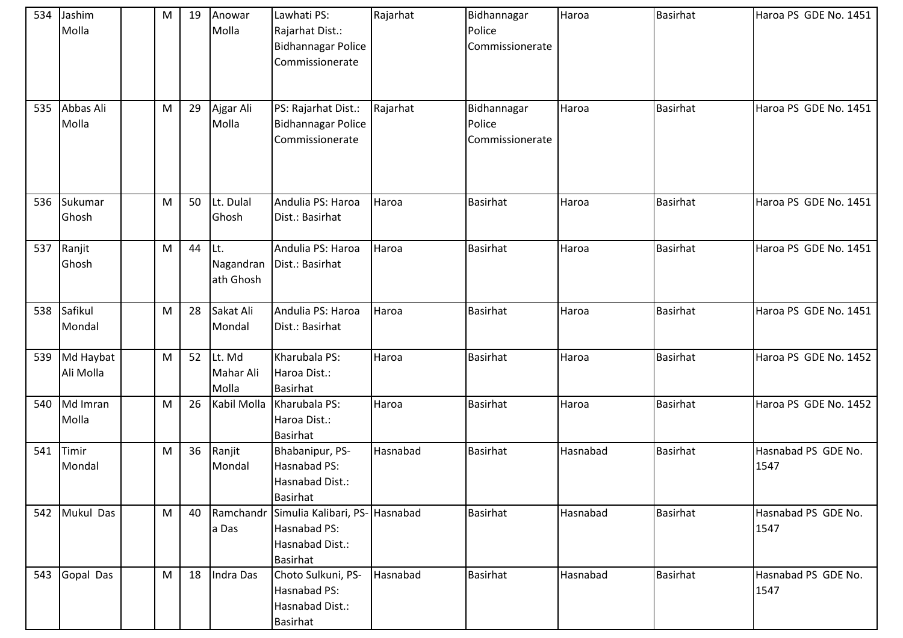| 534<br>535 | Jashim<br>Molla<br>Abbas Ali<br>Molla | M<br>${\sf M}$ | 19<br>29 | Anowar<br>Molla<br>Ajgar Ali<br>Molla | Lawhati PS:<br>Rajarhat Dist.:<br>Bidhannagar Police<br>Commissionerate<br>PS: Rajarhat Dist.:<br>Bidhannagar Police<br>Commissionerate | Rajarhat<br>Rajarhat | Bidhannagar<br>Police<br>Commissionerate<br>Bidhannagar<br>Police<br>Commissionerate | Haroa<br>Haroa | <b>Basirhat</b><br><b>Basirhat</b> | Haroa PS GDE No. 1451<br>Haroa PS GDE No. 1451 |
|------------|---------------------------------------|----------------|----------|---------------------------------------|-----------------------------------------------------------------------------------------------------------------------------------------|----------------------|--------------------------------------------------------------------------------------|----------------|------------------------------------|------------------------------------------------|
|            |                                       |                |          |                                       |                                                                                                                                         |                      |                                                                                      |                |                                    |                                                |
| 536        | Sukumar<br>Ghosh                      | ${\sf M}$      | 50       | Lt. Dulal<br>Ghosh                    | Andulia PS: Haroa<br>Dist.: Basirhat                                                                                                    | Haroa                | <b>Basirhat</b>                                                                      | Haroa          | <b>Basirhat</b>                    | Haroa PS GDE No. 1451                          |
| 537        | Ranjit<br>Ghosh                       | ${\sf M}$      | 44       | ILt.<br>Nagandran<br>ath Ghosh        | Andulia PS: Haroa<br>Dist.: Basirhat                                                                                                    | Haroa                | <b>Basirhat</b>                                                                      | Haroa          | <b>Basirhat</b>                    | Haroa PS GDE No. 1451                          |
| 538        | Safikul<br>Mondal                     | ${\sf M}$      | 28       | Sakat Ali<br>Mondal                   | Andulia PS: Haroa<br>Dist.: Basirhat                                                                                                    | Haroa                | <b>Basirhat</b>                                                                      | Haroa          | <b>Basirhat</b>                    | Haroa PS GDE No. 1451                          |
| 539        | Md Haybat<br>Ali Molla                | ${\sf M}$      | 52       | Lt. Md<br>Mahar Ali<br>Molla          | Kharubala PS:<br>Haroa Dist.:<br><b>Basirhat</b>                                                                                        | Haroa                | <b>Basirhat</b>                                                                      | Haroa          | <b>Basirhat</b>                    | Haroa PS GDE No. 1452                          |
| 540        | Md Imran<br>Molla                     | M              | 26       | Kabil Molla                           | Kharubala PS:<br>Haroa Dist.:<br><b>Basirhat</b>                                                                                        | Haroa                | <b>Basirhat</b>                                                                      | Haroa          | Basirhat                           | Haroa PS GDE No. 1452                          |
| 541        | Timir<br>Mondal                       | ${\sf M}$      | 36       | Ranjit<br>Mondal                      | Bhabanipur, PS-<br><b>Hasnabad PS:</b><br>Hasnabad Dist.:<br><b>Basirhat</b>                                                            | Hasnabad             | <b>Basirhat</b>                                                                      | Hasnabad       | <b>Basirhat</b>                    | Hasnabad PS GDE No.<br>1547                    |
| 542        | Mukul Das                             | M              | 40       | Ramchandr<br>a Das                    | Simulia Kalibari, PS- Hasnabad<br>Hasnabad PS:<br>Hasnabad Dist.:<br><b>Basirhat</b>                                                    |                      | <b>Basirhat</b>                                                                      | Hasnabad       | <b>Basirhat</b>                    | Hasnabad PS GDE No.<br>1547                    |
| 543        | Gopal Das                             | M              | 18       | Indra Das                             | Choto Sulkuni, PS-<br>Hasnabad PS:<br>Hasnabad Dist.:<br><b>Basirhat</b>                                                                | Hasnabad             | Basirhat                                                                             | Hasnabad       | <b>Basirhat</b>                    | Hasnabad PS GDE No.<br>1547                    |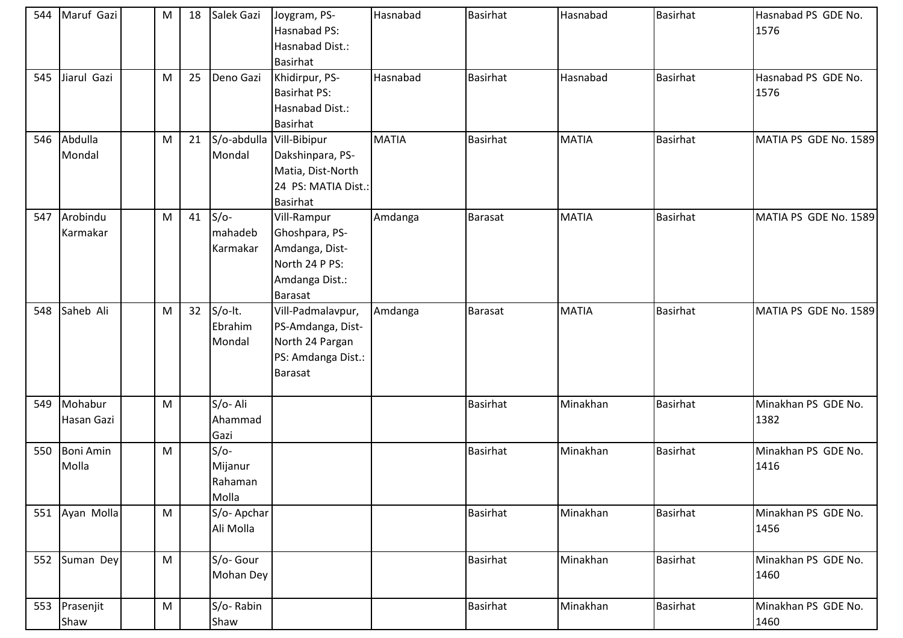|     | 544 Maruf Gazi            | M         | 18 | Salek Gazi                            | Joygram, PS-<br>Hasnabad PS:<br>Hasnabad Dist.:<br><b>Basirhat</b>                                    | Hasnabad     | <b>Basirhat</b> | Hasnabad     | <b>Basirhat</b> | Hasnabad PS GDE No.<br>1576 |
|-----|---------------------------|-----------|----|---------------------------------------|-------------------------------------------------------------------------------------------------------|--------------|-----------------|--------------|-----------------|-----------------------------|
| 545 | Jiarul Gazi               | M         | 25 | Deno Gazi                             | Khidirpur, PS-<br><b>Basirhat PS:</b><br>Hasnabad Dist.:<br><b>Basirhat</b>                           | Hasnabad     | <b>Basirhat</b> | Hasnabad     | Basirhat        | Hasnabad PS GDE No.<br>1576 |
| 546 | Abdulla<br>Mondal         | M         | 21 | S/o-abdulla<br>Mondal                 | Vill-Bibipur<br>Dakshinpara, PS-<br>Matia, Dist-North<br>24 PS: MATIA Dist.:<br><b>Basirhat</b>       | <b>MATIA</b> | <b>Basirhat</b> | <b>MATIA</b> | <b>Basirhat</b> | MATIA PS GDE No. 1589       |
| 547 | Arobindu<br>Karmakar      | ${\sf M}$ | 41 | $S/O-$<br>mahadeb<br>Karmakar         | Vill-Rampur<br>Ghoshpara, PS-<br>Amdanga, Dist-<br>North 24 P PS:<br>Amdanga Dist.:<br><b>Barasat</b> | Amdanga      | Barasat         | <b>MATIA</b> | <b>Basirhat</b> | MATIA PS GDE No. 1589       |
| 548 | Saheb Ali                 | ${\sf M}$ | 32 | $S/O-It.$<br>Ebrahim<br>Mondal        | Vill-Padmalavpur,<br>PS-Amdanga, Dist-<br>North 24 Pargan<br>PS: Amdanga Dist.:<br><b>Barasat</b>     | Amdanga      | <b>Barasat</b>  | <b>MATIA</b> | Basirhat        | MATIA PS GDE No. 1589       |
| 549 | Mohabur<br>Hasan Gazi     | M         |    | S/o-Ali<br>Ahammad<br>Gazi            |                                                                                                       |              | <b>Basirhat</b> | Minakhan     | Basirhat        | Minakhan PS GDE No.<br>1382 |
| 550 | <b>Boni Amin</b><br>Molla | M         |    | $S/O-$<br>Mijanur<br>Rahaman<br>Molla |                                                                                                       |              | <b>Basirhat</b> | Minakhan     | Basirhat        | Minakhan PS GDE No.<br>1416 |
|     | 551 Ayan Molla            | ${\sf M}$ |    | S/o-Apchar<br>Ali Molla               |                                                                                                       |              | Basirhat        | Minakhan     | <b>Basirhat</b> | Minakhan PS GDE No.<br>1456 |
| 552 | Suman Dey                 | M         |    | S/o- Gour<br>Mohan Dey                |                                                                                                       |              | <b>Basirhat</b> | Minakhan     | Basirhat        | Minakhan PS GDE No.<br>1460 |
| 553 | Prasenjit<br>Shaw         | ${\sf M}$ |    | S/o-Rabin<br>Shaw                     |                                                                                                       |              | <b>Basirhat</b> | Minakhan     | <b>Basirhat</b> | Minakhan PS GDE No.<br>1460 |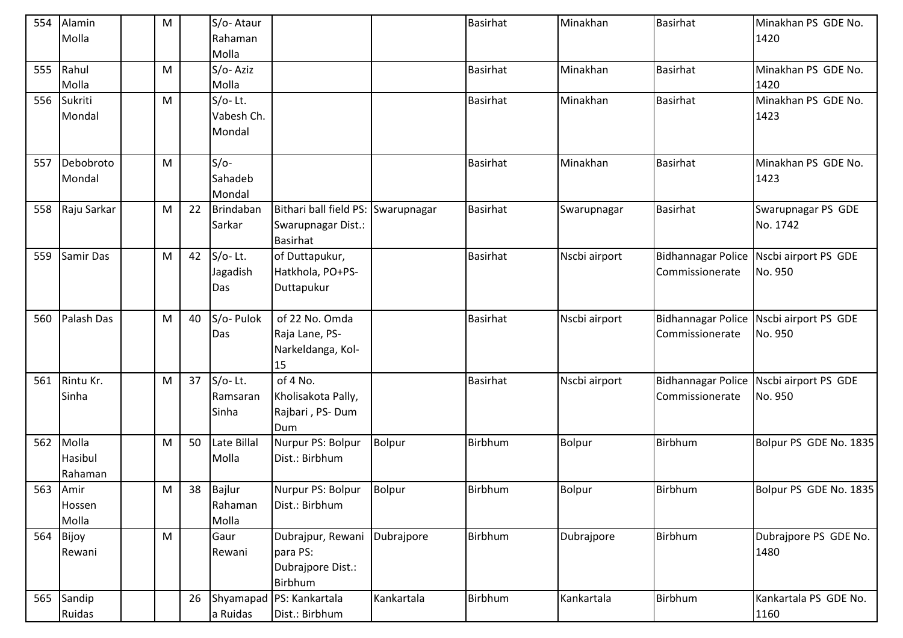| Molla<br>Rahaman<br>1420<br>Molla<br>Rahul<br>S/o-Aziz<br><b>Basirhat</b><br>Minakhan<br><b>Basirhat</b><br>Minakhan PS GDE No.<br>555<br>${\sf M}$<br>Molla<br>Molla<br>1420<br><b>Basirhat</b><br>Minakhan<br><b>Basirhat</b><br>Minakhan PS GDE No.<br>556<br>Sukriti<br>$S/O-$ Lt.<br>M<br>Vabesh Ch.<br>Mondal<br>1423<br>Mondal<br>$S/O-$<br><b>Basirhat</b><br>Debobroto<br>Minakhan<br><b>Basirhat</b><br>Minakhan PS GDE No.<br>557<br>M<br>Sahadeb<br>1423<br>Mondal<br>Mondal<br>Brindaban<br>Bithari ball field PS:<br><b>Basirhat</b><br>Raju Sarkar<br><b>Basirhat</b><br>Swarupnagar PS GDE<br>558<br>${\sf M}$<br>22<br>Swarupnagar<br>Swarupnagar<br>No. 1742<br>Sarkar<br>Swarupnagar Dist.:<br><b>Basirhat</b><br>$S/O-Lt.$<br>of Duttapukur,<br><b>Basirhat</b><br>Samir Das<br>${\sf M}$<br>Nscbi airport<br>Nscbi airport PS GDE<br>559<br>42<br><b>Bidhannagar Police</b><br>Hatkhola, PO+PS-<br>Jagadish<br>No. 950<br>Commissionerate<br>Duttapukur<br>Das<br>Palash Das<br>S/o- Pulok<br>of 22 No. Omda<br><b>Basirhat</b><br>${\sf M}$<br>40<br>Nscbi airport<br><b>Bidhannagar Police</b><br>Nscbi airport PS GDE<br>560<br>Raja Lane, PS-<br>Das<br>Commissionerate<br>No. 950<br>Narkeldanga, Kol-<br>15<br>$S/O-Lt.$<br>of 4 No.<br>Rintu Kr.<br>Basirhat<br><b>Bidhannagar Police</b><br>Nscbi airport PS GDE<br>561<br>M<br>37<br>Nscbi airport<br>Sinha<br>Kholisakota Pally,<br>Commissionerate<br>No. 950<br>Ramsaran<br>Rajbari, PS-Dum<br>Sinha<br>Dum<br><b>Birbhum</b><br>Molla<br>Late Billal<br><b>Bolpur</b><br>Birbhum<br>562<br>${\sf M}$<br>50<br>Nurpur PS: Bolpur<br>Bolpur<br>Bolpur PS GDE No. 1835<br>Hasibul<br>Molla<br>Dist.: Birbhum<br>Rahaman<br><b>Birbhum</b><br>Birbhum<br>563<br>${\sf M}$<br>38 Bajlur<br>Nurpur PS: Bolpur<br>Bolpur<br>Bolpur<br>Bolpur PS GDE No. 1835<br>Amir<br>Hossen<br>Rahaman<br>Dist.: Birbhum<br>Molla<br>Molla<br>Birbhum<br>Birbhum<br>564<br>${\sf M}$<br>Dubrajpur, Rewani<br>Dubrajpore<br>Dubrajpore<br>Dubrajpore PS GDE No.<br>Bijoy<br>Gaur<br>para PS:<br>1480<br>Rewani<br>Rewani<br>Dubrajpore Dist.:<br>Birbhum<br>Birbhum<br>26<br>Shyamapad PS: Kankartala<br>Kankartala<br>Birbhum<br>565<br>Sandip<br>Kankartala<br>Kankartala PS GDE No.<br>Ruidas<br>a Ruidas<br>Dist.: Birbhum | 554 | Alamin | M | S/o-Ataur |  | <b>Basirhat</b> | Minakhan | <b>Basirhat</b> | Minakhan PS GDE No. |
|---------------------------------------------------------------------------------------------------------------------------------------------------------------------------------------------------------------------------------------------------------------------------------------------------------------------------------------------------------------------------------------------------------------------------------------------------------------------------------------------------------------------------------------------------------------------------------------------------------------------------------------------------------------------------------------------------------------------------------------------------------------------------------------------------------------------------------------------------------------------------------------------------------------------------------------------------------------------------------------------------------------------------------------------------------------------------------------------------------------------------------------------------------------------------------------------------------------------------------------------------------------------------------------------------------------------------------------------------------------------------------------------------------------------------------------------------------------------------------------------------------------------------------------------------------------------------------------------------------------------------------------------------------------------------------------------------------------------------------------------------------------------------------------------------------------------------------------------------------------------------------------------------------------------------------------------------------------------------------------------------------------------------------------------------------------------------------------------------------------------------------------------------------------------------------------------------------------------------------------------------------------------------------------------|-----|--------|---|-----------|--|-----------------|----------|-----------------|---------------------|
|                                                                                                                                                                                                                                                                                                                                                                                                                                                                                                                                                                                                                                                                                                                                                                                                                                                                                                                                                                                                                                                                                                                                                                                                                                                                                                                                                                                                                                                                                                                                                                                                                                                                                                                                                                                                                                                                                                                                                                                                                                                                                                                                                                                                                                                                                             |     |        |   |           |  |                 |          |                 |                     |
|                                                                                                                                                                                                                                                                                                                                                                                                                                                                                                                                                                                                                                                                                                                                                                                                                                                                                                                                                                                                                                                                                                                                                                                                                                                                                                                                                                                                                                                                                                                                                                                                                                                                                                                                                                                                                                                                                                                                                                                                                                                                                                                                                                                                                                                                                             |     |        |   |           |  |                 |          |                 |                     |
|                                                                                                                                                                                                                                                                                                                                                                                                                                                                                                                                                                                                                                                                                                                                                                                                                                                                                                                                                                                                                                                                                                                                                                                                                                                                                                                                                                                                                                                                                                                                                                                                                                                                                                                                                                                                                                                                                                                                                                                                                                                                                                                                                                                                                                                                                             |     |        |   |           |  |                 |          |                 |                     |
|                                                                                                                                                                                                                                                                                                                                                                                                                                                                                                                                                                                                                                                                                                                                                                                                                                                                                                                                                                                                                                                                                                                                                                                                                                                                                                                                                                                                                                                                                                                                                                                                                                                                                                                                                                                                                                                                                                                                                                                                                                                                                                                                                                                                                                                                                             |     |        |   |           |  |                 |          |                 |                     |
|                                                                                                                                                                                                                                                                                                                                                                                                                                                                                                                                                                                                                                                                                                                                                                                                                                                                                                                                                                                                                                                                                                                                                                                                                                                                                                                                                                                                                                                                                                                                                                                                                                                                                                                                                                                                                                                                                                                                                                                                                                                                                                                                                                                                                                                                                             |     |        |   |           |  |                 |          |                 |                     |
|                                                                                                                                                                                                                                                                                                                                                                                                                                                                                                                                                                                                                                                                                                                                                                                                                                                                                                                                                                                                                                                                                                                                                                                                                                                                                                                                                                                                                                                                                                                                                                                                                                                                                                                                                                                                                                                                                                                                                                                                                                                                                                                                                                                                                                                                                             |     |        |   |           |  |                 |          |                 |                     |
|                                                                                                                                                                                                                                                                                                                                                                                                                                                                                                                                                                                                                                                                                                                                                                                                                                                                                                                                                                                                                                                                                                                                                                                                                                                                                                                                                                                                                                                                                                                                                                                                                                                                                                                                                                                                                                                                                                                                                                                                                                                                                                                                                                                                                                                                                             |     |        |   |           |  |                 |          |                 |                     |
|                                                                                                                                                                                                                                                                                                                                                                                                                                                                                                                                                                                                                                                                                                                                                                                                                                                                                                                                                                                                                                                                                                                                                                                                                                                                                                                                                                                                                                                                                                                                                                                                                                                                                                                                                                                                                                                                                                                                                                                                                                                                                                                                                                                                                                                                                             |     |        |   |           |  |                 |          |                 |                     |
|                                                                                                                                                                                                                                                                                                                                                                                                                                                                                                                                                                                                                                                                                                                                                                                                                                                                                                                                                                                                                                                                                                                                                                                                                                                                                                                                                                                                                                                                                                                                                                                                                                                                                                                                                                                                                                                                                                                                                                                                                                                                                                                                                                                                                                                                                             |     |        |   |           |  |                 |          |                 |                     |
|                                                                                                                                                                                                                                                                                                                                                                                                                                                                                                                                                                                                                                                                                                                                                                                                                                                                                                                                                                                                                                                                                                                                                                                                                                                                                                                                                                                                                                                                                                                                                                                                                                                                                                                                                                                                                                                                                                                                                                                                                                                                                                                                                                                                                                                                                             |     |        |   |           |  |                 |          |                 |                     |
|                                                                                                                                                                                                                                                                                                                                                                                                                                                                                                                                                                                                                                                                                                                                                                                                                                                                                                                                                                                                                                                                                                                                                                                                                                                                                                                                                                                                                                                                                                                                                                                                                                                                                                                                                                                                                                                                                                                                                                                                                                                                                                                                                                                                                                                                                             |     |        |   |           |  |                 |          |                 |                     |
|                                                                                                                                                                                                                                                                                                                                                                                                                                                                                                                                                                                                                                                                                                                                                                                                                                                                                                                                                                                                                                                                                                                                                                                                                                                                                                                                                                                                                                                                                                                                                                                                                                                                                                                                                                                                                                                                                                                                                                                                                                                                                                                                                                                                                                                                                             |     |        |   |           |  |                 |          |                 |                     |
|                                                                                                                                                                                                                                                                                                                                                                                                                                                                                                                                                                                                                                                                                                                                                                                                                                                                                                                                                                                                                                                                                                                                                                                                                                                                                                                                                                                                                                                                                                                                                                                                                                                                                                                                                                                                                                                                                                                                                                                                                                                                                                                                                                                                                                                                                             |     |        |   |           |  |                 |          |                 |                     |
|                                                                                                                                                                                                                                                                                                                                                                                                                                                                                                                                                                                                                                                                                                                                                                                                                                                                                                                                                                                                                                                                                                                                                                                                                                                                                                                                                                                                                                                                                                                                                                                                                                                                                                                                                                                                                                                                                                                                                                                                                                                                                                                                                                                                                                                                                             |     |        |   |           |  |                 |          |                 |                     |
|                                                                                                                                                                                                                                                                                                                                                                                                                                                                                                                                                                                                                                                                                                                                                                                                                                                                                                                                                                                                                                                                                                                                                                                                                                                                                                                                                                                                                                                                                                                                                                                                                                                                                                                                                                                                                                                                                                                                                                                                                                                                                                                                                                                                                                                                                             |     |        |   |           |  |                 |          |                 |                     |
|                                                                                                                                                                                                                                                                                                                                                                                                                                                                                                                                                                                                                                                                                                                                                                                                                                                                                                                                                                                                                                                                                                                                                                                                                                                                                                                                                                                                                                                                                                                                                                                                                                                                                                                                                                                                                                                                                                                                                                                                                                                                                                                                                                                                                                                                                             |     |        |   |           |  |                 |          |                 |                     |
|                                                                                                                                                                                                                                                                                                                                                                                                                                                                                                                                                                                                                                                                                                                                                                                                                                                                                                                                                                                                                                                                                                                                                                                                                                                                                                                                                                                                                                                                                                                                                                                                                                                                                                                                                                                                                                                                                                                                                                                                                                                                                                                                                                                                                                                                                             |     |        |   |           |  |                 |          |                 |                     |
|                                                                                                                                                                                                                                                                                                                                                                                                                                                                                                                                                                                                                                                                                                                                                                                                                                                                                                                                                                                                                                                                                                                                                                                                                                                                                                                                                                                                                                                                                                                                                                                                                                                                                                                                                                                                                                                                                                                                                                                                                                                                                                                                                                                                                                                                                             |     |        |   |           |  |                 |          |                 |                     |
|                                                                                                                                                                                                                                                                                                                                                                                                                                                                                                                                                                                                                                                                                                                                                                                                                                                                                                                                                                                                                                                                                                                                                                                                                                                                                                                                                                                                                                                                                                                                                                                                                                                                                                                                                                                                                                                                                                                                                                                                                                                                                                                                                                                                                                                                                             |     |        |   |           |  |                 |          |                 |                     |
|                                                                                                                                                                                                                                                                                                                                                                                                                                                                                                                                                                                                                                                                                                                                                                                                                                                                                                                                                                                                                                                                                                                                                                                                                                                                                                                                                                                                                                                                                                                                                                                                                                                                                                                                                                                                                                                                                                                                                                                                                                                                                                                                                                                                                                                                                             |     |        |   |           |  |                 |          |                 |                     |
|                                                                                                                                                                                                                                                                                                                                                                                                                                                                                                                                                                                                                                                                                                                                                                                                                                                                                                                                                                                                                                                                                                                                                                                                                                                                                                                                                                                                                                                                                                                                                                                                                                                                                                                                                                                                                                                                                                                                                                                                                                                                                                                                                                                                                                                                                             |     |        |   |           |  |                 |          |                 |                     |
|                                                                                                                                                                                                                                                                                                                                                                                                                                                                                                                                                                                                                                                                                                                                                                                                                                                                                                                                                                                                                                                                                                                                                                                                                                                                                                                                                                                                                                                                                                                                                                                                                                                                                                                                                                                                                                                                                                                                                                                                                                                                                                                                                                                                                                                                                             |     |        |   |           |  |                 |          |                 |                     |
|                                                                                                                                                                                                                                                                                                                                                                                                                                                                                                                                                                                                                                                                                                                                                                                                                                                                                                                                                                                                                                                                                                                                                                                                                                                                                                                                                                                                                                                                                                                                                                                                                                                                                                                                                                                                                                                                                                                                                                                                                                                                                                                                                                                                                                                                                             |     |        |   |           |  |                 |          |                 |                     |
|                                                                                                                                                                                                                                                                                                                                                                                                                                                                                                                                                                                                                                                                                                                                                                                                                                                                                                                                                                                                                                                                                                                                                                                                                                                                                                                                                                                                                                                                                                                                                                                                                                                                                                                                                                                                                                                                                                                                                                                                                                                                                                                                                                                                                                                                                             |     |        |   |           |  |                 |          |                 |                     |
|                                                                                                                                                                                                                                                                                                                                                                                                                                                                                                                                                                                                                                                                                                                                                                                                                                                                                                                                                                                                                                                                                                                                                                                                                                                                                                                                                                                                                                                                                                                                                                                                                                                                                                                                                                                                                                                                                                                                                                                                                                                                                                                                                                                                                                                                                             |     |        |   |           |  |                 |          |                 |                     |
|                                                                                                                                                                                                                                                                                                                                                                                                                                                                                                                                                                                                                                                                                                                                                                                                                                                                                                                                                                                                                                                                                                                                                                                                                                                                                                                                                                                                                                                                                                                                                                                                                                                                                                                                                                                                                                                                                                                                                                                                                                                                                                                                                                                                                                                                                             |     |        |   |           |  |                 |          |                 |                     |
|                                                                                                                                                                                                                                                                                                                                                                                                                                                                                                                                                                                                                                                                                                                                                                                                                                                                                                                                                                                                                                                                                                                                                                                                                                                                                                                                                                                                                                                                                                                                                                                                                                                                                                                                                                                                                                                                                                                                                                                                                                                                                                                                                                                                                                                                                             |     |        |   |           |  |                 |          |                 |                     |
|                                                                                                                                                                                                                                                                                                                                                                                                                                                                                                                                                                                                                                                                                                                                                                                                                                                                                                                                                                                                                                                                                                                                                                                                                                                                                                                                                                                                                                                                                                                                                                                                                                                                                                                                                                                                                                                                                                                                                                                                                                                                                                                                                                                                                                                                                             |     |        |   |           |  |                 |          |                 |                     |
|                                                                                                                                                                                                                                                                                                                                                                                                                                                                                                                                                                                                                                                                                                                                                                                                                                                                                                                                                                                                                                                                                                                                                                                                                                                                                                                                                                                                                                                                                                                                                                                                                                                                                                                                                                                                                                                                                                                                                                                                                                                                                                                                                                                                                                                                                             |     |        |   |           |  |                 |          |                 |                     |
|                                                                                                                                                                                                                                                                                                                                                                                                                                                                                                                                                                                                                                                                                                                                                                                                                                                                                                                                                                                                                                                                                                                                                                                                                                                                                                                                                                                                                                                                                                                                                                                                                                                                                                                                                                                                                                                                                                                                                                                                                                                                                                                                                                                                                                                                                             |     |        |   |           |  |                 |          |                 |                     |
|                                                                                                                                                                                                                                                                                                                                                                                                                                                                                                                                                                                                                                                                                                                                                                                                                                                                                                                                                                                                                                                                                                                                                                                                                                                                                                                                                                                                                                                                                                                                                                                                                                                                                                                                                                                                                                                                                                                                                                                                                                                                                                                                                                                                                                                                                             |     |        |   |           |  |                 |          |                 |                     |
|                                                                                                                                                                                                                                                                                                                                                                                                                                                                                                                                                                                                                                                                                                                                                                                                                                                                                                                                                                                                                                                                                                                                                                                                                                                                                                                                                                                                                                                                                                                                                                                                                                                                                                                                                                                                                                                                                                                                                                                                                                                                                                                                                                                                                                                                                             |     |        |   |           |  |                 |          |                 |                     |
|                                                                                                                                                                                                                                                                                                                                                                                                                                                                                                                                                                                                                                                                                                                                                                                                                                                                                                                                                                                                                                                                                                                                                                                                                                                                                                                                                                                                                                                                                                                                                                                                                                                                                                                                                                                                                                                                                                                                                                                                                                                                                                                                                                                                                                                                                             |     |        |   |           |  |                 |          |                 |                     |
|                                                                                                                                                                                                                                                                                                                                                                                                                                                                                                                                                                                                                                                                                                                                                                                                                                                                                                                                                                                                                                                                                                                                                                                                                                                                                                                                                                                                                                                                                                                                                                                                                                                                                                                                                                                                                                                                                                                                                                                                                                                                                                                                                                                                                                                                                             |     |        |   |           |  |                 |          |                 |                     |
|                                                                                                                                                                                                                                                                                                                                                                                                                                                                                                                                                                                                                                                                                                                                                                                                                                                                                                                                                                                                                                                                                                                                                                                                                                                                                                                                                                                                                                                                                                                                                                                                                                                                                                                                                                                                                                                                                                                                                                                                                                                                                                                                                                                                                                                                                             |     |        |   |           |  |                 |          |                 | 1160                |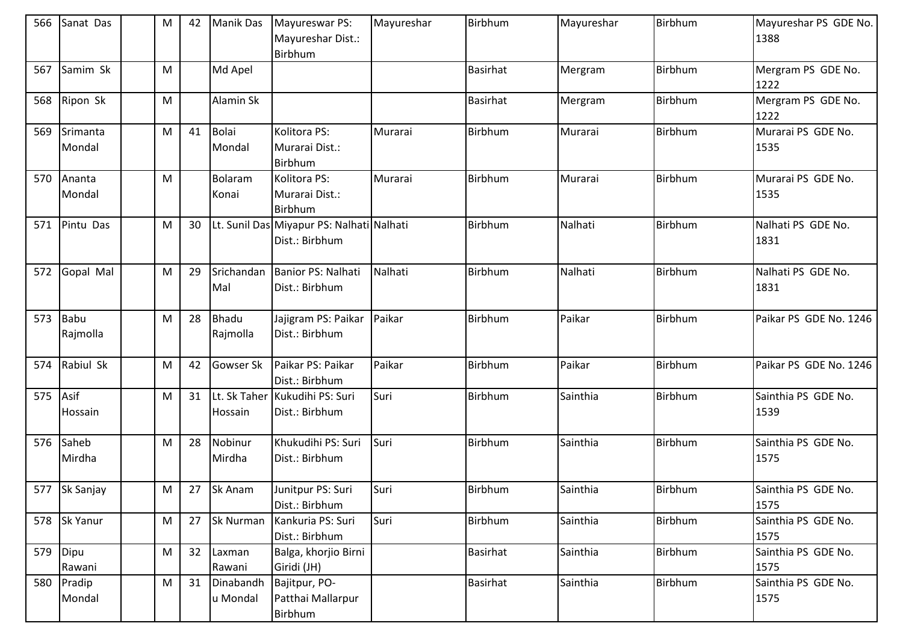| 566 | Sanat Das          | M | 42 | <b>Manik Das</b>         | Mayureswar PS:<br>Mayureshar Dist.:<br>Birbhum              | Mayureshar | Birbhum         | Mayureshar | Birbhum | Mayureshar PS GDE No.<br>1388 |
|-----|--------------------|---|----|--------------------------|-------------------------------------------------------------|------------|-----------------|------------|---------|-------------------------------|
| 567 | Samim Sk           | M |    | Md Apel                  |                                                             |            | <b>Basirhat</b> | Mergram    | Birbhum | Mergram PS GDE No.<br>1222    |
| 568 | Ripon Sk           | M |    | Alamin Sk                |                                                             |            | <b>Basirhat</b> | Mergram    | Birbhum | Mergram PS GDE No.<br>1222    |
| 569 | Srimanta<br>Mondal | M | 41 | <b>Bolai</b><br>Mondal   | Kolitora PS:<br>Murarai Dist.:<br><b>Birbhum</b>            | Murarai    | Birbhum         | Murarai    | Birbhum | Murarai PS GDE No.<br>1535    |
| 570 | Ananta<br>Mondal   | M |    | Bolaram<br>Konai         | Kolitora PS:<br>Murarai Dist.:<br><b>Birbhum</b>            | Murarai    | Birbhum         | Murarai    | Birbhum | Murarai PS GDE No.<br>1535    |
| 571 | Pintu Das          | M | 30 |                          | Lt. Sunil Das Miyapur PS: Nalhati Nalhati<br>Dist.: Birbhum |            | Birbhum         | Nalhati    | Birbhum | Nalhati PS GDE No.<br>1831    |
| 572 | Gopal Mal          | M | 29 | Srichandan<br>Mal        | Banior PS: Nalhati<br>Dist.: Birbhum                        | Nalhati    | Birbhum         | Nalhati    | Birbhum | Nalhati PS GDE No.<br>1831    |
| 573 | Babu<br>Rajmolla   | M | 28 | <b>Bhadu</b><br>Rajmolla | Jajigram PS: Paikar<br>Dist.: Birbhum                       | Paikar     | Birbhum         | Paikar     | Birbhum | Paikar PS GDE No. 1246        |
| 574 | Rabiul Sk          | M | 42 | Gowser Sk                | Paikar PS: Paikar<br>Dist.: Birbhum                         | Paikar     | Birbhum         | Paikar     | Birbhum | Paikar PS GDE No. 1246        |
| 575 | Asif<br>Hossain    | M | 31 | Hossain                  | Lt. Sk Taher Kukudihi PS: Suri<br>Dist.: Birbhum            | Suri       | Birbhum         | Sainthia   | Birbhum | Sainthia PS GDE No.<br>1539   |
| 576 | Saheb<br>Mirdha    | M | 28 | Nobinur<br>Mirdha        | Khukudihi PS: Suri<br>Dist.: Birbhum                        | Suri       | Birbhum         | Sainthia   | Birbhum | Sainthia PS GDE No.<br>1575   |
|     | 577 Sk Sanjay      | M | 27 | Sk Anam                  | Junitpur PS: Suri<br>Dist.: Birbhum                         | Suri       | Birbhum         | Sainthia   | Birbhum | Sainthia PS GDE No.<br>1575   |
|     | 578 Sk Yanur       | M | 27 | <b>Sk Nurman</b>         | Kankuria PS: Suri<br>Dist.: Birbhum                         | Suri       | Birbhum         | Sainthia   | Birbhum | Sainthia PS GDE No.<br>1575   |
| 579 | Dipu<br>Rawani     | M | 32 | Laxman<br>Rawani         | Balga, khorjio Birni<br>Giridi (JH)                         |            | Basirhat        | Sainthia   | Birbhum | Sainthia PS GDE No.<br>1575   |
| 580 | Pradip<br>Mondal   | M | 31 | Dinabandh<br>u Mondal    | Bajitpur, PO-<br>Patthai Mallarpur<br>Birbhum               |            | Basirhat        | Sainthia   | Birbhum | Sainthia PS GDE No.<br>1575   |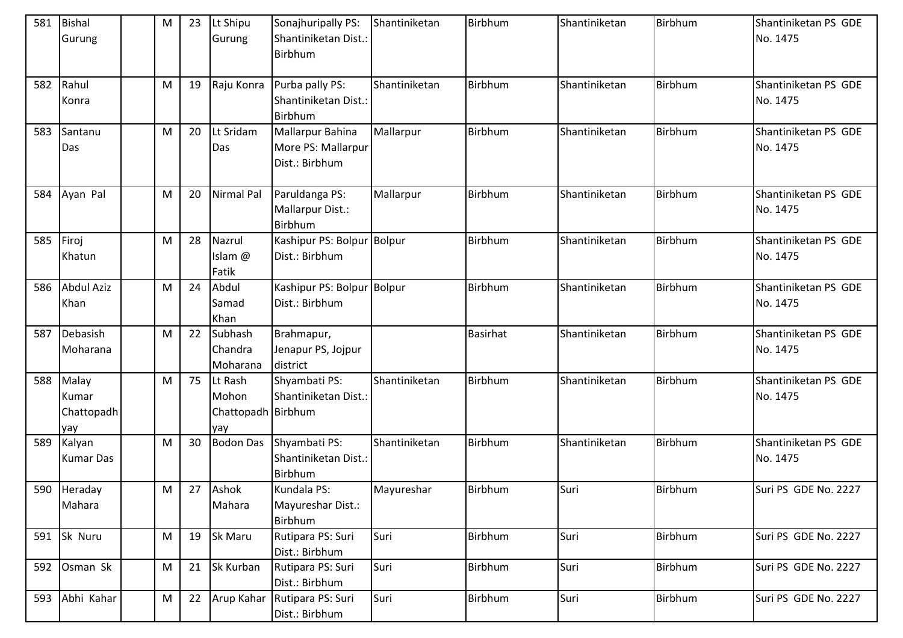| 581 | Bishal<br>Gurung                    | ${\sf M}$ | 23 | Lt Shipu<br>Gurung                            | Sonajhuripally PS:<br>Shantiniketan Dist.:<br><b>Birbhum</b> | Shantiniketan | Birbhum         | Shantiniketan | Birbhum | Shantiniketan PS GDE<br>No. 1475 |
|-----|-------------------------------------|-----------|----|-----------------------------------------------|--------------------------------------------------------------|---------------|-----------------|---------------|---------|----------------------------------|
| 582 | Rahul<br>Konra                      | M         | 19 | Raju Konra                                    | Purba pally PS:<br>Shantiniketan Dist.:<br><b>Birbhum</b>    | Shantiniketan | Birbhum         | Shantiniketan | Birbhum | Shantiniketan PS GDE<br>No. 1475 |
| 583 | Santanu<br>Das                      | M         | 20 | Lt Sridam<br>Das                              | Mallarpur Bahina<br>More PS: Mallarpur<br>Dist.: Birbhum     | Mallarpur     | Birbhum         | Shantiniketan | Birbhum | Shantiniketan PS GDE<br>No. 1475 |
| 584 | Ayan Pal                            | M         | 20 | Nirmal Pal                                    | Paruldanga PS:<br>Mallarpur Dist.:<br>Birbhum                | Mallarpur     | Birbhum         | Shantiniketan | Birbhum | Shantiniketan PS GDE<br>No. 1475 |
| 585 | Firoj<br>Khatun                     | M         | 28 | Nazrul<br>Islam @<br>Fatik                    | Kashipur PS: Bolpur Bolpur<br>Dist.: Birbhum                 |               | Birbhum         | Shantiniketan | Birbhum | Shantiniketan PS GDE<br>No. 1475 |
| 586 | <b>Abdul Aziz</b><br>Khan           | ${\sf M}$ | 24 | Abdul<br>Samad<br>Khan                        | Kashipur PS: Bolpur Bolpur<br>Dist.: Birbhum                 |               | Birbhum         | Shantiniketan | Birbhum | Shantiniketan PS GDE<br>No. 1475 |
| 587 | Debasish<br>Moharana                | M         | 22 | Subhash<br>Chandra<br>Moharana                | Brahmapur,<br>Jenapur PS, Jojpur<br>district                 |               | <b>Basirhat</b> | Shantiniketan | Birbhum | Shantiniketan PS GDE<br>No. 1475 |
| 588 | Malay<br>Kumar<br>Chattopadh<br>yay | ${\sf M}$ | 75 | Lt Rash<br>Mohon<br>Chattopadh Birbhum<br>yay | Shyambati PS:<br>Shantiniketan Dist.:                        | Shantiniketan | Birbhum         | Shantiniketan | Birbhum | Shantiniketan PS GDE<br>No. 1475 |
| 589 | Kalyan<br><b>Kumar Das</b>          | ${\sf M}$ | 30 | <b>Bodon Das</b>                              | Shyambati PS:<br>Shantiniketan Dist.:<br><b>Birbhum</b>      | Shantiniketan | Birbhum         | Shantiniketan | Birbhum | Shantiniketan PS GDE<br>No. 1475 |
|     | 590 Heraday<br>Mahara               | M         | 27 | Ashok<br>Mahara                               | Kundala PS:<br>Mayureshar Dist.:<br>Birbhum                  | Mayureshar    | Birbhum         | Suri          | Birbhum | Suri PS GDE No. 2227             |
| 591 | Sk Nuru                             | ${\sf M}$ | 19 | Sk Maru                                       | Rutipara PS: Suri<br>Dist.: Birbhum                          | Suri          | Birbhum         | Suri          | Birbhum | Suri PS GDE No. 2227             |
| 592 | Osman Sk                            | ${\sf M}$ | 21 | Sk Kurban                                     | Rutipara PS: Suri<br>Dist.: Birbhum                          | Suri          | Birbhum         | Suri          | Birbhum | Suri PS GDE No. 2227             |
| 593 | Abhi Kahar                          | M         | 22 |                                               | Arup Kahar Rutipara PS: Suri<br>Dist.: Birbhum               | Suri          | Birbhum         | Suri          | Birbhum | Suri PS GDE No. 2227             |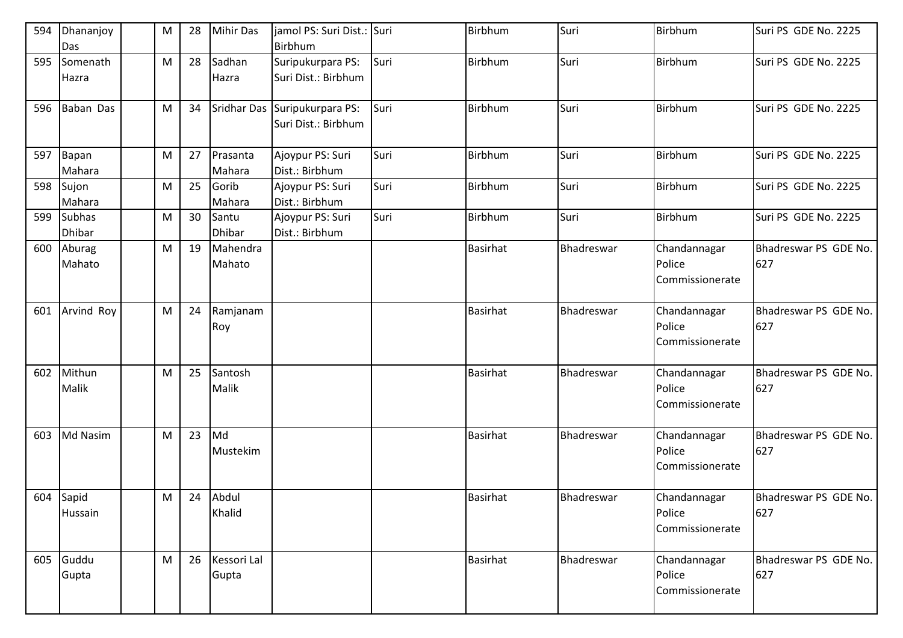| 594 | Dhananjoy<br>Das               | M | 28 | <b>Mihir Das</b>       | jamol PS: Suri Dist.: Suri<br>Birbhum                |      | Birbhum         | Suri       | Birbhum                                   | Suri PS GDE No. 2225         |
|-----|--------------------------------|---|----|------------------------|------------------------------------------------------|------|-----------------|------------|-------------------------------------------|------------------------------|
| 595 | Somenath<br>Hazra              | M | 28 | Sadhan<br>Hazra        | Suripukurpara PS:<br>Suri Dist.: Birbhum             | Suri | Birbhum         | Suri       | Birbhum                                   | Suri PS GDE No. 2225         |
| 596 | Baban Das                      | M | 34 |                        | Sridhar Das Suripukurpara PS:<br>Suri Dist.: Birbhum | Suri | Birbhum         | Suri       | Birbhum                                   | Suri PS GDE No. 2225         |
| 597 | Bapan<br>Mahara                | M | 27 | Prasanta<br>Mahara     | Ajoypur PS: Suri<br>Dist.: Birbhum                   | Suri | <b>Birbhum</b>  | Suri       | Birbhum                                   | Suri PS GDE No. 2225         |
|     | 598 Sujon<br>Mahara            | M | 25 | Gorib<br>Mahara        | Ajoypur PS: Suri<br>Dist.: Birbhum                   | Suri | Birbhum         | Suri       | Birbhum                                   | Suri PS GDE No. 2225         |
| 599 | <b>Subhas</b><br><b>Dhibar</b> | M | 30 | Santu<br><b>Dhibar</b> | Ajoypur PS: Suri<br>Dist.: Birbhum                   | Suri | <b>Birbhum</b>  | Suri       | Birbhum                                   | Suri PS GDE No. 2225         |
| 600 | Aburag<br>Mahato               | M | 19 | Mahendra<br>Mahato     |                                                      |      | <b>Basirhat</b> | Bhadreswar | Chandannagar<br>Police<br>Commissionerate | Bhadreswar PS GDE No.<br>627 |
| 601 | Arvind Roy                     | M | 24 | Ramjanam<br>Roy        |                                                      |      | <b>Basirhat</b> | Bhadreswar | Chandannagar<br>Police<br>Commissionerate | Bhadreswar PS GDE No.<br>627 |
| 602 | Mithun<br>Malik                | M | 25 | Santosh<br>Malik       |                                                      |      | <b>Basirhat</b> | Bhadreswar | Chandannagar<br>Police<br>Commissionerate | Bhadreswar PS GDE No.<br>627 |
| 603 | Md Nasim                       | M | 23 | Md<br>Mustekim         |                                                      |      | <b>Basirhat</b> | Bhadreswar | Chandannagar<br>Police<br>Commissionerate | Bhadreswar PS GDE No.<br>627 |
|     | 604 Sapid<br>Hussain           | M |    | 24 Abdul<br>Khalid     |                                                      |      | <b>Basirhat</b> | Bhadreswar | Chandannagar<br>Police<br>Commissionerate | Bhadreswar PS GDE No.<br>627 |
|     | 605 Guddu<br>Gupta             | M | 26 | Kessori Lal<br>Gupta   |                                                      |      | <b>Basirhat</b> | Bhadreswar | Chandannagar<br>Police<br>Commissionerate | Bhadreswar PS GDE No.<br>627 |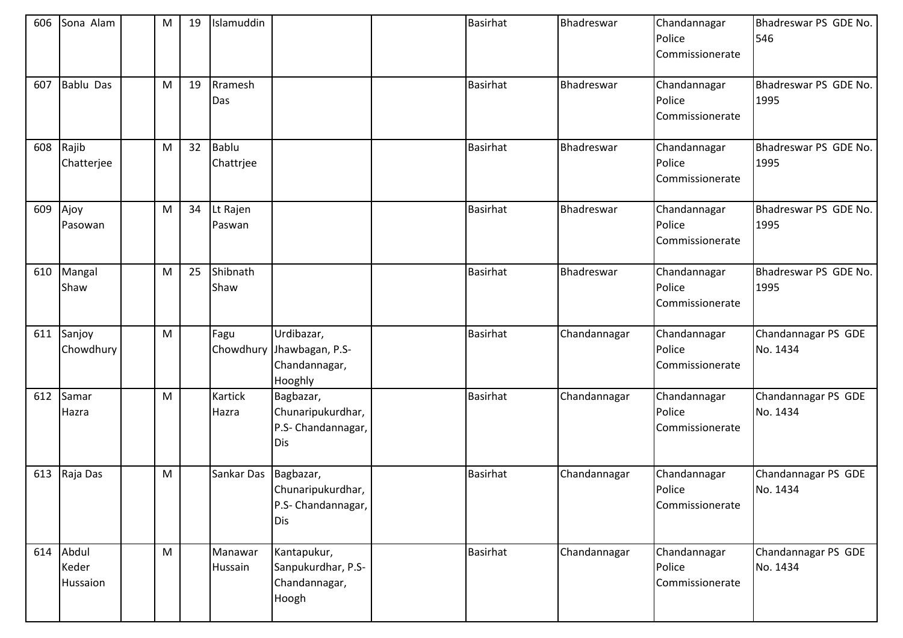| 606 | Sona Alam                  | M | 19 | Islamuddin                |                                                                     | <b>Basirhat</b> | Bhadreswar   | Chandannagar<br>Police<br>Commissionerate | Bhadreswar PS GDE No.<br>546    |
|-----|----------------------------|---|----|---------------------------|---------------------------------------------------------------------|-----------------|--------------|-------------------------------------------|---------------------------------|
| 607 | <b>Bablu Das</b>           | M | 19 | Rramesh<br>Das            |                                                                     | <b>Basirhat</b> | Bhadreswar   | Chandannagar<br>Police<br>Commissionerate | Bhadreswar PS GDE No.<br>1995   |
| 608 | Rajib<br>Chatterjee        | M | 32 | <b>Bablu</b><br>Chattrjee |                                                                     | <b>Basirhat</b> | Bhadreswar   | Chandannagar<br>Police<br>Commissionerate | Bhadreswar PS GDE No.<br>1995   |
| 609 | Ajoy<br>Pasowan            | M | 34 | Lt Rajen<br>Paswan        |                                                                     | <b>Basirhat</b> | Bhadreswar   | Chandannagar<br>Police<br>Commissionerate | Bhadreswar PS GDE No.<br>1995   |
| 610 | Mangal<br>Shaw             | M | 25 | Shibnath<br>Shaw          |                                                                     | <b>Basirhat</b> | Bhadreswar   | Chandannagar<br>Police<br>Commissionerate | Bhadreswar PS GDE No.<br>1995   |
| 611 | Sanjoy<br>Chowdhury        | M |    | Fagu                      | Urdibazar,<br>Chowdhury Jhawbagan, P.S-<br>Chandannagar,<br>Hooghly | Basirhat        | Chandannagar | Chandannagar<br>Police<br>Commissionerate | Chandannagar PS GDE<br>No. 1434 |
| 612 | Samar<br>Hazra             | M |    | Kartick<br>Hazra          | Bagbazar,<br>Chunaripukurdhar,<br>P.S- Chandannagar,<br>Dis         | <b>Basirhat</b> | Chandannagar | Chandannagar<br>Police<br>Commissionerate | Chandannagar PS GDE<br>No. 1434 |
| 613 | Raja Das                   | M |    | Sankar Das                | Bagbazar,<br>Chunaripukurdhar,<br>P.S- Chandannagar,<br>Dis         | <b>Basirhat</b> | Chandannagar | Chandannagar<br>Police<br>Commissionerate | Chandannagar PS GDE<br>No. 1434 |
| 614 | Abdul<br>Keder<br>Hussaion | M |    | Manawar<br>Hussain        | Kantapukur,<br>Sanpukurdhar, P.S-<br>Chandannagar,<br>Hoogh         | <b>Basirhat</b> | Chandannagar | Chandannagar<br>Police<br>Commissionerate | Chandannagar PS GDE<br>No. 1434 |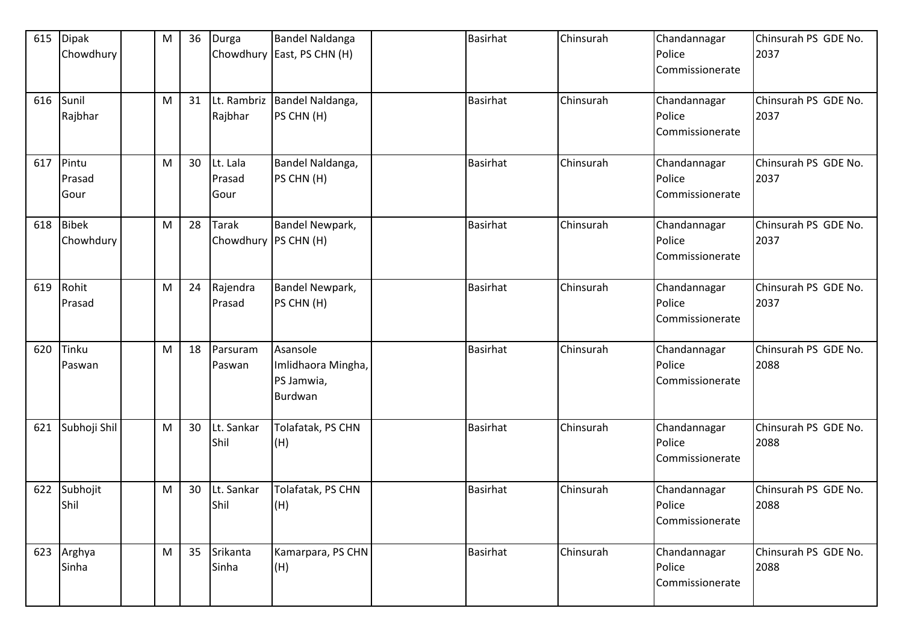| 615 | <b>Dipak</b><br>Chowdhury | M | 36 | Durga                         | <b>Bandel Naldanga</b><br>Chowdhury East, PS CHN (H)    | <b>Basirhat</b> | Chinsurah | Chandannagar<br>Police<br>Commissionerate | Chinsurah PS GDE No.<br>2037 |
|-----|---------------------------|---|----|-------------------------------|---------------------------------------------------------|-----------------|-----------|-------------------------------------------|------------------------------|
|     | 616 Sunil<br>Rajbhar      | M | 31 | Lt. Rambriz<br>Rajbhar        | Bandel Naldanga,<br>PS CHN (H)                          | <b>Basirhat</b> | Chinsurah | Chandannagar<br>Police<br>Commissionerate | Chinsurah PS GDE No.<br>2037 |
| 617 | Pintu<br>Prasad<br>Gour   | M | 30 | Lt. Lala<br>Prasad<br>Gour    | Bandel Naldanga,<br>PS CHN (H)                          | <b>Basirhat</b> | Chinsurah | Chandannagar<br>Police<br>Commissionerate | Chinsurah PS GDE No.<br>2037 |
| 618 | <b>Bibek</b><br>Chowhdury | M | 28 | Tarak<br>Chowdhury PS CHN (H) | Bandel Newpark,                                         | <b>Basirhat</b> | Chinsurah | Chandannagar<br>Police<br>Commissionerate | Chinsurah PS GDE No.<br>2037 |
| 619 | Rohit<br>Prasad           | M | 24 | Rajendra<br>Prasad            | Bandel Newpark,<br>PS CHN (H)                           | <b>Basirhat</b> | Chinsurah | Chandannagar<br>Police<br>Commissionerate | Chinsurah PS GDE No.<br>2037 |
| 620 | Tinku<br>Paswan           | M | 18 | Parsuram<br>Paswan            | Asansole<br>Imlidhaora Mingha,<br>PS Jamwia,<br>Burdwan | <b>Basirhat</b> | Chinsurah | Chandannagar<br>Police<br>Commissionerate | Chinsurah PS GDE No.<br>2088 |
| 621 | Subhoji Shil              | M | 30 | Lt. Sankar<br>Shil            | Tolafatak, PS CHN<br>(H)                                | <b>Basirhat</b> | Chinsurah | Chandannagar<br>Police<br>Commissionerate | Chinsurah PS GDE No.<br>2088 |
| 622 | Subhojit<br>Shil          | M | 30 | Lt. Sankar<br>Shil            | Tolafatak, PS CHN<br>(H)                                | <b>Basirhat</b> | Chinsurah | Chandannagar<br>Police<br>Commissionerate | Chinsurah PS GDE No.<br>2088 |
|     | 623 Arghya<br>Sinha       | M | 35 | Srikanta<br>Sinha             | Kamarpara, PS CHN<br>(H)                                | Basirhat        | Chinsurah | Chandannagar<br>Police<br>Commissionerate | Chinsurah PS GDE No.<br>2088 |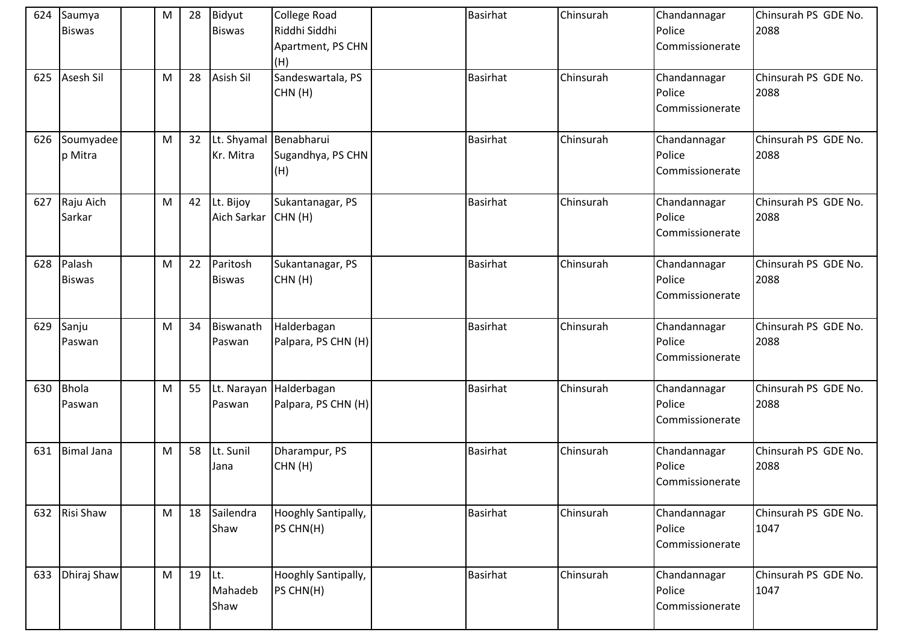| 624 | Saumya<br><b>Biswas</b> | M | 28 | Bidyut<br><b>Biswas</b>             | <b>College Road</b><br>Riddhi Siddhi<br>Apartment, PS CHN<br>(H) | <b>Basirhat</b> | Chinsurah | Chandannagar<br>Police<br>Commissionerate | Chinsurah PS GDE No.<br>2088 |
|-----|-------------------------|---|----|-------------------------------------|------------------------------------------------------------------|-----------------|-----------|-------------------------------------------|------------------------------|
| 625 | Asesh Sil               | M | 28 | <b>Asish Sil</b>                    | Sandeswartala, PS<br>CHN(H)                                      | Basirhat        | Chinsurah | Chandannagar<br>Police<br>Commissionerate | Chinsurah PS GDE No.<br>2088 |
| 626 | Soumyadee<br>p Mitra    | M | 32 | Lt. Shyamal Benabharui<br>Kr. Mitra | Sugandhya, PS CHN<br>(H)                                         | <b>Basirhat</b> | Chinsurah | Chandannagar<br>Police<br>Commissionerate | Chinsurah PS GDE No.<br>2088 |
| 627 | Raju Aich<br>Sarkar     | M | 42 | Lt. Bijoy<br>Aich Sarkar CHN (H)    | Sukantanagar, PS                                                 | <b>Basirhat</b> | Chinsurah | Chandannagar<br>Police<br>Commissionerate | Chinsurah PS GDE No.<br>2088 |
| 628 | Palash<br><b>Biswas</b> | M | 22 | Paritosh<br><b>Biswas</b>           | Sukantanagar, PS<br>CHN(H)                                       | <b>Basirhat</b> | Chinsurah | Chandannagar<br>Police<br>Commissionerate | Chinsurah PS GDE No.<br>2088 |
| 629 | Sanju<br>Paswan         | M | 34 | Biswanath<br>Paswan                 | Halderbagan<br>Palpara, PS CHN (H)                               | <b>Basirhat</b> | Chinsurah | Chandannagar<br>Police<br>Commissionerate | Chinsurah PS GDE No.<br>2088 |
| 630 | <b>Bhola</b><br>Paswan  | M | 55 | Paswan                              | Lt. Narayan Halderbagan<br>Palpara, PS CHN (H)                   | <b>Basirhat</b> | Chinsurah | Chandannagar<br>Police<br>Commissionerate | Chinsurah PS GDE No.<br>2088 |
| 631 | <b>Bimal Jana</b>       | M | 58 | Lt. Sunil<br>Jana                   | Dharampur, PS<br>CHN(H)                                          | <b>Basirhat</b> | Chinsurah | Chandannagar<br>Police<br>Commissionerate | Chinsurah PS GDE No.<br>2088 |
| 632 | Risi Shaw               | M | 18 | Sailendra<br>Shaw                   | Hooghly Santipally,<br>PS CHN(H)                                 | <b>Basirhat</b> | Chinsurah | Chandannagar<br>Police<br>Commissionerate | Chinsurah PS GDE No.<br>1047 |
| 633 | Dhiraj Shaw             | M | 19 | Lt.<br>Mahadeb<br>Shaw              | Hooghly Santipally,<br>PS CHN(H)                                 | <b>Basirhat</b> | Chinsurah | Chandannagar<br>Police<br>Commissionerate | Chinsurah PS GDE No.<br>1047 |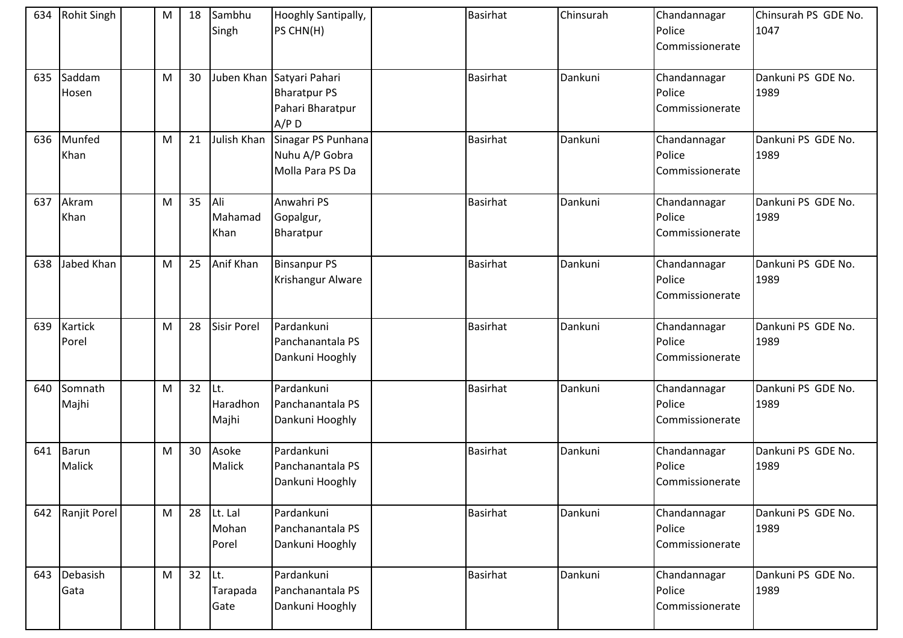| 634 | <b>Rohit Singh</b>      | M         | 18 | Sambhu<br>Singh           | Hooghly Santipally,<br>PS CHN(H)                                                | <b>Basirhat</b> | Chinsurah | Chandannagar<br>Police<br>Commissionerate | Chinsurah PS GDE No.<br>1047 |
|-----|-------------------------|-----------|----|---------------------------|---------------------------------------------------------------------------------|-----------------|-----------|-------------------------------------------|------------------------------|
| 635 | Saddam<br>Hosen         | M         | 30 |                           | Juben Khan Satyari Pahari<br><b>Bharatpur PS</b><br>Pahari Bharatpur<br>$A/P$ D | <b>Basirhat</b> | Dankuni   | Chandannagar<br>Police<br>Commissionerate | Dankuni PS GDE No.<br>1989   |
| 636 | Munfed<br>Khan          | M         | 21 | Julish Khan               | Sinagar PS Punhana<br>Nuhu A/P Gobra<br>Molla Para PS Da                        | <b>Basirhat</b> | Dankuni   | Chandannagar<br>Police<br>Commissionerate | Dankuni PS GDE No.<br>1989   |
| 637 | Akram<br>Khan           | M         | 35 | Ali<br>Mahamad<br>Khan    | Anwahri PS<br>Gopalgur,<br>Bharatpur                                            | <b>Basirhat</b> | Dankuni   | Chandannagar<br>Police<br>Commissionerate | Dankuni PS GDE No.<br>1989   |
| 638 | Jabed Khan              | M         | 25 | Anif Khan                 | <b>Binsanpur PS</b><br>Krishangur Alware                                        | <b>Basirhat</b> | Dankuni   | Chandannagar<br>Police<br>Commissionerate | Dankuni PS GDE No.<br>1989   |
| 639 | <b>Kartick</b><br>Porel | M         | 28 | <b>Sisir Porel</b>        | Pardankuni<br>Panchanantala PS<br>Dankuni Hooghly                               | <b>Basirhat</b> | Dankuni   | Chandannagar<br>Police<br>Commissionerate | Dankuni PS GDE No.<br>1989   |
| 640 | Somnath<br>Majhi        | M         | 32 | Lt.<br>Haradhon<br>Majhi  | Pardankuni<br>Panchanantala PS<br>Dankuni Hooghly                               | Basirhat        | Dankuni   | Chandannagar<br>Police<br>Commissionerate | Dankuni PS GDE No.<br>1989   |
| 641 | Barun<br>Malick         | M         | 30 | Asoke<br>Malick           | Pardankuni<br>Panchanantala PS<br>Dankuni Hooghly                               | Basirhat        | Dankuni   | Chandannagar<br>Police<br>Commissionerate | Dankuni PS GDE No.<br>1989   |
|     | 642 Ranjit Porel        | ${\sf M}$ | 28 | Lt. Lal<br>Mohan<br>Porel | Pardankuni<br>Panchanantala PS<br>Dankuni Hooghly                               | Basirhat        | Dankuni   | Chandannagar<br>Police<br>Commissionerate | Dankuni PS GDE No.<br>1989   |
| 643 | Debasish<br>Gata        | M         | 32 | Lt.<br>Tarapada<br>Gate   | Pardankuni<br>Panchanantala PS<br>Dankuni Hooghly                               | <b>Basirhat</b> | Dankuni   | Chandannagar<br>Police<br>Commissionerate | Dankuni PS GDE No.<br>1989   |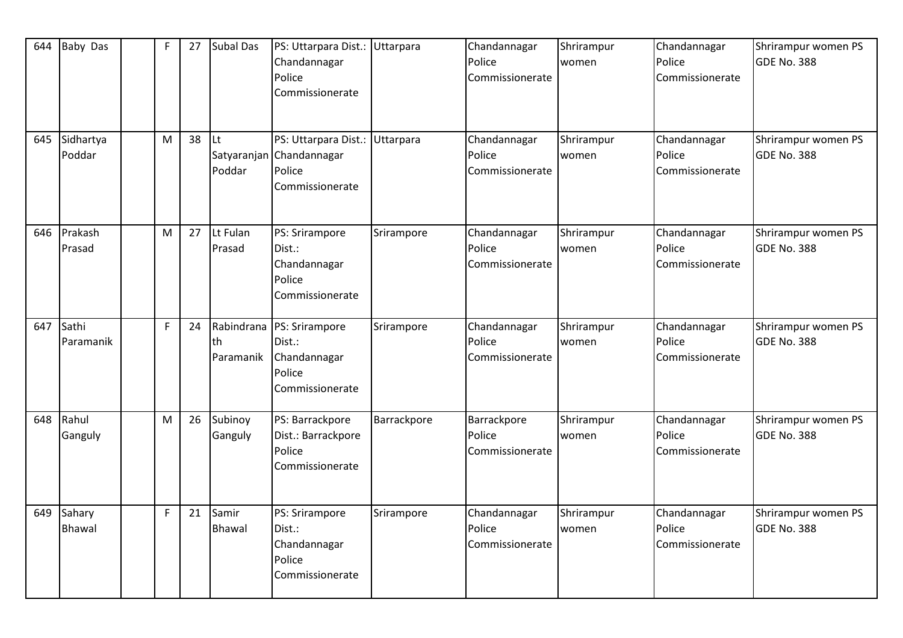| 644 | <b>Baby Das</b>         | $\mathsf F$ | 27 | <b>Subal Das</b>              | PS: Uttarpara Dist.:<br>Chandannagar<br>Police<br>Commissionerate           | Uttarpara   | Chandannagar<br>Police<br>Commissionerate | Shrirampur<br>women | Chandannagar<br>Police<br>Commissionerate | Shrirampur women PS<br>GDE No. 388 |
|-----|-------------------------|-------------|----|-------------------------------|-----------------------------------------------------------------------------|-------------|-------------------------------------------|---------------------|-------------------------------------------|------------------------------------|
| 645 | Sidhartya<br>Poddar     | M           | 38 | lLt.<br>Satyaranjan<br>Poddar | PS: Uttarpara Dist.: Uttarpara<br>Chandannagar<br>Police<br>Commissionerate |             | Chandannagar<br>Police<br>Commissionerate | Shrirampur<br>women | Chandannagar<br>Police<br>Commissionerate | Shrirampur women PS<br>GDE No. 388 |
| 646 | Prakash<br>Prasad       | M           | 27 | Lt Fulan<br>Prasad            | PS: Srirampore<br>Dist.:<br>Chandannagar<br>Police<br>Commissionerate       | Srirampore  | Chandannagar<br>Police<br>Commissionerate | Shrirampur<br>women | Chandannagar<br>Police<br>Commissionerate | Shrirampur women PS<br>GDE No. 388 |
| 647 | Sathi<br>Paramanik      | F           | 24 | Rabindrana<br>th<br>Paramanik | PS: Srirampore<br>Dist.:<br>Chandannagar<br>Police<br>Commissionerate       | Srirampore  | Chandannagar<br>Police<br>Commissionerate | Shrirampur<br>women | Chandannagar<br>Police<br>Commissionerate | Shrirampur women PS<br>GDE No. 388 |
| 648 | Rahul<br>Ganguly        | M           | 26 | Subinoy<br>Ganguly            | PS: Barrackpore<br>Dist.: Barrackpore<br>Police<br>Commissionerate          | Barrackpore | Barrackpore<br>Police<br>Commissionerate  | Shrirampur<br>women | Chandannagar<br>Police<br>Commissionerate | Shrirampur women PS<br>GDE No. 388 |
| 649 | Sahary<br><b>Bhawal</b> | F           | 21 | Samir<br><b>Bhawal</b>        | PS: Srirampore<br>Dist.:<br>Chandannagar<br>Police<br>Commissionerate       | Srirampore  | Chandannagar<br>Police<br>Commissionerate | Shrirampur<br>women | Chandannagar<br>Police<br>Commissionerate | Shrirampur women PS<br>GDE No. 388 |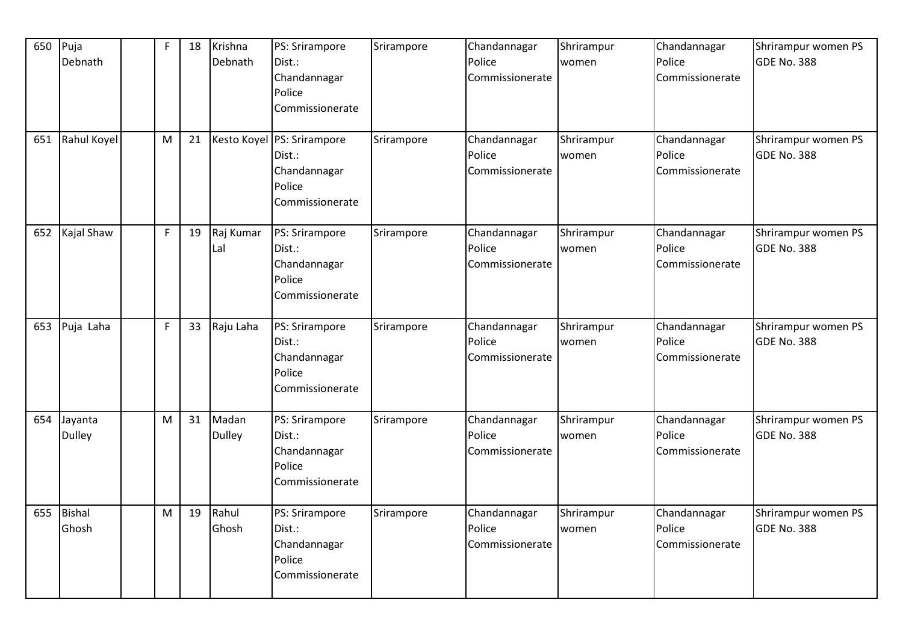| 650 | Puja<br>Debnath | $\mathsf{F}$ | 18 | Krishna<br>Debnath | PS: Srirampore<br>Dist.:   | Srirampore | Chandannagar<br>Police | Shrirampur<br>women | Chandannagar<br>Police | Shrirampur women PS<br><b>GDE No. 388</b> |
|-----|-----------------|--------------|----|--------------------|----------------------------|------------|------------------------|---------------------|------------------------|-------------------------------------------|
|     |                 |              |    |                    | Chandannagar               |            | Commissionerate        |                     | Commissionerate        |                                           |
|     |                 |              |    |                    | Police                     |            |                        |                     |                        |                                           |
|     |                 |              |    |                    | Commissionerate            |            |                        |                     |                        |                                           |
|     |                 |              |    |                    |                            |            |                        |                     |                        |                                           |
| 651 | Rahul Koyel     | M            | 21 |                    | Kesto Koyel PS: Srirampore | Srirampore | Chandannagar           | Shrirampur          | Chandannagar           | Shrirampur women PS                       |
|     |                 |              |    |                    | Dist.:                     |            | Police                 | women               | Police                 | <b>GDE No. 388</b>                        |
|     |                 |              |    |                    | Chandannagar               |            | Commissionerate        |                     | Commissionerate        |                                           |
|     |                 |              |    |                    | Police                     |            |                        |                     |                        |                                           |
|     |                 |              |    |                    | Commissionerate            |            |                        |                     |                        |                                           |
| 652 | Kajal Shaw      | $\mathsf{F}$ | 19 | Raj Kumar          | PS: Srirampore             | Srirampore | Chandannagar           | Shrirampur          | Chandannagar           | Shrirampur women PS                       |
|     |                 |              |    | Lal                | Dist.:                     |            | Police                 | women               | Police                 | <b>GDE No. 388</b>                        |
|     |                 |              |    |                    | Chandannagar               |            | Commissionerate        |                     | Commissionerate        |                                           |
|     |                 |              |    |                    | Police                     |            |                        |                     |                        |                                           |
|     |                 |              |    |                    | Commissionerate            |            |                        |                     |                        |                                           |
|     |                 |              |    |                    |                            |            |                        |                     |                        |                                           |
| 653 | Puja Laha       | F            | 33 | Raju Laha          | PS: Srirampore             | Srirampore | Chandannagar           | Shrirampur          | Chandannagar           | Shrirampur women PS                       |
|     |                 |              |    |                    | Dist.:                     |            | Police                 | women               | Police                 | <b>GDE No. 388</b>                        |
|     |                 |              |    |                    | Chandannagar               |            | Commissionerate        |                     | Commissionerate        |                                           |
|     |                 |              |    |                    | Police                     |            |                        |                     |                        |                                           |
|     |                 |              |    |                    | Commissionerate            |            |                        |                     |                        |                                           |
| 654 | Jayanta         | M            | 31 | Madan              | PS: Srirampore             | Srirampore | Chandannagar           | Shrirampur          | Chandannagar           | Shrirampur women PS                       |
|     | <b>Dulley</b>   |              |    | <b>Dulley</b>      | Dist.:                     |            | Police                 | women               | Police                 | <b>GDE No. 388</b>                        |
|     |                 |              |    |                    | Chandannagar               |            | Commissionerate        |                     | Commissionerate        |                                           |
|     |                 |              |    |                    | Police                     |            |                        |                     |                        |                                           |
|     |                 |              |    |                    | Commissionerate            |            |                        |                     |                        |                                           |
|     |                 |              |    |                    |                            |            |                        |                     |                        |                                           |
| 655 | <b>Bishal</b>   | M            | 19 | Rahul              | PS: Srirampore             | Srirampore | Chandannagar           | Shrirampur          | Chandannagar           | Shrirampur women PS                       |
|     | Ghosh           |              |    | Ghosh              | Dist.:                     |            | Police                 | women               | Police                 | <b>GDE No. 388</b>                        |
|     |                 |              |    |                    | Chandannagar               |            | Commissionerate        |                     | Commissionerate        |                                           |
|     |                 |              |    |                    | Police                     |            |                        |                     |                        |                                           |
|     |                 |              |    |                    | Commissionerate            |            |                        |                     |                        |                                           |
|     |                 |              |    |                    |                            |            |                        |                     |                        |                                           |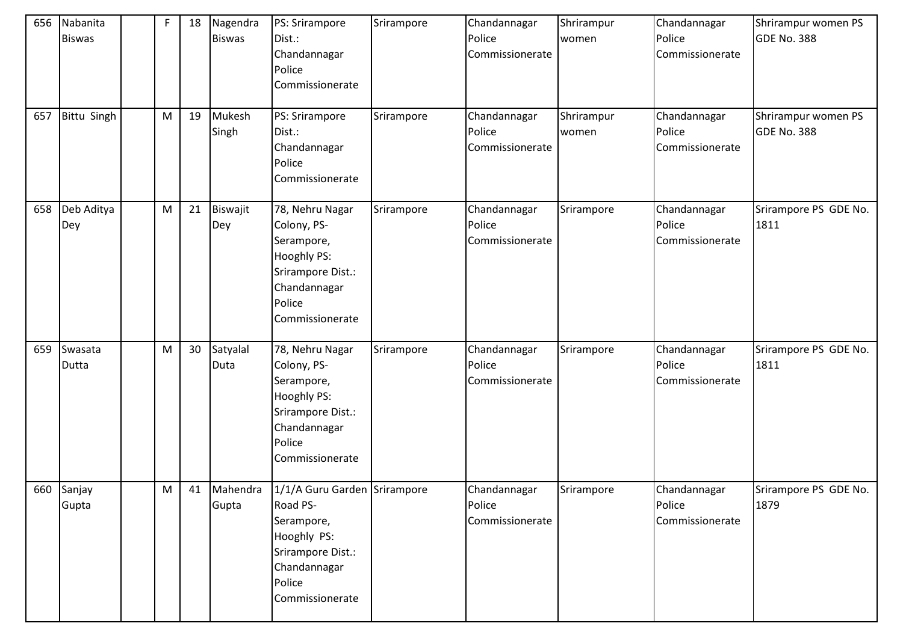| 656 | Nabanita<br><b>Biswas</b> | $\mathsf F$ | 18 | Nagendra<br><b>Biswas</b> | PS: Srirampore<br>Dist.:<br>Chandannagar<br>Police<br>Commissionerate                                                                   | Srirampore | Chandannagar<br>Police<br>Commissionerate | Shrirampur<br>women | Chandannagar<br>Police<br>Commissionerate | Shrirampur women PS<br>GDE No. 388        |
|-----|---------------------------|-------------|----|---------------------------|-----------------------------------------------------------------------------------------------------------------------------------------|------------|-------------------------------------------|---------------------|-------------------------------------------|-------------------------------------------|
| 657 | Bittu Singh               | M           | 19 | Mukesh<br>Singh           | PS: Srirampore<br>Dist.:<br>Chandannagar<br>Police<br>Commissionerate                                                                   | Srirampore | Chandannagar<br>Police<br>Commissionerate | Shrirampur<br>women | Chandannagar<br>Police<br>Commissionerate | Shrirampur women PS<br><b>GDE No. 388</b> |
| 658 | Deb Aditya<br>Dey         | M           | 21 | Biswajit<br>Dey           | 78, Nehru Nagar<br>Colony, PS-<br>Serampore,<br>Hooghly PS:<br>Srirampore Dist.:<br>Chandannagar<br>Police<br>Commissionerate           | Srirampore | Chandannagar<br>Police<br>Commissionerate | Srirampore          | Chandannagar<br>Police<br>Commissionerate | Srirampore PS GDE No.<br>1811             |
| 659 | Swasata<br>Dutta          | ${\sf M}$   | 30 | Satyalal<br>Duta          | 78, Nehru Nagar<br>Colony, PS-<br>Serampore,<br>Hooghly PS:<br>Srirampore Dist.:<br>Chandannagar<br>Police<br>Commissionerate           | Srirampore | Chandannagar<br>Police<br>Commissionerate | Srirampore          | Chandannagar<br>Police<br>Commissionerate | Srirampore PS GDE No.<br>1811             |
|     | 660 Sanjay<br>Gupta       | M           | 41 | Mahendra<br>Gupta         | 1/1/A Guru Garden Srirampore<br>Road PS-<br>Serampore,<br>Hooghly PS:<br>Srirampore Dist.:<br>Chandannagar<br>Police<br>Commissionerate |            | Chandannagar<br>Police<br>Commissionerate | Srirampore          | Chandannagar<br>Police<br>Commissionerate | Srirampore PS GDE No.<br>1879             |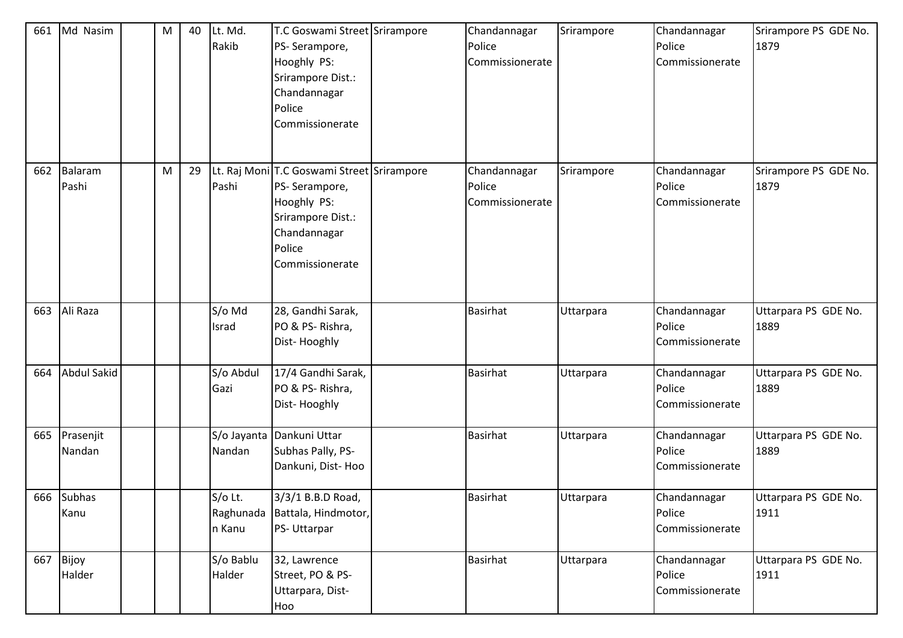| 661 | Md Nasim            | M | 40 | Lt. Md.<br>Rakib               | T.C Goswami Street Srirampore<br>PS-Serampore,<br>Hooghly PS:<br>Srirampore Dist.:<br>Chandannagar<br>Police<br>Commissionerate              | Chandannagar<br>Police<br>Commissionerate | Srirampore | Chandannagar<br>Police<br>Commissionerate | Srirampore PS GDE No.<br>1879 |
|-----|---------------------|---|----|--------------------------------|----------------------------------------------------------------------------------------------------------------------------------------------|-------------------------------------------|------------|-------------------------------------------|-------------------------------|
| 662 | Balaram<br>Pashi    | M | 29 | Pashi                          | Lt. Raj Moni T.C Goswami Street Srirampore<br>PS-Serampore,<br>Hooghly PS:<br>Srirampore Dist.:<br>Chandannagar<br>Police<br>Commissionerate | Chandannagar<br>Police<br>Commissionerate | Srirampore | Chandannagar<br>Police<br>Commissionerate | Srirampore PS GDE No.<br>1879 |
| 663 | Ali Raza            |   |    | S/o Md<br>Israd                | 28, Gandhi Sarak,<br>PO & PS-Rishra,<br>Dist-Hooghly                                                                                         | <b>Basirhat</b>                           | Uttarpara  | Chandannagar<br>Police<br>Commissionerate | Uttarpara PS GDE No.<br>1889  |
| 664 | Abdul Sakid         |   |    | S/o Abdul<br>Gazi              | 17/4 Gandhi Sarak,<br>PO & PS-Rishra,<br>Dist-Hooghly                                                                                        | <b>Basirhat</b>                           | Uttarpara  | Chandannagar<br>Police<br>Commissionerate | Uttarpara PS GDE No.<br>1889  |
| 665 | Prasenjit<br>Nandan |   |    | S/o Jayanta<br>Nandan          | Dankuni Uttar<br>Subhas Pally, PS-<br>Dankuni, Dist-Hoo                                                                                      | <b>Basirhat</b>                           | Uttarpara  | Chandannagar<br>Police<br>Commissionerate | Uttarpara PS GDE No.<br>1889  |
|     | 666 Subhas<br>Kanu  |   |    | S/o Lt.<br>Raghunada<br>n Kanu | 3/3/1 B.B.D Road,<br>Battala, Hindmotor,<br>PS- Uttarpar                                                                                     | <b>Basirhat</b>                           | Uttarpara  | Chandannagar<br>Police<br>Commissionerate | Uttarpara PS GDE No.<br>1911  |
| 667 | Bijoy<br>Halder     |   |    | S/o Bablu<br>Halder            | 32, Lawrence<br>Street, PO & PS-<br>Uttarpara, Dist-<br>Hoo                                                                                  | Basirhat                                  | Uttarpara  | Chandannagar<br>Police<br>Commissionerate | Uttarpara PS GDE No.<br>1911  |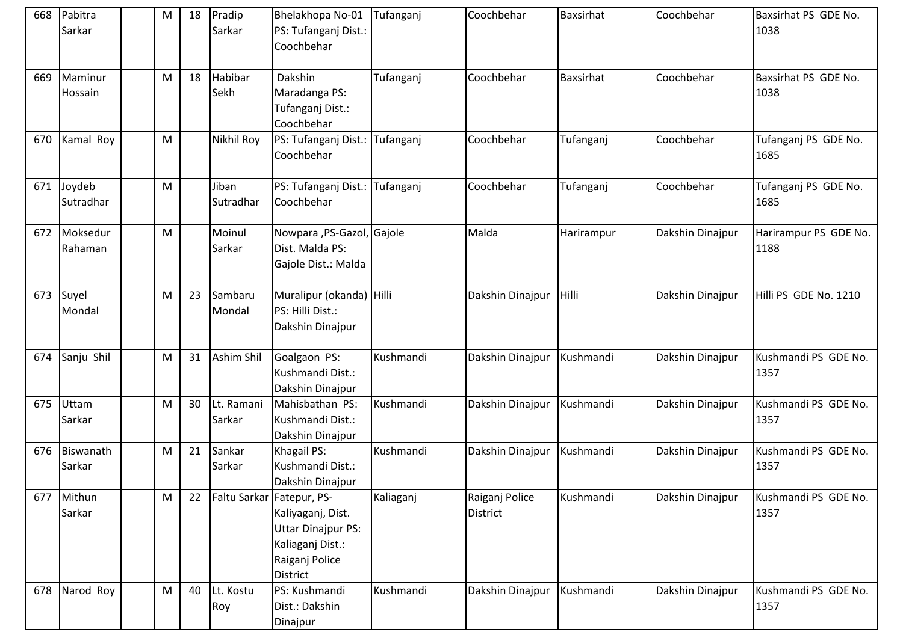| 668 | Pabitra<br>Sarkar   | M | 18 | Pradip<br>Sarkar     | Bhelakhopa No-01<br>PS: Tufanganj Dist.:<br>Coochbehar                                                                               | Tufanganj | Coochbehar                        | Baxsirhat        | Coochbehar       | Baxsirhat PS GDE No.<br>1038  |
|-----|---------------------|---|----|----------------------|--------------------------------------------------------------------------------------------------------------------------------------|-----------|-----------------------------------|------------------|------------------|-------------------------------|
| 669 | Maminur<br>Hossain  | M | 18 | Habibar<br>Sekh      | Dakshin<br>Maradanga PS:<br>Tufanganj Dist.:<br>Coochbehar                                                                           | Tufanganj | Coochbehar                        | <b>Baxsirhat</b> | Coochbehar       | Baxsirhat PS GDE No.<br>1038  |
| 670 | Kamal Roy           | M |    | Nikhil Roy           | PS: Tufanganj Dist.:<br>Coochbehar                                                                                                   | Tufanganj | Coochbehar                        | Tufanganj        | Coochbehar       | Tufanganj PS GDE No.<br>1685  |
| 671 | Joydeb<br>Sutradhar | M |    | Jiban<br>Sutradhar   | PS: Tufanganj Dist.:<br>Coochbehar                                                                                                   | Tufanganj | Coochbehar                        | Tufanganj        | Coochbehar       | Tufanganj PS GDE No.<br>1685  |
| 672 | Moksedur<br>Rahaman | M |    | Moinul<br>Sarkar     | Nowpara , PS-Gazol, Gajole<br>Dist. Malda PS:<br>Gajole Dist.: Malda                                                                 |           | Malda                             | Harirampur       | Dakshin Dinajpur | Harirampur PS GDE No.<br>1188 |
| 673 | Suyel<br>Mondal     | M | 23 | Sambaru<br>Mondal    | Muralipur (okanda) Hilli<br>PS: Hilli Dist.:<br>Dakshin Dinajpur                                                                     |           | Dakshin Dinajpur                  | Hilli            | Dakshin Dinajpur | Hilli PS GDE No. 1210         |
| 674 | Sanju Shil          | M | 31 | Ashim Shil           | Goalgaon PS:<br>Kushmandi Dist.:<br>Dakshin Dinajpur                                                                                 | Kushmandi | Dakshin Dinajpur                  | Kushmandi        | Dakshin Dinajpur | Kushmandi PS GDE No.<br>1357  |
| 675 | Uttam<br>Sarkar     | M | 30 | Lt. Ramani<br>Sarkar | Mahisbathan PS:<br>Kushmandi Dist.:<br>Dakshin Dinajpur                                                                              | Kushmandi | Dakshin Dinajpur                  | Kushmandi        | Dakshin Dinajpur | Kushmandi PS GDE No.<br>1357  |
| 676 | Biswanath<br>Sarkar | M | 21 | Sankar<br>Sarkar     | Khagail PS:<br>Kushmandi Dist.:<br>Dakshin Dinajpur                                                                                  | Kushmandi | Dakshin Dinajpur                  | Kushmandi        | Dakshin Dinajpur | Kushmandi PS GDE No.<br>1357  |
| 677 | Mithun<br>Sarkar    | M | 22 |                      | Faltu Sarkar Fatepur, PS-<br>Kaliyaganj, Dist.<br><b>Uttar Dinajpur PS:</b><br>Kaliaganj Dist.:<br>Raiganj Police<br><b>District</b> | Kaliaganj | Raiganj Police<br><b>District</b> | Kushmandi        | Dakshin Dinajpur | Kushmandi PS GDE No.<br>1357  |
| 678 | Narod Roy           | M | 40 | Lt. Kostu<br>Roy     | PS: Kushmandi<br>Dist.: Dakshin<br>Dinajpur                                                                                          | Kushmandi | Dakshin Dinajpur                  | Kushmandi        | Dakshin Dinajpur | Kushmandi PS GDE No.<br>1357  |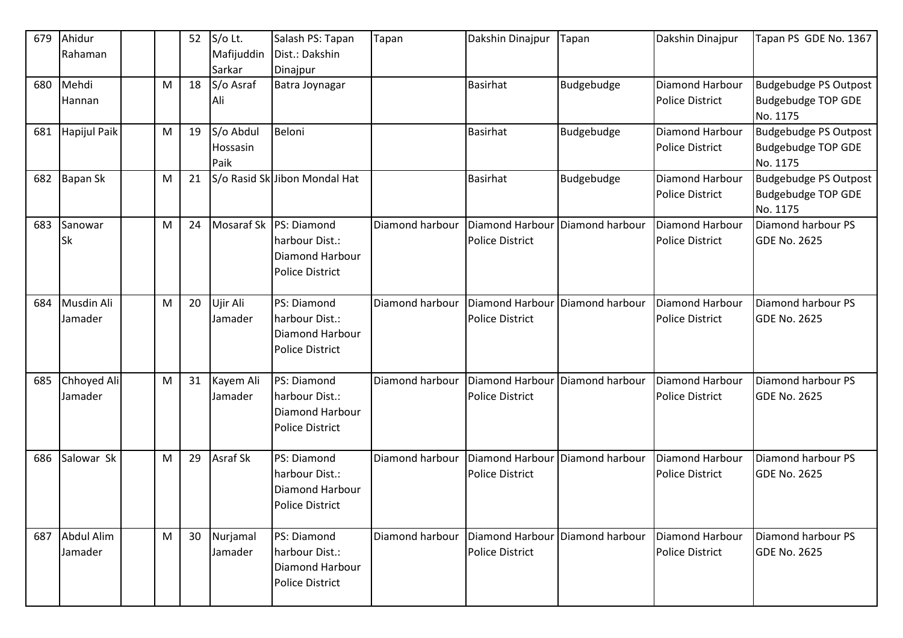| 679 | Ahidur          |   | 52 | S/o Lt.           | Salash PS: Tapan                          | Tapan           | Dakshin Dinajpur       | Tapan           | Dakshin Dinajpur       | Tapan PS GDE No. 1367        |
|-----|-----------------|---|----|-------------------|-------------------------------------------|-----------------|------------------------|-----------------|------------------------|------------------------------|
|     | Rahaman         |   |    | Mafijuddin        | Dist.: Dakshin                            |                 |                        |                 |                        |                              |
|     |                 |   |    | Sarkar            | Dinajpur                                  |                 |                        |                 |                        |                              |
| 680 | Mehdi           | M | 18 | S/o Asraf         | Batra Joynagar                            |                 | <b>Basirhat</b>        | Budgebudge      | Diamond Harbour        | <b>Budgebudge PS Outpost</b> |
|     | Hannan          |   |    | Ali               |                                           |                 |                        |                 | <b>Police District</b> | <b>Budgebudge TOP GDE</b>    |
|     |                 |   |    |                   |                                           |                 |                        |                 |                        | No. 1175                     |
| 681 | Hapijul Paik    | M | 19 | S/o Abdul         | Beloni                                    |                 | <b>Basirhat</b>        | Budgebudge      | Diamond Harbour        | Budgebudge PS Outpost        |
|     |                 |   |    | Hossasin          |                                           |                 |                        |                 | <b>Police District</b> | <b>Budgebudge TOP GDE</b>    |
|     |                 |   |    | Paik              |                                           |                 |                        |                 |                        | No. 1175                     |
| 682 | <b>Bapan Sk</b> | M | 21 |                   | S/o Rasid Sk Jibon Mondal Hat             |                 | <b>Basirhat</b>        | Budgebudge      | Diamond Harbour        | <b>Budgebudge PS Outpost</b> |
|     |                 |   |    |                   |                                           |                 |                        |                 | <b>Police District</b> | <b>Budgebudge TOP GDE</b>    |
|     |                 |   |    |                   |                                           |                 |                        |                 |                        | No. 1175                     |
| 683 | Sanowar         | M | 24 | <b>Mosaraf Sk</b> | PS: Diamond                               | Diamond harbour | Diamond Harbour        | Diamond harbour | <b>Diamond Harbour</b> | Diamond harbour PS           |
|     | <b>Sk</b>       |   |    |                   | harbour Dist.:                            |                 | <b>Police District</b> |                 | <b>Police District</b> | <b>GDE No. 2625</b>          |
|     |                 |   |    |                   | Diamond Harbour<br><b>Police District</b> |                 |                        |                 |                        |                              |
|     |                 |   |    |                   |                                           |                 |                        |                 |                        |                              |
| 684 | Musdin Ali      | M | 20 | Ujir Ali          | PS: Diamond                               | Diamond harbour | <b>Diamond Harbour</b> | Diamond harbour | Diamond Harbour        | Diamond harbour PS           |
|     | Jamader         |   |    | Jamader           | harbour Dist.:                            |                 | <b>Police District</b> |                 | <b>Police District</b> | <b>GDE No. 2625</b>          |
|     |                 |   |    |                   | <b>Diamond Harbour</b>                    |                 |                        |                 |                        |                              |
|     |                 |   |    |                   | <b>Police District</b>                    |                 |                        |                 |                        |                              |
|     |                 |   |    |                   |                                           |                 |                        |                 |                        |                              |
| 685 | Chhoyed Ali     | M | 31 | Kayem Ali         | PS: Diamond                               | Diamond harbour | Diamond Harbour        | Diamond harbour | Diamond Harbour        | Diamond harbour PS           |
|     | Jamader         |   |    | Jamader           | harbour Dist.:                            |                 | <b>Police District</b> |                 | <b>Police District</b> | <b>GDE No. 2625</b>          |
|     |                 |   |    |                   | <b>Diamond Harbour</b>                    |                 |                        |                 |                        |                              |
|     |                 |   |    |                   | <b>Police District</b>                    |                 |                        |                 |                        |                              |
|     |                 |   |    |                   |                                           |                 |                        |                 |                        |                              |
| 686 | Salowar Sk      | M | 29 | Asraf Sk          | PS: Diamond                               | Diamond harbour | Diamond Harbour        | Diamond harbour | <b>Diamond Harbour</b> | Diamond harbour PS           |
|     |                 |   |    |                   | harbour Dist.:                            |                 | <b>Police District</b> |                 | <b>Police District</b> | <b>GDE No. 2625</b>          |
|     |                 |   |    |                   | Diamond Harbour                           |                 |                        |                 |                        |                              |
|     |                 |   |    |                   | Police District                           |                 |                        |                 |                        |                              |
|     |                 |   |    |                   |                                           |                 |                        |                 |                        |                              |
| 687 | Abdul Alim      | M | 30 | Nurjamal          | PS: Diamond                               | Diamond harbour | <b>Diamond Harbour</b> | Diamond harbour | Diamond Harbour        | Diamond harbour PS           |
|     | Jamader         |   |    | Jamader           | harbour Dist.:                            |                 | <b>Police District</b> |                 | <b>Police District</b> | <b>GDE No. 2625</b>          |
|     |                 |   |    |                   | Diamond Harbour                           |                 |                        |                 |                        |                              |
|     |                 |   |    |                   | Police District                           |                 |                        |                 |                        |                              |
|     |                 |   |    |                   |                                           |                 |                        |                 |                        |                              |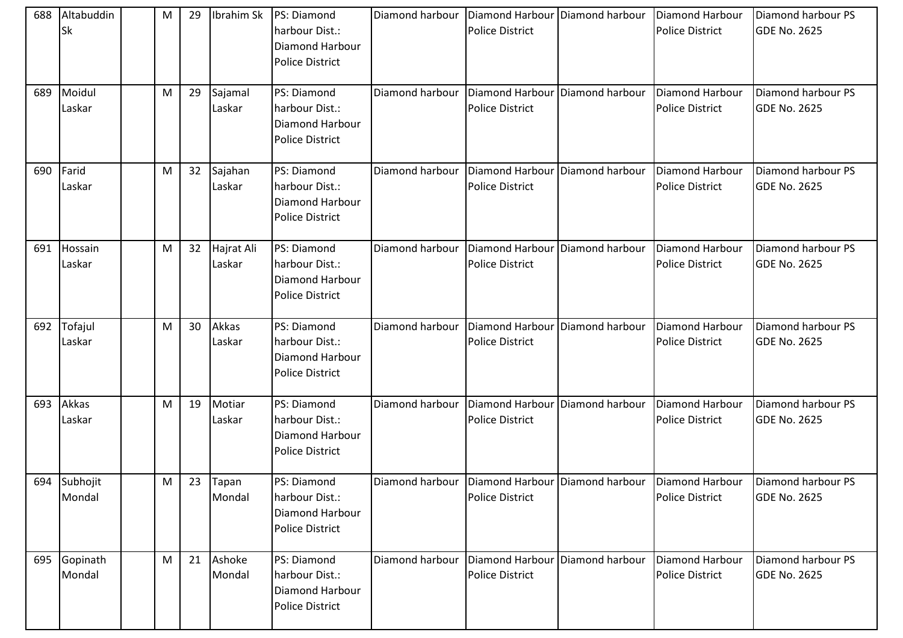| 688 | Altabuddin<br><b>Sk</b> | M | 29 |                      | Ibrahim Sk PS: Diamond<br>harbour Dist.:<br>Diamond Harbour<br><b>Police District</b> | Diamond harbour | Diamond Harbour Diamond harbour<br><b>Police District</b>   |                                                                       | Diamond Harbour<br><b>Police District</b> | Diamond harbour PS<br><b>GDE No. 2625</b> |
|-----|-------------------------|---|----|----------------------|---------------------------------------------------------------------------------------|-----------------|-------------------------------------------------------------|-----------------------------------------------------------------------|-------------------------------------------|-------------------------------------------|
| 689 | Moidul<br>Laskar        | M | 29 | Sajamal<br>Laskar    | PS: Diamond<br>harbour Dist.:<br><b>Diamond Harbour</b><br><b>Police District</b>     | Diamond harbour | Diamond Harbour Diamond harbour<br><b>Police District</b>   |                                                                       | Diamond Harbour<br><b>Police District</b> | Diamond harbour PS<br><b>GDE No. 2625</b> |
| 690 | Farid<br>Laskar         | M | 32 | Sajahan<br>Laskar    | PS: Diamond<br>harbour Dist.:<br>Diamond Harbour<br><b>Police District</b>            | Diamond harbour | Diamond Harbour<br><b>Police District</b>                   | Diamond harbour                                                       | Diamond Harbour<br><b>Police District</b> | Diamond harbour PS<br><b>GDE No. 2625</b> |
| 691 | Hossain<br>Laskar       | M | 32 | Hajrat Ali<br>Laskar | PS: Diamond<br>harbour Dist.:<br>Diamond Harbour<br>Police District                   | Diamond harbour | Diamond Harbour Diamond harbour<br><b>Police District</b>   |                                                                       | Diamond Harbour<br><b>Police District</b> | Diamond harbour PS<br><b>GDE No. 2625</b> |
| 692 | Tofajul<br>Laskar       | M | 30 | Akkas<br>Laskar      | PS: Diamond<br>harbour Dist.:<br>Diamond Harbour<br><b>Police District</b>            | Diamond harbour | Diamond Harbour   Diamond harbour<br><b>Police District</b> |                                                                       | Diamond Harbour<br><b>Police District</b> | Diamond harbour PS<br><b>GDE No. 2625</b> |
| 693 | Akkas<br>Laskar         | M | 19 | Motiar<br>Laskar     | PS: Diamond<br>harbour Dist.:<br>Diamond Harbour<br><b>Police District</b>            | Diamond harbour | Diamond Harbour Diamond harbour<br><b>Police District</b>   |                                                                       | Diamond Harbour<br><b>Police District</b> | Diamond harbour PS<br><b>GDE No. 2625</b> |
|     | 694 Subhojit<br>Mondal  | M |    | 23 Tapan<br>Mondal   | PS: Diamond<br>harbour Dist.:<br>Diamond Harbour<br><b>Police District</b>            |                 | <b>Police District</b>                                      | Diamond harbour   Diamond Harbour   Diamond harbour   Diamond Harbour | <b>Police District</b>                    | Diamond harbour PS<br><b>GDE No. 2625</b> |
| 695 | Gopinath<br>Mondal      | M | 21 | Ashoke<br>Mondal     | PS: Diamond<br>harbour Dist.:<br>Diamond Harbour<br><b>Police District</b>            | Diamond harbour | Diamond Harbour Diamond harbour<br><b>Police District</b>   |                                                                       | Diamond Harbour<br><b>Police District</b> | Diamond harbour PS<br><b>GDE No. 2625</b> |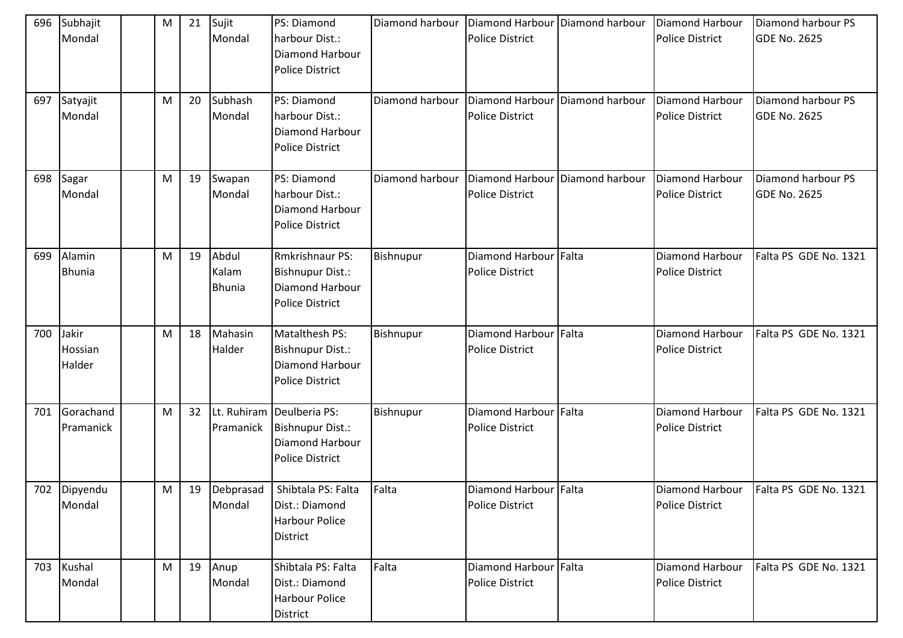| 696 | Subhajit<br>Mondal                | M | 21 | Sujit<br>Mondal                 | PS: Diamond<br>harbour Dist.:<br><b>Diamond Harbour</b><br><b>Police District</b>          | Diamond harbour | <b>Diamond Harbour</b><br><b>Police District</b> | Diamond harbour | <b>Diamond Harbour</b><br><b>Police District</b> | Diamond harbour PS<br><b>GDE No. 2625</b> |
|-----|-----------------------------------|---|----|---------------------------------|--------------------------------------------------------------------------------------------|-----------------|--------------------------------------------------|-----------------|--------------------------------------------------|-------------------------------------------|
| 697 | Satyajit<br>Mondal                | M | 20 | Subhash<br>Mondal               | PS: Diamond<br>harbour Dist.:<br><b>Diamond Harbour</b><br><b>Police District</b>          | Diamond harbour | Diamond Harbour<br><b>Police District</b>        | Diamond harbour | Diamond Harbour<br><b>Police District</b>        | Diamond harbour PS<br><b>GDE No. 2625</b> |
| 698 | Sagar<br>Mondal                   | M | 19 | Swapan<br>Mondal                | PS: Diamond<br>harbour Dist.:<br><b>Diamond Harbour</b><br><b>Police District</b>          | Diamond harbour | Diamond Harbour<br><b>Police District</b>        | Diamond harbour | Diamond Harbour<br><b>Police District</b>        | Diamond harbour PS<br><b>GDE No. 2625</b> |
| 699 | Alamin<br><b>Bhunia</b>           | M | 19 | Abdul<br>Kalam<br><b>Bhunia</b> | <b>Rmkrishnaur PS:</b><br>Bishnupur Dist.:<br>Diamond Harbour<br><b>Police District</b>    | Bishnupur       | Diamond Harbour<br><b>Police District</b>        | Falta           | Diamond Harbour<br><b>Police District</b>        | Falta PS GDE No. 1321                     |
| 700 | Jakir<br><b>Hossian</b><br>Halder | M | 18 | Mahasin<br>Halder               | Matalthesh PS:<br>Bishnupur Dist.:<br>Diamond Harbour<br><b>Police District</b>            | Bishnupur       | Diamond Harbour Falta<br><b>Police District</b>  |                 | Diamond Harbour<br><b>Police District</b>        | Falta PS GDE No. 1321                     |
| 701 | Gorachand<br>Pramanick            | M | 32 | Pramanick                       | Lt. Ruhiram Deulberia PS:<br>Bishnupur Dist.:<br>Diamond Harbour<br><b>Police District</b> | Bishnupur       | Diamond Harbour Falta<br><b>Police District</b>  |                 | Diamond Harbour<br><b>Police District</b>        | Falta PS GDE No. 1321                     |
|     | 702 Dipyendu<br>Mondal            | M | 19 | Debprasad<br>Mondal             | Shibtala PS: Falta<br>Dist.: Diamond<br><b>Harbour Police</b><br>District                  | Falta           | Diamond Harbour Falta<br><b>Police District</b>  |                 | Diamond Harbour<br><b>Police District</b>        | Falta PS GDE No. 1321                     |
| 703 | Kushal<br>Mondal                  | M | 19 | Anup<br>Mondal                  | Shibtala PS: Falta<br>Dist.: Diamond<br><b>Harbour Police</b><br>District                  | Falta           | Diamond Harbour Falta<br>Police District         |                 | Diamond Harbour<br><b>Police District</b>        | Falta PS GDE No. 1321                     |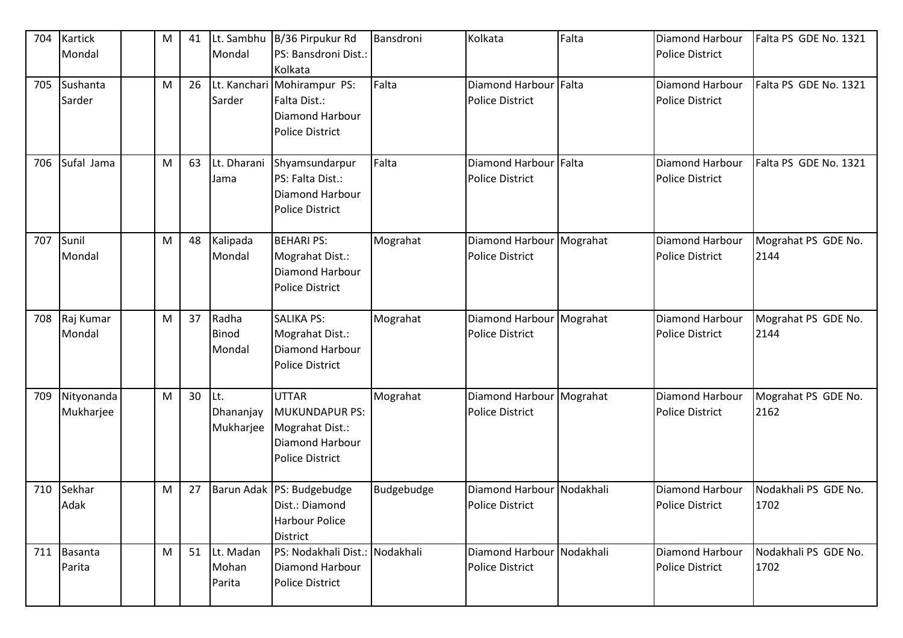| 704 | <b>Kartick</b><br>Mondal | M | 41 | Lt. Sambhu<br>Mondal          | B/36 Pirpukur Rd<br>PS: Bansdroni Dist.:<br>Kolkata                                                   | Bansdroni  | Kolkata                                              | Falta | Diamond Harbour<br><b>Police District</b>        | Falta PS GDE No. 1321        |
|-----|--------------------------|---|----|-------------------------------|-------------------------------------------------------------------------------------------------------|------------|------------------------------------------------------|-------|--------------------------------------------------|------------------------------|
| 705 | Sushanta<br>Sarder       | M | 26 | Lt. Kanchari<br>Sarder        | Mohirampur PS:<br>Falta Dist.:<br>Diamond Harbour<br><b>Police District</b>                           | Falta      | Diamond Harbour Falta<br><b>Police District</b>      |       | Diamond Harbour<br><b>Police District</b>        | Falta PS GDE No. 1321        |
| 706 | Sufal Jama               | M | 63 | Lt. Dharani<br>Jama           | Shyamsundarpur<br>PS: Falta Dist.:<br>Diamond Harbour<br><b>Police District</b>                       | Falta      | Diamond Harbour Falta<br><b>Police District</b>      |       | Diamond Harbour<br><b>Police District</b>        | Falta PS GDE No. 1321        |
| 707 | Sunil<br>Mondal          | M | 48 | Kalipada<br>Mondal            | <b>BEHARI PS:</b><br>Mograhat Dist.:<br>Diamond Harbour<br><b>Police District</b>                     | Mograhat   | Diamond Harbour   Mograhat<br><b>Police District</b> |       | Diamond Harbour<br><b>Police District</b>        | Mograhat PS GDE No.<br>2144  |
| 708 | Raj Kumar<br>Mondal      | M | 37 | Radha<br>Binod<br>Mondal      | <b>SALIKA PS:</b><br>Mograhat Dist.:<br>Diamond Harbour<br><b>Police District</b>                     | Mograhat   | Diamond Harbour Mograhat<br><b>Police District</b>   |       | Diamond Harbour<br><b>Police District</b>        | Mograhat PS GDE No.<br>2144  |
| 709 | Nityonanda<br>Mukharjee  | M | 30 | Lt.<br>Dhananjay<br>Mukharjee | <b>UTTAR</b><br><b>MUKUNDAPUR PS:</b><br>Mograhat Dist.:<br>Diamond Harbour<br><b>Police District</b> | Mograhat   | Diamond Harbour   Mograhat<br><b>Police District</b> |       | <b>Diamond Harbour</b><br><b>Police District</b> | Mograhat PS GDE No.<br>2162  |
| 710 | Sekhar<br>Adak           | M | 27 |                               | Barun Adak PS: Budgebudge<br>Dist.: Diamond<br><b>Harbour Police</b><br>District                      | Budgebudge | Diamond Harbour Nodakhali<br><b>Police District</b>  |       | <b>Diamond Harbour</b><br>Police District        | Nodakhali PS GDE No.<br>1702 |
| 711 | Basanta<br>Parita        | M | 51 | Lt. Madan<br>Mohan<br>Parita  | PS: Nodakhali Dist.: Nodakhali<br>Diamond Harbour<br><b>Police District</b>                           |            | Diamond Harbour Nodakhali<br><b>Police District</b>  |       | Diamond Harbour<br><b>Police District</b>        | Nodakhali PS GDE No.<br>1702 |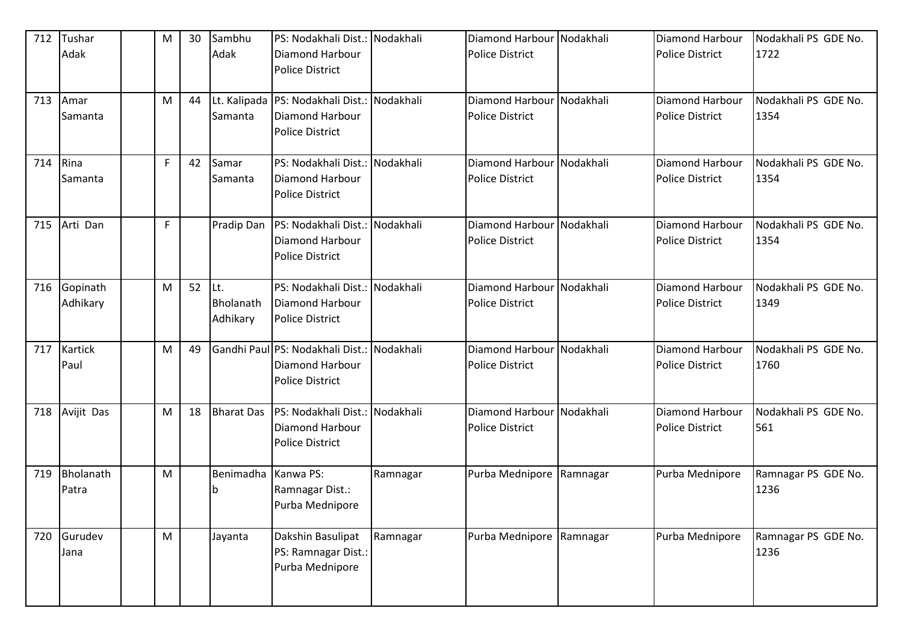| 712 | Tushar<br>Adak         | M | 30 | Sambhu<br>Adak               | PS: Nodakhali Dist.: Nodakhali<br>Diamond Harbour<br><b>Police District</b>                |           | Diamond Harbour Nodakhali<br><b>Police District</b> |           | Diamond Harbour<br><b>Police District</b>        | Nodakhali PS GDE No.<br>1722 |
|-----|------------------------|---|----|------------------------------|--------------------------------------------------------------------------------------------|-----------|-----------------------------------------------------|-----------|--------------------------------------------------|------------------------------|
| 713 | Amar<br>Samanta        | M | 44 | Samanta                      | Lt. Kalipada   PS: Nodakhali Dist.: Nodakhali<br>Diamond Harbour<br><b>Police District</b> |           | Diamond Harbour Nodakhali<br><b>Police District</b> |           | Diamond Harbour<br><b>Police District</b>        | Nodakhali PS GDE No.<br>1354 |
| 714 | Rina<br>Samanta        | F | 42 | Samar<br>Samanta             | PS: Nodakhali Dist.: Nodakhali<br><b>Diamond Harbour</b><br><b>Police District</b>         |           | Diamond Harbour Nodakhali<br><b>Police District</b> |           | <b>Diamond Harbour</b><br><b>Police District</b> | Nodakhali PS GDE No.<br>1354 |
| 715 | Arti Dan               | F |    | Pradip Dan                   | PS: Nodakhali Dist.: Nodakhali<br>Diamond Harbour<br><b>Police District</b>                |           | Diamond Harbour Nodakhali<br><b>Police District</b> |           | <b>Diamond Harbour</b><br><b>Police District</b> | Nodakhali PS GDE No.<br>1354 |
| 716 | Gopinath<br>Adhikary   | M | 52 | Lt.<br>Bholanath<br>Adhikary | PS: Nodakhali Dist.:<br>Diamond Harbour<br><b>Police District</b>                          | Nodakhali | <b>Diamond Harbour</b><br><b>Police District</b>    | Nodakhali | Diamond Harbour<br><b>Police District</b>        | Nodakhali PS GDE No.<br>1349 |
| 717 | <b>Kartick</b><br>Paul | M | 49 |                              | Gandhi Paul PS: Nodakhali Dist.: Nodakhali<br>Diamond Harbour<br><b>Police District</b>    |           | Diamond Harbour Nodakhali<br><b>Police District</b> |           | Diamond Harbour<br><b>Police District</b>        | Nodakhali PS GDE No.<br>1760 |
| 718 | Avijit Das             | M | 18 | <b>Bharat Das</b>            | PS: Nodakhali Dist.: Nodakhali<br>Diamond Harbour<br><b>Police District</b>                |           | Diamond Harbour Nodakhali<br><b>Police District</b> |           | Diamond Harbour<br><b>Police District</b>        | Nodakhali PS GDE No.<br>561  |
| 719 | Bholanath<br>Patra     | M |    | Benimadha<br>۱b              | Kanwa PS:<br>Ramnagar Dist.:<br>Purba Mednipore                                            | Ramnagar  | Purba Mednipore                                     | Ramnagar  | Purba Mednipore                                  | Ramnagar PS GDE No.<br>1236  |
| 720 | Gurudev<br>Jana        | M |    | Jayanta                      | Dakshin Basulipat<br>PS: Ramnagar Dist.:<br>Purba Mednipore                                | Ramnagar  | Purba Mednipore                                     | Ramnagar  | Purba Mednipore                                  | Ramnagar PS GDE No.<br>1236  |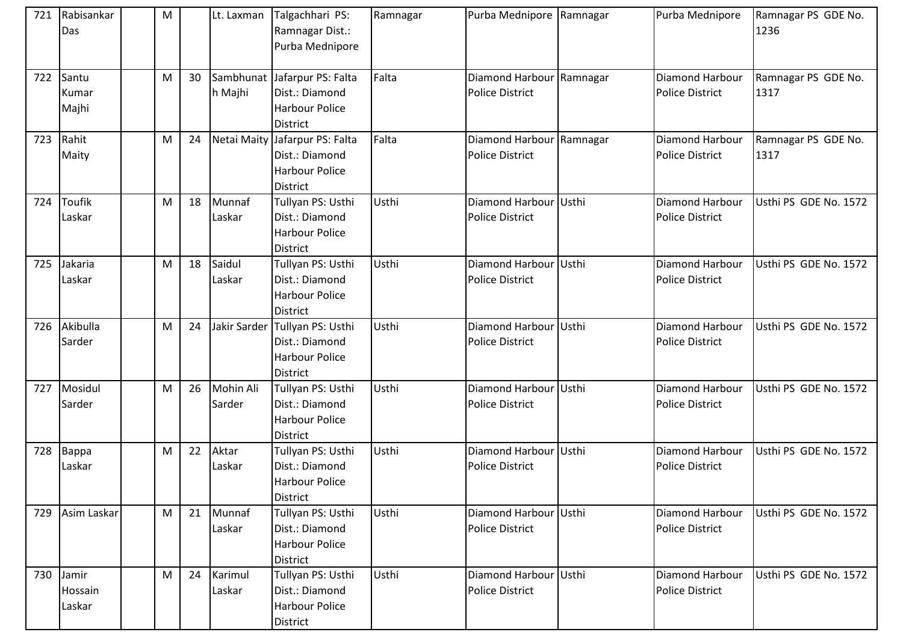| 721 | Rabisankar<br>Das          | M |    | Lt. Laxman          | Talgachhari PS:<br>Ramnagar Dist.:<br>Purba Mednipore                               | Ramnagar | Purba Mednipore Ramnagar                           |       | Purba Mednipore                                  | Ramnagar PS GDE No.<br>1236 |
|-----|----------------------------|---|----|---------------------|-------------------------------------------------------------------------------------|----------|----------------------------------------------------|-------|--------------------------------------------------|-----------------------------|
| 722 | Santu<br>Kumar<br>Majhi    | M | 30 | h Majhi             | Sambhunat Jafarpur PS: Falta<br>Dist.: Diamond<br><b>Harbour Police</b><br>District | Falta    | Diamond Harbour Ramnagar<br><b>Police District</b> |       | <b>Diamond Harbour</b><br><b>Police District</b> | Ramnagar PS GDE No.<br>1317 |
| 723 | Rahit<br>Maity             | M | 24 | Netai Maity         | Jafarpur PS: Falta<br>Dist.: Diamond<br><b>Harbour Police</b><br>District           | Falta    | Diamond Harbour Ramnagar<br><b>Police District</b> |       | Diamond Harbour<br><b>Police District</b>        | Ramnagar PS GDE No.<br>1317 |
| 724 | Toufik<br>Laskar           | M | 18 | Munnaf<br>Laskar    | Tullyan PS: Usthi<br>Dist.: Diamond<br><b>Harbour Police</b><br>District            | Usthi    | Diamond Harbour<br><b>Police District</b>          | Usthi | Diamond Harbour<br><b>Police District</b>        | Usthi PS GDE No. 1572       |
| 725 | Jakaria<br>Laskar          | M | 18 | Saidul<br>Laskar    | Tullyan PS: Usthi<br>Dist.: Diamond<br><b>Harbour Police</b><br>District            | Usthi    | Diamond Harbour Usthi<br><b>Police District</b>    |       | Diamond Harbour<br><b>Police District</b>        | Usthi PS GDE No. 1572       |
|     | 726 Akibulla<br>Sarder     | M | 24 | Jakir Sarder        | Tullyan PS: Usthi<br>Dist.: Diamond<br><b>Harbour Police</b><br>District            | Usthi    | Diamond Harbour Usthi<br><b>Police District</b>    |       | Diamond Harbour<br><b>Police District</b>        | Usthi PS GDE No. 1572       |
| 727 | Mosidul<br>Sarder          | M | 26 | Mohin Ali<br>Sarder | Tullyan PS: Usthi<br>Dist.: Diamond<br><b>Harbour Police</b><br><b>District</b>     | Usthi    | Diamond Harbour<br><b>Police District</b>          | Usthi | Diamond Harbour<br><b>Police District</b>        | Usthi PS GDE No. 1572       |
| 728 | Bappa<br>Laskar            | M | 22 | Aktar<br>Laskar     | Tullyan PS: Usthi<br>Dist.: Diamond<br><b>Harbour Police</b><br>District            | Usthi    | Diamond Harbour Usthi<br><b>Police District</b>    |       | Diamond Harbour<br><b>Police District</b>        | Usthi PS GDE No. 1572       |
| 729 | Asim Laskar                | M | 21 | Munnaf<br>Laskar    | Tullyan PS: Usthi<br>Dist.: Diamond<br><b>Harbour Police</b><br>District            | Usthi    | Diamond Harbour Usthi<br><b>Police District</b>    |       | Diamond Harbour<br><b>Police District</b>        | Usthi PS GDE No. 1572       |
| 730 | Jamir<br>Hossain<br>Laskar | M | 24 | Karimul<br>Laskar   | Tullyan PS: Usthi<br>Dist.: Diamond<br><b>Harbour Police</b><br>District            | Usthi    | Diamond Harbour Usthi<br><b>Police District</b>    |       | Diamond Harbour<br>Police District               | Usthi PS GDE No. 1572       |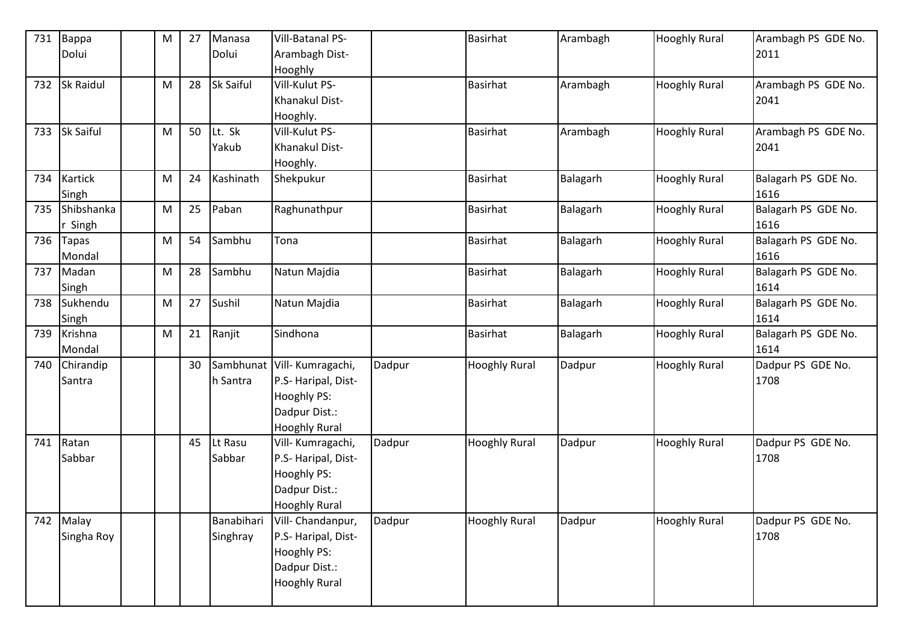| 731 | Bappa            | ${\sf M}$ | 27 | Manasa           | Vill-Batanal PS-            |        | Basirhat             | Arambagh | <b>Hooghly Rural</b> | Arambagh PS GDE No. |
|-----|------------------|-----------|----|------------------|-----------------------------|--------|----------------------|----------|----------------------|---------------------|
|     | Dolui            |           |    | Dolui            | Arambagh Dist-              |        |                      |          |                      | 2011                |
|     |                  |           |    |                  | Hooghly                     |        |                      |          |                      |                     |
| 732 | Sk Raidul        | M         | 28 | <b>Sk Saiful</b> | Vill-Kulut PS-              |        | <b>Basirhat</b>      | Arambagh | <b>Hooghly Rural</b> | Arambagh PS GDE No. |
|     |                  |           |    |                  | Khanakul Dist-              |        |                      |          |                      | 2041                |
|     |                  |           |    |                  | Hooghly.                    |        |                      |          |                      |                     |
| 733 | <b>Sk Saiful</b> | M         | 50 | Lt. Sk           | Vill-Kulut PS-              |        | <b>Basirhat</b>      | Arambagh | <b>Hooghly Rural</b> | Arambagh PS GDE No. |
|     |                  |           |    | Yakub            | Khanakul Dist-              |        |                      |          |                      | 2041                |
|     |                  |           |    |                  | Hooghly.                    |        |                      |          |                      |                     |
| 734 | Kartick          | M         | 24 | Kashinath        | Shekpukur                   |        | Basirhat             | Balagarh | <b>Hooghly Rural</b> | Balagarh PS GDE No. |
|     | Singh            |           |    |                  |                             |        |                      |          |                      | 1616                |
| 735 | Shibshanka       | M         | 25 | Paban            | Raghunathpur                |        | <b>Basirhat</b>      | Balagarh | <b>Hooghly Rural</b> | Balagarh PS GDE No. |
|     | Singh            |           |    |                  |                             |        |                      |          |                      | 1616                |
| 736 | <b>Tapas</b>     | ${\sf M}$ | 54 | Sambhu           | Tona                        |        | <b>Basirhat</b>      | Balagarh | <b>Hooghly Rural</b> | Balagarh PS GDE No. |
|     | Mondal           |           |    |                  |                             |        |                      |          |                      | 1616                |
| 737 | Madan            | M         | 28 | Sambhu           | Natun Majdia                |        | <b>Basirhat</b>      | Balagarh | <b>Hooghly Rural</b> | Balagarh PS GDE No. |
|     | Singh            |           |    |                  |                             |        |                      |          |                      | 1614                |
| 738 | Sukhendu         | ${\sf M}$ | 27 | Sushil           | Natun Majdia                |        | <b>Basirhat</b>      | Balagarh | <b>Hooghly Rural</b> | Balagarh PS GDE No. |
|     | Singh            |           |    |                  |                             |        |                      |          |                      | 1614                |
| 739 | Krishna          | ${\sf M}$ | 21 | Ranjit           | Sindhona                    |        | <b>Basirhat</b>      | Balagarh | <b>Hooghly Rural</b> | Balagarh PS GDE No. |
|     | Mondal           |           |    |                  |                             |        |                      |          |                      | 1614                |
| 740 | Chirandip        |           | 30 |                  | Sambhunat Vill- Kumragachi, | Dadpur | <b>Hooghly Rural</b> | Dadpur   | <b>Hooghly Rural</b> | Dadpur PS GDE No.   |
|     | Santra           |           |    | h Santra         | P.S- Haripal, Dist-         |        |                      |          |                      | 1708                |
|     |                  |           |    |                  | Hooghly PS:                 |        |                      |          |                      |                     |
|     |                  |           |    |                  | Dadpur Dist.:               |        |                      |          |                      |                     |
|     |                  |           |    |                  | <b>Hooghly Rural</b>        |        |                      |          |                      |                     |
| 741 | Ratan            |           | 45 | Lt Rasu          | Vill-Kumragachi,            | Dadpur | <b>Hooghly Rural</b> | Dadpur   | <b>Hooghly Rural</b> | Dadpur PS GDE No.   |
|     | Sabbar           |           |    | Sabbar           | P.S- Haripal, Dist-         |        |                      |          |                      | 1708                |
|     |                  |           |    |                  | Hooghly PS:                 |        |                      |          |                      |                     |
|     |                  |           |    |                  | Dadpur Dist.:               |        |                      |          |                      |                     |
|     |                  |           |    |                  | <b>Hooghly Rural</b>        |        |                      |          |                      |                     |
| 742 | Malay            |           |    | Banabihari       | Vill- Chandanpur,           | Dadpur | <b>Hooghly Rural</b> | Dadpur   | <b>Hooghly Rural</b> | Dadpur PS GDE No.   |
|     | Singha Roy       |           |    | Singhray         | P.S- Haripal, Dist-         |        |                      |          |                      | 1708                |
|     |                  |           |    |                  | Hooghly PS:                 |        |                      |          |                      |                     |
|     |                  |           |    |                  | Dadpur Dist.:               |        |                      |          |                      |                     |
|     |                  |           |    |                  | <b>Hooghly Rural</b>        |        |                      |          |                      |                     |
|     |                  |           |    |                  |                             |        |                      |          |                      |                     |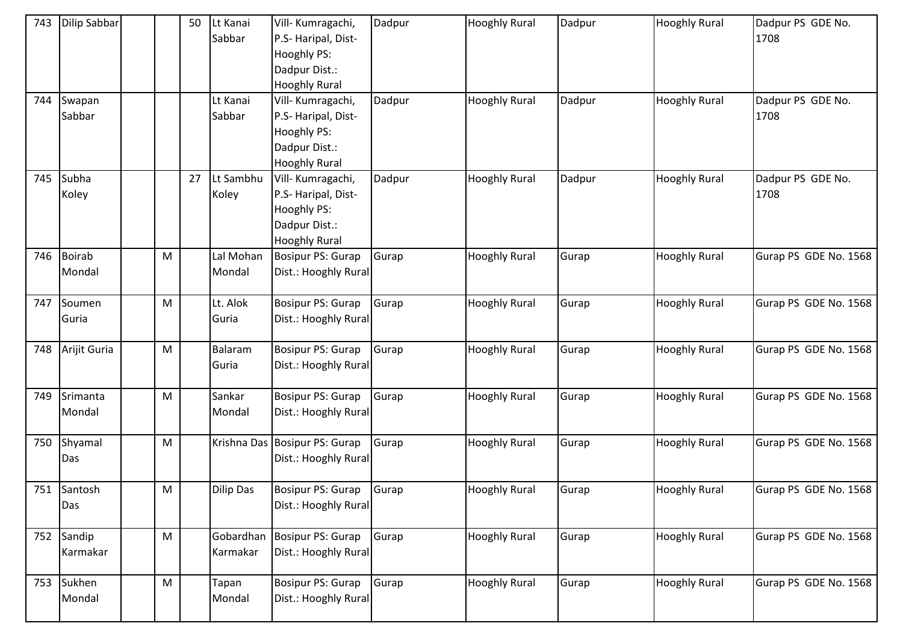| 743 | <b>Dilip Sabbar</b> |                                                                                                            | 50 | Lt Kanai<br>Sabbar | Vill- Kumragachi,<br>P.S- Haripal, Dist-<br>Hooghly PS:<br>Dadpur Dist.: | Dadpur | <b>Hooghly Rural</b> | Dadpur | <b>Hooghly Rural</b> | Dadpur PS GDE No.<br>1708 |
|-----|---------------------|------------------------------------------------------------------------------------------------------------|----|--------------------|--------------------------------------------------------------------------|--------|----------------------|--------|----------------------|---------------------------|
|     |                     |                                                                                                            |    |                    | <b>Hooghly Rural</b>                                                     |        |                      |        |                      |                           |
| 744 | Swapan              |                                                                                                            |    | Lt Kanai           | Vill- Kumragachi,                                                        | Dadpur | <b>Hooghly Rural</b> | Dadpur | <b>Hooghly Rural</b> | Dadpur PS GDE No.         |
|     | Sabbar              |                                                                                                            |    | Sabbar             | P.S- Haripal, Dist-                                                      |        |                      |        |                      | 1708                      |
|     |                     |                                                                                                            |    |                    | Hooghly PS:                                                              |        |                      |        |                      |                           |
|     |                     |                                                                                                            |    |                    | Dadpur Dist.:                                                            |        |                      |        |                      |                           |
|     |                     |                                                                                                            |    |                    | <b>Hooghly Rural</b>                                                     |        |                      |        |                      |                           |
| 745 | Subha               |                                                                                                            | 27 | Lt Sambhu          | Vill- Kumragachi,                                                        | Dadpur | <b>Hooghly Rural</b> | Dadpur | <b>Hooghly Rural</b> | Dadpur PS GDE No.         |
|     | Koley               |                                                                                                            |    | Koley              | P.S- Haripal, Dist-                                                      |        |                      |        |                      | 1708                      |
|     |                     |                                                                                                            |    |                    | Hooghly PS:                                                              |        |                      |        |                      |                           |
|     |                     |                                                                                                            |    |                    | Dadpur Dist.:                                                            |        |                      |        |                      |                           |
|     |                     |                                                                                                            |    |                    | <b>Hooghly Rural</b>                                                     |        |                      |        |                      |                           |
| 746 | Boirab              | $\mathsf{M}% _{T}=\mathsf{M}_{T}\!\left( a,b\right) ,\ \mathsf{M}_{T}=\mathsf{M}_{T}\!\left( a,b\right) ,$ |    | Lal Mohan          | Bosipur PS: Gurap                                                        | Gurap  | <b>Hooghly Rural</b> | Gurap  | <b>Hooghly Rural</b> | Gurap PS GDE No. 1568     |
|     | Mondal              |                                                                                                            |    | Mondal             | Dist.: Hooghly Rural                                                     |        |                      |        |                      |                           |
|     |                     |                                                                                                            |    |                    |                                                                          |        |                      |        |                      |                           |
| 747 | Soumen              | M                                                                                                          |    | Lt. Alok           | Bosipur PS: Gurap                                                        | Gurap  | <b>Hooghly Rural</b> | Gurap  | <b>Hooghly Rural</b> | Gurap PS GDE No. 1568     |
|     | Guria               |                                                                                                            |    | Guria              | Dist.: Hooghly Rural                                                     |        |                      |        |                      |                           |
|     |                     |                                                                                                            |    |                    |                                                                          |        |                      |        |                      |                           |
| 748 | Arijit Guria        | M                                                                                                          |    | Balaram            | Bosipur PS: Gurap                                                        | Gurap  | <b>Hooghly Rural</b> | Gurap  | <b>Hooghly Rural</b> | Gurap PS GDE No. 1568     |
|     |                     |                                                                                                            |    | Guria              | Dist.: Hooghly Rural                                                     |        |                      |        |                      |                           |
|     |                     |                                                                                                            |    |                    |                                                                          |        |                      |        |                      |                           |
| 749 | Srimanta            | $\mathsf{M}% _{T}=\mathsf{M}_{T}\!\left( a,b\right) ,\ \mathsf{M}_{T}=\mathsf{M}_{T}\!\left( a,b\right) ,$ |    | Sankar             | Bosipur PS: Gurap                                                        | Gurap  | <b>Hooghly Rural</b> | Gurap  | <b>Hooghly Rural</b> | Gurap PS GDE No. 1568     |
|     | Mondal              |                                                                                                            |    | Mondal             | Dist.: Hooghly Rural                                                     |        |                      |        |                      |                           |
| 750 | Shyamal             | M                                                                                                          |    |                    | Krishna Das Bosipur PS: Gurap                                            | Gurap  | <b>Hooghly Rural</b> | Gurap  | <b>Hooghly Rural</b> | Gurap PS GDE No. 1568     |
|     | Das                 |                                                                                                            |    |                    | Dist.: Hooghly Rural                                                     |        |                      |        |                      |                           |
|     |                     |                                                                                                            |    |                    |                                                                          |        |                      |        |                      |                           |
|     | 751 Santosh         | M                                                                                                          |    | Dilip Das          | Bosipur PS: Gurap                                                        | Gurap  | <b>Hooghly Rural</b> | Gurap  | <b>Hooghly Rural</b> | Gurap PS GDE No. 1568     |
|     | Das                 |                                                                                                            |    |                    | Dist.: Hooghly Rural                                                     |        |                      |        |                      |                           |
|     |                     |                                                                                                            |    |                    |                                                                          |        |                      |        |                      |                           |
|     | 752 Sandip          | $\mathsf{M}% _{T}=\mathsf{M}_{T}\!\left( a,b\right) ,\ \mathsf{M}_{T}=\mathsf{M}_{T}\!\left( a,b\right) ,$ |    | Gobardhan          | Bosipur PS: Gurap                                                        | Gurap  | <b>Hooghly Rural</b> | Gurap  | <b>Hooghly Rural</b> | Gurap PS GDE No. 1568     |
|     | Karmakar            |                                                                                                            |    | Karmakar           | Dist.: Hooghly Rural                                                     |        |                      |        |                      |                           |
|     |                     |                                                                                                            |    |                    |                                                                          |        |                      |        |                      |                           |
| 753 | Sukhen              | M                                                                                                          |    | Tapan              | Bosipur PS: Gurap                                                        | Gurap  | <b>Hooghly Rural</b> | Gurap  | <b>Hooghly Rural</b> | Gurap PS GDE No. 1568     |
|     | Mondal              |                                                                                                            |    | Mondal             | Dist.: Hooghly Rural                                                     |        |                      |        |                      |                           |
|     |                     |                                                                                                            |    |                    |                                                                          |        |                      |        |                      |                           |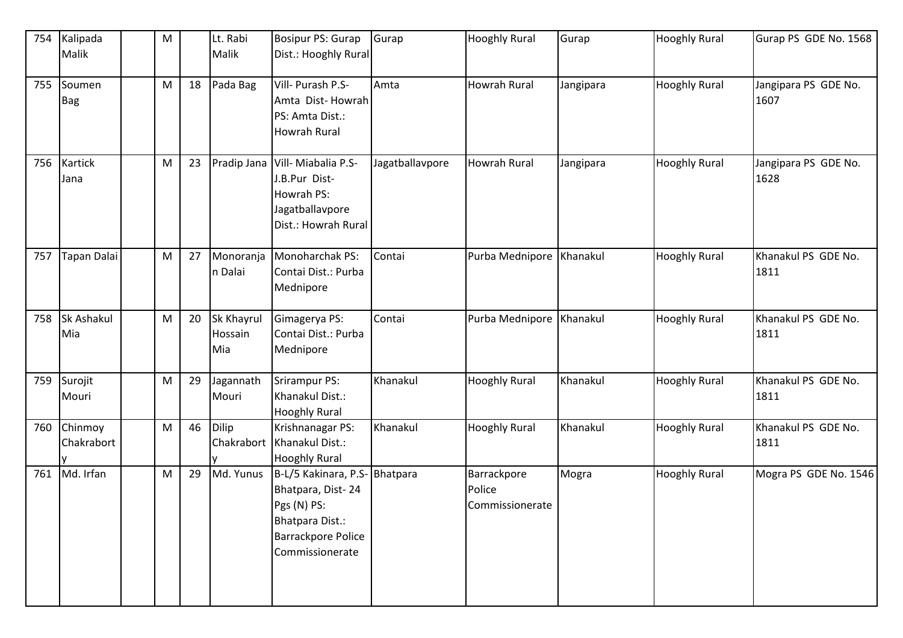| 754 | Kalipada           | M |    | Lt. Rabi     | Bosipur PS: Gurap                            | Gurap           | <b>Hooghly Rural</b>     | Gurap     | <b>Hooghly Rural</b> | Gurap PS GDE No. 1568 |
|-----|--------------------|---|----|--------------|----------------------------------------------|-----------------|--------------------------|-----------|----------------------|-----------------------|
|     | Malik              |   |    | Malik        | Dist.: Hooghly Rural                         |                 |                          |           |                      |                       |
|     |                    |   |    |              |                                              |                 |                          |           |                      |                       |
| 755 | Soumen             | M | 18 | Pada Bag     | Vill- Purash P.S-                            | Amta            | <b>Howrah Rural</b>      | Jangipara | <b>Hooghly Rural</b> | Jangipara PS GDE No.  |
|     | <b>Bag</b>         |   |    |              | Amta Dist-Howrah                             |                 |                          |           |                      | 1607                  |
|     |                    |   |    |              | PS: Amta Dist.:                              |                 |                          |           |                      |                       |
|     |                    |   |    |              | Howrah Rural                                 |                 |                          |           |                      |                       |
| 756 | <b>Kartick</b>     | M | 23 |              | Pradip Jana Vill-Miabalia P.S-               | Jagatballavpore | <b>Howrah Rural</b>      | Jangipara | <b>Hooghly Rural</b> | Jangipara PS GDE No.  |
|     | Jana               |   |    |              | J.B.Pur Dist-                                |                 |                          |           |                      | 1628                  |
|     |                    |   |    |              | Howrah PS:                                   |                 |                          |           |                      |                       |
|     |                    |   |    |              | Jagatballavpore                              |                 |                          |           |                      |                       |
|     |                    |   |    |              | Dist.: Howrah Rural                          |                 |                          |           |                      |                       |
| 757 | <b>Tapan Dalai</b> | M | 27 | Monoranja    | Monoharchak PS:                              | Contai          | Purba Mednipore Khanakul |           | <b>Hooghly Rural</b> | Khanakul PS GDE No.   |
|     |                    |   |    | n Dalai      | Contai Dist.: Purba                          |                 |                          |           |                      | 1811                  |
|     |                    |   |    |              | Mednipore                                    |                 |                          |           |                      |                       |
|     |                    |   |    |              |                                              |                 |                          |           |                      |                       |
| 758 | <b>Sk Ashakul</b>  | M | 20 | Sk Khayrul   | Gimagerya PS:                                | Contai          | Purba Mednipore Khanakul |           | <b>Hooghly Rural</b> | Khanakul PS GDE No.   |
|     | Mia                |   |    | Hossain      | Contai Dist.: Purba                          |                 |                          |           |                      | 1811                  |
|     |                    |   |    | Mia          | Mednipore                                    |                 |                          |           |                      |                       |
| 759 | Surojit            | M | 29 | Jagannath    | Srirampur PS:                                | Khanakul        | <b>Hooghly Rural</b>     | Khanakul  | <b>Hooghly Rural</b> | Khanakul PS GDE No.   |
|     | Mouri              |   |    | Mouri        | Khanakul Dist.:                              |                 |                          |           |                      | 1811                  |
|     |                    |   |    |              | <b>Hooghly Rural</b>                         |                 |                          |           |                      |                       |
| 760 | Chinmoy            | M | 46 | <b>Dilip</b> | Krishnanagar PS:                             | Khanakul        | <b>Hooghly Rural</b>     | Khanakul  | <b>Hooghly Rural</b> | Khanakul PS GDE No.   |
|     | Chakrabort         |   |    | Chakrabort   | Khanakul Dist.:                              |                 |                          |           |                      | 1811                  |
|     |                    |   |    |              | <b>Hooghly Rural</b>                         |                 |                          |           |                      |                       |
| 761 | Md. Irfan          | M | 29 | Md. Yunus    | B-L/5 Kakinara, P.S- Bhatpara                |                 | Barrackpore              | Mogra     | <b>Hooghly Rural</b> | Mogra PS GDE No. 1546 |
|     |                    |   |    |              | Bhatpara, Dist-24                            |                 | Police                   |           |                      |                       |
|     |                    |   |    |              | Pgs (N) PS:                                  |                 | Commissionerate          |           |                      |                       |
|     |                    |   |    |              | Bhatpara Dist.:                              |                 |                          |           |                      |                       |
|     |                    |   |    |              | <b>Barrackpore Police</b><br>Commissionerate |                 |                          |           |                      |                       |
|     |                    |   |    |              |                                              |                 |                          |           |                      |                       |
|     |                    |   |    |              |                                              |                 |                          |           |                      |                       |
|     |                    |   |    |              |                                              |                 |                          |           |                      |                       |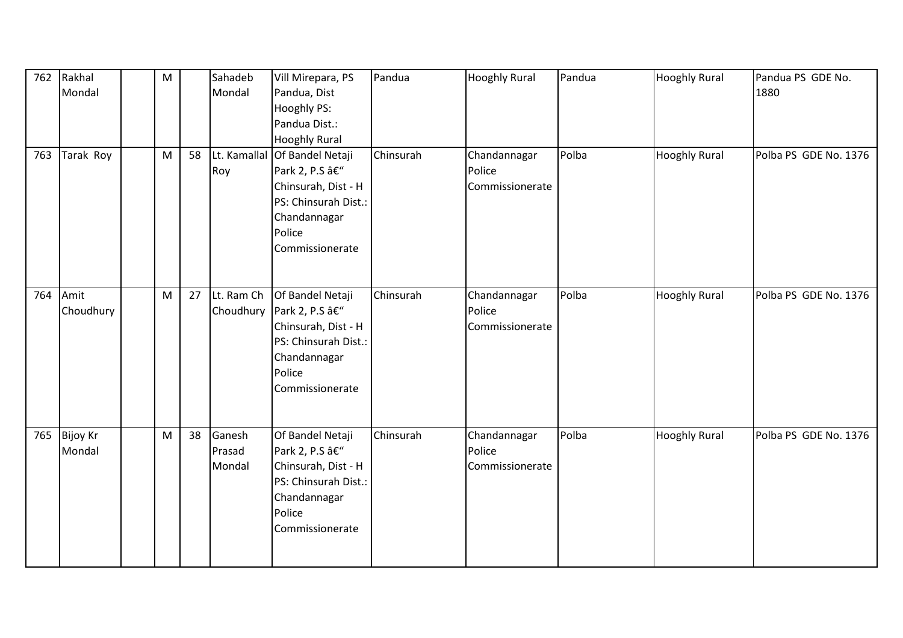| 762 | Rakhal<br>Mondal       | ${\sf M}$ |    | Sahadeb<br>Mondal          | Vill Mirepara, PS<br>Pandua, Dist<br>Hooghly PS:<br>Pandua Dist.:<br><b>Hooghly Rural</b>                                                  | Pandua    | <b>Hooghly Rural</b>                      | Pandua | <b>Hooghly Rural</b> | Pandua PS GDE No.<br>1880 |
|-----|------------------------|-----------|----|----------------------------|--------------------------------------------------------------------------------------------------------------------------------------------|-----------|-------------------------------------------|--------|----------------------|---------------------------|
| 763 | Tarak Roy              | M         | 58 | Roy                        | Lt. Kamallal Of Bandel Netaji<br>Park 2, P.S –<br>Chinsurah, Dist - H<br>PS: Chinsurah Dist.:<br>Chandannagar<br>Police<br>Commissionerate | Chinsurah | Chandannagar<br>Police<br>Commissionerate | Polba  | <b>Hooghly Rural</b> | Polba PS GDE No. 1376     |
| 764 | Amit<br>Choudhury      | M         | 27 | Lt. Ram Ch<br>Choudhury    | Of Bandel Netaji<br>Park 2, P.S –<br>Chinsurah, Dist - H<br>PS: Chinsurah Dist.:<br>Chandannagar<br>Police<br>Commissionerate              | Chinsurah | Chandannagar<br>Police<br>Commissionerate | Polba  | <b>Hooghly Rural</b> | Polba PS GDE No. 1376     |
|     | 765 Bijoy Kr<br>Mondal | M         | 38 | Ganesh<br>Prasad<br>Mondal | Of Bandel Netaji<br>Park 2, P.S –<br>Chinsurah, Dist - H<br>PS: Chinsurah Dist.:<br>Chandannagar<br>Police<br>Commissionerate              | Chinsurah | Chandannagar<br>Police<br>Commissionerate | Polba  | <b>Hooghly Rural</b> | Polba PS GDE No. 1376     |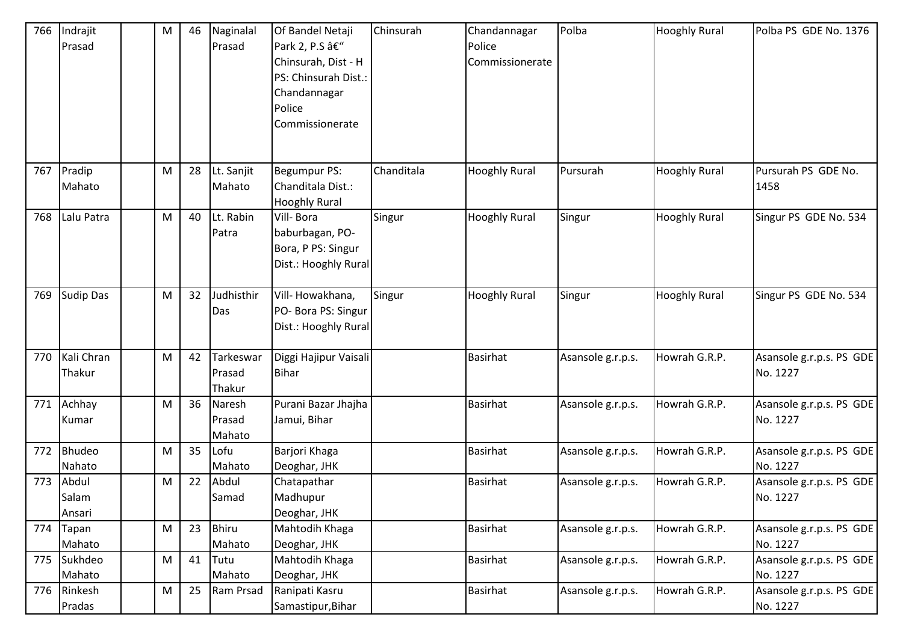|     | 766 Indrajit     | M         | 46 | Naginalal    | Of Bandel Netaji      | Chinsurah  | Chandannagar         | Polba             | <b>Hooghly Rural</b> | Polba PS GDE No. 1376    |
|-----|------------------|-----------|----|--------------|-----------------------|------------|----------------------|-------------------|----------------------|--------------------------|
|     | Prasad           |           |    | Prasad       | Park 2, P.S –         |            | Police               |                   |                      |                          |
|     |                  |           |    |              | Chinsurah, Dist - H   |            | Commissionerate      |                   |                      |                          |
|     |                  |           |    |              | PS: Chinsurah Dist.:  |            |                      |                   |                      |                          |
|     |                  |           |    |              | Chandannagar          |            |                      |                   |                      |                          |
|     |                  |           |    |              | Police                |            |                      |                   |                      |                          |
|     |                  |           |    |              | Commissionerate       |            |                      |                   |                      |                          |
|     |                  |           |    |              |                       |            |                      |                   |                      |                          |
|     |                  |           |    |              |                       |            |                      |                   |                      |                          |
| 767 | Pradip           | M         | 28 | Lt. Sanjit   | Begumpur PS:          | Chanditala | <b>Hooghly Rural</b> | Pursurah          | <b>Hooghly Rural</b> | Pursurah PS GDE No.      |
|     | Mahato           |           |    | Mahato       | Chanditala Dist.:     |            |                      |                   |                      | 1458                     |
|     |                  |           |    |              | <b>Hooghly Rural</b>  |            |                      |                   |                      |                          |
| 768 | Lalu Patra       | M         | 40 | Lt. Rabin    | Vill-Bora             | Singur     | <b>Hooghly Rural</b> | Singur            | <b>Hooghly Rural</b> | Singur PS GDE No. 534    |
|     |                  |           |    | Patra        | baburbagan, PO-       |            |                      |                   |                      |                          |
|     |                  |           |    |              | Bora, P PS: Singur    |            |                      |                   |                      |                          |
|     |                  |           |    |              | Dist.: Hooghly Rural  |            |                      |                   |                      |                          |
| 769 | <b>Sudip Das</b> | M         | 32 | Judhisthir   | Vill-Howakhana,       | Singur     | <b>Hooghly Rural</b> | Singur            | <b>Hooghly Rural</b> | Singur PS GDE No. 534    |
|     |                  |           |    | Das          | PO- Bora PS: Singur   |            |                      |                   |                      |                          |
|     |                  |           |    |              | Dist.: Hooghly Rural  |            |                      |                   |                      |                          |
|     |                  |           |    |              |                       |            |                      |                   |                      |                          |
| 770 | Kali Chran       | M         | 42 | Tarkeswar    | Diggi Hajipur Vaisali |            | <b>Basirhat</b>      | Asansole g.r.p.s. | Howrah G.R.P.        | Asansole g.r.p.s. PS GDE |
|     | Thakur           |           |    | Prasad       | <b>Bihar</b>          |            |                      |                   |                      | No. 1227                 |
|     |                  |           |    | Thakur       |                       |            |                      |                   |                      |                          |
| 771 | Achhay           | M         | 36 | Naresh       | Purani Bazar Jhajha   |            | Basirhat             | Asansole g.r.p.s. | Howrah G.R.P.        | Asansole g.r.p.s. PS GDE |
|     | Kumar            |           |    | Prasad       | Jamui, Bihar          |            |                      |                   |                      | No. 1227                 |
|     |                  |           |    | Mahato       |                       |            |                      |                   |                      |                          |
|     | 772 Bhudeo       | M         | 35 | Lofu         | Barjori Khaga         |            | <b>Basirhat</b>      | Asansole g.r.p.s. | Howrah G.R.P.        | Asansole g.r.p.s. PS GDE |
|     | Nahato           |           |    | Mahato       | Deoghar, JHK          |            |                      |                   |                      | No. 1227                 |
| 773 | Abdul            | M         | 22 | Abdul        | Chatapathar           |            | Basirhat             | Asansole g.r.p.s. | Howrah G.R.P.        | Asansole g.r.p.s. PS GDE |
|     | Salam            |           |    | Samad        | Madhupur              |            |                      |                   |                      | No. 1227                 |
|     | Ansari           |           |    |              | Deoghar, JHK          |            |                      |                   |                      |                          |
|     | 774 Tapan        | M         | 23 | <b>Bhiru</b> | Mahtodih Khaga        |            | <b>Basirhat</b>      | Asansole g.r.p.s. | Howrah G.R.P.        | Asansole g.r.p.s. PS GDE |
|     | Mahato           |           |    | Mahato       | Deoghar, JHK          |            |                      |                   |                      | No. 1227                 |
| 775 | Sukhdeo          | M         | 41 | Tutu         | Mahtodih Khaga        |            | Basirhat             | Asansole g.r.p.s. | Howrah G.R.P.        | Asansole g.r.p.s. PS GDE |
|     | Mahato           |           |    | Mahato       | Deoghar, JHK          |            |                      |                   |                      | No. 1227                 |
|     | 776 Rinkesh      | ${\sf M}$ | 25 | Ram Prsad    | Ranipati Kasru        |            | <b>Basirhat</b>      | Asansole g.r.p.s. | Howrah G.R.P.        | Asansole g.r.p.s. PS GDE |
|     | Pradas           |           |    |              | Samastipur, Bihar     |            |                      |                   |                      | No. 1227                 |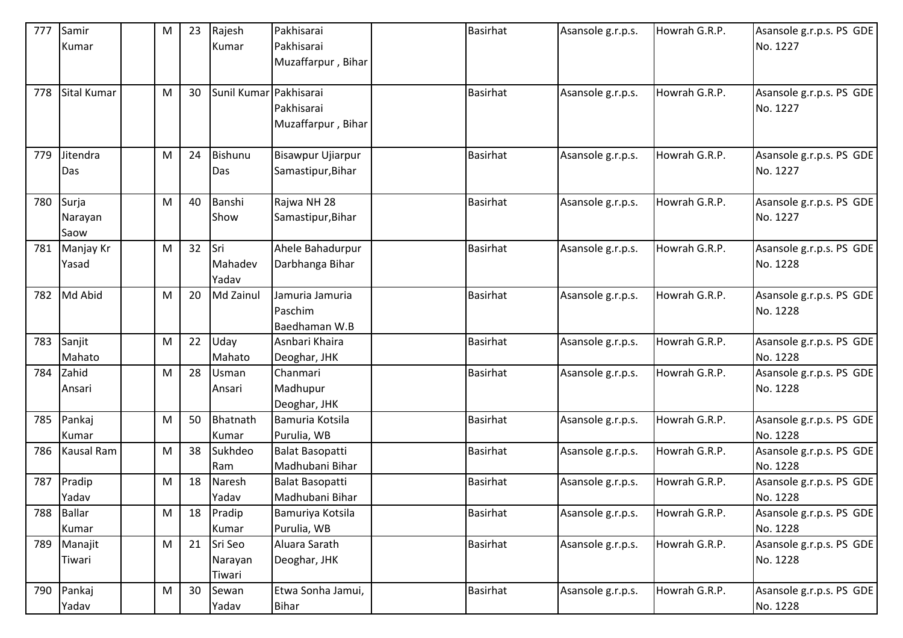| 777 | Samir             | ${\sf M}$ | 23 | Rajesh                 | Pakhisarai               | <b>Basirhat</b> | Asansole g.r.p.s. | Howrah G.R.P. | Asansole g.r.p.s. PS GDE |
|-----|-------------------|-----------|----|------------------------|--------------------------|-----------------|-------------------|---------------|--------------------------|
|     | Kumar             |           |    | Kumar                  | Pakhisarai               |                 |                   |               | No. 1227                 |
|     |                   |           |    |                        | Muzaffarpur, Bihar       |                 |                   |               |                          |
|     |                   |           |    |                        |                          |                 |                   |               |                          |
| 778 | Sital Kumar       | M         | 30 | Sunil Kumar Pakhisarai |                          | <b>Basirhat</b> | Asansole g.r.p.s. | Howrah G.R.P. | Asansole g.r.p.s. PS GDE |
|     |                   |           |    |                        | Pakhisarai               |                 |                   |               | No. 1227                 |
|     |                   |           |    |                        | Muzaffarpur, Bihar       |                 |                   |               |                          |
|     |                   |           |    |                        |                          |                 |                   |               |                          |
| 779 | Jitendra          | M         | 24 | Bishunu                | <b>Bisawpur Ujiarpur</b> | <b>Basirhat</b> | Asansole g.r.p.s. | Howrah G.R.P. | Asansole g.r.p.s. PS GDE |
|     | Das               |           |    | Das                    | Samastipur, Bihar        |                 |                   |               | No. 1227                 |
|     |                   |           |    |                        |                          |                 |                   |               |                          |
| 780 | Surja             | M         | 40 | Banshi                 | Rajwa NH 28              | <b>Basirhat</b> | Asansole g.r.p.s. | Howrah G.R.P. | Asansole g.r.p.s. PS GDE |
|     | Narayan           |           |    | Show                   | Samastipur, Bihar        |                 |                   |               | No. 1227                 |
|     | Saow              |           |    |                        |                          |                 |                   |               |                          |
| 781 | Manjay Kr         | M         | 32 | <b>Sri</b>             | Ahele Bahadurpur         | <b>Basirhat</b> | Asansole g.r.p.s. | Howrah G.R.P. | Asansole g.r.p.s. PS GDE |
|     | Yasad             |           |    | Mahadev                | Darbhanga Bihar          |                 |                   |               | No. 1228                 |
|     |                   |           |    | Yadav                  |                          |                 |                   |               |                          |
| 782 | Md Abid           | M         | 20 | Md Zainul              | Jamuria Jamuria          | <b>Basirhat</b> | Asansole g.r.p.s. | Howrah G.R.P. | Asansole g.r.p.s. PS GDE |
|     |                   |           |    |                        | Paschim                  |                 |                   |               | No. 1228                 |
|     |                   |           |    |                        | Baedhaman W.B            |                 |                   |               |                          |
| 783 | Sanjit            | M         | 22 | Uday                   | Asnbari Khaira           | <b>Basirhat</b> | Asansole g.r.p.s. | Howrah G.R.P. | Asansole g.r.p.s. PS GDE |
|     | Mahato            |           |    | Mahato                 | Deoghar, JHK             |                 |                   |               | No. 1228                 |
| 784 | Zahid             | ${\sf M}$ | 28 | Usman                  | Chanmari                 | <b>Basirhat</b> | Asansole g.r.p.s. | Howrah G.R.P. | Asansole g.r.p.s. PS GDE |
|     | Ansari            |           |    | Ansari                 | Madhupur                 |                 |                   |               | No. 1228                 |
|     |                   |           |    |                        | Deoghar, JHK             |                 |                   |               |                          |
| 785 | Pankaj            | M         | 50 | Bhatnath               | Bamuria Kotsila          | <b>Basirhat</b> | Asansole g.r.p.s. | Howrah G.R.P. | Asansole g.r.p.s. PS GDE |
|     | Kumar             |           |    | Kumar                  | Purulia, WB              |                 |                   |               | No. 1228                 |
| 786 | <b>Kausal Ram</b> | M         | 38 | Sukhdeo                | Balat Basopatti          | <b>Basirhat</b> | Asansole g.r.p.s. | Howrah G.R.P. | Asansole g.r.p.s. PS GDE |
|     |                   |           |    | Ram                    | Madhubani Bihar          |                 |                   |               | No. 1228                 |
| 787 | Pradip            | ${\sf M}$ | 18 | Naresh                 | <b>Balat Basopatti</b>   | <b>Basirhat</b> | Asansole g.r.p.s. | Howrah G.R.P. | Asansole g.r.p.s. PS GDE |
|     | Yadav             |           |    | Yadav                  | Madhubani Bihar          |                 |                   |               | No. 1228                 |
| 788 | <b>Ballar</b>     | M         | 18 | Pradip                 | Bamuriya Kotsila         | Basirhat        | Asansole g.r.p.s. | Howrah G.R.P. | Asansole g.r.p.s. PS GDE |
|     | Kumar             |           |    | Kumar                  | Purulia, WB              |                 |                   |               | No. 1228                 |
| 789 | Manajit           | M         | 21 | Sri Seo                | Aluara Sarath            | Basirhat        | Asansole g.r.p.s. | Howrah G.R.P. | Asansole g.r.p.s. PS GDE |
|     | Tiwari            |           |    | Narayan                | Deoghar, JHK             |                 |                   |               | No. 1228                 |
|     |                   |           |    | Tiwari                 |                          |                 |                   |               |                          |
| 790 | Pankaj            | ${\sf M}$ | 30 | Sewan                  | Etwa Sonha Jamui,        | Basirhat        | Asansole g.r.p.s. | Howrah G.R.P. | Asansole g.r.p.s. PS GDE |
|     | Yadav             |           |    | Yadav                  | <b>Bihar</b>             |                 |                   |               | No. 1228                 |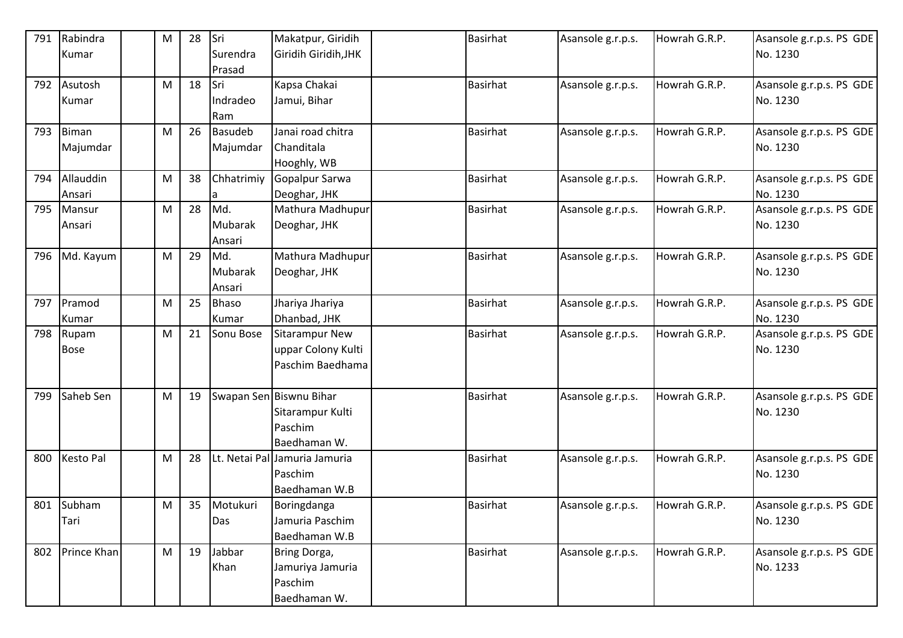| 791 | Rabindra         | M | 28 | Sri            | Makatpur, Giridih             | <b>Basirhat</b> | Asansole g.r.p.s. | Howrah G.R.P. | Asansole g.r.p.s. PS GDE |
|-----|------------------|---|----|----------------|-------------------------------|-----------------|-------------------|---------------|--------------------------|
|     | Kumar            |   |    | Surendra       | Giridih Giridih, JHK          |                 |                   |               | No. 1230                 |
|     |                  |   |    | Prasad         |                               |                 |                   |               |                          |
|     | 792 Asutosh      | M | 18 | Sri            | Kapsa Chakai                  | Basirhat        | Asansole g.r.p.s. | Howrah G.R.P. | Asansole g.r.p.s. PS GDE |
|     | Kumar            |   |    | Indradeo       | Jamui, Bihar                  |                 |                   |               | No. 1230                 |
|     |                  |   |    | Ram            |                               |                 |                   |               |                          |
| 793 | Biman            | M | 26 | <b>Basudeb</b> | Janai road chitra             | <b>Basirhat</b> | Asansole g.r.p.s. | Howrah G.R.P. | Asansole g.r.p.s. PS GDE |
|     | Majumdar         |   |    | Majumdar       | Chanditala                    |                 |                   |               | No. 1230                 |
|     |                  |   |    |                | Hooghly, WB                   |                 |                   |               |                          |
| 794 | Allauddin        | M | 38 | Chhatrimiy     | Gopalpur Sarwa                | <b>Basirhat</b> | Asansole g.r.p.s. | Howrah G.R.P. | Asansole g.r.p.s. PS GDE |
|     | Ansari           |   |    |                | Deoghar, JHK                  |                 |                   |               | No. 1230                 |
| 795 | Mansur           | M | 28 | Md.            | Mathura Madhupur              | <b>Basirhat</b> | Asansole g.r.p.s. | Howrah G.R.P. | Asansole g.r.p.s. PS GDE |
|     | Ansari           |   |    | Mubarak        | Deoghar, JHK                  |                 |                   |               | No. 1230                 |
|     |                  |   |    | Ansari         |                               |                 |                   |               |                          |
|     | 796 Md. Kayum    | M | 29 | Md.            | Mathura Madhupur              | <b>Basirhat</b> | Asansole g.r.p.s. | Howrah G.R.P. | Asansole g.r.p.s. PS GDE |
|     |                  |   |    | Mubarak        | Deoghar, JHK                  |                 |                   |               | No. 1230                 |
|     |                  |   |    | Ansari         |                               |                 |                   |               |                          |
| 797 | Pramod           | M | 25 | <b>Bhaso</b>   | Jhariya Jhariya               | <b>Basirhat</b> | Asansole g.r.p.s. | Howrah G.R.P. | Asansole g.r.p.s. PS GDE |
|     | Kumar            |   |    | Kumar          | Dhanbad, JHK                  |                 |                   |               | No. 1230                 |
| 798 | Rupam            | M | 21 | Sonu Bose      | <b>Sitarampur New</b>         | <b>Basirhat</b> | Asansole g.r.p.s. | Howrah G.R.P. | Asansole g.r.p.s. PS GDE |
|     | <b>Bose</b>      |   |    |                | uppar Colony Kulti            |                 |                   |               | No. 1230                 |
|     |                  |   |    |                | Paschim Baedhama              |                 |                   |               |                          |
|     |                  |   |    |                |                               |                 |                   |               |                          |
| 799 | Saheb Sen        | M | 19 |                | Swapan Sen Biswnu Bihar       | <b>Basirhat</b> | Asansole g.r.p.s. | Howrah G.R.P. | Asansole g.r.p.s. PS GDE |
|     |                  |   |    |                | Sitarampur Kulti              |                 |                   |               | No. 1230                 |
|     |                  |   |    |                | Paschim                       |                 |                   |               |                          |
|     |                  |   |    |                | Baedhaman W.                  |                 |                   |               |                          |
| 800 | <b>Kesto Pal</b> | M | 28 |                | Lt. Netai Pal Jamuria Jamuria | <b>Basirhat</b> | Asansole g.r.p.s. | Howrah G.R.P. | Asansole g.r.p.s. PS GDE |
|     |                  |   |    |                | Paschim                       |                 |                   |               | No. 1230                 |
|     |                  |   |    |                | Baedhaman W.B                 |                 |                   |               |                          |
|     | 801 Subham       | M | 35 | Motukuri       | Boringdanga                   | <b>Basirhat</b> | Asansole g.r.p.s. | Howrah G.R.P. | Asansole g.r.p.s. PS GDE |
|     | Tari             |   |    | Das            | Jamuria Paschim               |                 |                   |               | No. 1230                 |
|     |                  |   |    |                | Baedhaman W.B                 |                 |                   |               |                          |
| 802 | Prince Khan      | M | 19 | Jabbar         | Bring Dorga,                  | <b>Basirhat</b> | Asansole g.r.p.s. | Howrah G.R.P. | Asansole g.r.p.s. PS GDE |
|     |                  |   |    | Khan           | Jamuriya Jamuria              |                 |                   |               | No. 1233                 |
|     |                  |   |    |                | Paschim                       |                 |                   |               |                          |
|     |                  |   |    |                | Baedhaman W.                  |                 |                   |               |                          |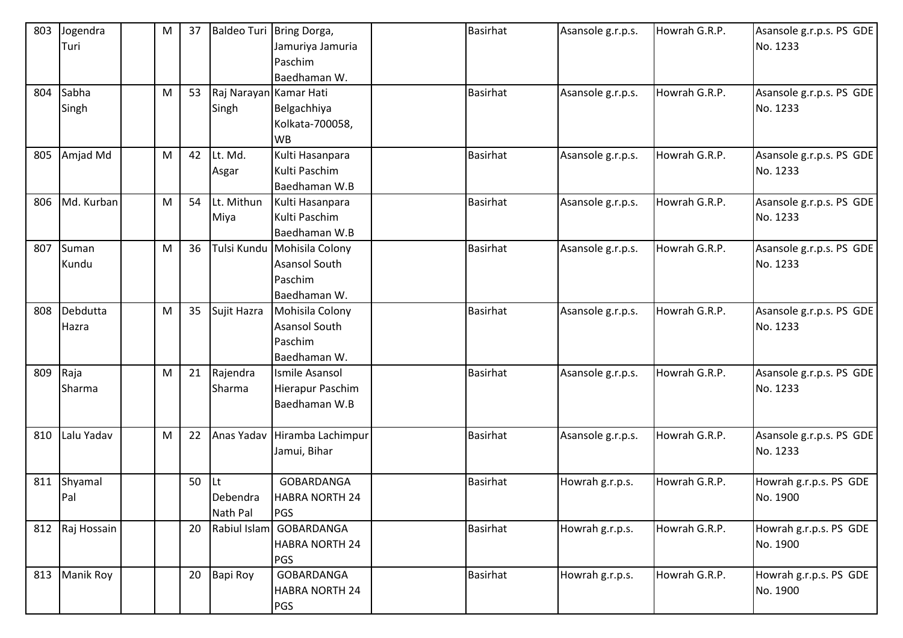| 803 | Jogendra        | M | 37 |                        | Baldeo Turi Bring Dorga,    | <b>Basirhat</b> | Asansole g.r.p.s. | Howrah G.R.P. | Asansole g.r.p.s. PS GDE |
|-----|-----------------|---|----|------------------------|-----------------------------|-----------------|-------------------|---------------|--------------------------|
|     | Turi            |   |    |                        | Jamuriya Jamuria            |                 |                   |               | No. 1233                 |
|     |                 |   |    |                        | Paschim                     |                 |                   |               |                          |
|     |                 |   |    |                        | Baedhaman W.                |                 |                   |               |                          |
| 804 | Sabha           | M | 53 | Raj Narayan Kamar Hati |                             | <b>Basirhat</b> | Asansole g.r.p.s. | Howrah G.R.P. | Asansole g.r.p.s. PS GDE |
|     | Singh           |   |    | Singh                  | Belgachhiya                 |                 |                   |               | No. 1233                 |
|     |                 |   |    |                        | Kolkata-700058,             |                 |                   |               |                          |
|     |                 |   |    |                        | <b>WB</b>                   |                 |                   |               |                          |
| 805 | Amjad Md        | M | 42 | Lt. Md.                | Kulti Hasanpara             | <b>Basirhat</b> | Asansole g.r.p.s. | Howrah G.R.P. | Asansole g.r.p.s. PS GDE |
|     |                 |   |    | Asgar                  | Kulti Paschim               |                 |                   |               | No. 1233                 |
|     |                 |   |    |                        | Baedhaman W.B               |                 |                   |               |                          |
| 806 | Md. Kurban      | M | 54 | Lt. Mithun             | Kulti Hasanpara             | <b>Basirhat</b> | Asansole g.r.p.s. | Howrah G.R.P. | Asansole g.r.p.s. PS GDE |
|     |                 |   |    | Miya                   | Kulti Paschim               |                 |                   |               | No. 1233                 |
|     |                 |   |    |                        | Baedhaman W.B               |                 |                   |               |                          |
| 807 | Suman           | M | 36 |                        | Tulsi Kundu Mohisila Colony | <b>Basirhat</b> | Asansole g.r.p.s. | Howrah G.R.P. | Asansole g.r.p.s. PS GDE |
|     | Kundu           |   |    |                        | Asansol South               |                 |                   |               | No. 1233                 |
|     |                 |   |    |                        | Paschim                     |                 |                   |               |                          |
|     |                 |   |    |                        | Baedhaman W.                |                 |                   |               |                          |
| 808 | Debdutta        | M | 35 | Sujit Hazra            | Mohisila Colony             | <b>Basirhat</b> | Asansole g.r.p.s. | Howrah G.R.P. | Asansole g.r.p.s. PS GDE |
|     | Hazra           |   |    |                        | <b>Asansol South</b>        |                 |                   |               | No. 1233                 |
|     |                 |   |    |                        | Paschim                     |                 |                   |               |                          |
|     |                 |   |    |                        | Baedhaman W.                |                 |                   |               |                          |
| 809 | Raja            | M | 21 | Rajendra               | Ismile Asansol              | <b>Basirhat</b> | Asansole g.r.p.s. | Howrah G.R.P. | Asansole g.r.p.s. PS GDE |
|     | Sharma          |   |    | Sharma                 | Hierapur Paschim            |                 |                   |               | No. 1233                 |
|     |                 |   |    |                        | Baedhaman W.B               |                 |                   |               |                          |
|     |                 |   |    |                        |                             |                 |                   |               |                          |
| 810 | Lalu Yadav      | M | 22 | Anas Yadav             | Hiramba Lachimpur           | <b>Basirhat</b> | Asansole g.r.p.s. | Howrah G.R.P. | Asansole g.r.p.s. PS GDE |
|     |                 |   |    |                        | Jamui, Bihar                |                 |                   |               | No. 1233                 |
|     |                 |   |    |                        |                             |                 |                   |               |                          |
| 811 | Shyamal         |   | 50 | Lt                     | <b>GOBARDANGA</b>           | <b>Basirhat</b> | Howrah g.r.p.s.   | Howrah G.R.P. | Howrah g.r.p.s. PS GDE   |
|     | Pal             |   |    | Debendra               | <b>HABRA NORTH 24</b>       |                 |                   |               | No. 1900                 |
|     |                 |   |    | Nath Pal               | <b>PGS</b>                  |                 |                   |               |                          |
|     | 812 Raj Hossain |   | 20 |                        | Rabiul Islam GOBARDANGA     | <b>Basirhat</b> | Howrah g.r.p.s.   | Howrah G.R.P. | Howrah g.r.p.s. PS GDE   |
|     |                 |   |    |                        | <b>HABRA NORTH 24</b>       |                 |                   |               | No. 1900                 |
|     |                 |   |    |                        | <b>PGS</b>                  |                 |                   |               |                          |
| 813 | Manik Roy       |   | 20 | Bapi Roy               | GOBARDANGA                  | <b>Basirhat</b> | Howrah g.r.p.s.   | Howrah G.R.P. | Howrah g.r.p.s. PS GDE   |
|     |                 |   |    |                        | <b>HABRA NORTH 24</b>       |                 |                   |               | No. 1900                 |
|     |                 |   |    |                        | <b>PGS</b>                  |                 |                   |               |                          |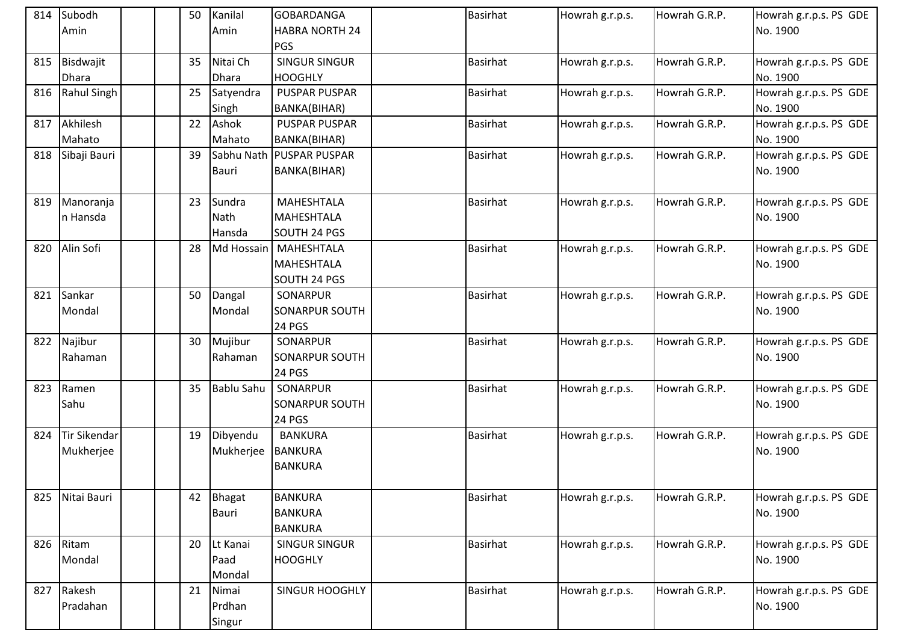|     | 814 Subodh          |  | 50 | Kanilal           | GOBARDANGA                           | <b>Basirhat</b> | Howrah g.r.p.s. | Howrah G.R.P. | Howrah g.r.p.s. PS GDE             |
|-----|---------------------|--|----|-------------------|--------------------------------------|-----------------|-----------------|---------------|------------------------------------|
|     | Amin                |  |    | Amin              | <b>HABRA NORTH 24</b>                |                 |                 |               | No. 1900                           |
|     |                     |  |    |                   | <b>PGS</b>                           |                 |                 |               |                                    |
| 815 | Bisdwajit           |  | 35 | Nitai Ch          | <b>SINGUR SINGUR</b>                 | <b>Basirhat</b> | Howrah g.r.p.s. | Howrah G.R.P. | Howrah g.r.p.s. PS GDE             |
|     | <b>Dhara</b>        |  |    | <b>Dhara</b>      | <b>HOOGHLY</b>                       |                 |                 |               | No. 1900                           |
| 816 | Rahul Singh         |  | 25 | Satyendra         | <b>PUSPAR PUSPAR</b>                 | <b>Basirhat</b> | Howrah g.r.p.s. | Howrah G.R.P. | Howrah g.r.p.s. PS GDE             |
|     |                     |  |    | Singh             | BANKA(BIHAR)                         |                 |                 |               | No. 1900                           |
| 817 | Akhilesh            |  | 22 | Ashok<br>Mahato   | <b>PUSPAR PUSPAR</b>                 | <b>Basirhat</b> | Howrah g.r.p.s. | Howrah G.R.P. | Howrah g.r.p.s. PS GDE<br>No. 1900 |
|     | Mahato              |  |    | Sabhu Nath        | BANKA(BIHAR)<br><b>PUSPAR PUSPAR</b> |                 |                 |               |                                    |
|     | 818 Sibaji Bauri    |  | 39 |                   |                                      | <b>Basirhat</b> | Howrah g.r.p.s. | Howrah G.R.P. | Howrah g.r.p.s. PS GDE             |
|     |                     |  |    | <b>Bauri</b>      | BANKA(BIHAR)                         |                 |                 |               | No. 1900                           |
| 819 | Manoranja           |  | 23 | Sundra            | MAHESHTALA                           | <b>Basirhat</b> | Howrah g.r.p.s. | Howrah G.R.P. | Howrah g.r.p.s. PS GDE             |
|     | In Hansda           |  |    | Nath              | MAHESHTALA                           |                 |                 |               | No. 1900                           |
|     |                     |  |    | Hansda            | SOUTH 24 PGS                         |                 |                 |               |                                    |
| 820 | Alin Sofi           |  | 28 | Md Hossain        | <b>MAHESHTALA</b>                    | <b>Basirhat</b> | Howrah g.r.p.s. | Howrah G.R.P. | Howrah g.r.p.s. PS GDE             |
|     |                     |  |    |                   | <b>MAHESHTALA</b>                    |                 |                 |               | No. 1900                           |
|     |                     |  |    |                   | SOUTH 24 PGS                         |                 |                 |               |                                    |
| 821 | Sankar              |  | 50 | Dangal            | SONARPUR                             | <b>Basirhat</b> | Howrah g.r.p.s. | Howrah G.R.P. | Howrah g.r.p.s. PS GDE             |
|     | Mondal              |  |    | Mondal            | SONARPUR SOUTH                       |                 |                 |               | No. 1900                           |
|     |                     |  |    |                   | <b>24 PGS</b>                        |                 |                 |               |                                    |
|     | 822 Najibur         |  | 30 | Mujibur           | SONARPUR                             | <b>Basirhat</b> | Howrah g.r.p.s. | Howrah G.R.P. | Howrah g.r.p.s. PS GDE             |
|     | Rahaman             |  |    | Rahaman           | <b>SONARPUR SOUTH</b>                |                 |                 |               | No. 1900                           |
|     |                     |  |    |                   | <b>24 PGS</b>                        |                 |                 |               |                                    |
| 823 | Ramen               |  | 35 | <b>Bablu Sahu</b> | SONARPUR                             | <b>Basirhat</b> | Howrah g.r.p.s. | Howrah G.R.P. | Howrah g.r.p.s. PS GDE             |
|     | Sahu                |  |    |                   | SONARPUR SOUTH                       |                 |                 |               | No. 1900                           |
|     |                     |  |    |                   | 24 PGS                               |                 |                 |               |                                    |
| 824 | <b>Tir Sikendar</b> |  | 19 | Dibyendu          | <b>BANKURA</b>                       | <b>Basirhat</b> | Howrah g.r.p.s. | Howrah G.R.P. | Howrah g.r.p.s. PS GDE             |
|     | Mukherjee           |  |    | Mukherjee         | <b>BANKURA</b>                       |                 |                 |               | No. 1900                           |
|     |                     |  |    |                   | <b>BANKURA</b>                       |                 |                 |               |                                    |
| 825 | Nitai Bauri         |  | 42 | Bhagat            | <b>BANKURA</b>                       | Basirhat        | Howrah g.r.p.s. | Howrah G.R.P. | Howrah g.r.p.s. PS GDE             |
|     |                     |  |    | <b>Bauri</b>      | <b>BANKURA</b>                       |                 |                 |               | No. 1900                           |
|     |                     |  |    |                   | <b>BANKURA</b>                       |                 |                 |               |                                    |
| 826 | Ritam               |  | 20 | Lt Kanai          | <b>SINGUR SINGUR</b>                 | <b>Basirhat</b> | Howrah g.r.p.s. | Howrah G.R.P. | Howrah g.r.p.s. PS GDE             |
|     | Mondal              |  |    | Paad              | <b>HOOGHLY</b>                       |                 |                 |               | No. 1900                           |
|     |                     |  |    | Mondal            |                                      |                 |                 |               |                                    |
|     | 827 Rakesh          |  | 21 | Nimai             | <b>SINGUR HOOGHLY</b>                | <b>Basirhat</b> | Howrah g.r.p.s. | Howrah G.R.P. | Howrah g.r.p.s. PS GDE             |
|     | Pradahan            |  |    | Prdhan            |                                      |                 |                 |               | No. 1900                           |
|     |                     |  |    | Singur            |                                      |                 |                 |               |                                    |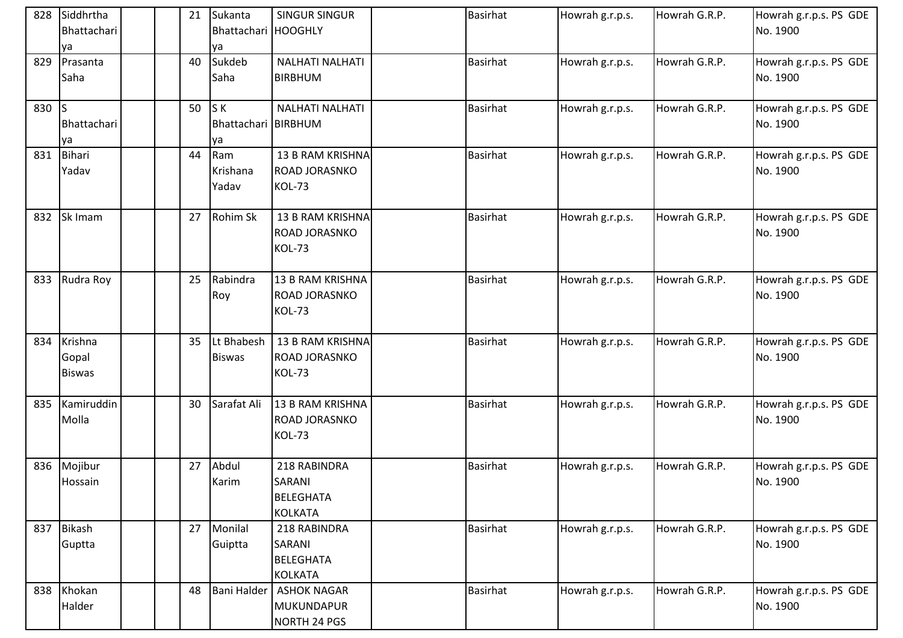|       | 828 Siddhrtha<br>Bhattachari<br>ya | 21 | Sukanta<br>Bhattachari HOOGHLY<br>ya    | <b>SINGUR SINGUR</b>                                         | <b>Basirhat</b> | Howrah g.r.p.s. | Howrah G.R.P. | Howrah g.r.p.s. PS GDE<br>No. 1900 |
|-------|------------------------------------|----|-----------------------------------------|--------------------------------------------------------------|-----------------|-----------------|---------------|------------------------------------|
| 829   | Prasanta<br>Saha                   | 40 | Sukdeb<br>Saha                          | <b>NALHATI NALHATI</b><br><b>BIRBHUM</b>                     | <b>Basirhat</b> | Howrah g.r.p.s. | Howrah G.R.P. | Howrah g.r.p.s. PS GDE<br>No. 1900 |
| 830 S | Bhattachari<br>ya                  | 50 | S K<br><b>Bhattachari BIRBHUM</b><br>ya | <b>NALHATI NALHATI</b>                                       | <b>Basirhat</b> | Howrah g.r.p.s. | Howrah G.R.P. | Howrah g.r.p.s. PS GDE<br>No. 1900 |
| 831   | Bihari<br>Yadav                    | 44 | Ram<br>Krishana<br>Yadav                | 13 B RAM KRISHNA<br>ROAD JORASNKO<br>KOL-73                  | <b>Basirhat</b> | Howrah g.r.p.s. | Howrah G.R.P. | Howrah g.r.p.s. PS GDE<br>No. 1900 |
| 832   | Sk Imam                            | 27 | Rohim Sk                                | 13 B RAM KRISHNA<br>ROAD JORASNKO<br><b>KOL-73</b>           | <b>Basirhat</b> | Howrah g.r.p.s. | Howrah G.R.P. | Howrah g.r.p.s. PS GDE<br>No. 1900 |
| 833   | Rudra Roy                          | 25 | Rabindra<br>Roy                         | 13 B RAM KRISHNA<br><b>ROAD JORASNKO</b><br>KOL-73           | <b>Basirhat</b> | Howrah g.r.p.s. | Howrah G.R.P. | Howrah g.r.p.s. PS GDE<br>No. 1900 |
| 834   | Krishna<br>Gopal<br><b>Biswas</b>  | 35 | Lt Bhabesh<br><b>Biswas</b>             | 13 B RAM KRISHNA<br>ROAD JORASNKO<br>KOL-73                  | <b>Basirhat</b> | Howrah g.r.p.s. | Howrah G.R.P. | Howrah g.r.p.s. PS GDE<br>No. 1900 |
| 835   | Kamiruddin<br>Molla                | 30 | Sarafat Ali                             | 13 B RAM KRISHNA<br>ROAD JORASNKO<br><b>KOL-73</b>           | <b>Basirhat</b> | Howrah g.r.p.s. | Howrah G.R.P. | Howrah g.r.p.s. PS GDE<br>No. 1900 |
| 836   | Mojibur<br>Hossain                 | 27 | Abdul<br>Karim                          | 218 RABINDRA<br>SARANI<br><b>BELEGHATA</b><br><b>KOLKATA</b> | <b>Basirhat</b> | Howrah g.r.p.s. | Howrah G.R.P. | Howrah g.r.p.s. PS GDE<br>No. 1900 |
|       | 837 Bikash<br>Guptta               | 27 | Monilal<br>Guiptta                      | 218 RABINDRA<br>SARANI<br><b>BELEGHATA</b><br><b>KOLKATA</b> | <b>Basirhat</b> | Howrah g.r.p.s. | Howrah G.R.P. | Howrah g.r.p.s. PS GDE<br>No. 1900 |
|       | 838 Khokan<br>Halder               | 48 | <b>Bani Halder</b>                      | <b>ASHOK NAGAR</b><br>MUKUNDAPUR<br>NORTH 24 PGS             | <b>Basirhat</b> | Howrah g.r.p.s. | Howrah G.R.P. | Howrah g.r.p.s. PS GDE<br>No. 1900 |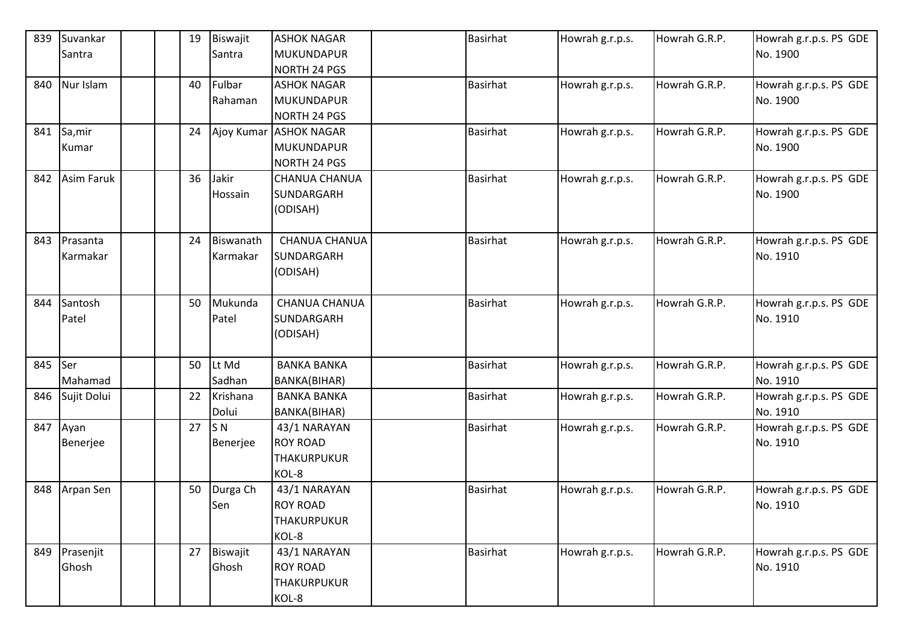| 839 | Suvankar          |  | 19 | Biswajit       | <b>ASHOK NAGAR</b>     | <b>Basirhat</b> | Howrah g.r.p.s. | Howrah G.R.P. | Howrah g.r.p.s. PS GDE |
|-----|-------------------|--|----|----------------|------------------------|-----------------|-----------------|---------------|------------------------|
|     | Santra            |  |    | Santra         | <b>MUKUNDAPUR</b>      |                 |                 |               | No. 1900               |
|     |                   |  |    |                | <b>NORTH 24 PGS</b>    |                 |                 |               |                        |
| 840 | Nur Islam         |  | 40 | Fulbar         | <b>ASHOK NAGAR</b>     | <b>Basirhat</b> | Howrah g.r.p.s. | Howrah G.R.P. | Howrah g.r.p.s. PS GDE |
|     |                   |  |    | Rahaman        | MUKUNDAPUR             |                 |                 |               | No. 1900               |
|     |                   |  |    |                | <b>NORTH 24 PGS</b>    |                 |                 |               |                        |
| 841 | Sa, mir           |  | 24 |                | Ajoy Kumar ASHOK NAGAR | <b>Basirhat</b> | Howrah g.r.p.s. | Howrah G.R.P. | Howrah g.r.p.s. PS GDE |
|     | Kumar             |  |    |                | <b>MUKUNDAPUR</b>      |                 |                 |               | No. 1900               |
|     |                   |  |    |                | NORTH 24 PGS           |                 |                 |               |                        |
| 842 | <b>Asim Faruk</b> |  | 36 | Jakir          | CHANUA CHANUA          | <b>Basirhat</b> | Howrah g.r.p.s. | Howrah G.R.P. | Howrah g.r.p.s. PS GDE |
|     |                   |  |    | Hossain        | SUNDARGARH             |                 |                 |               | No. 1900               |
|     |                   |  |    |                | (ODISAH)               |                 |                 |               |                        |
|     |                   |  |    |                |                        |                 |                 |               |                        |
| 843 | Prasanta          |  | 24 | Biswanath      | <b>CHANUA CHANUA</b>   | <b>Basirhat</b> | Howrah g.r.p.s. | Howrah G.R.P. | Howrah g.r.p.s. PS GDE |
|     | Karmakar          |  |    | Karmakar       | SUNDARGARH             |                 |                 |               | No. 1910               |
|     |                   |  |    |                | (ODISAH)               |                 |                 |               |                        |
| 844 | Santosh           |  | 50 | Mukunda        | <b>CHANUA CHANUA</b>   | <b>Basirhat</b> |                 | Howrah G.R.P. | Howrah g.r.p.s. PS GDE |
|     | Patel             |  |    | Patel          | SUNDARGARH             |                 | Howrah g.r.p.s. |               | No. 1910               |
|     |                   |  |    |                | (ODISAH)               |                 |                 |               |                        |
|     |                   |  |    |                |                        |                 |                 |               |                        |
| 845 | Ser               |  | 50 | Lt Md          | <b>BANKA BANKA</b>     | Basirhat        | Howrah g.r.p.s. | Howrah G.R.P. | Howrah g.r.p.s. PS GDE |
|     | Mahamad           |  |    | Sadhan         | BANKA(BIHAR)           |                 |                 |               | No. 1910               |
| 846 | Sujit Dolui       |  | 22 | Krishana       | <b>BANKA BANKA</b>     | <b>Basirhat</b> | Howrah g.r.p.s. | Howrah G.R.P. | Howrah g.r.p.s. PS GDE |
|     |                   |  |    | Dolui          | BANKA(BIHAR)           |                 |                 |               | No. 1910               |
|     | 847 Ayan          |  | 27 | S <sub>N</sub> | 43/1 NARAYAN           | <b>Basirhat</b> | Howrah g.r.p.s. | Howrah G.R.P. | Howrah g.r.p.s. PS GDE |
|     | Benerjee          |  |    | Benerjee       | <b>ROY ROAD</b>        |                 |                 |               | No. 1910               |
|     |                   |  |    |                | <b>THAKURPUKUR</b>     |                 |                 |               |                        |
|     |                   |  |    |                | KOL-8                  |                 |                 |               |                        |
| 848 | Arpan Sen         |  | 50 | Durga Ch       | 43/1 NARAYAN           | <b>Basirhat</b> | Howrah g.r.p.s. | Howrah G.R.P. | Howrah g.r.p.s. PS GDE |
|     |                   |  |    | Sen            | <b>ROY ROAD</b>        |                 |                 |               | No. 1910               |
|     |                   |  |    |                | THAKURPUKUR            |                 |                 |               |                        |
|     |                   |  |    |                | KOL-8                  |                 |                 |               |                        |
| 849 | Prasenjit         |  | 27 | Biswajit       | 43/1 NARAYAN           | Basirhat        | Howrah g.r.p.s. | Howrah G.R.P. | Howrah g.r.p.s. PS GDE |
|     | Ghosh             |  |    | Ghosh          | <b>ROY ROAD</b>        |                 |                 |               | No. 1910               |
|     |                   |  |    |                | THAKURPUKUR            |                 |                 |               |                        |
|     |                   |  |    |                | KOL-8                  |                 |                 |               |                        |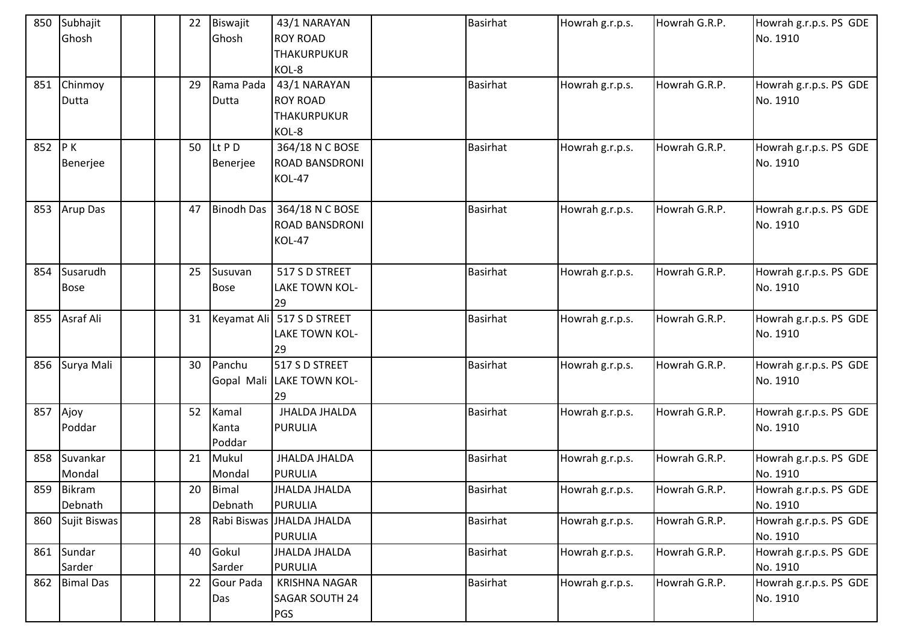| 850 | Subhajit<br>Ghosh       |  | 22 | Biswajit<br>Ghosh        | 43/1 NARAYAN<br><b>ROY ROAD</b><br><b>THAKURPUKUR</b><br>KOL-8 | <b>Basirhat</b> | Howrah g.r.p.s. | Howrah G.R.P. | Howrah g.r.p.s. PS GDE<br>No. 1910 |
|-----|-------------------------|--|----|--------------------------|----------------------------------------------------------------|-----------------|-----------------|---------------|------------------------------------|
| 851 | Chinmoy<br>Dutta        |  | 29 | Rama Pada<br>Dutta       | 43/1 NARAYAN<br><b>ROY ROAD</b><br><b>THAKURPUKUR</b><br>KOL-8 | <b>Basirhat</b> | Howrah g.r.p.s. | Howrah G.R.P. | Howrah g.r.p.s. PS GDE<br>No. 1910 |
| 852 | P K<br>Benerjee         |  | 50 | Lt P D<br>Benerjee       | 364/18 N C BOSE<br><b>ROAD BANSDRONI</b><br><b>KOL-47</b>      | <b>Basirhat</b> | Howrah g.r.p.s. | Howrah G.R.P. | Howrah g.r.p.s. PS GDE<br>No. 1910 |
| 853 | Arup Das                |  | 47 | <b>Binodh Das</b>        | 364/18 N C BOSE<br><b>ROAD BANSDRONI</b><br>KOL-47             | <b>Basirhat</b> | Howrah g.r.p.s. | Howrah G.R.P. | Howrah g.r.p.s. PS GDE<br>No. 1910 |
| 854 | Susarudh<br><b>Bose</b> |  | 25 | Susuvan<br><b>Bose</b>   | 517 S D STREET<br>LAKE TOWN KOL-<br>29                         | <b>Basirhat</b> | Howrah g.r.p.s. | Howrah G.R.P. | Howrah g.r.p.s. PS GDE<br>No. 1910 |
| 855 | Asraf Ali               |  | 31 |                          | Keyamat Ali   517 S D STREET<br><b>LAKE TOWN KOL-</b><br>29    | <b>Basirhat</b> | Howrah g.r.p.s. | Howrah G.R.P. | Howrah g.r.p.s. PS GDE<br>No. 1910 |
| 856 | Surya Mali              |  | 30 | Panchu                   | 517 S D STREET<br>Gopal Mali LAKE TOWN KOL-<br>29              | <b>Basirhat</b> | Howrah g.r.p.s. | Howrah G.R.P. | Howrah g.r.p.s. PS GDE<br>No. 1910 |
| 857 | Ajoy<br>Poddar          |  | 52 | Kamal<br>Kanta<br>Poddar | <b>JHALDA JHALDA</b><br><b>PURULIA</b>                         | <b>Basirhat</b> | Howrah g.r.p.s. | Howrah G.R.P. | Howrah g.r.p.s. PS GDE<br>No. 1910 |
| 858 | Suvankar<br>Mondal      |  | 21 | Mukul<br>Mondal          | <b>JHALDA JHALDA</b><br><b>PURULIA</b>                         | <b>Basirhat</b> | Howrah g.r.p.s. | Howrah G.R.P. | Howrah g.r.p.s. PS GDE<br>No. 1910 |
| 859 | Bikram<br>Debnath       |  | 20 | Bimal<br>Debnath         | JHALDA JHALDA<br><b>PURULIA</b>                                | <b>Basirhat</b> | Howrah g.r.p.s. | Howrah G.R.P. | Howrah g.r.p.s. PS GDE<br>No. 1910 |
| 860 | Sujit Biswas            |  | 28 |                          | Rabi Biswas JHALDA JHALDA<br><b>PURULIA</b>                    | <b>Basirhat</b> | Howrah g.r.p.s. | Howrah G.R.P. | Howrah g.r.p.s. PS GDE<br>No. 1910 |
| 861 | Sundar<br>Sarder        |  | 40 | Gokul<br>Sarder          | JHALDA JHALDA<br><b>PURULIA</b>                                | <b>Basirhat</b> | Howrah g.r.p.s. | Howrah G.R.P. | Howrah g.r.p.s. PS GDE<br>No. 1910 |
| 862 | <b>Bimal Das</b>        |  | 22 | Gour Pada<br>Das         | <b>KRISHNA NAGAR</b><br>SAGAR SOUTH 24<br><b>PGS</b>           | Basirhat        | Howrah g.r.p.s. | Howrah G.R.P. | Howrah g.r.p.s. PS GDE<br>No. 1910 |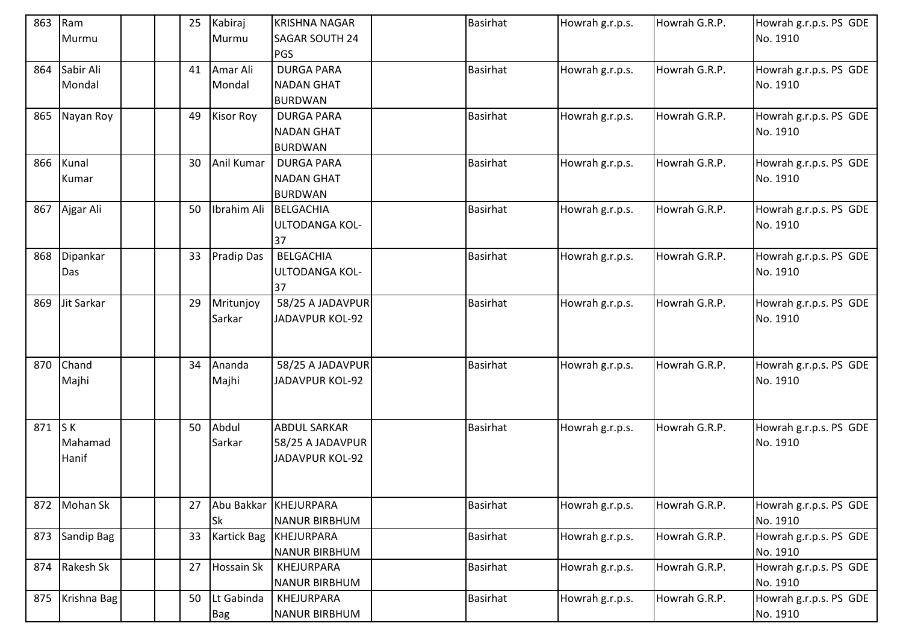| 863 | Ram<br>Murmu | 25 | Kabiraj<br>Murmu    | <b>KRISHNA NAGAR</b><br><b>SAGAR SOUTH 24</b> | <b>Basirhat</b> | Howrah g.r.p.s. | Howrah G.R.P. | Howrah g.r.p.s. PS GDE<br>No. 1910 |
|-----|--------------|----|---------------------|-----------------------------------------------|-----------------|-----------------|---------------|------------------------------------|
|     |              |    |                     | <b>PGS</b>                                    |                 |                 |               |                                    |
| 864 | Sabir Ali    | 41 | Amar Ali            | <b>DURGA PARA</b>                             | <b>Basirhat</b> | Howrah g.r.p.s. | Howrah G.R.P. | Howrah g.r.p.s. PS GDE             |
|     | Mondal       |    | Mondal              | <b>NADAN GHAT</b>                             |                 |                 |               | No. 1910                           |
|     |              |    |                     | <b>BURDWAN</b>                                |                 |                 |               |                                    |
| 865 | Nayan Roy    | 49 | <b>Kisor Roy</b>    | <b>DURGA PARA</b><br><b>NADAN GHAT</b>        | <b>Basirhat</b> | Howrah g.r.p.s. | Howrah G.R.P. | Howrah g.r.p.s. PS GDE<br>No. 1910 |
|     |              |    |                     | <b>BURDWAN</b>                                |                 |                 |               |                                    |
| 866 | Kunal        | 30 | Anil Kumar          | <b>DURGA PARA</b>                             | <b>Basirhat</b> | Howrah g.r.p.s. | Howrah G.R.P. | Howrah g.r.p.s. PS GDE             |
|     | Kumar        |    |                     | <b>NADAN GHAT</b>                             |                 |                 |               | No. 1910                           |
|     |              |    |                     | <b>BURDWAN</b>                                |                 |                 |               |                                    |
| 867 | Ajgar Ali    | 50 | Ibrahim Ali         | BELGACHIA                                     | <b>Basirhat</b> | Howrah g.r.p.s. | Howrah G.R.P. | Howrah g.r.p.s. PS GDE             |
|     |              |    |                     | ULTODANGA KOL-                                |                 |                 |               | No. 1910                           |
|     |              |    |                     | 37                                            |                 |                 |               |                                    |
| 868 | Dipankar     | 33 | <b>Pradip Das</b>   | <b>BELGACHIA</b>                              | <b>Basirhat</b> | Howrah g.r.p.s. | Howrah G.R.P. | Howrah g.r.p.s. PS GDE             |
|     | Das          |    |                     | ULTODANGA KOL-                                |                 |                 |               | No. 1910                           |
|     |              |    |                     | 37                                            |                 |                 |               |                                    |
| 869 | Jit Sarkar   | 29 | Mritunjoy<br>Sarkar | 58/25 A JADAVPUR<br><b>JADAVPUR KOL-92</b>    | <b>Basirhat</b> | Howrah g.r.p.s. | Howrah G.R.P. | Howrah g.r.p.s. PS GDE<br>No. 1910 |
|     |              |    |                     |                                               |                 |                 |               |                                    |
|     |              |    |                     |                                               |                 |                 |               |                                    |
| 870 | Chand        | 34 | Ananda              | 58/25 A JADAVPUR                              | <b>Basirhat</b> | Howrah g.r.p.s. | Howrah G.R.P. | Howrah g.r.p.s. PS GDE             |
|     | Majhi        |    | Majhi               | JADAVPUR KOL-92                               |                 |                 |               | No. 1910                           |
|     |              |    |                     |                                               |                 |                 |               |                                    |
|     |              |    |                     |                                               |                 |                 |               |                                    |
| 871 | S K          | 50 | Abdul               | <b>ABDUL SARKAR</b>                           | <b>Basirhat</b> | Howrah g.r.p.s. | Howrah G.R.P. | Howrah g.r.p.s. PS GDE             |
|     | Mahamad      |    | Sarkar              | 58/25 A JADAVPUR                              |                 |                 |               | No. 1910                           |
|     | Hanif        |    |                     | <b>JADAVPUR KOL-92</b>                        |                 |                 |               |                                    |
|     |              |    |                     |                                               |                 |                 |               |                                    |
| 872 | Mohan Sk     | 27 |                     | Abu Bakkar KHEJURPARA                         | <b>Basirhat</b> | Howrah g.r.p.s. | Howrah G.R.P. | Howrah g.r.p.s. PS GDE             |
|     |              |    | Sk                  | <b>NANUR BIRBHUM</b>                          |                 |                 |               | No. 1910                           |
| 873 | Sandip Bag   | 33 | <b>Kartick Bag</b>  | <b>KHEJURPARA</b>                             | <b>Basirhat</b> | Howrah g.r.p.s. | Howrah G.R.P. | Howrah g.r.p.s. PS GDE             |
|     |              |    |                     | NANUR BIRBHUM                                 |                 |                 |               | No. 1910                           |
| 874 | Rakesh Sk    | 27 | Hossain Sk          | KHEJURPARA                                    | Basirhat        | Howrah g.r.p.s. | Howrah G.R.P. | Howrah g.r.p.s. PS GDE             |
|     |              |    |                     | <b>NANUR BIRBHUM</b>                          |                 |                 |               | No. 1910                           |
| 875 | Krishna Bag  | 50 | Lt Gabinda          | KHEJURPARA                                    | Basirhat        | Howrah g.r.p.s. | Howrah G.R.P. | Howrah g.r.p.s. PS GDE             |
|     |              |    | Bag                 | <b>NANUR BIRBHUM</b>                          |                 |                 |               | No. 1910                           |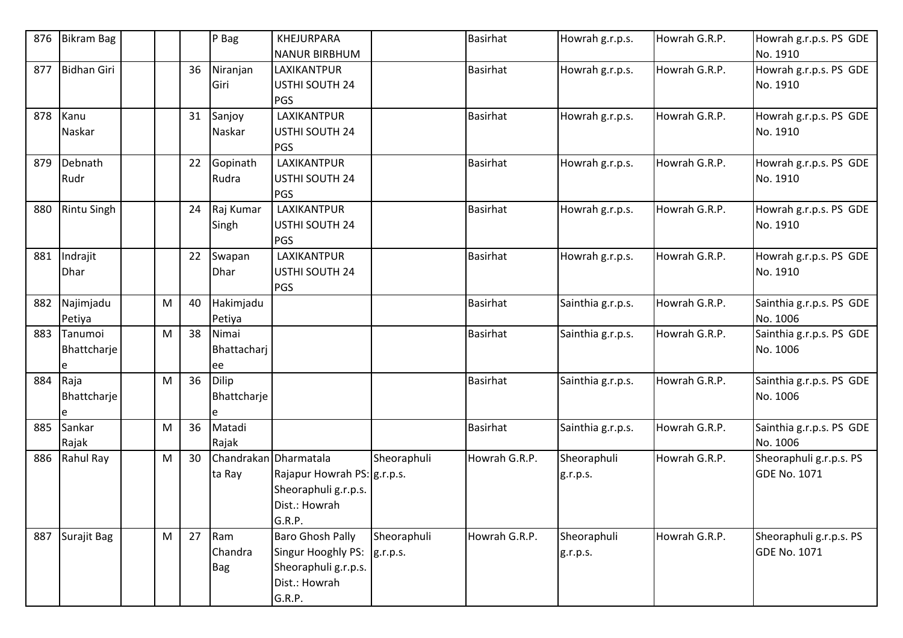| 876 | <b>Bikram Bag</b>           |           |    | $P$ Bag                         | KHEJURPARA<br><b>NANUR BIRBHUM</b>                                                               |                         | <b>Basirhat</b> | Howrah g.r.p.s.         | Howrah G.R.P. | Howrah g.r.p.s. PS GDE<br>No. 1910             |
|-----|-----------------------------|-----------|----|---------------------------------|--------------------------------------------------------------------------------------------------|-------------------------|-----------------|-------------------------|---------------|------------------------------------------------|
| 877 | <b>Bidhan Giri</b>          |           | 36 | Niranjan<br>Giri                | LAXIKANTPUR<br><b>USTHI SOUTH 24</b><br>PGS                                                      |                         | <b>Basirhat</b> | Howrah g.r.p.s.         | Howrah G.R.P. | Howrah g.r.p.s. PS GDE<br>No. 1910             |
| 878 | Kanu<br>Naskar              |           | 31 | Sanjoy<br>Naskar                | LAXIKANTPUR<br>USTHI SOUTH 24<br><b>PGS</b>                                                      |                         | <b>Basirhat</b> | Howrah g.r.p.s.         | Howrah G.R.P. | Howrah g.r.p.s. PS GDE<br>No. 1910             |
| 879 | Debnath<br>Rudr             |           | 22 | Gopinath<br>Rudra               | LAXIKANTPUR<br>USTHI SOUTH 24<br><b>PGS</b>                                                      |                         | <b>Basirhat</b> | Howrah g.r.p.s.         | Howrah G.R.P. | Howrah g.r.p.s. PS GDE<br>No. 1910             |
| 880 | <b>Rintu Singh</b>          |           | 24 | Raj Kumar<br>Singh              | LAXIKANTPUR<br>USTHI SOUTH 24<br><b>PGS</b>                                                      |                         | <b>Basirhat</b> | Howrah g.r.p.s.         | Howrah G.R.P. | Howrah g.r.p.s. PS GDE<br>No. 1910             |
| 881 | Indrajit<br><b>Dhar</b>     |           | 22 | Swapan<br>Dhar                  | LAXIKANTPUR<br>USTHI SOUTH 24<br>PGS                                                             |                         | <b>Basirhat</b> | Howrah g.r.p.s.         | Howrah G.R.P. | Howrah g.r.p.s. PS GDE<br>No. 1910             |
| 882 | Najimjadu<br>Petiya         | M         | 40 | Hakimjadu<br>Petiya             |                                                                                                  |                         | <b>Basirhat</b> | Sainthia g.r.p.s.       | Howrah G.R.P. | Sainthia g.r.p.s. PS GDE<br>No. 1006           |
| 883 | Tanumoi<br>Bhattcharje<br>e | M         | 38 | Nimai<br>Bhattacharj<br>ee      |                                                                                                  |                         | <b>Basirhat</b> | Sainthia g.r.p.s.       | Howrah G.R.P. | Sainthia g.r.p.s. PS GDE<br>No. 1006           |
| 884 | Raja<br>Bhattcharje         | M         | 36 | <b>Dilip</b><br>Bhattcharje     |                                                                                                  |                         | <b>Basirhat</b> | Sainthia g.r.p.s.       | Howrah G.R.P. | Sainthia g.r.p.s. PS GDE<br>No. 1006           |
| 885 | Sankar<br>Rajak             | M         | 36 | Matadi<br>Rajak                 |                                                                                                  |                         | <b>Basirhat</b> | Sainthia g.r.p.s.       | Howrah G.R.P. | Sainthia g.r.p.s. PS GDE<br>No. 1006           |
| 886 | Rahul Ray                   | ${\sf M}$ | 30 | Chandrakan Dharmatala<br>ta Ray | Rajapur Howrah PS: g.r.p.s.<br>Sheoraphuli g.r.p.s.<br>Dist.: Howrah<br>G.R.P.                   | Sheoraphuli             | Howrah G.R.P.   | Sheoraphuli<br>g.r.p.s. | Howrah G.R.P. | Sheoraphuli g.r.p.s. PS<br><b>GDE No. 1071</b> |
| 887 | Surajit Bag                 | M         | 27 | Ram<br>Chandra<br><b>Bag</b>    | <b>Baro Ghosh Pally</b><br>Singur Hooghly PS:<br>Sheoraphuli g.r.p.s.<br>Dist.: Howrah<br>G.R.P. | Sheoraphuli<br>g.r.p.s. | Howrah G.R.P.   | Sheoraphuli<br>g.r.p.s. | Howrah G.R.P. | Sheoraphuli g.r.p.s. PS<br><b>GDE No. 1071</b> |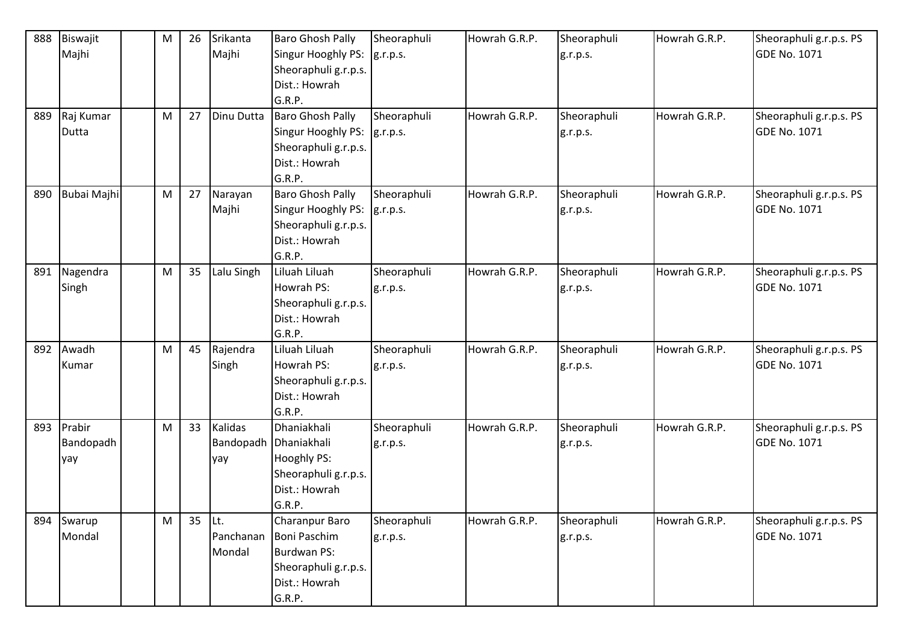| 888 | Biswajit    | M | 26 | Srikanta   | <b>Baro Ghosh Pally</b> | Sheoraphuli | Howrah G.R.P. | Sheoraphuli | Howrah G.R.P. | Sheoraphuli g.r.p.s. PS |
|-----|-------------|---|----|------------|-------------------------|-------------|---------------|-------------|---------------|-------------------------|
|     | Majhi       |   |    | Majhi      | Singur Hooghly PS:      | g.r.p.s.    |               | g.r.p.s.    |               | <b>GDE No. 1071</b>     |
|     |             |   |    |            | Sheoraphuli g.r.p.s.    |             |               |             |               |                         |
|     |             |   |    |            | Dist.: Howrah           |             |               |             |               |                         |
|     |             |   |    |            | G.R.P.                  |             |               |             |               |                         |
| 889 | Raj Kumar   | M | 27 | Dinu Dutta | <b>Baro Ghosh Pally</b> | Sheoraphuli | Howrah G.R.P. | Sheoraphuli | Howrah G.R.P. | Sheoraphuli g.r.p.s. PS |
|     | Dutta       |   |    |            | Singur Hooghly PS:      | g.r.p.s.    |               | g.r.p.s.    |               | <b>GDE No. 1071</b>     |
|     |             |   |    |            | Sheoraphuli g.r.p.s.    |             |               |             |               |                         |
|     |             |   |    |            | Dist.: Howrah           |             |               |             |               |                         |
|     |             |   |    |            | G.R.P.                  |             |               |             |               |                         |
| 890 | Bubai Majhi | M | 27 | Narayan    | <b>Baro Ghosh Pally</b> | Sheoraphuli | Howrah G.R.P. | Sheoraphuli | Howrah G.R.P. | Sheoraphuli g.r.p.s. PS |
|     |             |   |    | Majhi      | Singur Hooghly PS:      | g.r.p.s.    |               | g.r.p.s.    |               | <b>GDE No. 1071</b>     |
|     |             |   |    |            | Sheoraphuli g.r.p.s.    |             |               |             |               |                         |
|     |             |   |    |            | Dist.: Howrah           |             |               |             |               |                         |
|     |             |   |    |            | G.R.P.                  |             |               |             |               |                         |
| 891 | Nagendra    | M | 35 | Lalu Singh | Liluah Liluah           | Sheoraphuli | Howrah G.R.P. | Sheoraphuli | Howrah G.R.P. | Sheoraphuli g.r.p.s. PS |
|     | Singh       |   |    |            | Howrah PS:              | g.r.p.s.    |               | g.r.p.s.    |               | <b>GDE No. 1071</b>     |
|     |             |   |    |            | Sheoraphuli g.r.p.s.    |             |               |             |               |                         |
|     |             |   |    |            | Dist.: Howrah           |             |               |             |               |                         |
|     |             |   |    |            | G.R.P.                  |             |               |             |               |                         |
| 892 | Awadh       | M | 45 | Rajendra   | Liluah Liluah           | Sheoraphuli | Howrah G.R.P. | Sheoraphuli | Howrah G.R.P. | Sheoraphuli g.r.p.s. PS |
|     | Kumar       |   |    | Singh      | Howrah PS:              | g.r.p.s.    |               | g.r.p.s.    |               | <b>GDE No. 1071</b>     |
|     |             |   |    |            | Sheoraphuli g.r.p.s.    |             |               |             |               |                         |
|     |             |   |    |            | Dist.: Howrah           |             |               |             |               |                         |
|     |             |   |    |            | G.R.P.                  |             |               |             |               |                         |
| 893 | Prabir      | M | 33 | Kalidas    | Dhaniakhali             | Sheoraphuli | Howrah G.R.P. | Sheoraphuli | Howrah G.R.P. | Sheoraphuli g.r.p.s. PS |
|     | Bandopadh   |   |    |            | Bandopadh Dhaniakhali   | g.r.p.s.    |               | g.r.p.s.    |               | <b>GDE No. 1071</b>     |
|     | yay         |   |    | yay        | Hooghly PS:             |             |               |             |               |                         |
|     |             |   |    |            | Sheoraphuli g.r.p.s.    |             |               |             |               |                         |
|     |             |   |    |            | Dist.: Howrah           |             |               |             |               |                         |
|     |             |   |    |            | G.R.P.                  |             |               |             |               |                         |
| 894 | Swarup      | M | 35 | Lt.        | Charanpur Baro          | Sheoraphuli | Howrah G.R.P. | Sheoraphuli | Howrah G.R.P. | Sheoraphuli g.r.p.s. PS |
|     | Mondal      |   |    | Panchanan  | <b>Boni Paschim</b>     | g.r.p.s.    |               | g.r.p.s.    |               | <b>GDE No. 1071</b>     |
|     |             |   |    | Mondal     | Burdwan PS:             |             |               |             |               |                         |
|     |             |   |    |            | Sheoraphuli g.r.p.s.    |             |               |             |               |                         |
|     |             |   |    |            | Dist.: Howrah           |             |               |             |               |                         |
|     |             |   |    |            | G.R.P.                  |             |               |             |               |                         |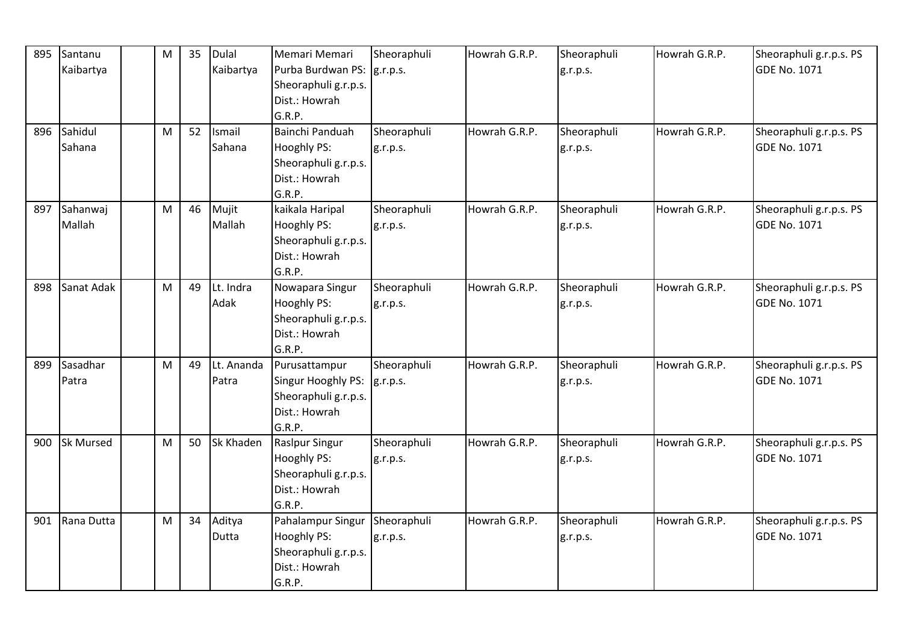| 895 | Santanu          | M | 35 | Dulal      | Memari Memari               | Sheoraphuli | Howrah G.R.P. | Sheoraphuli | Howrah G.R.P. | Sheoraphuli g.r.p.s. PS |
|-----|------------------|---|----|------------|-----------------------------|-------------|---------------|-------------|---------------|-------------------------|
|     | Kaibartya        |   |    | Kaibartya  | Purba Burdwan PS:  g.r.p.s. |             |               | g.r.p.s.    |               | <b>GDE No. 1071</b>     |
|     |                  |   |    |            | Sheoraphuli g.r.p.s.        |             |               |             |               |                         |
|     |                  |   |    |            | Dist.: Howrah               |             |               |             |               |                         |
|     |                  |   |    |            | G.R.P.                      |             |               |             |               |                         |
| 896 | Sahidul          | M | 52 | Ismail     | Bainchi Panduah             | Sheoraphuli | Howrah G.R.P. | Sheoraphuli | Howrah G.R.P. | Sheoraphuli g.r.p.s. PS |
|     | Sahana           |   |    | Sahana     | <b>Hooghly PS:</b>          | g.r.p.s.    |               | g.r.p.s.    |               | <b>GDE No. 1071</b>     |
|     |                  |   |    |            | Sheoraphuli g.r.p.s.        |             |               |             |               |                         |
|     |                  |   |    |            | Dist.: Howrah               |             |               |             |               |                         |
|     |                  |   |    |            | G.R.P.                      |             |               |             |               |                         |
| 897 | Sahanwaj         | M | 46 | Mujit      | kaikala Haripal             | Sheoraphuli | Howrah G.R.P. | Sheoraphuli | Howrah G.R.P. | Sheoraphuli g.r.p.s. PS |
|     | Mallah           |   |    | Mallah     | <b>Hooghly PS:</b>          | g.r.p.s.    |               | g.r.p.s.    |               | GDE No. 1071            |
|     |                  |   |    |            | Sheoraphuli g.r.p.s.        |             |               |             |               |                         |
|     |                  |   |    |            | Dist.: Howrah               |             |               |             |               |                         |
|     |                  |   |    |            | G.R.P.                      |             |               |             |               |                         |
| 898 | Sanat Adak       | M | 49 | Lt. Indra  | Nowapara Singur             | Sheoraphuli | Howrah G.R.P. | Sheoraphuli | Howrah G.R.P. | Sheoraphuli g.r.p.s. PS |
|     |                  |   |    | Adak       | Hooghly PS:                 | g.r.p.s.    |               | g.r.p.s.    |               | <b>GDE No. 1071</b>     |
|     |                  |   |    |            | Sheoraphuli g.r.p.s.        |             |               |             |               |                         |
|     |                  |   |    |            | Dist.: Howrah               |             |               |             |               |                         |
|     |                  |   |    |            | G.R.P.                      |             |               |             |               |                         |
| 899 | Sasadhar         | M | 49 | Lt. Ananda | Purusattampur               | Sheoraphuli | Howrah G.R.P. | Sheoraphuli | Howrah G.R.P. | Sheoraphuli g.r.p.s. PS |
|     | Patra            |   |    | Patra      | Singur Hooghly PS:          | g.r.p.s.    |               | g.r.p.s.    |               | <b>GDE No. 1071</b>     |
|     |                  |   |    |            | Sheoraphuli g.r.p.s.        |             |               |             |               |                         |
|     |                  |   |    |            | Dist.: Howrah               |             |               |             |               |                         |
|     |                  |   |    |            | G.R.P.                      |             |               |             |               |                         |
| 900 | <b>Sk Mursed</b> | M | 50 | Sk Khaden  | <b>Raslpur Singur</b>       | Sheoraphuli | Howrah G.R.P. | Sheoraphuli | Howrah G.R.P. | Sheoraphuli g.r.p.s. PS |
|     |                  |   |    |            | <b>Hooghly PS:</b>          | g.r.p.s.    |               | g.r.p.s.    |               | GDE No. 1071            |
|     |                  |   |    |            | Sheoraphuli g.r.p.s.        |             |               |             |               |                         |
|     |                  |   |    |            | Dist.: Howrah               |             |               |             |               |                         |
|     |                  |   |    |            | G.R.P.                      |             |               |             |               |                         |
| 901 | Rana Dutta       | M | 34 | Aditya     | Pahalampur Singur           | Sheoraphuli | Howrah G.R.P. | Sheoraphuli | Howrah G.R.P. | Sheoraphuli g.r.p.s. PS |
|     |                  |   |    | Dutta      | Hooghly PS:                 | g.r.p.s.    |               | g.r.p.s.    |               | <b>GDE No. 1071</b>     |
|     |                  |   |    |            | Sheoraphuli g.r.p.s.        |             |               |             |               |                         |
|     |                  |   |    |            | Dist.: Howrah               |             |               |             |               |                         |
|     |                  |   |    |            | G.R.P.                      |             |               |             |               |                         |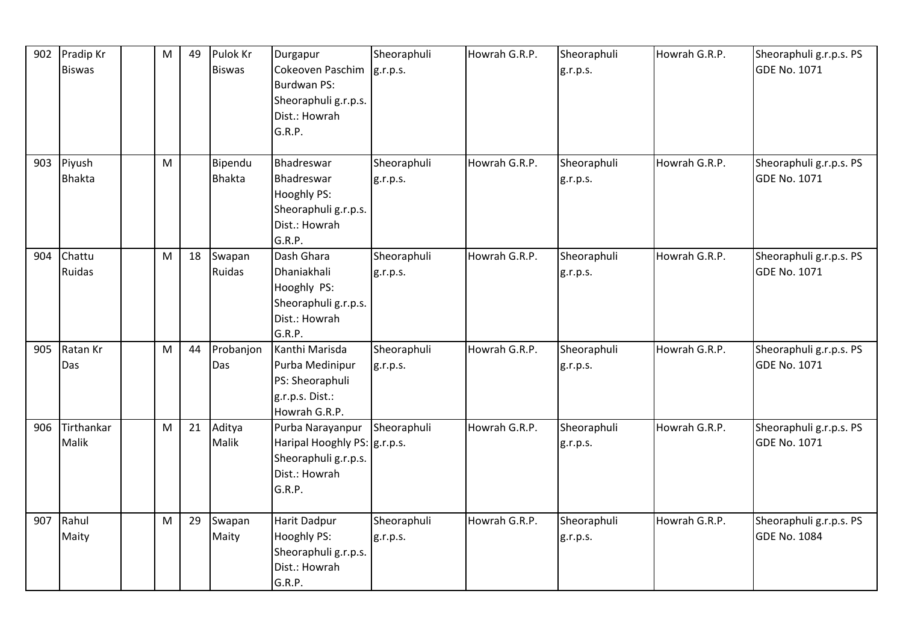| 902 | Pradip Kr<br><b>Biswas</b> | M | 49 | Pulok Kr<br><b>Biswas</b> | Durgapur<br>Cokeoven Paschim<br><b>Burdwan PS:</b><br>Sheoraphuli g.r.p.s.<br>Dist.: Howrah<br>G.R.P. | Sheoraphuli<br>g.r.p.s. | Howrah G.R.P. | Sheoraphuli<br>g.r.p.s. | Howrah G.R.P. | Sheoraphuli g.r.p.s. PS<br><b>GDE No. 1071</b> |
|-----|----------------------------|---|----|---------------------------|-------------------------------------------------------------------------------------------------------|-------------------------|---------------|-------------------------|---------------|------------------------------------------------|
| 903 | Piyush<br><b>Bhakta</b>    | M |    | Bipendu<br><b>Bhakta</b>  | Bhadreswar<br>Bhadreswar<br>Hooghly PS:<br>Sheoraphuli g.r.p.s.<br>Dist.: Howrah<br>G.R.P.            | Sheoraphuli<br>g.r.p.s. | Howrah G.R.P. | Sheoraphuli<br>g.r.p.s. | Howrah G.R.P. | Sheoraphuli g.r.p.s. PS<br><b>GDE No. 1071</b> |
| 904 | Chattu<br><b>Ruidas</b>    | M | 18 | Swapan<br>Ruidas          | Dash Ghara<br>Dhaniakhali<br>Hooghly PS:<br>Sheoraphuli g.r.p.s.<br>Dist.: Howrah<br>G.R.P.           | Sheoraphuli<br>g.r.p.s. | Howrah G.R.P. | Sheoraphuli<br>g.r.p.s. | Howrah G.R.P. | Sheoraphuli g.r.p.s. PS<br><b>GDE No. 1071</b> |
| 905 | Ratan Kr<br>Das            | M | 44 | Probanjon<br>Das          | Kanthi Marisda<br>Purba Medinipur<br>PS: Sheoraphuli<br>g.r.p.s. Dist.:<br>Howrah G.R.P.              | Sheoraphuli<br>g.r.p.s. | Howrah G.R.P. | Sheoraphuli<br>g.r.p.s. | Howrah G.R.P. | Sheoraphuli g.r.p.s. PS<br><b>GDE No. 1071</b> |
| 906 | Tirthankar<br>Malik        | M | 21 | Aditya<br>Malik           | Purba Narayanpur<br>Haripal Hooghly PS:  g.r.p.s.<br>Sheoraphuli g.r.p.s.<br>Dist.: Howrah<br>G.R.P.  | Sheoraphuli             | Howrah G.R.P. | Sheoraphuli<br>g.r.p.s. | Howrah G.R.P. | Sheoraphuli g.r.p.s. PS<br><b>GDE No. 1071</b> |
| 907 | Rahul<br>Maity             | M | 29 | Swapan<br>Maity           | Harit Dadpur<br>Hooghly PS:<br>Sheoraphuli g.r.p.s.<br>Dist.: Howrah<br>G.R.P.                        | Sheoraphuli<br>g.r.p.s. | Howrah G.R.P. | Sheoraphuli<br>g.r.p.s. | Howrah G.R.P. | Sheoraphuli g.r.p.s. PS<br><b>GDE No. 1084</b> |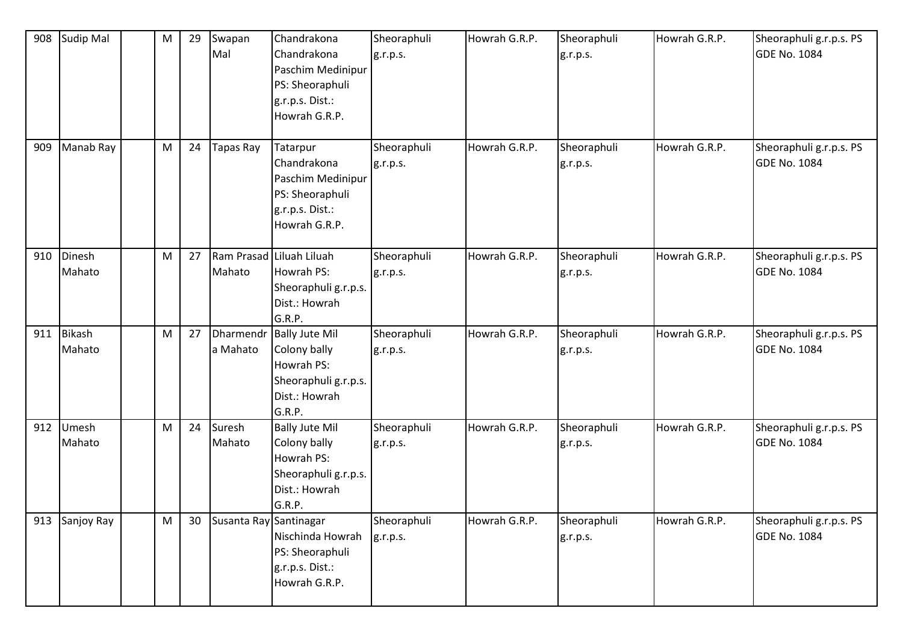| 908 | <b>Sudip Mal</b>        | M | 29 | Swapan<br>Mal          | Chandrakona<br>Chandrakona<br>Paschim Medinipur<br>PS: Sheoraphuli<br>g.r.p.s. Dist.:<br>Howrah G.R.P.    | Sheoraphuli<br>g.r.p.s. | Howrah G.R.P. | Sheoraphuli<br>g.r.p.s. | Howrah G.R.P. | Sheoraphuli g.r.p.s. PS<br><b>GDE No. 1084</b> |
|-----|-------------------------|---|----|------------------------|-----------------------------------------------------------------------------------------------------------|-------------------------|---------------|-------------------------|---------------|------------------------------------------------|
| 909 | Manab Ray               | M | 24 | Tapas Ray              | Tatarpur<br>Chandrakona<br>Paschim Medinipur<br>PS: Sheoraphuli<br>g.r.p.s. Dist.:<br>Howrah G.R.P.       | Sheoraphuli<br>g.r.p.s. | Howrah G.R.P. | Sheoraphuli<br>g.r.p.s. | Howrah G.R.P. | Sheoraphuli g.r.p.s. PS<br><b>GDE No. 1084</b> |
| 910 | Dinesh<br>Mahato        | M | 27 | Mahato                 | Ram Prasad Liluah Liluah<br>Howrah PS:<br>Sheoraphuli g.r.p.s.<br>Dist.: Howrah<br>G.R.P.                 | Sheoraphuli<br>g.r.p.s. | Howrah G.R.P. | Sheoraphuli<br>g.r.p.s. | Howrah G.R.P. | Sheoraphuli g.r.p.s. PS<br><b>GDE No. 1084</b> |
| 911 | <b>Bikash</b><br>Mahato | M | 27 | a Mahato               | Dharmendr Bally Jute Mil<br>Colony bally<br>Howrah PS:<br>Sheoraphuli g.r.p.s.<br>Dist.: Howrah<br>G.R.P. | Sheoraphuli<br>g.r.p.s. | Howrah G.R.P. | Sheoraphuli<br>g.r.p.s. | Howrah G.R.P. | Sheoraphuli g.r.p.s. PS<br><b>GDE No. 1084</b> |
| 912 | Umesh<br>Mahato         | M | 24 | Suresh<br>Mahato       | <b>Bally Jute Mil</b><br>Colony bally<br>Howrah PS:<br>Sheoraphuli g.r.p.s.<br>Dist.: Howrah<br>G.R.P.    | Sheoraphuli<br>g.r.p.s. | Howrah G.R.P. | Sheoraphuli<br>g.r.p.s. | Howrah G.R.P. | Sheoraphuli g.r.p.s. PS<br><b>GDE No. 1084</b> |
| 913 | Sanjoy Ray              | M | 30 | Susanta Ray Santinagar | Nischinda Howrah<br>PS: Sheoraphuli<br>g.r.p.s. Dist.:<br>Howrah G.R.P.                                   | Sheoraphuli<br>g.r.p.s. | Howrah G.R.P. | Sheoraphuli<br>g.r.p.s. | Howrah G.R.P. | Sheoraphuli g.r.p.s. PS<br><b>GDE No. 1084</b> |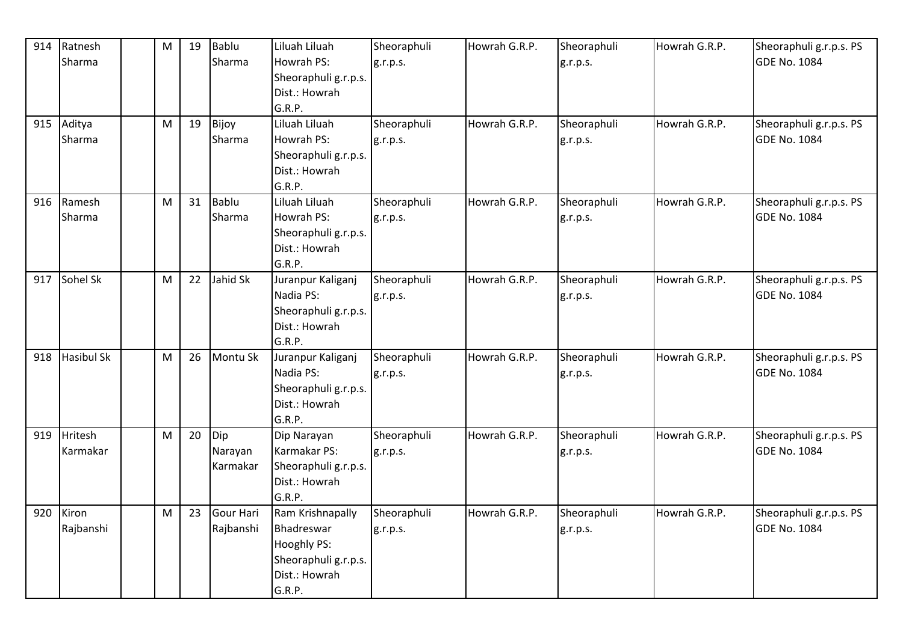| 914 | Ratnesh           | M | 19 | Bablu     | Liluah Liluah        | Sheoraphuli | Howrah G.R.P. | Sheoraphuli | Howrah G.R.P. | Sheoraphuli g.r.p.s. PS |
|-----|-------------------|---|----|-----------|----------------------|-------------|---------------|-------------|---------------|-------------------------|
|     | Sharma            |   |    | Sharma    | Howrah PS:           | g.r.p.s.    |               | g.r.p.s.    |               | <b>GDE No. 1084</b>     |
|     |                   |   |    |           | Sheoraphuli g.r.p.s. |             |               |             |               |                         |
|     |                   |   |    |           | Dist.: Howrah        |             |               |             |               |                         |
|     |                   |   |    |           | G.R.P.               |             |               |             |               |                         |
| 915 | Aditya            | M | 19 | Bijoy     | Liluah Liluah        | Sheoraphuli | Howrah G.R.P. | Sheoraphuli | Howrah G.R.P. | Sheoraphuli g.r.p.s. PS |
|     | Sharma            |   |    | Sharma    | Howrah PS:           |             |               |             |               | <b>GDE No. 1084</b>     |
|     |                   |   |    |           |                      | g.r.p.s.    |               | g.r.p.s.    |               |                         |
|     |                   |   |    |           | Sheoraphuli g.r.p.s. |             |               |             |               |                         |
|     |                   |   |    |           | Dist.: Howrah        |             |               |             |               |                         |
|     |                   |   |    |           | G.R.P.               |             |               |             |               |                         |
| 916 | Ramesh            | M | 31 | Bablu     | Liluah Liluah        | Sheoraphuli | Howrah G.R.P. | Sheoraphuli | Howrah G.R.P. | Sheoraphuli g.r.p.s. PS |
|     | Sharma            |   |    | Sharma    | Howrah PS:           | g.r.p.s.    |               | g.r.p.s.    |               | <b>GDE No. 1084</b>     |
|     |                   |   |    |           | Sheoraphuli g.r.p.s. |             |               |             |               |                         |
|     |                   |   |    |           | Dist.: Howrah        |             |               |             |               |                         |
|     |                   |   |    |           | G.R.P.               |             |               |             |               |                         |
| 917 | Sohel Sk          | M | 22 | Jahid Sk  | Juranpur Kaliganj    | Sheoraphuli | Howrah G.R.P. | Sheoraphuli | Howrah G.R.P. | Sheoraphuli g.r.p.s. PS |
|     |                   |   |    |           | Nadia PS:            | g.r.p.s.    |               | g.r.p.s.    |               | <b>GDE No. 1084</b>     |
|     |                   |   |    |           | Sheoraphuli g.r.p.s. |             |               |             |               |                         |
|     |                   |   |    |           | Dist.: Howrah        |             |               |             |               |                         |
|     |                   |   |    |           | G.R.P.               |             |               |             |               |                         |
| 918 | <b>Hasibul Sk</b> | M | 26 | Montu Sk  | Juranpur Kaliganj    | Sheoraphuli | Howrah G.R.P. | Sheoraphuli | Howrah G.R.P. | Sheoraphuli g.r.p.s. PS |
|     |                   |   |    |           | Nadia PS:            | g.r.p.s.    |               | g.r.p.s.    |               | <b>GDE No. 1084</b>     |
|     |                   |   |    |           | Sheoraphuli g.r.p.s. |             |               |             |               |                         |
|     |                   |   |    |           | Dist.: Howrah        |             |               |             |               |                         |
|     |                   |   |    |           | G.R.P.               |             |               |             |               |                         |
| 919 | <b>Hritesh</b>    | M | 20 | Dip       | Dip Narayan          | Sheoraphuli | Howrah G.R.P. | Sheoraphuli | Howrah G.R.P. | Sheoraphuli g.r.p.s. PS |
|     | Karmakar          |   |    | Narayan   | Karmakar PS:         | g.r.p.s.    |               | g.r.p.s.    |               | <b>GDE No. 1084</b>     |
|     |                   |   |    | Karmakar  | Sheoraphuli g.r.p.s. |             |               |             |               |                         |
|     |                   |   |    |           | Dist.: Howrah        |             |               |             |               |                         |
|     |                   |   |    |           | G.R.P.               |             |               |             |               |                         |
| 920 | Kiron             | M | 23 | Gour Hari | Ram Krishnapally     | Sheoraphuli | Howrah G.R.P. | Sheoraphuli | Howrah G.R.P. | Sheoraphuli g.r.p.s. PS |
|     | Rajbanshi         |   |    | Rajbanshi | Bhadreswar           | g.r.p.s.    |               | g.r.p.s.    |               | <b>GDE No. 1084</b>     |
|     |                   |   |    |           | Hooghly PS:          |             |               |             |               |                         |
|     |                   |   |    |           | Sheoraphuli g.r.p.s. |             |               |             |               |                         |
|     |                   |   |    |           | Dist.: Howrah        |             |               |             |               |                         |
|     |                   |   |    |           | G.R.P.               |             |               |             |               |                         |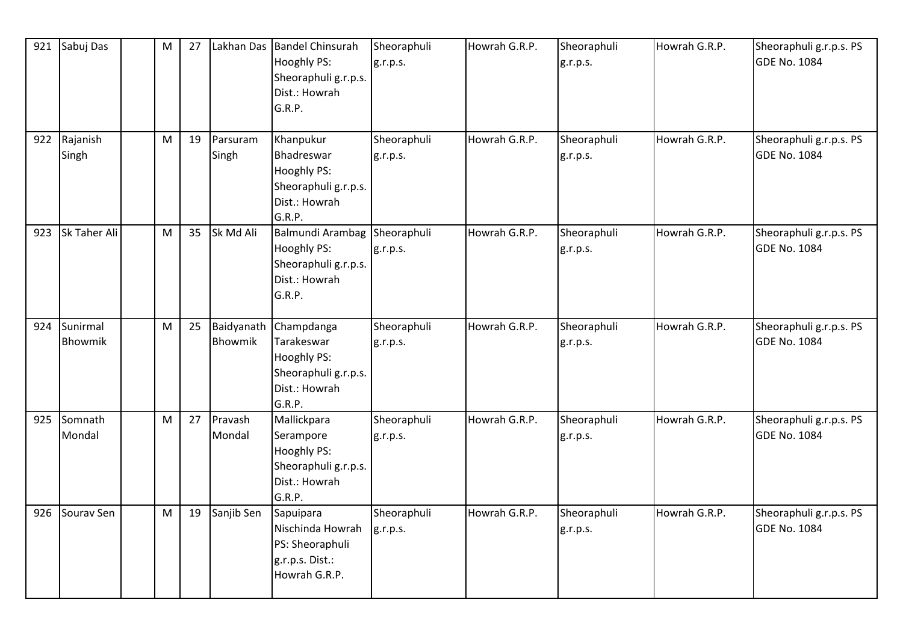| 921 | Sabuj Das             | M | 27 | Lakhan Das            | <b>Bandel Chinsurah</b><br>Hooghly PS:<br>Sheoraphuli g.r.p.s.<br>Dist.: Howrah<br>G.R.P.  | Sheoraphuli<br>g.r.p.s. | Howrah G.R.P. | Sheoraphuli<br>g.r.p.s. | Howrah G.R.P. | Sheoraphuli g.r.p.s. PS<br><b>GDE No. 1084</b> |
|-----|-----------------------|---|----|-----------------------|--------------------------------------------------------------------------------------------|-------------------------|---------------|-------------------------|---------------|------------------------------------------------|
|     | 922 Rajanish<br>Singh | M | 19 | Parsuram<br>Singh     | Khanpukur<br>Bhadreswar<br>Hooghly PS:<br>Sheoraphuli g.r.p.s.<br>Dist.: Howrah<br>G.R.P.  | Sheoraphuli<br>g.r.p.s. | Howrah G.R.P. | Sheoraphuli<br>g.r.p.s. | Howrah G.R.P. | Sheoraphuli g.r.p.s. PS<br><b>GDE No. 1084</b> |
| 923 | Sk Taher Ali          | M | 35 | Sk Md Ali             | Balmundi Arambag<br>Hooghly PS:<br>Sheoraphuli g.r.p.s.<br>Dist.: Howrah<br>G.R.P.         | Sheoraphuli<br>g.r.p.s. | Howrah G.R.P. | Sheoraphuli<br>g.r.p.s. | Howrah G.R.P. | Sheoraphuli g.r.p.s. PS<br><b>GDE No. 1084</b> |
| 924 | Sunirmal<br>Bhowmik   | M | 25 | Baidyanath<br>Bhowmik | Champdanga<br>Tarakeswar<br>Hooghly PS:<br>Sheoraphuli g.r.p.s.<br>Dist.: Howrah<br>G.R.P. | Sheoraphuli<br>g.r.p.s. | Howrah G.R.P. | Sheoraphuli<br>g.r.p.s. | Howrah G.R.P. | Sheoraphuli g.r.p.s. PS<br><b>GDE No. 1084</b> |
| 925 | Somnath<br>Mondal     | M | 27 | Pravash<br>Mondal     | Mallickpara<br>Serampore<br>Hooghly PS:<br>Sheoraphuli g.r.p.s.<br>Dist.: Howrah<br>G.R.P. | Sheoraphuli<br>g.r.p.s. | Howrah G.R.P. | Sheoraphuli<br>g.r.p.s. | Howrah G.R.P. | Sheoraphuli g.r.p.s. PS<br><b>GDE No. 1084</b> |
| 926 | Sourav Sen            | M | 19 | Sanjib Sen            | Sapuipara<br>Nischinda Howrah<br>PS: Sheoraphuli<br>g.r.p.s. Dist.:<br>Howrah G.R.P.       | Sheoraphuli<br>g.r.p.s. | Howrah G.R.P. | Sheoraphuli<br>g.r.p.s. | Howrah G.R.P. | Sheoraphuli g.r.p.s. PS<br><b>GDE No. 1084</b> |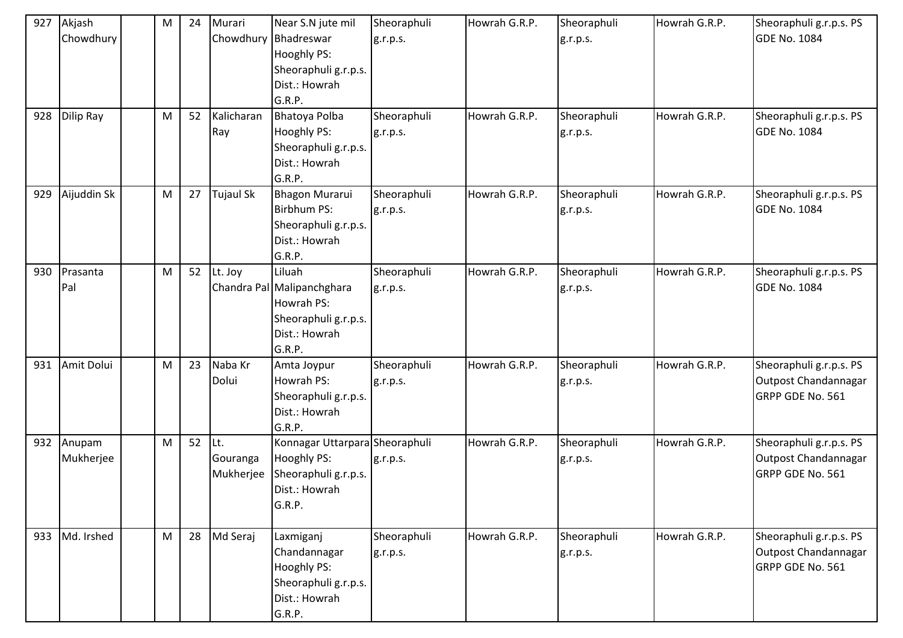| 927<br>928 | Akjash<br>Chowdhury<br>Dilip Ray | M<br>M | 24<br>52 | Murari<br>Chowdhury Bhadreswar<br>Kalicharan | Near S.N jute mil<br><b>Hooghly PS:</b><br>Sheoraphuli g.r.p.s.<br>Dist.: Howrah<br>G.R.P.<br><b>Bhatoya Polba</b> | Sheoraphuli<br>g.r.p.s.<br>Sheoraphuli | Howrah G.R.P.<br>Howrah G.R.P. | Sheoraphuli<br>g.r.p.s.<br>Sheoraphuli | Howrah G.R.P.<br>Howrah G.R.P. | Sheoraphuli g.r.p.s. PS<br><b>GDE No. 1084</b><br>Sheoraphuli g.r.p.s. PS |
|------------|----------------------------------|--------|----------|----------------------------------------------|--------------------------------------------------------------------------------------------------------------------|----------------------------------------|--------------------------------|----------------------------------------|--------------------------------|---------------------------------------------------------------------------|
|            |                                  |        |          | Ray                                          | <b>Hooghly PS:</b><br>Sheoraphuli g.r.p.s.<br>Dist.: Howrah<br>G.R.P.                                              | g.r.p.s.                               |                                | g.r.p.s.                               |                                | <b>GDE No. 1084</b>                                                       |
| 929        | Aijuddin Sk                      | M      | 27       | <b>Tujaul Sk</b>                             | <b>Bhagon Murarui</b><br>Birbhum PS:<br>Sheoraphuli g.r.p.s.<br>Dist.: Howrah<br>G.R.P.                            | Sheoraphuli<br>g.r.p.s.                | Howrah G.R.P.                  | Sheoraphuli<br>g.r.p.s.                | Howrah G.R.P.                  | Sheoraphuli g.r.p.s. PS<br><b>GDE No. 1084</b>                            |
| 930        | Prasanta<br>Pal                  | M      | 52       | Lt. Joy                                      | Liluah<br>Chandra Pal Malipanchghara<br>Howrah PS:<br>Sheoraphuli g.r.p.s.<br>Dist.: Howrah<br>G.R.P.              | Sheoraphuli<br>g.r.p.s.                | Howrah G.R.P.                  | Sheoraphuli<br>g.r.p.s.                | Howrah G.R.P.                  | Sheoraphuli g.r.p.s. PS<br><b>GDE No. 1084</b>                            |
| 931        | Amit Dolui                       | M      | 23       | Naba Kr<br>Dolui                             | Amta Joypur<br>Howrah PS:<br>Sheoraphuli g.r.p.s.<br>Dist.: Howrah<br>G.R.P.                                       | Sheoraphuli<br>g.r.p.s.                | Howrah G.R.P.                  | Sheoraphuli<br>g.r.p.s.                | Howrah G.R.P.                  | Sheoraphuli g.r.p.s. PS<br>Outpost Chandannagar<br>GRPP GDE No. 561       |
| 932        | Anupam<br>Mukherjee              | M      | 52       | Lt.<br>Gouranga<br>Mukherjee                 | Konnagar Uttarpara Sheoraphuli<br><b>Hooghly PS:</b><br>Sheoraphuli g.r.p.s.<br>Dist.: Howrah<br>G.R.P.            | g.r.p.s.                               | Howrah G.R.P.                  | Sheoraphuli<br>g.r.p.s.                | Howrah G.R.P.                  | Sheoraphuli g.r.p.s. PS<br>Outpost Chandannagar<br>GRPP GDE No. 561       |
| 933        | Md. Irshed                       | M      | 28       | Md Seraj                                     | Laxmiganj<br>Chandannagar<br><b>Hooghly PS:</b><br>Sheoraphuli g.r.p.s.<br>Dist.: Howrah<br>G.R.P.                 | Sheoraphuli<br>g.r.p.s.                | Howrah G.R.P.                  | Sheoraphuli<br>g.r.p.s.                | Howrah G.R.P.                  | Sheoraphuli g.r.p.s. PS<br>Outpost Chandannagar<br>GRPP GDE No. 561       |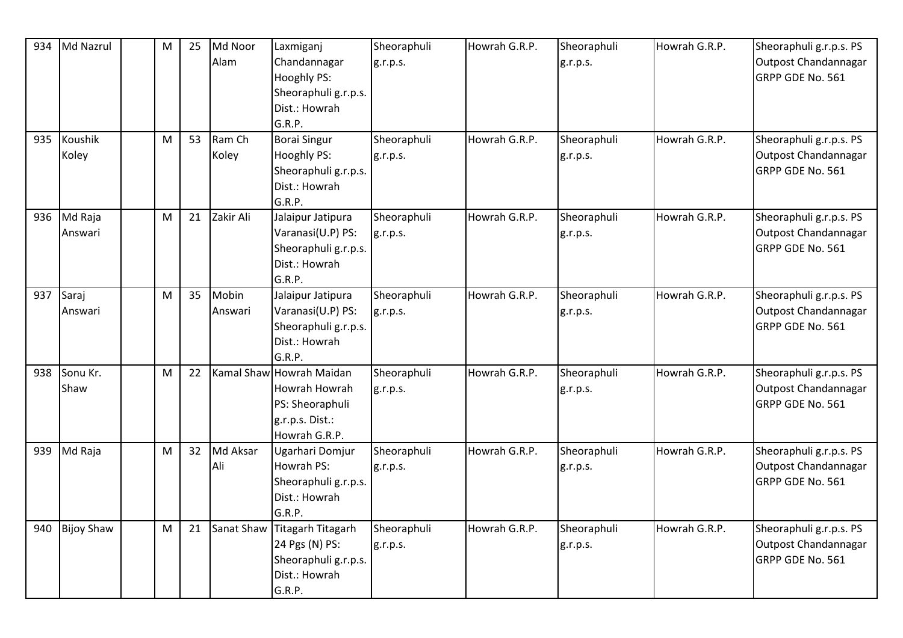| 934 | Md Nazrul         | M | 25 | Md Noor    | Laxmiganj                | Sheoraphuli | Howrah G.R.P. | Sheoraphuli | Howrah G.R.P. | Sheoraphuli g.r.p.s. PS |
|-----|-------------------|---|----|------------|--------------------------|-------------|---------------|-------------|---------------|-------------------------|
|     |                   |   |    | Alam       | Chandannagar             | g.r.p.s.    |               | g.r.p.s.    |               | Outpost Chandannagar    |
|     |                   |   |    |            | Hooghly PS:              |             |               |             |               | GRPP GDE No. 561        |
|     |                   |   |    |            | Sheoraphuli g.r.p.s.     |             |               |             |               |                         |
|     |                   |   |    |            | Dist.: Howrah            |             |               |             |               |                         |
|     |                   |   |    |            | G.R.P.                   |             |               |             |               |                         |
| 935 | Koushik           | M | 53 | Ram Ch     | <b>Borai Singur</b>      | Sheoraphuli | Howrah G.R.P. | Sheoraphuli | Howrah G.R.P. | Sheoraphuli g.r.p.s. PS |
|     | Koley             |   |    | Koley      | Hooghly PS:              | g.r.p.s.    |               | g.r.p.s.    |               | Outpost Chandannagar    |
|     |                   |   |    |            | Sheoraphuli g.r.p.s.     |             |               |             |               | GRPP GDE No. 561        |
|     |                   |   |    |            | Dist.: Howrah            |             |               |             |               |                         |
|     |                   |   |    |            | G.R.P.                   |             |               |             |               |                         |
| 936 | Md Raja           | M | 21 | Zakir Ali  | Jalaipur Jatipura        | Sheoraphuli | Howrah G.R.P. | Sheoraphuli | Howrah G.R.P. | Sheoraphuli g.r.p.s. PS |
|     | Answari           |   |    |            | Varanasi(U.P) PS:        | g.r.p.s.    |               | g.r.p.s.    |               | Outpost Chandannagar    |
|     |                   |   |    |            | Sheoraphuli g.r.p.s.     |             |               |             |               | GRPP GDE No. 561        |
|     |                   |   |    |            | Dist.: Howrah            |             |               |             |               |                         |
|     |                   |   |    |            | G.R.P.                   |             |               |             |               |                         |
| 937 | Saraj             | M | 35 | Mobin      | Jalaipur Jatipura        | Sheoraphuli | Howrah G.R.P. | Sheoraphuli | Howrah G.R.P. | Sheoraphuli g.r.p.s. PS |
|     | Answari           |   |    | Answari    | Varanasi(U.P) PS:        | g.r.p.s.    |               | g.r.p.s.    |               | Outpost Chandannagar    |
|     |                   |   |    |            | Sheoraphuli g.r.p.s.     |             |               |             |               | GRPP GDE No. 561        |
|     |                   |   |    |            | Dist.: Howrah            |             |               |             |               |                         |
|     |                   |   |    |            | G.R.P.                   |             |               |             |               |                         |
| 938 | Sonu Kr.          | M | 22 |            | Kamal Shaw Howrah Maidan | Sheoraphuli | Howrah G.R.P. | Sheoraphuli | Howrah G.R.P. | Sheoraphuli g.r.p.s. PS |
|     | Shaw              |   |    |            | Howrah Howrah            | g.r.p.s.    |               | g.r.p.s.    |               | Outpost Chandannagar    |
|     |                   |   |    |            | PS: Sheoraphuli          |             |               |             |               | GRPP GDE No. 561        |
|     |                   |   |    |            | g.r.p.s. Dist.:          |             |               |             |               |                         |
|     |                   |   |    |            | Howrah G.R.P.            |             |               |             |               |                         |
| 939 | Md Raja           | M | 32 | Md Aksar   | Ugarhari Domjur          | Sheoraphuli | Howrah G.R.P. | Sheoraphuli | Howrah G.R.P. | Sheoraphuli g.r.p.s. PS |
|     |                   |   |    | Ali        | Howrah PS:               | g.r.p.s.    |               | g.r.p.s.    |               | Outpost Chandannagar    |
|     |                   |   |    |            | Sheoraphuli g.r.p.s.     |             |               |             |               | GRPP GDE No. 561        |
|     |                   |   |    |            | Dist.: Howrah            |             |               |             |               |                         |
|     |                   |   |    |            | G.R.P.                   |             |               |             |               |                         |
| 940 | <b>Bijoy Shaw</b> | M | 21 | Sanat Shaw | <b>Titagarh Titagarh</b> | Sheoraphuli | Howrah G.R.P. | Sheoraphuli | Howrah G.R.P. | Sheoraphuli g.r.p.s. PS |
|     |                   |   |    |            | 24 Pgs (N) PS:           | g.r.p.s.    |               | g.r.p.s.    |               | Outpost Chandannagar    |
|     |                   |   |    |            | Sheoraphuli g.r.p.s.     |             |               |             |               | GRPP GDE No. 561        |
|     |                   |   |    |            | Dist.: Howrah            |             |               |             |               |                         |
|     |                   |   |    |            | G.R.P.                   |             |               |             |               |                         |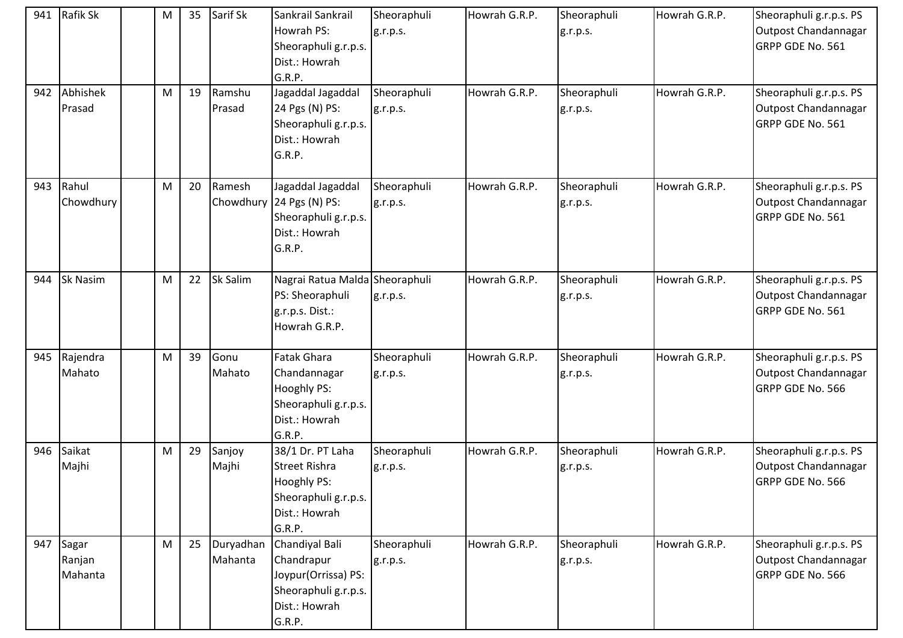| 941 | Rafik Sk                   | M | 35 | Sarif Sk             | Sankrail Sankrail<br>Howrah PS:<br>Sheoraphuli g.r.p.s.<br>Dist.: Howrah<br>G.R.P.                         | Sheoraphuli<br>g.r.p.s. | Howrah G.R.P. | Sheoraphuli<br>g.r.p.s. | Howrah G.R.P. | Sheoraphuli g.r.p.s. PS<br>Outpost Chandannagar<br>GRPP GDE No. 561 |
|-----|----------------------------|---|----|----------------------|------------------------------------------------------------------------------------------------------------|-------------------------|---------------|-------------------------|---------------|---------------------------------------------------------------------|
| 942 | Abhishek<br>Prasad         | M | 19 | Ramshu<br>Prasad     | Jagaddal Jagaddal<br>24 Pgs (N) PS:<br>Sheoraphuli g.r.p.s.<br>Dist.: Howrah<br>G.R.P.                     | Sheoraphuli<br>g.r.p.s. | Howrah G.R.P. | Sheoraphuli<br>g.r.p.s. | Howrah G.R.P. | Sheoraphuli g.r.p.s. PS<br>Outpost Chandannagar<br>GRPP GDE No. 561 |
| 943 | Rahul<br>Chowdhury         | M | 20 | Ramesh               | Jagaddal Jagaddal<br>Chowdhury 24 Pgs (N) PS:<br>Sheoraphuli g.r.p.s.<br>Dist.: Howrah<br>G.R.P.           | Sheoraphuli<br>g.r.p.s. | Howrah G.R.P. | Sheoraphuli<br>g.r.p.s. | Howrah G.R.P. | Sheoraphuli g.r.p.s. PS<br>Outpost Chandannagar<br>GRPP GDE No. 561 |
| 944 | <b>Sk Nasim</b>            | M | 22 | Sk Salim             | Nagrai Ratua Malda Sheoraphuli<br>PS: Sheoraphuli<br>g.r.p.s. Dist.:<br>Howrah G.R.P.                      | g.r.p.s.                | Howrah G.R.P. | Sheoraphuli<br>g.r.p.s. | Howrah G.R.P. | Sheoraphuli g.r.p.s. PS<br>Outpost Chandannagar<br>GRPP GDE No. 561 |
| 945 | Rajendra<br>Mahato         | M | 39 | Gonu<br>Mahato       | <b>Fatak Ghara</b><br>Chandannagar<br>Hooghly PS:<br>Sheoraphuli g.r.p.s.<br>Dist.: Howrah<br>G.R.P.       | Sheoraphuli<br>g.r.p.s. | Howrah G.R.P. | Sheoraphuli<br>g.r.p.s. | Howrah G.R.P. | Sheoraphuli g.r.p.s. PS<br>Outpost Chandannagar<br>GRPP GDE No. 566 |
|     | 946 Saikat<br>Majhi        | M | 29 | Sanjoy<br>Majhi      | 38/1 Dr. PT Laha<br><b>Street Rishra</b><br>Hooghly PS:<br>Sheoraphuli g.r.p.s.<br>Dist.: Howrah<br>G.R.P. | Sheoraphuli<br>g.r.p.s. | Howrah G.R.P. | Sheoraphuli<br>g.r.p.s. | Howrah G.R.P. | Sheoraphuli g.r.p.s. PS<br>Outpost Chandannagar<br>GRPP GDE No. 566 |
| 947 | Sagar<br>Ranjan<br>Mahanta | M | 25 | Duryadhan<br>Mahanta | Chandiyal Bali<br>Chandrapur<br>Joypur(Orrissa) PS:<br>Sheoraphuli g.r.p.s.<br>Dist.: Howrah<br>G.R.P.     | Sheoraphuli<br>g.r.p.s. | Howrah G.R.P. | Sheoraphuli<br>g.r.p.s. | Howrah G.R.P. | Sheoraphuli g.r.p.s. PS<br>Outpost Chandannagar<br>GRPP GDE No. 566 |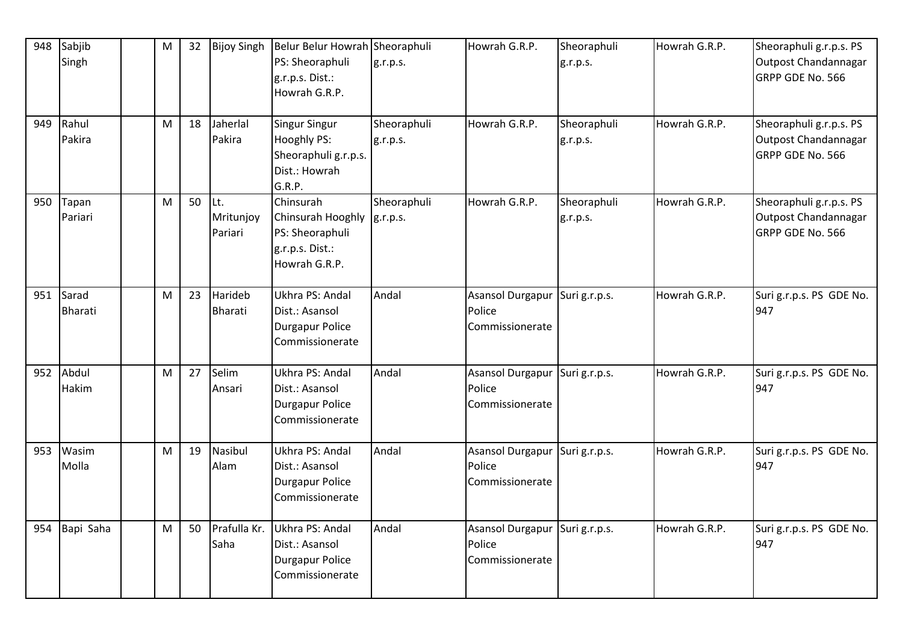| 948 | Sabjib<br>Singh           | M | 32 | <b>Bijoy Singh</b>          | Belur Belur Howrah Sheoraphuli<br>PS: Sheoraphuli<br>g.r.p.s. Dist.:<br>Howrah G.R.P.  | g.r.p.s.                | Howrah G.R.P.                                               | Sheoraphuli<br>g.r.p.s. | Howrah G.R.P. | Sheoraphuli g.r.p.s. PS<br>Outpost Chandannagar<br>GRPP GDE No. 566 |
|-----|---------------------------|---|----|-----------------------------|----------------------------------------------------------------------------------------|-------------------------|-------------------------------------------------------------|-------------------------|---------------|---------------------------------------------------------------------|
| 949 | Rahul<br>Pakira           | M | 18 | Jaherlal<br>Pakira          | <b>Singur Singur</b><br>Hooghly PS:<br>Sheoraphuli g.r.p.s.<br>Dist.: Howrah<br>G.R.P. | Sheoraphuli<br>g.r.p.s. | Howrah G.R.P.                                               | Sheoraphuli<br>g.r.p.s. | Howrah G.R.P. | Sheoraphuli g.r.p.s. PS<br>Outpost Chandannagar<br>GRPP GDE No. 566 |
| 950 | Tapan<br>Pariari          | M | 50 | Lt.<br>Mritunjoy<br>Pariari | Chinsurah<br>Chinsurah Hooghly<br>PS: Sheoraphuli<br>g.r.p.s. Dist.:<br>Howrah G.R.P.  | Sheoraphuli<br>g.r.p.s. | Howrah G.R.P.                                               | Sheoraphuli<br>g.r.p.s. | Howrah G.R.P. | Sheoraphuli g.r.p.s. PS<br>Outpost Chandannagar<br>GRPP GDE No. 566 |
| 951 | Sarad<br><b>Bharati</b>   | M | 23 | Harideb<br><b>Bharati</b>   | Ukhra PS: Andal<br>Dist.: Asansol<br><b>Durgapur Police</b><br>Commissionerate         | Andal                   | Asansol Durgapur Suri g.r.p.s.<br>Police<br>Commissionerate |                         | Howrah G.R.P. | Suri g.r.p.s. PS GDE No.<br>947                                     |
|     | 952 Abdul<br><b>Hakim</b> | M | 27 | Selim<br>Ansari             | Ukhra PS: Andal<br>Dist.: Asansol<br><b>Durgapur Police</b><br>Commissionerate         | Andal                   | Asansol Durgapur Suri g.r.p.s.<br>Police<br>Commissionerate |                         | Howrah G.R.P. | Suri g.r.p.s. PS GDE No.<br>947                                     |
| 953 | Wasim<br>Molla            | M | 19 | Nasibul<br>Alam             | Ukhra PS: Andal<br>Dist.: Asansol<br><b>Durgapur Police</b><br>Commissionerate         | Andal                   | Asansol Durgapur<br>Police<br>Commissionerate               | Suri g.r.p.s.           | Howrah G.R.P. | Suri g.r.p.s. PS GDE No.<br>947                                     |
| 954 | Bapi Saha                 | M | 50 | Prafulla Kr.<br>Saha        | Ukhra PS: Andal<br>Dist.: Asansol<br><b>Durgapur Police</b><br>Commissionerate         | Andal                   | Asansol Durgapur Suri g.r.p.s.<br>Police<br>Commissionerate |                         | Howrah G.R.P. | Suri g.r.p.s. PS GDE No.<br>947                                     |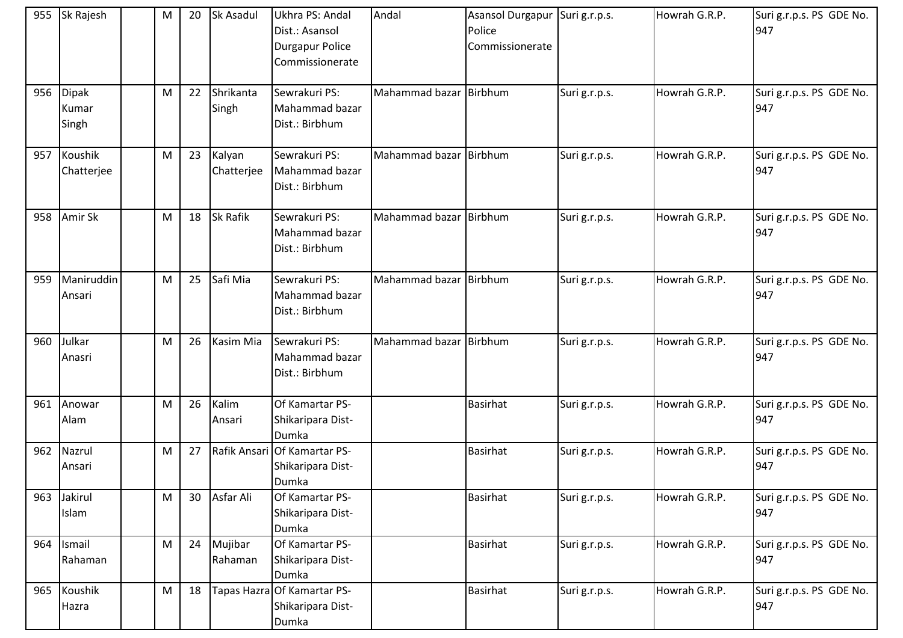|     | 955 Sk Rajesh               | M | 20 | Sk Asadul            | Ukhra PS: Andal<br>Dist.: Asansol<br>Durgapur Police<br>Commissionerate | Andal                  | Asansol Durgapur Suri g.r.p.s.<br>Police<br>Commissionerate |               | Howrah G.R.P. | Suri g.r.p.s. PS GDE No.<br>947 |
|-----|-----------------------------|---|----|----------------------|-------------------------------------------------------------------------|------------------------|-------------------------------------------------------------|---------------|---------------|---------------------------------|
|     | 956 Dipak<br>Kumar<br>Singh | M | 22 | Shrikanta<br>Singh   | Sewrakuri PS:<br>Mahammad bazar<br>Dist.: Birbhum                       | Mahammad bazar Birbhum |                                                             | Suri g.r.p.s. | Howrah G.R.P. | Suri g.r.p.s. PS GDE No.<br>947 |
|     | 957 Koushik<br>Chatterjee   | M | 23 | Kalyan<br>Chatterjee | Sewrakuri PS:<br>Mahammad bazar<br>Dist.: Birbhum                       | Mahammad bazar Birbhum |                                                             | Suri g.r.p.s. | Howrah G.R.P. | Suri g.r.p.s. PS GDE No.<br>947 |
| 958 | Amir Sk                     | M | 18 | Sk Rafik             | Sewrakuri PS:<br>Mahammad bazar<br>Dist.: Birbhum                       | Mahammad bazar Birbhum |                                                             | Suri g.r.p.s. | Howrah G.R.P. | Suri g.r.p.s. PS GDE No.<br>947 |
| 959 | Maniruddin<br>Ansari        | M | 25 | Safi Mia             | Sewrakuri PS:<br>Mahammad bazar<br>Dist.: Birbhum                       | Mahammad bazar Birbhum |                                                             | Suri g.r.p.s. | Howrah G.R.P. | Suri g.r.p.s. PS GDE No.<br>947 |
|     | 960 Julkar<br>Anasri        | M | 26 | Kasim Mia            | Sewrakuri PS:<br>Mahammad bazar<br>Dist.: Birbhum                       | Mahammad bazar Birbhum |                                                             | Suri g.r.p.s. | Howrah G.R.P. | Suri g.r.p.s. PS GDE No.<br>947 |
| 961 | Anowar<br>Alam              | M | 26 | Kalim<br>Ansari      | Of Kamartar PS-<br>Shikaripara Dist-<br>Dumka                           |                        | <b>Basirhat</b>                                             | Suri g.r.p.s. | Howrah G.R.P. | Suri g.r.p.s. PS GDE No.<br>947 |
| 962 | Nazrul<br>Ansari            | M | 27 | Rafik Ansari         | Of Kamartar PS-<br>Shikaripara Dist-<br>Dumka                           |                        | <b>Basirhat</b>                                             | Suri g.r.p.s. | Howrah G.R.P. | Suri g.r.p.s. PS GDE No.<br>947 |
| 963 | Jakirul<br>Islam            | M | 30 | Asfar Ali            | Of Kamartar PS-<br>Shikaripara Dist-<br>Dumka                           |                        | <b>Basirhat</b>                                             | Suri g.r.p.s. | Howrah G.R.P. | Suri g.r.p.s. PS GDE No.<br>947 |
| 964 | Ismail<br>Rahaman           | M | 24 | Mujibar<br>Rahaman   | Of Kamartar PS-<br>Shikaripara Dist-<br>Dumka                           |                        | <b>Basirhat</b>                                             | Suri g.r.p.s. | Howrah G.R.P. | Suri g.r.p.s. PS GDE No.<br>947 |
| 965 | Koushik<br>Hazra            | M | 18 |                      | Tapas Hazra Of Kamartar PS-<br>Shikaripara Dist-<br>Dumka               |                        | <b>Basirhat</b>                                             | Suri g.r.p.s. | Howrah G.R.P. | Suri g.r.p.s. PS GDE No.<br>947 |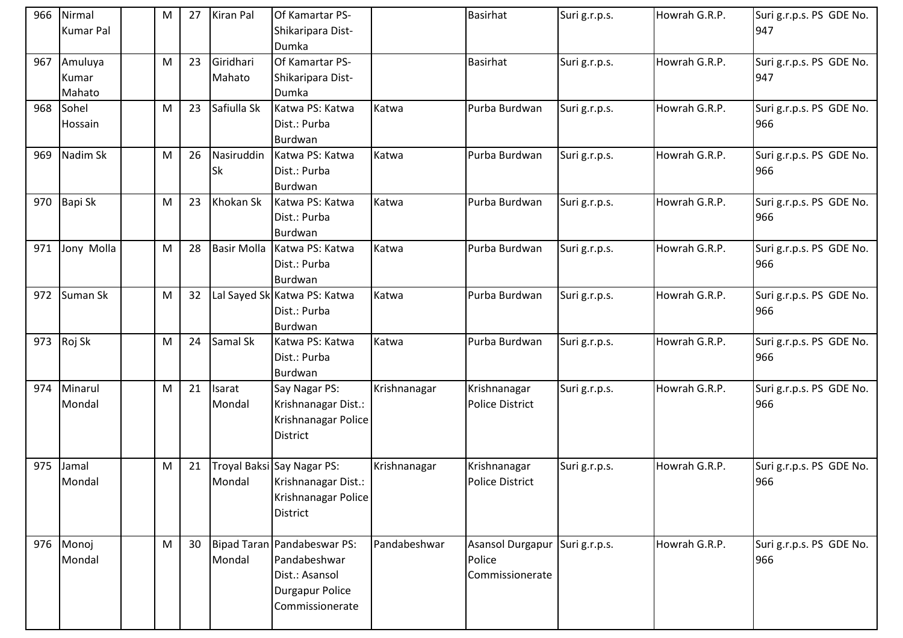| 966 | Nirmal<br><b>Kumar Pal</b> | M | 27              | <b>Kiran Pal</b>    | Of Kamartar PS-<br>Shikaripara Dist-                                                                       |              | Basirhat                                             | Suri g.r.p.s. | Howrah G.R.P. | Suri g.r.p.s. PS GDE No.<br>947 |
|-----|----------------------------|---|-----------------|---------------------|------------------------------------------------------------------------------------------------------------|--------------|------------------------------------------------------|---------------|---------------|---------------------------------|
|     |                            |   |                 |                     | Dumka                                                                                                      |              |                                                      |               |               |                                 |
| 967 | Amuluya<br>Kumar<br>Mahato | M | 23              | Giridhari<br>Mahato | Of Kamartar PS-<br>Shikaripara Dist-<br>Dumka                                                              |              | Basirhat                                             | Suri g.r.p.s. | Howrah G.R.P. | Suri g.r.p.s. PS GDE No.<br>947 |
| 968 | Sohel<br>Hossain           | M | 23              | Safiulla Sk         | Katwa PS: Katwa<br>Dist.: Purba<br>Burdwan                                                                 | Katwa        | Purba Burdwan                                        | Suri g.r.p.s. | Howrah G.R.P. | Suri g.r.p.s. PS GDE No.<br>966 |
| 969 | Nadim Sk                   | M | 26              | Nasiruddin<br>Sk    | Katwa PS: Katwa<br>Dist.: Purba<br>Burdwan                                                                 | Katwa        | Purba Burdwan                                        | Suri g.r.p.s. | Howrah G.R.P. | Suri g.r.p.s. PS GDE No.<br>966 |
| 970 | Bapi Sk                    | M | 23              | Khokan Sk           | Katwa PS: Katwa<br>Dist.: Purba<br>Burdwan                                                                 | Katwa        | Purba Burdwan                                        | Suri g.r.p.s. | Howrah G.R.P. | Suri g.r.p.s. PS GDE No.<br>966 |
| 971 | Jony Molla                 | M | 28              | <b>Basir Molla</b>  | Katwa PS: Katwa<br>Dist.: Purba<br>Burdwan                                                                 | Katwa        | Purba Burdwan                                        | Suri g.r.p.s. | Howrah G.R.P. | Suri g.r.p.s. PS GDE No.<br>966 |
| 972 | Suman Sk                   | M | 32              |                     | Lal Sayed Sk Katwa PS: Katwa<br>Dist.: Purba<br>Burdwan                                                    | Katwa        | Purba Burdwan                                        | Suri g.r.p.s. | Howrah G.R.P. | Suri g.r.p.s. PS GDE No.<br>966 |
|     | 973 Roj Sk                 | M | 24              | Samal Sk            | Katwa PS: Katwa<br>Dist.: Purba<br>Burdwan                                                                 | Katwa        | Purba Burdwan                                        | Suri g.r.p.s. | Howrah G.R.P. | Suri g.r.p.s. PS GDE No.<br>966 |
| 974 | Minarul<br>Mondal          | M | 21              | Isarat<br>Mondal    | Say Nagar PS:<br>Krishnanagar Dist.:<br>Krishnanagar Police<br><b>District</b>                             | Krishnanagar | Krishnanagar<br><b>Police District</b>               | Suri g.r.p.s. | Howrah G.R.P. | Suri g.r.p.s. PS GDE No.<br>966 |
| 975 | Jamal<br>Mondal            | M | 21              | Mondal              | Troyal Baksi Say Nagar PS:<br>Krishnanagar Dist.:<br>Krishnanagar Police<br><b>District</b>                | Krishnanagar | Krishnanagar<br><b>Police District</b>               | Suri g.r.p.s. | Howrah G.R.P. | Suri g.r.p.s. PS GDE No.<br>966 |
| 976 | Monoj<br>Mondal            | M | 30 <sup>°</sup> | Mondal              | Bipad Taran Pandabeswar PS:<br>Pandabeshwar<br>Dist.: Asansol<br><b>Durgapur Police</b><br>Commissionerate | Pandabeshwar | <b>Asansol Durgapur</b><br>Police<br>Commissionerate | Suri g.r.p.s. | Howrah G.R.P. | Suri g.r.p.s. PS GDE No.<br>966 |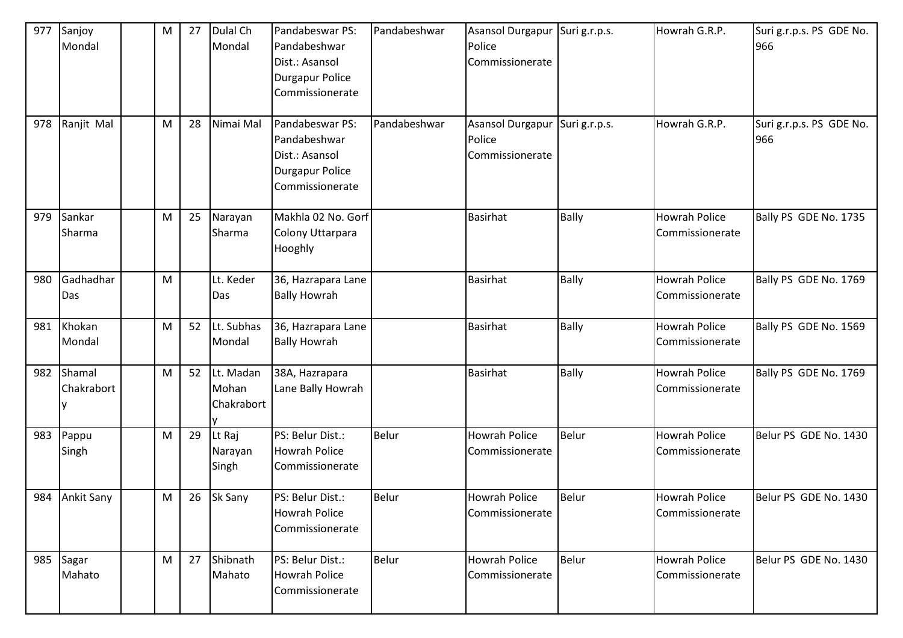| 977 | Sanjoy<br>Mondal     | ${\sf M}$ | 27 | Dulal Ch<br>Mondal               | Pandabeswar PS:<br>Pandabeshwar<br>Dist.: Asansol<br><b>Durgapur Police</b><br>Commissionerate | Pandabeshwar | Asansol Durgapur<br>Police<br>Commissionerate | Suri g.r.p.s. | Howrah G.R.P.                           | Suri g.r.p.s. PS GDE No.<br>966 |
|-----|----------------------|-----------|----|----------------------------------|------------------------------------------------------------------------------------------------|--------------|-----------------------------------------------|---------------|-----------------------------------------|---------------------------------|
| 978 | Ranjit Mal           | M         | 28 | Nimai Mal                        | Pandabeswar PS:<br>Pandabeshwar<br>Dist.: Asansol<br><b>Durgapur Police</b><br>Commissionerate | Pandabeshwar | Asansol Durgapur<br>Police<br>Commissionerate | Suri g.r.p.s. | Howrah G.R.P.                           | Suri g.r.p.s. PS GDE No.<br>966 |
| 979 | Sankar<br>Sharma     | ${\sf M}$ | 25 | Narayan<br>Sharma                | Makhla 02 No. Gorf<br>Colony Uttarpara<br>Hooghly                                              |              | <b>Basirhat</b>                               | <b>Bally</b>  | <b>Howrah Police</b><br>Commissionerate | Bally PS GDE No. 1735           |
| 980 | Gadhadhar<br>Das     | ${\sf M}$ |    | Lt. Keder<br>Das                 | 36, Hazrapara Lane<br><b>Bally Howrah</b>                                                      |              | <b>Basirhat</b>                               | <b>Bally</b>  | <b>Howrah Police</b><br>Commissionerate | Bally PS GDE No. 1769           |
| 981 | Khokan<br>Mondal     | ${\sf M}$ | 52 | Lt. Subhas<br>Mondal             | 36, Hazrapara Lane<br><b>Bally Howrah</b>                                                      |              | <b>Basirhat</b>                               | <b>Bally</b>  | <b>Howrah Police</b><br>Commissionerate | Bally PS GDE No. 1569           |
| 982 | Shamal<br>Chakrabort | M         | 52 | Lt. Madan<br>Mohan<br>Chakrabort | 38A, Hazrapara<br>Lane Bally Howrah                                                            |              | <b>Basirhat</b>                               | Bally         | <b>Howrah Police</b><br>Commissionerate | Bally PS GDE No. 1769           |
| 983 | Pappu<br>Singh       | ${\sf M}$ | 29 | Lt Raj<br>Narayan<br>Singh       | PS: Belur Dist.:<br><b>Howrah Police</b><br>Commissionerate                                    | <b>Belur</b> | <b>Howrah Police</b><br>Commissionerate       | Belur         | <b>Howrah Police</b><br>Commissionerate | Belur PS GDE No. 1430           |
|     | 984 Ankit Sany       | M         | 26 | Sk Sany                          | PS: Belur Dist.:<br><b>Howrah Police</b><br>Commissionerate                                    | <b>Belur</b> | <b>Howrah Police</b><br>Commissionerate       | Belur         | <b>Howrah Police</b><br>Commissionerate | Belur PS GDE No. 1430           |
| 985 | Sagar<br>Mahato      | M         | 27 | Shibnath<br>Mahato               | PS: Belur Dist.:<br><b>Howrah Police</b><br>Commissionerate                                    | <b>Belur</b> | Howrah Police<br>Commissionerate              | Belur         | Howrah Police<br>Commissionerate        | Belur PS GDE No. 1430           |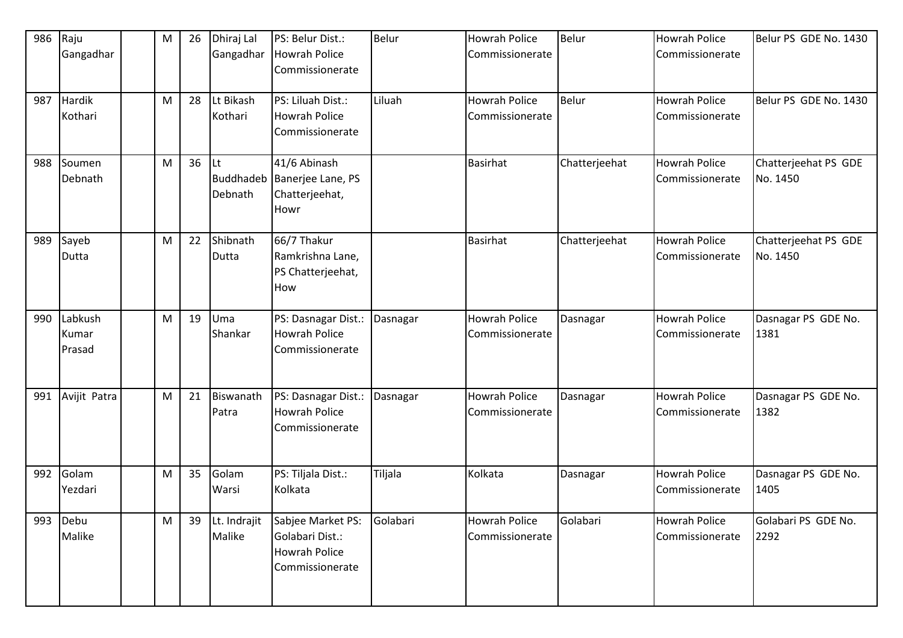| 986 | Raju<br>Gangadhar          | M | 26 | Dhiraj Lal<br>Gangadhar | PS: Belur Dist.:<br><b>Howrah Police</b><br>Commissionerate                     | Belur    | <b>Howrah Police</b><br>Commissionerate | Belur         | <b>Howrah Police</b><br>Commissionerate | Belur PS GDE No. 1430            |
|-----|----------------------------|---|----|-------------------------|---------------------------------------------------------------------------------|----------|-----------------------------------------|---------------|-----------------------------------------|----------------------------------|
| 987 | Hardik<br>Kothari          | M | 28 | Lt Bikash<br>Kothari    | PS: Liluah Dist.:<br><b>Howrah Police</b><br>Commissionerate                    | Liluah   | <b>Howrah Police</b><br>Commissionerate | Belur         | <b>Howrah Police</b><br>Commissionerate | Belur PS GDE No. 1430            |
| 988 | Soumen<br>Debnath          | M | 36 | Lt<br>Debnath           | 41/6 Abinash<br>Buddhadeb   Banerjee Lane, PS<br>Chatterjeehat,<br>Howr         |          | <b>Basirhat</b>                         | Chatterjeehat | <b>Howrah Police</b><br>Commissionerate | Chatterjeehat PS GDE<br>No. 1450 |
| 989 | Sayeb<br>Dutta             | M | 22 | Shibnath<br>Dutta       | 66/7 Thakur<br>Ramkrishna Lane,<br>PS Chatterjeehat,<br>How                     |          | <b>Basirhat</b>                         | Chatterjeehat | <b>Howrah Police</b><br>Commissionerate | Chatterjeehat PS GDE<br>No. 1450 |
| 990 | Labkush<br>Kumar<br>Prasad | M | 19 | Uma<br>Shankar          | PS: Dasnagar Dist.:<br><b>Howrah Police</b><br>Commissionerate                  | Dasnagar | <b>Howrah Police</b><br>Commissionerate | Dasnagar      | <b>Howrah Police</b><br>Commissionerate | Dasnagar PS GDE No.<br>1381      |
| 991 | Avijit Patra               | M | 21 | Biswanath<br>Patra      | PS: Dasnagar Dist.:<br><b>Howrah Police</b><br>Commissionerate                  | Dasnagar | <b>Howrah Police</b><br>Commissionerate | Dasnagar      | <b>Howrah Police</b><br>Commissionerate | Dasnagar PS GDE No.<br>1382      |
| 992 | Golam<br>Yezdari           | M | 35 | Golam<br>Warsi          | PS: Tiljala Dist.:<br>Kolkata                                                   | Tiljala  | Kolkata                                 | Dasnagar      | <b>Howrah Police</b><br>Commissionerate | Dasnagar PS GDE No.<br>1405      |
| 993 | Debu<br>Malike             | M | 39 | Lt. Indrajit<br>Malike  | Sabjee Market PS:<br>Golabari Dist.:<br><b>Howrah Police</b><br>Commissionerate | Golabari | Howrah Police<br>Commissionerate        | Golabari      | <b>Howrah Police</b><br>Commissionerate | Golabari PS GDE No.<br>2292      |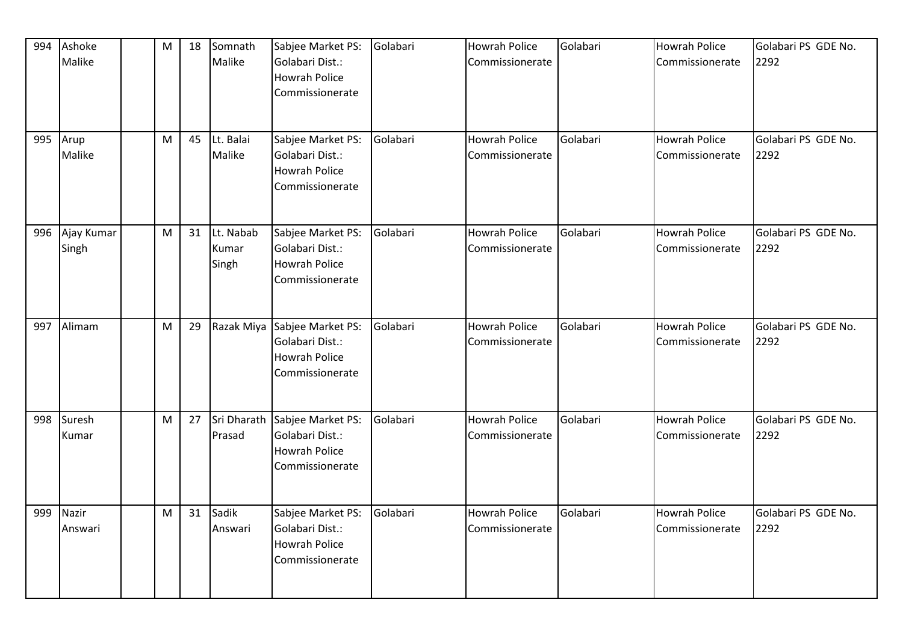| 994 | Ashoke<br>Malike    | M | 18 | Somnath<br>Malike           | Sabjee Market PS:<br>Golabari Dist.:<br><b>Howrah Police</b><br>Commissionerate | Golabari | Howrah Police<br>Commissionerate        | Golabari | <b>Howrah Police</b><br>Commissionerate | Golabari PS GDE No.<br>2292 |
|-----|---------------------|---|----|-----------------------------|---------------------------------------------------------------------------------|----------|-----------------------------------------|----------|-----------------------------------------|-----------------------------|
|     | 995 Arup<br>Malike  | M | 45 | Lt. Balai<br>Malike         | Sabjee Market PS:<br>Golabari Dist.:<br><b>Howrah Police</b><br>Commissionerate | Golabari | Howrah Police<br>Commissionerate        | Golabari | <b>Howrah Police</b><br>Commissionerate | Golabari PS GDE No.<br>2292 |
| 996 | Ajay Kumar<br>Singh | M | 31 | Lt. Nabab<br>Kumar<br>Singh | Sabjee Market PS:<br>Golabari Dist.:<br>Howrah Police<br>Commissionerate        | Golabari | <b>Howrah Police</b><br>Commissionerate | Golabari | Howrah Police<br>Commissionerate        | Golabari PS GDE No.<br>2292 |
|     | 997 Alimam          | M | 29 | Razak Miya                  | Sabjee Market PS:<br>Golabari Dist.:<br>Howrah Police<br>Commissionerate        | Golabari | <b>Howrah Police</b><br>Commissionerate | Golabari | <b>Howrah Police</b><br>Commissionerate | Golabari PS GDE No.<br>2292 |
| 998 | Suresh<br>Kumar     | M | 27 | Sri Dharath<br>Prasad       | Sabjee Market PS:<br>Golabari Dist.:<br><b>Howrah Police</b><br>Commissionerate | Golabari | Howrah Police<br>Commissionerate        | Golabari | Howrah Police<br>Commissionerate        | Golabari PS GDE No.<br>2292 |
| 999 | Nazir<br>Answari    | M | 31 | Sadik<br>Answari            | Sabjee Market PS:<br>Golabari Dist.:<br><b>Howrah Police</b><br>Commissionerate | Golabari | Howrah Police<br>Commissionerate        | Golabari | <b>Howrah Police</b><br>Commissionerate | Golabari PS GDE No.<br>2292 |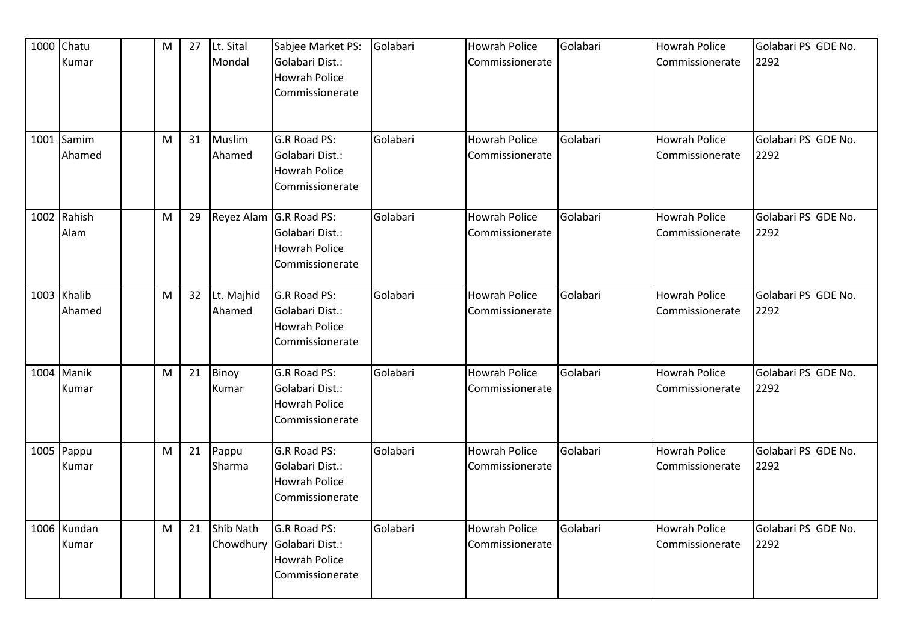| 1000 Chatu<br>Kumar   | M | 27 | Lt. Sital<br>Mondal    | Sabjee Market PS:<br>Golabari Dist.:<br><b>Howrah Police</b><br>Commissionerate       | Golabari | <b>Howrah Police</b><br>Commissionerate | Golabari | <b>Howrah Police</b><br><b>Commissionerate</b> | Golabari PS GDE No.<br>2292 |
|-----------------------|---|----|------------------------|---------------------------------------------------------------------------------------|----------|-----------------------------------------|----------|------------------------------------------------|-----------------------------|
| 1001 Samim<br>Ahamed  | M | 31 | Muslim<br>Ahamed       | G.R Road PS:<br>Golabari Dist.:<br><b>Howrah Police</b><br>Commissionerate            | Golabari | <b>Howrah Police</b><br>Commissionerate | Golabari | <b>Howrah Police</b><br>Commissionerate        | Golabari PS GDE No.<br>2292 |
| 1002 Rahish<br>Alam   | M | 29 |                        | Reyez Alam G.R Road PS:<br>Golabari Dist.:<br><b>Howrah Police</b><br>Commissionerate | Golabari | <b>Howrah Police</b><br>Commissionerate | Golabari | <b>Howrah Police</b><br>Commissionerate        | Golabari PS GDE No.<br>2292 |
| 1003 Khalib<br>Ahamed | M | 32 | Lt. Majhid<br>Ahamed   | G.R Road PS:<br>Golabari Dist.:<br><b>Howrah Police</b><br>Commissionerate            | Golabari | <b>Howrah Police</b><br>Commissionerate | Golabari | <b>Howrah Police</b><br>Commissionerate        | Golabari PS GDE No.<br>2292 |
| 1004 Manik<br>Kumar   | M | 21 | Binoy<br>Kumar         | G.R Road PS:<br>Golabari Dist.:<br><b>Howrah Police</b><br>Commissionerate            | Golabari | <b>Howrah Police</b><br>Commissionerate | Golabari | <b>Howrah Police</b><br>Commissionerate        | Golabari PS GDE No.<br>2292 |
| 1005 Pappu<br>Kumar   | M | 21 | Pappu<br>Sharma        | G.R Road PS:<br>Golabari Dist.:<br><b>Howrah Police</b><br>Commissionerate            | Golabari | <b>Howrah Police</b><br>Commissionerate | Golabari | <b>Howrah Police</b><br>Commissionerate        | Golabari PS GDE No.<br>2292 |
| 1006 Kundan<br>Kumar  | M | 21 | Shib Nath<br>Chowdhury | G.R Road PS:<br>Golabari Dist.:<br><b>Howrah Police</b><br>Commissionerate            | Golabari | <b>Howrah Police</b><br>Commissionerate | Golabari | <b>Howrah Police</b><br>Commissionerate        | Golabari PS GDE No.<br>2292 |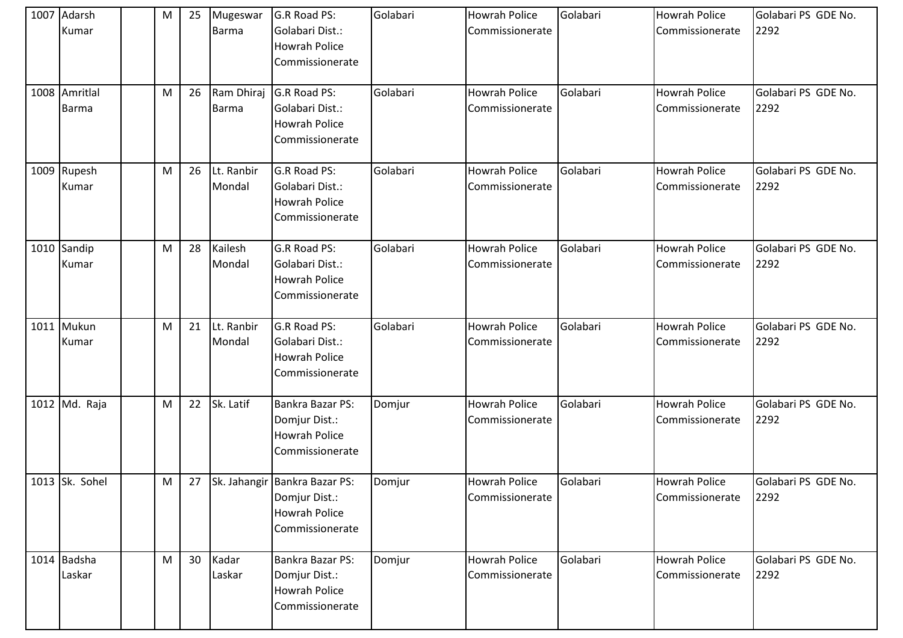| 1007 Adarsh<br>Kumar          | M         | 25 | Mugeswar<br><b>Barma</b>   | G.R Road PS:<br>Golabari Dist.:<br><b>Howrah Police</b><br>Commissionerate            | Golabari | <b>Howrah Police</b><br>Commissionerate | Golabari | <b>Howrah Police</b><br>Commissionerate | Golabari PS GDE No.<br>2292 |
|-------------------------------|-----------|----|----------------------------|---------------------------------------------------------------------------------------|----------|-----------------------------------------|----------|-----------------------------------------|-----------------------------|
| 1008 Amritlal<br><b>Barma</b> | M         | 26 | Ram Dhiraj<br><b>Barma</b> | G.R Road PS:<br>Golabari Dist.:<br><b>Howrah Police</b><br>Commissionerate            | Golabari | <b>Howrah Police</b><br>Commissionerate | Golabari | <b>Howrah Police</b><br>Commissionerate | Golabari PS GDE No.<br>2292 |
| 1009 Rupesh<br>Kumar          | M         | 26 | Lt. Ranbir<br>Mondal       | G.R Road PS:<br>Golabari Dist.:<br><b>Howrah Police</b><br>Commissionerate            | Golabari | <b>Howrah Police</b><br>Commissionerate | Golabari | <b>Howrah Police</b><br>Commissionerate | Golabari PS GDE No.<br>2292 |
| 1010 Sandip<br>Kumar          | M         | 28 | Kailesh<br>Mondal          | G.R Road PS:<br>Golabari Dist.:<br><b>Howrah Police</b><br>Commissionerate            | Golabari | <b>Howrah Police</b><br>Commissionerate | Golabari | <b>Howrah Police</b><br>Commissionerate | Golabari PS GDE No.<br>2292 |
| 1011 Mukun<br>Kumar           | M         | 21 | Lt. Ranbir<br>Mondal       | G.R Road PS:<br>Golabari Dist.:<br><b>Howrah Police</b><br>Commissionerate            | Golabari | <b>Howrah Police</b><br>Commissionerate | Golabari | <b>Howrah Police</b><br>Commissionerate | Golabari PS GDE No.<br>2292 |
| 1012 Md. Raja                 | M         | 22 | Sk. Latif                  | Bankra Bazar PS:<br>Domjur Dist.:<br><b>Howrah Police</b><br>Commissionerate          | Domjur   | <b>Howrah Police</b><br>Commissionerate | Golabari | <b>Howrah Police</b><br>Commissionerate | Golabari PS GDE No.<br>2292 |
| 1013 Sk. Sohel                | ${\sf M}$ |    |                            | 27 Sk. Jahangir Bankra Bazar PS:<br>Domjur Dist.:<br>Howrah Police<br>Commissionerate | Domjur   | <b>Howrah Police</b><br>Commissionerate | Golabari | <b>Howrah Police</b><br>Commissionerate | Golabari PS GDE No.<br>2292 |
| 1014 Badsha<br>Laskar         | M         | 30 | Kadar<br>Laskar            | Bankra Bazar PS:<br>Domjur Dist.:<br>Howrah Police<br>Commissionerate                 | Domjur   | Howrah Police<br>Commissionerate        | Golabari | <b>Howrah Police</b><br>Commissionerate | Golabari PS GDE No.<br>2292 |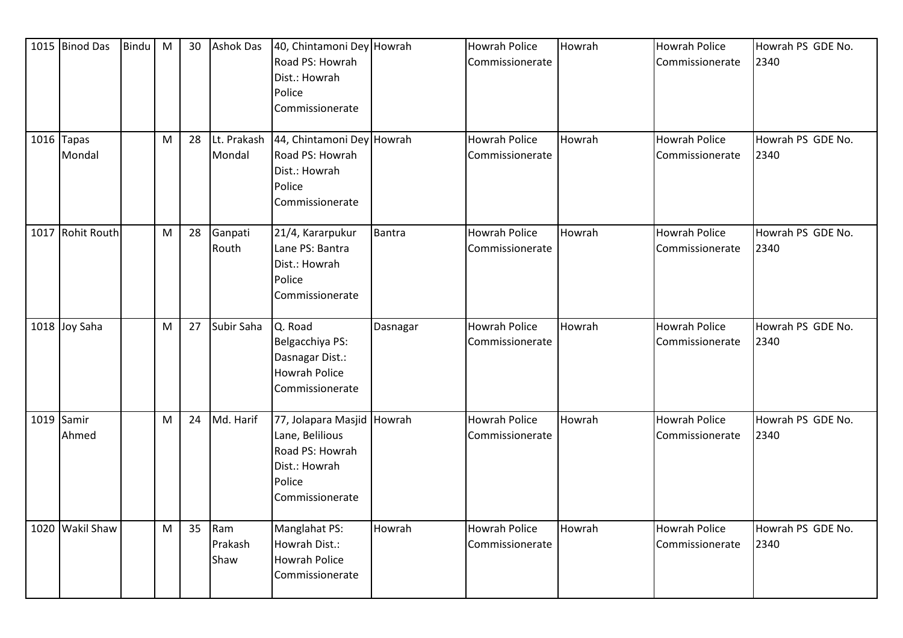| 1015 Binod Das         | <b>Bindu</b> | M | 30 | <b>Ashok Das</b>       | 40, Chintamoni Dey Howrah<br>Road PS: Howrah<br>Dist.: Howrah<br>Police<br>Commissionerate                     |               | <b>Howrah Police</b><br>Commissionerate | Howrah | <b>Howrah Police</b><br>Commissionerate | Howrah PS GDE No.<br>2340 |
|------------------------|--------------|---|----|------------------------|----------------------------------------------------------------------------------------------------------------|---------------|-----------------------------------------|--------|-----------------------------------------|---------------------------|
| $1016$ Tapas<br>Mondal |              | M | 28 | Lt. Prakash<br>Mondal  | 44, Chintamoni Dey Howrah<br>Road PS: Howrah<br>Dist.: Howrah<br>Police<br>Commissionerate                     |               | <b>Howrah Police</b><br>Commissionerate | Howrah | <b>Howrah Police</b><br>Commissionerate | Howrah PS GDE No.<br>2340 |
| 1017 Rohit Routh       |              | M | 28 | Ganpati<br>Routh       | 21/4, Kararpukur<br>Lane PS: Bantra<br>Dist.: Howrah<br>Police<br>Commissionerate                              | <b>Bantra</b> | <b>Howrah Police</b><br>Commissionerate | Howrah | <b>Howrah Police</b><br>Commissionerate | Howrah PS GDE No.<br>2340 |
| 1018 Joy Saha          |              | M | 27 | Subir Saha             | Q. Road<br>Belgacchiya PS:<br>Dasnagar Dist.:<br><b>Howrah Police</b><br>Commissionerate                       | Dasnagar      | <b>Howrah Police</b><br>Commissionerate | Howrah | <b>Howrah Police</b><br>Commissionerate | Howrah PS GDE No.<br>2340 |
| $1019$ Samir<br>Ahmed  |              | M | 24 | Md. Harif              | 77, Jolapara Masjid Howrah<br>Lane, Belilious<br>Road PS: Howrah<br>Dist.: Howrah<br>Police<br>Commissionerate |               | <b>Howrah Police</b><br>Commissionerate | Howrah | Howrah Police<br>Commissionerate        | Howrah PS GDE No.<br>2340 |
| 1020 Wakil Shaw        |              | M | 35 | Ram<br>Prakash<br>Shaw | Manglahat PS:<br>Howrah Dist.:<br>Howrah Police<br>Commissionerate                                             | Howrah        | <b>Howrah Police</b><br>Commissionerate | Howrah | <b>Howrah Police</b><br>Commissionerate | Howrah PS GDE No.<br>2340 |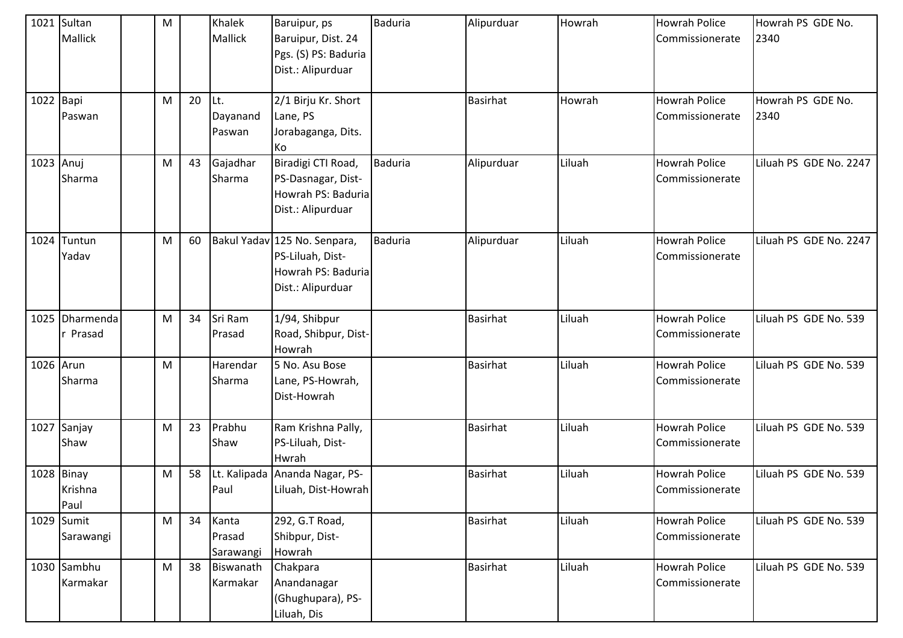|           | 1021 Sultan<br><b>Mallick</b> | M |    | Khalek<br>Mallick            | Baruipur, ps<br>Baruipur, Dist. 24<br>Pgs. (S) PS: Baduria<br>Dist.: Alipurduar             | <b>Baduria</b> | Alipurduar      | Howrah | <b>Howrah Police</b><br>Commissionerate | Howrah PS GDE No.<br>2340 |
|-----------|-------------------------------|---|----|------------------------------|---------------------------------------------------------------------------------------------|----------------|-----------------|--------|-----------------------------------------|---------------------------|
| 1022 Bapi | Paswan                        | M | 20 | Lt.<br>Dayanand<br>Paswan    | 2/1 Birju Kr. Short<br>Lane, PS<br>Jorabaganga, Dits.<br>Ko                                 |                | <b>Basirhat</b> | Howrah | <b>Howrah Police</b><br>Commissionerate | Howrah PS GDE No.<br>2340 |
| 1023 Anuj | Sharma                        | M | 43 | Gajadhar<br>Sharma           | Biradigi CTI Road,<br>PS-Dasnagar, Dist-<br>Howrah PS: Baduria<br>Dist.: Alipurduar         | <b>Baduria</b> | Alipurduar      | Liluah | <b>Howrah Police</b><br>Commissionerate | Liluah PS GDE No. 2247    |
|           | 1024 Tuntun<br>Yadav          | M | 60 |                              | Bakul Yadav 125 No. Senpara,<br>PS-Liluah, Dist-<br>Howrah PS: Baduria<br>Dist.: Alipurduar | <b>Baduria</b> | Alipurduar      | Liluah | <b>Howrah Police</b><br>Commissionerate | Liluah PS GDE No. 2247    |
|           | 1025 Dharmenda<br>r Prasad    | M | 34 | Sri Ram<br>Prasad            | 1/94, Shibpur<br>Road, Shibpur, Dist-<br>Howrah                                             |                | Basirhat        | Liluah | <b>Howrah Police</b><br>Commissionerate | Liluah PS GDE No. 539     |
| 1026 Arun | Sharma                        | M |    | Harendar<br>Sharma           | 5 No. Asu Bose<br>Lane, PS-Howrah,<br>Dist-Howrah                                           |                | <b>Basirhat</b> | Liluah | <b>Howrah Police</b><br>Commissionerate | Liluah PS GDE No. 539     |
|           | 1027 Sanjay<br>Shaw           | M | 23 | Prabhu<br>Shaw               | Ram Krishna Pally,<br>PS-Liluah, Dist-<br>Hwrah                                             |                | <b>Basirhat</b> | Liluah | <b>Howrah Police</b><br>Commissionerate | Liluah PS GDE No. 539     |
|           | 1028 Binay<br>Krishna<br>Paul | M | 58 | Lt. Kalipada<br>Paul         | Ananda Nagar, PS-<br>Liluah, Dist-Howrah                                                    |                | <b>Basirhat</b> | Liluah | <b>Howrah Police</b><br>Commissionerate | Liluah PS GDE No. 539     |
|           | 1029 Sumit<br>Sarawangi       | M | 34 | Kanta<br>Prasad<br>Sarawangi | 292, G.T Road,<br>Shibpur, Dist-<br>Howrah                                                  |                | Basirhat        | Liluah | <b>Howrah Police</b><br>Commissionerate | Liluah PS GDE No. 539     |
|           | 1030 Sambhu<br>Karmakar       | M | 38 | Biswanath<br>Karmakar        | Chakpara<br>Anandanagar<br>(Ghughupara), PS-<br>Liluah, Dis                                 |                | <b>Basirhat</b> | Liluah | <b>Howrah Police</b><br>Commissionerate | Liluah PS GDE No. 539     |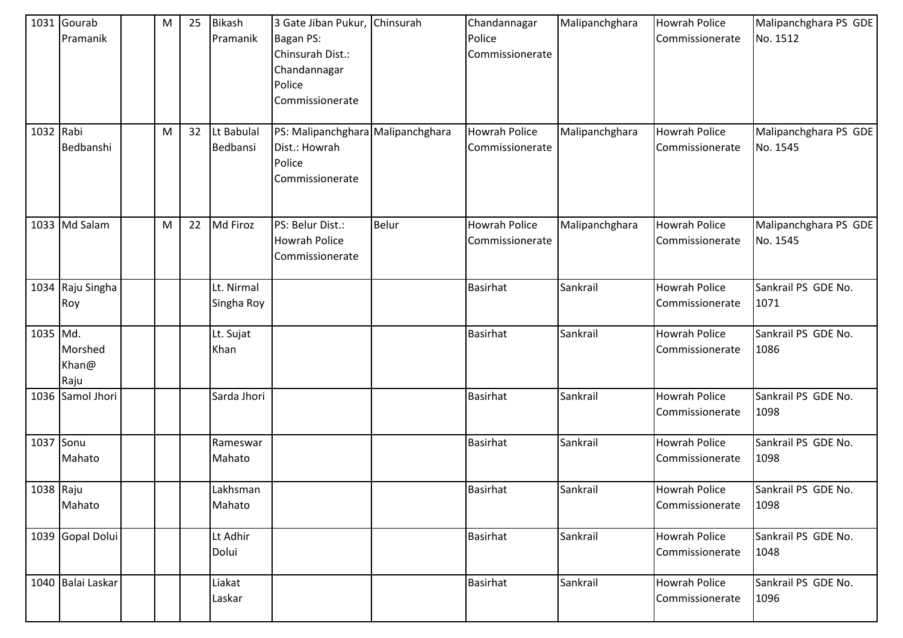|           | 1031 Gourab<br>Pramanik  | M | 25 | <b>Bikash</b><br>Pramanik | 3 Gate Jiban Pukur, Chinsurah<br>Bagan PS:<br>Chinsurah Dist.:<br>Chandannagar<br>Police<br>Commissionerate |              | Chandannagar<br>Police<br>Commissionerate | Malipanchghara | <b>Howrah Police</b><br>Commissionerate | Malipanchghara PS GDE<br>No. 1512 |
|-----------|--------------------------|---|----|---------------------------|-------------------------------------------------------------------------------------------------------------|--------------|-------------------------------------------|----------------|-----------------------------------------|-----------------------------------|
| 1032 Rabi | Bedbanshi                | M | 32 | Lt Babulal<br>Bedbansi    | PS: Malipanchghara Malipanchghara<br>Dist.: Howrah<br>Police<br>Commissionerate                             |              | <b>Howrah Police</b><br>Commissionerate   | Malipanchghara | <b>Howrah Police</b><br>Commissionerate | Malipanchghara PS GDE<br>No. 1545 |
|           | 1033 Md Salam            | M | 22 | Md Firoz                  | PS: Belur Dist.:<br><b>Howrah Police</b><br>Commissionerate                                                 | <b>Belur</b> | <b>Howrah Police</b><br>Commissionerate   | Malipanchghara | <b>Howrah Police</b><br>Commissionerate | Malipanchghara PS GDE<br>No. 1545 |
|           | 1034 Raju Singha<br>Roy  |   |    | Lt. Nirmal<br>Singha Roy  |                                                                                                             |              | <b>Basirhat</b>                           | Sankrail       | <b>Howrah Police</b><br>Commissionerate | Sankrail PS GDE No.<br>1071       |
| 1035 Md.  | Morshed<br>Khan@<br>Raju |   |    | Lt. Sujat<br>Khan         |                                                                                                             |              | Basirhat                                  | Sankrail       | <b>Howrah Police</b><br>Commissionerate | Sankrail PS GDE No.<br>1086       |
|           | 1036 Samol Jhori         |   |    | Sarda Jhori               |                                                                                                             |              | <b>Basirhat</b>                           | Sankrail       | <b>Howrah Police</b><br>Commissionerate | Sankrail PS GDE No.<br>1098       |
| 1037 Sonu | Mahato                   |   |    | Rameswar<br>Mahato        |                                                                                                             |              | Basirhat                                  | Sankrail       | <b>Howrah Police</b><br>Commissionerate | Sankrail PS GDE No.<br>1098       |
| 1038 Raju | Mahato                   |   |    | Lakhsman<br>Mahato        |                                                                                                             |              | <b>Basirhat</b>                           | Sankrail       | <b>Howrah Police</b><br>Commissionerate | Sankrail PS GDE No.<br>1098       |
|           | 1039 Gopal Dolui         |   |    | Lt Adhir<br>Dolui         |                                                                                                             |              | <b>Basirhat</b>                           | Sankrail       | <b>Howrah Police</b><br>Commissionerate | Sankrail PS GDE No.<br>1048       |
|           | 1040 Balai Laskar        |   |    | Liakat<br>Laskar          |                                                                                                             |              | Basirhat                                  | Sankrail       | Howrah Police<br>Commissionerate        | Sankrail PS GDE No.<br>1096       |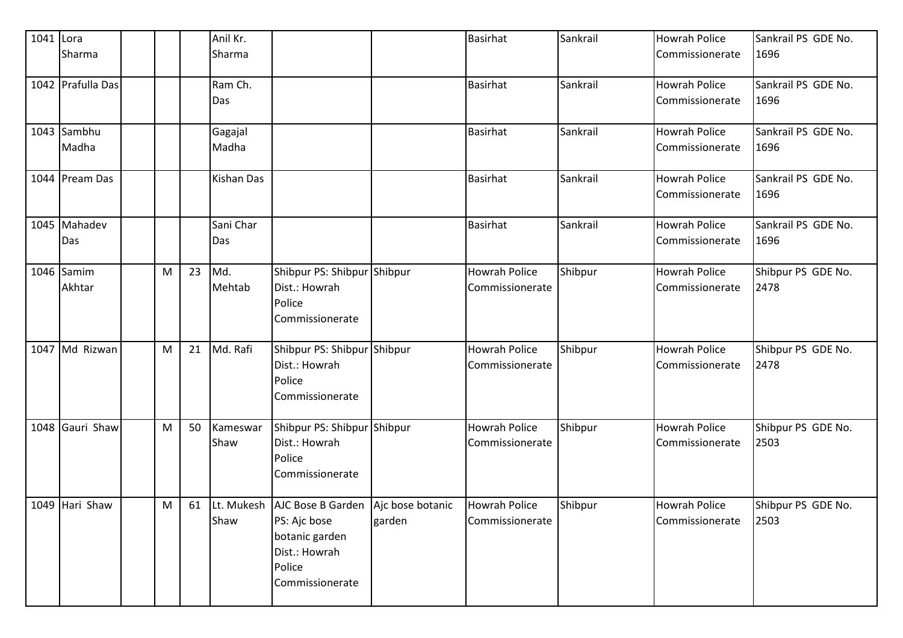| 1041 Lora | Sharma               |   |    | Anil Kr.<br>Sharma |                                                                                                                               |        | Basirhat                                | Sankrail | <b>Howrah Police</b><br>Commissionerate | Sankrail PS GDE No.<br>1696 |
|-----------|----------------------|---|----|--------------------|-------------------------------------------------------------------------------------------------------------------------------|--------|-----------------------------------------|----------|-----------------------------------------|-----------------------------|
|           | 1042 Prafulla Das    |   |    | Ram Ch.<br>Das     |                                                                                                                               |        | <b>Basirhat</b>                         | Sankrail | <b>Howrah Police</b><br>Commissionerate | Sankrail PS GDE No.<br>1696 |
|           | 1043 Sambhu<br>Madha |   |    | Gagajal<br>Madha   |                                                                                                                               |        | <b>Basirhat</b>                         | Sankrail | <b>Howrah Police</b><br>Commissionerate | Sankrail PS GDE No.<br>1696 |
|           | 1044 Pream Das       |   |    | Kishan Das         |                                                                                                                               |        | Basirhat                                | Sankrail | <b>Howrah Police</b><br>Commissionerate | Sankrail PS GDE No.<br>1696 |
|           | 1045 Mahadev<br>Das  |   |    | Sani Char<br>Das   |                                                                                                                               |        | <b>Basirhat</b>                         | Sankrail | <b>Howrah Police</b><br>Commissionerate | Sankrail PS GDE No.<br>1696 |
|           | 1046 Samim<br>Akhtar | M | 23 | Md.<br>Mehtab      | Shibpur PS: Shibpur Shibpur<br>Dist.: Howrah<br>Police<br>Commissionerate                                                     |        | <b>Howrah Police</b><br>Commissionerate | Shibpur  | <b>Howrah Police</b><br>Commissionerate | Shibpur PS GDE No.<br>2478  |
|           | 1047 Md Rizwan       | M | 21 | Md. Rafi           | Shibpur PS: Shibpur Shibpur<br>Dist.: Howrah<br>Police<br>Commissionerate                                                     |        | <b>Howrah Police</b><br>Commissionerate | Shibpur  | <b>Howrah Police</b><br>Commissionerate | Shibpur PS GDE No.<br>2478  |
|           | 1048 Gauri Shaw      | M | 50 | Kameswar<br>Shaw   | Shibpur PS: Shibpur Shibpur<br>Dist.: Howrah<br>Police<br>Commissionerate                                                     |        | <b>Howrah Police</b><br>Commissionerate | Shibpur  | <b>Howrah Police</b><br>Commissionerate | Shibpur PS GDE No.<br>2503  |
|           | 1049 Hari Shaw       | M | 61 | Shaw               | Lt. Mukesh AJC Bose B Garden Ajc bose botanic<br>PS: Ajc bose<br>botanic garden<br>Dist.: Howrah<br>Police<br>Commissionerate | garden | <b>Howrah Police</b><br>Commissionerate | Shibpur  | <b>Howrah Police</b><br>Commissionerate | Shibpur PS GDE No.<br>2503  |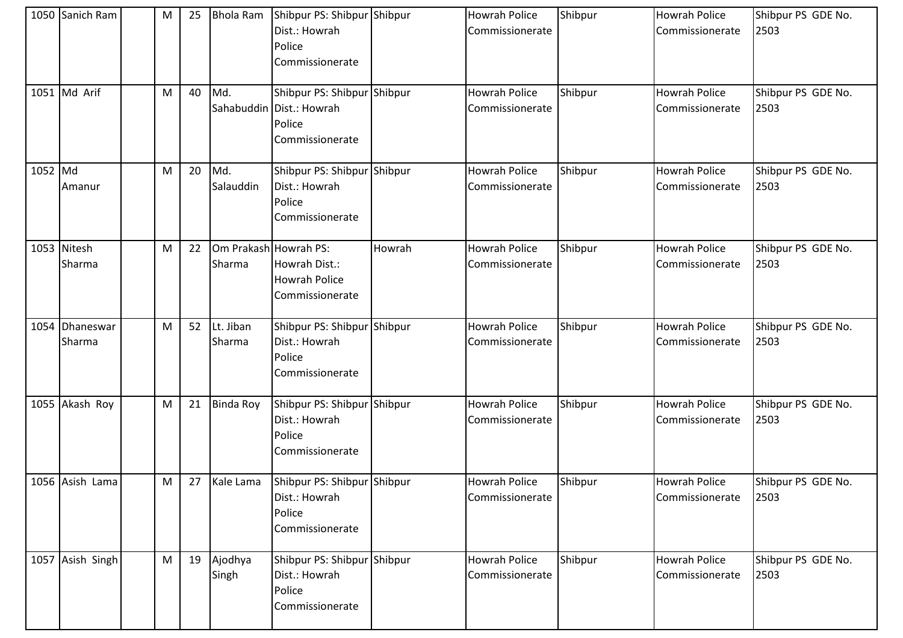|         | 1050 Sanich Ram       | M | 25 | <b>Bhola Ram</b>    | Shibpur PS: Shibpur Shibpur<br>Dist.: Howrah<br>Police<br>Commissionerate            |        | <b>Howrah Police</b><br>Commissionerate | Shibpur | <b>Howrah Police</b><br>Commissionerate | Shibpur PS GDE No.<br>2503 |
|---------|-----------------------|---|----|---------------------|--------------------------------------------------------------------------------------|--------|-----------------------------------------|---------|-----------------------------------------|----------------------------|
|         | 1051 Md Arif          | M | 40 | Md.                 | Shibpur PS: Shibpur Shibpur<br>Sahabuddin Dist.: Howrah<br>Police<br>Commissionerate |        | <b>Howrah Police</b><br>Commissionerate | Shibpur | <b>Howrah Police</b><br>Commissionerate | Shibpur PS GDE No.<br>2503 |
| 1052 Md | Amanur                | M | 20 | Md.<br>Salauddin    | Shibpur PS: Shibpur Shibpur<br>Dist.: Howrah<br>Police<br>Commissionerate            |        | <b>Howrah Police</b><br>Commissionerate | Shibpur | <b>Howrah Police</b><br>Commissionerate | Shibpur PS GDE No.<br>2503 |
|         | 1053 Nitesh<br>Sharma | M | 22 | Sharma              | Om Prakash Howrah PS:<br>Howrah Dist.:<br><b>Howrah Police</b><br>Commissionerate    | Howrah | <b>Howrah Police</b><br>Commissionerate | Shibpur | <b>Howrah Police</b><br>Commissionerate | Shibpur PS GDE No.<br>2503 |
| 1054    | Dhaneswar<br>Sharma   | M | 52 | Lt. Jiban<br>Sharma | Shibpur PS: Shibpur Shibpur<br>Dist.: Howrah<br>Police<br>Commissionerate            |        | <b>Howrah Police</b><br>Commissionerate | Shibpur | <b>Howrah Police</b><br>Commissionerate | Shibpur PS GDE No.<br>2503 |
|         | 1055 Akash Roy        | M | 21 | <b>Binda Roy</b>    | Shibpur PS: Shibpur Shibpur<br>Dist.: Howrah<br>Police<br>Commissionerate            |        | <b>Howrah Police</b><br>Commissionerate | Shibpur | <b>Howrah Police</b><br>Commissionerate | Shibpur PS GDE No.<br>2503 |
|         | 1056 Asish Lama       | M | 27 | Kale Lama           | Shibpur PS: Shibpur Shibpur<br>Dist.: Howrah<br>Police<br>Commissionerate            |        | <b>Howrah Police</b><br>Commissionerate | Shibpur | <b>Howrah Police</b><br>Commissionerate | Shibpur PS GDE No.<br>2503 |
|         | 1057 Asish Singh      | M | 19 | Ajodhya<br>Singh    | Shibpur PS: Shibpur Shibpur<br>Dist.: Howrah<br>Police<br>Commissionerate            |        | Howrah Police<br>Commissionerate        | Shibpur | <b>Howrah Police</b><br>Commissionerate | Shibpur PS GDE No.<br>2503 |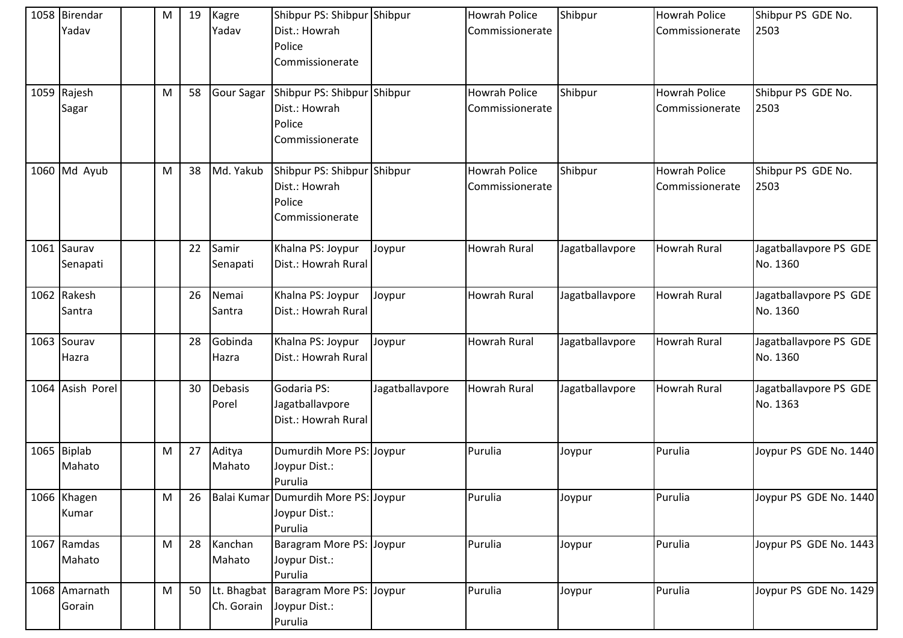| 1058 Birendar<br>Yadav  | M | 19 | Kagre<br>Yadav          | Shibpur PS: Shibpur Shibpur<br>Dist.: Howrah<br>Police<br>Commissionerate |                 | <b>Howrah Police</b><br>Commissionerate | Shibpur         | <b>Howrah Police</b><br>l Commissionerate | Shibpur PS GDE No.<br>2503         |
|-------------------------|---|----|-------------------------|---------------------------------------------------------------------------|-----------------|-----------------------------------------|-----------------|-------------------------------------------|------------------------------------|
| 1059 Rajesh<br>Sagar    | M | 58 | <b>Gour Sagar</b>       | Shibpur PS: Shibpur Shibpur<br>Dist.: Howrah<br>Police<br>Commissionerate |                 | <b>Howrah Police</b><br>Commissionerate | Shibpur         | <b>Howrah Police</b><br>Commissionerate   | Shibpur PS GDE No.<br>2503         |
| $1060$ Md Ayub          | M | 38 | Md. Yakub               | Shibpur PS: Shibpur Shibpur<br>Dist.: Howrah<br>Police<br>Commissionerate |                 | <b>Howrah Police</b><br>Commissionerate | Shibpur         | <b>Howrah Police</b><br>Commissionerate   | Shibpur PS GDE No.<br>2503         |
| 1061 Saurav<br>Senapati |   | 22 | Samir<br>Senapati       | Khalna PS: Joypur<br>Dist.: Howrah Rural                                  | Joypur          | Howrah Rural                            | Jagatballavpore | <b>Howrah Rural</b>                       | Jagatballavpore PS GDE<br>No. 1360 |
| 1062 Rakesh<br>Santra   |   | 26 | Nemai<br>Santra         | Khalna PS: Joypur<br>Dist.: Howrah Rural                                  | Joypur          | Howrah Rural                            | Jagatballavpore | Howrah Rural                              | Jagatballavpore PS GDE<br>No. 1360 |
| 1063 Sourav<br>Hazra    |   | 28 | Gobinda<br>Hazra        | Khalna PS: Joypur<br>Dist.: Howrah Rural                                  | Joypur          | <b>Howrah Rural</b>                     | Jagatballavpore | <b>Howrah Rural</b>                       | Jagatballavpore PS GDE<br>No. 1360 |
| 1064 Asish Porel        |   | 30 | <b>Debasis</b><br>Porel | Godaria PS:<br>Jagatballavpore<br>Dist.: Howrah Rural                     | Jagatballavpore | Howrah Rural                            | Jagatballavpore | <b>Howrah Rural</b>                       | Jagatballavpore PS GDE<br>No. 1363 |
| 1065 Biplab<br>Mahato   | M | 27 | Aditya<br>Mahato        | Dumurdih More PS: Joypur<br>Joypur Dist.:<br>Purulia                      |                 | Purulia                                 | Joypur          | Purulia                                   | Joypur PS GDE No. 1440             |
| 1066 Khagen<br>Kumar    | M | 26 |                         | Balai Kumar Dumurdih More PS: Joypur<br>Joypur Dist.:<br>Purulia          |                 | Purulia                                 | Joypur          | Purulia                                   | Joypur PS GDE No. 1440             |
| 1067 Ramdas<br>Mahato   | M | 28 | Kanchan<br>Mahato       | Baragram More PS: Joypur<br>Joypur Dist.:<br>Purulia                      |                 | Purulia                                 | Joypur          | Purulia                                   | Joypur PS GDE No. 1443             |
| 1068 Amarnath<br>Gorain | M | 50 | Ch. Gorain              | Lt. Bhagbat   Baragram More PS: Joypur<br>Joypur Dist.:<br>Purulia        |                 | Purulia                                 | Joypur          | Purulia                                   | Joypur PS GDE No. 1429             |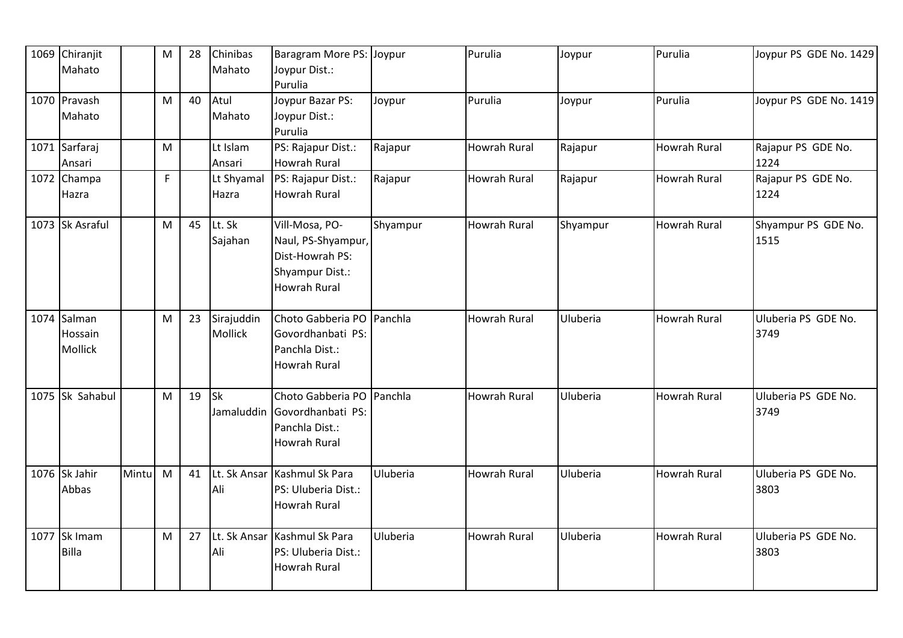| 1069 Chiranjit<br>Mahato                 |       | M | 28 | Chinibas<br>Mahato           | Baragram More PS: Joypur<br>Joypur Dist.:                                                         |          | Purulia             | Joypur   | Purulia             | Joypur PS GDE No. 1429      |
|------------------------------------------|-------|---|----|------------------------------|---------------------------------------------------------------------------------------------------|----------|---------------------|----------|---------------------|-----------------------------|
| 1070 Pravash<br>Mahato                   |       | M | 40 | Atul<br>Mahato               | Purulia<br>Joypur Bazar PS:<br>Joypur Dist.:<br>Purulia                                           | Joypur   | Purulia             | Joypur   | Purulia             | Joypur PS GDE No. 1419      |
| 1071 Sarfaraj<br>Ansari                  |       | M |    | Lt Islam<br>Ansari           | PS: Rajapur Dist.:<br><b>Howrah Rural</b>                                                         | Rajapur  | Howrah Rural        | Rajapur  | <b>Howrah Rural</b> | Rajapur PS GDE No.<br>1224  |
| 1072 Champa<br>Hazra                     |       | F |    | Lt Shyamal<br>Hazra          | PS: Rajapur Dist.:<br><b>Howrah Rural</b>                                                         | Rajapur  | <b>Howrah Rural</b> | Rajapur  | Howrah Rural        | Rajapur PS GDE No.<br>1224  |
| 1073 Sk Asraful                          |       | M | 45 | Lt. Sk<br>Sajahan            | Vill-Mosa, PO-<br>Naul, PS-Shyampur,<br>Dist-Howrah PS:<br>Shyampur Dist.:<br><b>Howrah Rural</b> | Shyampur | <b>Howrah Rural</b> | Shyampur | <b>Howrah Rural</b> | Shyampur PS GDE No.<br>1515 |
| 1074 Salman<br>Hossain<br><b>Mollick</b> |       | M | 23 | Sirajuddin<br><b>Mollick</b> | Choto Gabberia PO Panchla<br>Govordhanbati PS:<br>Panchla Dist.:<br>Howrah Rural                  |          | <b>Howrah Rural</b> | Uluberia | <b>Howrah Rural</b> | Uluberia PS GDE No.<br>3749 |
| 1075 Sk Sahabul                          |       | M | 19 | Sk<br>Jamaluddin             | Choto Gabberia PO Panchla<br>Govordhanbati PS:<br>Panchla Dist.:<br><b>Howrah Rural</b>           |          | Howrah Rural        | Uluberia | <b>Howrah Rural</b> | Uluberia PS GDE No.<br>3749 |
| 1076 Sk Jahir<br>Abbas                   | Mintu | M | 41 | Lt. Sk Ansar<br>Ali          | Kashmul Sk Para<br>PS: Uluberia Dist.:<br>Howrah Rural                                            | Uluberia | <b>Howrah Rural</b> | Uluberia | <b>Howrah Rural</b> | Uluberia PS GDE No.<br>3803 |
| 1077 Sk Imam<br>Billa                    |       | M | 27 | Lt. Sk Ansar<br>Ali          | Kashmul Sk Para<br>PS: Uluberia Dist.:<br><b>Howrah Rural</b>                                     | Uluberia | <b>Howrah Rural</b> | Uluberia | <b>Howrah Rural</b> | Uluberia PS GDE No.<br>3803 |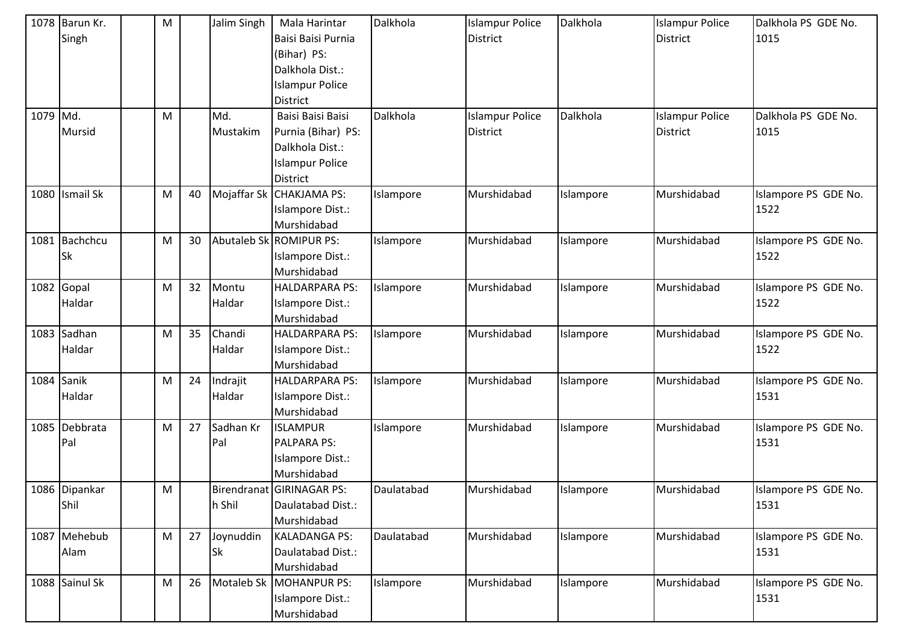|          | 1078 Barun Kr. | M |    | Jalim Singh | Mala Harintar             | Dalkhola   | <b>Islampur Police</b> | Dalkhola  | <b>Islampur Police</b> | Dalkhola PS GDE No.  |
|----------|----------------|---|----|-------------|---------------------------|------------|------------------------|-----------|------------------------|----------------------|
|          | Singh          |   |    |             | Baisi Baisi Purnia        |            | <b>District</b>        |           | <b>District</b>        | 1015                 |
|          |                |   |    |             | (Bihar) PS:               |            |                        |           |                        |                      |
|          |                |   |    |             | Dalkhola Dist.:           |            |                        |           |                        |                      |
|          |                |   |    |             | <b>Islampur Police</b>    |            |                        |           |                        |                      |
|          |                |   |    |             | District                  |            |                        |           |                        |                      |
| 1079 Md. |                | M |    | Md.         | Baisi Baisi Baisi         | Dalkhola   | <b>Islampur Police</b> | Dalkhola  | <b>Islampur Police</b> | Dalkhola PS GDE No.  |
|          | Mursid         |   |    | Mustakim    | Purnia (Bihar) PS:        |            | District               |           | District               | 1015                 |
|          |                |   |    |             | Dalkhola Dist.:           |            |                        |           |                        |                      |
|          |                |   |    |             | <b>Islampur Police</b>    |            |                        |           |                        |                      |
|          |                |   |    |             | <b>District</b>           |            |                        |           |                        |                      |
|          | 1080 Ismail Sk | M | 40 |             | Mojaffar Sk CHAKJAMA PS:  | Islampore  | Murshidabad            | Islampore | Murshidabad            | Islampore PS GDE No. |
|          |                |   |    |             | Islampore Dist.:          |            |                        |           |                        | 1522                 |
|          |                |   |    |             | Murshidabad               |            |                        |           |                        |                      |
|          | 1081 Bachchcu  | M | 30 |             | Abutaleb Sk ROMIPUR PS:   | Islampore  | Murshidabad            | Islampore | Murshidabad            | Islampore PS GDE No. |
|          | <b>Sk</b>      |   |    |             | Islampore Dist.:          |            |                        |           |                        | 1522                 |
|          |                |   |    |             | Murshidabad               |            |                        |           |                        |                      |
|          | 1082 Gopal     | M | 32 | Montu       | <b>HALDARPARA PS:</b>     | Islampore  | Murshidabad            | Islampore | Murshidabad            | Islampore PS GDE No. |
|          | Haldar         |   |    | Haldar      | Islampore Dist.:          |            |                        |           |                        | 1522                 |
|          |                |   |    |             | Murshidabad               |            |                        |           |                        |                      |
|          | 1083 Sadhan    | M | 35 | Chandi      | HALDARPARA PS:            | Islampore  | Murshidabad            | Islampore | Murshidabad            | Islampore PS GDE No. |
|          | Haldar         |   |    | Haldar      | Islampore Dist.:          |            |                        |           |                        | 1522                 |
|          |                |   |    |             | Murshidabad               |            |                        |           |                        |                      |
|          | 1084 Sanik     | M | 24 | Indrajit    | HALDARPARA PS:            | Islampore  | Murshidabad            | Islampore | Murshidabad            | Islampore PS GDE No. |
|          | Haldar         |   |    | Haldar      | Islampore Dist.:          |            |                        |           |                        | 1531                 |
|          |                |   |    |             | Murshidabad               |            |                        |           |                        |                      |
|          | 1085 Debbrata  | M | 27 | Sadhan Kr   | <b>ISLAMPUR</b>           | Islampore  | Murshidabad            | Islampore | Murshidabad            | Islampore PS GDE No. |
|          | Pal            |   |    | Pal         | <b>PALPARA PS:</b>        |            |                        |           |                        | 1531                 |
|          |                |   |    |             | Islampore Dist.:          |            |                        |           |                        |                      |
|          |                |   |    |             | Murshidabad               |            |                        |           |                        |                      |
|          | 1086 Dipankar  | M |    |             | Birendranat GIRINAGAR PS: | Daulatabad | Murshidabad            | Islampore | Murshidabad            | Islampore PS GDE No. |
|          | Shil           |   |    | h Shil      | Daulatabad Dist.:         |            |                        |           |                        | 1531                 |
|          |                |   |    |             | Murshidabad               |            |                        |           |                        |                      |
|          | 1087 Mehebub   | M | 27 | Joynuddin   | <b>KALADANGA PS:</b>      | Daulatabad | Murshidabad            | Islampore | Murshidabad            | Islampore PS GDE No. |
|          | Alam           |   |    | Sk          | Daulatabad Dist.:         |            |                        |           |                        | 1531                 |
|          |                |   |    |             | Murshidabad               |            |                        |           |                        |                      |
|          | 1088 Sainul Sk | M | 26 |             | Motaleb Sk   MOHANPUR PS: | Islampore  | Murshidabad            | Islampore | Murshidabad            | Islampore PS GDE No. |
|          |                |   |    |             | Islampore Dist.:          |            |                        |           |                        | 1531                 |
|          |                |   |    |             | Murshidabad               |            |                        |           |                        |                      |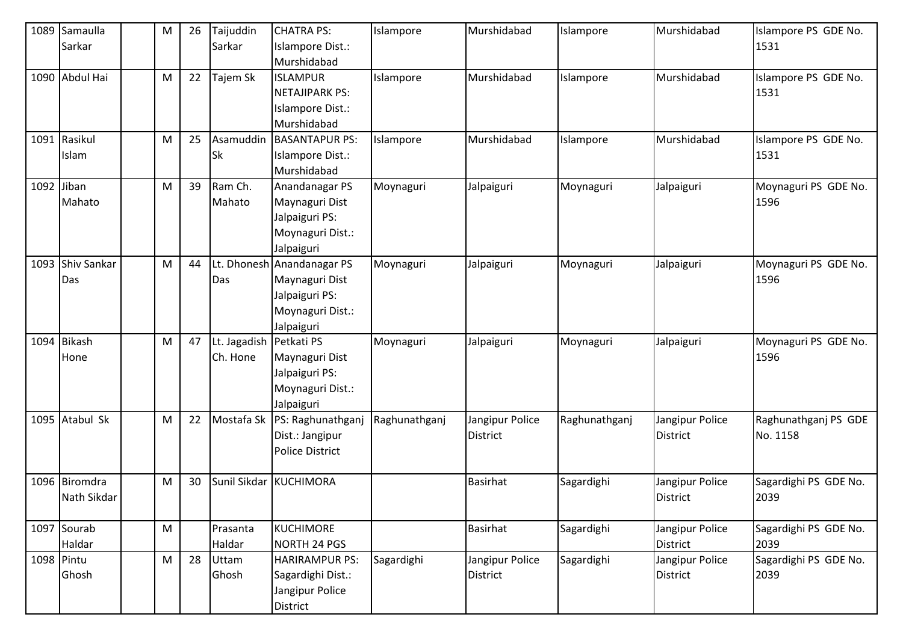|            | 1089 Samaulla    | M         | 26 | Taijuddin    | <b>CHATRA PS:</b>               | Islampore     | Murshidabad     | Islampore     | Murshidabad     | Islampore PS GDE No.<br>1531 |
|------------|------------------|-----------|----|--------------|---------------------------------|---------------|-----------------|---------------|-----------------|------------------------------|
|            | Sarkar           |           |    | Sarkar       | Islampore Dist.:<br>Murshidabad |               |                 |               |                 |                              |
|            | 1090 Abdul Hai   | M         | 22 | Tajem Sk     | <b>ISLAMPUR</b>                 | Islampore     | Murshidabad     | Islampore     | Murshidabad     | Islampore PS GDE No.         |
|            |                  |           |    |              | <b>NETAJIPARK PS:</b>           |               |                 |               |                 | 1531                         |
|            |                  |           |    |              | Islampore Dist.:                |               |                 |               |                 |                              |
|            |                  |           |    |              | Murshidabad                     |               |                 |               |                 |                              |
|            | 1091 Rasikul     | M         | 25 | Asamuddin    | <b>BASANTAPUR PS:</b>           | Islampore     | Murshidabad     | Islampore     | Murshidabad     | Islampore PS GDE No.         |
|            | Islam            |           |    | Sk           | Islampore Dist.:                |               |                 |               |                 | 1531                         |
|            |                  |           |    |              | Murshidabad                     |               |                 |               |                 |                              |
| 1092 Jiban |                  | M         | 39 | Ram Ch.      | Anandanagar PS                  | Moynaguri     | Jalpaiguri      | Moynaguri     | Jalpaiguri      | Moynaguri PS GDE No.         |
|            | Mahato           |           |    | Mahato       | Maynaguri Dist                  |               |                 |               |                 | 1596                         |
|            |                  |           |    |              | Jalpaiguri PS:                  |               |                 |               |                 |                              |
|            |                  |           |    |              | Moynaguri Dist.:                |               |                 |               |                 |                              |
|            |                  |           |    |              | Jalpaiguri                      |               |                 |               |                 |                              |
|            | 1093 Shiv Sankar | M         | 44 |              | Lt. Dhonesh Anandanagar PS      | Moynaguri     | Jalpaiguri      | Moynaguri     | Jalpaiguri      | Moynaguri PS GDE No.         |
|            | Das              |           |    | Das          | Maynaguri Dist                  |               |                 |               |                 | 1596                         |
|            |                  |           |    |              | Jalpaiguri PS:                  |               |                 |               |                 |                              |
|            |                  |           |    |              | Moynaguri Dist.:                |               |                 |               |                 |                              |
|            |                  |           |    |              | Jalpaiguri                      |               |                 |               |                 |                              |
|            | 1094 Bikash      | M         | 47 | Lt. Jagadish | Petkati PS                      | Moynaguri     | Jalpaiguri      | Moynaguri     | Jalpaiguri      | Moynaguri PS GDE No.         |
|            | Hone             |           |    | Ch. Hone     | Maynaguri Dist                  |               |                 |               |                 | 1596                         |
|            |                  |           |    |              | Jalpaiguri PS:                  |               |                 |               |                 |                              |
|            |                  |           |    |              | Moynaguri Dist.:                |               |                 |               |                 |                              |
|            |                  |           |    |              | Jalpaiguri                      |               |                 |               |                 |                              |
|            | 1095 Atabul Sk   | M         | 22 | Mostafa Sk   | PS: Raghunathganj               | Raghunathganj | Jangipur Police | Raghunathganj | Jangipur Police | Raghunathganj PS GDE         |
|            |                  |           |    |              | Dist.: Jangipur                 |               | <b>District</b> |               | District        | No. 1158                     |
|            |                  |           |    |              | <b>Police District</b>          |               |                 |               |                 |                              |
|            | 1096 Biromdra    | M         | 30 | Sunil Sikdar | <b>KUCHIMORA</b>                |               | <b>Basirhat</b> | Sagardighi    | Jangipur Police | Sagardighi PS GDE No.        |
|            | Nath Sikdar      |           |    |              |                                 |               |                 |               | <b>District</b> | 2039                         |
|            |                  |           |    |              |                                 |               |                 |               |                 |                              |
|            | 1097 Sourab      | ${\sf M}$ |    | Prasanta     | <b>KUCHIMORE</b>                |               | <b>Basirhat</b> | Sagardighi    | Jangipur Police | Sagardighi PS GDE No.        |
|            | Haldar           |           |    | Haldar       | NORTH 24 PGS                    |               |                 |               | District        | 2039                         |
| 1098 Pintu |                  | M         | 28 | Uttam        | <b>HARIRAMPUR PS:</b>           | Sagardighi    | Jangipur Police | Sagardighi    | Jangipur Police | Sagardighi PS GDE No.        |
|            | Ghosh            |           |    | Ghosh        | Sagardighi Dist.:               |               | District        |               | District        | 2039                         |
|            |                  |           |    |              | Jangipur Police                 |               |                 |               |                 |                              |
|            |                  |           |    |              | District                        |               |                 |               |                 |                              |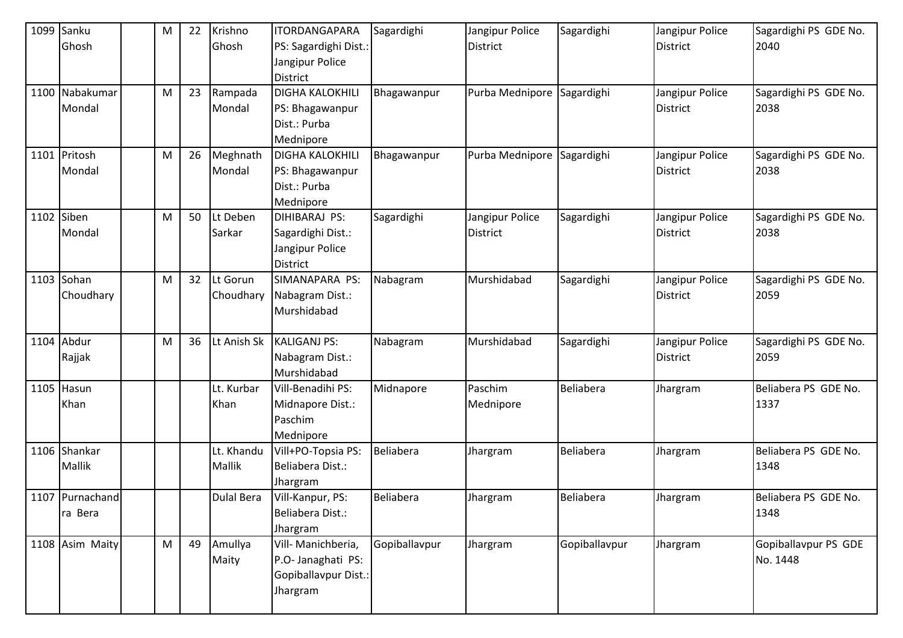| 1099 Sanku      | ${\sf M}$ | 22 | Krishno           | <b>ITORDANGAPARA</b>   | Sagardighi       | Jangipur Police            | Sagardighi    | Jangipur Police | Sagardighi PS GDE No. |
|-----------------|-----------|----|-------------------|------------------------|------------------|----------------------------|---------------|-----------------|-----------------------|
| Ghosh           |           |    | Ghosh             | PS: Sagardighi Dist.:  |                  | <b>District</b>            |               | <b>District</b> | 2040                  |
|                 |           |    |                   | Jangipur Police        |                  |                            |               |                 |                       |
|                 |           |    |                   | <b>District</b>        |                  |                            |               |                 |                       |
| 1100 Nabakumar  | M         | 23 | Rampada           | <b>DIGHA KALOKHILI</b> | Bhagawanpur      | Purba Mednipore            | Sagardighi    | Jangipur Police | Sagardighi PS GDE No. |
| Mondal          |           |    | Mondal            | PS: Bhagawanpur        |                  |                            |               | <b>District</b> | 2038                  |
|                 |           |    |                   | Dist.: Purba           |                  |                            |               |                 |                       |
|                 |           |    |                   | Mednipore              |                  |                            |               |                 |                       |
| 1101 Pritosh    | M         | 26 | Meghnath          | <b>DIGHA KALOKHILI</b> | Bhagawanpur      | Purba Mednipore Sagardighi |               | Jangipur Police | Sagardighi PS GDE No. |
| Mondal          |           |    | Mondal            | PS: Bhagawanpur        |                  |                            |               | <b>District</b> | 2038                  |
|                 |           |    |                   | Dist.: Purba           |                  |                            |               |                 |                       |
|                 |           |    |                   | Mednipore              |                  |                            |               |                 |                       |
| 1102 Siben      | ${\sf M}$ | 50 | Lt Deben          | DIHIBARAJ PS:          | Sagardighi       | Jangipur Police            | Sagardighi    | Jangipur Police | Sagardighi PS GDE No. |
| Mondal          |           |    | Sarkar            | Sagardighi Dist.:      |                  | <b>District</b>            |               | <b>District</b> | 2038                  |
|                 |           |    |                   | Jangipur Police        |                  |                            |               |                 |                       |
|                 |           |    |                   | <b>District</b>        |                  |                            |               |                 |                       |
| $1103$ Sohan    | M         | 32 | Lt Gorun          | SIMANAPARA PS:         | Nabagram         | Murshidabad                | Sagardighi    | Jangipur Police | Sagardighi PS GDE No. |
| Choudhary       |           |    | Choudhary         | Nabagram Dist.:        |                  |                            |               | <b>District</b> | 2059                  |
|                 |           |    |                   | Murshidabad            |                  |                            |               |                 |                       |
|                 |           |    |                   |                        |                  |                            |               |                 |                       |
| 1104 Abdur      | M         | 36 | Lt Anish Sk       | <b>KALIGANJ PS:</b>    | Nabagram         | Murshidabad                | Sagardighi    | Jangipur Police | Sagardighi PS GDE No. |
| Rajjak          |           |    |                   | Nabagram Dist.:        |                  |                            |               | <b>District</b> | 2059                  |
|                 |           |    |                   | Murshidabad            |                  |                            |               |                 |                       |
| $1105$ Hasun    |           |    | Lt. Kurbar        | Vill-Benadihi PS:      | Midnapore        | Paschim                    | Beliabera     | Jhargram        | Beliabera PS GDE No.  |
| Khan            |           |    | Khan              | Midnapore Dist.:       |                  | Mednipore                  |               |                 | 1337                  |
|                 |           |    |                   | Paschim                |                  |                            |               |                 |                       |
|                 |           |    |                   | Mednipore              |                  |                            |               |                 |                       |
| 1106 Shankar    |           |    | Lt. Khandu        | Vill+PO-Topsia PS:     | Beliabera        | Jhargram                   | Beliabera     | Jhargram        | Beliabera PS GDE No.  |
| Mallik          |           |    | <b>Mallik</b>     | Beliabera Dist.:       |                  |                            |               |                 | 1348                  |
|                 |           |    |                   | Jhargram               |                  |                            |               |                 |                       |
| 1107 Purnachand |           |    | <b>Dulal Bera</b> | Vill-Kanpur, PS:       | <b>Beliabera</b> | Jhargram                   | Beliabera     | Jhargram        | Beliabera PS GDE No.  |
| ra Bera         |           |    |                   | Beliabera Dist.:       |                  |                            |               |                 | 1348                  |
|                 |           |    |                   | Jhargram               |                  |                            |               |                 |                       |
| 1108 Asim Maity | M         | 49 | Amullya           | Vill- Manichberia,     | Gopiballavpur    | Jhargram                   | Gopiballavpur | Jhargram        | Gopiballavpur PS GDE  |
|                 |           |    | Maity             | P.O- Janaghati PS:     |                  |                            |               |                 | No. 1448              |
|                 |           |    |                   | Gopiballavpur Dist.:   |                  |                            |               |                 |                       |
|                 |           |    |                   | Jhargram               |                  |                            |               |                 |                       |
|                 |           |    |                   |                        |                  |                            |               |                 |                       |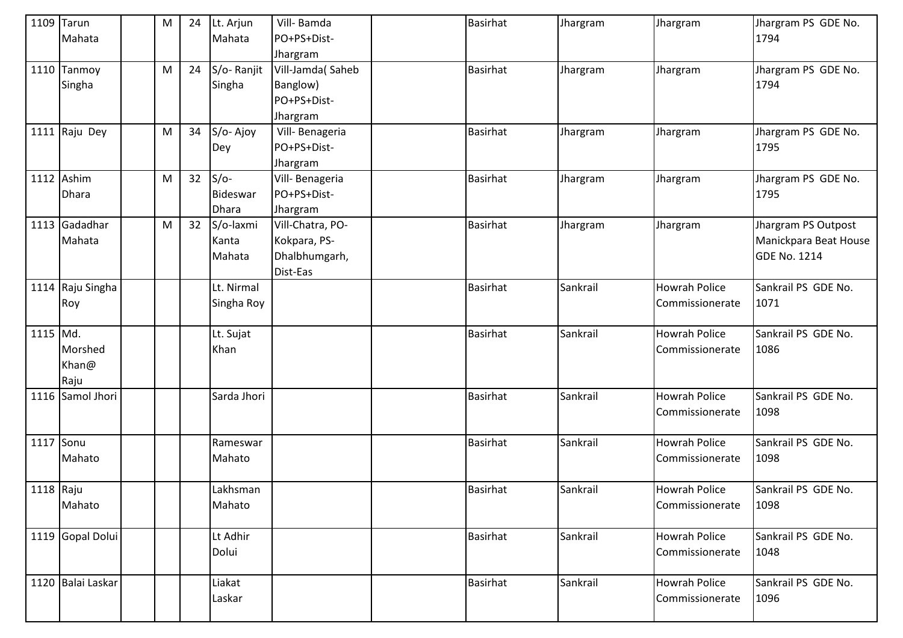|           | 1109 Tarun            | M         | 24 | Lt. Arjun    | Vill-Bamda       | <b>Basirhat</b> | Jhargram | Jhargram                         | Jhargram PS GDE No.         |
|-----------|-----------------------|-----------|----|--------------|------------------|-----------------|----------|----------------------------------|-----------------------------|
|           | Mahata                |           |    | Mahata       | PO+PS+Dist-      |                 |          |                                  | 1794                        |
|           |                       |           |    |              | Jhargram         |                 |          |                                  |                             |
|           | 1110 Tanmoy           | M         | 24 | S/o-Ranjit   | Vill-Jamda(Saheb | <b>Basirhat</b> | Jhargram | Jhargram                         | Jhargram PS GDE No.         |
|           | Singha                |           |    | Singha       | Banglow)         |                 |          |                                  | 1794                        |
|           |                       |           |    |              | PO+PS+Dist-      |                 |          |                                  |                             |
|           |                       |           |    |              | Jhargram         |                 |          |                                  |                             |
|           | 1111 $\vert$ Raju Dey | M         | 34 | S/o-Ajoy     | Vill-Benageria   | Basirhat        | Jhargram | Jhargram                         | Jhargram PS GDE No.         |
|           |                       |           |    | Dey          | PO+PS+Dist-      |                 |          |                                  | 1795                        |
|           |                       |           |    |              | Jhargram         |                 |          |                                  |                             |
|           | 1112 Ashim            | ${\sf M}$ | 32 | $S/O-$       | Vill-Benageria   | <b>Basirhat</b> | Jhargram | Jhargram                         | Jhargram PS GDE No.         |
|           | Dhara                 |           |    | Bideswar     | PO+PS+Dist-      |                 |          |                                  | 1795                        |
|           |                       |           |    | <b>Dhara</b> | Jhargram         |                 |          |                                  |                             |
|           | 1113 Gadadhar         | M         | 32 | S/o-laxmi    | Vill-Chatra, PO- | <b>Basirhat</b> | Jhargram | Jhargram                         | Jhargram PS Outpost         |
|           | Mahata                |           |    | Kanta        | Kokpara, PS-     |                 |          |                                  | Manickpara Beat House       |
|           |                       |           |    | Mahata       | Dhalbhumgarh,    |                 |          |                                  | <b>GDE No. 1214</b>         |
|           |                       |           |    |              | Dist-Eas         |                 |          |                                  |                             |
|           | 1114 Raju Singha      |           |    | Lt. Nirmal   |                  | <b>Basirhat</b> | Sankrail | <b>Howrah Police</b>             | Sankrail PS GDE No.         |
|           | Roy                   |           |    | Singha Roy   |                  |                 |          | Commissionerate                  | 1071                        |
|           |                       |           |    |              |                  |                 |          |                                  |                             |
| 1115 Md.  |                       |           |    | Lt. Sujat    |                  | <b>Basirhat</b> | Sankrail | <b>Howrah Police</b>             | Sankrail PS GDE No.         |
|           | Morshed               |           |    | Khan         |                  |                 |          | Commissionerate                  | 1086                        |
|           | Khan@                 |           |    |              |                  |                 |          |                                  |                             |
|           | Raju                  |           |    |              |                  |                 |          |                                  |                             |
|           | 1116 Samol Jhori      |           |    | Sarda Jhori  |                  | <b>Basirhat</b> | Sankrail | <b>Howrah Police</b>             | Sankrail PS GDE No.         |
|           |                       |           |    |              |                  |                 |          | Commissionerate                  | 1098                        |
|           |                       |           |    |              |                  |                 |          |                                  |                             |
| 1117 Sonu |                       |           |    | Rameswar     |                  | <b>Basirhat</b> | Sankrail | <b>Howrah Police</b>             | Sankrail PS GDE No.         |
|           | Mahato                |           |    | Mahato       |                  |                 |          | Commissionerate                  | 1098                        |
|           |                       |           |    |              |                  |                 |          |                                  |                             |
| 1118 Raju |                       |           |    | Lakhsman     |                  | <b>Basirhat</b> | Sankrail | <b>Howrah Police</b>             | Sankrail PS GDE No.         |
|           | Mahato                |           |    | Mahato       |                  |                 |          | Commissionerate                  | 1098                        |
|           |                       |           |    |              |                  |                 |          |                                  |                             |
|           | 1119 Gopal Dolui      |           |    | Lt Adhir     |                  | <b>Basirhat</b> | Sankrail | <b>Howrah Police</b>             | Sankrail PS GDE No.         |
|           |                       |           |    | Dolui        |                  |                 |          | Commissionerate                  | 1048                        |
|           | 1120 Balai Laskar     |           |    | Liakat       |                  | Basirhat        | Sankrail |                                  |                             |
|           |                       |           |    |              |                  |                 |          | Howrah Police<br>Commissionerate | Sankrail PS GDE No.<br>1096 |
|           |                       |           |    | Laskar       |                  |                 |          |                                  |                             |
|           |                       |           |    |              |                  |                 |          |                                  |                             |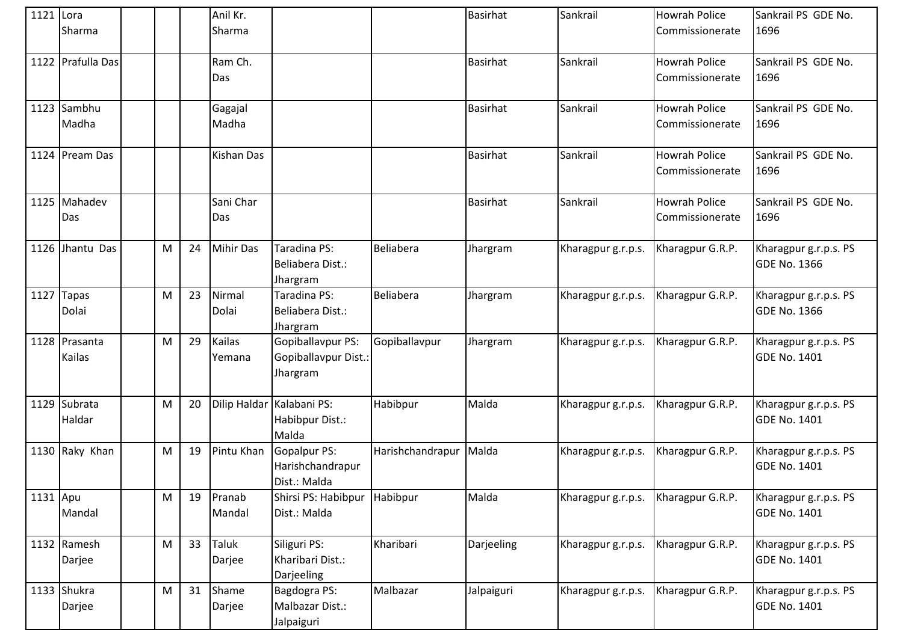| 1121 Lora | Sharma                  |   |    | Anil Kr.<br>Sharma |                                                         |                  | Basirhat        | Sankrail           | <b>Howrah Police</b><br>Commissionerate | Sankrail PS GDE No.<br>1696                  |
|-----------|-------------------------|---|----|--------------------|---------------------------------------------------------|------------------|-----------------|--------------------|-----------------------------------------|----------------------------------------------|
|           | 1122 Prafulla Das       |   |    | Ram Ch.<br>Das     |                                                         |                  | <b>Basirhat</b> | Sankrail           | <b>Howrah Police</b><br>Commissionerate | Sankrail PS GDE No.<br>1696                  |
|           | 1123 Sambhu<br>Madha    |   |    | Gagajal<br>Madha   |                                                         |                  | <b>Basirhat</b> | Sankrail           | <b>Howrah Police</b><br>Commissionerate | Sankrail PS GDE No.<br>1696                  |
|           | 1124 Pream Das          |   |    | Kishan Das         |                                                         |                  | <b>Basirhat</b> | Sankrail           | <b>Howrah Police</b><br>Commissionerate | Sankrail PS GDE No.<br>1696                  |
|           | 1125 Mahadev<br>Das     |   |    | Sani Char<br>Das   |                                                         |                  | <b>Basirhat</b> | Sankrail           | <b>Howrah Police</b><br>Commissionerate | Sankrail PS GDE No.<br>1696                  |
|           | 1126 Jhantu Das         | M | 24 | Mihir Das          | Taradina PS:<br>Beliabera Dist.:<br>Jhargram            | <b>Beliabera</b> | Jhargram        | Kharagpur g.r.p.s. | Kharagpur G.R.P.                        | Kharagpur g.r.p.s. PS<br><b>GDE No. 1366</b> |
|           | 1127 Tapas<br>Dolai     | M | 23 | Nirmal<br>Dolai    | Taradina PS:<br>Beliabera Dist.:<br>Jhargram            | Beliabera        | Jhargram        | Kharagpur g.r.p.s. | Kharagpur G.R.P.                        | Kharagpur g.r.p.s. PS<br><b>GDE No. 1366</b> |
|           | 1128 Prasanta<br>Kailas | M | 29 | Kailas<br>Yemana   | Gopiballavpur PS:<br>Gopiballavpur Dist.:<br>Jhargram   | Gopiballavpur    | Jhargram        | Kharagpur g.r.p.s. | Kharagpur G.R.P.                        | Kharagpur g.r.p.s. PS<br><b>GDE No. 1401</b> |
|           | 1129 Subrata<br>Haldar  | M | 20 |                    | Dilip Haldar Kalabani PS:<br>Habibpur Dist.:<br>Malda   | Habibpur         | Malda           | Kharagpur g.r.p.s. | Kharagpur G.R.P.                        | Kharagpur g.r.p.s. PS<br><b>GDE No. 1401</b> |
|           | 1130 Raky Khan          | M | 19 | Pintu Khan         | <b>Gopalpur PS:</b><br>Harishchandrapur<br>Dist.: Malda | Harishchandrapur | Malda           | Kharagpur g.r.p.s. | Kharagpur G.R.P.                        | Kharagpur g.r.p.s. PS<br><b>GDE No. 1401</b> |
| 1131 Apu  | Mandal                  | M | 19 | Pranab<br>Mandal   | Shirsi PS: Habibpur<br>Dist.: Malda                     | Habibpur         | Malda           | Kharagpur g.r.p.s. | Kharagpur G.R.P.                        | Kharagpur g.r.p.s. PS<br><b>GDE No. 1401</b> |
|           | 1132 Ramesh<br>Darjee   | M | 33 | Taluk<br>Darjee    | Siliguri PS:<br>Kharibari Dist.:<br>Darjeeling          | Kharibari        | Darjeeling      | Kharagpur g.r.p.s. | Kharagpur G.R.P.                        | Kharagpur g.r.p.s. PS<br><b>GDE No. 1401</b> |
|           | 1133 Shukra<br>Darjee   | M | 31 | Shame<br>Darjee    | Bagdogra PS:<br>Malbazar Dist.:<br>Jalpaiguri           | Malbazar         | Jalpaiguri      | Kharagpur g.r.p.s. | Kharagpur G.R.P.                        | Kharagpur g.r.p.s. PS<br><b>GDE No. 1401</b> |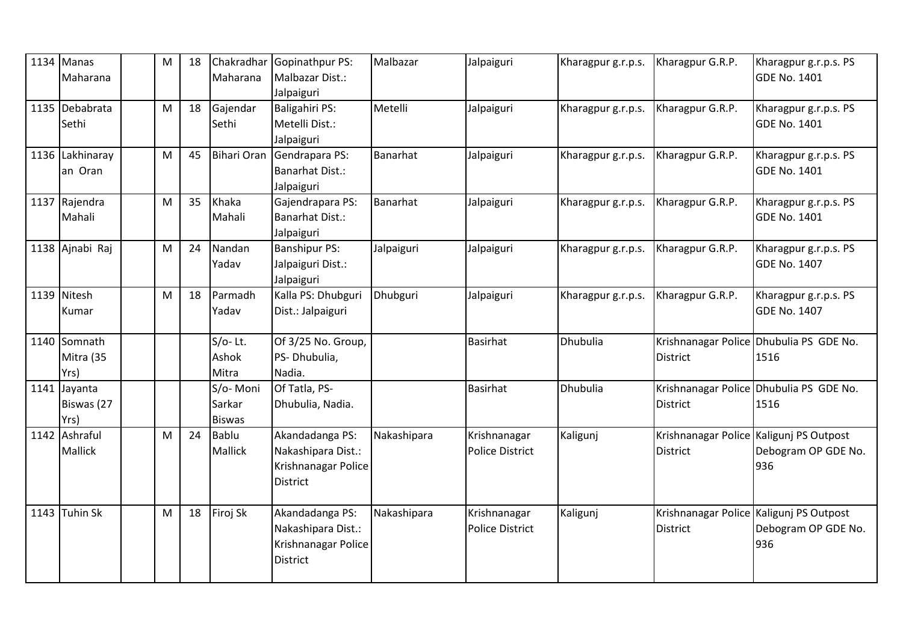| $1134$ Manas<br>Maharana           | M | 18 | Maharana                            | Chakradhar Gopinathpur PS:<br>Malbazar Dist.:<br>Jalpaiguri                     | Malbazar    | Jalpaiguri                             | Kharagpur g.r.p.s. | Kharagpur G.R.P.                                           | Kharagpur g.r.p.s. PS<br><b>GDE No. 1401</b>    |
|------------------------------------|---|----|-------------------------------------|---------------------------------------------------------------------------------|-------------|----------------------------------------|--------------------|------------------------------------------------------------|-------------------------------------------------|
| 1135 Debabrata<br>Sethi            | M | 18 | Gajendar<br>Sethi                   | Baligahiri PS:<br>Metelli Dist.:<br>Jalpaiguri                                  | Metelli     | Jalpaiguri                             | Kharagpur g.r.p.s. | Kharagpur G.R.P.                                           | Kharagpur g.r.p.s. PS<br><b>GDE No. 1401</b>    |
| 1136 Lakhinaray<br>an Oran         | M | 45 | <b>Bihari Oran</b>                  | Gendrapara PS:<br><b>Banarhat Dist.:</b><br>Jalpaiguri                          | Banarhat    | Jalpaiguri                             | Kharagpur g.r.p.s. | Kharagpur G.R.P.                                           | Kharagpur g.r.p.s. PS<br><b>GDE No. 1401</b>    |
| 1137 Rajendra<br>Mahali            | M | 35 | Khaka<br>Mahali                     | Gajendrapara PS:<br><b>Banarhat Dist.:</b><br>Jalpaiguri                        | Banarhat    | Jalpaiguri                             | Kharagpur g.r.p.s. | Kharagpur G.R.P.                                           | Kharagpur g.r.p.s. PS<br><b>GDE No. 1401</b>    |
| 1138 Ajnabi Raj                    | M | 24 | Nandan<br>Yadav                     | <b>Banshipur PS:</b><br>Jalpaiguri Dist.:<br>Jalpaiguri                         | Jalpaiguri  | Jalpaiguri                             | Kharagpur g.r.p.s. | Kharagpur G.R.P.                                           | Kharagpur g.r.p.s. PS<br><b>GDE No. 1407</b>    |
| 1139 Nitesh<br>Kumar               | M | 18 | Parmadh<br>Yadav                    | Kalla PS: Dhubguri<br>Dist.: Jalpaiguri                                         | Dhubguri    | Jalpaiguri                             | Kharagpur g.r.p.s. | Kharagpur G.R.P.                                           | Kharagpur g.r.p.s. PS<br><b>GDE No. 1407</b>    |
| 1140 Somnath<br>Mitra (35<br>Yrs)  |   |    | $S/O-Lt.$<br>Ashok<br>Mitra         | Of 3/25 No. Group,<br>PS- Dhubulia,<br>Nadia.                                   |             | <b>Basirhat</b>                        | Dhubulia           | <b>District</b>                                            | Krishnanagar Police Dhubulia PS GDE No.<br>1516 |
| 1141 Jayanta<br>Biswas (27<br>Yrs) |   |    | S/o-Moni<br>Sarkar<br><b>Biswas</b> | Of Tatla, PS-<br>Dhubulia, Nadia.                                               |             | <b>Basirhat</b>                        | <b>Dhubulia</b>    | <b>District</b>                                            | Krishnanagar Police Dhubulia PS GDE No.<br>1516 |
| 1142 Ashraful<br><b>Mallick</b>    | M | 24 | <b>Bablu</b><br><b>Mallick</b>      | Akandadanga PS:<br>Nakashipara Dist.:<br>Krishnanagar Police<br><b>District</b> | Nakashipara | Krishnanagar<br><b>Police District</b> | Kaligunj           | Krishnanagar Police Kaligunj PS Outpost<br><b>District</b> | Debogram OP GDE No.<br>936                      |
| 1143 Tuhin Sk                      | M | 18 | Firoj Sk                            | Akandadanga PS:<br>Nakashipara Dist.:<br>Krishnanagar Police<br><b>District</b> | Nakashipara | Krishnanagar<br><b>Police District</b> | Kaligunj           | Krishnanagar Police Kaligunj PS Outpost<br><b>District</b> | Debogram OP GDE No.<br>936                      |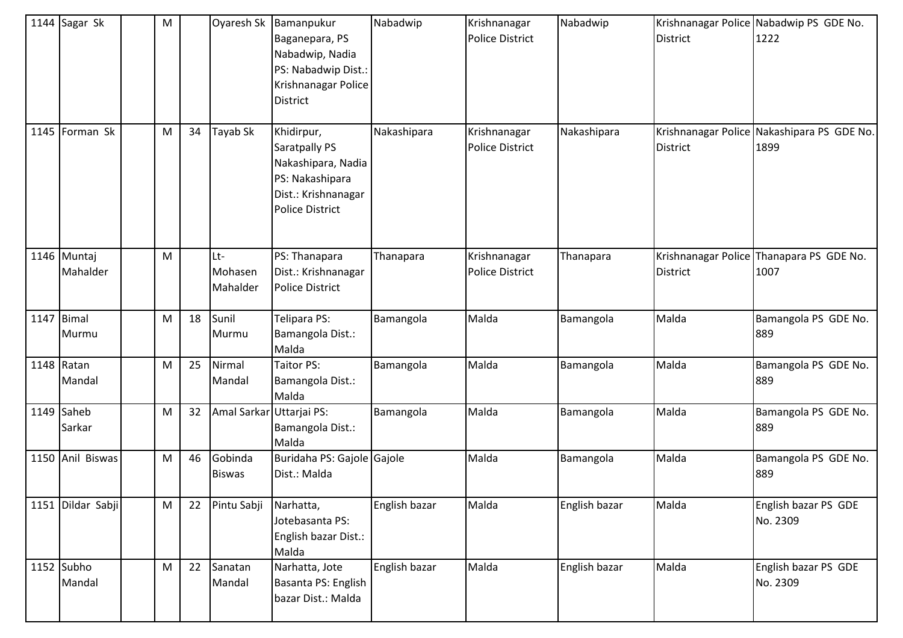| 1144 Sagar Sk           | M |    | Oyaresh Sk                 | Bamanpukur<br>Baganepara, PS<br>Nabadwip, Nadia<br>PS: Nabadwip Dist.:<br>Krishnanagar Police<br><b>District</b>      | Nabadwip      | Krishnanagar<br><b>Police District</b> | Nabadwip      | <b>District</b> | Krishnanagar Police Nabadwip PS GDE No.<br>1222    |
|-------------------------|---|----|----------------------------|-----------------------------------------------------------------------------------------------------------------------|---------------|----------------------------------------|---------------|-----------------|----------------------------------------------------|
| 1145 Forman Sk          | M | 34 | Tayab Sk                   | Khidirpur,<br>Saratpally PS<br>Nakashipara, Nadia<br>PS: Nakashipara<br>Dist.: Krishnanagar<br><b>Police District</b> | Nakashipara   | Krishnanagar<br><b>Police District</b> | Nakashipara   | <b>District</b> | Krishnanagar Police Nakashipara PS GDE No.<br>1899 |
| 1146 Muntaj<br>Mahalder | M |    | Lt-<br>Mohasen<br>Mahalder | PS: Thanapara<br>Dist.: Krishnanagar<br><b>Police District</b>                                                        | Thanapara     | Krishnanagar<br><b>Police District</b> | Thanapara     | <b>District</b> | Krishnanagar Police Thanapara PS GDE No.<br>1007   |
| 1147 Bimal<br>Murmu     | M | 18 | Sunil<br>Murmu             | Telipara PS:<br>Bamangola Dist.:<br>Malda                                                                             | Bamangola     | Malda                                  | Bamangola     | Malda           | Bamangola PS GDE No.<br>889                        |
| 1148 Ratan<br>Mandal    | M | 25 | Nirmal<br>Mandal           | Taitor PS:<br>Bamangola Dist.:<br>Malda                                                                               | Bamangola     | Malda                                  | Bamangola     | Malda           | Bamangola PS GDE No.<br>889                        |
| 1149 Saheb<br>Sarkar    | M | 32 | Amal Sarkar Uttarjai PS:   | Bamangola Dist.:<br>Malda                                                                                             | Bamangola     | Malda                                  | Bamangola     | Malda           | Bamangola PS GDE No.<br>889                        |
| 1150 Anil Biswas        | M | 46 | Gobinda<br><b>Biswas</b>   | Buridaha PS: Gajole Gajole<br>Dist.: Malda                                                                            |               | Malda                                  | Bamangola     | Malda           | Bamangola PS GDE No.<br>889                        |
| 1151 Dildar Sabji       | M | 22 | Pintu Sabji                | Narhatta,<br>Jotebasanta PS:<br>English bazar Dist.:<br>Malda                                                         | English bazar | Malda                                  | English bazar | Malda           | English bazar PS GDE<br>No. 2309                   |
| 1152 Subho<br>Mandal    | M | 22 | Sanatan<br>Mandal          | Narhatta, Jote<br>Basanta PS: English<br>bazar Dist.: Malda                                                           | English bazar | Malda                                  | English bazar | Malda           | English bazar PS GDE<br>No. 2309                   |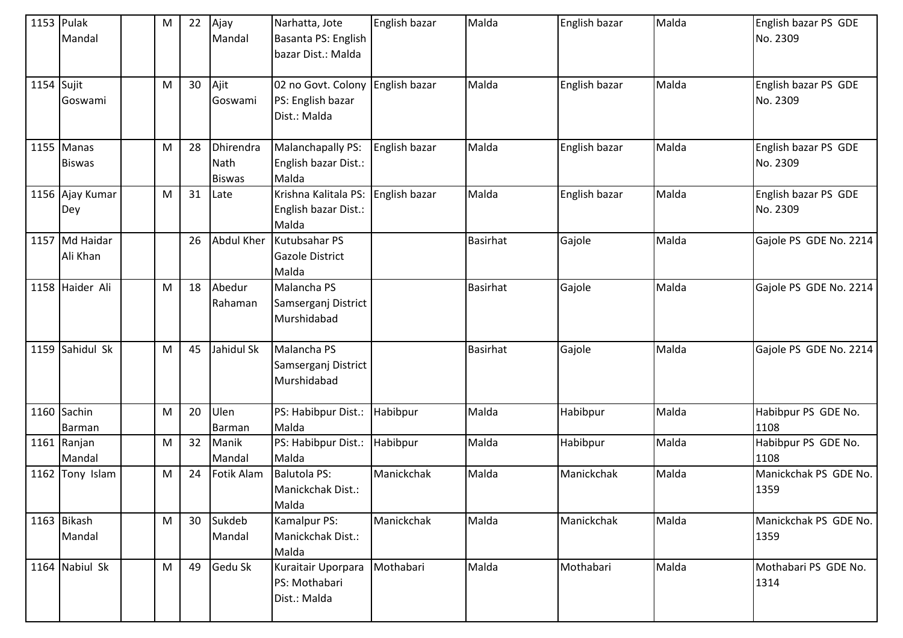| 1153 Pulak   | Mandal                      | ${\sf M}$ | 22 | Ajay<br>Mandal                     | Narhatta, Jote<br>Basanta PS: English<br>bazar Dist.: Malda           | English bazar | Malda           | English bazar | Malda | English bazar PS GDE<br>No. 2309 |
|--------------|-----------------------------|-----------|----|------------------------------------|-----------------------------------------------------------------------|---------------|-----------------|---------------|-------|----------------------------------|
| $1154$ Sujit | Goswami                     | M         | 30 | Ajit<br>Goswami                    | 02 no Govt. Colony English bazar<br>PS: English bazar<br>Dist.: Malda |               | Malda           | English bazar | Malda | English bazar PS GDE<br>No. 2309 |
|              | 1155 Manas<br><b>Biswas</b> | ${\sf M}$ | 28 | Dhirendra<br>Nath<br><b>Biswas</b> | Malanchapally PS:<br>English bazar Dist.:<br>Malda                    | English bazar | Malda           | English bazar | Malda | English bazar PS GDE<br>No. 2309 |
|              | 1156 Ajay Kumar<br>Dey      | M         | 31 | Late                               | Krishna Kalitala PS:<br>English bazar Dist.:<br>Malda                 | English bazar | Malda           | English bazar | Malda | English bazar PS GDE<br>No. 2309 |
|              | 1157 Md Haidar<br>Ali Khan  |           | 26 | Abdul Kher                         | Kutubsahar PS<br><b>Gazole District</b><br>Malda                      |               | <b>Basirhat</b> | Gajole        | Malda | Gajole PS GDE No. 2214           |
|              | 1158 Haider Ali             | ${\sf M}$ | 18 | Abedur<br>Rahaman                  | Malancha PS<br>Samserganj District<br>Murshidabad                     |               | Basirhat        | Gajole        | Malda | Gajole PS GDE No. 2214           |
|              | 1159 Sahidul Sk             | M         | 45 | Jahidul Sk                         | Malancha PS<br>Samserganj District<br>Murshidabad                     |               | <b>Basirhat</b> | Gajole        | Malda | Gajole PS GDE No. 2214           |
|              | 1160 Sachin<br>Barman       | M         | 20 | Ulen<br>Barman                     | PS: Habibpur Dist.:<br>Malda                                          | Habibpur      | Malda           | Habibpur      | Malda | Habibpur PS GDE No.<br>1108      |
|              | 1161 Ranjan<br>Mandal       | ${\sf M}$ | 32 | Manik<br>Mandal                    | PS: Habibpur Dist.:<br>Malda                                          | Habibpur      | Malda           | Habibpur      | Malda | Habibpur PS GDE No.<br>1108      |
| 1162         | Tony Islam                  | ${\sf M}$ | 24 | Fotik Alam                         | <b>Balutola PS:</b><br>Manickchak Dist.:<br>Malda                     | Manickchak    | Malda           | Manickchak    | Malda | Manickchak PS GDE No.<br>1359    |
|              | 1163 Bikash<br>Mandal       | ${\sf M}$ | 30 | Sukdeb<br>Mandal                   | Kamalpur PS:<br>Manickchak Dist.:<br>Malda                            | Manickchak    | Malda           | Manickchak    | Malda | Manickchak PS GDE No.<br>1359    |
|              | 1164 Nabiul Sk              | M         | 49 | Gedu Sk                            | Kuraitair Uporpara<br>PS: Mothabari<br>Dist.: Malda                   | Mothabari     | Malda           | Mothabari     | Malda | Mothabari PS GDE No.<br>1314     |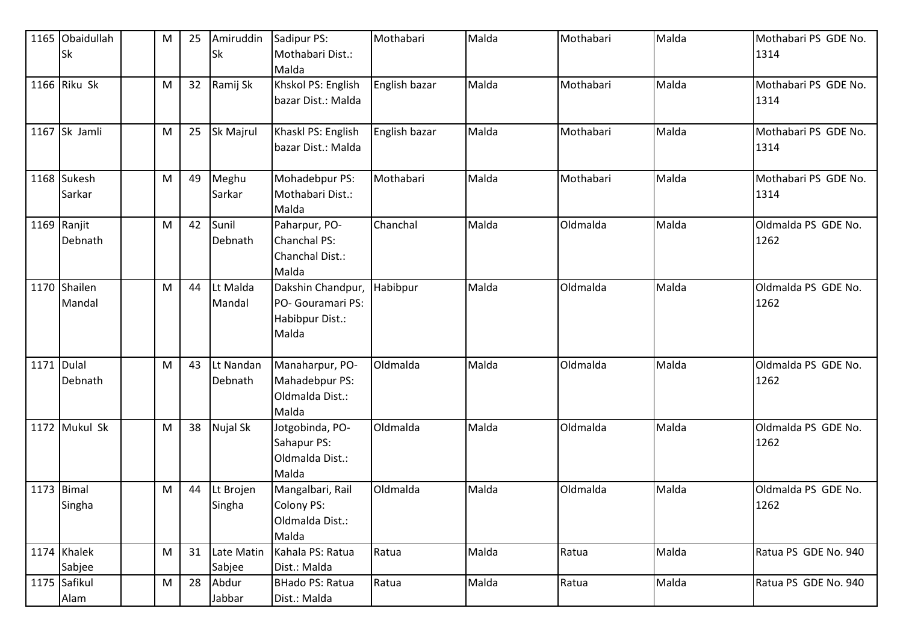|            | 1165 Obaidullah<br><b>Sk</b> | M | 25 | Amiruddin<br>Sk      | Sadipur PS:<br>Mothabari Dist.:<br>Malda                           | Mothabari     | Malda | Mothabari | Malda | Mothabari PS GDE No.<br>1314 |
|------------|------------------------------|---|----|----------------------|--------------------------------------------------------------------|---------------|-------|-----------|-------|------------------------------|
|            | 1166 Riku Sk                 | M | 32 | Ramij Sk             | Khskol PS: English<br>bazar Dist.: Malda                           | English bazar | Malda | Mothabari | Malda | Mothabari PS GDE No.<br>1314 |
|            | 1167 Sk Jamli                | M | 25 | Sk Majrul            | Khaskl PS: English<br>bazar Dist.: Malda                           | English bazar | Malda | Mothabari | Malda | Mothabari PS GDE No.<br>1314 |
|            | 1168 Sukesh<br>Sarkar        | M | 49 | Meghu<br>Sarkar      | Mohadebpur PS:<br>Mothabari Dist.:<br>Malda                        | Mothabari     | Malda | Mothabari | Malda | Mothabari PS GDE No.<br>1314 |
|            | 1169 Ranjit<br>Debnath       | M | 42 | Sunil<br>Debnath     | Paharpur, PO-<br>Chanchal PS:<br>Chanchal Dist.:<br>Malda          | Chanchal      | Malda | Oldmalda  | Malda | Oldmalda PS GDE No.<br>1262  |
|            | 1170 Shailen<br>Mandal       | M | 44 | Lt Malda<br>Mandal   | Dakshin Chandpur,<br>PO- Gouramari PS:<br>Habibpur Dist.:<br>Malda | Habibpur      | Malda | Oldmalda  | Malda | Oldmalda PS GDE No.<br>1262  |
| 1171 Dulal | Debnath                      | M | 43 | Lt Nandan<br>Debnath | Manaharpur, PO-<br>Mahadebpur PS:<br>Oldmalda Dist.:<br>Malda      | Oldmalda      | Malda | Oldmalda  | Malda | Oldmalda PS GDE No.<br>1262  |
|            | 1172 Mukul Sk                | M | 38 | Nujal Sk             | Jotgobinda, PO-<br>Sahapur PS:<br>Oldmalda Dist.:<br>Malda         | Oldmalda      | Malda | Oldmalda  | Malda | Oldmalda PS GDE No.<br>1262  |
| 1173 Bimal | Singha                       | M | 44 | Lt Brojen<br>Singha  | Mangalbari, Rail<br>Colony PS:<br>Oldmalda Dist.:<br>Malda         | Oldmalda      | Malda | Oldmalda  | Malda | Oldmalda PS GDE No.<br>1262  |
|            | 1174 Khalek<br>Sabjee        | M | 31 | Late Matin<br>Sabjee | Kahala PS: Ratua<br>Dist.: Malda                                   | Ratua         | Malda | Ratua     | Malda | Ratua PS GDE No. 940         |
|            | 1175 Safikul<br>Alam         | M | 28 | Abdur<br>Jabbar      | BHado PS: Ratua<br>Dist.: Malda                                    | Ratua         | Malda | Ratua     | Malda | Ratua PS GDE No. 940         |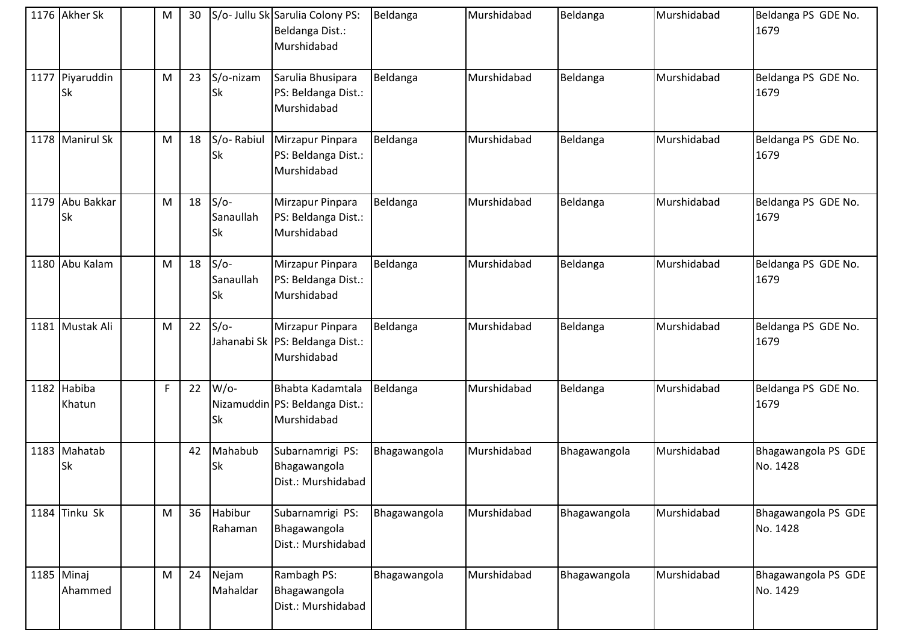| 1176 Akher Sk           | M           | 30 |                           | S/o- Jullu Sk Sarulia Colony PS:<br>Beldanga Dist.:<br>Murshidabad  | Beldanga     | Murshidabad | Beldanga     | Murshidabad | Beldanga PS GDE No.<br>1679     |
|-------------------------|-------------|----|---------------------------|---------------------------------------------------------------------|--------------|-------------|--------------|-------------|---------------------------------|
| 1177 Piyaruddin<br>lSk  | M           | 23 | S/o-nizam<br>Sk           | Sarulia Bhusipara<br>PS: Beldanga Dist.:<br>Murshidabad             | Beldanga     | Murshidabad | Beldanga     | Murshidabad | Beldanga PS GDE No.<br>1679     |
| 1178 Manirul Sk         | M           | 18 | S/o-Rabiul<br>Sk          | Mirzapur Pinpara<br>PS: Beldanga Dist.:<br>Murshidabad              | Beldanga     | Murshidabad | Beldanga     | Murshidabad | Beldanga PS GDE No.<br>1679     |
| 1179 Abu Bakkar<br>Sk   | M           | 18 | $S/O-$<br>Sanaullah<br>Sk | Mirzapur Pinpara<br>PS: Beldanga Dist.:<br>Murshidabad              | Beldanga     | Murshidabad | Beldanga     | Murshidabad | Beldanga PS GDE No.<br>1679     |
| 1180 Abu Kalam          | M           | 18 | $S/O-$<br>Sanaullah<br>Sk | Mirzapur Pinpara<br>PS: Beldanga Dist.:<br>Murshidabad              | Beldanga     | Murshidabad | Beldanga     | Murshidabad | Beldanga PS GDE No.<br>1679     |
| 1181 Mustak Ali         | M           | 22 | $S/O-$                    | Mirzapur Pinpara<br>Jahanabi Sk  PS: Beldanga Dist.:<br>Murshidabad | Beldanga     | Murshidabad | Beldanga     | Murshidabad | Beldanga PS GDE No.<br>1679     |
| 1182 Habiba<br>Khatun   | $\mathsf F$ | 22 | $W$ /o-<br>Sk             | Bhabta Kadamtala<br>Nizamuddin PS: Beldanga Dist.:<br>Murshidabad   | Beldanga     | Murshidabad | Beldanga     | Murshidabad | Beldanga PS GDE No.<br>1679     |
| 1183 Mahatab<br>Sk      |             | 42 | Mahabub<br>Sk             | Subarnamrigi PS:<br>Bhagawangola<br>Dist.: Murshidabad              | Bhagawangola | Murshidabad | Bhagawangola | Murshidabad | Bhagawangola PS GDE<br>No. 1428 |
| 1184 Tinku Sk           | M           | 36 | Habibur<br>Rahaman        | Subarnamrigi PS:<br>Bhagawangola<br>Dist.: Murshidabad              | Bhagawangola | Murshidabad | Bhagawangola | Murshidabad | Bhagawangola PS GDE<br>No. 1428 |
| $1185$ Minaj<br>Ahammed | M           | 24 | Nejam<br>Mahaldar         | Rambagh PS:<br>Bhagawangola<br>Dist.: Murshidabad                   | Bhagawangola | Murshidabad | Bhagawangola | Murshidabad | Bhagawangola PS GDE<br>No. 1429 |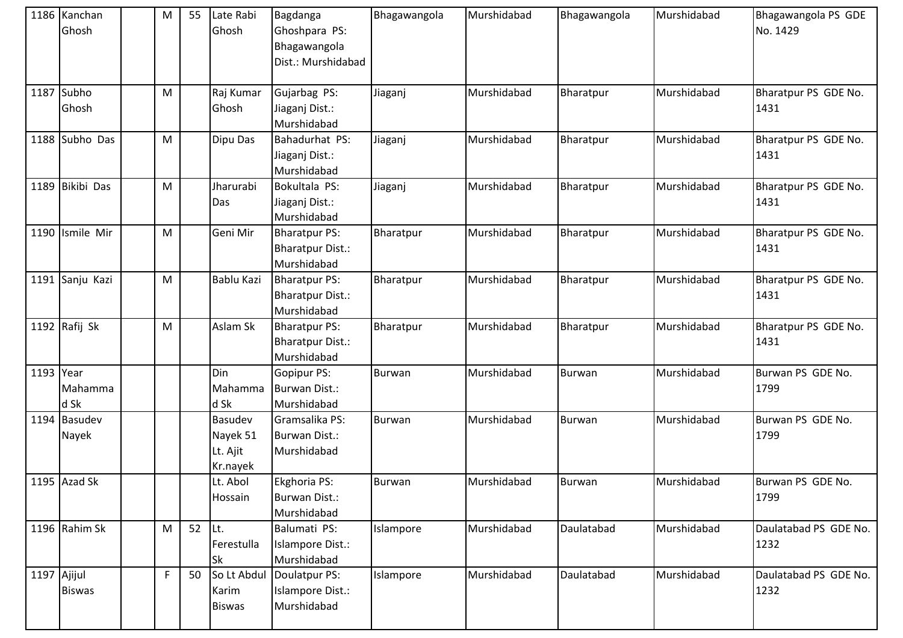|             | 1186 Kanchan<br>Ghosh | M           | 55     | Late Rabi<br>Ghosh                          | Bagdanga<br>Ghoshpara PS:<br>Bhagawangola<br>Dist.: Murshidabad | Bhagawangola  | Murshidabad | Bhagawangola  | Murshidabad | Bhagawangola PS GDE<br>No. 1429 |
|-------------|-----------------------|-------------|--------|---------------------------------------------|-----------------------------------------------------------------|---------------|-------------|---------------|-------------|---------------------------------|
|             | 1187 Subho<br>Ghosh   | M           |        | Raj Kumar<br>Ghosh                          | Gujarbag PS:<br>Jiaganj Dist.:<br>Murshidabad                   | Jiaganj       | Murshidabad | Bharatpur     | Murshidabad | Bharatpur PS GDE No.<br>1431    |
|             | 1188 Subho Das        | M           |        | Dipu Das                                    | Bahadurhat PS:<br>Jiaganj Dist.:<br>Murshidabad                 | Jiaganj       | Murshidabad | Bharatpur     | Murshidabad | Bharatpur PS GDE No.<br>1431    |
|             | 1189 Bikibi Das       | M           |        | Jharurabi<br>Das                            | Bokultala PS:<br>Jiaganj Dist.:<br>Murshidabad                  | Jiaganj       | Murshidabad | Bharatpur     | Murshidabad | Bharatpur PS GDE No.<br>1431    |
|             | 1190 Ismile Mir       | M           |        | Geni Mir                                    | <b>Bharatpur PS:</b><br><b>Bharatpur Dist.:</b><br>Murshidabad  | Bharatpur     | Murshidabad | Bharatpur     | Murshidabad | Bharatpur PS GDE No.<br>1431    |
|             | 1191 Sanju Kazi       | M           |        | Bablu Kazi                                  | <b>Bharatpur PS:</b><br><b>Bharatpur Dist.:</b><br>Murshidabad  | Bharatpur     | Murshidabad | Bharatpur     | Murshidabad | Bharatpur PS GDE No.<br>1431    |
|             | 1192 $Rafij Sk$       | M           |        | Aslam Sk                                    | <b>Bharatpur PS:</b><br><b>Bharatpur Dist.:</b><br>Murshidabad  | Bharatpur     | Murshidabad | Bharatpur     | Murshidabad | Bharatpur PS GDE No.<br>1431    |
| 1193 Year   | Mahamma<br>d Sk       |             |        | Din<br>Mahamma<br>d Sk                      | Gopipur PS:<br>Burwan Dist.:<br>Murshidabad                     | <b>Burwan</b> | Murshidabad | <b>Burwan</b> | Murshidabad | Burwan PS GDE No.<br>1799       |
|             | 1194 Basudev<br>Nayek |             |        | Basudev<br>Nayek 51<br>Lt. Ajit<br>Kr.nayek | Gramsalika PS:<br>Burwan Dist.:<br>Murshidabad                  | Burwan        | Murshidabad | <b>Burwan</b> | Murshidabad | Burwan PS GDE No.<br>1799       |
|             | 1195 Azad Sk          |             |        | Lt. Abol<br>Hossain                         | Ekghoria PS:<br><b>Burwan Dist.:</b><br>Murshidabad             | <b>Burwan</b> | Murshidabad | <b>Burwan</b> | Murshidabad | Burwan PS GDE No.<br>1799       |
|             | 1196 Rahim Sk         | M           | 52 Lt. | Ferestulla<br>Sk                            | Balumati PS:<br>Islampore Dist.:<br>Murshidabad                 | Islampore     | Murshidabad | Daulatabad    | Murshidabad | Daulatabad PS GDE No.<br>1232   |
| 1197 Ajijul | <b>Biswas</b>         | $\mathsf F$ | 50     | So Lt Abdul<br>Karim<br><b>Biswas</b>       | Doulatpur PS:<br>Islampore Dist.:<br>Murshidabad                | Islampore     | Murshidabad | Daulatabad    | Murshidabad | Daulatabad PS GDE No.<br>1232   |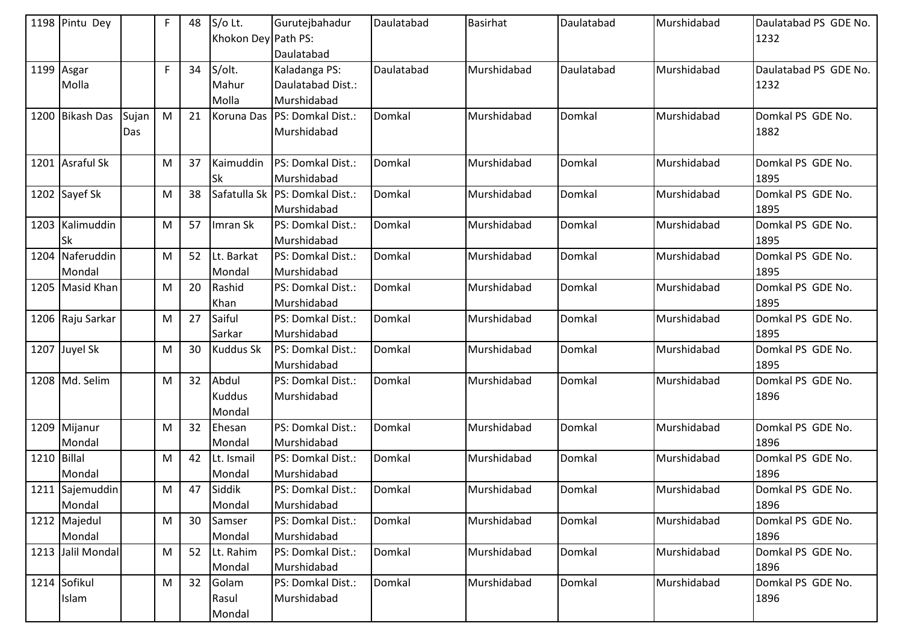|             | 1198 Pintu Dey    |       | F           | 48 | S/o Lt.             | Gurutejbahadur                 | Daulatabad | Basirhat    | Daulatabad | Murshidabad | Daulatabad PS GDE No. |
|-------------|-------------------|-------|-------------|----|---------------------|--------------------------------|------------|-------------|------------|-------------|-----------------------|
|             |                   |       |             |    | Khokon Dey Path PS: |                                |            |             |            |             | 1232                  |
|             |                   |       |             |    |                     | Daulatabad                     |            |             |            |             |                       |
|             | 1199 Asgar        |       | $\mathsf F$ | 34 | S/olt.              | Kaladanga PS:                  | Daulatabad | Murshidabad | Daulatabad | Murshidabad | Daulatabad PS GDE No. |
|             | Molla             |       |             |    | Mahur               | Daulatabad Dist.:              |            |             |            |             | 1232                  |
|             |                   |       |             |    | Molla               | Murshidabad                    |            |             |            |             |                       |
|             | 1200 Bikash Das   | Sujan | M           | 21 | Koruna Das          | PS: Domkal Dist.:              | Domkal     | Murshidabad | Domkal     | Murshidabad | Domkal PS GDE No.     |
|             |                   | Das   |             |    |                     | Murshidabad                    |            |             |            |             | 1882                  |
|             |                   |       |             |    |                     |                                |            |             |            |             |                       |
|             | 1201 Asraful Sk   |       | M           | 37 | Kaimuddin           | PS: Domkal Dist.:              | Domkal     | Murshidabad | Domkal     | Murshidabad | Domkal PS GDE No.     |
|             |                   |       |             |    | lSk                 | Murshidabad                    |            |             |            |             | 1895                  |
|             | 1202 Sayef Sk     |       | M           | 38 |                     | Safatulla Sk PS: Domkal Dist.: | Domkal     | Murshidabad | Domkal     | Murshidabad | Domkal PS GDE No.     |
|             |                   |       |             |    |                     | Murshidabad                    |            |             |            |             | 1895                  |
|             | 1203 Kalimuddin   |       | M           | 57 | Imran Sk            | PS: Domkal Dist.:              | Domkal     | Murshidabad | Domkal     | Murshidabad | Domkal PS GDE No.     |
|             | Sk                |       |             |    |                     | Murshidabad                    |            |             |            |             | 1895                  |
|             | 1204 Naferuddin   |       | M           | 52 | Lt. Barkat          | PS: Domkal Dist.:              | Domkal     | Murshidabad | Domkal     | Murshidabad | Domkal PS GDE No.     |
|             | Mondal            |       |             |    | Mondal              | Murshidabad                    |            |             |            |             | 1895                  |
|             | 1205 Masid Khan   |       | M           | 20 | Rashid              | PS: Domkal Dist.:              | Domkal     | Murshidabad | Domkal     | Murshidabad | Domkal PS GDE No.     |
|             |                   |       |             |    | Khan                | Murshidabad                    |            |             |            |             | 1895                  |
|             | 1206 Raju Sarkar  |       | M           | 27 | Saiful              | PS: Domkal Dist.:              | Domkal     | Murshidabad | Domkal     | Murshidabad | Domkal PS GDE No.     |
|             |                   |       |             |    | Sarkar              | Murshidabad                    |            |             |            |             | 1895                  |
|             | 1207 Juyel Sk     |       | M           | 30 | <b>Kuddus Sk</b>    | PS: Domkal Dist.:              | Domkal     | Murshidabad | Domkal     | Murshidabad | Domkal PS GDE No.     |
|             |                   |       |             |    |                     | Murshidabad                    |            |             |            |             | 1895                  |
|             | 1208 Md. Selim    |       | M           | 32 | Abdul               | PS: Domkal Dist.:              | Domkal     | Murshidabad | Domkal     | Murshidabad | Domkal PS GDE No.     |
|             |                   |       |             |    | <b>Kuddus</b>       | Murshidabad                    |            |             |            |             | 1896                  |
|             |                   |       |             |    | Mondal              |                                |            |             |            |             |                       |
|             | 1209 Mijanur      |       | M           | 32 | Ehesan              | PS: Domkal Dist.:              | Domkal     | Murshidabad | Domkal     | Murshidabad | Domkal PS GDE No.     |
|             | Mondal            |       |             |    | Mondal              | Murshidabad                    |            |             |            |             | 1896                  |
| 1210 Billal |                   |       | M           | 42 | Lt. Ismail          | PS: Domkal Dist.:              | Domkal     | Murshidabad | Domkal     | Murshidabad | Domkal PS GDE No.     |
|             | Mondal            |       |             |    | Mondal              | Murshidabad                    |            |             |            |             | 1896                  |
|             | 1211 Sajemuddin   |       | M           | 47 | Siddik              | PS: Domkal Dist.:              | Domkal     | Murshidabad | Domkal     | Murshidabad | Domkal PS GDE No.     |
|             | Mondal            |       |             |    | Mondal              | Murshidabad                    |            |             |            |             | 1896                  |
|             | 1212 Majedul      |       | M           | 30 | Samser              | PS: Domkal Dist.:              | Domkal     | Murshidabad | Domkal     | Murshidabad | Domkal PS GDE No.     |
|             | Mondal            |       |             |    | Mondal              | Murshidabad                    |            |             |            |             | 1896                  |
|             | 1213 Jalil Mondal |       | M           | 52 | Lt. Rahim           | PS: Domkal Dist.:              | Domkal     | Murshidabad | Domkal     | Murshidabad | Domkal PS GDE No.     |
|             |                   |       |             |    | Mondal              | Murshidabad                    |            |             |            |             | 1896                  |
|             | 1214 Sofikul      |       | M           | 32 | Golam               | PS: Domkal Dist.:              | Domkal     | Murshidabad | Domkal     | Murshidabad | Domkal PS GDE No.     |
|             | Islam             |       |             |    | Rasul               | Murshidabad                    |            |             |            |             | 1896                  |
|             |                   |       |             |    | Mondal              |                                |            |             |            |             |                       |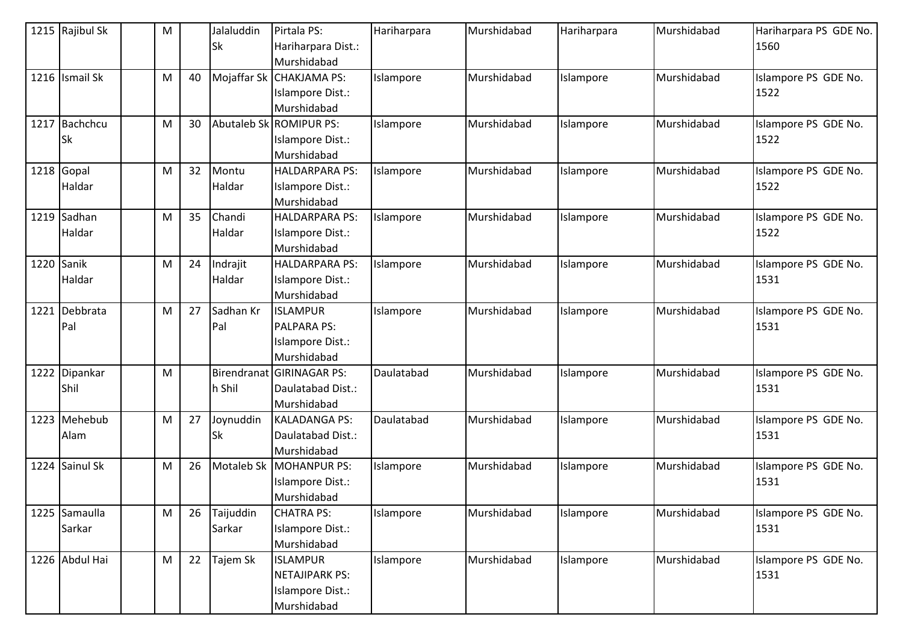| 1215 Rajibul Sk | M |    | Jalaluddin<br><b>Sk</b> | Pirtala PS:<br>Hariharpara Dist.: | Hariharpara | Murshidabad | Hariharpara | Murshidabad | Hariharpara PS GDE No.<br>1560 |
|-----------------|---|----|-------------------------|-----------------------------------|-------------|-------------|-------------|-------------|--------------------------------|
|                 |   |    |                         | Murshidabad                       |             |             |             |             |                                |
| 1216 Ismail Sk  | M | 40 |                         | Mojaffar Sk CHAKJAMA PS:          | Islampore   | Murshidabad | Islampore   | Murshidabad | Islampore PS GDE No.           |
|                 |   |    |                         | Islampore Dist.:                  |             |             |             |             | 1522                           |
|                 |   |    |                         | Murshidabad                       |             |             |             |             |                                |
| 1217 Bachchcu   | M | 30 |                         | Abutaleb Sk ROMIPUR PS:           | Islampore   | Murshidabad | Islampore   | Murshidabad | Islampore PS GDE No.           |
| <b>Sk</b>       |   |    |                         | Islampore Dist.:                  |             |             |             |             | 1522                           |
|                 |   |    |                         | Murshidabad                       |             |             |             |             |                                |
| 1218 Gopal      | M | 32 | Montu                   | <b>HALDARPARA PS:</b>             | Islampore   | Murshidabad | Islampore   | Murshidabad | Islampore PS GDE No.           |
| Haldar          |   |    | Haldar                  | Islampore Dist.:                  |             |             |             |             | 1522                           |
|                 |   |    |                         | Murshidabad                       |             |             |             |             |                                |
| 1219 Sadhan     | M | 35 | Chandi                  | <b>HALDARPARA PS:</b>             | Islampore   | Murshidabad | Islampore   | Murshidabad | Islampore PS GDE No.           |
| Haldar          |   |    | Haldar                  | Islampore Dist.:                  |             |             |             |             | 1522                           |
|                 |   |    |                         | Murshidabad                       |             |             |             |             |                                |
| 1220 Sanik      | M | 24 | Indrajit                | <b>HALDARPARA PS:</b>             | Islampore   | Murshidabad | Islampore   | Murshidabad | Islampore PS GDE No.           |
| Haldar          |   |    | Haldar                  | <b>Islampore Dist.:</b>           |             |             |             |             | 1531                           |
|                 |   |    |                         | Murshidabad                       |             |             |             |             |                                |
| 1221 Debbrata   | M | 27 | Sadhan Kr               | <b>ISLAMPUR</b>                   | Islampore   | Murshidabad | Islampore   | Murshidabad | Islampore PS GDE No.           |
| Pal             |   |    | Pal                     | PALPARA PS:                       |             |             |             |             | 1531                           |
|                 |   |    |                         | Islampore Dist.:                  |             |             |             |             |                                |
|                 |   |    |                         | Murshidabad                       |             |             |             |             |                                |
| 1222 Dipankar   | M |    | Birendranat             | <b>GIRINAGAR PS:</b>              | Daulatabad  | Murshidabad | Islampore   | Murshidabad | Islampore PS GDE No.           |
| Shil            |   |    | h Shil                  | Daulatabad Dist.:                 |             |             |             |             | 1531                           |
|                 |   |    |                         | Murshidabad                       |             |             |             |             |                                |
| 1223 Mehebub    | M | 27 | Joynuddin               | <b>KALADANGA PS:</b>              | Daulatabad  | Murshidabad | Islampore   | Murshidabad | Islampore PS GDE No.           |
| Alam            |   |    | Sk                      | Daulatabad Dist.:                 |             |             |             |             | 1531                           |
|                 |   |    |                         | Murshidabad                       |             |             |             |             |                                |
| 1224 Sainul Sk  | M | 26 | Motaleb Sk              | <b>MOHANPUR PS:</b>               | Islampore   | Murshidabad | Islampore   | Murshidabad | Islampore PS GDE No.           |
|                 |   |    |                         | Islampore Dist.:                  |             |             |             |             | 1531                           |
|                 |   |    |                         | Murshidabad                       |             |             |             |             |                                |
| 1225 Samaulla   | M | 26 | Taijuddin               | <b>CHATRA PS:</b>                 | Islampore   | Murshidabad | Islampore   | Murshidabad | Islampore PS GDE No.           |
| Sarkar          |   |    | Sarkar                  | Islampore Dist.:                  |             |             |             |             | 1531                           |
|                 |   |    |                         | Murshidabad                       |             |             |             |             |                                |
| 1226 Abdul Hai  | M | 22 | Tajem Sk                | <b>ISLAMPUR</b>                   | Islampore   | Murshidabad | Islampore   | Murshidabad | Islampore PS GDE No.           |
|                 |   |    |                         | <b>NETAJIPARK PS:</b>             |             |             |             |             | 1531                           |
|                 |   |    |                         | Islampore Dist.:                  |             |             |             |             |                                |
|                 |   |    |                         | Murshidabad                       |             |             |             |             |                                |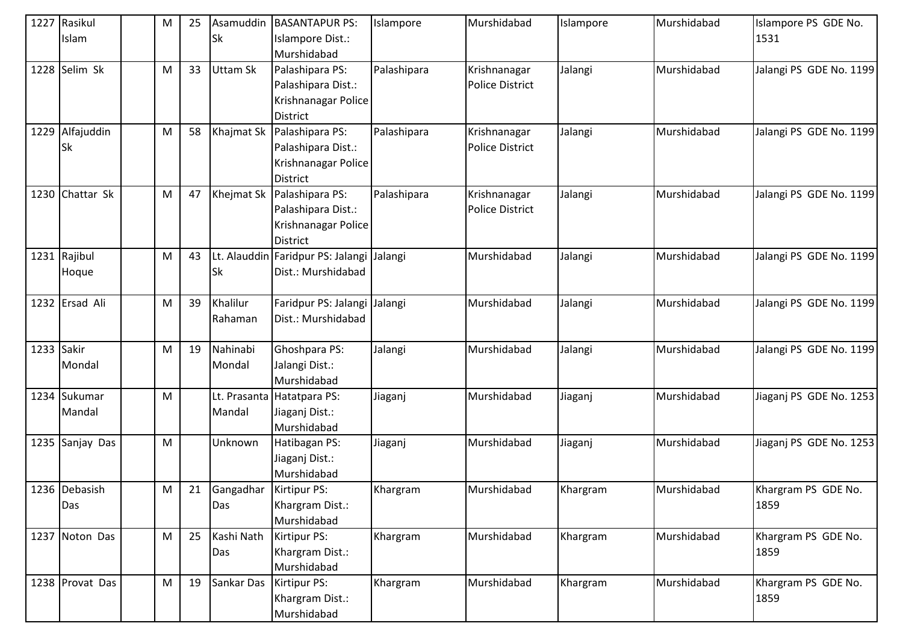| 1227       | Rasikul         | M | 25 | Asamuddin    | <b>BASANTAPUR PS:</b>             | Islampore   | Murshidabad            | Islampore | Murshidabad | Islampore PS GDE No.    |
|------------|-----------------|---|----|--------------|-----------------------------------|-------------|------------------------|-----------|-------------|-------------------------|
|            | Islam           |   |    | Sk           | Islampore Dist.:                  |             |                        |           |             | 1531                    |
|            |                 |   |    |              | Murshidabad                       |             |                        |           |             |                         |
| 1228       | Selim Sk        | M | 33 | Uttam Sk     | Palashipara PS:                   | Palashipara | Krishnanagar           | Jalangi   | Murshidabad | Jalangi PS GDE No. 1199 |
|            |                 |   |    |              | Palashipara Dist.:                |             | <b>Police District</b> |           |             |                         |
|            |                 |   |    |              | Krishnanagar Police               |             |                        |           |             |                         |
|            |                 |   |    |              | District                          |             |                        |           |             |                         |
| 1229       | Alfajuddin      | M | 58 | Khajmat Sk   | Palashipara PS:                   | Palashipara | Krishnanagar           | Jalangi   | Murshidabad | Jalangi PS GDE No. 1199 |
|            | <b>Sk</b>       |   |    |              | Palashipara Dist.:                |             | <b>Police District</b> |           |             |                         |
|            |                 |   |    |              | Krishnanagar Police               |             |                        |           |             |                         |
|            |                 |   |    |              | <b>District</b>                   |             |                        |           |             |                         |
|            | 1230 Chattar Sk | M | 47 | Khejmat Sk   | Palashipara PS:                   | Palashipara | Krishnanagar           | Jalangi   | Murshidabad | Jalangi PS GDE No. 1199 |
|            |                 |   |    |              | Palashipara Dist.:                |             | <b>Police District</b> |           |             |                         |
|            |                 |   |    |              | Krishnanagar Police               |             |                        |           |             |                         |
|            |                 |   |    |              | <b>District</b>                   |             |                        |           |             |                         |
|            | 1231 Rajibul    | M | 43 |              | Lt. Alauddin Faridpur PS: Jalangi | Jalangi     | Murshidabad            | Jalangi   | Murshidabad | Jalangi PS GDE No. 1199 |
|            | Hoque           |   |    | Sk           | Dist.: Murshidabad                |             |                        |           |             |                         |
|            |                 |   |    |              |                                   |             |                        |           |             |                         |
|            | 1232 Ersad Ali  | M | 39 | Khalilur     | Faridpur PS: Jalangi              | Jalangi     | Murshidabad            | Jalangi   | Murshidabad | Jalangi PS GDE No. 1199 |
|            |                 |   |    | Rahaman      | Dist.: Murshidabad                |             |                        |           |             |                         |
|            |                 |   |    |              |                                   |             |                        |           |             |                         |
| 1233 Sakir |                 | M | 19 | Nahinabi     | Ghoshpara PS:                     | Jalangi     | Murshidabad            | Jalangi   | Murshidabad | Jalangi PS GDE No. 1199 |
|            | Mondal          |   |    | Mondal       | Jalangi Dist.:                    |             |                        |           |             |                         |
|            |                 |   |    |              | Murshidabad                       |             |                        |           |             |                         |
|            | 1234 Sukumar    | M |    | Lt. Prasanta | Hatatpara PS:                     | Jiaganj     | Murshidabad            | Jiaganj   | Murshidabad | Jiaganj PS GDE No. 1253 |
|            | Mandal          |   |    | Mandal       | Jiaganj Dist.:                    |             |                        |           |             |                         |
|            |                 |   |    |              | Murshidabad                       |             |                        |           |             |                         |
|            | 1235 Sanjay Das | M |    | Unknown      | Hatibagan PS:                     | Jiaganj     | Murshidabad            | Jiaganj   | Murshidabad | Jiaganj PS GDE No. 1253 |
|            |                 |   |    |              | Jiaganj Dist.:                    |             |                        |           |             |                         |
|            |                 |   |    |              | Murshidabad                       |             |                        |           |             |                         |
|            | 1236 Debasish   | M | 21 | Gangadhar    | Kirtipur PS:                      | Khargram    | Murshidabad            | Khargram  | Murshidabad | Khargram PS GDE No.     |
|            | Das             |   |    | Das          | Khargram Dist.:                   |             |                        |           |             | 1859                    |
|            |                 |   |    |              | Murshidabad                       |             |                        |           |             |                         |
|            | 1237 Noton Das  | M | 25 | Kashi Nath   | Kirtipur PS:                      | Khargram    | Murshidabad            | Khargram  | Murshidabad | Khargram PS GDE No.     |
|            |                 |   |    | Das          | Khargram Dist.:                   |             |                        |           |             | 1859                    |
|            |                 |   |    |              | Murshidabad                       |             |                        |           |             |                         |
|            | 1238 Provat Das | M | 19 | Sankar Das   | Kirtipur PS:                      | Khargram    | Murshidabad            | Khargram  | Murshidabad | Khargram PS GDE No.     |
|            |                 |   |    |              | Khargram Dist.:                   |             |                        |           |             | 1859                    |
|            |                 |   |    |              | Murshidabad                       |             |                        |           |             |                         |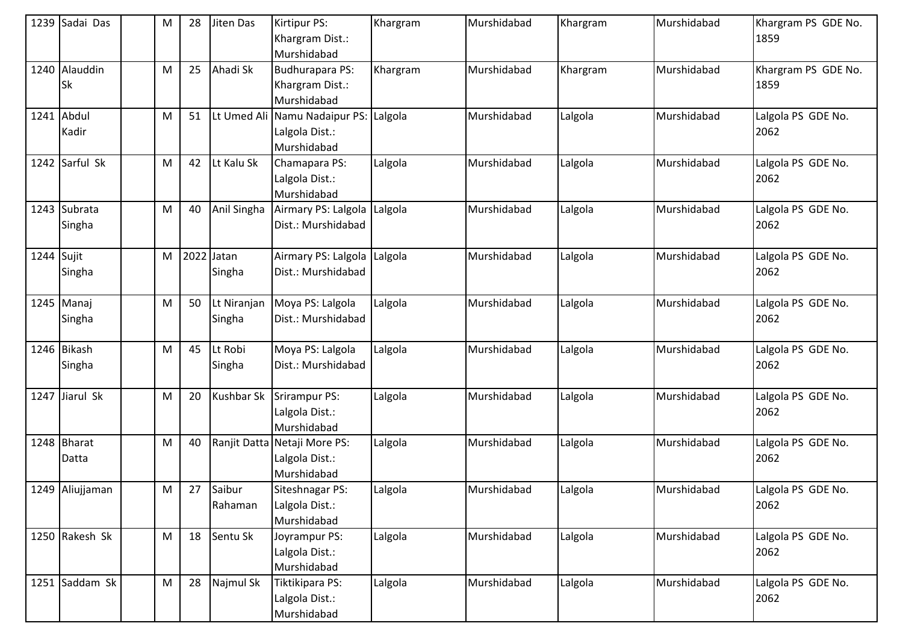|              | 1239 Sadai Das  | M         | 28 | Jiten Das         | Kirtipur PS:                          | Khargram | Murshidabad | Khargram | Murshidabad | Khargram PS GDE No.        |
|--------------|-----------------|-----------|----|-------------------|---------------------------------------|----------|-------------|----------|-------------|----------------------------|
|              |                 |           |    |                   | Khargram Dist.:                       |          |             |          |             | 1859                       |
|              |                 |           |    |                   | Murshidabad                           |          |             |          |             |                            |
|              | 1240 Alauddin   | ${\sf M}$ | 25 | Ahadi Sk          | Budhurapara PS:                       | Khargram | Murshidabad | Khargram | Murshidabad | Khargram PS GDE No.        |
|              | <b>Sk</b>       |           |    |                   | Khargram Dist.:<br>Murshidabad        |          |             |          |             | 1859                       |
|              | 1241 Abdul      | M         | 51 |                   | Lt Umed Ali Namu Nadaipur PS: Lalgola |          | Murshidabad | Lalgola  | Murshidabad | Lalgola PS GDE No.         |
|              | Kadir           |           |    |                   | Lalgola Dist.:                        |          |             |          |             | 2062                       |
|              |                 |           |    |                   | Murshidabad                           |          |             |          |             |                            |
|              | 1242 Sarful Sk  | ${\sf M}$ | 42 | Lt Kalu Sk        | Chamapara PS:                         | Lalgola  | Murshidabad | Lalgola  | Murshidabad | Lalgola PS GDE No.         |
|              |                 |           |    |                   | Lalgola Dist.:                        |          |             |          |             | 2062                       |
|              |                 |           |    |                   | Murshidabad                           |          |             |          |             |                            |
|              | 1243 Subrata    | ${\sf M}$ | 40 | Anil Singha       | Airmary PS: Lalgola                   | Lalgola  | Murshidabad | Lalgola  | Murshidabad | Lalgola PS GDE No.         |
|              | Singha          |           |    |                   | Dist.: Murshidabad                    |          |             |          |             | 2062                       |
|              |                 |           |    |                   |                                       |          |             |          |             |                            |
| $1244$ Sujit |                 | ${\sf M}$ |    | 2022 Jatan        | Airmary PS: Lalgola Lalgola           |          | Murshidabad | Lalgola  | Murshidabad | Lalgola PS GDE No.         |
|              | Singha          |           |    | Singha            | Dist.: Murshidabad                    |          |             |          |             | 2062                       |
|              |                 |           |    |                   |                                       |          |             |          |             |                            |
|              | 1245 Manaj      | ${\sf M}$ | 50 | Lt Niranjan       | Moya PS: Lalgola                      | Lalgola  | Murshidabad | Lalgola  | Murshidabad | Lalgola PS GDE No.         |
|              | Singha          |           |    | Singha            | Dist.: Murshidabad                    |          |             |          |             | 2062                       |
|              |                 |           |    |                   |                                       |          |             |          |             |                            |
|              | 1246 Bikash     | M         | 45 | Lt Robi           | Moya PS: Lalgola                      | Lalgola  | Murshidabad | Lalgola  | Murshidabad | Lalgola PS GDE No.         |
|              | Singha          |           |    | Singha            | Dist.: Murshidabad                    |          |             |          |             | 2062                       |
|              |                 |           |    |                   |                                       |          |             |          |             |                            |
|              | 1247 Jiarul Sk  | ${\sf M}$ | 20 | <b>Kushbar Sk</b> | Srirampur PS:                         | Lalgola  | Murshidabad | Lalgola  | Murshidabad | Lalgola PS GDE No.         |
|              |                 |           |    |                   | Lalgola Dist.:                        |          |             |          |             | 2062                       |
|              |                 |           |    |                   | Murshidabad                           |          |             |          |             |                            |
|              | 1248 Bharat     | ${\sf M}$ | 40 |                   | Ranjit Datta Netaji More PS:          | Lalgola  | Murshidabad | Lalgola  | Murshidabad | Lalgola PS GDE No.         |
|              | Datta           |           |    |                   | Lalgola Dist.:                        |          |             |          |             | 2062                       |
|              |                 |           |    |                   | Murshidabad                           |          |             |          |             |                            |
|              | 1249 Aliujjaman | M         | 27 | Saibur            | Siteshnagar PS:                       | Lalgola  | Murshidabad | Lalgola  | Murshidabad | Lalgola PS GDE No.<br>2062 |
|              |                 |           |    | Rahaman           | Lalgola Dist.:<br>Murshidabad         |          |             |          |             |                            |
|              | 1250 Rakesh Sk  | ${\sf M}$ | 18 | Sentu Sk          | Joyrampur PS:                         | Lalgola  | Murshidabad | Lalgola  | Murshidabad | Lalgola PS GDE No.         |
|              |                 |           |    |                   | Lalgola Dist.:                        |          |             |          |             | 2062                       |
|              |                 |           |    |                   | Murshidabad                           |          |             |          |             |                            |
|              | 1251 Saddam Sk  | ${\sf M}$ | 28 | Najmul Sk         | Tiktikipara PS:                       | Lalgola  | Murshidabad | Lalgola  | Murshidabad | Lalgola PS GDE No.         |
|              |                 |           |    |                   | Lalgola Dist.:                        |          |             |          |             | 2062                       |
|              |                 |           |    |                   | Murshidabad                           |          |             |          |             |                            |
|              |                 |           |    |                   |                                       |          |             |          |             |                            |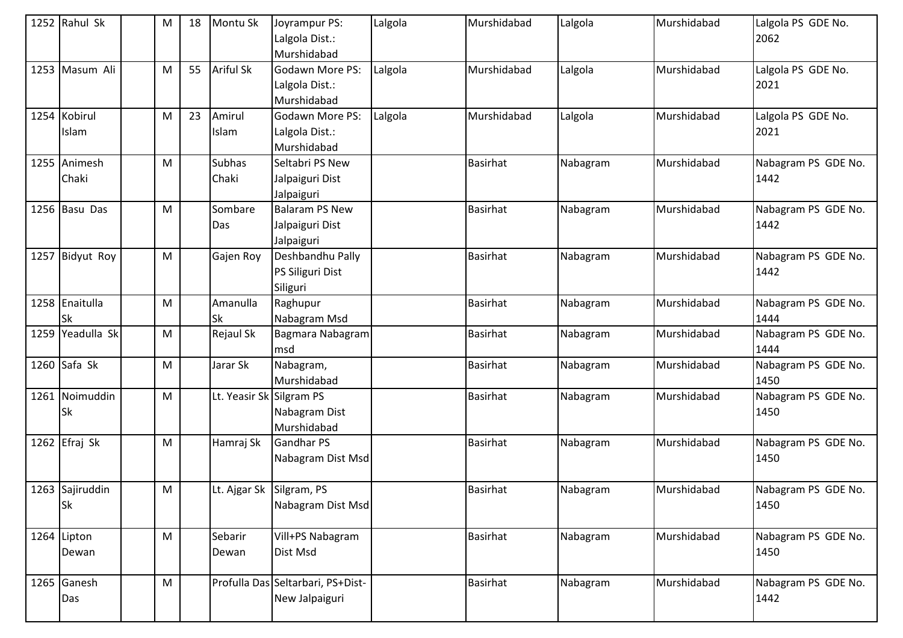| 1252 Rahul Sk    | M         | 18 | Montu Sk                 | Joyrampur PS:                     | Lalgola | Murshidabad     | Lalgola  | Murshidabad | Lalgola PS GDE No.  |
|------------------|-----------|----|--------------------------|-----------------------------------|---------|-----------------|----------|-------------|---------------------|
|                  |           |    |                          | Lalgola Dist.:                    |         |                 |          |             | 2062                |
|                  |           |    |                          | Murshidabad                       |         |                 |          |             |                     |
| 1253 Masum Ali   | M         | 55 | <b>Ariful Sk</b>         | Godawn More PS:                   | Lalgola | Murshidabad     | Lalgola  | Murshidabad | Lalgola PS GDE No.  |
|                  |           |    |                          | Lalgola Dist.:                    |         |                 |          |             | 2021                |
|                  |           |    |                          | Murshidabad                       |         |                 |          |             |                     |
| 1254 Kobirul     | M         | 23 | Amirul                   | Godawn More PS:                   | Lalgola | Murshidabad     | Lalgola  | Murshidabad | Lalgola PS GDE No.  |
| Islam            |           |    | Islam                    | Lalgola Dist.:                    |         |                 |          |             | 2021                |
|                  |           |    |                          | Murshidabad                       |         |                 |          |             |                     |
| 1255 Animesh     | M         |    | Subhas                   | Seltabri PS New                   |         | <b>Basirhat</b> | Nabagram | Murshidabad | Nabagram PS GDE No. |
| Chaki            |           |    | Chaki                    | Jalpaiguri Dist                   |         |                 |          |             | 1442                |
|                  |           |    |                          | Jalpaiguri                        |         |                 |          |             |                     |
| 1256 Basu Das    | M         |    | Sombare                  | <b>Balaram PS New</b>             |         | <b>Basirhat</b> | Nabagram | Murshidabad | Nabagram PS GDE No. |
|                  |           |    | Das                      | Jalpaiguri Dist                   |         |                 |          |             | 1442                |
|                  |           |    |                          | Jalpaiguri                        |         |                 |          |             |                     |
| 1257 Bidyut Roy  | M         |    | Gajen Roy                | Deshbandhu Pally                  |         | <b>Basirhat</b> | Nabagram | Murshidabad | Nabagram PS GDE No. |
|                  |           |    |                          | PS Siliguri Dist                  |         |                 |          |             | 1442                |
|                  |           |    |                          | Siliguri                          |         |                 |          |             |                     |
| 1258 Enaitulla   | ${\sf M}$ |    | Amanulla                 | Raghupur                          |         | <b>Basirhat</b> | Nabagram | Murshidabad | Nabagram PS GDE No. |
| lSk              |           |    | Sk                       | Nabagram Msd                      |         |                 |          |             | 1444                |
| 1259 Yeadulla Sk | M         |    | Rejaul Sk                | Bagmara Nabagram                  |         | Basirhat        | Nabagram | Murshidabad | Nabagram PS GDE No. |
|                  |           |    |                          | msd                               |         |                 |          |             | 1444                |
| 1260 Safa Sk     | M         |    | Jarar Sk                 | Nabagram,                         |         | <b>Basirhat</b> | Nabagram | Murshidabad | Nabagram PS GDE No. |
|                  |           |    |                          | Murshidabad                       |         |                 |          |             | 1450                |
| 1261 Noimuddin   | ${\sf M}$ |    | Lt. Yeasir Sk Silgram PS |                                   |         | Basirhat        | Nabagram | Murshidabad | Nabagram PS GDE No. |
| Sk               |           |    |                          | Nabagram Dist                     |         |                 |          |             | 1450                |
|                  |           |    |                          | Murshidabad                       |         |                 |          |             |                     |
| 1262 Efraj Sk    | ${\sf M}$ |    | Hamraj Sk                | Gandhar PS                        |         | <b>Basirhat</b> | Nabagram | Murshidabad | Nabagram PS GDE No. |
|                  |           |    |                          | Nabagram Dist Msd                 |         |                 |          |             | 1450                |
|                  |           |    |                          |                                   |         |                 |          |             |                     |
| 1263 Sajiruddin  | M         |    | Lt. Ajgar Sk Silgram, PS |                                   |         | <b>Basirhat</b> | Nabagram | Murshidabad | Nabagram PS GDE No. |
| <b>Sk</b>        |           |    |                          | Nabagram Dist Msd                 |         |                 |          |             | 1450                |
|                  |           |    |                          |                                   |         |                 |          |             |                     |
| 1264 Lipton      | ${\sf M}$ |    | Sebarir                  | Vill+PS Nabagram                  |         | <b>Basirhat</b> | Nabagram | Murshidabad | Nabagram PS GDE No. |
| Dewan            |           |    | Dewan                    | Dist Msd                          |         |                 |          |             | 1450                |
|                  |           |    |                          |                                   |         |                 |          |             |                     |
| 1265 Ganesh      | ${\sf M}$ |    |                          | Profulla Das Seltarbari, PS+Dist- |         | Basirhat        | Nabagram | Murshidabad | Nabagram PS GDE No. |
| Das              |           |    |                          | New Jalpaiguri                    |         |                 |          |             | 1442                |
|                  |           |    |                          |                                   |         |                 |          |             |                     |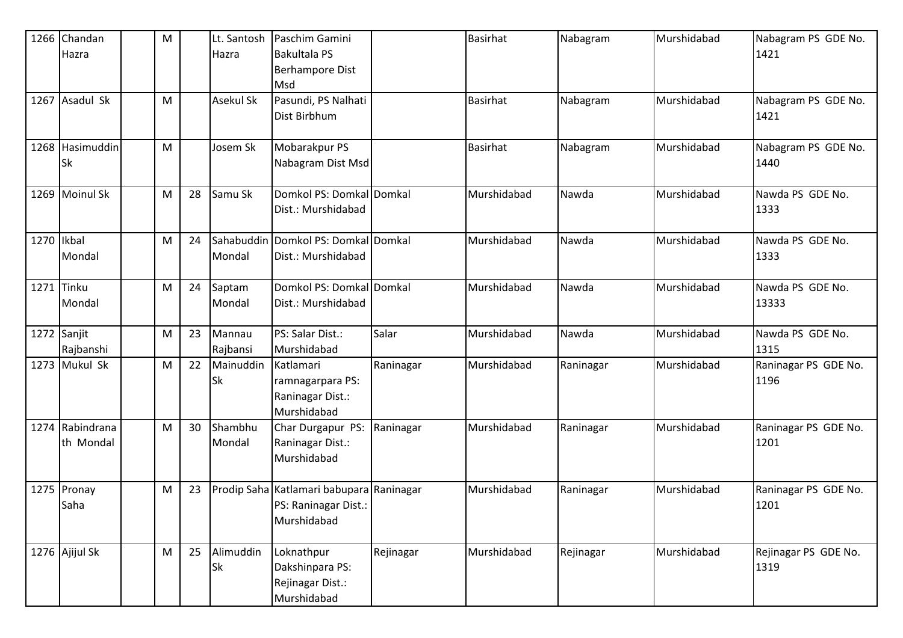|              | 1266 Chandan    | M |    | Lt. Santosh      | Paschim Gamini                           |           | <b>Basirhat</b> | Nabagram  | Murshidabad | Nabagram PS GDE No.  |
|--------------|-----------------|---|----|------------------|------------------------------------------|-----------|-----------------|-----------|-------------|----------------------|
|              | Hazra           |   |    | Hazra            | <b>Bakultala PS</b>                      |           |                 |           |             | 1421                 |
|              |                 |   |    |                  | <b>Berhampore Dist</b>                   |           |                 |           |             |                      |
|              |                 |   |    |                  | Msd                                      |           |                 |           |             |                      |
|              | 1267 Asadul Sk  | M |    | <b>Asekul Sk</b> | Pasundi, PS Nalhati                      |           | <b>Basirhat</b> | Nabagram  | Murshidabad | Nabagram PS GDE No.  |
|              |                 |   |    |                  | Dist Birbhum                             |           |                 |           |             | 1421                 |
|              |                 |   |    |                  |                                          |           |                 |           |             |                      |
|              | 1268 Hasimuddin | M |    | Josem Sk         | Mobarakpur PS                            |           | Basirhat        | Nabagram  | Murshidabad | Nabagram PS GDE No.  |
|              | <b>Sk</b>       |   |    |                  | Nabagram Dist Msd                        |           |                 |           |             | 1440                 |
|              |                 |   |    |                  |                                          |           |                 |           |             |                      |
|              | 1269 Moinul Sk  | M | 28 | Samu Sk          | Domkol PS: Domkal Domkal                 |           | Murshidabad     | Nawda     | Murshidabad | Nawda PS GDE No.     |
|              |                 |   |    |                  | Dist.: Murshidabad                       |           |                 |           |             | 1333                 |
|              |                 |   |    |                  |                                          |           |                 |           |             |                      |
| 1270   Ikbal |                 | M | 24 |                  | Sahabuddin Domkol PS: Domkal Domkal      |           | Murshidabad     | Nawda     | Murshidabad | Nawda PS GDE No.     |
|              | Mondal          |   |    | Mondal           | Dist.: Murshidabad                       |           |                 |           |             | 1333                 |
|              |                 |   |    |                  |                                          |           |                 |           |             |                      |
|              | 1271 Tinku      | M | 24 | Saptam           | Domkol PS: Domkal Domkal                 |           | Murshidabad     | Nawda     | Murshidabad | Nawda PS GDE No.     |
|              | Mondal          |   |    | Mondal           | Dist.: Murshidabad                       |           |                 |           |             | 13333                |
|              |                 |   |    |                  |                                          |           |                 |           |             |                      |
|              | 1272 Sanjit     | M | 23 | Mannau           | PS: Salar Dist.:                         | Salar     | Murshidabad     | Nawda     | Murshidabad | Nawda PS GDE No.     |
|              | Rajbanshi       |   |    | Rajbansi         | Murshidabad                              |           |                 |           |             | 1315                 |
|              | 1273 Mukul Sk   | M | 22 | Mainuddin        | Katlamari                                | Raninagar | Murshidabad     | Raninagar | Murshidabad | Raninagar PS GDE No. |
|              |                 |   |    | Sk               | ramnagarpara PS:                         |           |                 |           |             | 1196                 |
|              |                 |   |    |                  | Raninagar Dist.:                         |           |                 |           |             |                      |
|              |                 |   |    |                  | Murshidabad                              |           |                 |           |             |                      |
|              | 1274 Rabindrana | M | 30 | Shambhu          | Char Durgapur PS:                        | Raninagar | Murshidabad     | Raninagar | Murshidabad | Raninagar PS GDE No. |
|              | th Mondal       |   |    | Mondal           | Raninagar Dist.:                         |           |                 |           |             | 1201                 |
|              |                 |   |    |                  | Murshidabad                              |           |                 |           |             |                      |
|              |                 |   |    |                  |                                          |           |                 |           |             |                      |
|              | 1275 Pronay     | M | 23 |                  | Prodip Saha Katlamari babupara Raninagar |           | Murshidabad     | Raninagar | Murshidabad | Raninagar PS GDE No. |
|              | Saha            |   |    |                  | PS: Raninagar Dist.:                     |           |                 |           |             | 1201                 |
|              |                 |   |    |                  | Murshidabad                              |           |                 |           |             |                      |
|              |                 |   |    |                  |                                          |           |                 |           |             |                      |
|              | 1276 Ajijul Sk  | M | 25 | Alimuddin        | Loknathpur                               | Rejinagar | Murshidabad     | Rejinagar | Murshidabad | Rejinagar PS GDE No. |
|              |                 |   |    | Sk               | Dakshinpara PS:                          |           |                 |           |             | 1319                 |
|              |                 |   |    |                  | Rejinagar Dist.:                         |           |                 |           |             |                      |
|              |                 |   |    |                  | Murshidabad                              |           |                 |           |             |                      |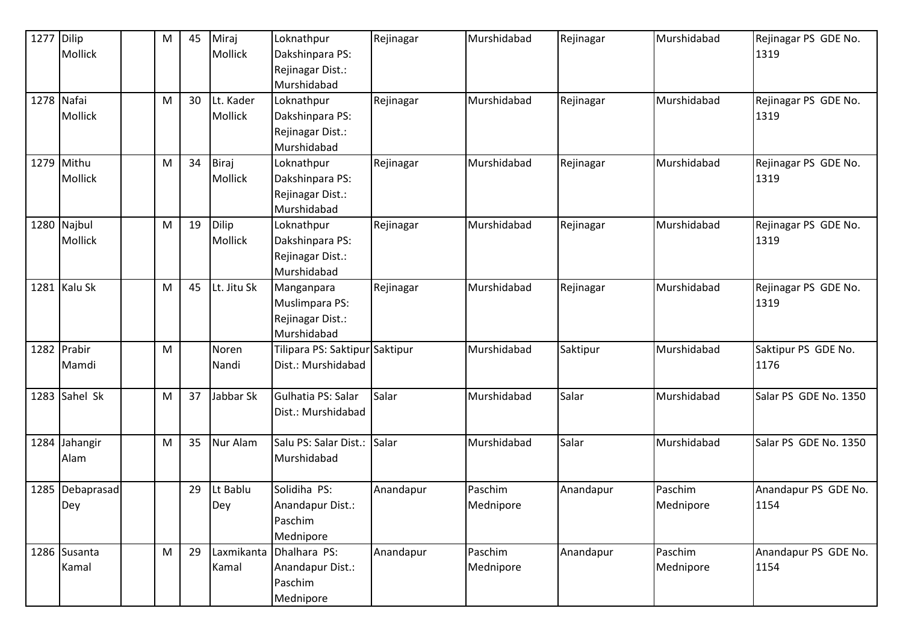| 1277 Dilip | Mollick                      | M | 45 | Miraj<br>Mollick            | Loknathpur<br>Dakshinpara PS:<br>Rejinagar Dist.:<br>Murshidabad | Rejinagar | Murshidabad          | Rejinagar | Murshidabad          | Rejinagar PS GDE No.<br>1319 |
|------------|------------------------------|---|----|-----------------------------|------------------------------------------------------------------|-----------|----------------------|-----------|----------------------|------------------------------|
| 1278 Nafai | Mollick                      | M | 30 | Lt. Kader<br><b>Mollick</b> | Loknathpur<br>Dakshinpara PS:<br>Rejinagar Dist.:<br>Murshidabad | Rejinagar | Murshidabad          | Rejinagar | Murshidabad          | Rejinagar PS GDE No.<br>1319 |
|            | 1279 Mithu<br><b>Mollick</b> | M | 34 | Biraj<br>Mollick            | Loknathpur<br>Dakshinpara PS:<br>Rejinagar Dist.:<br>Murshidabad | Rejinagar | Murshidabad          | Rejinagar | Murshidabad          | Rejinagar PS GDE No.<br>1319 |
|            | 1280 Najbul<br>Mollick       | M | 19 | Dilip<br>Mollick            | Loknathpur<br>Dakshinpara PS:<br>Rejinagar Dist.:<br>Murshidabad | Rejinagar | Murshidabad          | Rejinagar | Murshidabad          | Rejinagar PS GDE No.<br>1319 |
|            | 1281 Kalu Sk                 | M | 45 | Lt. Jitu Sk                 | Manganpara<br>Muslimpara PS:<br>Rejinagar Dist.:<br>Murshidabad  | Rejinagar | Murshidabad          | Rejinagar | Murshidabad          | Rejinagar PS GDE No.<br>1319 |
|            | 1282 Prabir<br>Mamdi         | M |    | Noren<br>Nandi              | Tilipara PS: Saktipur Saktipur<br>Dist.: Murshidabad             |           | Murshidabad          | Saktipur  | Murshidabad          | Saktipur PS GDE No.<br>1176  |
|            | 1283 Sahel Sk                | M | 37 | Jabbar Sk                   | Gulhatia PS: Salar<br>Dist.: Murshidabad                         | Salar     | Murshidabad          | Salar     | Murshidabad          | Salar PS GDE No. 1350        |
|            | 1284 Jahangir<br>Alam        | M | 35 | Nur Alam                    | Salu PS: Salar Dist.:<br>Murshidabad                             | Salar     | Murshidabad          | Salar     | Murshidabad          | Salar PS GDE No. 1350        |
|            | 1285 Debaprasad<br>Dey       |   | 29 | Lt Bablu<br>Dey             | Solidiha PS:<br>Anandapur Dist.:<br>Paschim<br>Mednipore         | Anandapur | Paschim<br>Mednipore | Anandapur | Paschim<br>Mednipore | Anandapur PS GDE No.<br>1154 |
|            | 1286 Susanta<br>Kamal        | M | 29 | Laxmikanta<br>Kamal         | Dhalhara PS:<br>Anandapur Dist.:<br>Paschim<br>Mednipore         | Anandapur | Paschim<br>Mednipore | Anandapur | Paschim<br>Mednipore | Anandapur PS GDE No.<br>1154 |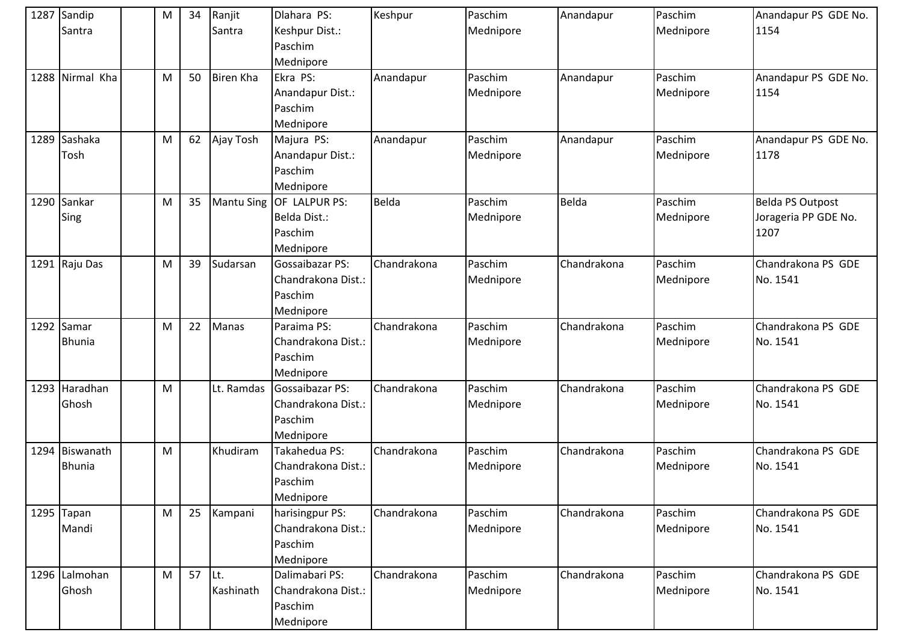| 1287 Sandip<br>Santra           | M | 34 | Ranjit<br>Santra  | Dlahara PS:<br>Keshpur Dist.:<br>Paschim<br>Mednipore                | Keshpur     | Paschim<br>Mednipore | Anandapur   | Paschim<br>Mednipore | Anandapur PS GDE No.<br>1154                            |
|---------------------------------|---|----|-------------------|----------------------------------------------------------------------|-------------|----------------------|-------------|----------------------|---------------------------------------------------------|
| 1288 Nirmal Kha                 | M | 50 | <b>Biren Kha</b>  | Ekra PS:<br>Anandapur Dist.:<br>Paschim<br>Mednipore                 | Anandapur   | Paschim<br>Mednipore | Anandapur   | Paschim<br>Mednipore | Anandapur PS GDE No.<br>1154                            |
| 1289 Sashaka<br>Tosh            | M | 62 | Ajay Tosh         | Majura PS:<br>Anandapur Dist.:<br>Paschim<br>Mednipore               | Anandapur   | Paschim<br>Mednipore | Anandapur   | Paschim<br>Mednipore | Anandapur PS GDE No.<br>1178                            |
| 1290 Sankar<br>Sing             | M | 35 | <b>Mantu Sing</b> | OF LALPUR PS:<br>Belda Dist.:<br>Paschim<br>Mednipore                | Belda       | Paschim<br>Mednipore | Belda       | Paschim<br>Mednipore | <b>Belda PS Outpost</b><br>Jorageria PP GDE No.<br>1207 |
| 1291 Raju Das                   | M | 39 | Sudarsan          | <b>Gossaibazar PS:</b><br>Chandrakona Dist.:<br>Paschim<br>Mednipore | Chandrakona | Paschim<br>Mednipore | Chandrakona | Paschim<br>Mednipore | Chandrakona PS GDE<br>No. 1541                          |
| 1292 Samar<br><b>Bhunia</b>     | M | 22 | Manas             | Paraima PS:<br>Chandrakona Dist.:<br>Paschim<br>Mednipore            | Chandrakona | Paschim<br>Mednipore | Chandrakona | Paschim<br>Mednipore | Chandrakona PS GDE<br>No. 1541                          |
| 1293 Haradhan<br>Ghosh          | M |    | Lt. Ramdas        | Gossaibazar PS:<br>Chandrakona Dist.:<br>Paschim<br>Mednipore        | Chandrakona | Paschim<br>Mednipore | Chandrakona | Paschim<br>Mednipore | Chandrakona PS GDE<br>No. 1541                          |
| 1294 Biswanath<br><b>Bhunia</b> | M |    | Khudiram          | Takahedua PS:<br>Chandrakona Dist.:<br>Paschim<br>Mednipore          | Chandrakona | Paschim<br>Mednipore | Chandrakona | Paschim<br>Mednipore | Chandrakona PS GDE<br>No. 1541                          |
| 1295 Tapan<br>Mandi             | M | 25 | Kampani           | harisingpur PS:<br>Chandrakona Dist.:<br>Paschim<br>Mednipore        | Chandrakona | Paschim<br>Mednipore | Chandrakona | Paschim<br>Mednipore | Chandrakona PS GDE<br>No. 1541                          |
| 1296 Lalmohan<br>Ghosh          | M | 57 | ILt.<br>Kashinath | Dalimabari PS:<br>Chandrakona Dist.:<br>Paschim<br>Mednipore         | Chandrakona | Paschim<br>Mednipore | Chandrakona | Paschim<br>Mednipore | Chandrakona PS GDE<br>No. 1541                          |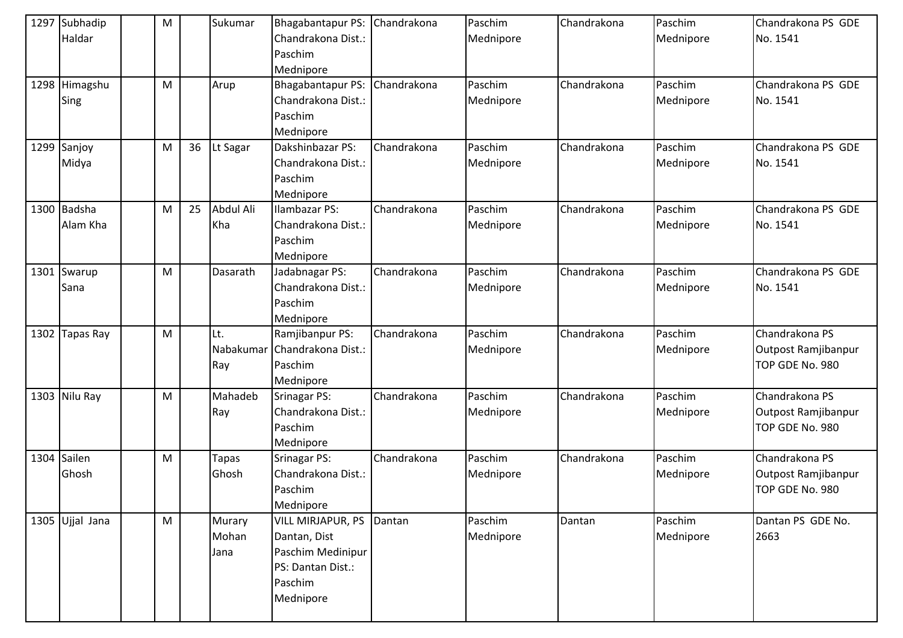|      | 1297 Subhadip<br>Haldar | M |    | Sukumar                 | Bhagabantapur PS:<br>Chandrakona Dist.:<br>Paschim<br>Mednipore                                            | Chandrakona | Paschim<br>Mednipore | Chandrakona | Paschim<br>Mednipore | Chandrakona PS GDE<br>No. 1541                           |
|------|-------------------------|---|----|-------------------------|------------------------------------------------------------------------------------------------------------|-------------|----------------------|-------------|----------------------|----------------------------------------------------------|
|      | 1298 Himagshu<br>Sing   | M |    | Arup                    | Bhagabantapur PS:<br>Chandrakona Dist.:<br>Paschim<br>Mednipore                                            | Chandrakona | Paschim<br>Mednipore | Chandrakona | Paschim<br>Mednipore | Chandrakona PS GDE<br>No. 1541                           |
|      | 1299 Sanjoy<br>Midya    | M | 36 | Lt Sagar                | Dakshinbazar PS:<br>Chandrakona Dist.:<br>Paschim<br>Mednipore                                             | Chandrakona | Paschim<br>Mednipore | Chandrakona | Paschim<br>Mednipore | Chandrakona PS GDE<br>No. 1541                           |
|      | 1300 Badsha<br>Alam Kha | M | 25 | Abdul Ali<br>Kha        | Ilambazar PS:<br>Chandrakona Dist.:<br>Paschim<br>Mednipore                                                | Chandrakona | Paschim<br>Mednipore | Chandrakona | Paschim<br>Mednipore | Chandrakona PS GDE<br>No. 1541                           |
|      | 1301 Swarup<br>Sana     | M |    | Dasarath                | Jadabnagar PS:<br>Chandrakona Dist.:<br>Paschim<br>Mednipore                                               | Chandrakona | Paschim<br>Mednipore | Chandrakona | Paschim<br>Mednipore | Chandrakona PS GDE<br>No. 1541                           |
| 1302 | Tapas Ray               | M |    | Lt.<br>Ray              | Ramjibanpur PS:<br>Nabakumar Chandrakona Dist.:<br>Paschim<br>Mednipore                                    | Chandrakona | Paschim<br>Mednipore | Chandrakona | Paschim<br>Mednipore | Chandrakona PS<br>Outpost Ramjibanpur<br>TOP GDE No. 980 |
|      | 1303 Nilu Ray           | M |    | Mahadeb<br>Ray          | <b>Srinagar PS:</b><br>Chandrakona Dist.:<br>Paschim<br>Mednipore                                          | Chandrakona | Paschim<br>Mednipore | Chandrakona | Paschim<br>Mednipore | Chandrakona PS<br>Outpost Ramjibanpur<br>TOP GDE No. 980 |
|      | 1304 Sailen<br>Ghosh    | M |    | <b>Tapas</b><br>Ghosh   | <b>Srinagar PS:</b><br>Chandrakona Dist.:<br>Paschim<br>Mednipore                                          | Chandrakona | Paschim<br>Mednipore | Chandrakona | Paschim<br>Mednipore | Chandrakona PS<br>Outpost Ramjibanpur<br>TOP GDE No. 980 |
|      | 1305 Ujjal Jana         | M |    | Murary<br>Mohan<br>Jana | <b>VILL MIRJAPUR, PS</b><br>Dantan, Dist<br>Paschim Medinipur<br>PS: Dantan Dist.:<br>Paschim<br>Mednipore | Dantan      | Paschim<br>Mednipore | Dantan      | Paschim<br>Mednipore | Dantan PS GDE No.<br>2663                                |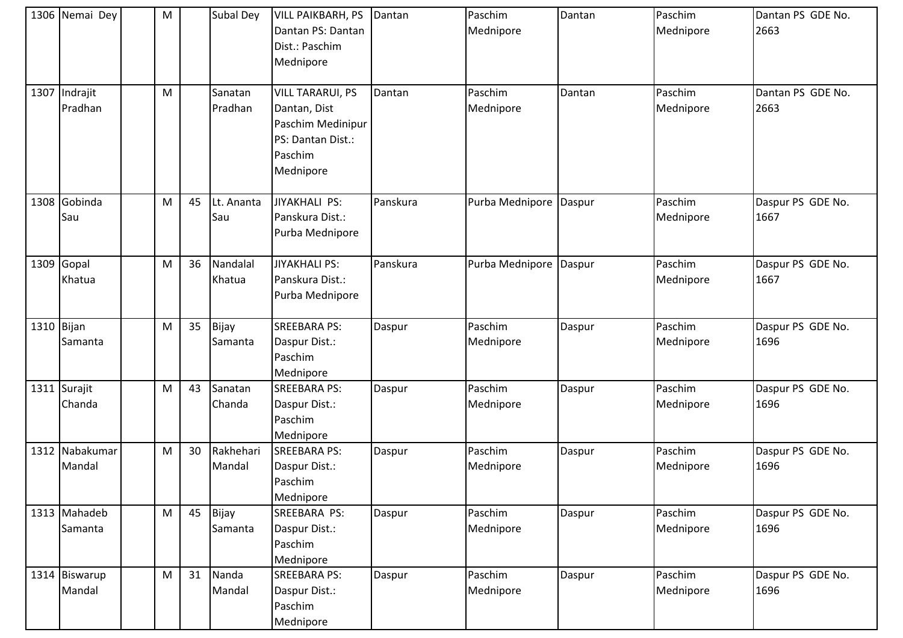|            | 1306 Nemai Dey           | M         |    | Subal Dey           | <b>VILL PAIKBARH, PS</b><br>Dantan PS: Dantan<br>Dist.: Paschim<br>Mednipore                              | Dantan   | Paschim<br>Mednipore | Dantan | Paschim<br>Mednipore | Dantan PS GDE No.<br>2663 |
|------------|--------------------------|-----------|----|---------------------|-----------------------------------------------------------------------------------------------------------|----------|----------------------|--------|----------------------|---------------------------|
|            | 1307 Indrajit<br>Pradhan | M         |    | Sanatan<br>Pradhan  | <b>VILL TARARUI, PS</b><br>Dantan, Dist<br>Paschim Medinipur<br>PS: Dantan Dist.:<br>Paschim<br>Mednipore | Dantan   | Paschim<br>Mednipore | Dantan | Paschim<br>Mednipore | Dantan PS GDE No.<br>2663 |
|            | 1308 Gobinda<br>Sau      | M         | 45 | Lt. Ananta<br>Sau   | JIYAKHALI PS:<br>Panskura Dist.:<br>Purba Mednipore                                                       | Panskura | Purba Mednipore      | Daspur | Paschim<br>Mednipore | Daspur PS GDE No.<br>1667 |
|            | 1309 Gopal<br>Khatua     | M         | 36 | Nandalal<br>Khatua  | <b>JIYAKHALI PS:</b><br>Panskura Dist.:<br>Purba Mednipore                                                | Panskura | Purba Mednipore      | Daspur | Paschim<br>Mednipore | Daspur PS GDE No.<br>1667 |
| 1310 Bijan | Samanta                  | M         | 35 | Bijay<br>Samanta    | <b>SREEBARA PS:</b><br>Daspur Dist.:<br>Paschim<br>Mednipore                                              | Daspur   | Paschim<br>Mednipore | Daspur | Paschim<br>Mednipore | Daspur PS GDE No.<br>1696 |
|            | 1311 Surajit<br>Chanda   | M         | 43 | Sanatan<br>Chanda   | <b>SREEBARA PS:</b><br>Daspur Dist.:<br>Paschim<br>Mednipore                                              | Daspur   | Paschim<br>Mednipore | Daspur | Paschim<br>Mednipore | Daspur PS GDE No.<br>1696 |
|            | 1312 Nabakumar<br>Mandal | M         | 30 | Rakhehari<br>Mandal | <b>SREEBARA PS:</b><br>Daspur Dist.:<br>Paschim<br>Mednipore                                              | Daspur   | Paschim<br>Mednipore | Daspur | Paschim<br>Mednipore | Daspur PS GDE No.<br>1696 |
|            | 1313 Mahadeb<br>Samanta  | ${\sf M}$ | 45 | Bijay<br>Samanta    | SREEBARA PS:<br>Daspur Dist.:<br>Paschim<br>Mednipore                                                     | Daspur   | Paschim<br>Mednipore | Daspur | Paschim<br>Mednipore | Daspur PS GDE No.<br>1696 |
|            | 1314 Biswarup<br>Mandal  | M         | 31 | Nanda<br>Mandal     | <b>SREEBARA PS:</b><br>Daspur Dist.:<br>Paschim<br>Mednipore                                              | Daspur   | Paschim<br>Mednipore | Daspur | Paschim<br>Mednipore | Daspur PS GDE No.<br>1696 |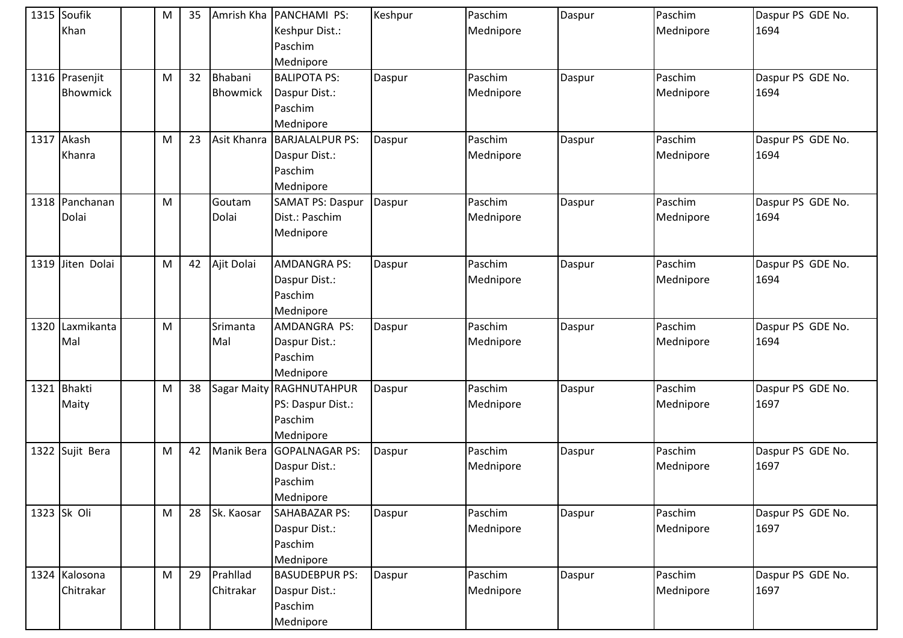|      | 1315 Soufik<br>Khan               | M         | 35 |                            | Amrish Kha   PANCHAMI PS:<br>Keshpur Dist.:<br>Paschim<br>Mednipore | Keshpur | Paschim<br>Mednipore | Daspur | Paschim<br>Mednipore | Daspur PS GDE No.<br>1694 |
|------|-----------------------------------|-----------|----|----------------------------|---------------------------------------------------------------------|---------|----------------------|--------|----------------------|---------------------------|
|      | 1316 Prasenjit<br><b>Bhowmick</b> | M         | 32 | Bhabani<br><b>Bhowmick</b> | <b>BALIPOTA PS:</b><br>Daspur Dist.:<br>Paschim<br>Mednipore        | Daspur  | Paschim<br>Mednipore | Daspur | Paschim<br>Mednipore | Daspur PS GDE No.<br>1694 |
| 1317 | Akash<br>Khanra                   | M         | 23 | Asit Khanra                | <b>BARJALALPUR PS:</b><br>Daspur Dist.:<br>Paschim<br>Mednipore     | Daspur  | Paschim<br>Mednipore | Daspur | Paschim<br>Mednipore | Daspur PS GDE No.<br>1694 |
|      | 1318 Panchanan<br>Dolai           | ${\sf M}$ |    | Goutam<br>Dolai            | <b>SAMAT PS: Daspur</b><br>Dist.: Paschim<br>Mednipore              | Daspur  | Paschim<br>Mednipore | Daspur | Paschim<br>Mednipore | Daspur PS GDE No.<br>1694 |
|      | 1319 Jiten Dolai                  | M         | 42 | Ajit Dolai                 | <b>AMDANGRA PS:</b><br>Daspur Dist.:<br>Paschim<br>Mednipore        | Daspur  | Paschim<br>Mednipore | Daspur | Paschim<br>Mednipore | Daspur PS GDE No.<br>1694 |
| 1320 | Laxmikanta<br>Mal                 | M         |    | Srimanta<br>Mal            | AMDANGRA PS:<br>Daspur Dist.:<br>Paschim<br>Mednipore               | Daspur  | Paschim<br>Mednipore | Daspur | Paschim<br>Mednipore | Daspur PS GDE No.<br>1694 |
| 1321 | Bhakti<br>Maity                   | M         | 38 | <b>Sagar Maity</b>         | RAGHNUTAHPUR<br>PS: Daspur Dist.:<br>Paschim<br>Mednipore           | Daspur  | Paschim<br>Mednipore | Daspur | Paschim<br>Mednipore | Daspur PS GDE No.<br>1697 |
|      | 1322 Sujit Bera                   | M         | 42 | Manik Bera                 | <b>GOPALNAGAR PS:</b><br>Daspur Dist.:<br>Paschim<br>Mednipore      | Daspur  | Paschim<br>Mednipore | Daspur | Paschim<br>Mednipore | Daspur PS GDE No.<br>1697 |
|      | 1323 Sk Oli                       | M         | 28 | Sk. Kaosar                 | SAHABAZAR PS:<br>Daspur Dist.:<br>Paschim<br>Mednipore              | Daspur  | Paschim<br>Mednipore | Daspur | Paschim<br>Mednipore | Daspur PS GDE No.<br>1697 |
|      | 1324 Kalosona<br>Chitrakar        | M         | 29 | Prahllad<br>Chitrakar      | <b>BASUDEBPUR PS:</b><br>Daspur Dist.:<br>Paschim<br>Mednipore      | Daspur  | Paschim<br>Mednipore | Daspur | Paschim<br>Mednipore | Daspur PS GDE No.<br>1697 |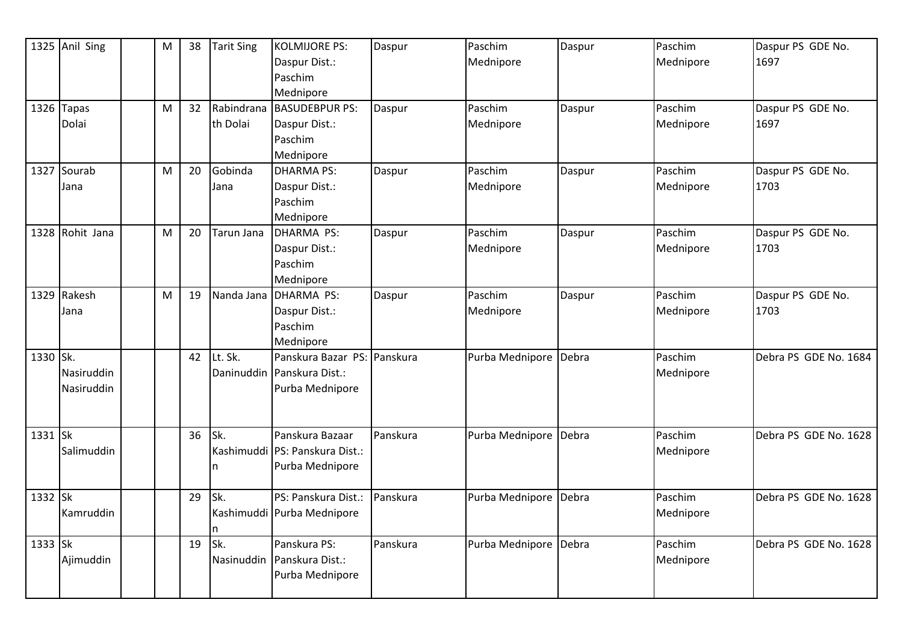|           | 1325 Anil Sing           | M | 38 | <b>Tarit Sing</b>      | <b>KOLMIJORE PS:</b><br>Daspur Dist.:                                        | Daspur   | Paschim<br>Mednipore | Daspur | Paschim<br>Mednipore | Daspur PS GDE No.<br>1697 |
|-----------|--------------------------|---|----|------------------------|------------------------------------------------------------------------------|----------|----------------------|--------|----------------------|---------------------------|
|           |                          |   |    |                        | Paschim<br>Mednipore                                                         |          |                      |        |                      |                           |
|           | 1326 Tapas<br>Dolai      | M | 32 | Rabindrana<br>th Dolai | <b>BASUDEBPUR PS:</b><br>Daspur Dist.:                                       | Daspur   | Paschim<br>Mednipore | Daspur | Paschim<br>Mednipore | Daspur PS GDE No.<br>1697 |
|           |                          |   |    |                        | Paschim<br>Mednipore                                                         |          |                      |        |                      |                           |
|           | 1327 Sourab<br>Jana      | M | 20 | Gobinda<br>Jana        | <b>DHARMA PS:</b><br>Daspur Dist.:<br>Paschim<br>Mednipore                   | Daspur   | Paschim<br>Mednipore | Daspur | Paschim<br>Mednipore | Daspur PS GDE No.<br>1703 |
|           | 1328 Rohit Jana          | M | 20 | Tarun Jana             | DHARMA PS:<br>Daspur Dist.:<br>Paschim<br>Mednipore                          | Daspur   | Paschim<br>Mednipore | Daspur | Paschim<br>Mednipore | Daspur PS GDE No.<br>1703 |
|           | 1329 Rakesh<br>Jana      | M | 19 | Nanda Jana             | DHARMA PS:<br>Daspur Dist.:<br>Paschim<br>Mednipore                          | Daspur   | Paschim<br>Mednipore | Daspur | Paschim<br>Mednipore | Daspur PS GDE No.<br>1703 |
| 1330 Sk.  | Nasiruddin<br>Nasiruddin |   | 42 | Lt. Sk.                | Panskura Bazar PS: Panskura<br>Daninuddin Panskura Dist.:<br>Purba Mednipore |          | Purba Mednipore      | Debra  | Paschim<br>Mednipore | Debra PS GDE No. 1684     |
| $1331$ Sk | Salimuddin               |   | 36 | Sk.<br>n               | Panskura Bazaar<br>Kashimuddi PS: Panskura Dist.:<br>Purba Mednipore         | Panskura | Purba Mednipore      | Debra  | Paschim<br>Mednipore | Debra PS GDE No. 1628     |
| 1332 Sk   | Kamruddin                |   | 29 | Sk.                    | PS: Panskura Dist.:<br>Kashimuddi   Purba Mednipore                          | Panskura | Purba Mednipore      | Debra  | Paschim<br>Mednipore | Debra PS GDE No. 1628     |
| 1333 Sk   | Ajimuddin                |   | 19 | Sk.                    | Panskura PS:<br>Nasinuddin Panskura Dist.:<br>Purba Mednipore                | Panskura | Purba Mednipore      | Debra  | Paschim<br>Mednipore | Debra PS GDE No. 1628     |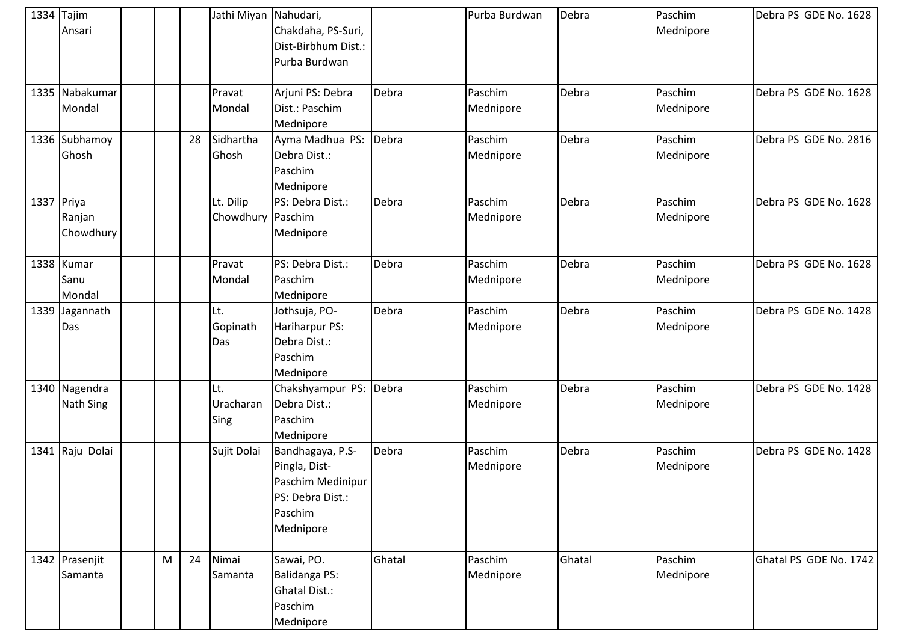| $1334$ Tajim<br>Ansari            |   |    | Jathi Miyan Nahudari,          | Chakdaha, PS-Suri,<br>Dist-Birbhum Dist.:<br>Purba Burdwan                                         |        | Purba Burdwan        | Debra  | Paschim<br>Mednipore | Debra PS GDE No. 1628  |
|-----------------------------------|---|----|--------------------------------|----------------------------------------------------------------------------------------------------|--------|----------------------|--------|----------------------|------------------------|
| 1335 Nabakumar<br>Mondal          |   |    | Pravat<br>Mondal               | Arjuni PS: Debra<br>Dist.: Paschim<br>Mednipore                                                    | Debra  | Paschim<br>Mednipore | Debra  | Paschim<br>Mednipore | Debra PS GDE No. 1628  |
| 1336 Subhamoy<br>Ghosh            |   | 28 | Sidhartha<br>Ghosh             | Ayma Madhua PS:<br>Debra Dist.:<br>Paschim<br>Mednipore                                            | Debra  | Paschim<br>Mednipore | Debra  | Paschim<br>Mednipore | Debra PS GDE No. 2816  |
| 1337 Priya<br>Ranjan<br>Chowdhury |   |    | Lt. Dilip<br>Chowdhury Paschim | PS: Debra Dist.:<br>Mednipore                                                                      | Debra  | Paschim<br>Mednipore | Debra  | Paschim<br>Mednipore | Debra PS GDE No. 1628  |
| 1338 Kumar<br>Sanu<br>Mondal      |   |    | Pravat<br>Mondal               | PS: Debra Dist.:<br>Paschim<br>Mednipore                                                           | Debra  | Paschim<br>Mednipore | Debra  | Paschim<br>Mednipore | Debra PS GDE No. 1628  |
| 1339 Jagannath<br>Das             |   |    | Lt.<br>Gopinath<br>Das         | Jothsuja, PO-<br>Hariharpur PS:<br>Debra Dist.:<br>Paschim<br>Mednipore                            | Debra  | Paschim<br>Mednipore | Debra  | Paschim<br>Mednipore | Debra PS GDE No. 1428  |
| 1340 Nagendra<br><b>Nath Sing</b> |   |    | Lt.<br>Uracharan<br>Sing       | Chakshyampur PS:<br>Debra Dist.:<br>Paschim<br>Mednipore                                           | Debra  | Paschim<br>Mednipore | Debra  | Paschim<br>Mednipore | Debra PS GDE No. 1428  |
| 1341 Raju Dolai                   |   |    | Sujit Dolai                    | Bandhagaya, P.S-<br>Pingla, Dist-<br>Paschim Medinipur<br>PS: Debra Dist.:<br>Paschim<br>Mednipore | Debra  | Paschim<br>Mednipore | Debra  | Paschim<br>Mednipore | Debra PS GDE No. 1428  |
| 1342 Prasenjit<br>Samanta         | M | 24 | Nimai<br>Samanta               | Sawai, PO.<br><b>Balidanga PS:</b><br><b>Ghatal Dist.:</b><br>Paschim<br>Mednipore                 | Ghatal | Paschim<br>Mednipore | Ghatal | Paschim<br>Mednipore | Ghatal PS GDE No. 1742 |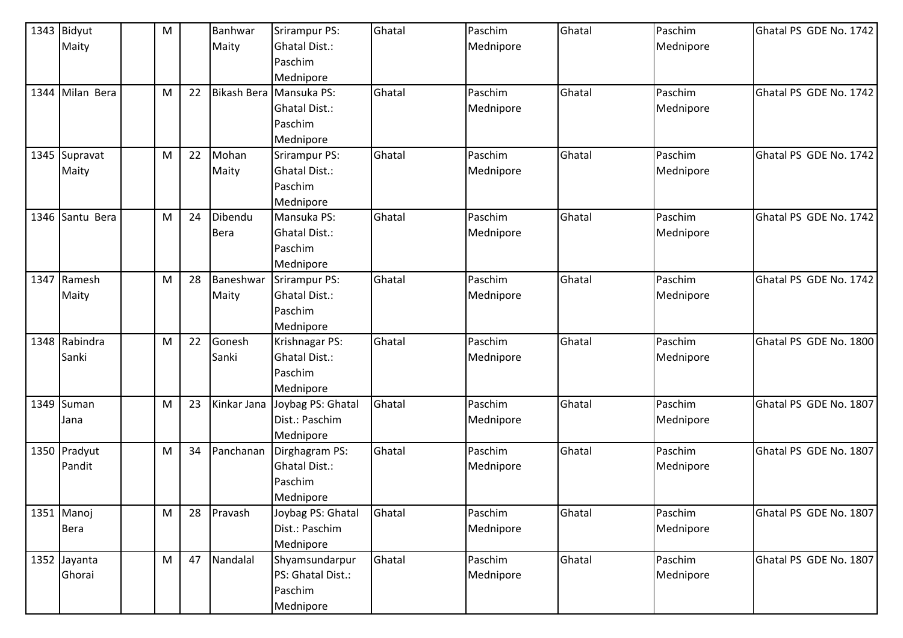|      | 1343 Bidyut     | M |    | Banhwar     | <b>Srirampur PS:</b>    | Ghatal | Paschim   | Ghatal | Paschim   | Ghatal PS GDE No. 1742 |
|------|-----------------|---|----|-------------|-------------------------|--------|-----------|--------|-----------|------------------------|
|      | Maity           |   |    | Maity       | Ghatal Dist.:           |        | Mednipore |        | Mednipore |                        |
|      |                 |   |    |             | Paschim                 |        |           |        |           |                        |
|      |                 |   |    |             | Mednipore               |        |           |        |           |                        |
|      | 1344 Milan Bera | M | 22 |             | Bikash Bera Mansuka PS: | Ghatal | Paschim   | Ghatal | Paschim   | Ghatal PS GDE No. 1742 |
|      |                 |   |    |             | <b>Ghatal Dist.:</b>    |        | Mednipore |        | Mednipore |                        |
|      |                 |   |    |             | Paschim                 |        |           |        |           |                        |
|      |                 |   |    |             | Mednipore               |        |           |        |           |                        |
|      | 1345 Supravat   | M | 22 | Mohan       | Srirampur PS:           | Ghatal | Paschim   | Ghatal | Paschim   | Ghatal PS GDE No. 1742 |
|      | Maity           |   |    | Maity       | Ghatal Dist.:           |        | Mednipore |        | Mednipore |                        |
|      |                 |   |    |             | Paschim                 |        |           |        |           |                        |
|      |                 |   |    |             | Mednipore               |        |           |        |           |                        |
| 1346 | Santu Bera      | M | 24 | Dibendu     | Mansuka PS:             | Ghatal | Paschim   | Ghatal | Paschim   | Ghatal PS GDE No. 1742 |
|      |                 |   |    | <b>Bera</b> | Ghatal Dist.:           |        | Mednipore |        | Mednipore |                        |
|      |                 |   |    |             | Paschim                 |        |           |        |           |                        |
|      |                 |   |    |             | Mednipore               |        |           |        |           |                        |
|      | 1347 Ramesh     | M | 28 | Baneshwar   | <b>Srirampur PS:</b>    | Ghatal | Paschim   | Ghatal | Paschim   | Ghatal PS GDE No. 1742 |
|      | Maity           |   |    | Maity       | Ghatal Dist.:           |        | Mednipore |        | Mednipore |                        |
|      |                 |   |    |             | Paschim                 |        |           |        |           |                        |
|      |                 |   |    |             | Mednipore               |        |           |        |           |                        |
|      | 1348 Rabindra   | M | 22 | Gonesh      | Krishnagar PS:          | Ghatal | Paschim   | Ghatal | Paschim   | Ghatal PS GDE No. 1800 |
|      | Sanki           |   |    | Sanki       | <b>Ghatal Dist.:</b>    |        | Mednipore |        | Mednipore |                        |
|      |                 |   |    |             | Paschim                 |        |           |        |           |                        |
|      |                 |   |    |             | Mednipore               |        |           |        |           |                        |
|      | 1349 Suman      | M | 23 | Kinkar Jana | Joybag PS: Ghatal       | Ghatal | Paschim   | Ghatal | Paschim   | Ghatal PS GDE No. 1807 |
|      | Jana            |   |    |             | Dist.: Paschim          |        | Mednipore |        | Mednipore |                        |
|      |                 |   |    |             | Mednipore               |        |           |        |           |                        |
|      | 1350 Pradyut    | M | 34 | Panchanan   | Dirghagram PS:          | Ghatal | Paschim   | Ghatal | Paschim   | Ghatal PS GDE No. 1807 |
|      | Pandit          |   |    |             | Ghatal Dist.:           |        | Mednipore |        | Mednipore |                        |
|      |                 |   |    |             | Paschim                 |        |           |        |           |                        |
|      |                 |   |    |             | Mednipore               |        |           |        |           |                        |
|      | 1351 Manoj      | M | 28 | Pravash     | Joybag PS: Ghatal       | Ghatal | Paschim   | Ghatal | Paschim   | Ghatal PS GDE No. 1807 |
|      | <b>Bera</b>     |   |    |             | Dist.: Paschim          |        | Mednipore |        | Mednipore |                        |
|      |                 |   |    |             | Mednipore               |        |           |        |           |                        |
|      | 1352 Jayanta    | M | 47 | Nandalal    | Shyamsundarpur          | Ghatal | Paschim   | Ghatal | Paschim   | Ghatal PS GDE No. 1807 |
|      | Ghorai          |   |    |             | PS: Ghatal Dist.:       |        | Mednipore |        | Mednipore |                        |
|      |                 |   |    |             | Paschim                 |        |           |        |           |                        |
|      |                 |   |    |             | Mednipore               |        |           |        |           |                        |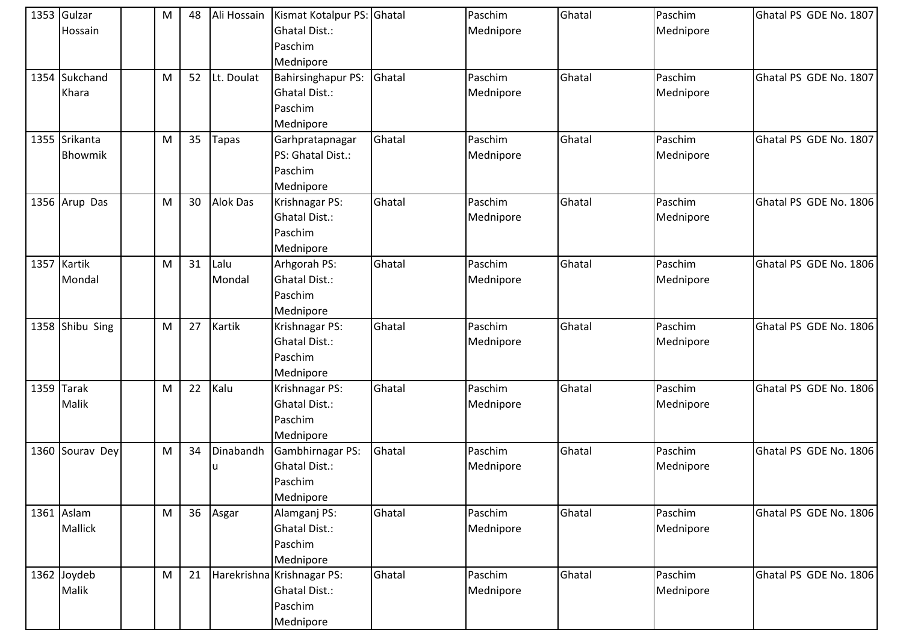| 1353 Gulzar<br>Hossain   | M | 48 | Ali Hossain     | Kismat Kotalpur PS: Ghatal<br><b>Ghatal Dist.:</b><br>Paschim<br>Mednipore |        | Paschim<br>Mednipore | Ghatal | Paschim<br>Mednipore | Ghatal PS GDE No. 1807 |
|--------------------------|---|----|-----------------|----------------------------------------------------------------------------|--------|----------------------|--------|----------------------|------------------------|
| 1354 Sukchand<br>Khara   | M | 52 | Lt. Doulat      | <b>Bahirsinghapur PS:</b><br><b>Ghatal Dist.:</b><br>Paschim<br>Mednipore  | Ghatal | Paschim<br>Mednipore | Ghatal | Paschim<br>Mednipore | Ghatal PS GDE No. 1807 |
| 1355 Srikanta<br>Bhowmik | M | 35 | Tapas           | Garhpratapnagar<br>PS: Ghatal Dist.:<br>Paschim<br>Mednipore               | Ghatal | Paschim<br>Mednipore | Ghatal | Paschim<br>Mednipore | Ghatal PS GDE No. 1807 |
| 1356 Arup Das            | M | 30 | <b>Alok Das</b> | Krishnagar PS:<br><b>Ghatal Dist.:</b><br>Paschim<br>Mednipore             | Ghatal | Paschim<br>Mednipore | Ghatal | Paschim<br>Mednipore | Ghatal PS GDE No. 1806 |
| 1357 Kartik<br>Mondal    | M | 31 | Lalu<br>Mondal  | Arhgorah PS:<br>Ghatal Dist.:<br>Paschim<br>Mednipore                      | Ghatal | Paschim<br>Mednipore | Ghatal | Paschim<br>Mednipore | Ghatal PS GDE No. 1806 |
| 1358 Shibu Sing          | M | 27 | Kartik          | Krishnagar PS:<br><b>Ghatal Dist.:</b><br>Paschim<br>Mednipore             | Ghatal | Paschim<br>Mednipore | Ghatal | Paschim<br>Mednipore | Ghatal PS GDE No. 1806 |
| 1359 Tarak<br>Malik      | M | 22 | Kalu            | Krishnagar PS:<br><b>Ghatal Dist.:</b><br>Paschim<br>Mednipore             | Ghatal | Paschim<br>Mednipore | Ghatal | Paschim<br>Mednipore | Ghatal PS GDE No. 1806 |
| 1360 Sourav Dey          | M | 34 | Dinabandh<br>u  | Gambhirnagar PS:<br><b>Ghatal Dist.:</b><br>Paschim<br>Mednipore           | Ghatal | Paschim<br>Mednipore | Ghatal | Paschim<br>Mednipore | Ghatal PS GDE No. 1806 |
| 1361 Aslam<br>Mallick    | M | 36 | Asgar           | Alamganj PS:<br><b>Ghatal Dist.:</b><br>Paschim<br>Mednipore               | Ghatal | Paschim<br>Mednipore | Ghatal | Paschim<br>Mednipore | Ghatal PS GDE No. 1806 |
| 1362 Joydeb<br>Malik     | M | 21 |                 | Harekrishna Krishnagar PS:<br><b>Ghatal Dist.:</b><br>Paschim<br>Mednipore | Ghatal | Paschim<br>Mednipore | Ghatal | Paschim<br>Mednipore | Ghatal PS GDE No. 1806 |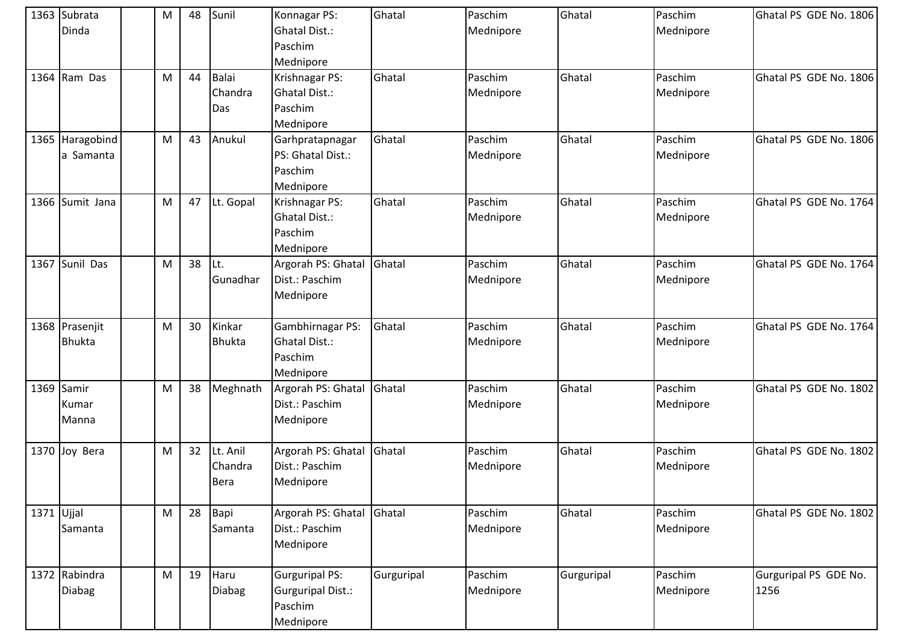|              | 1363 Subrata<br>Dinda           | M         | 48 | Sunil                          | Konnagar PS:<br><b>Ghatal Dist.:</b><br>Paschim<br>Mednipore       | Ghatal     | Paschim<br>Mednipore | Ghatal     | Paschim<br>Mednipore | Ghatal PS GDE No. 1806        |
|--------------|---------------------------------|-----------|----|--------------------------------|--------------------------------------------------------------------|------------|----------------------|------------|----------------------|-------------------------------|
|              | 1364 Ram Das                    | M         | 44 | <b>Balai</b><br>Chandra<br>Das | Krishnagar PS:<br>Ghatal Dist.:<br>Paschim<br>Mednipore            | Ghatal     | Paschim<br>Mednipore | Ghatal     | Paschim<br>Mednipore | Ghatal PS GDE No. 1806        |
|              | 1365 Haragobind<br>a Samanta    | M         | 43 | Anukul                         | Garhpratapnagar<br>PS: Ghatal Dist.:<br>Paschim<br>Mednipore       | Ghatal     | Paschim<br>Mednipore | Ghatal     | Paschim<br>Mednipore | Ghatal PS GDE No. 1806        |
|              | 1366 Sumit Jana                 | M         | 47 | Lt. Gopal                      | Krishnagar PS:<br><b>Ghatal Dist.:</b><br>Paschim<br>Mednipore     | Ghatal     | Paschim<br>Mednipore | Ghatal     | Paschim<br>Mednipore | Ghatal PS GDE No. 1764        |
|              | 1367 Sunil Das                  | M         | 38 | Lt.<br>Gunadhar                | Argorah PS: Ghatal<br>Dist.: Paschim<br>Mednipore                  | Ghatal     | Paschim<br>Mednipore | Ghatal     | Paschim<br>Mednipore | Ghatal PS GDE No. 1764        |
|              | 1368 Prasenjit<br><b>Bhukta</b> | ${\sf M}$ | 30 | Kinkar<br><b>Bhukta</b>        | Gambhirnagar PS:<br>Ghatal Dist.:<br>Paschim<br>Mednipore          | Ghatal     | Paschim<br>Mednipore | Ghatal     | Paschim<br>Mednipore | Ghatal PS GDE No. 1764        |
|              | 1369 Samir<br>Kumar<br>Manna    | M         | 38 | Meghnath                       | Argorah PS: Ghatal<br>Dist.: Paschim<br>Mednipore                  | Ghatal     | Paschim<br>Mednipore | Ghatal     | Paschim<br>Mednipore | Ghatal PS GDE No. 1802        |
|              | 1370 Joy Bera                   | M         | 32 | Lt. Anil<br>Chandra<br>Bera    | Argorah PS: Ghatal<br>Dist.: Paschim<br>Mednipore                  | Ghatal     | Paschim<br>Mednipore | Ghatal     | Paschim<br>Mednipore | Ghatal PS GDE No. 1802        |
| $1371$ Ujjal | Samanta                         | M         | 28 | Bapi<br>Samanta                | Argorah PS: Ghatal<br>Dist.: Paschim<br>Mednipore                  | Ghatal     | Paschim<br>Mednipore | Ghatal     | Paschim<br>Mednipore | Ghatal PS GDE No. 1802        |
|              | 1372 Rabindra<br><b>Diabag</b>  | M         | 19 | Haru<br><b>Diabag</b>          | <b>Gurguripal PS:</b><br>Gurguripal Dist.:<br>Paschim<br>Mednipore | Gurguripal | Paschim<br>Mednipore | Gurguripal | Paschim<br>Mednipore | Gurguripal PS GDE No.<br>1256 |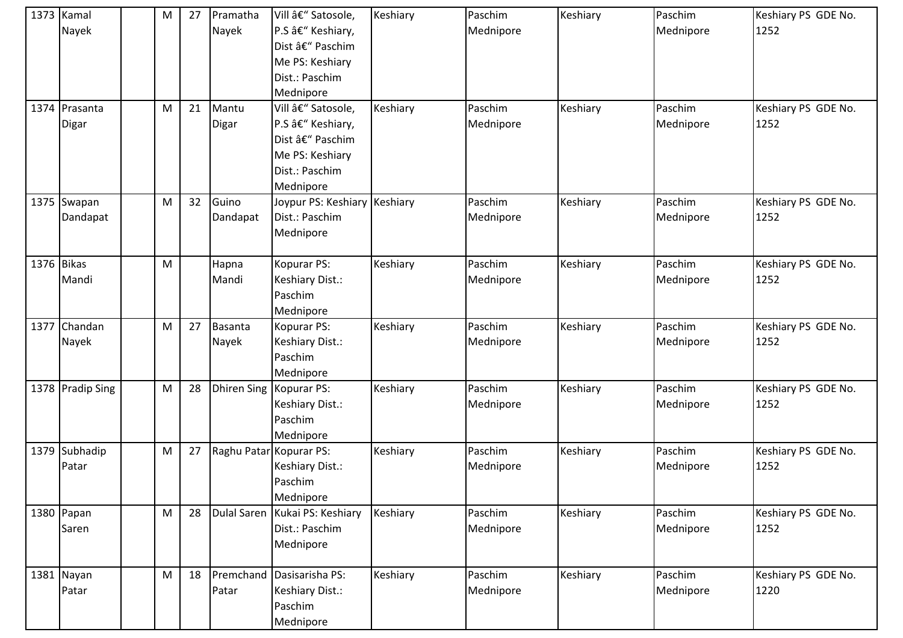| 1373 Kamal<br>Nayek     | ${\sf M}$ | 27 | Pramatha<br>Nayek  | Vill – Satosole,<br>P.S â€" Keshiary,<br>Dist – Paschim<br>Me PS: Keshiary<br>Dist.: Paschim<br>Mednipore | Keshiary | Paschim<br>Mednipore | Keshiary | Paschim<br>Mednipore | Keshiary PS GDE No.<br>1252 |
|-------------------------|-----------|----|--------------------|-----------------------------------------------------------------------------------------------------------|----------|----------------------|----------|----------------------|-----------------------------|
| 1374 Prasanta<br>Digar  | M         | 21 | Mantu<br>Digar     | Vill – Satosole,<br>P.S – Keshiary,<br>Dist – Paschim<br>Me PS: Keshiary<br>Dist.: Paschim<br>Mednipore   | Keshiary | Paschim<br>Mednipore | Keshiary | Paschim<br>Mednipore | Keshiary PS GDE No.<br>1252 |
| 1375 Swapan<br>Dandapat | M         | 32 | Guino<br>Dandapat  | Joypur PS: Keshiary Keshiary<br>Dist.: Paschim<br>Mednipore                                               |          | Paschim<br>Mednipore | Keshiary | Paschim<br>Mednipore | Keshiary PS GDE No.<br>1252 |
| 1376 Bikas<br>Mandi     | ${\sf M}$ |    | Hapna<br>Mandi     | Kopurar PS:<br>Keshiary Dist.:<br>Paschim<br>Mednipore                                                    | Keshiary | Paschim<br>Mednipore | Keshiary | Paschim<br>Mednipore | Keshiary PS GDE No.<br>1252 |
| 1377 Chandan<br>Nayek   | M         | 27 | Basanta<br>Nayek   | Kopurar PS:<br>Keshiary Dist.:<br>Paschim<br>Mednipore                                                    | Keshiary | Paschim<br>Mednipore | Keshiary | Paschim<br>Mednipore | Keshiary PS GDE No.<br>1252 |
| 1378 Pradip Sing        | M         | 28 | <b>Dhiren Sing</b> | Kopurar PS:<br>Keshiary Dist.:<br>Paschim<br>Mednipore                                                    | Keshiary | Paschim<br>Mednipore | Keshiary | Paschim<br>Mednipore | Keshiary PS GDE No.<br>1252 |
| 1379 Subhadip<br>Patar  | ${\sf M}$ | 27 |                    | Raghu Patar Kopurar PS:<br>Keshiary Dist.:<br>Paschim<br>Mednipore                                        | Keshiary | Paschim<br>Mednipore | Keshiary | Paschim<br>Mednipore | Keshiary PS GDE No.<br>1252 |
| 1380 Papan<br>Saren     | M         | 28 | <b>Dulal Saren</b> | Kukai PS: Keshiary<br>Dist.: Paschim<br>Mednipore                                                         | Keshiary | Paschim<br>Mednipore | Keshiary | Paschim<br>Mednipore | Keshiary PS GDE No.<br>1252 |
| 1381 Nayan<br>Patar     | M         | 18 | Premchand<br>Patar | Dasisarisha PS:<br>Keshiary Dist.:<br>Paschim<br>Mednipore                                                | Keshiary | Paschim<br>Mednipore | Keshiary | Paschim<br>Mednipore | Keshiary PS GDE No.<br>1220 |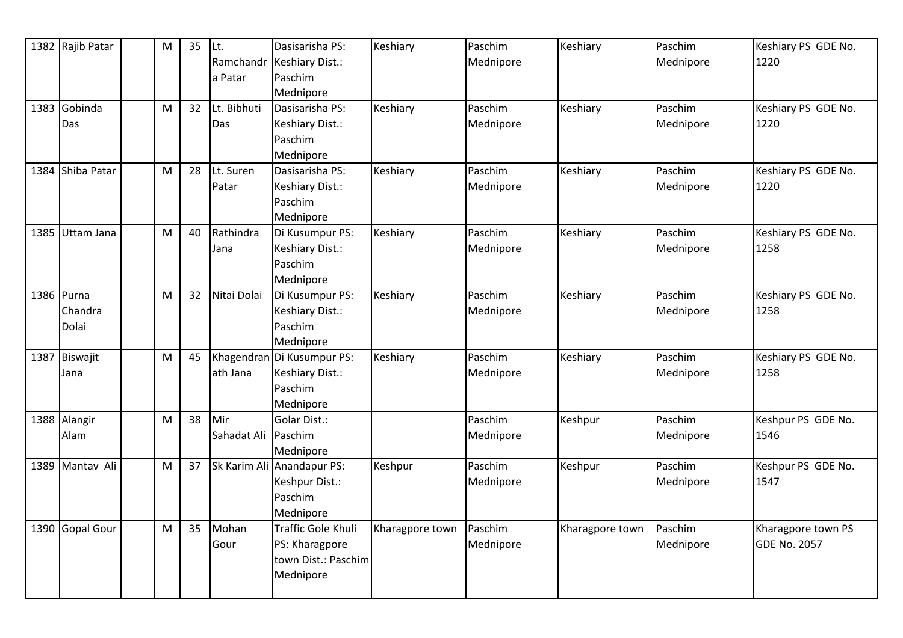| 1382 Rajib Patar | M | 35 | Lt.          | Dasisarisha PS:            | Keshiary        | Paschim   | Keshiary        | Paschim   | Keshiary PS GDE No. |
|------------------|---|----|--------------|----------------------------|-----------------|-----------|-----------------|-----------|---------------------|
|                  |   |    | Ramchandr    | <b>Keshiary Dist.:</b>     |                 | Mednipore |                 | Mednipore | 1220                |
|                  |   |    | a Patar      | Paschim                    |                 |           |                 |           |                     |
|                  |   |    |              | Mednipore                  |                 |           |                 |           |                     |
| 1383 Gobinda     | M | 32 | Lt. Bibhuti  | Dasisarisha PS:            | Keshiary        | Paschim   | Keshiary        | Paschim   | Keshiary PS GDE No. |
| Das              |   |    | Das          | Keshiary Dist.:            |                 | Mednipore |                 | Mednipore | 1220                |
|                  |   |    |              | Paschim                    |                 |           |                 |           |                     |
|                  |   |    |              | Mednipore                  |                 |           |                 |           |                     |
| 1384 Shiba Patar | M | 28 | Lt. Suren    | Dasisarisha PS:            | Keshiary        | Paschim   | Keshiary        | Paschim   | Keshiary PS GDE No. |
|                  |   |    | Patar        | Keshiary Dist.:            |                 | Mednipore |                 | Mednipore | 1220                |
|                  |   |    |              | Paschim                    |                 |           |                 |           |                     |
|                  |   |    |              | Mednipore                  |                 |           |                 |           |                     |
| 1385 Uttam Jana  | M | 40 | Rathindra    | Di Kusumpur PS:            | Keshiary        | Paschim   | Keshiary        | Paschim   | Keshiary PS GDE No. |
|                  |   |    | Jana         | Keshiary Dist.:            |                 | Mednipore |                 | Mednipore | 1258                |
|                  |   |    |              | Paschim                    |                 |           |                 |           |                     |
|                  |   |    |              | Mednipore                  |                 |           |                 |           |                     |
| 1386 Purna       | M | 32 | Nitai Dolai  | Di Kusumpur PS:            | Keshiary        | Paschim   | Keshiary        | Paschim   | Keshiary PS GDE No. |
| Chandra          |   |    |              | Keshiary Dist.:            |                 | Mednipore |                 | Mednipore | 1258                |
| Dolai            |   |    |              | Paschim                    |                 |           |                 |           |                     |
|                  |   |    |              | Mednipore                  |                 |           |                 |           |                     |
| 1387 Biswajit    | M | 45 |              | Khagendran Di Kusumpur PS: | Keshiary        | Paschim   | Keshiary        | Paschim   | Keshiary PS GDE No. |
| Jana             |   |    | ath Jana     | Keshiary Dist.:            |                 | Mednipore |                 | Mednipore | 1258                |
|                  |   |    |              | Paschim                    |                 |           |                 |           |                     |
|                  |   |    |              | Mednipore                  |                 |           |                 |           |                     |
| 1388 Alangir     | M | 38 | Mir          | Golar Dist.:               |                 | Paschim   | Keshpur         | Paschim   | Keshpur PS GDE No.  |
| Alam             |   |    | Sahadat Ali  | Paschim                    |                 | Mednipore |                 | Mednipore | 1546                |
|                  |   |    |              | Mednipore                  |                 |           |                 |           |                     |
| 1389 Mantav Ali  | M | 37 | Sk Karim Ali | Anandapur PS:              | Keshpur         | Paschim   | Keshpur         | Paschim   | Keshpur PS GDE No.  |
|                  |   |    |              | Keshpur Dist.:             |                 | Mednipore |                 | Mednipore | 1547                |
|                  |   |    |              | Paschim                    |                 |           |                 |           |                     |
|                  |   |    |              | Mednipore                  |                 |           |                 |           |                     |
| 1390 Gopal Gour  | M | 35 | Mohan        | <b>Traffic Gole Khuli</b>  | Kharagpore town | Paschim   | Kharagpore town | Paschim   | Kharagpore town PS  |
|                  |   |    | Gour         | PS: Kharagpore             |                 | Mednipore |                 | Mednipore | <b>GDE No. 2057</b> |
|                  |   |    |              | town Dist.: Paschim        |                 |           |                 |           |                     |
|                  |   |    |              | Mednipore                  |                 |           |                 |           |                     |
|                  |   |    |              |                            |                 |           |                 |           |                     |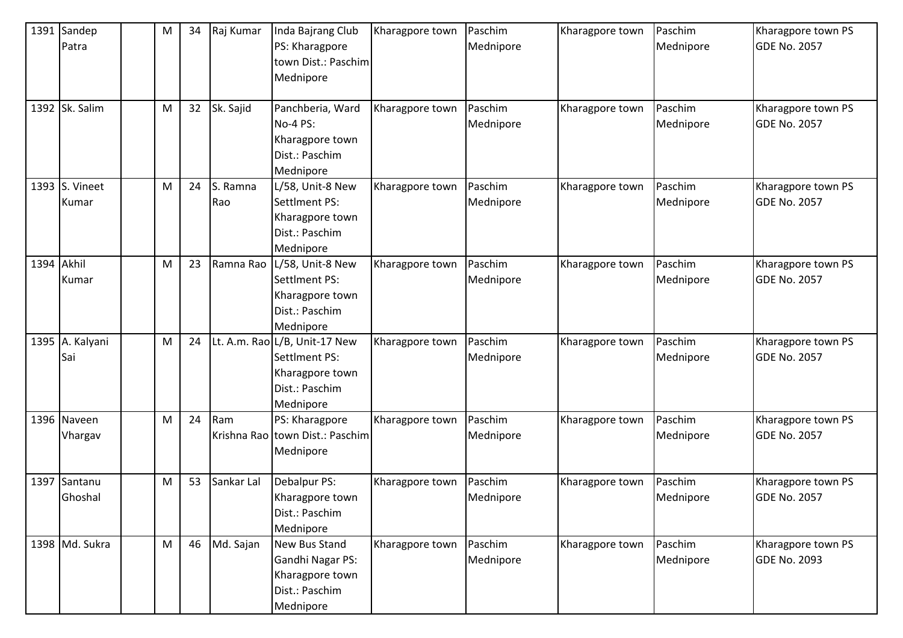|            | 1391 Sandep<br>Patra           | ${\sf M}$ | 34 | Raj Kumar       | Inda Bajrang Club<br>PS: Kharagpore<br>town Dist.: Paschim<br>Mednipore                          | Kharagpore town | Paschim<br>Mednipore | Kharagpore town | Paschim<br>Mednipore | Kharagpore town PS<br><b>GDE No. 2057</b> |
|------------|--------------------------------|-----------|----|-----------------|--------------------------------------------------------------------------------------------------|-----------------|----------------------|-----------------|----------------------|-------------------------------------------|
|            | 1392 Sk. Salim                 | M         | 32 | Sk. Sajid       | Panchberia, Ward<br><b>No-4 PS:</b><br>Kharagpore town<br>Dist.: Paschim<br>Mednipore            | Kharagpore town | Paschim<br>Mednipore | Kharagpore town | Paschim<br>Mednipore | Kharagpore town PS<br><b>GDE No. 2057</b> |
|            | 1393 S. Vineet<br>Kumar        | M         | 24 | S. Ramna<br>Rao | L/58, Unit-8 New<br>SettIment PS:<br>Kharagpore town<br>Dist.: Paschim<br>Mednipore              | Kharagpore town | Paschim<br>Mednipore | Kharagpore town | Paschim<br>Mednipore | Kharagpore town PS<br><b>GDE No. 2057</b> |
| 1394 Akhil | Kumar                          | M         | 23 | Ramna Rao       | L/58, Unit-8 New<br>Settlment PS:<br>Kharagpore town<br>Dist.: Paschim<br>Mednipore              | Kharagpore town | Paschim<br>Mednipore | Kharagpore town | Paschim<br>Mednipore | Kharagpore town PS<br><b>GDE No. 2057</b> |
|            | 1395 A. Kalyani<br>Sai         | M         | 24 |                 | Lt. A.m. Rao L/B, Unit-17 New<br>Settlment PS:<br>Kharagpore town<br>Dist.: Paschim<br>Mednipore | Kharagpore town | Paschim<br>Mednipore | Kharagpore town | Paschim<br>Mednipore | Kharagpore town PS<br><b>GDE No. 2057</b> |
|            | 1396 Naveen<br>Vhargav         | M         | 24 | Ram             | PS: Kharagpore<br>Krishna Rao town Dist.: Paschim<br>Mednipore                                   | Kharagpore town | Paschim<br>Mednipore | Kharagpore town | Paschim<br>Mednipore | Kharagpore town PS<br><b>GDE No. 2057</b> |
|            | 1397 Santanu<br><b>Ghoshal</b> | ${\sf M}$ | 53 | Sankar Lal      | Debalpur PS:<br>Kharagpore town<br>Dist.: Paschim<br>Mednipore                                   | Kharagpore town | Paschim<br>Mednipore | Kharagpore town | Paschim<br>Mednipore | Kharagpore town PS<br><b>GDE No. 2057</b> |
|            | 1398 Md. Sukra                 | M         | 46 | Md. Sajan       | New Bus Stand<br>Gandhi Nagar PS:<br>Kharagpore town<br>Dist.: Paschim<br>Mednipore              | Kharagpore town | Paschim<br>Mednipore | Kharagpore town | Paschim<br>Mednipore | Kharagpore town PS<br><b>GDE No. 2093</b> |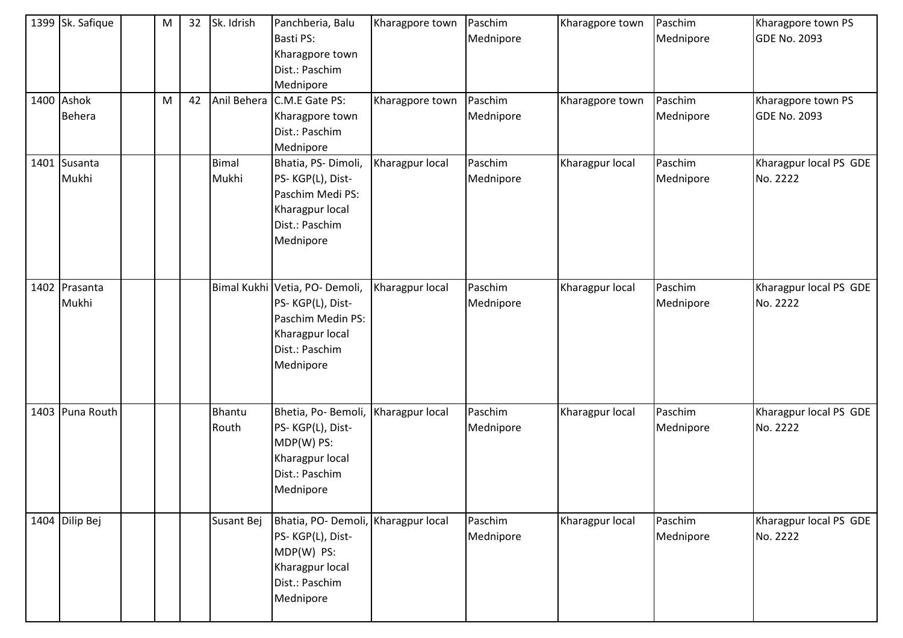| 1399 Sk. Safique            | M | 32 | Sk. Idrish             | Panchberia, Balu<br>Basti PS:<br>Kharagpore town<br>Dist.: Paschim<br>Mednipore                                           | Kharagpore town | Paschim<br>Mednipore | Kharagpore town | Paschim<br>Mednipore | Kharagpore town PS<br><b>GDE No. 2093</b> |
|-----------------------------|---|----|------------------------|---------------------------------------------------------------------------------------------------------------------------|-----------------|----------------------|-----------------|----------------------|-------------------------------------------|
| 1400 Ashok<br><b>Behera</b> | M | 42 | Anil Behera            | C.M.E Gate PS:<br>Kharagpore town<br>Dist.: Paschim<br>Mednipore                                                          | Kharagpore town | Paschim<br>Mednipore | Kharagpore town | Paschim<br>Mednipore | Kharagpore town PS<br><b>GDE No. 2093</b> |
| 1401 Susanta<br>Mukhi       |   |    | <b>Bimal</b><br>Mukhi  | Bhatia, PS-Dimoli,<br>PS-KGP(L), Dist-<br>Paschim Medi PS:<br>Kharagpur local<br>Dist.: Paschim<br>Mednipore              | Kharagpur local | Paschim<br>Mednipore | Kharagpur local | Paschim<br>Mednipore | Kharagpur local PS GDE<br>No. 2222        |
| 1402 Prasanta<br>Mukhi      |   |    |                        | Bimal Kukhi Vetia, PO- Demoli,<br>PS-KGP(L), Dist-<br>Paschim Medin PS:<br>Kharagpur local<br>Dist.: Paschim<br>Mednipore | Kharagpur local | Paschim<br>Mednipore | Kharagpur local | Paschim<br>Mednipore | Kharagpur local PS GDE<br>No. 2222        |
| 1403 Puna Routh             |   |    | <b>Bhantu</b><br>Routh | Bhetia, Po-Bemoli,<br>PS-KGP(L), Dist-<br>MDP(W) PS:<br>Kharagpur local<br>Dist.: Paschim<br>Mednipore                    | Kharagpur local | Paschim<br>Mednipore | Kharagpur local | Paschim<br>Mednipore | Kharagpur local PS GDE<br>No. 2222        |
| 1404 Dilip Bej              |   |    | Susant Bej             | Bhatia, PO- Demoli, Kharagpur local<br>PS-KGP(L), Dist-<br>MDP(W) PS:<br>Kharagpur local<br>Dist.: Paschim<br>Mednipore   |                 | Paschim<br>Mednipore | Kharagpur local | Paschim<br>Mednipore | Kharagpur local PS GDE<br>No. 2222        |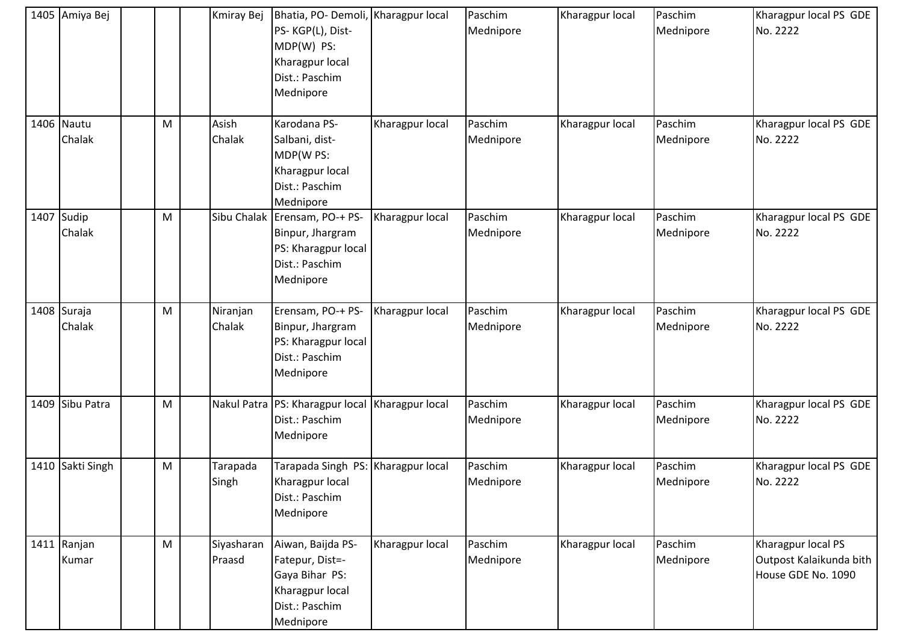| 1405 Amiya Bej        |   | Kmiray Bej           | Bhatia, PO- Demoli, Kharagpur local<br>PS-KGP(L), Dist-<br>MDP(W) PS:<br>Kharagpur local<br>Dist.: Paschim<br>Mednipore |                 | Paschim<br>Mednipore | Kharagpur local | Paschim<br>Mednipore | Kharagpur local PS GDE<br>No. 2222                                  |
|-----------------------|---|----------------------|-------------------------------------------------------------------------------------------------------------------------|-----------------|----------------------|-----------------|----------------------|---------------------------------------------------------------------|
| 1406 Nautu<br>Chalak  | M | Asish<br>Chalak      | Karodana PS-<br>Salbani, dist-<br>MDP(W PS:<br>Kharagpur local<br>Dist.: Paschim<br>Mednipore                           | Kharagpur local | Paschim<br>Mednipore | Kharagpur local | Paschim<br>Mednipore | Kharagpur local PS GDE<br>No. 2222                                  |
| 1407 Sudip<br>Chalak  | M | Sibu Chalak          | Erensam, PO-+ PS-<br>Binpur, Jhargram<br>PS: Kharagpur local<br>Dist.: Paschim<br>Mednipore                             | Kharagpur local | Paschim<br>Mednipore | Kharagpur local | Paschim<br>Mednipore | Kharagpur local PS GDE<br>No. 2222                                  |
| 1408 Suraja<br>Chalak | M | Niranjan<br>Chalak   | Erensam, PO-+ PS-<br>Binpur, Jhargram<br>PS: Kharagpur local<br>Dist.: Paschim<br>Mednipore                             | Kharagpur local | Paschim<br>Mednipore | Kharagpur local | Paschim<br>Mednipore | Kharagpur local PS GDE<br>No. 2222                                  |
| 1409 Sibu Patra       | M |                      | Nakul Patra   PS: Kharagpur local   Kharagpur local<br>Dist.: Paschim<br>Mednipore                                      |                 | Paschim<br>Mednipore | Kharagpur local | Paschim<br>Mednipore | Kharagpur local PS GDE<br>No. 2222                                  |
| 1410 Sakti Singh      | M | Tarapada<br>Singh    | Tarapada Singh PS: Kharagpur local<br>Kharagpur local<br>Dist.: Paschim<br>Mednipore                                    |                 | Paschim<br>Mednipore | Kharagpur local | Paschim<br>Mednipore | Kharagpur local PS GDE<br>No. 2222                                  |
| 1411 Ranjan<br>Kumar  | M | Siyasharan<br>Praasd | Aiwan, Baijda PS-<br>Fatepur, Dist=-<br>Gaya Bihar PS:<br>Kharagpur local<br>Dist.: Paschim<br>Mednipore                | Kharagpur local | Paschim<br>Mednipore | Kharagpur local | Paschim<br>Mednipore | Kharagpur local PS<br>Outpost Kalaikunda bith<br>House GDE No. 1090 |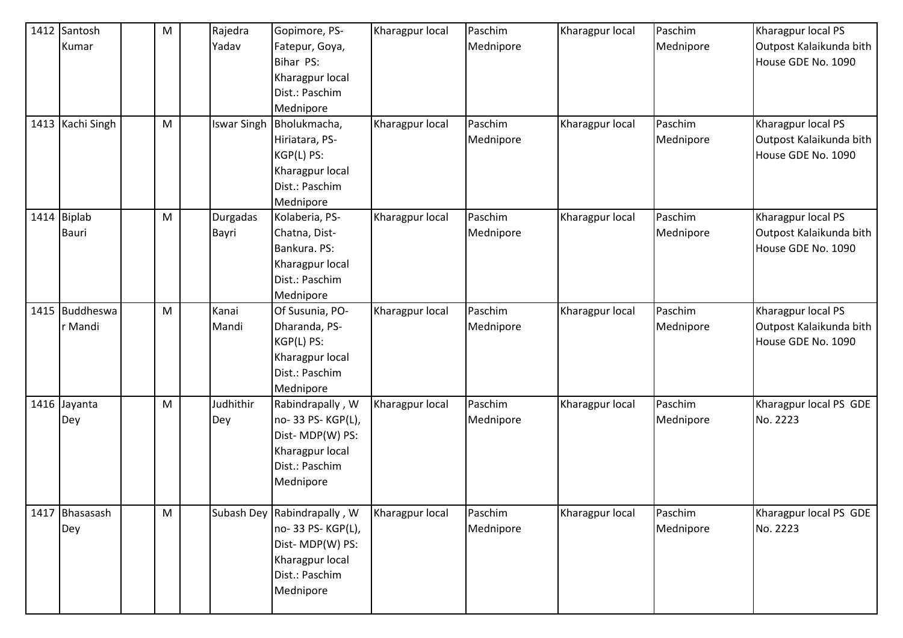| 1412 Santosh     | M         | Rajedra            | Gopimore, PS-               | Kharagpur local | Paschim   | Kharagpur local | Paschim   | Kharagpur local PS      |
|------------------|-----------|--------------------|-----------------------------|-----------------|-----------|-----------------|-----------|-------------------------|
| Kumar            |           | Yadav              | Fatepur, Goya,              |                 | Mednipore |                 | Mednipore | Outpost Kalaikunda bith |
|                  |           |                    | Bihar PS:                   |                 |           |                 |           | House GDE No. 1090      |
|                  |           |                    | Kharagpur local             |                 |           |                 |           |                         |
|                  |           |                    | Dist.: Paschim              |                 |           |                 |           |                         |
|                  |           |                    | Mednipore                   |                 |           |                 |           |                         |
| 1413 Kachi Singh | M         | <b>Iswar Singh</b> | Bholukmacha,                | Kharagpur local | Paschim   | Kharagpur local | Paschim   | Kharagpur local PS      |
|                  |           |                    | Hiriatara, PS-              |                 | Mednipore |                 | Mednipore | Outpost Kalaikunda bith |
|                  |           |                    | KGP(L) PS:                  |                 |           |                 |           | House GDE No. 1090      |
|                  |           |                    | Kharagpur local             |                 |           |                 |           |                         |
|                  |           |                    | Dist.: Paschim              |                 |           |                 |           |                         |
|                  |           |                    | Mednipore                   |                 |           |                 |           |                         |
| 1414 Biplab      | M         | Durgadas           | Kolaberia, PS-              | Kharagpur local | Paschim   | Kharagpur local | Paschim   | Kharagpur local PS      |
| <b>Bauri</b>     |           | Bayri              | Chatna, Dist-               |                 | Mednipore |                 | Mednipore | Outpost Kalaikunda bith |
|                  |           |                    | Bankura. PS:                |                 |           |                 |           | House GDE No. 1090      |
|                  |           |                    | Kharagpur local             |                 |           |                 |           |                         |
|                  |           |                    | Dist.: Paschim              |                 |           |                 |           |                         |
|                  |           |                    | Mednipore                   |                 |           |                 |           |                         |
| 1415 Buddheswa   | M         | Kanai              | Of Susunia, PO-             | Kharagpur local | Paschim   | Kharagpur local | Paschim   | Kharagpur local PS      |
| r Mandi          |           | Mandi              | Dharanda, PS-               |                 | Mednipore |                 | Mednipore | Outpost Kalaikunda bith |
|                  |           |                    | KGP(L) PS:                  |                 |           |                 |           | House GDE No. 1090      |
|                  |           |                    | Kharagpur local             |                 |           |                 |           |                         |
|                  |           |                    | Dist.: Paschim              |                 |           |                 |           |                         |
|                  |           |                    | Mednipore                   |                 |           |                 |           |                         |
| 1416 Jayanta     | M         | Judhithir          | Rabindrapally, W            | Kharagpur local | Paschim   | Kharagpur local | Paschim   | Kharagpur local PS GDE  |
| Dey              |           | Dey                | no-33 PS-KGP(L),            |                 | Mednipore |                 | Mednipore | No. 2223                |
|                  |           |                    | Dist-MDP(W) PS:             |                 |           |                 |           |                         |
|                  |           |                    | Kharagpur local             |                 |           |                 |           |                         |
|                  |           |                    | Dist.: Paschim              |                 |           |                 |           |                         |
|                  |           |                    | Mednipore                   |                 |           |                 |           |                         |
|                  |           |                    |                             |                 |           |                 |           |                         |
| 1417 Bhasasash   | ${\sf M}$ |                    | Subash Dey Rabindrapally, W | Kharagpur local | Paschim   | Kharagpur local | Paschim   | Kharagpur local PS GDE  |
| Dey              |           |                    | no-33 PS-KGP(L),            |                 | Mednipore |                 | Mednipore | No. 2223                |
|                  |           |                    | Dist-MDP(W) PS:             |                 |           |                 |           |                         |
|                  |           |                    | Kharagpur local             |                 |           |                 |           |                         |
|                  |           |                    | Dist.: Paschim              |                 |           |                 |           |                         |
|                  |           |                    | Mednipore                   |                 |           |                 |           |                         |
|                  |           |                    |                             |                 |           |                 |           |                         |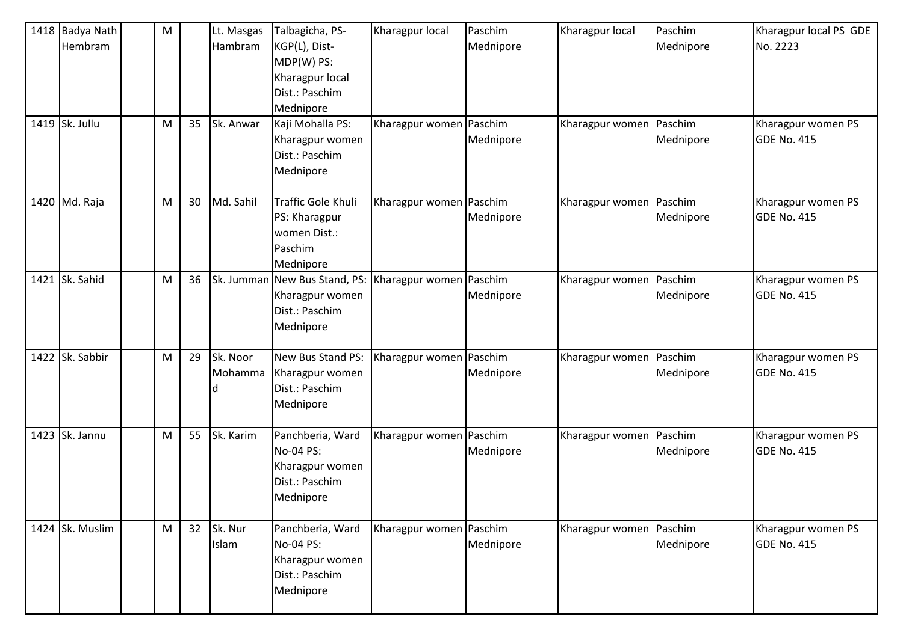| 1418 Badya Nath<br>Hembram<br>1419 Sk. Jullu | M<br>M | 35 | Lt. Masgas<br>Hambram<br>Sk. Anwar | Talbagicha, PS-<br>KGP(L), Dist-<br>MDP(W) PS:<br>Kharagpur local<br>Dist.: Paschim<br>Mednipore<br>Kaji Mohalla PS:<br>Kharagpur women<br>Dist.: Paschim<br>Mednipore | Kharagpur local<br>Kharagpur women Paschim | Paschim<br>Mednipore<br>Mednipore | Kharagpur local<br>Kharagpur women   Paschim | Paschim<br>Mednipore<br>Mednipore | Kharagpur local PS GDE<br>No. 2223<br>Kharagpur women PS<br>GDE No. 415 |
|----------------------------------------------|--------|----|------------------------------------|------------------------------------------------------------------------------------------------------------------------------------------------------------------------|--------------------------------------------|-----------------------------------|----------------------------------------------|-----------------------------------|-------------------------------------------------------------------------|
| 1420 Md. Raja                                | M      | 30 | Md. Sahil                          | Traffic Gole Khuli<br>PS: Kharagpur<br>women Dist.:<br>Paschim<br>Mednipore                                                                                            | Kharagpur women Paschim                    | Mednipore                         | Kharagpur women   Paschim                    | Mednipore                         | Kharagpur women PS<br><b>GDE No. 415</b>                                |
| 1421 Sk. Sahid                               | M      | 36 | Sk. Jumman                         | New Bus Stand, PS:<br>Kharagpur women<br>Dist.: Paschim<br>Mednipore                                                                                                   | Kharagpur women Paschim                    | Mednipore                         | Kharagpur women   Paschim                    | Mednipore                         | Kharagpur women PS<br>GDE No. 415                                       |
| 1422 Sk. Sabbir                              | M      | 29 | Sk. Noor<br>Mohamma                | New Bus Stand PS:<br>Kharagpur women<br>Dist.: Paschim<br>Mednipore                                                                                                    | Kharagpur women   Paschim                  | Mednipore                         | Kharagpur women   Paschim                    | Mednipore                         | Kharagpur women PS<br>GDE No. 415                                       |
| 1423 Sk. Jannu                               | M      | 55 | Sk. Karim                          | Panchberia, Ward<br>No-04 PS:<br>Kharagpur women<br>Dist.: Paschim<br>Mednipore                                                                                        | Kharagpur women Paschim                    | Mednipore                         | Kharagpur women   Paschim                    | Mednipore                         | Kharagpur women PS<br>GDE No. 415                                       |
| 1424 Sk. Muslim                              | M      | 32 | Sk. Nur<br>Islam                   | Panchberia, Ward<br>No-04 PS:<br>Kharagpur women<br>Dist.: Paschim<br>Mednipore                                                                                        | Kharagpur women Paschim                    | Mednipore                         | Kharagpur women   Paschim                    | Mednipore                         | Kharagpur women PS<br>GDE No. 415                                       |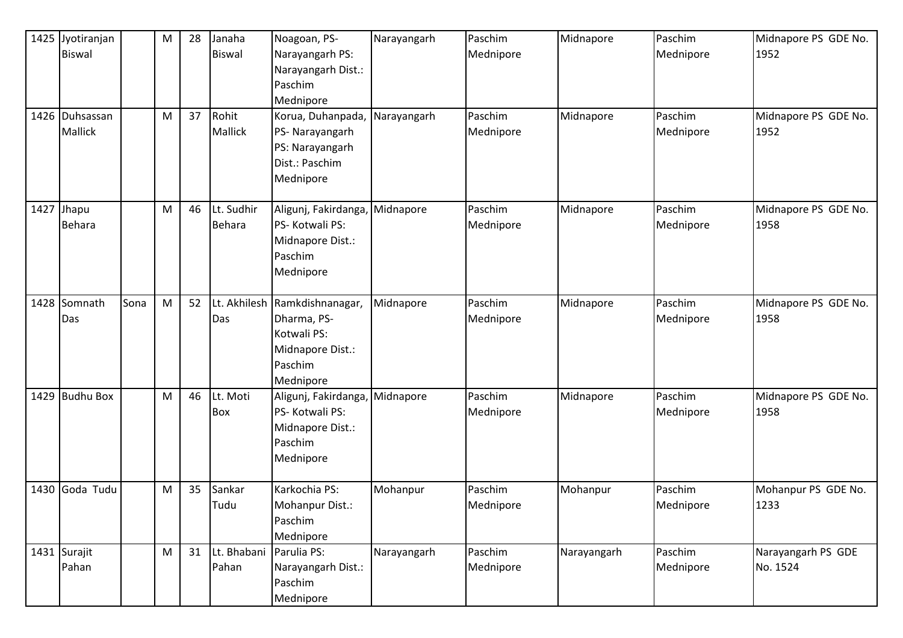|      | 1425 Jyotiranjan<br><b>Biswal</b><br>1426 Duhsassan<br>Mallick |      | M<br>M | 28<br>37 | Janaha<br><b>Biswal</b><br>Rohit<br><b>Mallick</b> | Noagoan, PS-<br>Narayangarh PS:<br>Narayangarh Dist.:<br>Paschim<br>Mednipore<br>Korua, Duhanpada,<br>PS- Narayangarh<br>PS: Narayangarh<br>Dist.: Paschim | Narayangarh<br>Narayangarh | Paschim<br>Mednipore<br>Paschim<br>Mednipore | Midnapore<br>Midnapore | Paschim<br>Mednipore<br>Paschim<br>Mednipore | Midnapore PS GDE No.<br>1952<br>Midnapore PS GDE No.<br>1952 |
|------|----------------------------------------------------------------|------|--------|----------|----------------------------------------------------|------------------------------------------------------------------------------------------------------------------------------------------------------------|----------------------------|----------------------------------------------|------------------------|----------------------------------------------|--------------------------------------------------------------|
|      | 1427 Jhapu<br><b>Behara</b>                                    |      | M      | 46       | Lt. Sudhir<br><b>Behara</b>                        | Mednipore<br>Aligunj, Fakirdanga,<br>PS-Kotwali PS:<br>Midnapore Dist.:<br>Paschim<br>Mednipore                                                            | Midnapore                  | Paschim<br>Mednipore                         | Midnapore              | Paschim<br>Mednipore                         | Midnapore PS GDE No.<br>1958                                 |
| 1428 | Somnath<br>Das                                                 | Sona | M      | 52       | Das                                                | Lt. Akhilesh Ramkdishnanagar,<br>Dharma, PS-<br>Kotwali PS:<br>Midnapore Dist.:<br>Paschim<br>Mednipore                                                    | Midnapore                  | Paschim<br>Mednipore                         | Midnapore              | Paschim<br>Mednipore                         | Midnapore PS GDE No.<br>1958                                 |
|      | 1429 Budhu Box                                                 |      | M      | 46       | Lt. Moti<br>Box                                    | Aligunj, Fakirdanga,<br>PS-Kotwali PS:<br>Midnapore Dist.:<br>Paschim<br>Mednipore                                                                         | Midnapore                  | Paschim<br>Mednipore                         | Midnapore              | Paschim<br>Mednipore                         | Midnapore PS GDE No.<br>1958                                 |
|      | 1430 Goda Tudu                                                 |      | M      | 35       | Sankar<br>Tudu                                     | Karkochia PS:<br>Mohanpur Dist.:<br>Paschim<br>Mednipore                                                                                                   | Mohanpur                   | Paschim<br>Mednipore                         | Mohanpur               | Paschim<br>Mednipore                         | Mohanpur PS GDE No.<br>1233                                  |
|      | 1431 Surajit<br>Pahan                                          |      | M      | 31       | Lt. Bhabani<br>Pahan                               | Parulia PS:<br>Narayangarh Dist.:<br>Paschim<br>Mednipore                                                                                                  | Narayangarh                | Paschim<br>Mednipore                         | Narayangarh            | Paschim<br>Mednipore                         | Narayangarh PS GDE<br>No. 1524                               |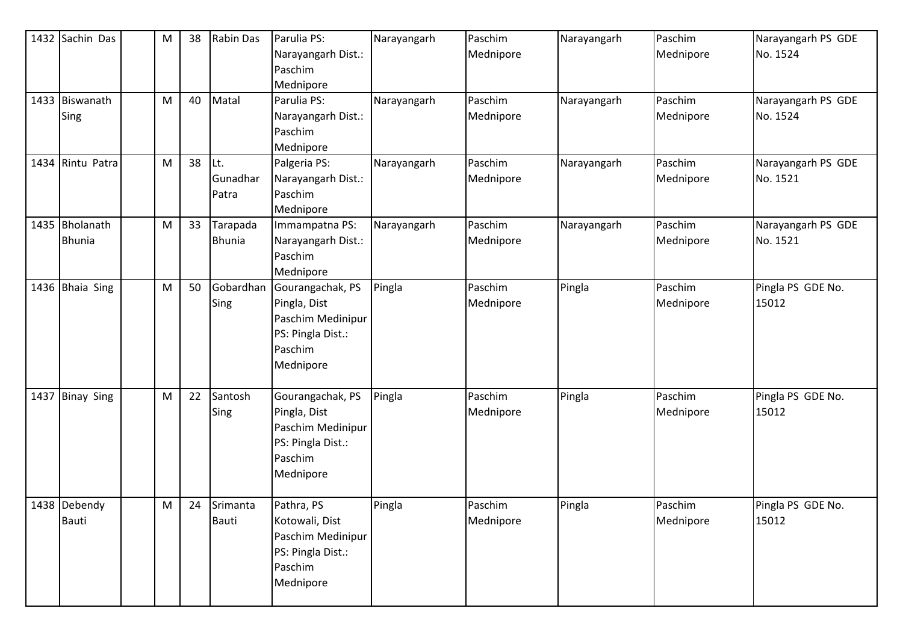| 1432 Sachin Das                 | ${\sf M}$ | 38 | <b>Rabin Das</b>          | Parulia PS:<br>Narayangarh Dist.:<br>Paschim<br>Mednipore                                          | Narayangarh | Paschim<br>Mednipore | Narayangarh | Paschim<br>Mednipore | Narayangarh PS GDE<br>No. 1524 |
|---------------------------------|-----------|----|---------------------------|----------------------------------------------------------------------------------------------------|-------------|----------------------|-------------|----------------------|--------------------------------|
| 1433 Biswanath<br>Sing          | M         | 40 | Matal                     | Parulia PS:<br>Narayangarh Dist.:<br>Paschim<br>Mednipore                                          | Narayangarh | Paschim<br>Mednipore | Narayangarh | Paschim<br>Mednipore | Narayangarh PS GDE<br>No. 1524 |
| 1434 Rintu Patra                | M         | 38 | ILt.<br>Gunadhar<br>Patra | Palgeria PS:<br>Narayangarh Dist.:<br>Paschim<br>Mednipore                                         | Narayangarh | Paschim<br>Mednipore | Narayangarh | Paschim<br>Mednipore | Narayangarh PS GDE<br>No. 1521 |
| 1435 Bholanath<br><b>Bhunia</b> | M         | 33 | Tarapada<br><b>Bhunia</b> | Immampatna PS:<br>Narayangarh Dist.:<br>Paschim<br>Mednipore                                       | Narayangarh | Paschim<br>Mednipore | Narayangarh | Paschim<br>Mednipore | Narayangarh PS GDE<br>No. 1521 |
| 1436 Bhaia Sing                 | M         | 50 | Gobardhan<br>Sing         | Gourangachak, PS<br>Pingla, Dist<br>Paschim Medinipur<br>PS: Pingla Dist.:<br>Paschim<br>Mednipore | Pingla      | Paschim<br>Mednipore | Pingla      | Paschim<br>Mednipore | Pingla PS GDE No.<br>15012     |
| 1437 Binay Sing                 | M         | 22 | Santosh<br>Sing           | Gourangachak, PS<br>Pingla, Dist<br>Paschim Medinipur<br>PS: Pingla Dist.:<br>Paschim<br>Mednipore | Pingla      | Paschim<br>Mednipore | Pingla      | Paschim<br>Mednipore | Pingla PS GDE No.<br>15012     |
| 1438 Debendy<br><b>Bauti</b>    | ${\sf M}$ |    | 24 Srimanta<br>Bauti      | Pathra, PS<br>Kotowali, Dist<br>Paschim Medinipur<br>PS: Pingla Dist.:<br>Paschim<br>Mednipore     | Pingla      | Paschim<br>Mednipore | Pingla      | Paschim<br>Mednipore | Pingla PS GDE No.<br>15012     |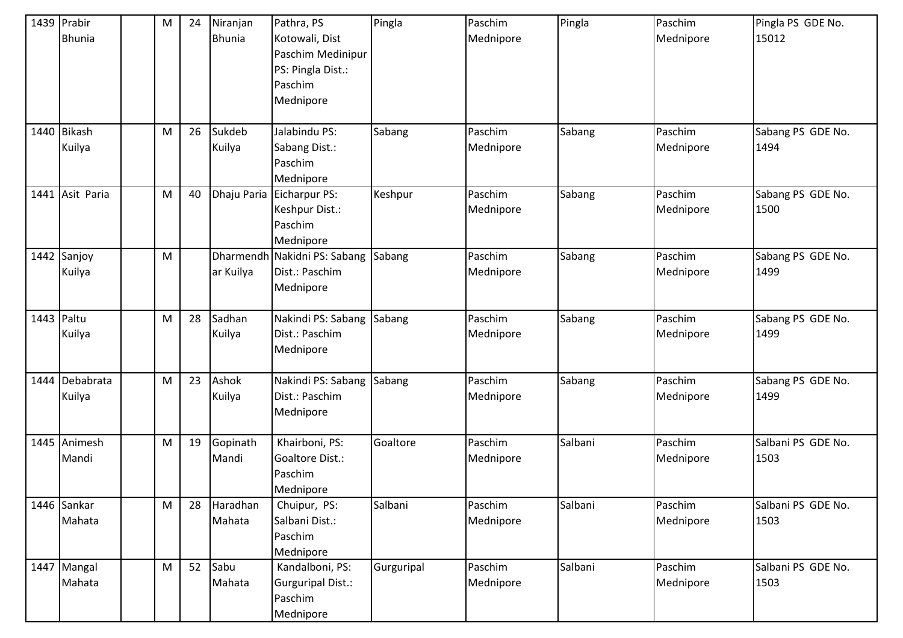|            | 1439 Prabir<br><b>Bhunia</b> | M | 24 | Niranjan<br><b>Bhunia</b> | Pathra, PS<br>Kotowali, Dist<br>Paschim Medinipur<br>PS: Pingla Dist.:<br>Paschim<br>Mednipore | Pingla     | Paschim<br>Mednipore | Pingla  | Paschim<br>Mednipore | Pingla PS GDE No.<br>15012 |
|------------|------------------------------|---|----|---------------------------|------------------------------------------------------------------------------------------------|------------|----------------------|---------|----------------------|----------------------------|
|            | 1440 Bikash<br>Kuilya        | M | 26 | Sukdeb<br>Kuilya          | Jalabindu PS:<br>Sabang Dist.:<br>Paschim<br>Mednipore                                         | Sabang     | Paschim<br>Mednipore | Sabang  | Paschim<br>Mednipore | Sabang PS GDE No.<br>1494  |
|            | 1441 Asit Paria              | M | 40 |                           | Dhaju Paria Eicharpur PS:<br>Keshpur Dist.:<br>Paschim<br>Mednipore                            | Keshpur    | Paschim<br>Mednipore | Sabang  | Paschim<br>Mednipore | Sabang PS GDE No.<br>1500  |
|            | 1442 Sanjoy<br>Kuilya        | M |    | ar Kuilya                 | Dharmendh Nakidni PS: Sabang<br>Dist.: Paschim<br>Mednipore                                    | Sabang     | Paschim<br>Mednipore | Sabang  | Paschim<br>Mednipore | Sabang PS GDE No.<br>1499  |
| 1443 Paltu | Kuilya                       | M | 28 | Sadhan<br>Kuilya          | Nakindi PS: Sabang<br>Dist.: Paschim<br>Mednipore                                              | Sabang     | Paschim<br>Mednipore | Sabang  | Paschim<br>Mednipore | Sabang PS GDE No.<br>1499  |
|            | 1444 Debabrata<br>Kuilya     | M | 23 | Ashok<br>Kuilya           | Nakindi PS: Sabang<br>Dist.: Paschim<br>Mednipore                                              | Sabang     | Paschim<br>Mednipore | Sabang  | Paschim<br>Mednipore | Sabang PS GDE No.<br>1499  |
|            | 1445 Animesh<br>Mandi        | M | 19 | Gopinath<br>Mandi         | Khairboni, PS:<br>Goaltore Dist.:<br>Paschim<br>Mednipore                                      | Goaltore   | Paschim<br>Mednipore | Salbani | Paschim<br>Mednipore | Salbani PS GDE No.<br>1503 |
|            | 1446 Sankar<br>Mahata        | M | 28 | Haradhan<br>Mahata        | Chuipur, PS:<br>Salbani Dist.:<br>Paschim<br>Mednipore                                         | Salbani    | Paschim<br>Mednipore | Salbani | Paschim<br>Mednipore | Salbani PS GDE No.<br>1503 |
|            | 1447 Mangal<br>Mahata        | M | 52 | Sabu<br>Mahata            | Kandalboni, PS:<br>Gurguripal Dist.:<br>Paschim<br>Mednipore                                   | Gurguripal | Paschim<br>Mednipore | Salbani | Paschim<br>Mednipore | Salbani PS GDE No.<br>1503 |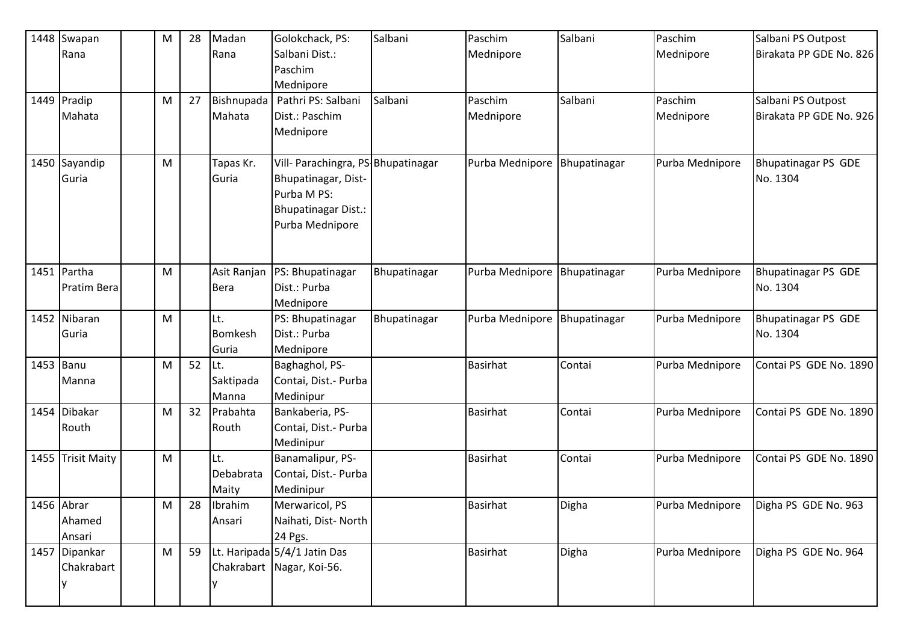| 1448 Swapan       | M | 28 | Madan          | Golokchack, PS:                    | Salbani      | Paschim         | Salbani      | Paschim         | Salbani PS Outpost         |
|-------------------|---|----|----------------|------------------------------------|--------------|-----------------|--------------|-----------------|----------------------------|
| Rana              |   |    | Rana           | Salbani Dist.:                     |              | Mednipore       |              | Mednipore       | Birakata PP GDE No. 826    |
|                   |   |    |                | Paschim                            |              |                 |              |                 |                            |
|                   |   |    |                | Mednipore                          |              |                 |              |                 |                            |
| 1449 Pradip       | M | 27 | Bishnupada     | Pathri PS: Salbani                 | Salbani      | Paschim         | Salbani      | Paschim         | Salbani PS Outpost         |
| Mahata            |   |    | Mahata         | Dist.: Paschim                     |              | Mednipore       |              | Mednipore       | Birakata PP GDE No. 926    |
|                   |   |    |                | Mednipore                          |              |                 |              |                 |                            |
|                   |   |    |                |                                    |              |                 |              |                 |                            |
| 1450 Sayandip     | M |    | Tapas Kr.      | Vill- Parachingra, PS-Bhupatinagar |              | Purba Mednipore | Bhupatinagar | Purba Mednipore | <b>Bhupatinagar PS GDE</b> |
| Guria             |   |    | Guria          | Bhupatinagar, Dist-                |              |                 |              |                 | No. 1304                   |
|                   |   |    |                | Purba M PS:                        |              |                 |              |                 |                            |
|                   |   |    |                | <b>Bhupatinagar Dist.:</b>         |              |                 |              |                 |                            |
|                   |   |    |                | Purba Mednipore                    |              |                 |              |                 |                            |
|                   |   |    |                |                                    |              |                 |              |                 |                            |
|                   |   |    |                |                                    |              |                 |              |                 |                            |
| 1451 Partha       | M |    | Asit Ranjan    | PS: Bhupatinagar                   | Bhupatinagar | Purba Mednipore | Bhupatinagar | Purba Mednipore | Bhupatinagar PS GDE        |
| Pratim Bera       |   |    | <b>Bera</b>    | Dist.: Purba                       |              |                 |              |                 | No. 1304                   |
|                   |   |    |                | Mednipore                          |              |                 |              |                 |                            |
| 1452 Nibaran      | M |    | Lt.            | PS: Bhupatinagar                   | Bhupatinagar | Purba Mednipore | Bhupatinagar | Purba Mednipore | <b>Bhupatinagar PS GDE</b> |
| Guria             |   |    | <b>Bomkesh</b> | Dist.: Purba                       |              |                 |              |                 | No. 1304                   |
|                   |   |    | Guria          | Mednipore                          |              |                 |              |                 |                            |
| 1453 Banu         | M | 52 | Lt.            | Baghaghol, PS-                     |              | <b>Basirhat</b> | Contai       | Purba Mednipore | Contai PS GDE No. 1890     |
| Manna             |   |    | Saktipada      | Contai, Dist.- Purba               |              |                 |              |                 |                            |
|                   |   |    | Manna          | Medinipur                          |              |                 |              |                 |                            |
| 1454 Dibakar      | M | 32 | Prabahta       | Bankaberia, PS-                    |              | <b>Basirhat</b> | Contai       | Purba Mednipore | Contai PS GDE No. 1890     |
| Routh             |   |    | Routh          | Contai, Dist.- Purba               |              |                 |              |                 |                            |
|                   |   |    |                | Medinipur                          |              |                 |              |                 |                            |
| 1455 Trisit Maity | M |    | Lt.            | Banamalipur, PS-                   |              | <b>Basirhat</b> | Contai       | Purba Mednipore | Contai PS GDE No. 1890     |
|                   |   |    | Debabrata      | Contai, Dist.- Purba               |              |                 |              |                 |                            |
|                   |   |    | Maity          | Medinipur                          |              |                 |              |                 |                            |
| 1456 Abrar        | M | 28 | Ibrahim        | Merwaricol, PS                     |              | <b>Basirhat</b> | Digha        | Purba Mednipore | Digha PS GDE No. 963       |
| Ahamed            |   |    | Ansari         | Naihati, Dist-North                |              |                 |              |                 |                            |
| Ansari            |   |    |                | 24 Pgs.                            |              |                 |              |                 |                            |
| 1457 Dipankar     | M | 59 |                | Lt. Haripada 5/4/1 Jatin Das       |              | <b>Basirhat</b> | Digha        | Purba Mednipore | Digha PS GDE No. 964       |
| Chakrabart        |   |    |                | Chakrabart Nagar, Koi-56.          |              |                 |              |                 |                            |
|                   |   |    |                |                                    |              |                 |              |                 |                            |
|                   |   |    |                |                                    |              |                 |              |                 |                            |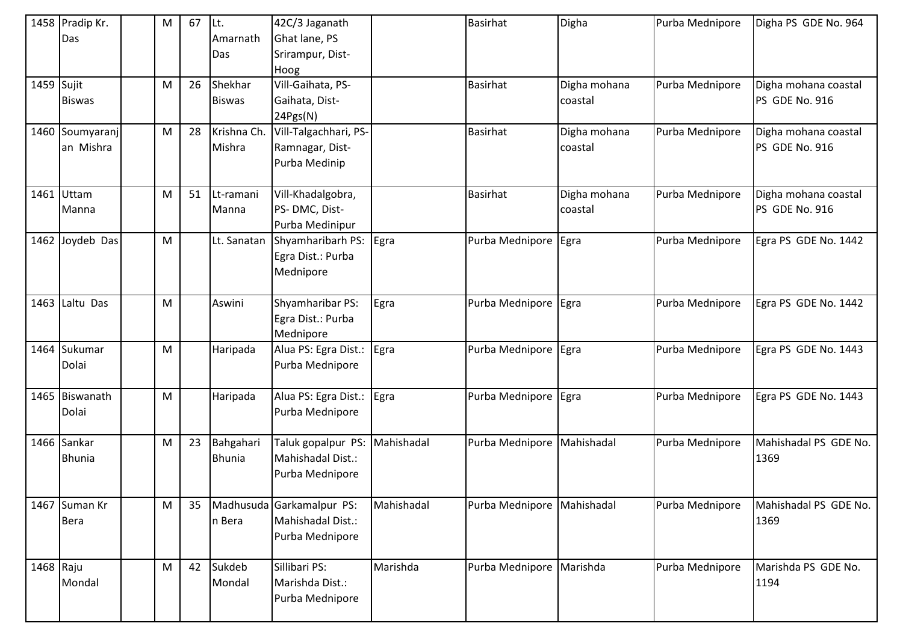|            | 1458 Pradip Kr. | M | 67 | Lt.           | 42C/3 Jaganath            |            | <b>Basirhat</b>            | Digha        | Purba Mednipore | Digha PS GDE No. 964  |
|------------|-----------------|---|----|---------------|---------------------------|------------|----------------------------|--------------|-----------------|-----------------------|
|            | Das             |   |    | Amarnath      | Ghat lane, PS             |            |                            |              |                 |                       |
|            |                 |   |    | Das           | Srirampur, Dist-          |            |                            |              |                 |                       |
|            |                 |   |    |               | Hoog                      |            |                            |              |                 |                       |
| 1459 Sujit |                 | M | 26 | Shekhar       | Vill-Gaihata, PS-         |            | <b>Basirhat</b>            | Digha mohana | Purba Mednipore | Digha mohana coastal  |
|            | <b>Biswas</b>   |   |    | <b>Biswas</b> | Gaihata, Dist-            |            |                            | coastal      |                 | PS GDE No. 916        |
|            |                 |   |    |               | 24Pgs(N)                  |            |                            |              |                 |                       |
|            | 1460 Soumyaranj | M | 28 | Krishna Ch.   | Vill-Talgachhari, PS-     |            | <b>Basirhat</b>            | Digha mohana | Purba Mednipore | Digha mohana coastal  |
|            | an Mishra       |   |    | Mishra        | Ramnagar, Dist-           |            |                            | coastal      |                 | PS GDE No. 916        |
|            |                 |   |    |               | Purba Medinip             |            |                            |              |                 |                       |
|            |                 |   |    |               |                           |            |                            |              |                 |                       |
|            | 1461 Uttam      | M | 51 | Lt-ramani     | Vill-Khadalgobra,         |            | <b>Basirhat</b>            | Digha mohana | Purba Mednipore | Digha mohana coastal  |
|            | Manna           |   |    | Manna         | PS-DMC, Dist-             |            |                            | coastal      |                 | PS GDE No. 916        |
|            |                 |   |    |               | Purba Medinipur           |            |                            |              |                 |                       |
|            | 1462 Joydeb Das | M |    | Lt. Sanatan   | Shyamharibarh PS:         | Egra       | Purba Mednipore            | Egra         | Purba Mednipore | Egra PS GDE No. 1442  |
|            |                 |   |    |               | Egra Dist.: Purba         |            |                            |              |                 |                       |
|            |                 |   |    |               | Mednipore                 |            |                            |              |                 |                       |
|            |                 |   |    |               |                           |            |                            |              |                 |                       |
|            | 1463 Laltu Das  | M |    | Aswini        | Shyamharibar PS:          | Egra       | Purba Mednipore Egra       |              | Purba Mednipore | Egra PS GDE No. 1442  |
|            |                 |   |    |               | Egra Dist.: Purba         |            |                            |              |                 |                       |
|            |                 |   |    |               | Mednipore                 |            |                            |              |                 |                       |
|            | 1464 Sukumar    | M |    | Haripada      | Alua PS: Egra Dist.:      | Egra       | Purba Mednipore            | Egra         | Purba Mednipore | Egra PS GDE No. 1443  |
|            | Dolai           |   |    |               | Purba Mednipore           |            |                            |              |                 |                       |
|            |                 |   |    |               |                           |            |                            |              |                 |                       |
|            | 1465 Biswanath  | M |    | Haripada      | Alua PS: Egra Dist.:      | Egra       | Purba Mednipore            | Egra         | Purba Mednipore | Egra PS GDE No. 1443  |
|            | Dolai           |   |    |               | Purba Mednipore           |            |                            |              |                 |                       |
|            |                 |   |    |               |                           |            |                            |              |                 |                       |
|            | 1466 Sankar     | M | 23 | Bahgahari     | Taluk gopalpur PS:        | Mahishadal | Purba Mednipore Mahishadal |              | Purba Mednipore | Mahishadal PS GDE No. |
|            | <b>Bhunia</b>   |   |    | <b>Bhunia</b> | Mahishadal Dist.:         |            |                            |              |                 | 1369                  |
|            |                 |   |    |               | Purba Mednipore           |            |                            |              |                 |                       |
|            |                 |   |    |               |                           |            |                            |              |                 |                       |
|            | 1467 Suman Kr   | M | 35 |               | Madhusuda Garkamalpur PS: | Mahishadal | Purba Mednipore Mahishadal |              | Purba Mednipore | Mahishadal PS GDE No. |
|            | <b>Bera</b>     |   |    | n Bera        | Mahishadal Dist.:         |            |                            |              |                 | 1369                  |
|            |                 |   |    |               | Purba Mednipore           |            |                            |              |                 |                       |
|            |                 |   |    |               |                           |            |                            |              |                 |                       |
| 1468 Raju  |                 | M | 42 | Sukdeb        | Sillibari PS:             | Marishda   | Purba Mednipore Marishda   |              | Purba Mednipore | Marishda PS GDE No.   |
|            | Mondal          |   |    | Mondal        | Marishda Dist.:           |            |                            |              |                 | 1194                  |
|            |                 |   |    |               | Purba Mednipore           |            |                            |              |                 |                       |
|            |                 |   |    |               |                           |            |                            |              |                 |                       |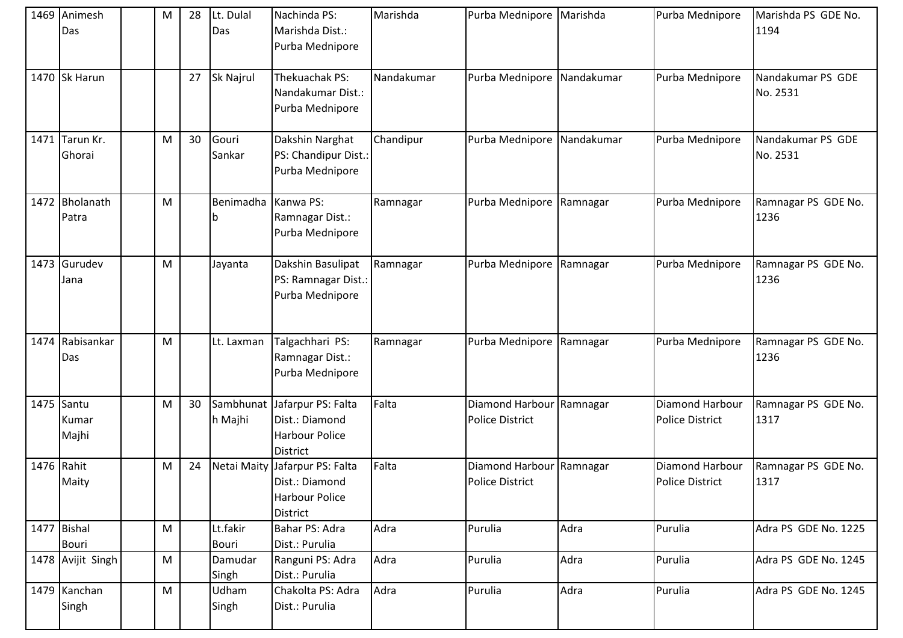|      | 1469 Animesh<br>Das          | M | 28 | Lt. Dulal<br>Das     | Nachinda PS:<br>Marishda Dist.:<br>Purba Mednipore                               | Marishda   | Purba Mednipore Marishda                           |            | Purba Mednipore                           | Marishda PS GDE No.<br>1194   |
|------|------------------------------|---|----|----------------------|----------------------------------------------------------------------------------|------------|----------------------------------------------------|------------|-------------------------------------------|-------------------------------|
|      | 1470 Sk Harun                |   | 27 | Sk Najrul            | Thekuachak PS:<br>Nandakumar Dist.:<br>Purba Mednipore                           | Nandakumar | Purba Mednipore Nandakumar                         |            | Purba Mednipore                           | Nandakumar PS GDE<br>No. 2531 |
| 1471 | Tarun Kr.<br>Ghorai          | M | 30 | Gouri<br>Sankar      | Dakshin Narghat<br>PS: Chandipur Dist.:<br>Purba Mednipore                       | Chandipur  | Purba Mednipore                                    | Nandakumar | Purba Mednipore                           | Nandakumar PS GDE<br>No. 2531 |
|      | 1472 Bholanath<br>Patra      | M |    | Benimadha<br>۱b      | Kanwa PS:<br>Ramnagar Dist.:<br>Purba Mednipore                                  | Ramnagar   | Purba Mednipore                                    | Ramnagar   | Purba Mednipore                           | Ramnagar PS GDE No.<br>1236   |
|      | 1473 Gurudev<br>Jana         | М |    | Jayanta              | Dakshin Basulipat<br>PS: Ramnagar Dist.:<br>Purba Mednipore                      | Ramnagar   | Purba Mednipore                                    | Ramnagar   | Purba Mednipore                           | Ramnagar PS GDE No.<br>1236   |
| 1474 | Rabisankar<br>Das            | M |    | Lt. Laxman           | Talgachhari PS:<br>Ramnagar Dist.:<br>Purba Mednipore                            | Ramnagar   | Purba Mednipore                                    | Ramnagar   | Purba Mednipore                           | Ramnagar PS GDE No.<br>1236   |
|      | 1475 Santu<br>Kumar<br>Majhi | M | 30 | Sambhunat<br>h Majhi | Jafarpur PS: Falta<br>Dist.: Diamond<br><b>Harbour Police</b><br><b>District</b> | Falta      | Diamond Harbour Ramnagar<br><b>Police District</b> |            | Diamond Harbour<br><b>Police District</b> | Ramnagar PS GDE No.<br>1317   |
|      | 1476 Rahit<br>Maity          | M | 24 | Netai Maity          | Jafarpur PS: Falta<br>Dist.: Diamond<br><b>Harbour Police</b><br>District        | Falta      | Diamond Harbour<br><b>Police District</b>          | Ramnagar   | Diamond Harbour<br><b>Police District</b> | Ramnagar PS GDE No.<br>1317   |
|      | 1477 Bishal<br><b>Bouri</b>  | M |    | Lt.fakir<br>Bouri    | Bahar PS: Adra<br>Dist.: Purulia                                                 | Adra       | Purulia                                            | Adra       | Purulia                                   | Adra PS GDE No. 1225          |
|      | 1478 Avijit Singh            | M |    | Damudar<br>Singh     | Ranguni PS: Adra<br>Dist.: Purulia                                               | Adra       | Purulia                                            | Adra       | Purulia                                   | Adra PS GDE No. 1245          |
|      | 1479 Kanchan<br>Singh        | M |    | Udham<br>Singh       | Chakolta PS: Adra<br>Dist.: Purulia                                              | Adra       | Purulia                                            | Adra       | Purulia                                   | Adra PS GDE No. 1245          |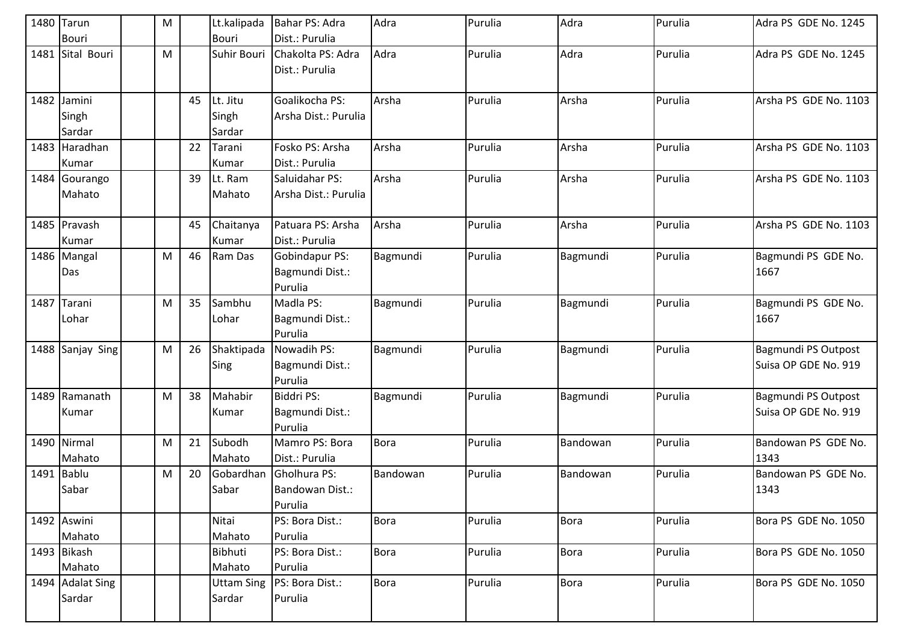| 1480 | Tarun            | M |    | Lt.kalipada       | Bahar PS: Adra       | Adra        | Purulia | Adra        | Purulia | Adra PS GDE No. 1245  |
|------|------------------|---|----|-------------------|----------------------|-------------|---------|-------------|---------|-----------------------|
|      | <b>Bouri</b>     |   |    | <b>Bouri</b>      | Dist.: Purulia       |             |         |             |         |                       |
|      | 1481 Sital Bouri | M |    | Suhir Bouri       | Chakolta PS: Adra    | Adra        | Purulia | Adra        | Purulia | Adra PS GDE No. 1245  |
|      |                  |   |    |                   | Dist.: Purulia       |             |         |             |         |                       |
|      |                  |   |    |                   |                      |             |         |             |         |                       |
|      | 1482 Jamini      |   | 45 | Lt. Jitu          | Goalikocha PS:       | Arsha       | Purulia | Arsha       | Purulia | Arsha PS GDE No. 1103 |
|      | Singh            |   |    | Singh             | Arsha Dist.: Purulia |             |         |             |         |                       |
|      | Sardar           |   |    | Sardar            |                      |             |         |             |         |                       |
|      | 1483 Haradhan    |   | 22 | Tarani            | Fosko PS: Arsha      | Arsha       | Purulia | Arsha       | Purulia | Arsha PS GDE No. 1103 |
|      | Kumar            |   |    | Kumar             | Dist.: Purulia       |             |         |             |         |                       |
|      | 1484 Gourango    |   | 39 | Lt. Ram           | Saluidahar PS:       | Arsha       | Purulia | Arsha       | Purulia | Arsha PS GDE No. 1103 |
|      | Mahato           |   |    | Mahato            | Arsha Dist.: Purulia |             |         |             |         |                       |
|      |                  |   |    |                   |                      |             |         |             |         |                       |
|      | 1485 Pravash     |   | 45 | Chaitanya         | Patuara PS: Arsha    | Arsha       | Purulia | Arsha       | Purulia | Arsha PS GDE No. 1103 |
|      | Kumar            |   |    | Kumar             | Dist.: Purulia       |             |         |             |         |                       |
|      | 1486 Mangal      | M | 46 | Ram Das           | Gobindapur PS:       | Bagmundi    | Purulia | Bagmundi    | Purulia | Bagmundi PS GDE No.   |
|      | Das              |   |    |                   | Bagmundi Dist.:      |             |         |             |         | 1667                  |
|      |                  |   |    |                   | Purulia              |             |         |             |         |                       |
| 1487 | Tarani           | M | 35 | Sambhu            | Madla PS:            | Bagmundi    | Purulia | Bagmundi    | Purulia | Bagmundi PS GDE No.   |
|      | Lohar            |   |    | Lohar             | Bagmundi Dist.:      |             |         |             |         | 1667                  |
|      |                  |   |    |                   | Purulia              |             |         |             |         |                       |
|      | 1488 Sanjay Sing | M | 26 | Shaktipada        | Nowadih PS:          | Bagmundi    | Purulia | Bagmundi    | Purulia | Bagmundi PS Outpost   |
|      |                  |   |    | Sing              | Bagmundi Dist.:      |             |         |             |         | Suisa OP GDE No. 919  |
|      |                  |   |    |                   | Purulia              |             |         |             |         |                       |
|      | 1489 Ramanath    | M | 38 | Mahabir           | <b>Biddri PS:</b>    | Bagmundi    | Purulia | Bagmundi    | Purulia | Bagmundi PS Outpost   |
|      | Kumar            |   |    | Kumar             | Bagmundi Dist.:      |             |         |             |         | Suisa OP GDE No. 919  |
|      |                  |   |    |                   | Purulia              |             |         |             |         |                       |
|      | 1490 Nirmal      | M | 21 | Subodh            | Mamro PS: Bora       | <b>Bora</b> | Purulia | Bandowan    | Purulia | Bandowan PS GDE No.   |
|      | Mahato           |   |    | Mahato            | Dist.: Purulia       |             |         |             |         | 1343                  |
|      | 1491 Bablu       | M | 20 | Gobardhan         | Gholhura PS:         | Bandowan    | Purulia | Bandowan    | Purulia | Bandowan PS GDE No.   |
|      | Sabar            |   |    | Sabar             | Bandowan Dist.:      |             |         |             |         | 1343                  |
|      |                  |   |    |                   | Purulia              |             |         |             |         |                       |
|      | 1492 Aswini      |   |    | Nitai             | PS: Bora Dist.:      | <b>Bora</b> | Purulia | <b>Bora</b> | Purulia | Bora PS GDE No. 1050  |
|      | Mahato           |   |    | Mahato            | Purulia              |             |         |             |         |                       |
|      | 1493 Bikash      |   |    | Bibhuti           | PS: Bora Dist.:      | <b>Bora</b> | Purulia | <b>Bora</b> | Purulia | Bora PS GDE No. 1050  |
|      | Mahato           |   |    | Mahato            | Purulia              |             |         |             |         |                       |
|      | 1494 Adalat Sing |   |    | <b>Uttam Sing</b> | PS: Bora Dist.:      | <b>Bora</b> | Purulia | <b>Bora</b> | Purulia | Bora PS GDE No. 1050  |
|      | Sardar           |   |    | Sardar            | Purulia              |             |         |             |         |                       |
|      |                  |   |    |                   |                      |             |         |             |         |                       |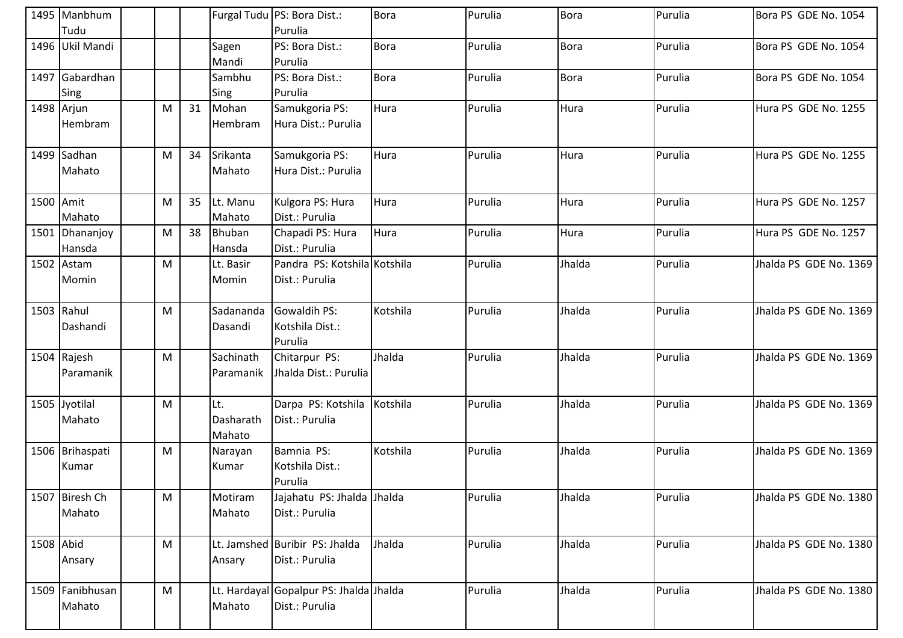|           | 1495 Manbhum    |   |    |               | Furgal Tudu PS: Bora Dist.:             | <b>Bora</b> | Purulia | <b>Bora</b> | Purulia | Bora PS GDE No. 1054   |
|-----------|-----------------|---|----|---------------|-----------------------------------------|-------------|---------|-------------|---------|------------------------|
|           | Tudu            |   |    |               | Purulia                                 |             |         |             |         |                        |
|           | 1496 Ukil Mandi |   |    | Sagen         | PS: Bora Dist.:                         | <b>Bora</b> | Purulia | <b>Bora</b> | Purulia | Bora PS GDE No. 1054   |
|           |                 |   |    | Mandi         | Purulia                                 |             |         |             |         |                        |
|           | 1497 Gabardhan  |   |    | Sambhu        | PS: Bora Dist.:                         | <b>Bora</b> | Purulia | <b>Bora</b> | Purulia | Bora PS GDE No. 1054   |
|           | Sing            |   |    | Sing          | Purulia                                 |             |         |             |         |                        |
|           | 1498 Arjun      | M | 31 | Mohan         | Samukgoria PS:                          | Hura        | Purulia | Hura        | Purulia | Hura PS GDE No. 1255   |
|           | Hembram         |   |    | Hembram       | Hura Dist.: Purulia                     |             |         |             |         |                        |
|           | 1499 Sadhan     | M | 34 | Srikanta      | Samukgoria PS:                          | Hura        | Purulia | Hura        | Purulia | Hura PS GDE No. 1255   |
|           | Mahato          |   |    | Mahato        | Hura Dist.: Purulia                     |             |         |             |         |                        |
|           |                 |   |    |               |                                         |             |         |             |         |                        |
| 1500 Amit |                 | M | 35 | Lt. Manu      | Kulgora PS: Hura                        | Hura        | Purulia | Hura        | Purulia | Hura PS GDE No. 1257   |
|           | Mahato          |   |    | Mahato        | Dist.: Purulia                          |             |         |             |         |                        |
|           | 1501 Dhananjoy  | M | 38 | <b>Bhuban</b> | Chapadi PS: Hura                        | Hura        | Purulia | Hura        | Purulia | Hura PS GDE No. 1257   |
|           | Hansda          |   |    | Hansda        | Dist.: Purulia                          |             |         |             |         |                        |
|           | 1502 Astam      | M |    | Lt. Basir     | Pandra PS: Kotshila Kotshila            |             | Purulia | Jhalda      | Purulia | Jhalda PS GDE No. 1369 |
|           | Momin           |   |    | Momin         | Dist.: Purulia                          |             |         |             |         |                        |
|           |                 |   |    |               |                                         |             |         |             |         |                        |
|           | 1503 Rahul      | M |    | Sadananda     | Gowaldih PS:                            | Kotshila    | Purulia | Jhalda      | Purulia | Jhalda PS GDE No. 1369 |
|           | Dashandi        |   |    | Dasandi       | Kotshila Dist.:                         |             |         |             |         |                        |
|           |                 |   |    |               | Purulia                                 |             |         |             |         |                        |
|           | 1504 Rajesh     | M |    | Sachinath     | Chitarpur PS:                           | Jhalda      | Purulia | Jhalda      | Purulia | Jhalda PS GDE No. 1369 |
|           | Paramanik       |   |    | Paramanik     | Jhalda Dist.: Purulia                   |             |         |             |         |                        |
|           |                 |   |    |               |                                         |             |         |             |         |                        |
|           | 1505 Jyotilal   | M |    | Lt.           | Darpa PS: Kotshila                      | Kotshila    | Purulia | Jhalda      | Purulia | Jhalda PS GDE No. 1369 |
|           | Mahato          |   |    | Dasharath     | Dist.: Purulia                          |             |         |             |         |                        |
|           |                 |   |    | Mahato        |                                         |             |         |             |         |                        |
|           | 1506 Brihaspati | M |    | Narayan       | Bamnia PS:                              | Kotshila    | Purulia | Jhalda      | Purulia | Jhalda PS GDE No. 1369 |
|           | Kumar           |   |    | Kumar         | Kotshila Dist.:                         |             |         |             |         |                        |
|           |                 |   |    |               | Purulia                                 |             |         |             |         |                        |
|           | 1507 Biresh Ch  | M |    | Motiram       | Jajahatu PS: Jhalda Jhalda              |             | Purulia | Jhalda      | Purulia | Jhalda PS GDE No. 1380 |
|           | Mahato          |   |    | Mahato        | Dist.: Purulia                          |             |         |             |         |                        |
| 1508 Abid |                 | M |    |               | Lt. Jamshed Buribir PS: Jhalda          | Jhalda      | Purulia | Jhalda      | Purulia | Jhalda PS GDE No. 1380 |
|           | Ansary          |   |    | Ansary        | Dist.: Purulia                          |             |         |             |         |                        |
|           |                 |   |    |               |                                         |             |         |             |         |                        |
|           | 1509 Fanibhusan | M |    |               | Lt. Hardayal Gopalpur PS: Jhalda Jhalda |             | Purulia | Jhalda      | Purulia | Jhalda PS GDE No. 1380 |
|           | Mahato          |   |    | Mahato        | Dist.: Purulia                          |             |         |             |         |                        |
|           |                 |   |    |               |                                         |             |         |             |         |                        |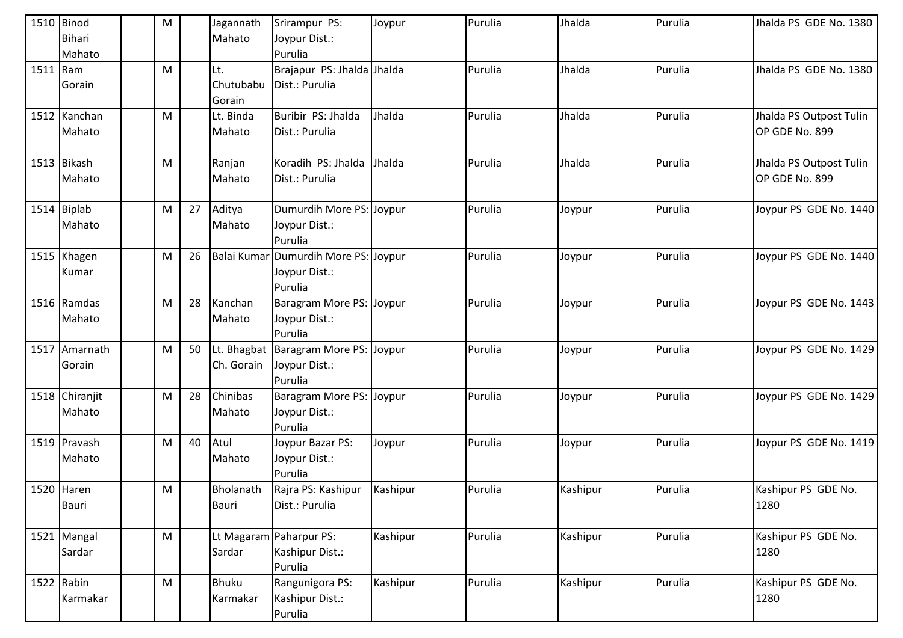|          | 1510 Binod     | M                                                                                                          |    | Jagannath  | Srirampur PS:                          | Joypur   | Purulia | Jhalda   | Purulia | Jhalda PS GDE No. 1380  |
|----------|----------------|------------------------------------------------------------------------------------------------------------|----|------------|----------------------------------------|----------|---------|----------|---------|-------------------------|
|          | <b>Bihari</b>  |                                                                                                            |    | Mahato     | Joypur Dist.:                          |          |         |          |         |                         |
|          | Mahato         |                                                                                                            |    |            | Purulia                                |          |         |          |         |                         |
| 1511 Ram |                | ${\sf M}$                                                                                                  |    | Lt.        | Brajapur PS: Jhalda Jhalda             |          | Purulia | Jhalda   | Purulia | Jhalda PS GDE No. 1380  |
|          | Gorain         |                                                                                                            |    | Chutubabu  | Dist.: Purulia                         |          |         |          |         |                         |
|          |                |                                                                                                            |    | Gorain     |                                        |          |         |          |         |                         |
|          | 1512 Kanchan   | M                                                                                                          |    | Lt. Binda  | Buribir PS: Jhalda                     | Jhalda   | Purulia | Jhalda   | Purulia | Jhalda PS Outpost Tulin |
|          | Mahato         |                                                                                                            |    | Mahato     | Dist.: Purulia                         |          |         |          |         | OP GDE No. 899          |
|          |                |                                                                                                            |    |            |                                        |          |         |          |         |                         |
|          | 1513 Bikash    | $\mathsf{M}% _{T}=\mathsf{M}_{T}\!\left( a,b\right) ,\ \mathsf{M}_{T}=\mathsf{M}_{T}\!\left( a,b\right) ,$ |    | Ranjan     | Koradih PS: Jhalda                     | Jhalda   | Purulia | Jhalda   | Purulia | Jhalda PS Outpost Tulin |
|          | Mahato         |                                                                                                            |    | Mahato     | Dist.: Purulia                         |          |         |          |         | OP GDE No. 899          |
|          | $1514$ Biplab  | M                                                                                                          | 27 | Aditya     | Dumurdih More PS: Joypur               |          | Purulia | Joypur   | Purulia | Joypur PS GDE No. 1440  |
|          | Mahato         |                                                                                                            |    | Mahato     | Joypur Dist.:                          |          |         |          |         |                         |
|          |                |                                                                                                            |    |            | Purulia                                |          |         |          |         |                         |
|          | 1515 Khagen    | M                                                                                                          | 26 |            | Balai Kumar Dumurdih More PS: Joypur   |          | Purulia | Joypur   | Purulia | Joypur PS GDE No. 1440  |
|          | Kumar          |                                                                                                            |    |            | Joypur Dist.:                          |          |         |          |         |                         |
|          |                |                                                                                                            |    |            | Purulia                                |          |         |          |         |                         |
|          | 1516 Ramdas    | M                                                                                                          | 28 | Kanchan    | Baragram More PS: Joypur               |          | Purulia | Joypur   | Purulia | Joypur PS GDE No. 1443  |
|          | Mahato         |                                                                                                            |    | Mahato     | Joypur Dist.:                          |          |         |          |         |                         |
|          |                |                                                                                                            |    |            | Purulia                                |          |         |          |         |                         |
|          | 1517 Amarnath  | M                                                                                                          | 50 |            | Lt. Bhagbat   Baragram More PS: Joypur |          | Purulia | Joypur   | Purulia | Joypur PS GDE No. 1429  |
|          | Gorain         |                                                                                                            |    | Ch. Gorain | Joypur Dist.:                          |          |         |          |         |                         |
|          |                |                                                                                                            |    |            | Purulia                                |          |         |          |         |                         |
|          | 1518 Chiranjit | ${\sf M}$                                                                                                  | 28 | Chinibas   | Baragram More PS: Joypur               |          | Purulia | Joypur   | Purulia | Joypur PS GDE No. 1429  |
|          | Mahato         |                                                                                                            |    | Mahato     | Joypur Dist.:                          |          |         |          |         |                         |
|          |                |                                                                                                            |    |            | Purulia                                |          |         |          |         |                         |
|          | 1519 Pravash   | ${\sf M}$                                                                                                  | 40 | Atul       | Joypur Bazar PS:                       | Joypur   | Purulia | Joypur   | Purulia | Joypur PS GDE No. 1419  |
|          | Mahato         |                                                                                                            |    | Mahato     | Joypur Dist.:                          |          |         |          |         |                         |
|          |                |                                                                                                            |    |            | Purulia                                |          |         |          |         |                         |
|          | 1520 Haren     | M                                                                                                          |    | Bholanath  | Rajra PS: Kashipur                     | Kashipur | Purulia | Kashipur | Purulia | Kashipur PS GDE No.     |
|          | Bauri          |                                                                                                            |    | Bauri      | Dist.: Purulia                         |          |         |          |         | 1280                    |
|          | 1521 Mangal    | M                                                                                                          |    |            | Lt Magaram Paharpur PS:                | Kashipur | Purulia | Kashipur | Purulia | Kashipur PS GDE No.     |
|          | Sardar         |                                                                                                            |    | Sardar     | Kashipur Dist.:                        |          |         |          |         | 1280                    |
|          |                |                                                                                                            |    |            | Purulia                                |          |         |          |         |                         |
|          | 1522 Rabin     | $\mathsf{M}% _{T}=\mathsf{M}_{T}\!\left( a,b\right) ,\ \mathsf{M}_{T}=\mathsf{M}_{T}\!\left( a,b\right) ,$ |    | Bhuku      | Rangunigora PS:                        | Kashipur | Purulia | Kashipur | Purulia | Kashipur PS GDE No.     |
|          | Karmakar       |                                                                                                            |    | Karmakar   | Kashipur Dist.:                        |          |         |          |         | 1280                    |
|          |                |                                                                                                            |    |            | Purulia                                |          |         |          |         |                         |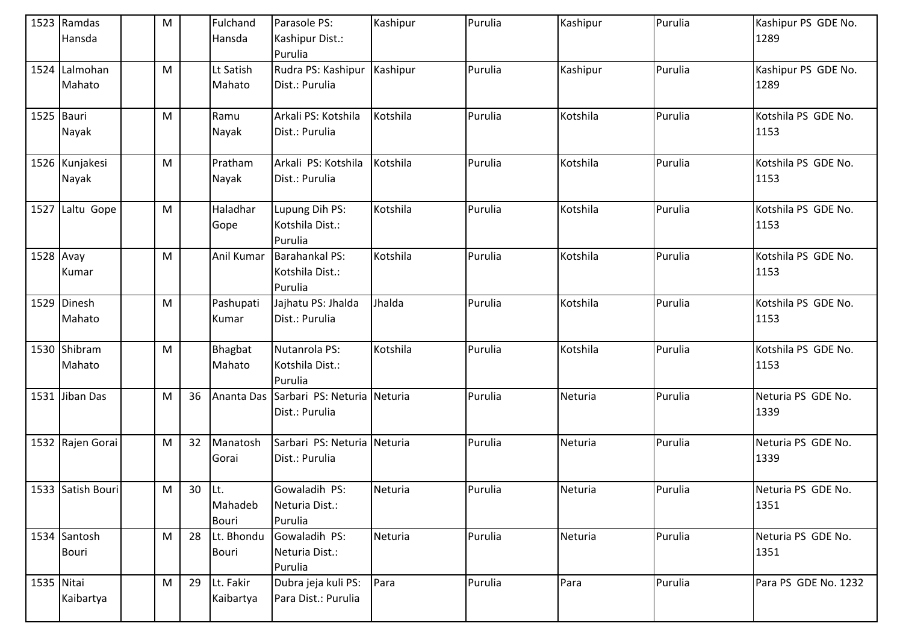|            | 1523 Ramdas<br>Hansda   | M |          | Fulchand<br>Hansda     | Parasole PS:<br>Kashipur Dist.:<br>Purulia    | Kashipur | Purulia | Kashipur | Purulia | Kashipur PS GDE No.<br>1289 |
|------------|-------------------------|---|----------|------------------------|-----------------------------------------------|----------|---------|----------|---------|-----------------------------|
|            | 1524 Lalmohan<br>Mahato | M |          | Lt Satish<br>Mahato    | Rudra PS: Kashipur<br>Dist.: Purulia          | Kashipur | Purulia | Kashipur | Purulia | Kashipur PS GDE No.<br>1289 |
| 1525 Bauri | Nayak                   | M |          | Ramu<br>Nayak          | Arkali PS: Kotshila<br>Dist.: Purulia         | Kotshila | Purulia | Kotshila | Purulia | Kotshila PS GDE No.<br>1153 |
|            | 1526 Kunjakesi<br>Nayak | M |          | Pratham<br>Nayak       | Arkali PS: Kotshila<br>Dist.: Purulia         | Kotshila | Purulia | Kotshila | Purulia | Kotshila PS GDE No.<br>1153 |
|            | 1527 Laltu Gope         | M |          | Haladhar<br>Gope       | Lupung Dih PS:<br>Kotshila Dist.:<br>Purulia  | Kotshila | Purulia | Kotshila | Purulia | Kotshila PS GDE No.<br>1153 |
| 1528 Avay  | Kumar                   | M |          | Anil Kumar             | Barahankal PS:<br>Kotshila Dist.:<br>Purulia  | Kotshila | Purulia | Kotshila | Purulia | Kotshila PS GDE No.<br>1153 |
|            | 1529 Dinesh<br>Mahato   | M |          | Pashupati<br>Kumar     | Jajhatu PS: Jhalda<br>Dist.: Purulia          | Jhalda   | Purulia | Kotshila | Purulia | Kotshila PS GDE No.<br>1153 |
|            | 1530 Shibram<br>Mahato  | M |          | Bhagbat<br>Mahato      | Nutanrola PS:<br>Kotshila Dist.:<br>Purulia   | Kotshila | Purulia | Kotshila | Purulia | Kotshila PS GDE No.<br>1153 |
|            | 1531 Jiban Das          | M | 36       | Ananta Das             | Sarbari PS: Neturia Neturia<br>Dist.: Purulia |          | Purulia | Neturia  | Purulia | Neturia PS GDE No.<br>1339  |
|            | 1532 Rajen Gorai        | M | 32       | Manatosh<br>Gorai      | Sarbari PS: Neturia Neturia<br>Dist.: Purulia |          | Purulia | Neturia  | Purulia | Neturia PS GDE No.<br>1339  |
|            | 1533 Satish Bouri       | M | $30$ Lt. | Mahadeb<br>Bouri       | Gowaladih PS:<br>Neturia Dist.:<br>Purulia    | Neturia  | Purulia | Neturia  | Purulia | Neturia PS GDE No.<br>1351  |
|            | 1534 Santosh<br>Bouri   | M | 28       | Lt. Bhondu<br>Bouri    | Gowaladih PS:<br>Neturia Dist.:<br>Purulia    | Neturia  | Purulia | Neturia  | Purulia | Neturia PS GDE No.<br>1351  |
| 1535 Nitai | Kaibartya               | M | 29       | Lt. Fakir<br>Kaibartya | Dubra jeja kuli PS:<br>Para Dist.: Purulia    | Para     | Purulia | Para     | Purulia | Para PS GDE No. 1232        |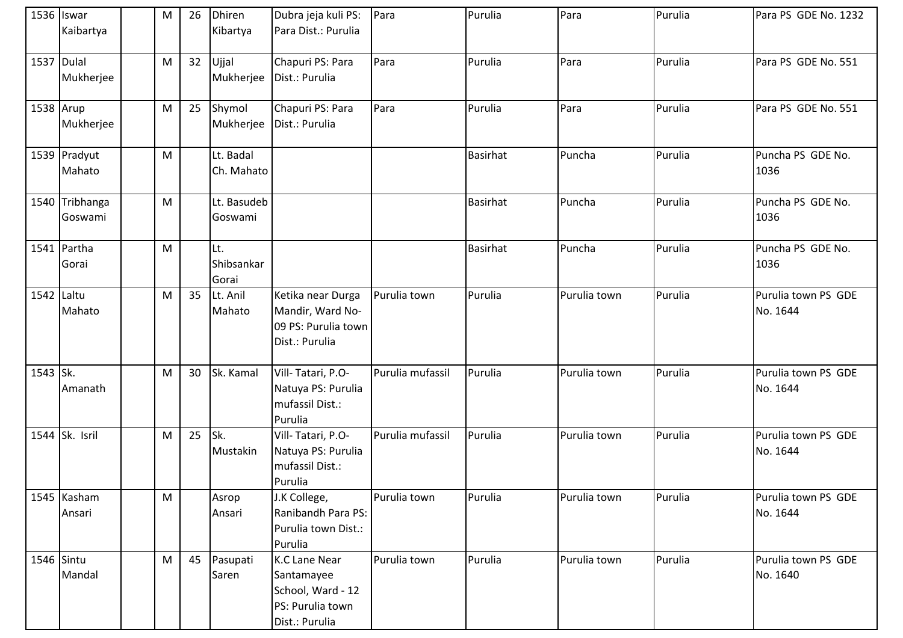|            | 1536 Iswar<br>Kaibartya   | ${\sf M}$ | 26 | <b>Dhiren</b><br>Kibartya  | Dubra jeja kuli PS:<br>Para Dist.: Purulia                                                    | Para             | Purulia         | Para         | Purulia | Para PS GDE No. 1232            |
|------------|---------------------------|-----------|----|----------------------------|-----------------------------------------------------------------------------------------------|------------------|-----------------|--------------|---------|---------------------------------|
| 1537 Dulal | Mukherjee                 | M         | 32 | Ujjal<br>Mukherjee         | Chapuri PS: Para<br>Dist.: Purulia                                                            | Para             | Purulia         | Para         | Purulia | Para PS GDE No. 551             |
| 1538 Arup  | Mukherjee                 | M         | 25 | Shymol<br>Mukherjee        | Chapuri PS: Para<br>Dist.: Purulia                                                            | Para             | Purulia         | Para         | Purulia | Para PS GDE No. 551             |
|            | 1539 Pradyut<br>Mahato    | ${\sf M}$ |    | Lt. Badal<br>Ch. Mahato    |                                                                                               |                  | <b>Basirhat</b> | Puncha       | Purulia | Puncha PS GDE No.<br>1036       |
|            | 1540 Tribhanga<br>Goswami | M         |    | Lt. Basudeb<br>Goswami     |                                                                                               |                  | <b>Basirhat</b> | Puncha       | Purulia | Puncha PS GDE No.<br>1036       |
|            | 1541 Partha<br>Gorai      | ${\sf M}$ |    | Lt.<br>Shibsankar<br>Gorai |                                                                                               |                  | Basirhat        | Puncha       | Purulia | Puncha PS GDE No.<br>1036       |
| 1542 Laltu | Mahato                    | M         | 35 | Lt. Anil<br>Mahato         | Ketika near Durga<br>Mandir, Ward No-<br>09 PS: Purulia town<br>Dist.: Purulia                | Purulia town     | Purulia         | Purulia town | Purulia | Purulia town PS GDE<br>No. 1644 |
| 1543 Sk.   | Amanath                   | M         | 30 | Sk. Kamal                  | Vill-Tatari, P.O-<br>Natuya PS: Purulia<br>mufassil Dist.:<br>Purulia                         | Purulia mufassil | Purulia         | Purulia town | Purulia | Purulia town PS GDE<br>No. 1644 |
|            | 1544 Sk. Isril            | M         | 25 | Sk.<br>Mustakin            | Vill-Tatari, P.O-<br>Natuya PS: Purulia<br>mufassil Dist.:<br>Purulia                         | Purulia mufassil | Purulia         | Purulia town | Purulia | Purulia town PS GDE<br>No. 1644 |
|            | 1545 Kasham<br>Ansari     | M         |    | Asrop<br>Ansari            | J.K College,<br>Ranibandh Para PS:<br>Purulia town Dist.:<br>Purulia                          | Purulia town     | Purulia         | Purulia town | Purulia | Purulia town PS GDE<br>No. 1644 |
|            | 1546 Sintu<br>Mandal      | M         | 45 | Pasupati<br>Saren          | <b>K.C Lane Near</b><br>Santamayee<br>School, Ward - 12<br>PS: Purulia town<br>Dist.: Purulia | Purulia town     | Purulia         | Purulia town | Purulia | Purulia town PS GDE<br>No. 1640 |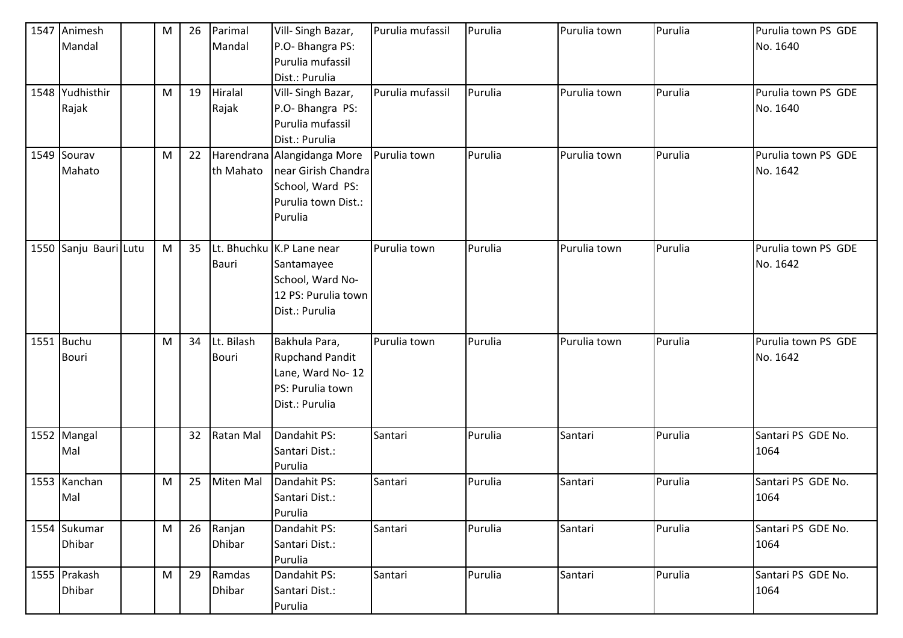| 1547 | Animesh               | M | 26 | Parimal       | Vill-Singh Bazar,           | Purulia mufassil | Purulia | Purulia town | Purulia | Purulia town PS GDE |
|------|-----------------------|---|----|---------------|-----------------------------|------------------|---------|--------------|---------|---------------------|
|      | Mandal                |   |    | Mandal        | P.O- Bhangra PS:            |                  |         |              |         | No. 1640            |
|      |                       |   |    |               | Purulia mufassil            |                  |         |              |         |                     |
|      |                       |   |    |               | Dist.: Purulia              |                  |         |              |         |                     |
|      | 1548 Yudhisthir       | M | 19 | Hiralal       | Vill-Singh Bazar,           | Purulia mufassil | Purulia | Purulia town | Purulia | Purulia town PS GDE |
|      | Rajak                 |   |    | Rajak         | P.O- Bhangra PS:            |                  |         |              |         | No. 1640            |
|      |                       |   |    |               | Purulia mufassil            |                  |         |              |         |                     |
|      |                       |   |    |               | Dist.: Purulia              |                  |         |              |         |                     |
|      | 1549 Sourav           | M | 22 |               | Harendrana Alangidanga More | Purulia town     | Purulia | Purulia town | Purulia | Purulia town PS GDE |
|      | Mahato                |   |    | th Mahato     | near Girish Chandra         |                  |         |              |         | No. 1642            |
|      |                       |   |    |               | School, Ward PS:            |                  |         |              |         |                     |
|      |                       |   |    |               | Purulia town Dist.:         |                  |         |              |         |                     |
|      |                       |   |    |               | Purulia                     |                  |         |              |         |                     |
|      |                       |   |    |               |                             |                  |         |              |         |                     |
|      | 1550 Sanju Bauri Lutu | M | 35 |               | Lt. Bhuchku K.P Lane near   | Purulia town     | Purulia | Purulia town | Purulia | Purulia town PS GDE |
|      |                       |   |    | <b>Bauri</b>  | Santamayee                  |                  |         |              |         | No. 1642            |
|      |                       |   |    |               | School, Ward No-            |                  |         |              |         |                     |
|      |                       |   |    |               | 12 PS: Purulia town         |                  |         |              |         |                     |
|      |                       |   |    |               | Dist.: Purulia              |                  |         |              |         |                     |
|      |                       |   |    |               |                             |                  |         |              |         |                     |
|      | 1551 Buchu            | M | 34 | Lt. Bilash    | Bakhula Para,               | Purulia town     | Purulia | Purulia town | Purulia | Purulia town PS GDE |
|      | <b>Bouri</b>          |   |    | <b>Bouri</b>  | <b>Rupchand Pandit</b>      |                  |         |              |         | No. 1642            |
|      |                       |   |    |               | Lane, Ward No-12            |                  |         |              |         |                     |
|      |                       |   |    |               | PS: Purulia town            |                  |         |              |         |                     |
|      |                       |   |    |               | Dist.: Purulia              |                  |         |              |         |                     |
|      |                       |   |    |               |                             |                  |         |              |         |                     |
|      | 1552 Mangal           |   | 32 | Ratan Mal     | Dandahit PS:                | Santari          | Purulia | Santari      | Purulia | Santari PS GDE No.  |
|      | Mal                   |   |    |               | Santari Dist.:              |                  |         |              |         | 1064                |
|      |                       |   |    |               | Purulia                     |                  |         |              |         |                     |
|      | 1553 Kanchan          | M | 25 | Miten Mal     | Dandahit PS:                | Santari          | Purulia | Santari      | Purulia | Santari PS GDE No.  |
|      | Mal                   |   |    |               | Santari Dist.:              |                  |         |              |         | 1064                |
|      |                       |   |    |               | Purulia                     |                  |         |              |         |                     |
|      | 1554 Sukumar          | M | 26 | Ranjan        | Dandahit PS:                | Santari          | Purulia | Santari      | Purulia | Santari PS GDE No.  |
|      | <b>Dhibar</b>         |   |    | <b>Dhibar</b> | Santari Dist.:              |                  |         |              |         | 1064                |
|      |                       |   |    |               | Purulia                     |                  |         |              |         |                     |
|      | 1555 Prakash          | M | 29 | Ramdas        | Dandahit PS:                | Santari          | Purulia | Santari      | Purulia | Santari PS GDE No.  |
|      | <b>Dhibar</b>         |   |    | Dhibar        | Santari Dist.:              |                  |         |              |         | 1064                |
|      |                       |   |    |               | Purulia                     |                  |         |              |         |                     |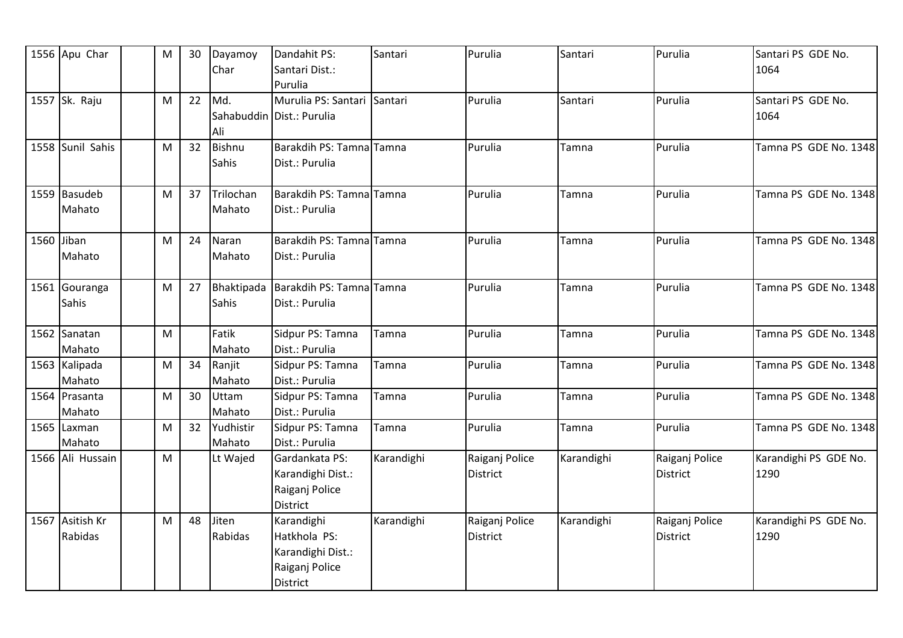|            | 1556 Apu Char    | ${\sf M}$ | 30 | Dayamoy    | Dandahit PS:                | Santari    | Purulia         | Santari    | Purulia         | Santari PS GDE No.    |
|------------|------------------|-----------|----|------------|-----------------------------|------------|-----------------|------------|-----------------|-----------------------|
|            |                  |           |    | Char       | Santari Dist.:              |            |                 |            |                 | 1064                  |
|            |                  |           |    |            | Purulia                     |            |                 |            |                 |                       |
|            | 1557 Sk. Raju    | M         | 22 | Md.        | Murulia PS: Santari Santari |            | Purulia         | Santari    | Purulia         | Santari PS GDE No.    |
|            |                  |           |    |            | Sahabuddin Dist.: Purulia   |            |                 |            |                 | 1064                  |
|            |                  |           |    | Ali        |                             |            |                 |            |                 |                       |
|            | 1558 Sunil Sahis | M         | 32 | Bishnu     | Barakdih PS: Tamna Tamna    |            | Purulia         | Tamna      | Purulia         | Tamna PS GDE No. 1348 |
|            |                  |           |    | Sahis      | Dist.: Purulia              |            |                 |            |                 |                       |
|            |                  |           |    |            |                             |            |                 |            |                 |                       |
|            | 1559 Basudeb     | M         | 37 | Trilochan  | Barakdih PS: Tamna Tamna    |            | Purulia         | Tamna      | Purulia         | Tamna PS GDE No. 1348 |
|            | Mahato           |           |    | Mahato     | Dist.: Purulia              |            |                 |            |                 |                       |
|            |                  |           |    |            |                             |            |                 |            |                 |                       |
| 1560 Jiban |                  | M         | 24 | Naran      | Barakdih PS: Tamna Tamna    |            | Purulia         | Tamna      | Purulia         | Tamna PS GDE No. 1348 |
|            | Mahato           |           |    | Mahato     | Dist.: Purulia              |            |                 |            |                 |                       |
|            |                  |           |    |            |                             |            |                 |            |                 |                       |
|            | 1561 Gouranga    | M         | 27 | Bhaktipada | Barakdih PS: Tamna Tamna    |            | Purulia         | Tamna      | Purulia         | Tamna PS GDE No. 1348 |
|            | Sahis            |           |    | Sahis      | Dist.: Purulia              |            |                 |            |                 |                       |
|            |                  |           |    |            |                             |            |                 |            |                 |                       |
|            | 1562 Sanatan     | M         |    | Fatik      | Sidpur PS: Tamna            | Tamna      | Purulia         | Tamna      | Purulia         | Tamna PS GDE No. 1348 |
|            | Mahato           |           |    | Mahato     | Dist.: Purulia              |            |                 |            |                 |                       |
|            | 1563 Kalipada    | M         | 34 | Ranjit     | Sidpur PS: Tamna            | Tamna      | Purulia         | Tamna      | Purulia         | Tamna PS GDE No. 1348 |
|            | Mahato           |           |    | Mahato     | Dist.: Purulia              |            |                 |            |                 |                       |
|            | 1564 Prasanta    | M         | 30 | Uttam      | Sidpur PS: Tamna            | Tamna      | Purulia         | Tamna      | Purulia         | Tamna PS GDE No. 1348 |
|            | Mahato           |           |    | Mahato     | Dist.: Purulia              |            |                 |            |                 |                       |
|            | 1565 Laxman      | M         | 32 | Yudhistir  | Sidpur PS: Tamna            | Tamna      | Purulia         | Tamna      | Purulia         | Tamna PS GDE No. 1348 |
|            | Mahato           |           |    | Mahato     | Dist.: Purulia              |            |                 |            |                 |                       |
|            | 1566 Ali Hussain | M         |    | Lt Wajed   | Gardankata PS:              | Karandighi | Raiganj Police  | Karandighi | Raiganj Police  | Karandighi PS GDE No. |
|            |                  |           |    |            | Karandighi Dist.:           |            | District        |            | District        | 1290                  |
|            |                  |           |    |            | Raiganj Police              |            |                 |            |                 |                       |
|            |                  |           |    |            | <b>District</b>             |            |                 |            |                 |                       |
|            | 1567 Asitish Kr  | M         | 48 | Jiten      | Karandighi                  | Karandighi | Raiganj Police  | Karandighi | Raiganj Police  | Karandighi PS GDE No. |
|            | Rabidas          |           |    | Rabidas    | Hatkhola PS:                |            | <b>District</b> |            | <b>District</b> | 1290                  |
|            |                  |           |    |            | Karandighi Dist.:           |            |                 |            |                 |                       |
|            |                  |           |    |            | Raiganj Police              |            |                 |            |                 |                       |
|            |                  |           |    |            | <b>District</b>             |            |                 |            |                 |                       |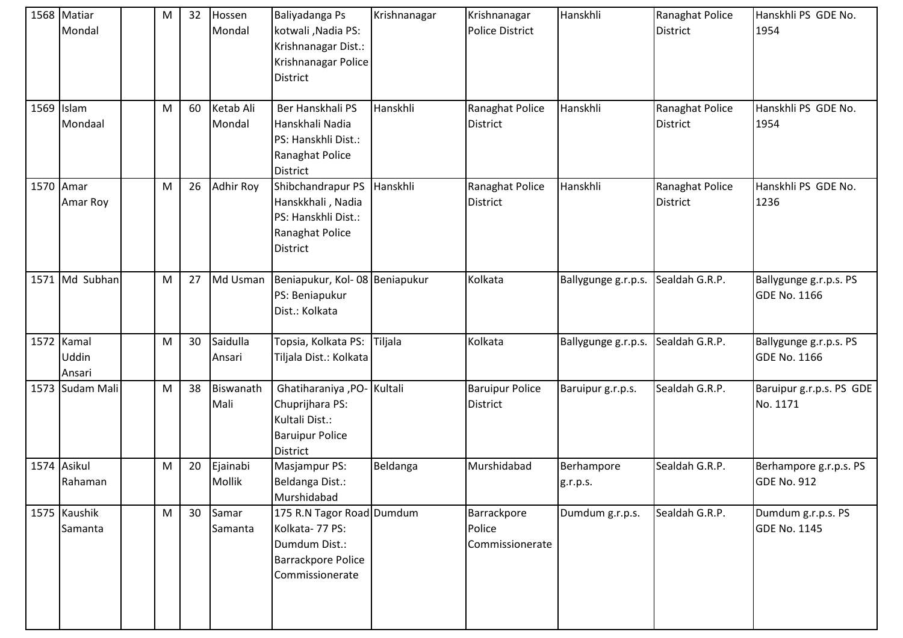|            | 1568 Matiar<br>Mondal         | M | 32              | Hossen<br>Mondal    | Baliyadanga Ps<br>kotwali, Nadia PS:<br>Krishnanagar Dist.:<br>Krishnanagar Police<br><b>District</b>         | Krishnanagar | Krishnanagar<br><b>Police District</b>    | Hanskhli               | Ranaghat Police<br><b>District</b> | Hanskhli PS GDE No.<br>1954                   |
|------------|-------------------------------|---|-----------------|---------------------|---------------------------------------------------------------------------------------------------------------|--------------|-------------------------------------------|------------------------|------------------------------------|-----------------------------------------------|
| 1569 Islam | Mondaal                       | M | 60              | Ketab Ali<br>Mondal | Ber Hanskhali PS<br>Hanskhali Nadia<br>PS: Hanskhli Dist.:<br>Ranaghat Police<br><b>District</b>              | Hanskhli     | Ranaghat Police<br><b>District</b>        | Hanskhli               | Ranaghat Police<br><b>District</b> | Hanskhli PS GDE No.<br>1954                   |
| 1570 Amar  | Amar Roy                      | M | 26              | Adhir Roy           | Shibchandrapur PS<br>Hanskkhali, Nadia<br>PS: Hanskhli Dist.:<br>Ranaghat Police<br><b>District</b>           | Hanskhli     | Ranaghat Police<br><b>District</b>        | Hanskhli               | Ranaghat Police<br><b>District</b> | Hanskhli PS GDE No.<br>1236                   |
|            | 1571 Md Subhan                | M | 27              | Md Usman            | Beniapukur, Kol-08 Beniapukur<br>PS: Beniapukur<br>Dist.: Kolkata                                             |              | Kolkata                                   | Ballygunge g.r.p.s.    | Sealdah G.R.P.                     | Ballygunge g.r.p.s. PS<br><b>GDE No. 1166</b> |
|            | 1572 Kamal<br>Uddin<br>Ansari | M | 30              | Saidulla<br>Ansari  | Topsia, Kolkata PS:<br>Tiljala Dist.: Kolkata                                                                 | Tiljala      | Kolkata                                   | Ballygunge g.r.p.s.    | Sealdah G.R.P.                     | Ballygunge g.r.p.s. PS<br><b>GDE No. 1166</b> |
|            | 1573 Sudam Mali               | M | 38              | Biswanath<br>Mali   | Ghatiharaniya , PO- Kultali<br>Chuprijhara PS:<br>Kultali Dist.:<br><b>Baruipur Police</b><br><b>District</b> |              | <b>Baruipur Police</b><br><b>District</b> | Baruipur g.r.p.s.      | Sealdah G.R.P.                     | Baruipur g.r.p.s. PS GDE<br>No. 1171          |
|            | 1574 Asikul<br>Rahaman        | M | 20              | Ejainabi<br>Mollik  | Masjampur PS:<br>Beldanga Dist.:<br>Murshidabad                                                               | Beldanga     | Murshidabad                               | Berhampore<br>g.r.p.s. | Sealdah G.R.P.                     | Berhampore g.r.p.s. PS<br><b>GDE No. 912</b>  |
|            | 1575 Kaushik<br>Samanta       | M | 30 <sup>°</sup> | Samar<br>Samanta    | 175 R.N Tagor Road Dumdum<br>Kolkata- 77 PS:<br>Dumdum Dist.:<br><b>Barrackpore Police</b><br>Commissionerate |              | Barrackpore<br>Police<br>Commissionerate  | Dumdum g.r.p.s.        | Sealdah G.R.P.                     | Dumdum g.r.p.s. PS<br><b>GDE No. 1145</b>     |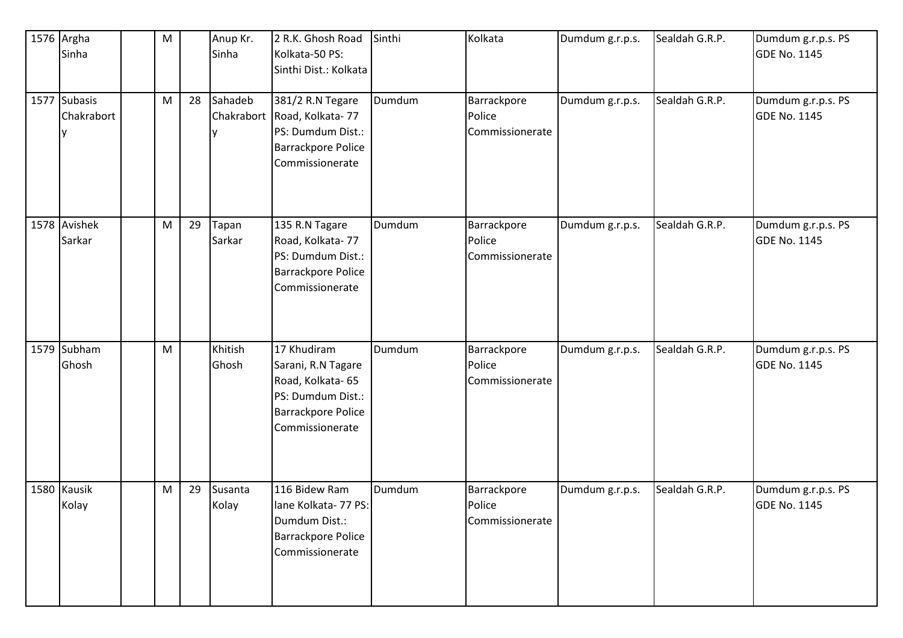| 1576 Argha<br>Sinha        | M |    | Anup Kr.<br>Sinha     | 2 R.K. Ghosh Road<br>Kolkata-50 PS:<br>Sinthi Dist.: Kolkata                                                                | Sinthi | Kolkata                                  | Dumdum g.r.p.s. | Sealdah G.R.P. | Dumdum g.r.p.s. PS<br><b>GDE No. 1145</b> |
|----------------------------|---|----|-----------------------|-----------------------------------------------------------------------------------------------------------------------------|--------|------------------------------------------|-----------------|----------------|-------------------------------------------|
| 1577 Subasis<br>Chakrabort | M | 28 | Sahadeb<br>Chakrabort | 381/2 R.N Tegare<br>Road, Kolkata-77<br>PS: Dumdum Dist.:<br><b>Barrackpore Police</b><br>Commissionerate                   | Dumdum | Barrackpore<br>Police<br>Commissionerate | Dumdum g.r.p.s. | Sealdah G.R.P. | Dumdum g.r.p.s. PS<br><b>GDE No. 1145</b> |
| 1578 Avishek<br>Sarkar     | M | 29 | Tapan<br>Sarkar       | 135 R.N Tagare<br>Road, Kolkata-77<br>PS: Dumdum Dist.:<br><b>Barrackpore Police</b><br>Commissionerate                     | Dumdum | Barrackpore<br>Police<br>Commissionerate | Dumdum g.r.p.s. | Sealdah G.R.P. | Dumdum g.r.p.s. PS<br><b>GDE No. 1145</b> |
| 1579 Subham<br>Ghosh       | M |    | Khitish<br>Ghosh      | 17 Khudiram<br>Sarani, R.N Tagare<br>Road, Kolkata- 65<br>PS: Dumdum Dist.:<br><b>Barrackpore Police</b><br>Commissionerate | Dumdum | Barrackpore<br>Police<br>Commissionerate | Dumdum g.r.p.s. | Sealdah G.R.P. | Dumdum g.r.p.s. PS<br><b>GDE No. 1145</b> |
| 1580 Kausik<br>Kolay       | M | 29 | Susanta<br>Kolay      | 116 Bidew Ram<br>lane Kolkata- 77 PS:<br>Dumdum Dist.:<br><b>Barrackpore Police</b><br>Commissionerate                      | Dumdum | Barrackpore<br>Police<br>Commissionerate | Dumdum g.r.p.s. | Sealdah G.R.P. | Dumdum g.r.p.s. PS<br><b>GDE No. 1145</b> |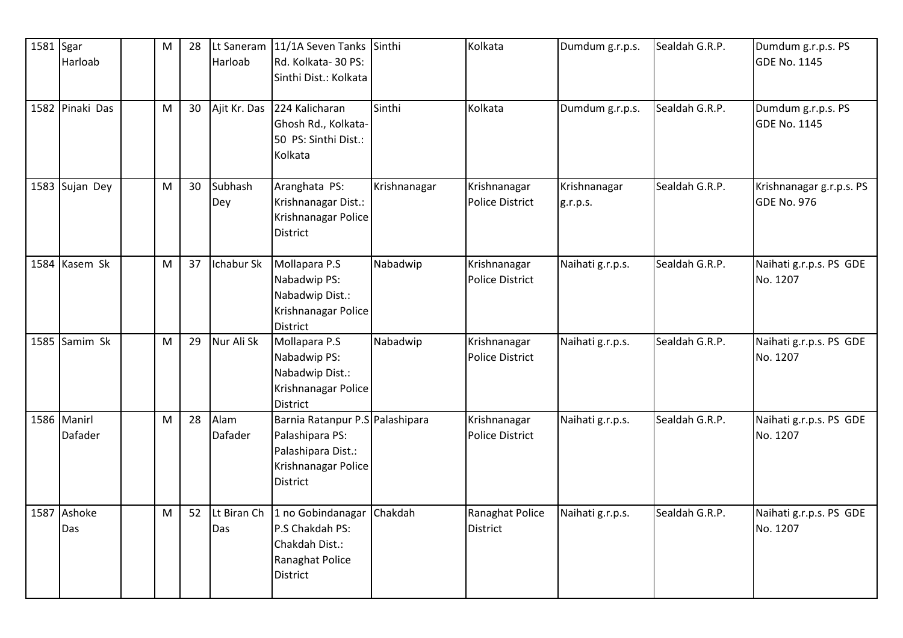| 1581 Sgar | Harloab                       | M | 28 | Lt Saneram<br>Harloab | 11/1A Seven Tanks Sinthi<br>Rd. Kolkata-30 PS:<br>Sinthi Dist.: Kolkata                                     |              | Kolkata                                | Dumdum g.r.p.s.          | Sealdah G.R.P. | Dumdum g.r.p.s. PS<br><b>GDE No. 1145</b>      |
|-----------|-------------------------------|---|----|-----------------------|-------------------------------------------------------------------------------------------------------------|--------------|----------------------------------------|--------------------------|----------------|------------------------------------------------|
|           | 1582 Pinaki Das               | M | 30 | Ajit Kr. Das          | 224 Kalicharan<br>Ghosh Rd., Kolkata-<br>50 PS: Sinthi Dist.:<br>Kolkata                                    | Sinthi       | Kolkata                                | Dumdum g.r.p.s.          | Sealdah G.R.P. | Dumdum g.r.p.s. PS<br><b>GDE No. 1145</b>      |
|           | 1583 Sujan Dey                | M | 30 | Subhash<br>Dey        | Aranghata PS:<br>Krishnanagar Dist.:<br>Krishnanagar Police<br>District                                     | Krishnanagar | Krishnanagar<br><b>Police District</b> | Krishnanagar<br>g.r.p.s. | Sealdah G.R.P. | Krishnanagar g.r.p.s. PS<br><b>GDE No. 976</b> |
|           | 1584 Kasem Sk                 | M | 37 | Ichabur Sk            | Mollapara P.S<br>Nabadwip PS:<br>Nabadwip Dist.:<br>Krishnanagar Police<br><b>District</b>                  | Nabadwip     | Krishnanagar<br><b>Police District</b> | Naihati g.r.p.s.         | Sealdah G.R.P. | Naihati g.r.p.s. PS GDE<br>No. 1207            |
|           | 1585 Samim Sk                 | M | 29 | Nur Ali Sk            | Mollapara P.S<br>Nabadwip PS:<br>Nabadwip Dist.:<br>Krishnanagar Police<br>District                         | Nabadwip     | Krishnanagar<br><b>Police District</b> | Naihati g.r.p.s.         | Sealdah G.R.P. | Naihati g.r.p.s. PS GDE<br>No. 1207            |
|           | 1586 Manirl<br><b>Dafader</b> | M | 28 | Alam<br>Dafader       | Barnia Ratanpur P.S Palashipara<br>Palashipara PS:<br>Palashipara Dist.:<br>Krishnanagar Police<br>District |              | Krishnanagar<br><b>Police District</b> | Naihati g.r.p.s.         | Sealdah G.R.P. | Naihati g.r.p.s. PS GDE<br>No. 1207            |
|           | 1587 Ashoke<br>Das            | M | 52 | Lt Biran Ch<br>Das    | 1 no Gobindanagar<br>P.S Chakdah PS:<br>Chakdah Dist.:<br>Ranaghat Police<br>District                       | Chakdah      | Ranaghat Police<br>District            | Naihati g.r.p.s.         | Sealdah G.R.P. | Naihati g.r.p.s. PS GDE<br>No. 1207            |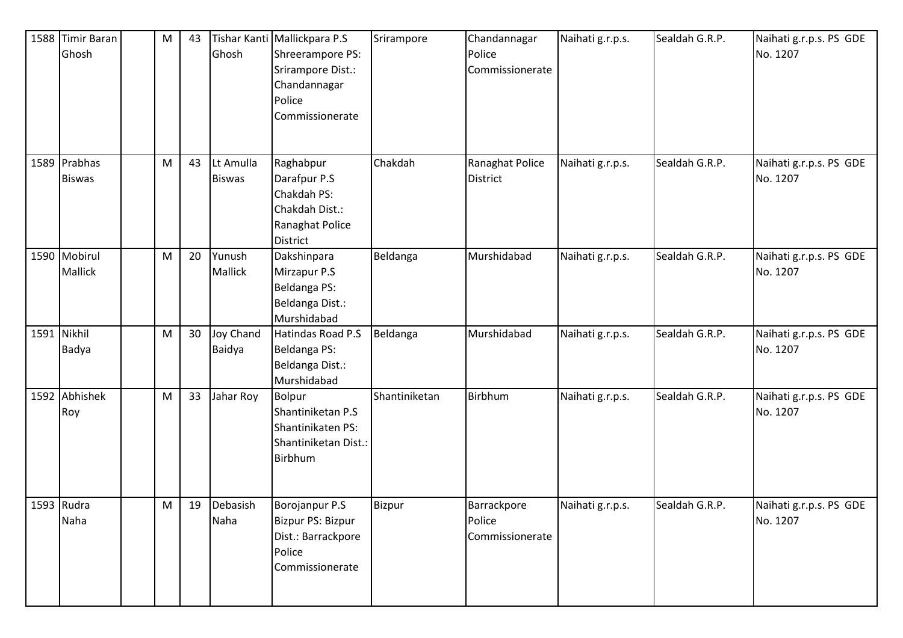| 1588 Timir Baran<br>Ghosh      | M | 43 | Ghosh                      | Tishar Kanti Mallickpara P.S<br>Shreerampore PS:<br>Srirampore Dist.:<br>Chandannagar<br>Police<br>Commissionerate | Srirampore    | Chandannagar<br>Police<br>Commissionerate | Naihati g.r.p.s. | Sealdah G.R.P. | Naihati g.r.p.s. PS GDE<br>No. 1207 |
|--------------------------------|---|----|----------------------------|--------------------------------------------------------------------------------------------------------------------|---------------|-------------------------------------------|------------------|----------------|-------------------------------------|
| 1589 Prabhas<br><b>Biswas</b>  | M | 43 | Lt Amulla<br><b>Biswas</b> | Raghabpur<br>Darafpur P.S<br>Chakdah PS:<br>Chakdah Dist.:<br>Ranaghat Police<br><b>District</b>                   | Chakdah       | Ranaghat Police<br><b>District</b>        | Naihati g.r.p.s. | Sealdah G.R.P. | Naihati g.r.p.s. PS GDE<br>No. 1207 |
| 1590 Mobirul<br><b>Mallick</b> | M | 20 | Yunush<br>Mallick          | Dakshinpara<br>Mirzapur P.S<br>Beldanga PS:<br>Beldanga Dist.:<br>Murshidabad                                      | Beldanga      | Murshidabad                               | Naihati g.r.p.s. | Sealdah G.R.P. | Naihati g.r.p.s. PS GDE<br>No. 1207 |
| 1591 Nikhil<br>Badya           | M | 30 | <b>Joy Chand</b><br>Baidya | Hatindas Road P.S<br>Beldanga PS:<br>Beldanga Dist.:<br>Murshidabad                                                | Beldanga      | Murshidabad                               | Naihati g.r.p.s. | Sealdah G.R.P. | Naihati g.r.p.s. PS GDE<br>No. 1207 |
| 1592 Abhishek<br>Roy           | M | 33 | Jahar Roy                  | Bolpur<br>Shantiniketan P.S<br>Shantinikaten PS:<br>Shantiniketan Dist.:<br>Birbhum                                | Shantiniketan | Birbhum                                   | Naihati g.r.p.s. | Sealdah G.R.P. | Naihati g.r.p.s. PS GDE<br>No. 1207 |
| 1593 Rudra<br>Naha             | M | 19 | Debasish<br>Naha           | Borojanpur P.S<br>Bizpur PS: Bizpur<br>Dist.: Barrackpore<br>Police<br>Commissionerate                             | Bizpur        | Barrackpore<br>Police<br>Commissionerate  | Naihati g.r.p.s. | Sealdah G.R.P. | Naihati g.r.p.s. PS GDE<br>No. 1207 |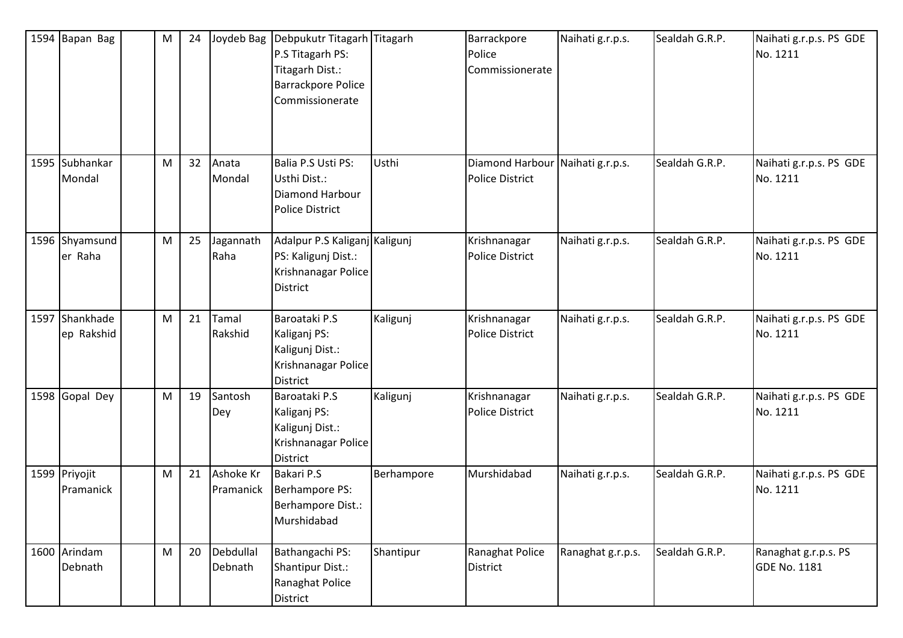| 1594 Bapan Bag               | M | 24 | Joydeb Bag             | Debpukutr Titagarh Titagarh<br>P.S Titagarh PS:<br>Titagarh Dist.:<br><b>Barrackpore Police</b><br>Commissionerate |            | Barrackpore<br>Police<br>Commissionerate                   | Naihati g.r.p.s.  | Sealdah G.R.P. | Naihati g.r.p.s. PS GDE<br>No. 1211         |
|------------------------------|---|----|------------------------|--------------------------------------------------------------------------------------------------------------------|------------|------------------------------------------------------------|-------------------|----------------|---------------------------------------------|
| 1595 Subhankar<br>Mondal     | M | 32 | Anata<br>Mondal        | Balia P.S Usti PS:<br>Usthi Dist.:<br>Diamond Harbour<br><b>Police District</b>                                    | Usthi      | Diamond Harbour Naihati g.r.p.s.<br><b>Police District</b> |                   | Sealdah G.R.P. | Naihati g.r.p.s. PS GDE<br>No. 1211         |
| 1596 Shyamsund<br>er Raha    | M | 25 | Jagannath<br>Raha      | Adalpur P.S Kaliganj Kaligunj<br>PS: Kaligunj Dist.:<br>Krishnanagar Police<br><b>District</b>                     |            | Krishnanagar<br><b>Police District</b>                     | Naihati g.r.p.s.  | Sealdah G.R.P. | Naihati g.r.p.s. PS GDE<br>No. 1211         |
| 1597 Shankhade<br>ep Rakshid | M | 21 | Tamal<br>Rakshid       | Baroataki P.S<br>Kaliganj PS:<br>Kaligunj Dist.:<br>Krishnanagar Police<br><b>District</b>                         | Kaligunj   | Krishnanagar<br><b>Police District</b>                     | Naihati g.r.p.s.  | Sealdah G.R.P. | Naihati g.r.p.s. PS GDE<br>No. 1211         |
| 1598 Gopal Dey               | M | 19 | Santosh<br>Dey         | Baroataki P.S<br>Kaliganj PS:<br>Kaligunj Dist.:<br>Krishnanagar Police<br>District                                | Kaligunj   | Krishnanagar<br><b>Police District</b>                     | Naihati g.r.p.s.  | Sealdah G.R.P. | Naihati g.r.p.s. PS GDE<br>No. 1211         |
| 1599 Priyojit<br>Pramanick   | M | 21 | Ashoke Kr<br>Pramanick | <b>Bakari P.S</b><br>Berhampore PS:<br>Berhampore Dist.:<br>Murshidabad                                            | Berhampore | Murshidabad                                                | Naihati g.r.p.s.  | Sealdah G.R.P. | Naihati g.r.p.s. PS GDE<br>No. 1211         |
| 1600 Arindam<br>Debnath      | M | 20 | Debdullal<br>Debnath   | Bathangachi PS:<br>Shantipur Dist.:<br>Ranaghat Police<br>District                                                 | Shantipur  | Ranaghat Police<br>District                                | Ranaghat g.r.p.s. | Sealdah G.R.P. | Ranaghat g.r.p.s. PS<br><b>GDE No. 1181</b> |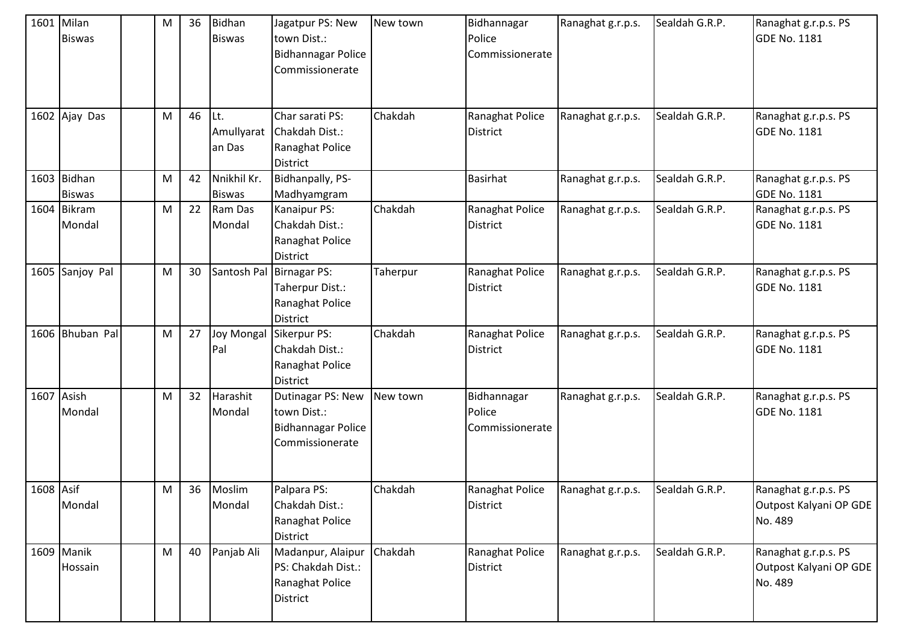|            | 1601 Milan<br><b>Biswas</b>  | M         | 36 | Bidhan<br><b>Biswas</b>      | Jagatpur PS: New<br>town Dist.:<br>Bidhannagar Police<br>Commissionerate          | New town | Bidhannagar<br>Police<br>Commissionerate | Ranaghat g.r.p.s. | Sealdah G.R.P. | Ranaghat g.r.p.s. PS<br><b>GDE No. 1181</b>               |
|------------|------------------------------|-----------|----|------------------------------|-----------------------------------------------------------------------------------|----------|------------------------------------------|-------------------|----------------|-----------------------------------------------------------|
|            | 1602 Ajay Das                | M         | 46 | Lt.<br>Amullyarat<br>an Das  | Char sarati PS:<br>Chakdah Dist.:<br>Ranaghat Police<br><b>District</b>           | Chakdah  | Ranaghat Police<br><b>District</b>       | Ranaghat g.r.p.s. | Sealdah G.R.P. | Ranaghat g.r.p.s. PS<br><b>GDE No. 1181</b>               |
|            | 1603 Bidhan<br><b>Biswas</b> | ${\sf M}$ | 42 | Nnikhil Kr.<br><b>Biswas</b> | Bidhanpally, PS-<br>Madhyamgram                                                   |          | <b>Basirhat</b>                          | Ranaghat g.r.p.s. | Sealdah G.R.P. | Ranaghat g.r.p.s. PS<br><b>GDE No. 1181</b>               |
|            | 1604 Bikram<br>Mondal        | M         | 22 | Ram Das<br>Mondal            | Kanaipur PS:<br>Chakdah Dist.:<br>Ranaghat Police<br><b>District</b>              | Chakdah  | Ranaghat Police<br><b>District</b>       | Ranaghat g.r.p.s. | Sealdah G.R.P. | Ranaghat g.r.p.s. PS<br><b>GDE No. 1181</b>               |
|            | 1605 Sanjoy Pal              | M         | 30 |                              | Santosh Pal Birnagar PS:<br>Taherpur Dist.:<br>Ranaghat Police<br><b>District</b> | Taherpur | Ranaghat Police<br><b>District</b>       | Ranaghat g.r.p.s. | Sealdah G.R.P. | Ranaghat g.r.p.s. PS<br><b>GDE No. 1181</b>               |
|            | 1606 Bhuban Pal              | ${\sf M}$ | 27 | <b>Joy Mongal</b><br>Pal     | Sikerpur PS:<br>Chakdah Dist.:<br>Ranaghat Police<br><b>District</b>              | Chakdah  | Ranaghat Police<br><b>District</b>       | Ranaghat g.r.p.s. | Sealdah G.R.P. | Ranaghat g.r.p.s. PS<br><b>GDE No. 1181</b>               |
| 1607 Asish | Mondal                       | M         | 32 | Harashit<br>Mondal           | Dutinagar PS: New<br>town Dist.:<br><b>Bidhannagar Police</b><br>Commissionerate  | New town | Bidhannagar<br>Police<br>Commissionerate | Ranaghat g.r.p.s. | Sealdah G.R.P. | Ranaghat g.r.p.s. PS<br><b>GDE No. 1181</b>               |
| 1608 Asif  | Mondal                       | M         | 36 | Moslim<br>Mondal             | Palpara PS:<br>Chakdah Dist.:<br>Ranaghat Police<br><b>District</b>               | Chakdah  | Ranaghat Police<br><b>District</b>       | Ranaghat g.r.p.s. | Sealdah G.R.P. | Ranaghat g.r.p.s. PS<br>Outpost Kalyani OP GDE<br>No. 489 |
|            | 1609 Manik<br>Hossain        | ${\sf M}$ | 40 | Panjab Ali                   | Madanpur, Alaipur<br>PS: Chakdah Dist.:<br>Ranaghat Police<br><b>District</b>     | Chakdah  | Ranaghat Police<br><b>District</b>       | Ranaghat g.r.p.s. | Sealdah G.R.P. | Ranaghat g.r.p.s. PS<br>Outpost Kalyani OP GDE<br>No. 489 |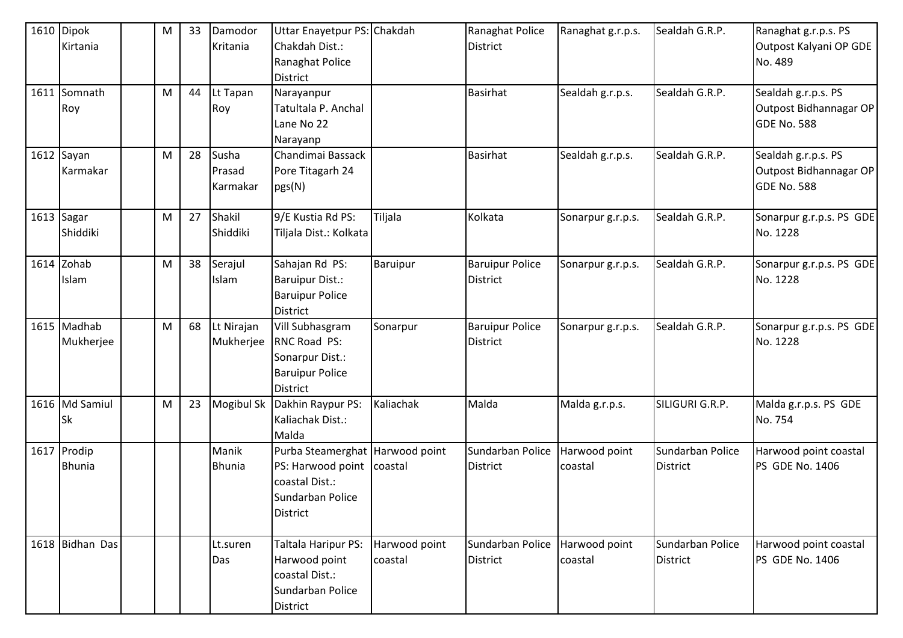| 1610 Dipok      | M         | 33 | Damodor       | Uttar Enayetpur PS: Chakdah     |               | Ranaghat Police        | Ranaghat g.r.p.s. | Sealdah G.R.P.   | Ranaghat g.r.p.s. PS     |
|-----------------|-----------|----|---------------|---------------------------------|---------------|------------------------|-------------------|------------------|--------------------------|
| Kirtania        |           |    | Kritania      | Chakdah Dist.:                  |               | <b>District</b>        |                   |                  | Outpost Kalyani OP GDE   |
|                 |           |    |               | Ranaghat Police                 |               |                        |                   |                  | No. 489                  |
|                 |           |    |               | <b>District</b>                 |               |                        |                   |                  |                          |
| 1611 Somnath    | M         | 44 | Lt Tapan      | Narayanpur                      |               | Basirhat               | Sealdah g.r.p.s.  | Sealdah G.R.P.   | Sealdah g.r.p.s. PS      |
| Roy             |           |    | Roy           | Tatultala P. Anchal             |               |                        |                   |                  | Outpost Bidhannagar OP   |
|                 |           |    |               | Lane No 22                      |               |                        |                   |                  | <b>GDE No. 588</b>       |
|                 |           |    |               | Narayanp                        |               |                        |                   |                  |                          |
| 1612 Sayan      | M         | 28 | Susha         | Chandimai Bassack               |               | Basirhat               | Sealdah g.r.p.s.  | Sealdah G.R.P.   | Sealdah g.r.p.s. PS      |
| Karmakar        |           |    | Prasad        | Pore Titagarh 24                |               |                        |                   |                  | Outpost Bidhannagar OP   |
|                 |           |    | Karmakar      | pgs(N)                          |               |                        |                   |                  | <b>GDE No. 588</b>       |
|                 |           |    |               |                                 |               |                        |                   |                  |                          |
| 1613 Sagar      | M         | 27 | Shakil        | 9/E Kustia Rd PS:               | Tiljala       | Kolkata                | Sonarpur g.r.p.s. | Sealdah G.R.P.   | Sonarpur g.r.p.s. PS GDE |
| Shiddiki        |           |    | Shiddiki      | Tiljala Dist.: Kolkata          |               |                        |                   |                  | No. 1228                 |
|                 |           |    |               |                                 |               |                        |                   |                  |                          |
| $1614$ Zohab    | ${\sf M}$ | 38 | Serajul       | Sahajan Rd PS:                  | Baruipur      | <b>Baruipur Police</b> | Sonarpur g.r.p.s. | Sealdah G.R.P.   | Sonarpur g.r.p.s. PS GDE |
| Islam           |           |    | Islam         | <b>Baruipur Dist.:</b>          |               | <b>District</b>        |                   |                  | No. 1228                 |
|                 |           |    |               | <b>Baruipur Police</b>          |               |                        |                   |                  |                          |
|                 |           |    |               | <b>District</b>                 |               |                        |                   |                  |                          |
| 1615 Madhab     | M         | 68 | Lt Nirajan    | Vill Subhasgram                 | Sonarpur      | <b>Baruipur Police</b> | Sonarpur g.r.p.s. | Sealdah G.R.P.   | Sonarpur g.r.p.s. PS GDE |
| Mukherjee       |           |    | Mukherjee     | <b>RNC Road PS:</b>             |               | <b>District</b>        |                   |                  | No. 1228                 |
|                 |           |    |               | Sonarpur Dist.:                 |               |                        |                   |                  |                          |
|                 |           |    |               | <b>Baruipur Police</b>          |               |                        |                   |                  |                          |
|                 |           |    |               | <b>District</b>                 |               |                        |                   |                  |                          |
| 1616 Md Samiul  | M         | 23 | Mogibul Sk    | Dakhin Raypur PS:               | Kaliachak     | Malda                  | Malda g.r.p.s.    | SILIGURI G.R.P.  | Malda g.r.p.s. PS GDE    |
| Sk              |           |    |               | Kaliachak Dist.:                |               |                        |                   |                  | No. 754                  |
|                 |           |    |               | Malda                           |               |                        |                   |                  |                          |
| 1617 Prodip     |           |    | Manik         | Purba Steamerghat Harwood point |               | Sundarban Police       | Harwood point     | Sundarban Police | Harwood point coastal    |
| <b>Bhunia</b>   |           |    | <b>Bhunia</b> | PS: Harwood point               | coastal       | <b>District</b>        | coastal           | District         | PS GDE No. 1406          |
|                 |           |    |               | coastal Dist.:                  |               |                        |                   |                  |                          |
|                 |           |    |               | Sundarban Police                |               |                        |                   |                  |                          |
|                 |           |    |               | <b>District</b>                 |               |                        |                   |                  |                          |
|                 |           |    |               |                                 |               |                        |                   |                  |                          |
| 1618 Bidhan Das |           |    | Lt.suren      | Taltala Haripur PS:             | Harwood point | Sundarban Police       | Harwood point     | Sundarban Police | Harwood point coastal    |
|                 |           |    | Das           | Harwood point                   | coastal       | <b>District</b>        | coastal           | <b>District</b>  | PS GDE No. 1406          |
|                 |           |    |               | coastal Dist.:                  |               |                        |                   |                  |                          |
|                 |           |    |               | Sundarban Police                |               |                        |                   |                  |                          |
|                 |           |    |               | District                        |               |                        |                   |                  |                          |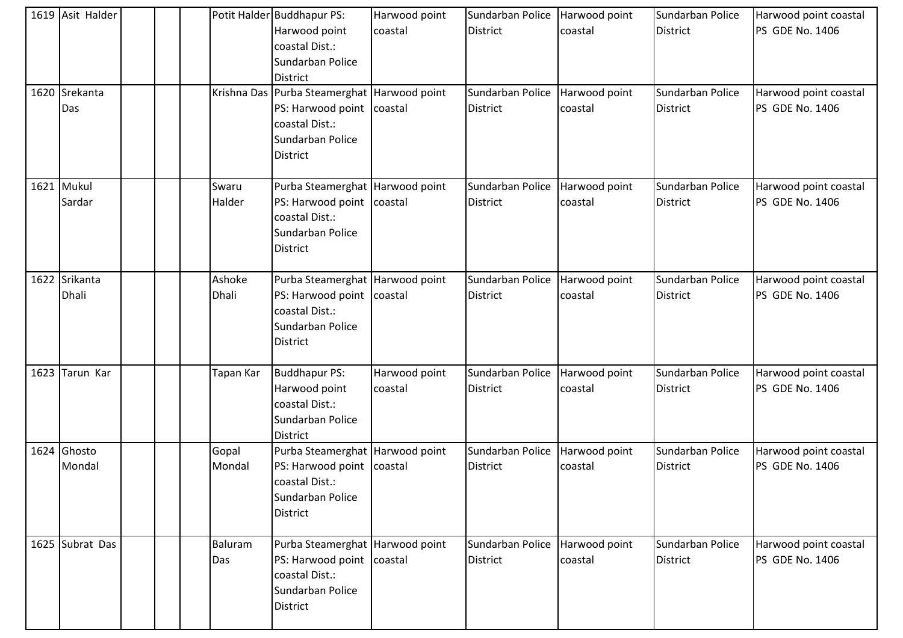| 1619 Asit Halder<br>1620 Srekanta<br>Das |  | Krishna Das     | Potit Halder Buddhapur PS:<br>Harwood point<br>coastal Dist.:<br>Sundarban Police<br><b>District</b><br>Purba Steamerghat Harwood point<br>PS: Harwood point coastal<br>coastal Dist.:<br>Sundarban Police | Harwood point<br>coastal | Sundarban Police<br>District<br>Sundarban Police<br><b>District</b> | Harwood point<br>coastal<br>Harwood point<br>coastal | Sundarban Police<br><b>District</b><br>Sundarban Police<br><b>District</b> | Harwood point coastal<br>PS GDE No. 1406<br>Harwood point coastal<br><b>PS GDE No. 1406</b> |
|------------------------------------------|--|-----------------|------------------------------------------------------------------------------------------------------------------------------------------------------------------------------------------------------------|--------------------------|---------------------------------------------------------------------|------------------------------------------------------|----------------------------------------------------------------------------|---------------------------------------------------------------------------------------------|
| 1621 Mukul                               |  | Swaru           | District<br>Purba Steamerghat Harwood point                                                                                                                                                                |                          | Sundarban Police                                                    | Harwood point                                        | Sundarban Police                                                           | Harwood point coastal                                                                       |
| Sardar                                   |  | Halder          | PS: Harwood point coastal<br>coastal Dist.:<br>Sundarban Police<br>District                                                                                                                                |                          | District                                                            | coastal                                              | <b>District</b>                                                            | <b>PS GDE No. 1406</b>                                                                      |
| 1622 Srikanta<br>Dhali                   |  | Ashoke<br>Dhali | Purba Steamerghat Harwood point<br>PS: Harwood point coastal<br>coastal Dist.:<br>Sundarban Police<br>District                                                                                             |                          | Sundarban Police<br><b>District</b>                                 | Harwood point<br>coastal                             | Sundarban Police<br><b>District</b>                                        | Harwood point coastal<br>PS GDE No. 1406                                                    |
| 1623 Tarun Kar                           |  | Tapan Kar       | <b>Buddhapur PS:</b><br>Harwood point<br>coastal Dist.:<br>Sundarban Police<br>District                                                                                                                    | Harwood point<br>coastal | Sundarban Police<br>District                                        | Harwood point<br>coastal                             | Sundarban Police<br><b>District</b>                                        | Harwood point coastal<br><b>PS GDE No. 1406</b>                                             |
| 1624 Ghosto<br>Mondal                    |  | Gopal<br>Mondal | Purba Steamerghat Harwood point<br>PS: Harwood point coastal<br>coastal Dist.:<br>Sundarban Police<br><b>District</b>                                                                                      |                          | Sundarban Police<br>District                                        | Harwood point<br>coastal                             | Sundarban Police<br><b>District</b>                                        | Harwood point coastal<br><b>PS GDE No. 1406</b>                                             |
| 1625 Subrat Das                          |  | Baluram<br>Das  | Purba Steamerghat   Harwood point<br>PS: Harwood point coastal<br>coastal Dist.:<br>Sundarban Police<br>District                                                                                           |                          | Sundarban Police<br><b>District</b>                                 | Harwood point<br>coastal                             | Sundarban Police<br><b>District</b>                                        | Harwood point coastal<br>PS GDE No. 1406                                                    |